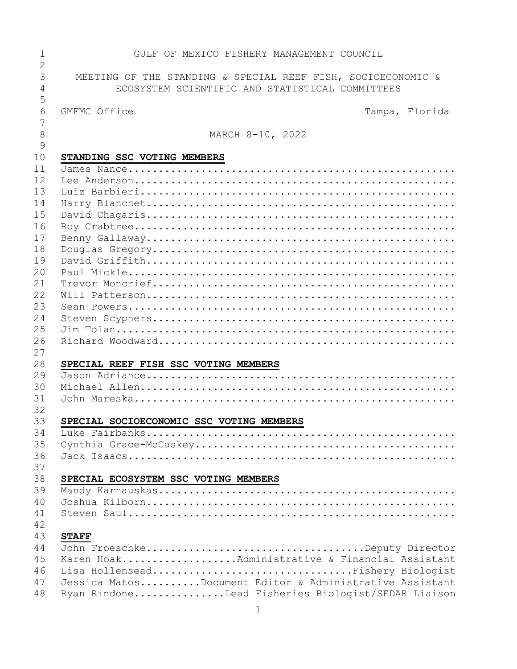| 1              | GULF OF MEXICO FISHERY MANAGEMENT COUNCIL                    |
|----------------|--------------------------------------------------------------|
| $\overline{2}$ |                                                              |
| 3              | MEETING OF THE STANDING & SPECIAL REEF FISH, SOCIOECONOMIC & |
| 4              | ECOSYSTEM SCIENTIFIC AND STATISTICAL COMMITTEES              |
| 5              |                                                              |
| 6              | GMFMC Office<br>Tampa, Florida                               |
| 7              |                                                              |
| 8              | MARCH 8-10, 2022                                             |
| $\mathcal{G}$  |                                                              |
| 10             | STANDING SSC VOTING MEMBERS                                  |
| 11             |                                                              |
| 12             |                                                              |
| 13             |                                                              |
| 14             |                                                              |
| 15             |                                                              |
| 16             |                                                              |
| 17             |                                                              |
| 18             |                                                              |
| 19             |                                                              |
| 20             |                                                              |
| 21             |                                                              |
| 22             |                                                              |
| 23             |                                                              |
| 24             |                                                              |
| 25             |                                                              |
| 26             |                                                              |
| 27             |                                                              |
| 28             | SPECIAL REEF FISH SSC VOTING MEMBERS                         |
| 29             |                                                              |
| 30             |                                                              |
| 31             |                                                              |
| 32             |                                                              |
| 33             | SPECIAL SOCIOECONOMIC SSC VOTING MEMBERS                     |
| 34             |                                                              |
| 35             |                                                              |
|                |                                                              |
| 36             |                                                              |
| 37             |                                                              |
| 38             | SPECIAL ECOSYSTEM SSC VOTING MEMBERS                         |
| 39             |                                                              |
| 40             |                                                              |
| 41             |                                                              |
| 42             |                                                              |
| 43             | <b>STAFF</b>                                                 |
| 44             | John FroeschkeDeputy Director                                |
| 45             | Karen HoakAdministrative & Financial Assistant               |
| 46             | Lisa HollenseadFishery Biologist                             |
| 47             | Jessica MatosDocument Editor & Administrative Assistant      |
| 48             | Ryan RindoneLead Fisheries Biologist/SEDAR Liaison           |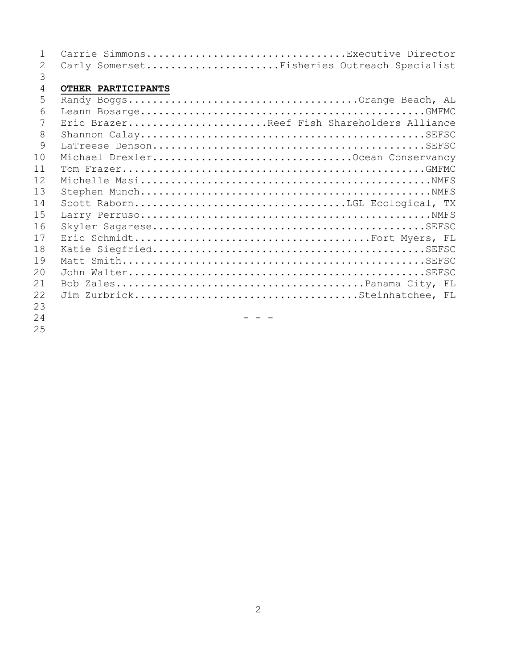| $\mathbf{1}$   |                    | Carrie SimmonsExecutive Director            |
|----------------|--------------------|---------------------------------------------|
| 2              |                    | Carly SomersetFisheries Outreach Specialist |
| 3              |                    |                                             |
| $\overline{4}$ | OTHER PARTICIPANTS |                                             |
| 5              |                    |                                             |
| 6              |                    |                                             |
| 7              |                    | Eric BrazerReef Fish Shareholders Alliance  |
| 8              |                    |                                             |
| 9              |                    |                                             |
| 10             |                    |                                             |
| 11             |                    |                                             |
| 12             |                    |                                             |
| 13             |                    |                                             |
| 14             |                    |                                             |
| 15             |                    |                                             |
| 16             |                    |                                             |
| 17             |                    |                                             |
| 18             |                    |                                             |
| 19             |                    |                                             |
| 20             |                    |                                             |
| 21             |                    |                                             |
| 22             |                    |                                             |
| 23             |                    |                                             |
| 24             |                    |                                             |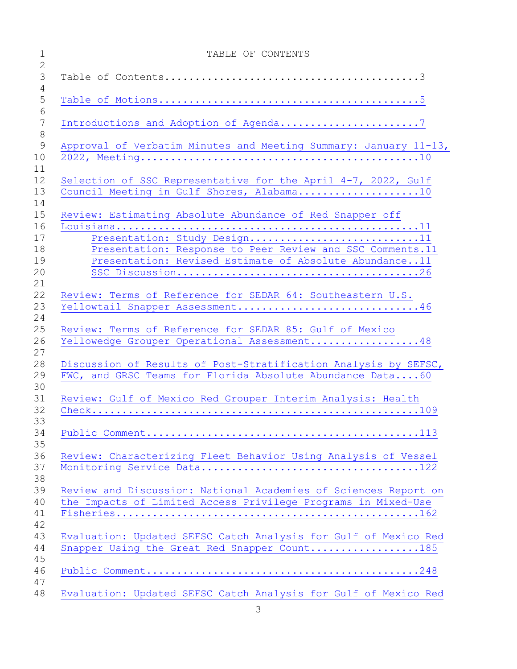| TABLE OF CONTENTS                                                                                          |
|------------------------------------------------------------------------------------------------------------|
|                                                                                                            |
|                                                                                                            |
|                                                                                                            |
|                                                                                                            |
|                                                                                                            |
|                                                                                                            |
| Approval of Verbatim Minutes and Meeting Summary: January 11-13,                                           |
|                                                                                                            |
|                                                                                                            |
| Selection of SSC Representative for the April 4-7, 2022, Gulf<br>Council Meeting in Gulf Shores, Alabama10 |
|                                                                                                            |
| Review: Estimating Absolute Abundance of Red Snapper off                                                   |
|                                                                                                            |
| Presentation: Study Design11                                                                               |
| Presentation: Response to Peer Review and SSC Comments.11                                                  |
| Presentation: Revised Estimate of Absolute Abundance11                                                     |
|                                                                                                            |
|                                                                                                            |
| Review: Terms of Reference for SEDAR 64: Southeastern U.S.                                                 |
| Yellowtail Snapper Assessment46                                                                            |
|                                                                                                            |
| Review: Terms of Reference for SEDAR 85: Gulf of Mexico                                                    |
| Yellowedge Grouper Operational Assessment48                                                                |
| Discussion of Results of Post-Stratification Analysis by SEFSC,                                            |
| FWC, and GRSC Teams for Florida Absolute Abundance Data60                                                  |
|                                                                                                            |
| Review: Gulf of Mexico Red Grouper Interim Analysis: Health                                                |
|                                                                                                            |
|                                                                                                            |
|                                                                                                            |
|                                                                                                            |
| Review: Characterizing Fleet Behavior Using Analysis of Vessel                                             |
|                                                                                                            |
|                                                                                                            |
| Review and Discussion: National Academies of Sciences Report on                                            |
| the Impacts of Limited Access Privilege Programs in Mixed-Use                                              |
|                                                                                                            |
| Evaluation: Updated SEFSC Catch Analysis for Gulf of Mexico Red                                            |
| Snapper Using the Great Red Snapper Count185                                                               |
|                                                                                                            |
|                                                                                                            |
|                                                                                                            |
| Evaluation: Updated SEFSC Catch Analysis for Gulf of Mexico Red                                            |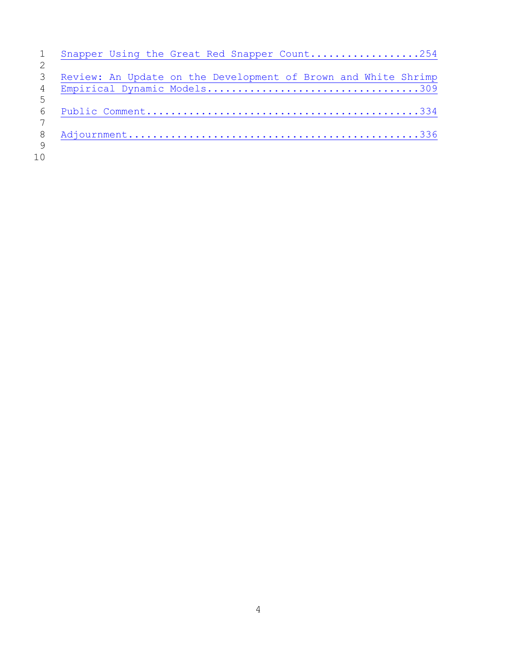|     | Snapper Using the Great Red Snapper Count254                   |
|-----|----------------------------------------------------------------|
|     |                                                                |
| 3   | Review: An Update on the Development of Brown and White Shrimp |
| 4   |                                                                |
| 5   |                                                                |
| 6   |                                                                |
|     |                                                                |
| 8   |                                                                |
| - 9 |                                                                |
| 10  |                                                                |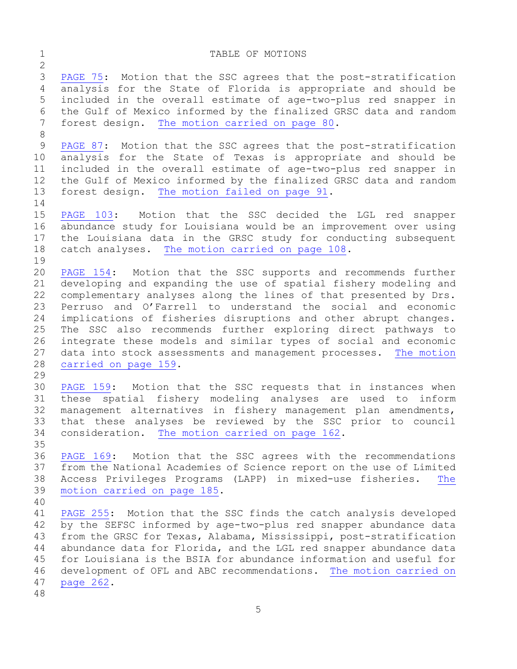# <span id="page-4-0"></span>1 TABLE OF MOTIONS  $\frac{2}{3}$ 3 [PAGE 75:](#page-74-0) Motion that the SSC agrees that the post-stratification<br>4 analysis for the State of Florida is appropriate and should be analysis for the State of Florida is appropriate and should be 5 included in the overall estimate of age-two-plus red snapper in 6 the Gulf of Mexico informed by the finalized GRSC data and random<br>7 forest design. The motion carried on page 80. forest design. [The motion carried on page 80.](#page-79-0) 8 9 [PAGE 87:](#page-86-0) Motion that the SSC agrees that the post-stratification<br>10 analysis for the State of Texas is appropriate and should be 10 analysis for the State of Texas is appropriate and should be<br>11 included in the overall estimate of age-two-plus red snapper in 11 included in the overall estimate of age-two-plus red snapper in<br>12 the Gulf of Mexico informed by the finalized GRSC data and random 12 the Gulf of Mexico informed by the finalized GRSC data and random<br>13 forest design. The motion failed on page 91. forest design. [The motion failed on page 91.](#page-90-0)  $\frac{14}{15}$ 15 [PAGE](#page-102-0) 103: Motion that the SSC decided the LGL red snapper<br>16 abundance study for Louisiana would be an improvement over using 16 abundance study for Louisiana would be an improvement over using<br>17 the Louisiana data in the GRSC study for conducting subsequent 17 the Louisiana data in the GRSC study for conducting subsequent<br>18 catch analyses. The motion carried on page 108. [The motion carried on page 108.](#page-107-0)  $\begin{array}{c} 19 \\ 20 \end{array}$ 20 [PAGE 154:](#page-153-0) Motion that the SSC supports and recommends further<br>21 developing and expanding the use of spatial fishery modeling and 21 developing and expanding the use of spatial fishery modeling and<br>22 complementary analyses along the lines of that presented by Drs. 22 complementary analyses along the lines of that presented by Drs.<br>23 Perruso and O'Farrell to understand the social and economic 23 Perruso and O'Farrell to understand the social and economic<br>24 implications of fisheries disruptions and other abrupt changes. 24 implications of fisheries disruptions and other abrupt changes.<br>25 The SSC also recommends further exploring direct pathways to 25 The SSC also recommends further exploring direct pathways to<br>26 integrate these models and similar types of social and economic 26 integrate these models and similar types of social and economic<br>27 data into stock assessments and management processes. The motion 27 data into stock assessments and management processes. The motion<br>28 carried on page 159. [carried on page 159.](#page-158-0) 29<br>30 30 [PAGE 159:](#page-153-0) Motion that the SSC requests that in instances when<br>31 these spatial fishery modeling analyses are used to inform 31 these spatial fishery modeling analyses are used to inform<br>32 management alternatives in fishery management plan amendments, management alternatives in fishery management plan amendments, 33 that these analyses be reviewed by the SSC prior to council<br>34 consideration. The motion carried on page 162. [The motion carried on page 162.](#page-161-1) 35<br>36 36 [PAGE 169:](#page-168-0) Motion that the SSC agrees with the recommendations<br>37 from the National Academies of Science report on the use of Limited from the National Academies of Science report on the use of Limited 38 Access Privileges Programs (LAPP) in mixed-use fisheries. The<br>39 motion carried on page 185. [motion carried on page 185.](#page-183-0) 40 41 [PAGE 255:](#page-254-0) Motion that the SSC finds the catch analysis developed<br>42 by the SEFSC informed by age-two-plus red snapper abundance data 42 by the SEFSC informed by age-two-plus red snapper abundance data<br>43 from the GRSC for Texas, Alabama, Mississippi, post-stratification 43 from the GRSC for Texas, Alabama, Mississippi, post-stratification<br>44 abundance data for Florida, and the LGL red snapper abundance data abundance data for Florida, and the LGL red snapper abundance data 45 for Louisiana is the BSIA for abundance information and useful for 46 development of OFL and ABC recommendations. The motion carried on<br>47 page 262. [page 262.](#page-261-0) 48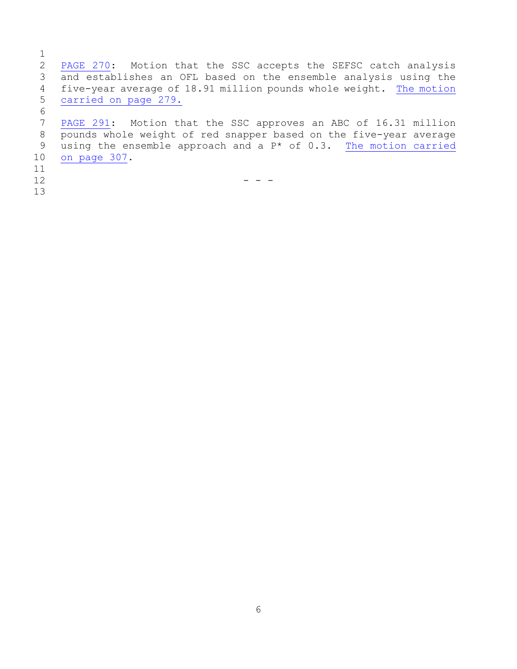$\frac{1}{2}$ 2 [PAGE 270:](#page-269-0) Motion that the SSC accepts the SEFSC catch analysis<br>3 and establishes an OFL based on the ensemble analysis using the 3 and establishes an OFL based on the ensemble analysis using the<br>4 five-year average of 18.91 million pounds whole weight. The motion 4 five-year average of 18.91 million pounds whole weight. The motion<br>5 carried on page 279. [carried on page 279.](#page-278-0) 6<br>7 7 [PAGE 291:](#page-290-0) Motion that the SSC approves an ABC of 16.31 million<br>8 pounds whole weight of red snapper based on the five-year average 8 pounds whole weight of red snapper based on the five-year average<br>9 using the ensemble approach and a  $P^*$  of 0.3. The motion carried 9 using the ensemble approach and a  $P*$  of 0.3. [The motion carried](#page-306-0) 10 on page 307.

- [on page 307.](#page-306-0)
- 11<br>12
- 13

 $12$  - - -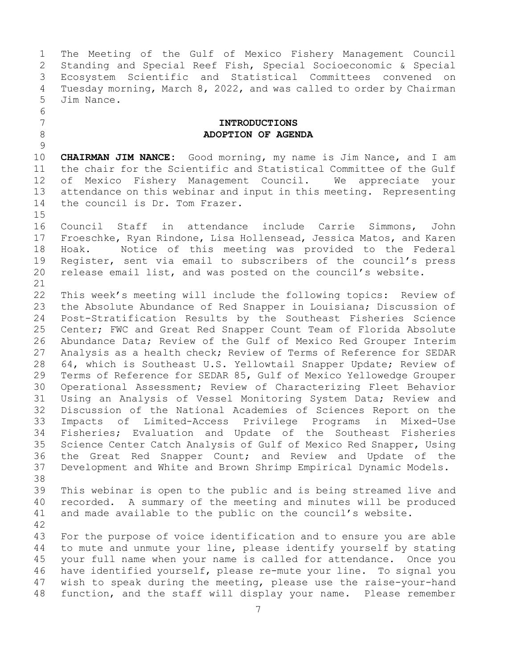1 The Meeting of the Gulf of Mexico Fishery Management Council<br>2 Standing and Special Reef Fish, Special Socioeconomic & Special 2 Standing and Special Reef Fish, Special Socioeconomic & Special 3 Ecosystem Scientific and Statistical Committees convened on<br>4 Tuesday morning, March 8, 2022, and was called to order by Chairman 4 Tuesday morning, March 8, 2022, and was called to order by Chairman 5 Jim Nance.

#### <span id="page-6-0"></span>7 **INTRODUCTIONS** 8 **ADOPTION OF AGENDA**

 $\frac{9}{10}$ 10 **CHAIRMAN JIM NANCE:** Good morning, my name is Jim Nance, and I am<br>11 the chair for the Scientific and Statistical Committee of the Gulf 11 the chair for the Scientific and Statistical Committee of the Gulf<br>12 of Mexico Fishery Management Council. We appreciate your 12 of Mexico Fishery Management Council.<br>13 attendance on this webinar and input in thi attendance on this webinar and input in this meeting. Representing 14 the council is Dr. Tom Frazer.

 $15$ <br> $16$ 16 Council Staff in attendance include Carrie Simmons, John<br>17 Froeschke, Ryan-Rindone, Lisa-Hollensead, Jessica-Matos, and-Karen 17 Froeschke, Ryan Rindone, Lisa Hollensead, Jessica Matos, and Karen<br>18 Hoak. Motice of this meeting was provided to the Federal 18 Hoak. Motice of this meeting was provided to the Federal<br>19 Register, sent via email to subscribers of the council's press 19 Register, sent via email to subscribers of the council's press<br>20 release email list, and was posted on the council's website. release email list, and was posted on the council's website.

6<br>7

21<br>22 22 This week's meeting will include the following topics: Review of<br>23 the Absolute Abundance of Red Snapper in Louisiana; Discussion of 23 the Absolute Abundance of Red Snapper in Louisiana; Discussion of<br>24 Post-Stratification Results by the Southeast Fisheries Science 24 Post-Stratification Results by the Southeast Fisheries Science<br>25 Center; FWC and Great Red Snapper Count Team of Florida Absolute 25 Center; FWC and Great Red Snapper Count Team of Florida Absolute<br>26 Abundance Data; Review of the Gulf of Mexico Red Grouper Interim 26 Abundance Data; Review of the Gulf of Mexico Red Grouper Interim<br>27 Analysis as a health check; Review of Terms of Reference for SEDAR Analysis as a health check; Review of Terms of Reference for SEDAR 28 64, which is Southeast U.S. Yellowtail Snapper Update; Review of<br>29 Terms of Reference for SEDAR 85, Gulf of Mexico Yellowedge Grouper 29 Terms of Reference for SEDAR 85, Gulf of Mexico Yellowedge Grouper<br>30 Operational Assessment; Review of Characterizing Fleet Behavior 30 Operational Assessment; Review of Characterizing Fleet Behavior<br>31 Using an Analysis of Vessel Monitoring System Data; Review and 31 Using an Analysis of Vessel Monitoring System Data; Review and<br>32 Discussion of the National Academies of Sciences Report on the 32 Discussion of the National Academies of Sciences Report on the<br>33 Impacts of Limited-Access Privilege Programs in Mixed-Use 33 Impacts of Limited-Access Privilege Programs in Mixed-Use 34 Fisheries; Evaluation and Update of the Southeast Fisheries<br>35 Science Center Catch Analysis of Gulf of Mexico Red Snapper, Using 35 Science Center Catch Analysis of Gulf of Mexico Red Snapper, Using<br>36 the Great Red Snapper Count; and Review and Update of the 36 the Great Red Snapper Count; and Review and Update of the<br>37 Development and White and Brown Shrimp Empirical Dynamic Models. Development and White and Brown Shrimp Empirical Dynamic Models.

38<br>39 39 This webinar is open to the public and is being streamed live and<br>40 recorded. A summary of the meeting and minutes will be produced 40 recorded. A summary of the meeting and minutes will be produced<br>41 and made available to the public on the council's website. and made available to the public on the council's website.

42 43 For the purpose of voice identification and to ensure you are able<br>44 to mute and unmute your line, please identify yourself by stating to mute and unmute your line, please identify yourself by stating 45 your full name when your name is called for attendance. Once you 46 have identified yourself, please re-mute your line. To signal you<br>47 wish to speak during the meeting, please use the raise-your-hand 47 wish to speak during the meeting, please use the raise-your-hand<br>48 function, and the staff will display your name. Please remember function, and the staff will display your name. Please remember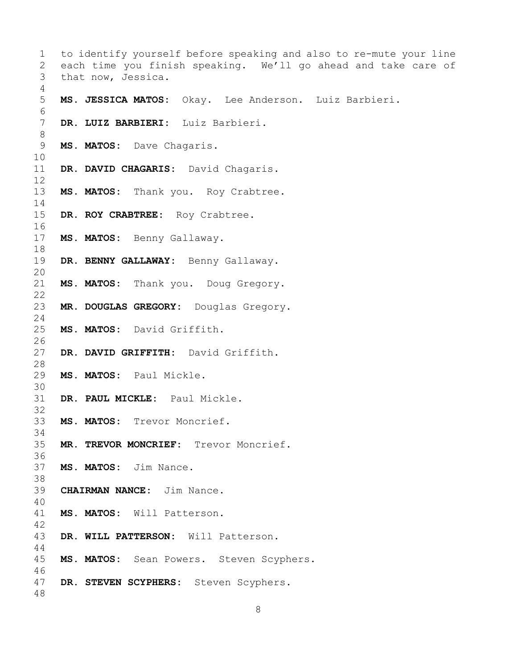| 1               | to identify yourself before speaking and also to re-mute your line |
|-----------------|--------------------------------------------------------------------|
| 2               | each time you finish speaking. We'll go ahead and take care of     |
| 3               | that now, Jessica.                                                 |
| 4               |                                                                    |
| 5<br>6          | MS. JESSICA MATOS: Okay. Lee Anderson. Luiz Barbieri.              |
| $7\phantom{.0}$ | DR. LUIZ BARBIERI: Luiz Barbieri.                                  |
| $8\,$           |                                                                    |
| $\mathsf 9$     | MS. MATOS: Dave Chagaris.                                          |
| 10              |                                                                    |
| 11              | DR. DAVID CHAGARIS: David Chagaris.                                |
| 12<br>13        |                                                                    |
| 14              | MS. MATOS: Thank you. Roy Crabtree.                                |
| 15              | DR. ROY CRABTREE: Roy Crabtree.                                    |
| 16              |                                                                    |
| 17              | MS. MATOS: Benny Gallaway.                                         |
| 18              |                                                                    |
| 19              | DR. BENNY GALLAWAY: Benny Gallaway.                                |
| 20              |                                                                    |
| 21              | MS. MATOS: Thank you. Doug Gregory.                                |
| 22<br>23        |                                                                    |
| 24              | MR. DOUGLAS GREGORY: Douglas Gregory.                              |
| 25              | MS. MATOS: David Griffith.                                         |
| 26              |                                                                    |
| 27              | DR. DAVID GRIFFITH: David Griffith.                                |
| 28              |                                                                    |
| 29              | MS. MATOS: Paul Mickle.                                            |
| 30              |                                                                    |
| 31              | DR. PAUL MICKLE: Paul Mickle.                                      |
| 32<br>33        | MS. MATOS:<br>Trevor Moncrief.                                     |
| 34              |                                                                    |
| 35              | MR. TREVOR MONCRIEF: Trevor Moncrief.                              |
| 36              |                                                                    |
| 37              | MS. MATOS: Jim Nance.                                              |
| 38              |                                                                    |
| 39              | <b>CHAIRMAN NANCE:</b> Jim Nance.                                  |
| 40              |                                                                    |
| 41              | MS. MATOS: Will Patterson.                                         |
| 42<br>43        | DR. WILL PATTERSON: Will Patterson.                                |
| 44              |                                                                    |
| 45              | MS. MATOS: Sean Powers. Steven Scyphers.                           |
| 46              |                                                                    |
| 47              | DR. STEVEN SCYPHERS: Steven Scyphers.                              |
| 48              |                                                                    |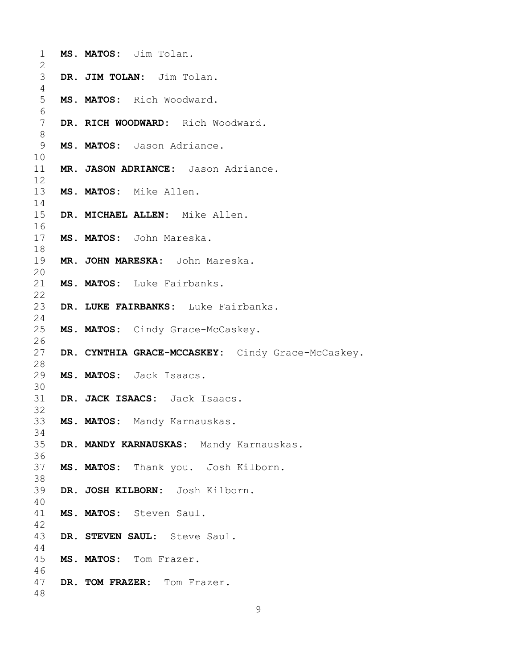| $\mathbf 1$    | MS. MATOS: Jim Tolan.                             |
|----------------|---------------------------------------------------|
| 2              |                                                   |
| 3              | DR. JIM TOLAN: Jim Tolan.                         |
| 4              |                                                   |
| 5              | MS. MATOS: Rich Woodward.                         |
| 6              |                                                   |
| $7\phantom{.}$ | DR. RICH WOODWARD: Rich Woodward.                 |
| 8              |                                                   |
| 9              | MS. MATOS: Jason Adriance.                        |
| 10             |                                                   |
| 11             | MR. JASON ADRIANCE: Jason Adriance.               |
| 12             |                                                   |
| 13             | MS. MATOS: Mike Allen.                            |
| 14             |                                                   |
| 15             | DR. MICHAEL ALLEN: Mike Allen.                    |
| 16             |                                                   |
| 17             | MS. MATOS: John Mareska.                          |
| 18             |                                                   |
| 19             | MR. JOHN MARESKA: John Mareska.                   |
| 20             |                                                   |
| 21             | MS. MATOS: Luke Fairbanks.                        |
| 22             |                                                   |
| 23             | DR. LUKE FAIRBANKS: Luke Fairbanks.               |
| 24             |                                                   |
| 25             | MS. MATOS: Cindy Grace-McCaskey.                  |
| 26             |                                                   |
| 27             |                                                   |
| 28             | DR. CYNTHIA GRACE-MCCASKEY: Cindy Grace-McCaskey. |
|                |                                                   |
| 29             | MS. MATOS: Jack Isaacs.                           |
| 30             |                                                   |
| 31             | DR. JACK ISAACS: Jack Isaacs.                     |
| 32             |                                                   |
|                | 33 MS. MATOS: Mandy Karnauskas.                   |
| 34             |                                                   |
| 35             | DR. MANDY KARNAUSKAS: Mandy Karnauskas.           |
| 36             |                                                   |
| 37             | MS. MATOS: Thank you. Josh Kilborn.               |
| 38             |                                                   |
| 39             | DR. JOSH KILBORN: Josh Kilborn.                   |
| 40             |                                                   |
| 41             | MS. MATOS: Steven Saul.                           |
| 42             |                                                   |
| 43             | DR. STEVEN SAUL: Steve Saul.                      |
| 44             |                                                   |
| 45             | MS. MATOS: Tom Frazer.                            |
| 46             |                                                   |
| 47             | DR. TOM FRAZER: Tom Frazer.                       |
| 48             |                                                   |
|                |                                                   |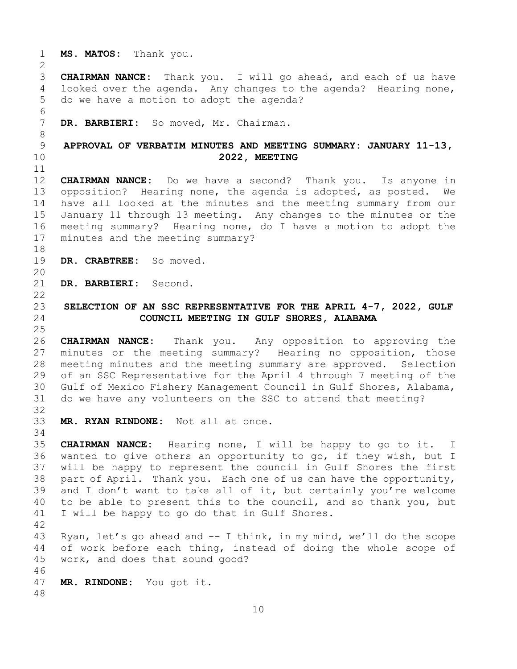1 **MS. MATOS:** Thank you.

 $\frac{2}{3}$ 3 **CHAIRMAN NANCE:** Thank you. I will go ahead, and each of us have 100 alooked over the agenda. Any changes to the agenda? Hearing none, looked over the agenda. Any changes to the agenda? Hearing none, 5 do we have a motion to adopt the agenda?

6<br>7 DR. BARBIERI: So moved, Mr. Chairman.

## <span id="page-9-0"></span>8 9 **APPROVAL OF VERBATIM MINUTES AND MEETING SUMMARY: JANUARY 11-13,**  10 **2022, MEETING**

11<br>12 12 **CHAIRMAN NANCE:** Do we have a second? Thank you. Is anyone in 13 opposition? Hearing none, the agenda is adopted, as posted. We 14 have all looked at the minutes and the meeting summary from our<br>15 January 11 through 13 meeting. Any changes to the minutes or the 15 January 11 through 13 meeting. Any changes to the minutes or the<br>16 meeting summary? Hearing none, do I have a motion to adopt the 16 meeting summary? Hearing none, do I have a motion to adopt the<br>17 minutes and the meeting summary? minutes and the meeting summary?

18<br>19 DR. CRABTREE: So moved.

20<br>21 DR. BARBIERI: Second.

### <span id="page-9-1"></span> $\begin{array}{c} 22 \\ 23 \end{array}$ 23 **SELECTION OF AN SSC REPRESENTATIVE FOR THE APRIL 4-7, 2022, GULF**  24 **COUNCIL MEETING IN GULF SHORES, ALABAMA**

 $\frac{25}{26}$ 26 **CHAIRMAN NANCE:** Thank you. Any opposition to approving the<br>27 minutes or the meeting summary? Hearing no opposition, those minutes or the meeting summary? Hearing no opposition, those 28 meeting minutes and the meeting summary are approved. Selection<br>29 of an SSC Representative for the April 4 through 7 meeting of the 29 of an SSC Representative for the April 4 through 7 meeting of the<br>30 Gulf of Mexico Fishery Management Council in Gulf Shores, Alabama, 30 Gulf of Mexico Fishery Management Council in Gulf Shores, Alabama,<br>31 do we have any volunteers on the SSC to attend that meeting? do we have any volunteers on the SSC to attend that meeting? 32

- 33 **MR. RYAN RINDONE:** Not all at once.
- 34<br>35 35 **CHAIRMAN NANCE:** Hearing none, I will be happy to go to it. I wanted to give others an opportunity to go, if they wish, but I 37 will be happy to represent the council in Gulf Shores the first 38 part of April. Thank you. Each one of us can have the opportunity,<br>39 and I don't want to take all of it, but certainly you're welcome 39 and I don't want to take all of it, but certainly you're welcome<br>40 to be able to present this to the council, and so thank you, but 40 to be able to present this to the council, and so thank you, but<br>41 I will be happy to go do that in Gulf Shores. I will be happy to go do that in Gulf Shores.

42 43 Ryan, let's go ahead and -- I think, in my mind, we'll do the scope<br>44 of work before each thing, instead of doing the whole scope of of work before each thing, instead of doing the whole scope of 45 work, and does that sound good?

46<br>47 MR. RINDONE: You got it.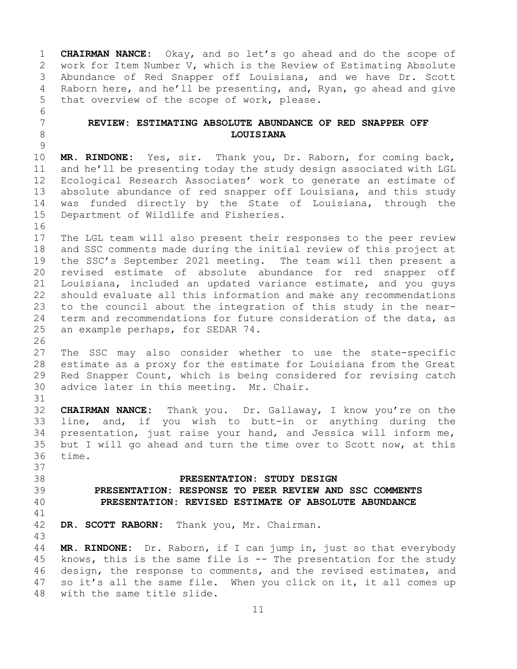1 **CHAIRMAN NANCE:** Okay, and so let's go ahead and do the scope of 2 work for Item Number V, which is the Review of Estimating Absolute<br>3 Abundance of Red Snapper off Louisiana, and we have Dr. Scott 3 Abundance of Red Snapper off Louisiana, and we have Dr. Scott<br>4 Raborn here, and he'll be presenting, and, Ryan, go ahead and give Raborn here, and he'll be presenting, and, Ryan, go ahead and give 5 that overview of the scope of work, please.

### <span id="page-10-0"></span>7 **REVIEW: ESTIMATING ABSOLUTE ABUNDANCE OF RED SNAPPER OFF**  8 **LOUISIANA**

6<br>7

37

 $\frac{9}{10}$ 10 **MR. RINDONE:** Yes, sir. Thank you, Dr. Raborn, for coming back,<br>11 and he'll be presenting today the study design associated with LGL 11 and he'll be presenting today the study design associated with LGL<br>12 Ecological Research Associates' work to generate an estimate of Ecological Research Associates' work to generate an estimate of 13 absolute abundance of red snapper off Louisiana, and this study 14 was funded directly by the State of Louisiana, through the<br>15 Department of Wildlife and Fisheries. Department of Wildlife and Fisheries.

16<br>17 17 The LGL team will also present their responses to the peer review<br>18 and SSC comments made during the initial review of this project at 18 and SSC comments made during the initial review of this project at<br>19 the SSC's September 2021 meeting. The team will then present a 19 the SSC's September 2021 meeting. The team will then present a<br>20 revised estimate of absolute abundance for red snapper off revised estimate of absolute abundance for red snapper off 21 Louisiana, included an updated variance estimate, and you guys<br>22 should evaluate all this information and make any recommendations 22 should evaluate all this information and make any recommendations<br>23 to the council about the integration of this study in the near-23 to the council about the integration of this study in the near-<br>24 term and recommendations for future consideration of the data, as 24 term and recommendations for future consideration of the data, as<br>25 an example perhaps, for SEDAR 74. an example perhaps, for SEDAR 74.

26<br>27 The SSC may also consider whether to use the state-specific 28 estimate as a proxy for the estimate for Louisiana from the Great<br>29 Red Snapper Count, which is being considered for revising catch 29 Red Snapper Count, which is being considered for revising catch<br>30 advice later in this meeting. Mr. Chair. advice later in this meeting. Mr. Chair.

31<br>32 32 **CHAIRMAN NANCE:** Thank you. Dr. Gallaway, I know you're on the 33 line, and, if you wish to butt-in or anything during the<br>34 presentation, just raise your hand, and Jessica will inform me, 34 presentation, just raise your hand, and Jessica will inform me,<br>35 but I will go ahead and turn the time over to Scott now, at this 35 but I will go ahead and turn the time over to Scott now, at this 36 time. time.

### <span id="page-10-2"></span><span id="page-10-1"></span>38 **PRESENTATION: STUDY DESIGN** 39 **PRESENTATION: RESPONSE TO PEER REVIEW AND SSC COMMENTS** 40 **PRESENTATION: REVISED ESTIMATE OF ABSOLUTE ABUNDANCE**

<span id="page-10-3"></span>41<br>42 DR. SCOTT RABORN: Thank you, Mr. Chairman.

43 MR. RINDONE: Dr. Raborn, if I can jump in, just so that everybody 45 knows, this is the same file is -- The presentation for the study 46 design, the response to comments, and the revised estimates, and<br>47 so it's all the same file. When you click on it, it all comes up 47 so it's all the same file. When you click on it, it all comes up<br>48 with the same title slide. with the same title slide.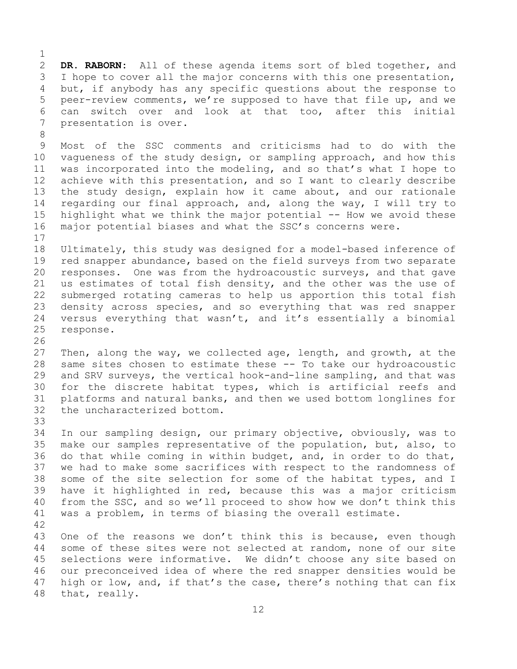$\frac{1}{2}$ 2 **DR. RABORN:** All of these agenda items sort of bled together, and<br>3 I hope to cover all the major concerns with this one presentation, 3 I hope to cover all the major concerns with this one presentation,<br>4 but, if anybody has any specific questions about the response to but, if anybody has any specific questions about the response to 5 peer-review comments, we're supposed to have that file up, and we 6 can switch over and look at that too, after this initial<br>7 presentation is over. presentation is over.

8 9 Most of the SSC comments and criticisms had to do with the<br>10 vaqueness of the study design, or sampling approach, and how this 10 vagueness of the study design, or sampling approach, and how this<br>11 was incorporated into the modeling, and so that's what I hope to 11 was incorporated into the modeling, and so that's what I hope to<br>12 achieve with this presentation, and so I want to clearly describe achieve with this presentation, and so I want to clearly describe 13 the study design, explain how it came about, and our rationale 14 regarding our final approach, and, along the way, I will try to<br>15 highlight what we think the major potential -- How we avoid these 15 highlight what we think the major potential -- How we avoid these<br>16 major potential biases and what the SSC's concerns were. major potential biases and what the SSC's concerns were.

 $\begin{array}{c} 17 \\ 18 \end{array}$ 18 Ultimately, this study was designed for a model-based inference of<br>19 red snapper abundance, based on the field surveys from two separate 19 red snapper abundance, based on the field surveys from two separate<br>20 responses. One was from the hydroacoustic surveys, and that gave responses. One was from the hydroacoustic surveys, and that gave 21 us estimates of total fish density, and the other was the use of<br>22 submerged rotating cameras to help us apportion this total fish 22 submerged rotating cameras to help us apportion this total fish<br>23 density across species, and so everything that was red snapper 23 density across species, and so everything that was red snapper<br>24 versus everything that wasn't, and it's essentially a binomial 24 versus everything that wasn't, and it's essentially a binomial response. response.

26<br>27 Then, along the way, we collected age, length, and growth, at the 28 same sites chosen to estimate these -- To take our hydroacoustic<br>29 and SRV surveys, the vertical hook-and-line sampling, and that was 29 and SRV surveys, the vertical hook-and-line sampling, and that was<br>30 for the discrete habitat types, which is artificial reefs and 30 for the discrete habitat types, which is artificial reefs and<br>31 platforms and natural banks, and then we used bottom longlines for 31 platforms and natural banks, and then we used bottom longlines for<br>32 the uncharacterized bottom. the uncharacterized bottom.

33<br>34 34 In our sampling design, our primary objective, obviously, was to<br>35 make our samples representative of the population, but, also, to 35 make our samples representative of the population, but, also, to<br>36 do that while coming in within budget, and, in order to do that, do that while coming in within budget, and, in order to do that, 37 we had to make some sacrifices with respect to the randomness of 38 some of the site selection for some of the habitat types, and I<br>39 have it highlighted in red, because this was a major criticism 39 have it highlighted in red, because this was a major criticism<br>40 from the SSC, and so we'll proceed to show how we don't think this 40 from the SSC, and so we'll proceed to show how we don't think this<br>41 was a problem, in terms of biasing the overall estimate. was a problem, in terms of biasing the overall estimate.

42 43 One of the reasons we don't think this is because, even though<br>44 some of these sites were not selected at random, none of our site some of these sites were not selected at random, none of our site 45 selections were informative. We didn't choose any site based on 46 our preconceived idea of where the red snapper densities would be<br>47 high or low, and, if that's the case, there's nothing that can fix 47 high or low, and, if that's the case, there's nothing that can fix<br>48 that, really. that, really.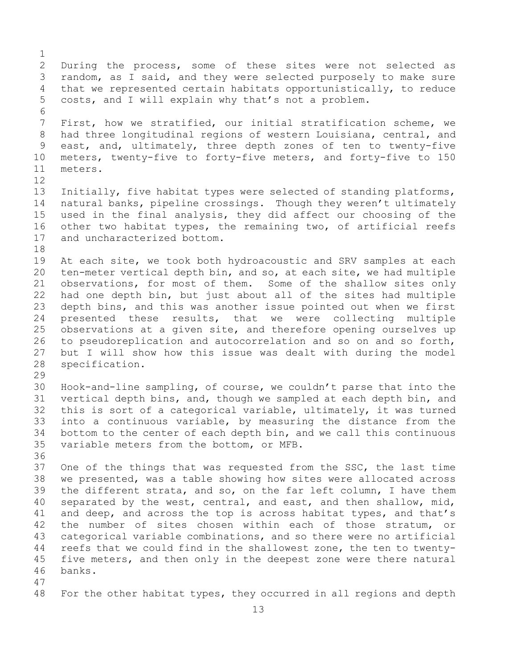$\frac{1}{2}$ 2 During the process, some of these sites were not selected as<br>3 random, as I said, and they were selected purposely to make sure 3 random, as I said, and they were selected purposely to make sure<br>4 that we represented certain habitats opportunistically, to reduce that we represented certain habitats opportunistically, to reduce 5 costs, and I will explain why that's not a problem. 6<br>7 7 First, how we stratified, our initial stratification scheme, we<br>8 had three longitudinal regions of western Louisiana, central, and 8 had three longitudinal regions of western Louisiana, central, and<br>9 east, and, ultimately, three depth zones of ten to twenty-five 9 east, and, ultimately, three depth zones of ten to twenty-five<br>10 meters, twenty-five to forty-five meters, and forty-five to 150 10 meters, twenty-five to forty-five meters, and forty-five to 150<br>11 meters. meters. 12<br>13 Initially, five habitat types were selected of standing platforms, 14 natural banks, pipeline crossings. Though they weren't ultimately<br>15 used in the final analysis, they did affect our choosing of the 15 used in the final analysis, they did affect our choosing of the<br>16 other two habitat types, the remaining two, of artificial reefs 16 other two habitat types, the remaining two, of artificial reefs<br>17 and uncharacterized bottom. and uncharacterized bottom. 18<br>19 19 At each site, we took both hydroacoustic and SRV samples at each<br>20 ten-meter vertical depth bin, and so, at each site, we had multiple 20 ten-meter vertical depth bin, and so, at each site, we had multiple<br>21 observations, for most of them. Some of the shallow sites only 21 observations, for most of them. Some of the shallow sites only<br>22 had one depth bin, but just about all of the sites had multiple 22 had one depth bin, but just about all of the sites had multiple<br>23 depth bins, and this was another issue pointed out when we first 23 depth bins, and this was another issue pointed out when we first<br>24 presented these results, that we were collecting multiple 24 presented these results, that we were collecting multiple<br>25 observations at a given site, and therefore opening ourselves up 25 observations at a given site, and therefore opening ourselves up<br>26 to pseudoreplication and autocorrelation and so on and so forth, 26 to pseudoreplication and autocorrelation and so on and so forth,<br>27 but I will show how this issue was dealt with during the model 27 but I will show how this issue was dealt with during the model<br>28 specification. specification. 29<br>30 30 Hook-and-line sampling, of course, we couldn't parse that into the<br>31 vertical depth bins, and, though we sampled at each depth bin, and 31 vertical depth bins, and, though we sampled at each depth bin, and<br>32 this is sort of a categorical variable, ultimately, it was turned this is sort of a categorical variable, ultimately, it was turned 33 into a continuous variable, by measuring the distance from the<br>34 bottom to the center of each depth bin, and we call this continuous 34 bottom to the center of each depth bin, and we call this continuous<br>35 variable meters from the bottom, or MFB. variable meters from the bottom, or MFB. 36 37 One of the things that was requested from the SSC, the last time 38 we presented, was a table showing how sites were allocated across<br>39 the different strata, and so, on the far left column, I have them 39 the different strata, and so, on the far left column, I have them<br>40 separated by the west, central, and east, and then shallow, mid, 40 separated by the west, central, and east, and then shallow, mid,<br>41 and deep, and across the top is across habitat types, and that's 41 and deep, and across the top is across habitat types, and that's<br>42 the number of sites chosen within each of those stratum, or 42 the number of sites chosen within each of those stratum, or<br>43 categorical variable combinations, and so there were no artificial 43 categorical variable combinations, and so there were no artificial<br>44 reefs that we could find in the shallowest zone, the ten to twentyreefs that we could find in the shallowest zone, the ten to twenty-45 five meters, and then only in the deepest zone were there natural 46 banks. 47 For the other habitat types, they occurred in all regions and depth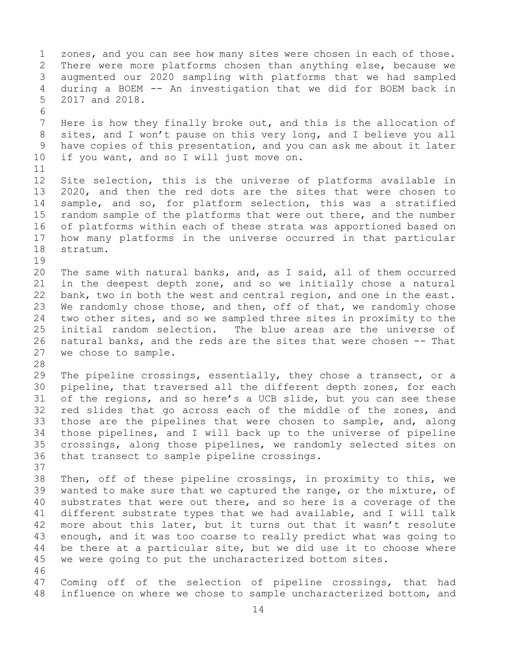1 zones, and you can see how many sites were chosen in each of those.<br>2 There were more platforms chosen than anything else, because we 2 There were more platforms chosen than anything else, because we<br>3 augmented our 2020 sampling with platforms that we had sampled 3 augmented our 2020 sampling with platforms that we had sampled during a BOEM -- An investigation that we did for BOEM back in 5 2017 and 2018. 6<br>7 7 Here is how they finally broke out, and this is the allocation of<br>8 sites, and I won't pause on this very long, and I believe you all 8 sites, and I won't pause on this very long, and I believe you all<br>9 have copies of this presentation, and you can ask me about it later 9 have copies of this presentation, and you can ask me about it later<br>10 if you want, and so I will just move on. if you want, and so I will just move on. 11<br>12 12 Site selection, this is the universe of platforms available in<br>13 2020, and then the red dots are the sites that were chosen to 13 2020, and then the red dots are the sites that were chosen to 14 sample, and so, for platform selection, this was a stratified<br>15 random sample of the platforms that were out there, and the number 15 random sample of the platforms that were out there, and the number<br>16 of platforms within each of these strata was apportioned based on 16 of platforms within each of these strata was apportioned based on<br>17 how many platforms in the universe occurred in that particular 17 how many platforms in the universe occurred in that particular stratum.  $\begin{array}{c} 19 \\ 20 \end{array}$ 20 The same with natural banks, and, as I said, all of them occurred<br>21 in the deepest depth zone, and so we initially chose a natural 21 in the deepest depth zone, and so we initially chose a natural<br>22 bank, two in both the west and central region, and one in the east. 22 bank, two in both the west and central region, and one in the east.<br>23 We randomly chose those, and then, off of that, we randomly chose 23 We randomly chose those, and then, off of that, we randomly chose<br>24 two other sites, and so we sampled three sites in proximity to the 24 two other sites, and so we sampled three sites in proximity to the<br>25 initial random selection. The blue areas are the universe of 25 initial random selection. The blue areas are the universe of<br>26 natural banks, and the reds are the sites that were chosen -- That 26 natural banks, and the reds are the sites that were chosen -- That<br>27 we chose to sample. we chose to sample. 28<br>29 29 The pipeline crossings, essentially, they chose a transect, or a<br>30 pipeline, that traversed all the different depth zones, for each 30 pipeline, that traversed all the different depth zones, for each<br>31 of the regions, and so here's a UCB slide, but you can see these 31 of the regions, and so here's a UCB slide, but you can see these<br>32 red slides that go across each of the middle of the zones, and red slides that go across each of the middle of the zones, and 33 those are the pipelines that were chosen to sample, and, along<br>34 those pipelines, and I will back up to the universe of pipeline 34 those pipelines, and I will back up to the universe of pipeline<br>35 crossings, along those pipelines, we randomly selected sites on 35 crossings, along those pipelines, we randomly selected sites on<br>36 that transect to sample pipeline crossings. that transect to sample pipeline crossings. 37 38 Then, off of these pipeline crossings, in proximity to this, we<br>39 wanted to make sure that we captured the range, or the mixture, of 39 wanted to make sure that we captured the range, or the mixture, of<br>40 substrates that were out there, and so here is a coverage of the 40 substrates that were out there, and so here is a coverage of the<br>41 different substrate types that we had available, and I will talk 41 different substrate types that we had available, and I will talk<br>42 more about this later, but it turns out that it wasn't resolute 42 more about this later, but it turns out that it wasn't resolute<br>43 enough, and it was too coarse to really predict what was going to 43 enough, and it was too coarse to really predict what was going to<br>44 be there at a particular site, but we did use it to choose where be there at a particular site, but we did use it to choose where 45 we were going to put the uncharacterized bottom sites. 46<br>47 47 Coming off of the selection of pipeline crossings, that had<br>48 influence on where we chose to sample uncharacterized bottom, and influence on where we chose to sample uncharacterized bottom, and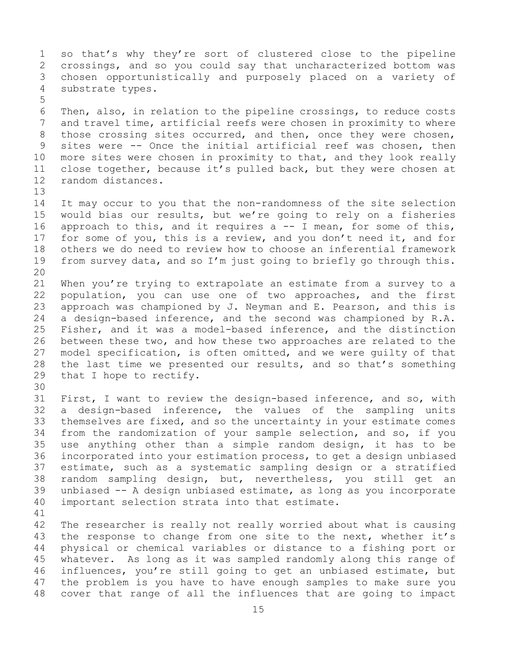1 so that's why they're sort of clustered close to the pipeline<br>2 crossings, and so you could say that uncharacterized bottom was 2 crossings, and so you could say that uncharacterized bottom was<br>3 chosen opportunistically and purposely placed on a variety of 3 chosen opportunistically and purposely placed on a variety of<br>4 substrate types. substrate types. 5

6 Then, also, in relation to the pipeline crossings, to reduce costs<br>7 and travel time, artificial reefs were chosen in proximity to where 7 and travel time, artificial reefs were chosen in proximity to where<br>8 those crossing sites occurred, and then, once they were chosen, 8 those crossing sites occurred, and then, once they were chosen,<br>9 sites were -- Once the initial artificial reef was chosen, then 9 sites were -- Once the initial artificial reef was chosen, then<br>10 more sites were chosen in proximity to that, and they look really 10 more sites were chosen in proximity to that, and they look really<br>11 close together, because it's pulled back, but they were chosen at 11 close together, because it's pulled back, but they were chosen at random distances. random distances.

13

14 It may occur to you that the non-randomness of the site selection<br>15 would bias our results, but we're going to rely on a fisheries 15 would bias our results, but we're going to rely on a fisheries<br>16 approach to this, and it requires a -- I mean, for some of this, 16 approach to this, and it requires a -- I mean, for some of this,<br>17 for some of you, this is a review, and you don't need it, and for 17 for some of you, this is a review, and you don't need it, and for<br>18 others we do need to review how to choose an inferential framework 18 others we do need to review how to choose an inferential framework<br>19 from survey data, and so I'm just going to briefly go through this. from survey data, and so I'm just going to briefly go through this. 20<br>21

21 When you're trying to extrapolate an estimate from a survey to a<br>22 population, you can use one of two approaches, and the first 22 population, you can use one of two approaches, and the first<br>23 approach was championed by J. Neyman and E. Pearson, and this is 23 approach was championed by J. Neyman and E. Pearson, and this is  $24$  a design-based inference, and the second was championed by R.A. 24 a design-based inference, and the second was championed by R.A.<br>25 Fisher, and it was a model-based inference, and the distinction 25 Fisher, and it was a model-based inference, and the distinction<br>26 between these two, and how these two approaches are related to the 26 between these two, and how these two approaches are related to the<br>27 model specification, is often omitted, and we were quilty of that 27 model specification, is often omitted, and we were guilty of that<br>28 the last time we presented our results, and so that's something 28 the last time we presented our results, and so that's something<br>29 that I hope to rectify. that I hope to rectify.

30<br>31 31 First, I want to review the design-based inference, and so, with<br>32 a design-based inference, the values of the sampling units 32 a design-based inference, the values of the sampling units<br>33 themselves are fixed, and so the uncertainty in your estimate comes 33 themselves are fixed, and so the uncertainty in your estimate comes<br>34 from the randomization of your sample selection, and so, if you 34 from the randomization of your sample selection, and so, if you<br>35 use anything other than a simple random design, it has to be 35 use anything other than a simple random design, it has to be<br>36 incorporated into your estimation process, to get a design unbiased 36 incorporated into your estimation process, to get a design unbiased<br>37 estimate, such as a systematic sampling design or a stratified 37 estimate, such as a systematic sampling design or a stratified<br>38 random sampling design, but, nevertheless, you still get an 38 random sampling design, but, nevertheless, you still get an<br>39 unbiased -- A design unbiased estimate, as long as you incorporate 39 unbiased -- A design unbiased estimate, as long as you incorporate<br>40 important selection strata into that estimate. important selection strata into that estimate.

41<br>42 42 The researcher is really not really worried about what is causing<br>43 the response to change from one site to the next, whether it's 43 the response to change from one site to the next, whether it's<br>44 physical or chemical variables or distance to a fishing port or 44 physical or chemical variables or distance to a fishing port or 45 whatever. As long as it was sampled randomly along this range of 46 influences, you're still going to get an unbiased estimate, but<br>47 the problem is you have to have enough samples to make sure you 47 the problem is you have to have enough samples to make sure you<br>48 cover that range of all the influences that are going to impact cover that range of all the influences that are going to impact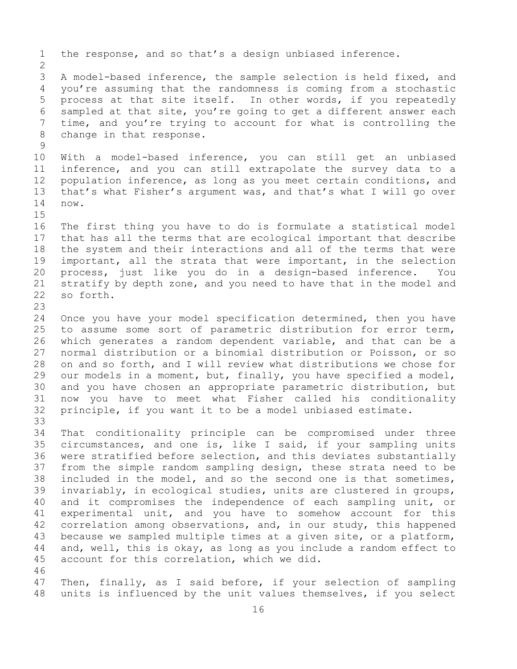1 the response, and so that's a design unbiased inference.  $\frac{2}{3}$ 3 A model-based inference, the sample selection is held fixed, and<br>4 vou're assuming that the randomness is coming from a stochastic you're assuming that the randomness is coming from a stochastic 5 process at that site itself. In other words, if you repeatedly 6 sampled at that site, you're going to get a different answer each<br>7 time, and you're trving to account for what is controlling the 7 time, and you're trying to account for what is controlling the change in that response. change in that response.  $\frac{9}{10}$ 10 With a model-based inference, you can still get an unbiased<br>11 inference, and you can still extrapolate the survey data to a 11 inference, and you can still extrapolate the survey data to a<br>12 population inference, as long as you meet certain conditions, and 12 population inference, as long as you meet certain conditions, and<br>13 that's what Fisher's argument was, and that's what I will go over that's what Fisher's argument was, and that's what I will go over 14 now.  $15$ <br> $16$ 16 The first thing you have to do is formulate a statistical model<br>17 that has all the terms that are ecological important that describe 17 that has all the terms that are ecological important that describe<br>18 the system and their interactions and all of the terms that were 18 the system and their interactions and all of the terms that were<br>19 important, all the strata that were important, in the selection 19 important, all the strata that were important, in the selection<br>20 process, just like you do in a design-based inference. You 20 process, just like you do in a design-based inference. You<br>21 stratify by depth zone, and you need to have that in the model and 21 stratify by depth zone, and you need to have that in the model and 22 so forth. so forth.  $\frac{23}{24}$ 24 Once you have your model specification determined, then you have<br>25 to assume some sort of parametric distribution for error term, 25 to assume some sort of parametric distribution for error term,<br>26 which generates a random dependent variable, and that can be a 26 which generates a random dependent variable, and that can be a<br>27 normal distribution or a binomial distribution or Poisson, or so normal distribution or a binomial distribution or Poisson, or so 28 on and so forth, and I will review what distributions we chose for<br>29 our models in a moment, but, finally, you have specified a model, 29 our models in a moment, but, finally, you have specified a model,<br>30 and you have chosen an appropriate parametric distribution, but 30 and you have chosen an appropriate parametric distribution, but<br>31 now you have to meet what Fisher called his conditionality 31 now you have to meet what Fisher called his conditionality<br>32 principle, if you want it to be a model unbiased estimate. principle, if you want it to be a model unbiased estimate. 33<br>34 34 That conditionality principle can be compromised under three<br>35 circumstances, and one is, like I said, if your sampling units 35 circumstances, and one is, like I said, if your sampling units<br>36 were stratified before selection, and this deviates substantially 36 were stratified before selection, and this deviates substantially<br>37 from the simple random sampling design, these strata need to be from the simple random sampling design, these strata need to be 38 included in the model, and so the second one is that sometimes,<br>39 invariably, in ecological studies, units are clustered in groups, 39 invariably, in ecological studies, units are clustered in groups,<br>40 and it compromises the independence of each sampling unit, or 40 and it compromises the independence of each sampling unit, or<br>41 experimental unit, and you have to somehow account for this 41 experimental unit, and you have to somehow account for this<br>42 correlation among observations, and, in our study, this happened 42 correlation among observations, and, in our study, this happened<br>43 because we sampled multiple times at a given site, or a platform, 43 because we sampled multiple times at a given site, or a platform,<br>44 and, well, this is okay, as long as you include a random effect to and, well, this is okay, as long as you include a random effect to 45 account for this correlation, which we did. 46<br>47 47 Then, finally, as I said before, if your selection of sampling<br>48 units is influenced by the unit values themselves, if you select units is influenced by the unit values themselves, if you select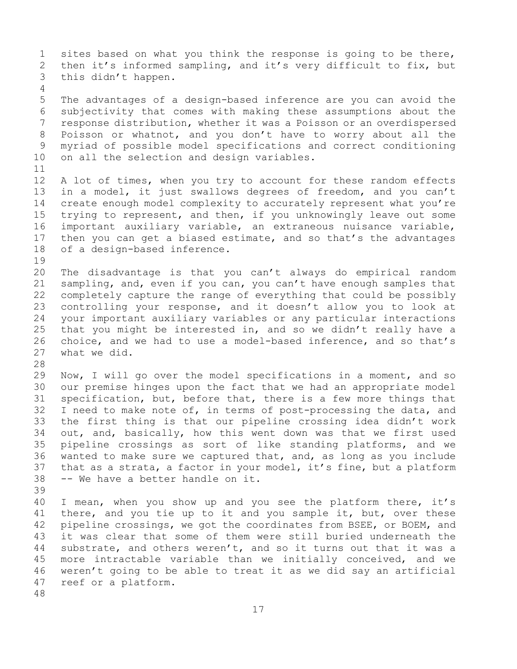1 sites based on what you think the response is going to be there,<br>2 then it's informed sampling, and it's very difficult to fix, but 2 then it's informed sampling, and it's very difficult to fix, but<br>3 this didn't happen. this didn't happen. 4 5 The advantages of a design-based inference are you can avoid the 6 subjectivity that comes with making these assumptions about the 7 response distribution, whether it was a Poisson or an overdispersed<br>8 Poisson or whatnot, and you don't have to worry about all the 8 Poisson or whatnot, and you don't have to worry about all the<br>9 myriad of possible model specifications and correct conditioning 9 myriad of possible model specifications and correct conditioning<br>10 on all the selection and design variables. on all the selection and design variables. 11<br>12 12 A lot of times, when you try to account for these random effects<br>13 in a model, it just swallows degrees of freedom, and you can't in a model, it just swallows degrees of freedom, and you can't 14 create enough model complexity to accurately represent what you're<br>15 trving to represent, and then, if you unknowingly leave out some 15 trying to represent, and then, if you unknowingly leave out some<br>16 important auxiliary variable, an extraneous nuisance variable, 16 important auxiliary variable, an extraneous nuisance variable,<br>17 then you can get a biased estimate, and so that's the advantages 17 then you can get a biased estimate, and so that's the advantages<br>18 of a design-based inference. of a design-based inference. 19<br>20 20 The disadvantage is that you can't always do empirical random<br>21 sampling, and, even if you can, you can't have enough samples that 21 sampling, and, even if you can, you can't have enough samples that<br>22 completely capture the range of everything that could be possibly 22 completely capture the range of everything that could be possibly<br>23 controlling your response, and it doesn't allow you to look at 23 controlling your response, and it doesn't allow you to look at<br>24 your important auxiliary variables or any particular interactions 24 your important auxiliary variables or any particular interactions<br>25 that you might be interested in, and so we didn't really have a 25 that you might be interested in, and so we didn't really have a<br>26 choice, and we had to use a model-based inference, and so that's 26 choice, and we had to use a model-based inference, and so that's 27 what we did. what we did. 28<br>29 29 Now, I will go over the model specifications in a moment, and so<br>30 our premise hinges upon the fact that we had an appropriate model 30 our premise hinges upon the fact that we had an appropriate model<br>31 specification, but, before that, there is a few more things that 31 specification, but, before that, there is a few more things that<br>32 I need to make note of, in terms of post-processing the data, and I need to make note of, in terms of post-processing the data, and 33 the first thing is that our pipeline crossing idea didn't work<br>34 out, and, basically, how this went down was that we first used 34 out, and, basically, how this went down was that we first used<br>35 pipeline crossings as sort of like standing platforms, and we 35 pipeline crossings as sort of like standing platforms, and we<br>36 wanted to make sure we captured that, and, as long as you include 36 wanted to make sure we captured that, and, as long as you include<br>37 that as a strata, a factor in your model, it's fine, but a platform 37 that as a strata, a factor in your model, it's fine, but a platform<br>38 -- We have a better handle on it. -- We have a better handle on it. 39 40 I mean, when you show up and you see the platform there, it's<br>41 there, and you tie up to it and you sample it, but, over these 41 there, and you tie up to it and you sample it, but, over these<br>42 pipeline crossings, we got the coordinates from BSEE, or BOEM, and 42 pipeline crossings, we got the coordinates from BSEE, or BOEM, and<br>43 it was clear that some of them were still buried underneath the 43 it was clear that some of them were still buried underneath the<br>44 substrate, and others weren't, and so it turns out that it was a substrate, and others weren't, and so it turns out that it was a 45 more intractable variable than we initially conceived, and we 46 weren't going to be able to treat it as we did say an artificial<br>47 reef or a platform. reef or a platform. 48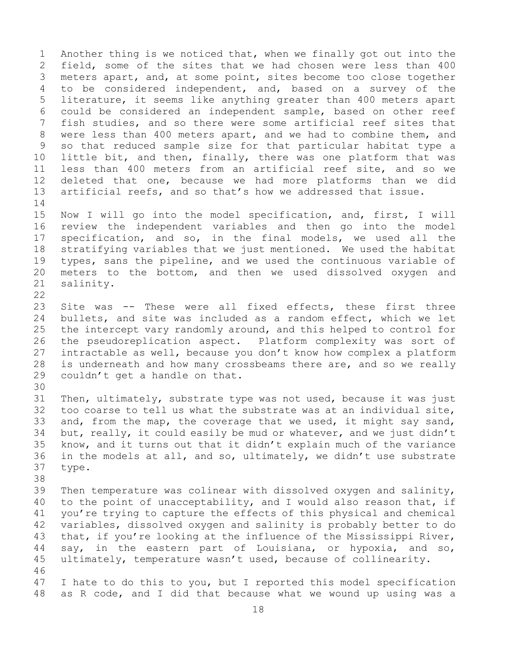1 Another thing is we noticed that, when we finally got out into the<br>2 field, some of the sites that we had chosen were less than 400 2 field, some of the sites that we had chosen were less than 400<br>3 meters apart, and, at some point, sites become too close together 3 meters apart, and, at some point, sites become too close together<br>4 to be considered independent, and, based on a survey of the to be considered independent, and, based on a survey of the 5 literature, it seems like anything greater than 400 meters apart 6 could be considered an independent sample, based on other reef<br>7 fish studies, and so there were some artificial reef sites that 7 fish studies, and so there were some artificial reef sites that<br>8 were less than 400 meters apart, and we had to combine them, and 8 were less than 400 meters apart, and we had to combine them, and<br>9 so that reduced sample size for that particular habitat type a 9 so that reduced sample size for that particular habitat type a<br>10 little bit, and then, finally, there was one platform that was 10 little bit, and then, finally, there was one platform that was<br>11 less than 400 meters from an artificial reef site, and so we 11 less than 400 meters from an artificial reef site, and so we<br>12 deleted that one, because we had more platforms than we did deleted that one, because we had more platforms than we did 13 artificial reefs, and so that's how we addressed that issue.  $\frac{14}{15}$ 15 Now I will go into the model specification, and, first, I will<br>16 review the independent variables and then go into the model 16 review the independent variables and then go into the model<br>17 specification, and so, in the final models, we used all the 17 specification, and so, in the final models, we used all the<br>18 stratifying variables that we just mentioned. We used the habitat 18 stratifying variables that we just mentioned. We used the habitat<br>19 types, sans the pipeline, and we used the continuous variable of 19 types, sans the pipeline, and we used the continuous variable of<br>20 meters to the bottom, and then we used dissolved oxygen and 20 meters to the bottom, and then we used dissolved oxygen and 21 salinity. salinity.  $\begin{array}{c} 22 \\ 23 \end{array}$ 23 Site was -- These were all fixed effects, these first three<br>24 bullets, and site was included as a random effect, which we let 24 bullets, and site was included as a random effect, which we let<br>25 the intercept vary randomly around, and this helped to control for 25 the intercept vary randomly around, and this helped to control for<br>26 the pseudoreplication aspect. Platform complexity was sort of 26 the pseudoreplication aspect. Platform complexity was sort of<br>27 intractable as well, because you don't know how complex a platform intractable as well, because you don't know how complex a platform 28 is underneath and how many crossbeams there are, and so we really couldn't get a handle on that. couldn't get a handle on that. 30<br>31 31 Then, ultimately, substrate type was not used, because it was just<br>32 too coarse to tell us what the substrate was at an individual site. too coarse to tell us what the substrate was at an individual site, 33 and, from the map, the coverage that we used, it might say sand,<br>34 but, really, it could easily be mud or whatever, and we just didn't 34 but, really, it could easily be mud or whatever, and we just didn't<br>35 know, and it turns out that it didn't explain much of the variance 35 know, and it turns out that it didn't explain much of the variance<br>36 in the models at all, and so, ultimately, we didn't use substrate 36 in the models at all, and so, ultimately, we didn't use substrate<br>37 type. type. 38<br>39 39 Then temperature was colinear with dissolved oxygen and salinity,<br>40 to the point of unacceptability, and I would also reason that, if 40 to the point of unacceptability, and I would also reason that, if<br>41 you're trying to capture the effects of this physical and chemical 41 you're trying to capture the effects of this physical and chemical<br>42 variables, dissolved oxygen and salinity is probably better to do 42 variables, dissolved oxygen and salinity is probably better to do<br>43 that, if you're looking at the influence of the Mississippi River, 43 that, if you're looking at the influence of the Mississippi River,<br>44 say, in the eastern part of Louisiana, or hypoxia, and so, say, in the eastern part of Louisiana, or hypoxia, and so, 45 ultimately, temperature wasn't used, because of collinearity. 46<br>47

47 I hate to do this to you, but I reported this model specification<br>48 as R code, and I did that because what we wound up using was a as R code, and I did that because what we wound up using was a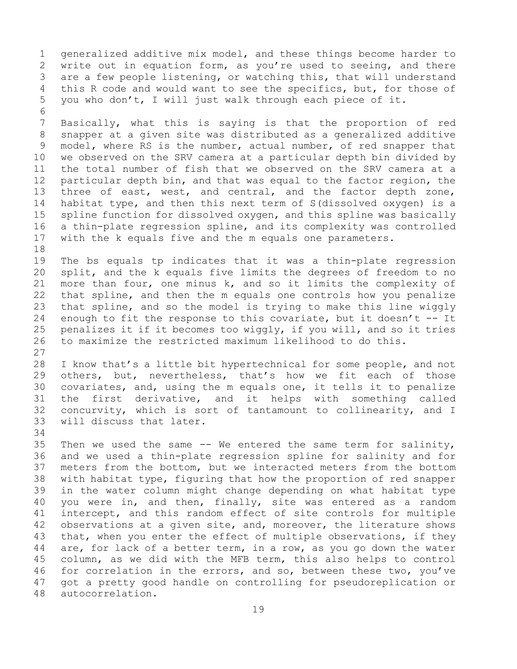1 generalized additive mix model, and these things become harder to<br>2 write out in equation form, as you're used to seeing, and there 2 write out in equation form, as you're used to seeing, and there<br>3 are a few people listening, or watching this, that will understand 3 are a few people listening, or watching this, that will understand<br>4 this R code and would want to see the specifics, but, for those of this R code and would want to see the specifics, but, for those of 5 you who don't, I will just walk through each piece of it.

6<br>7 7 Basically, what this is saying is that the proportion of red<br>8 snapper at a given site was distributed as a generalized additive 8 snapper at a given site was distributed as a generalized additive<br>9 model, where RS is the number, actual number, of red snapper that 9 model, where RS is the number, actual number, of red snapper that<br>10 we observed on the SRV camera at a particular depth bin divided by 10 we observed on the SRV camera at a particular depth bin divided by<br>11 the total number of fish that we observed on the SRV camera at a 11 the total number of fish that we observed on the SRV camera at a<br>12 particular depth bin, and that was equal to the factor region, the 12 particular depth bin, and that was equal to the factor region, the<br>13 three of east, west, and central, and the factor depth zone, three of east, west, and central, and the factor depth zone, 14 habitat type, and then this next term of S(dissolved oxygen) is a<br>15 spline function for dissolved oxygen, and this spline was basically 15 spline function for dissolved oxygen, and this spline was basically<br>16 a thin-plate regression spline, and its complexity was controlled 16 a thin-plate regression spline, and its complexity was controlled<br>17 with the k equals five and the m equals one parameters. with the k equals five and the m equals one parameters.

18<br>19 19 The bs equals tp indicates that it was a thin-plate regression<br>20 split, and the k equals five limits the degrees of freedom to no 20 split, and the k equals five limits the degrees of freedom to no<br>21 more than four, one minus k, and so it limits the complexity of 21 more than four, one minus k, and so it limits the complexity of<br>22 that spline, and then the m equals one controls how you penalize 22 that spline, and then the m equals one controls how you penalize<br>23 that spline, and so the model is trying to make this line wiggly 23 that spline, and so the model is trying to make this line wiggly<br>24 enough to fit the response to this covariate, but it doesn't -- It 24 enough to fit the response to this covariate, but it doesn't  $-$  It<br>25 penalizes it if it becomes too wiggly, if you will, and so it tries 25 penalizes it if it becomes too wiggly, if you will, and so it tries<br>26 to maximize the restricted maximum likelihood to do this. 26 to maximize the restricted maximum likelihood to do this.

 $\frac{27}{28}$ 28 I know that's a little bit hypertechnical for some people, and not<br>29 others, but, nevertheless, that's how we fit each of those 29 others, but, nevertheless, that's how we fit each of those<br>30 covariates, and, using the m equals one, it tells it to penalize 30 covariates, and, using the m equals one, it tells it to penalize<br>31 the first derivative, and it helps with something called 31 the first derivative, and it helps with something called<br>32 concurvity, which is sort of tantamount to collinearity, and I concurvity, which is sort of tantamount to collinearity, and I 33 will discuss that later.

34<br>35 35 Then we used the same -- We entered the same term for salinity,<br>36 and we used a thin-plate regression spline for salinity and for 36 and we used a thin-plate regression spline for salinity and for<br>37 meters from the bottom, but we interacted meters from the bottom meters from the bottom, but we interacted meters from the bottom 38 with habitat type, figuring that how the proportion of red snapper<br>39 in the water column might change depending on what habitat type 39 in the water column might change depending on what habitat type<br>40 you were in, and then, finally, site was entered as a random 40 you were in, and then, finally, site was entered as a random<br>41 intercept, and this random effect of site controls for multiple 41 intercept, and this random effect of site controls for multiple<br>42 observations at a given site, and, moreover, the literature shows 42 observations at a given site, and, moreover, the literature shows<br>43 that, when you enter the effect of multiple observations, if they 43 that, when you enter the effect of multiple observations, if they<br>44 are, for lack of a better term, in a row, as you go down the water are, for lack of a better term, in a row, as you go down the water 45 column, as we did with the MFB term, this also helps to control 46 for correlation in the errors, and so, between these two, you've<br>47 got a pretty good handle on controlling for pseudoreplication or 47 got a pretty good handle on controlling for pseudoreplication or autocorrelation.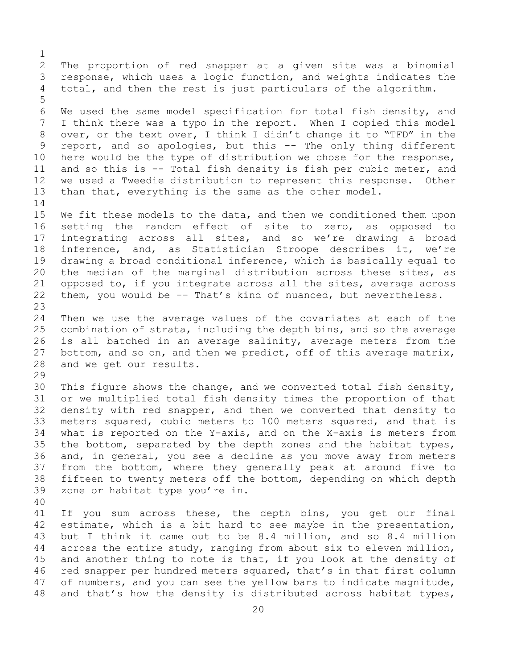$\frac{1}{2}$ 2 The proportion of red snapper at a given site was a binomial<br>3 response, which uses a logic function, and weights indicates the 3 response, which uses a logic function, and weights indicates the<br>4 total, and then the rest is just particulars of the algorithm. total, and then the rest is just particulars of the algorithm. 5 6 We used the same model specification for total fish density, and<br>7 I think there was a typo in the report. When I copied this model 7 I think there was a typo in the report. When I copied this model<br>8 over, or the text over, I think I didn't change it to "TFD" in the 8 over, or the text over, I think I didn't change it to "TFD" in the<br>9 report, and so apologies, but this -- The only thing different 9 report, and so apologies, but this -- The only thing different<br>10 here would be the type of distribution we chose for the response, 10 here would be the type of distribution we chose for the response,<br>11 and so this is -- Total fish density is fish per cubic meter, and 11 and so this is -- Total fish density is fish per cubic meter, and<br>12 we used a Tweedie distribution to represent this response. Other 12 we used a Tweedie distribution to represent this response. Other<br>13 than that, everything is the same as the other model. than that, everything is the same as the other model.  $\frac{14}{15}$ 15 We fit these models to the data, and then we conditioned them upon<br>16 setting the random effect of site to zero, as opposed to 16 setting the random effect of site to zero, as opposed to<br>17 integrating across all sites, and so we're drawing a broad 17 integrating across all sites, and so we're drawing a broad<br>18 inference, and, as Statistician Stroope describes it, we're 18 inference, and, as Statistician Stroope describes it, we're<br>19 drawing a broad conditional inference, which is basically equal to 19 drawing a broad conditional inference, which is basically equal to<br>20 the median of the marginal distribution across these sites, as 20 the median of the marginal distribution across these sites, as<br>21 opposed to, if you integrate across all the sites, average across 21 opposed to, if you integrate across all the sites, average across<br>22 them, you would be -- That's kind of nuanced, but nevertheless. them, you would be -- That's kind of nuanced, but nevertheless. 23 24 Then we use the average values of the covariates at each of the<br>25 combination of strata, including the depth bins, and so the average 25 combination of strata, including the depth bins, and so the average<br>26 is all batched in an average salinity, average meters from the 26 is all batched in an average salinity, average meters from the<br>27 bottom, and so on, and then we predict, off of this average matrix, bottom, and so on, and then we predict, off of this average matrix, 28 and we get our results. 29<br>30 30 This figure shows the change, and we converted total fish density,<br>31 or we multiplied total fish density times the proportion of that 31 or we multiplied total fish density times the proportion of that<br>32 density with red snapper, and then we converted that density to density with red snapper, and then we converted that density to 33 meters squared, cubic meters to 100 meters squared, and that is<br>34 what is reported on the Y-axis, and on the X-axis is meters from 34 what is reported on the Y-axis, and on the X-axis is meters from<br>35 the bottom, separated by the depth zones and the habitat types, 35 the bottom, separated by the depth zones and the habitat types,<br>36 and, in general, you see a decline as you move away from meters 36 and, in general, you see a decline as you move away from meters<br>37 from the bottom, where they generally peak at around five to from the bottom, where they generally peak at around five to 38 fifteen to twenty meters off the bottom, depending on which depth<br>39 zone or habitat type you're in. zone or habitat type you're in. 40 41 If you sum across these, the depth bins, you get our final<br>42 estimate, which is a bit hard to see maybe in the presentation, 42 estimate, which is a bit hard to see maybe in the presentation,<br>43 but I think it came out to be 8.4 million, and so 8.4 million 43 but I think it came out to be 8.4 million, and so 8.4 million<br>44 across the entire study, ranging from about six to eleven million, across the entire study, ranging from about six to eleven million, 45 and another thing to note is that, if you look at the density of 46 red snapper per hundred meters squared, that's in that first column<br>47 of numbers, and you can see the yellow bars to indicate magnitude,

47 of numbers, and you can see the yellow bars to indicate magnitude,<br>48 and that's how the density is distributed across habitat types, and that's how the density is distributed across habitat types,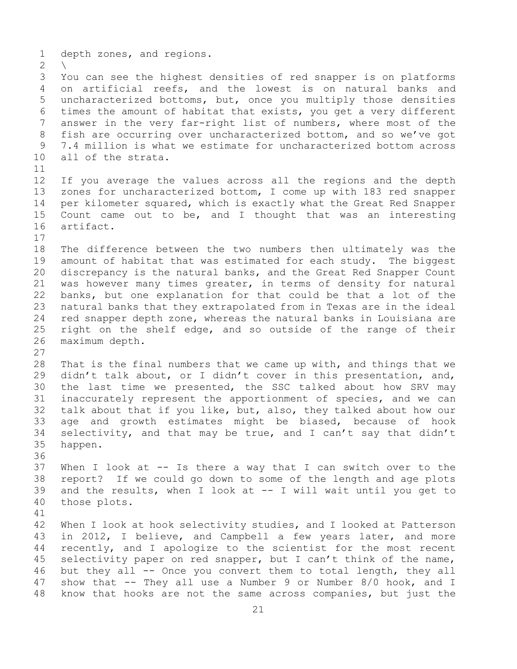1 depth zones, and regions.  $\frac{2}{3}$ 3 You can see the highest densities of red snapper is on platforms<br>4 on artificial reefs, and the lowest is on natural banks and on artificial reefs, and the lowest is on natural banks and 5 uncharacterized bottoms, but, once you multiply those densities 6 times the amount of habitat that exists, you get a very different<br>7 answer in the verv far-right list of numbers, where most of the 7 answer in the very far-right list of numbers, where most of the<br>8 fish are occurring over uncharacterized bottom, and so we've got 8 fish are occurring over uncharacterized bottom, and so we've got<br>9 7.4 million is what we estimate for uncharacterized bottom across 9 7.4 million is what we estimate for uncharacterized bottom across<br>10 all of the strata. all of the strata. 11<br>12 12 If you average the values across all the regions and the depth<br>13 zones for uncharacterized bottom, I come up with 183 red snapper zones for uncharacterized bottom, I come up with 183 red snapper 14 per kilometer squared, which is exactly what the Great Red Snapper<br>15 Count came out to be, and I thought that was an interesting 15 Count came out to be, and I thought that was an interesting<br>16 artifact. artifact.  $\begin{array}{c} 17 \\ 18 \end{array}$ 18 The difference between the two numbers then ultimately was the<br>19 amount of habitat that was estimated for each study. The biggest 19 amount of habitat that was estimated for each study. The biggest<br>20 discrepancy is the natural banks, and the Great Red Snapper Count 20 discrepancy is the natural banks, and the Great Red Snapper Count<br>21 was however many times greater, in terms of density for natural 21 was however many times greater, in terms of density for natural<br>22 banks, but one explanation for that could be that a lot of the 22 banks, but one explanation for that could be that a lot of the<br>23 natural banks that they extrapolated from in Texas are in the ideal 23 natural banks that they extrapolated from in Texas are in the ideal<br>24 red snapper depth zone, whereas the natural banks in Louisiana are 24 red snapper depth zone, whereas the natural banks in Louisiana are<br>25 right on the shelf edge, and so outside of the range of their 25 right on the shelf edge, and so outside of the range of their<br>26 maximum depth. maximum depth.  $\frac{27}{28}$ 28 That is the final numbers that we came up with, and things that we<br>29 didn't talk about, or I didn't cover in this presentation, and, 29 didn't talk about, or I didn't cover in this presentation, and,<br>30 the last time we presented, the SSC talked about how SRV may 30 the last time we presented, the SSC talked about how SRV may<br>31 inaccurately represent the apportionment of species, and we can 31 inaccurately represent the apportionment of species, and we can<br>32 talk about that if vou like, but, also, thev talked about how our talk about that if you like, but, also, they talked about how our 33 age and growth estimates might be biased, because of hook<br>34 selectivity, and that may be true, and I can't say that didn't 34 selectivity, and that may be true, and I can't say that didn't  $35$  happen. happen. 36<br>37 When I look at  $-$ - Is there a way that I can switch over to the 38 report? If we could go down to some of the length and age plots<br>39 and the results, when I look at -- I will wait until you get to 39 and the results, when I look at  $--$  I will wait until you get to 40 those plots. those plots. 41<br>42 42 When I look at hook selectivity studies, and I looked at Patterson<br>43 in 2012, I believe, and Campbell a few years later, and more 43 in 2012, I believe, and Campbell a few years later, and more<br>44 recently, and I apologize to the scientist for the most recent recently, and I apologize to the scientist for the most recent 45 selectivity paper on red snapper, but I can't think of the name, 46 but they all -- Once you convert them to total length, they all<br>47 show that -- They all use a Number 9 or Number 8/0 hook, and I 47 show that -- They all use a Number 9 or Number 8/0 hook, and I<br>48 know that hooks are not the same across companies, but just the know that hooks are not the same across companies, but just the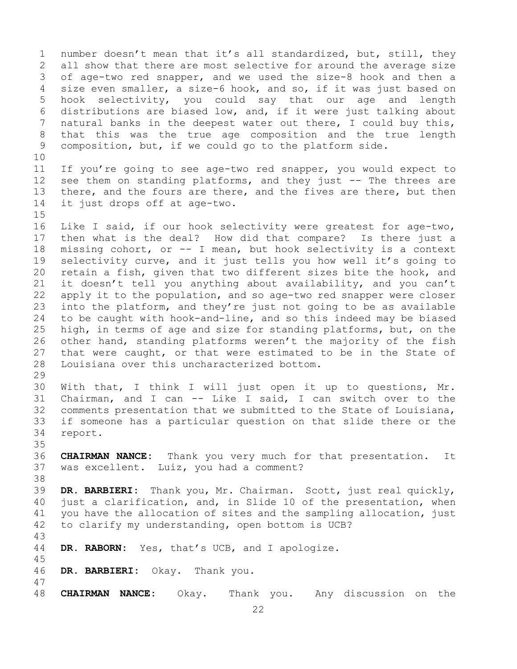1 number doesn't mean that it's all standardized, but, still, they<br>2 all show that there are most selective for around the average size 2 all show that there are most selective for around the average size<br>3 of age-two red snapper, and we used the size-8 hook and then a 3 of age-two red snapper, and we used the size-8 hook and then a<br>4 size even smaller, a size-6 hook, and so, if it was just based on size even smaller, a size-6 hook, and so, if it was just based on 5 hook selectivity, you could say that our age and length 6 distributions are biased low, and, if it were just talking about<br>7 natural banks in the deepest water out there, I could buy this, 7 natural banks in the deepest water out there, I could buy this,<br>8 that this was the true age composition and the true length 8 that this was the true age composition and the true length<br>9 composition, but, if we could go to the platform side. composition, but, if we could go to the platform side.

10<br>11 11 If you're going to see age-two red snapper, you would expect to<br>12 see them on standing platforms, and they just -- The threes are see them on standing platforms, and they just -- The threes are 13 there, and the fours are there, and the fives are there, but then 14 it just drops off at age-two.

 $15$ <br> $16$ 16 Like I said, if our hook selectivity were greatest for age-two,<br>17 then what is the deal? How did that compare? Is there just a 17 then what is the deal? How did that compare? Is there just a<br>18 missing cohort, or -- I mean, but hook selectivity is a context 18 missing cohort, or -- I mean, but hook selectivity is a context<br>19 selectivity curve, and it just tells you how well it's going to 19 selectivity curve, and it just tells you how well it's going to<br>20 retain a fish, given that two different sizes bite the hook, and 20 retain a fish, given that two different sizes bite the hook, and<br>21 it doesn't tell you anything about availability, and you can't 21 it doesn't tell you anything about availability, and you can't<br>22 apply it to the population, and so age-two red snapper were closer 22 apply it to the population, and so age-two red snapper were closer<br>23 into the platform, and they're just not going to be as available 23 into the platform, and they're just not going to be as available<br>24 to be caught with hook-and-line, and so this indeed may be biased 24 to be caught with hook-and-line, and so this indeed may be biased<br>25 high, in terms of age and size for standing platforms, but, on the 25 high, in terms of age and size for standing platforms, but, on the<br>26 other hand, standing platforms weren't the majority of the fish 26 other hand, standing platforms weren't the majority of the fish<br>27 that were caught, or that were estimated to be in the State of that were caught, or that were estimated to be in the State of 28 Louisiana over this uncharacterized bottom.

29<br>30 30 With that, I think I will just open it up to questions, Mr.<br>31 Chairman, and I can -- Like I said, I can switch over to the 31 Chairman, and I can  $--$  Like I said, I can switch over to the 32 comments presentation that we submitted to the State of Louisiana, comments presentation that we submitted to the State of Louisiana, 33 if someone has a particular question on that slide there or the report.

35<br>36 36 **CHAIRMAN NANCE:** Thank you very much for that presentation. It was excellent. Luiz, you had a comment?

- 38<br>39 39 **DR. BARBIERI:** Thank you, Mr. Chairman. Scott, just real quickly, 40 just a clarification, and, in Slide 10 of the presentation, when<br>41 you have the allocation of sites and the sampling allocation, just 41 you have the allocation of sites and the sampling allocation, just<br>42 to clarify my understanding, open bottom is UCB? to clarify my understanding, open bottom is UCB?
- 43 DR. RABORN: Yes, that's UCB, and I apologize.
- 46 **DR. BARBIERI:** Okay. Thank you.

45

47 48 **CHAIRMAN NANCE:** Okay. Thank you. Any discussion on the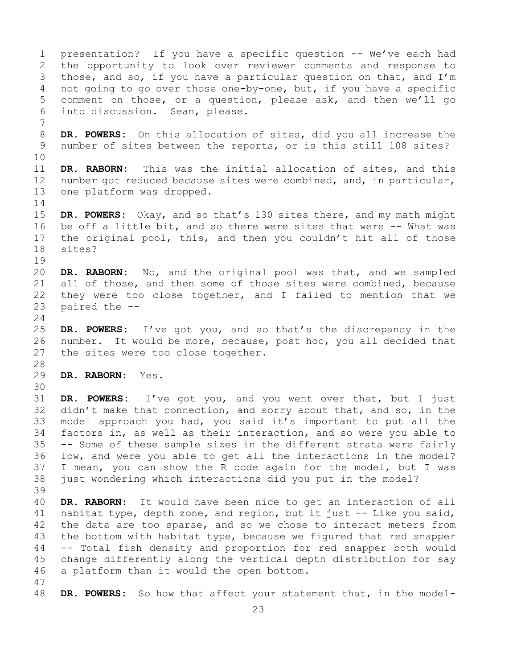1 presentation? If you have a specific question -- We've each had<br>2 the opportunity to look over reviewer comments and response to 2 the opportunity to look over reviewer comments and response to<br>3 those, and so, if you have a particular question on that, and I'm 3 those, and so, if you have a particular question on that, and I'm<br>4 not going to go over those one-by-one, but, if you have a specific not going to go over those one-by-one, but, if you have a specific 5 comment on those, or a question, please ask, and then we'll go 6 into discussion. Sean, please. 7 8 **DR. POWERS:** On this allocation of sites, did you all increase the<br>9 number of sites between the reports, or is this still 108 sites? number of sites between the reports, or is this still 108 sites? 10<br>11 11 **DR. RABORN:** This was the initial allocation of sites, and this<br>12 number got reduced because sites were combined, and, in particular, number got reduced because sites were combined, and, in particular, 13 one platform was dropped.  $\frac{14}{15}$ 15 **DR. POWERS:** Okay, and so that's 130 sites there, and my math might<br>16 be off a little bit, and so there were sites that were -- What was 16 be off a little bit, and so there were sites that were -- What was<br>17 the original pool, this, and then you couldn't hit all of those 17 the original pool, this, and then you couldn't hit all of those<br>18 sites? sites?  $\begin{array}{c} 19 \\ 20 \end{array}$ DR. RABORN: No, and the original pool was that, and we sampled 21 all of those, and then some of those sites were combined, because<br>22 they were too close together, and I failed to mention that we 22 they were too close together, and I failed to mention that we  $23$  paired the  $$ paired the -- $\frac{24}{25}$ 25 **DR. POWERS:** I've got you, and so that's the discrepancy in the 26 number. It would be more, because, post hoc, you all decided that 26 number. It would be more, because, post hoc, you all decided that<br>27 the sites were too close together. the sites were too close together. 28<br>29 DR. RABORN: Yes. 30<br>31 31 **DR. POWERS:** I've got you, and you went over that, but I just didn't make that connection, and sorry about that, and so, in the 33 model approach you had, you said it's important to put all the<br>34 factors in, as well as their interaction, and so were you able to 34 factors in, as well as their interaction, and so were you able to<br>35 -- Some of these sample sizes in the different strata were fairly 35 -- Some of these sample sizes in the different strata were fairly<br>36 low, and were you able to get all the interactions in the model? low, and were you able to get all the interactions in the model? 37 I mean, you can show the R code again for the model, but I was 38 just wondering which interactions did you put in the model? 39 40 **DR. RABORN:** It would have been nice to get an interaction of all habitat type, depth zone, and region, but it just -- Like you said, 41 habitat type, depth zone, and region, but it just -- Like you said,<br>42 the data are too sparse, and so we chose to interact meters from 42 the data are too sparse, and so we chose to interact meters from<br>43 the bottom with habitat type, because we figured that red snapper 43 the bottom with habitat type, because we figured that red snapper<br>44 -- Total fish density and proportion for red snapper both would -- Total fish density and proportion for red snapper both would 45 change differently along the vertical depth distribution for say 46 a platform than it would the open bottom. 47 DR. POWERS: So how that affect your statement that, in the model-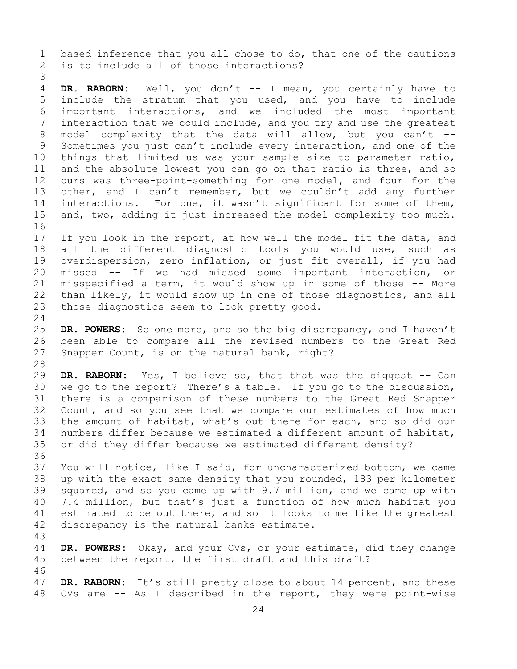1 based inference that you all chose to do, that one of the cautions<br>2 is to include all of those interactions? is to include all of those interactions?

3 DR. RABORN: Well, you don't -- I mean, you certainly have to 5 include the stratum that you used, and you have to include 6 important interactions, and we included the most important<br>7 interaction that we could include, and you try and use the greatest 7 interaction that we could include, and you try and use the greatest<br>8 model complexity that the data will allow, but you can't --8 model complexity that the data will allow, but you can't  $-$ -<br>9 Sometimes you just can't include every interaction, and one of the 9 Sometimes you just can't include every interaction, and one of the<br>10 things that limited us was your sample size to parameter ratio, 10 things that limited us was your sample size to parameter ratio,<br>11 and the absolute lowest you can go on that ratio is three, and so 11 and the absolute lowest you can go on that ratio is three, and so<br>12 ours was three-point-something for one model, and four for the 12 ours was three-point-something for one model, and four for the<br>13 other, and I can't remember, but we couldn't add any further other, and I can't remember, but we couldn't add any further 14 interactions. For one, it wasn't significant for some of them,<br>15 and, two, adding it just increased the model complexity too much. and, two, adding it just increased the model complexity too much.

16<br>17 17 If you look in the report, at how well the model fit the data, and<br>18 all the different diagnostic tools you would use, such as 18 all the different diagnostic tools you would use, such as<br>19 overdispersion, zero inflation, or just fit overall, if you had 19 overdispersion, zero inflation, or just fit overall, if you had<br>20 missed -- If we had missed some important interaction, or 20 missed -- If we had missed some important interaction, or<br>21 misspecified a term, it would show up in some of those -- More 21 misspecified a term, it would show up in some of those -- More<br>22 than likely, it would show up in one of those diagnostics, and all 22 than likely, it would show up in one of those diagnostics, and all<br>23 those diagnostics seem to look pretty good. those diagnostics seem to look pretty good.

 $\frac{24}{25}$ 25 **DR. POWERS:** So one more, and so the big discrepancy, and I haven't 26 been able to compare all the revised numbers to the Great Red<br>27 Snapper Count, is on the natural bank, right? Snapper Count, is on the natural bank, right?

28<br>29 29 **DR. RABORN:** Yes, I believe so, that that was the biggest -- Can<br>30 we go to the report? There's a table. If you go to the discussion, 30 we go to the report? There's a table. If you go to the discussion,<br>31 there is a comparison of these numbers to the Great Red Snapper 31 there is a comparison of these numbers to the Great Red Snapper<br>32 Count, and so vou see that we compare our estimates of how much Count, and so you see that we compare our estimates of how much 33 the amount of habitat, what's out there for each, and so did our<br>34 numbers differ because we estimated a different amount of habitat, 34 numbers differ because we estimated a different amount of habitat,<br>35 or did they differ because we estimated different density? or did they differ because we estimated different density?

36<br>37 You will notice, like I said, for uncharacterized bottom, we came 38 up with the exact same density that you rounded, 183 per kilometer<br>39 squared, and so you came up with 9.7 million, and we came up with 39 squared, and so you came up with 9.7 million, and we came up with<br>40 7.4 million, but that's just a function of how much habitat you 40 7.4 million, but that's just a function of how much habitat you<br>41 estimated to be out there, and so it looks to me like the greatest 41 estimated to be out there, and so it looks to me like the greatest<br>42 discrepancy is the natural banks estimate. discrepancy is the natural banks estimate.

43 DR. POWERS: Okay, and your CVs, or your estimate, did they change 45 between the report, the first draft and this draft?

46<br>47 47 **DR. RABORN:** It's still pretty close to about 14 percent, and these<br>48 CVs are -- As I described in the report, they were point-wise CVs are  $-$ - As I described in the report, they were point-wise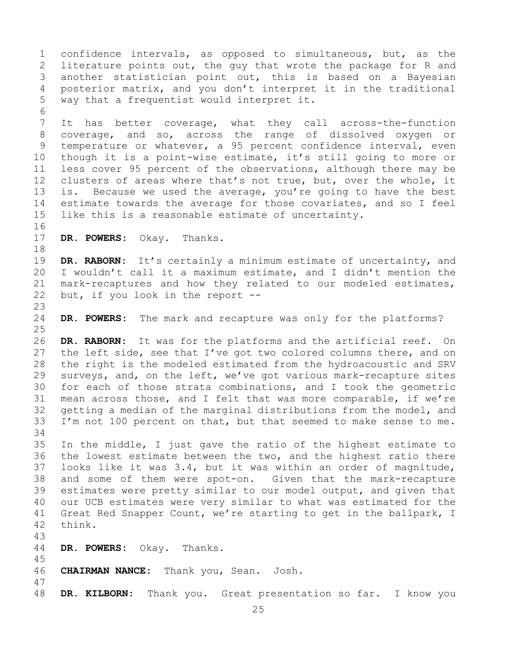1 confidence intervals, as opposed to simultaneous, but, as the<br>2 literature points out, the guy that wrote the package for R and 2 literature points out, the guy that wrote the package for R and<br>3 another statistician point out, this is based on a Bayesian 3 another statistician point out, this is based on a Bayesian<br>4 posterior matrix, and you don't interpret it in the traditional posterior matrix, and you don't interpret it in the traditional 5 way that a frequentist would interpret it.

6<br>7 7 It has better coverage, what they call across-the-function<br>8 coverage, and so, across the range of dissolved oxygen or 8 coverage, and so, across the range of dissolved oxygen or<br>9 temperature or whatever, a 95 percent confidence interval, even 9 temperature or whatever, a 95 percent confidence interval, even<br>10 though it is a point-wise estimate, it's still going to more or 10 though it is a point-wise estimate, it's still going to more or<br>11 less cover 95 percent of the observations, although there may be 11 less cover 95 percent of the observations, although there may be<br>12 clusters of areas where that's not true, but, over the whole, it clusters of areas where that's not true, but, over the whole, it 13 is. Because we used the average, you're going to have the best 14 estimate towards the average for those covariates, and so I feel<br>15 like this is a reasonable estimate of uncertainty. like this is a reasonable estimate of uncertainty.

16<br>17 DR. POWERS: Okay. Thanks.

18<br>19 19 **DR. RABORN:** It's certainly a minimum estimate of uncertainty, and<br>20 I wouldn't call it a maximum estimate, and I didn't mention the I wouldn't call it a maximum estimate, and I didn't mention the 21 mark-recaptures and how they related to our modeled estimates,<br>22 but, if you look in the report -but, if you look in the report  $-$ -

 $\frac{23}{24}$ DR. POWERS: The mark and recapture was only for the platforms?

 $\frac{25}{26}$ 26 **DR. RABORN:** It was for the platforms and the artificial reef. On<br>27 the left side, see that I've got two colored columns there, and on the left side, see that I've got two colored columns there, and on 28 the right is the modeled estimated from the hydroacoustic and SRV<br>29 surveys, and, on the left, we've got various mark-recapture sites 29 surveys, and, on the left, we've got various mark-recapture sites<br>30 for each of those strata combinations, and I took the geometric 30 for each of those strata combinations, and I took the geometric<br>31 mean across those, and I felt that was more comparable, if we're 31 mean across those, and I felt that was more comparable, if we're<br>32 qetting a median of the marginal distributions from the model, and getting a median of the marginal distributions from the model, and 33 I'm not 100 percent on that, but that seemed to make sense to me.

34<br>35 35 In the middle, I just gave the ratio of the highest estimate to<br>36 the lowest estimate between the two, and the highest ratio there the lowest estimate between the two, and the highest ratio there 37 looks like it was 3.4, but it was within an order of magnitude, 38 and some of them were spot-on. Given that the mark-recapture<br>39 estimates were pretty similar to our model output, and given that 39 estimates were pretty similar to our model output, and given that<br>40 our UCB estimates were very similar to what was estimated for the 40 our UCB estimates were very similar to what was estimated for the<br>41 Great Red Snapper Count, we're starting to get in the ballpark, I 41 Great Red Snapper Count, we're starting to get in the ballpark, I<br>42 think. think.

43

- DR. POWERS: Okay. Thanks.
- 46 **CHAIRMAN NANCE:** Thank you, Sean. Josh.
- 47 DR. KILBORN: Thank you. Great presentation so far. I know you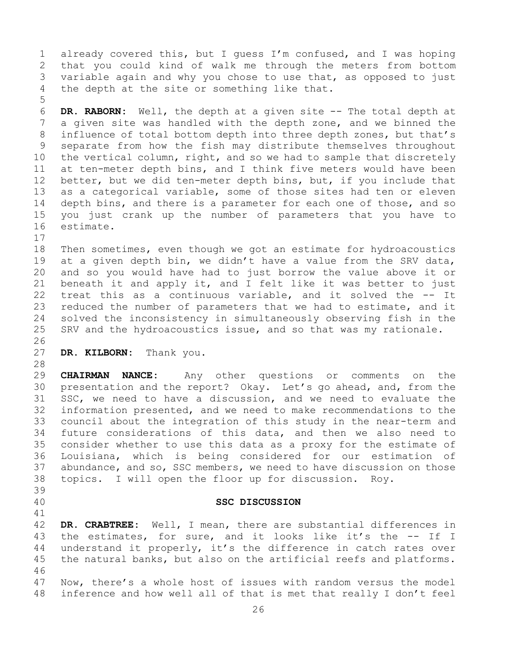1 already covered this, but I guess I'm confused, and I was hoping<br>2 that you could kind of walk me through the meters from bottom 2 that you could kind of walk me through the meters from bottom<br>3 variable again and why you chose to use that, as opposed to just 3 variable again and why you chose to use that, as opposed to just<br>4 the depth at the site or something like that. the depth at the site or something like that.

6 **DR. RABORN:** Well, the depth at a given site -- The total depth at 7 a given site was handled with the depth zone, and we binned the<br>8 influence of total bottom depth into three depth zones, but that's 8 influence of total bottom depth into three depth zones, but that's<br>9 separate from how the fish may distribute themselves throughout 9 separate from how the fish may distribute themselves throughout<br>10 the vertical column, right, and so we had to sample that discretely 10 the vertical column, right, and so we had to sample that discretely<br>11 at ten-meter depth bins, and I think five meters would have been 11 at ten-meter depth bins, and I think five meters would have been<br>12 better, but we did ten-meter depth bins, but, if you include that better, but we did ten-meter depth bins, but, if you include that 13 as a categorical variable, some of those sites had ten or eleven 14 depth bins, and there is a parameter for each one of those, and so<br>15 vou just crank up the number of parameters that vou have to 15 you just crank up the number of parameters that you have to estimate.

 $17$ <br> $18$ 18 Then sometimes, even though we got an estimate for hydroacoustics<br>19 at a given depth bin, we didn't have a value from the SRV data, 19 at a given depth bin, we didn't have a value from the SRV data,<br>20 and so vou would have had to just borrow the value above it or 20 and so you would have had to just borrow the value above it or<br>21 beneath it and apply it, and I felt like it was better to just 21 beneath it and apply it, and I felt like it was better to just<br>22 treat this as a continuous variable, and it solved the -- It 22 treat this as a continuous variable, and it solved the -- It<br>23 reduced the number of parameters that we had to estimate, and it 23 reduced the number of parameters that we had to estimate, and it<br>24 solved the inconsistency in simultaneously observing fish in the 24 solved the inconsistency in simultaneously observing fish in the<br>25 SRV and the hydroacoustics issue, and so that was my rationale. SRV and the hydroacoustics issue, and so that was my rationale.

- 26<br>27 DR. KILBORN: Thank you.
- 

<span id="page-25-0"></span>39

5

28<br>29 29 **CHAIRMAN NANCE:** Any other questions or comments on the 30 presentation and the report? Okay. Let's go ahead, and, from the<br>31 SSC, we need to have a discussion, and we need to evaluate the 31 SSC, we need to have a discussion, and we need to evaluate the<br>32 information presented, and we need to make recommendations to the information presented, and we need to make recommendations to the 33 council about the integration of this study in the near-term and<br>34 future considerations of this data, and then we also need to 34 future considerations of this data, and then we also need to<br>35 consider whether to use this data as a proxy for the estimate of 35 consider whether to use this data as a proxy for the estimate of<br>36 Iouisiana, which is being considered for our estimation of Louisiana, which is being considered for our estimation of 37 abundance, and so, SSC members, we need to have discussion on those 38 topics. I will open the floor up for discussion. Roy.

#### 40 **SSC DISCUSSION**

41<br>42 42 DR. CRABTREE: Well, I mean, there are substantial differences in<br>43 the estimates, for sure, and it looks like it's the -- If I 43 the estimates, for sure, and it looks like it's the -- If I<br>44 understand it properly, it's the difference in catch rates over understand it properly, it's the difference in catch rates over 45 the natural banks, but also on the artificial reefs and platforms. 46<br>47 47 Now, there's a whole host of issues with random versus the model<br>48 inference and how well all of that is met that really I don't feel inference and how well all of that is met that really I don't feel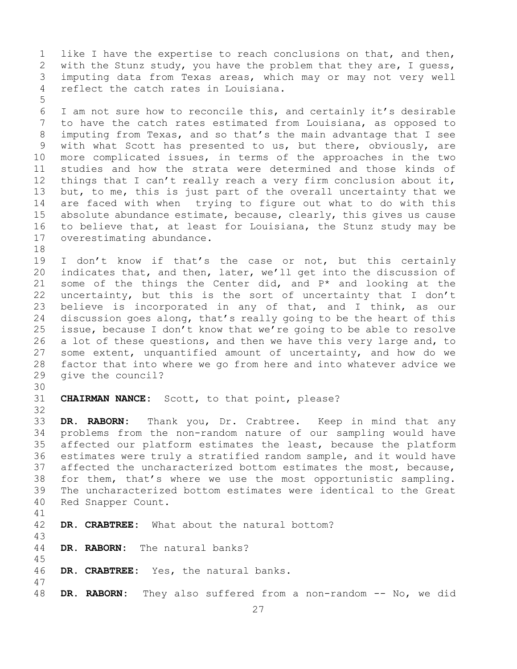1 like I have the expertise to reach conclusions on that, and then,<br>2 with the Stunz study, you have the problem that they are, I quess, 2 with the Stunz study, you have the problem that they are, I guess,<br>3 imputing data from Texas areas, which may or may not very well 3 imputing data from Texas areas, which may or may not very well<br>4 reflect the catch rates in Louisiana. reflect the catch rates in Louisiana. 5

6 I am not sure how to reconcile this, and certainly it's desirable<br>7 to have the catch rates estimated from Louisiana, as opposed to 7 to have the catch rates estimated from Louisiana, as opposed to<br>8 imputing from Texas, and so that's the main advantage that I see 8 imputing from Texas, and so that's the main advantage that I see<br>9 with what Scott has presented to us, but there, obviously, are 9 with what Scott has presented to us, but there, obviously, are<br>10 more complicated issues, in terms of the approaches in the two 10 more complicated issues, in terms of the approaches in the two<br>11 studies and how the strata were determined and those kinds of 11 studies and how the strata were determined and those kinds of<br>12 things that I can't really reach a very firm conclusion about it, things that I can't really reach a very firm conclusion about it, 13 but, to me, this is just part of the overall uncertainty that we 14 are faced with when trying to figure out what to do with this<br>15 absolute abundance estimate, because, clearly, this gives us cause 15 absolute abundance estimate, because, clearly, this gives us cause<br>16 to believe that, at least for Louisiana, the Stunz study may be 16 to believe that, at least for Louisiana, the Stunz study may be 17 overestimating abundance. overestimating abundance.

- 18<br>19 19 I don't know if that's the case or not, but this certainly<br>20 indicates that, and then, later, we'll get into the discussion of 20 indicates that, and then, later, we'll get into the discussion of  $21$  some of the things the Center did, and  $P^*$  and looking at the 21 some of the things the Center did, and  $P^*$  and looking at the 22 uncertainty, but this is the sort of uncertainty that I don't 22 uncertainty, but this is the sort of uncertainty that I don't<br>23 believe is incorporated in any of that, and I think, as our 23 believe is incorporated in any of that, and I think, as our<br>24 discussion goes along, that's really going to be the heart of this 24 discussion goes along, that's really going to be the heart of this<br>25 issue, because I don't know that we're going to be able to resolve 25 issue, because I don't know that we're going to be able to resolve<br>26 a lot of these questions, and then we have this very large and, to 26 a lot of these questions, and then we have this very large and, to<br>27 some extent, unquantified amount of uncertainty, and how do we some extent, unquantified amount of uncertainty, and how do we 28 factor that into where we go from here and into whatever advice we<br>29 qive the council? give the council?
- 30<br>31

CHAIRMAN NANCE: Scott, to that point, please?

32

45

33 **DR. RABORN:** Thank you, Dr. Crabtree. Keep in mind that any 34 problems from the non-random nature of our sampling would have<br>35 affected our platform estimates the least, because the platform 35 affected our platform estimates the least, because the platform<br>36 estimates were truly a stratified random sample, and it would have estimates were truly a stratified random sample, and it would have 37 affected the uncharacterized bottom estimates the most, because, 38 for them, that's where we use the most opportunistic sampling.<br>39 The uncharacterized bottom estimates were identical to the Great 39 The uncharacterized bottom estimates were identical to the Great<br>40 Red Snapper Count. Red Snapper Count.

- 41<br>42 DR. CRABTREE: What about the natural bottom?
- 43 DR. RABORN: The natural banks?
- 46 **DR. CRABTREE:** Yes, the natural banks.
- 47 DR. RABORN: They also suffered from a non-random -- No, we did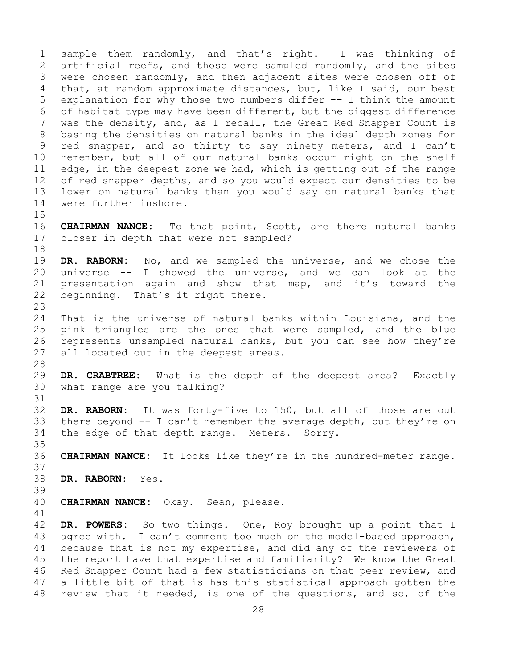1 sample them randomly, and that's right. I was thinking of<br>2 artificial reefs, and those were sampled randomly, and the sites 2 artificial reefs, and those were sampled randomly, and the sites<br>3 were chosen randomly, and then adjacent sites were chosen off of 3 were chosen randomly, and then adjacent sites were chosen off of<br>4 that, at random approximate distances, but, like I said, our best that, at random approximate distances, but, like I said, our best 5 explanation for why those two numbers differ -- I think the amount 6 of habitat type may have been different, but the biggest difference<br>7 was the density, and, as I recall, the Great Red Snapper Count is 7 was the density, and, as I recall, the Great Red Snapper Count is<br>8 basing the densities on natural banks in the ideal depth zones for 8 basing the densities on natural banks in the ideal depth zones for<br>9 red snapper, and so thirty to say ninety meters, and I can't 9 red snapper, and so thirty to say ninety meters, and I can't<br>10 remember, but all of our natural banks occur right on the shelf 10 remember, but all of our natural banks occur right on the shelf<br>11 edge, in the deepest zone we had, which is getting out of the range 11 edge, in the deepest zone we had, which is getting out of the range<br>12 of red snapper depths, and so you would expect our densities to be of red snapper depths, and so you would expect our densities to be 13 lower on natural banks than you would say on natural banks that 14 were further inshore.

 $15$ <br> $16$ 16 **CHAIRMAN NANCE:** To that point, Scott, are there natural banks<br>17 closer in depth that were not sampled? closer in depth that were not sampled?

18<br>19 19 **DR. RABORN:** No, and we sampled the universe, and we chose the 20 universe  $-$ - I showed the universe, and we can look at the 21 presentation again and show that map, and it's toward the 21 presentation again and show that map, and it's toward the 22 beginning. That's it right there. beginning. That's it right there.

 $\frac{23}{24}$ 24 That is the universe of natural banks within Louisiana, and the<br>25 pink triangles are the ones that were sampled, and the blue 25 pink triangles are the ones that were sampled, and the blue<br>26 represents unsampled natural banks, but you can see how they're 26 represents unsampled natural banks, but you can see how they're<br>27 all located out in the deepest areas. all located out in the deepest areas.

28<br>29 29 **DR. CRABTREE:** What is the depth of the deepest area? Exactly what range are you talking?

31<br>32 DR. RABORN: It was forty-five to 150, but all of those are out 33 there beyond  $-$  I can't remember the average depth, but they're on 34 the edge of that depth range. Meters. Sorry. the edge of that depth range. Meters. Sorry.

35<br>36 CHAIRMAN NANCE: It looks like they're in the hundred-meter range.

37

38 **DR. RABORN:** Yes.

39 40 **CHAIRMAN NANCE:** Okay. Sean, please.

41<br>42 42 DR. POWERS: So two things. One, Roy brought up a point that I<br>43 agree with. I can't comment too much on the model-based approach, 43 agree with. I can't comment too much on the model-based approach,<br>44 because that is not my expertise, and did any of the reviewers of because that is not my expertise, and did any of the reviewers of 45 the report have that expertise and familiarity? We know the Great 46 Red Snapper Count had a few statisticians on that peer review, and<br>47 a little bit of that is has this statistical approach gotten the 47 a little bit of that is has this statistical approach gotten the<br>48 review that it needed, is one of the questions, and so, of the review that it needed, is one of the questions, and so, of the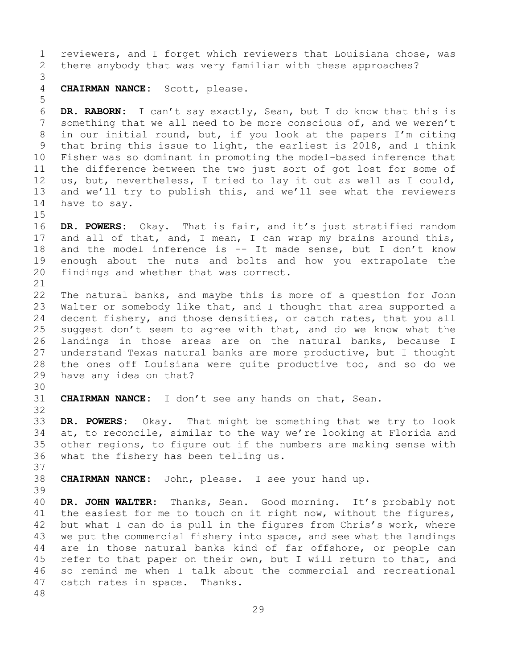1 reviewers, and I forget which reviewers that Louisiana chose, was<br>2 there anybody that was very familiar with these approaches? there anybody that was very familiar with these approaches? 3 CHAIRMAN NANCE: Scott, please. 5 6 **DR. RABORN:** I can't say exactly, Sean, but I do know that this is 7 something that we all need to be more conscious of, and we weren't<br>8 in our initial round, but, if you look at the papers I'm citing 8 in our initial round, but, if you look at the papers I'm citing<br>9 that bring this issue to light, the earliest is 2018, and I think 9 that bring this issue to light, the earliest is 2018, and I think<br>10 Fisher was so dominant in promoting the model-based inference that 10 Fisher was so dominant in promoting the model-based inference that<br>11 the difference between the two just sort of got lost for some of 11 the difference between the two just sort of got lost for some of<br>12 us, but, nevertheless, I tried to lay it out as well as I could, us, but, nevertheless, I tried to lay it out as well as I could, 13 and we'll try to publish this, and we'll see what the reviewers 14 have to say.  $15$ <br> $16$ 16 **DR. POWERS:** Okay. That is fair, and it's just stratified random<br>17 and all of that, and, I mean, I can wrap my brains around this, 17 and all of that, and, I mean, I can wrap my brains around this,<br>18 and the model inference is -- It made sense, but I don't know 18 and the model inference is -- It made sense, but I don't know<br>19 enough about the nuts and bolts and how you extrapolate the 19 enough about the nuts and bolts and how you extrapolate the<br>20 findings and whether that was correct. findings and whether that was correct. 21<br>22 22 The natural banks, and maybe this is more of a question for John<br>23 Walter or somebody like that, and I thought that area supported a 23 Walter or somebody like that, and I thought that area supported a<br>24 decent fishery, and those densities, or catch rates, that you all 24 decent fishery, and those densities, or catch rates, that you all<br>25 suggest don't seem to agree with that, and do we know what the 25 suggest don't seem to agree with that, and do we know what the<br>26 landings in those areas are on the natural banks, because I 26 landings in those areas are on the natural banks, because I<br>27 understand Texas natural banks are more productive, but I thought understand Texas natural banks are more productive, but I thought 28 the ones off Louisiana were quite productive too, and so do we<br>29 have any idea on that? have any idea on that? 30<br>31 31 **CHAIRMAN NANCE:** I don't see any hands on that, Sean. 32 33 **DR. POWERS:** Okay. That might be something that we try to look 34 at, to reconcile, similar to the way we're looking at Florida and<br>35 other regions, to figure out if the numbers are making sense with 35 other regions, to figure out if the numbers are making sense with<br>36 what the fishery has been telling us. what the fishery has been telling us. 37 38 **CHAIRMAN NANCE:** John, please. I see your hand up. 39 40 **DR. JOHN WALTER:** Thanks, Sean. Good morning. It's probably not<br>41 the easiest for me to touch on it right now, without the figures, 41 the easiest for me to touch on it right now, without the figures,<br>42 but what I can do is pull in the figures from Chris's work, where 42 but what I can do is pull in the figures from Chris's work, where<br>43 we put the commercial fishery into space, and see what the landings 43 we put the commercial fishery into space, and see what the landings<br>44 are in those natural banks kind of far offshore, or people can are in those natural banks kind of far offshore, or people can 45 refer to that paper on their own, but I will return to that, and 46 so remind me when I talk about the commercial and recreational<br>47 catch rates in space. Thanks. catch rates in space. 48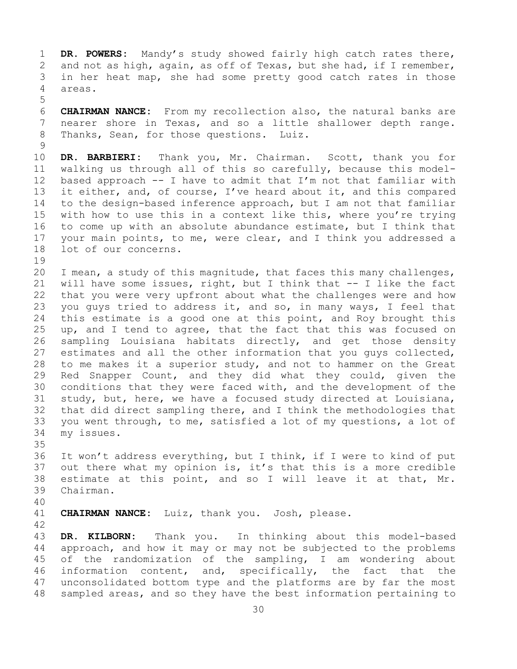1 **DR. POWERS:** Mandy's study showed fairly high catch rates there,<br>2 and not as high, again, as off of Texas, but she had, if I remember, 2 and not as high, again, as off of Texas, but she had, if I remember,<br>3 in her heat map, she had some pretty good catch rates in those 3 in her heat map, she had some pretty good catch rates in those areas.

6 **CHAIRMAN NANCE:** From my recollection also, the natural banks are<br>7 nearer shore in Texas, and so a little shallower depth range. 7 nearer shore in Texas, and so a little shallower depth range.<br>8 Thanks, Sean, for those questions. Luiz. Thanks, Sean, for those questions. Luiz.

 $\frac{9}{10}$ 10 **DR. BARBIERI:** Thank you, Mr. Chairman. Scott, thank you for 11 walking us through all of this so carefully, because this model-<br>12 based approach -- I have to admit that I'm not that familiar with 12 based approach -- I have to admit that I'm not that familiar with<br>13 it either, and, of course, I've heard about it, and this compared it either, and, of course, I've heard about it, and this compared 14 to the design-based inference approach, but I am not that familiar<br>15 with how to use this in a context like this, where vou're trving 15 with how to use this in a context like this, where you're trying<br>16 to come up with an absolute abundance estimate, but I think that 16 to come up with an absolute abundance estimate, but I think that<br>17 your main points, to me, were clear, and I think you addressed a 17 your main points, to me, were clear, and I think you addressed a<br>18 lot of our concerns. lot of our concerns.

5

19<br>20 20 I mean, a study of this magnitude, that faces this many challenges,<br>21 will have some issues, right, but I think that -- I like the fact 21 will have some issues, right, but I think that  $-$ - I like the fact 22 that you were very upfront about what the challenges were and how 22 that you were very upfront about what the challenges were and how<br>23 you quys tried to address it, and so, in many ways, I feel that 23 you guys tried to address it, and so, in many ways, I feel that<br>24 this estimate is a good one at this point, and Roy brought this 24 this estimate is a good one at this point, and Roy brought this<br>25 up, and I tend to agree, that the fact that this was focused on 25 up, and I tend to agree, that the fact that this was focused on<br>26 sampling Louisiana habitats directly, and get those density 26 sampling Louisiana habitats directly, and get those density<br>27 estimates and all the other information that you guys collected, 27 estimates and all the other information that you guys collected,<br>28 to me makes it a superior study, and not to hammer on the Great 28 to me makes it a superior study, and not to hammer on the Great<br>29 Red Snapper Count, and they did what they could, given the 29 Red Snapper Count, and they did what they could, given the<br>30 conditions that they were faced with, and the development of the 30 conditions that they were faced with, and the development of the<br>31 study, but, here, we have a focused study directed at Louisiana, 31 study, but, here, we have a focused study directed at Louisiana,<br>32 that did direct sampling there, and I think the methodologies that that did direct sampling there, and I think the methodologies that 33 you went through, to me, satisfied a lot of my questions, a lot of 34 my issues. my issues.

35<br>36 It won't address everything, but I think, if I were to kind of put 37 out there what my opinion is, it's that this is a more credible 38 estimate at this point, and so I will leave it at that, Mr.<br>39 Chairman. Chairman.

40

CHAIRMAN NANCE: Luiz, thank you. Josh, please.

42 43 **DR. KILBORN:** Thank you. In thinking about this model-based<br>44 approach, and how it may or may not be subjected to the problems approach, and how it may or may not be subjected to the problems 45 of the randomization of the sampling, I am wondering about 46 information content, and, specifically, the fact that the<br>47 unconsolidated bottom type and the platforms are by far the most 47 unconsolidated bottom type and the platforms are by far the most<br>48 sampled areas, and so they have the best information pertaining to sampled areas, and so they have the best information pertaining to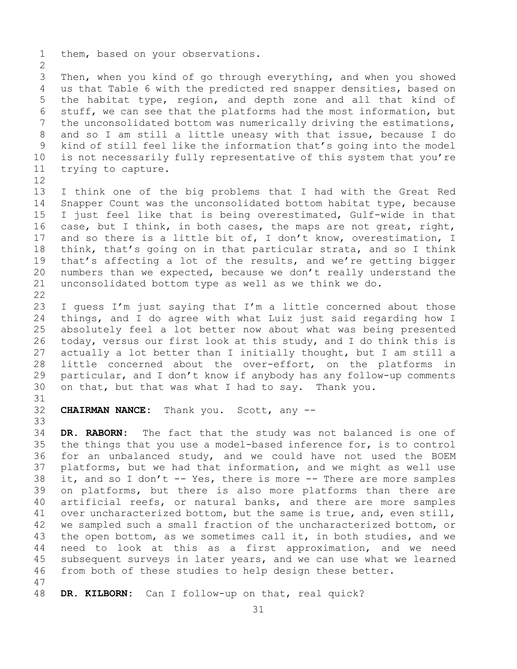1 them, based on your observations.

 $\frac{2}{3}$ 3 Then, when you kind of go through everything, and when you showed<br>4 us that Table 6 with the predicted red snapper densities, based on us that Table 6 with the predicted red snapper densities, based on 5 the habitat type, region, and depth zone and all that kind of 6 stuff, we can see that the platforms had the most information, but<br>7 the unconsolidated bottom was numerically driving the estimations. 7 the unconsolidated bottom was numerically driving the estimations,<br>8 and so I am still a little uneasy with that issue, because I do 8 and so I am still a little uneasy with that issue, because I do<br>9 kind of still feel like the information that's going into the model 9 kind of still feel like the information that's going into the model<br>10 is not necessarily fully representative of this system that you're 10 is not necessarily fully representative of this system that you're<br>11 trying to capture. trying to capture.

12<br>13 I think one of the big problems that I had with the Great Red 14 Snapper Count was the unconsolidated bottom habitat type, because<br>15 I just feel like that is being overestimated, Gulf-wide in that 15 I just feel like that is being overestimated, Gulf-wide in that<br>16 case, but I think, in both cases, the maps are not great, right, 16 case, but I think, in both cases, the maps are not great, right,<br>17 and so there is a little bit of, I don't know, overestimation, I 17 and so there is a little bit of, I don't know, overestimation, I<br>18 think, that's going on in that particular strata, and so I think 18 think, that's going on in that particular strata, and so I think<br>19 that's affecting a lot of the results, and we're getting bigger 19 that's affecting a lot of the results, and we're getting bigger<br>20 numbers than we expected, because we don't really understand the numbers than we expected, because we don't really understand the 21 unconsolidated bottom type as well as we think we do.

 $\begin{array}{c} 22 \\ 23 \end{array}$ 23 I guess I'm just saying that I'm a little concerned about those<br>24 things, and I do agree with what Luiz just said regarding how I 24 things, and I do agree with what Luiz just said regarding how I<br>25 absolutely feel a lot better now about what was being presented 25 absolutely feel a lot better now about what was being presented<br>26 today, versus our first look at this study, and I do think this is 26 today, versus our first look at this study, and I do think this is<br>27 actually a lot better than I initially thought, but I am still a actually a lot better than I initially thought, but I am still a 28 little concerned about the over-effort, on the platforms in<br>29 particular, and I don't know if anybody has any follow-up comments 29 particular, and I don't know if anybody has any follow-up comments<br>30 on that, but that was what I had to say. Thank you. on that, but that was what I had to say. Thank you.

31<br>32

**CHAIRMAN NANCE:** Thank you. Scott, any --

33<br>34 34 **DR. RABORN:** The fact that the study was not balanced is one of 35 the things that you use a model-based inference for, is to control 35 the things that you use a model-based inference for, is to control<br>36 for an unbalanced study, and we could have not used the BOEM for an unbalanced study, and we could have not used the BOEM 37 platforms, but we had that information, and we might as well use 38 it, and so I don't -- Yes, there is more -- There are more samples<br>39 on platforms, but there is also more platforms than there are 39 on platforms, but there is also more platforms than there are<br>40 artificial reefs, or natural banks, and there are more samples 40 artificial reefs, or natural banks, and there are more samples<br>41 over uncharacterized bottom, but the same is true, and, even still, 41 over uncharacterized bottom, but the same is true, and, even still,<br>42 we sampled such a small fraction of the uncharacterized bottom, or 42 we sampled such a small fraction of the uncharacterized bottom, or<br>43 the open bottom, as we sometimes call it, in both studies, and we 43 the open bottom, as we sometimes call it, in both studies, and we<br>44 need to look at this as a first approximation, and we need need to look at this as a first approximation, and we need 45 subsequent surveys in later years, and we can use what we learned 46 from both of these studies to help design these better.

47 DR. KILBORN: Can I follow-up on that, real quick?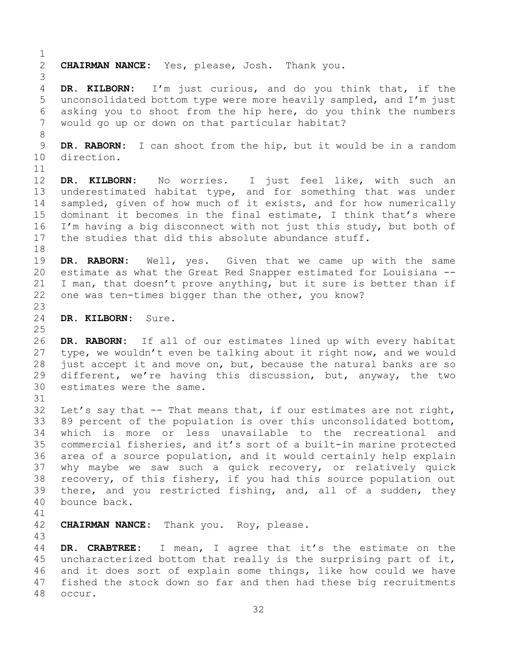$\frac{1}{2}$ 2 **CHAIRMAN NANCE:** Yes, please, Josh. Thank you. 3 DR. KILBORN: I'm just curious, and do you think that, if the 5 unconsolidated bottom type were more heavily sampled, and I'm just 6 asking you to shoot from the hip here, do you think the numbers would go up or down on that particular habitat? 8<br>9 9 **DR. RABORN:** I can shoot from the hip, but it would be in a random<br>10 direction. direction. 11<br>12 DR. KILBORN: No worries. I just feel like, with such an 13 underestimated habitat type, and for something that was under 14 sampled, given of how much of it exists, and for how numerically<br>15 dominant it becomes in the final estimate, I think that's where 15 dominant it becomes in the final estimate, I think that's where<br>16 I'm having a big disconnect with not just this study, but both of 16 I'm having a big disconnect with not just this study, but both of<br>17 the studies that did this absolute abundance stuff. the studies that did this absolute abundance stuff. 18<br>19 DR. RABORN: Well, yes. Given that we came up with the same 20 estimate as what the Great Red Snapper estimated for Louisiana -- 21 I man, that doesn't prove anything, but it sure is better than if<br>22 one was ten-times bigger than the other, you know? one was ten-times bigger than the other, you know?  $\frac{23}{24}$ DR. KILBORN: Sure.  $\frac{25}{26}$ 26 DR. RABORN: If all of our estimates lined up with every habitat<br>27 type, we wouldn't even be talking about it right now, and we would type, we wouldn't even be talking about it right now, and we would 28 just accept it and move on, but, because the natural banks are so<br>29 different, we're having this discussion, but, anyway, the two 29 different, we're having this discussion, but, anyway, the two<br>30 estimates were the same. estimates were the same. 31<br>32 Let's say that  $--$  That means that, if our estimates are not right, 33 89 percent of the population is over this unconsolidated bottom,<br>34 which is more or less unavailable to the recreational and 34 which is more or less unavailable to the recreational and<br>35 commercial fisheries, and it's sort of a built-in marine protected 35 commercial fisheries, and it's sort of a built-in marine protected<br>36 area of a source population, and it would certainly help explain area of a source population, and it would certainly help explain 37 why maybe we saw such a quick recovery, or relatively quick 38 recovery, of this fishery, if you had this source population out<br>39 there, and you restricted fishing, and, all of a sudden, they 39 there, and you restricted fishing, and, all of a sudden, they<br>40 bounce back. bounce back. 41<br>42 CHAIRMAN NANCE: Thank you. Roy, please. 43 DR. CRABTREE: I mean, I agree that it's the estimate on the 45 uncharacterized bottom that really is the surprising part of it, 46 and it does sort of explain some things, like how could we have<br>47 fished the stock down so far and then had these big recruitments 47 fished the stock down so far and then had these big recruitments<br>48 occur. occur.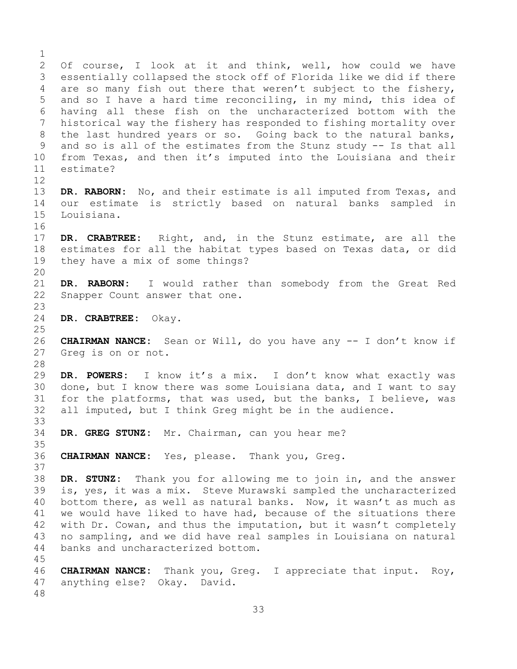$\frac{1}{2}$ 2 Of course, I look at it and think, well, how could we have<br>3 essentially collapsed the stock off of Florida like we did if there 3 essentially collapsed the stock off of Florida like we did if there<br>4 are so many fish out there that weren't subject to the fishery, are so many fish out there that weren't subject to the fishery, 5 and so I have a hard time reconciling, in my mind, this idea of 6 having all these fish on the uncharacterized bottom with the<br>7 historical way the fishery has responded to fishing mortality over 7 historical way the fishery has responded to fishing mortality over<br>8 the last hundred years or so. Going back to the natural banks, 8 the last hundred years or so. Going back to the natural banks,<br>9 and so is all of the estimates from the Stunz study -- Is that all 9 and so is all of the estimates from the Stunz study -- Is that all<br>10 from Texas, and then it's imputed into the Louisiana and their 10 from Texas, and then it's imputed into the Louisiana and their<br>11 estimate? estimate? 12 13 **DR. RABORN:** No, and their estimate is all imputed from Texas, and 14 our estimate is strictly based on natural banks sampled in Louisiana. 16<br>17 17 **DR. CRABTREE:** Right, and, in the Stunz estimate, are all the 18 estimates for all the habitat types based on Texas data, or did<br>19 they have a mix of some things? they have a mix of some things? 20 21 **DR. RABORN:** I would rather than somebody from the Great Red<br>22 Snapper Count answer that one. Snapper Count answer that one.  $\frac{23}{24}$ 24 **DR. CRABTREE:** Okay.  $\frac{25}{26}$ 26 **CHAIRMAN NANCE:** Sean or Will, do you have any -- I don't know if Greg is on or not. 28<br>29 29 **DR. POWERS:** I know it's a mix. I don't know what exactly was 30 done, but I know there was some Louisiana data, and I want to say<br>31 for the platforms, that was used, but the banks, I believe, was 31 for the platforms, that was used, but the banks, I believe, was<br>32 all imputed, but I think Greg might be in the audience. all imputed, but I think Greg might be in the audience. 33<br>34 DR. GREG STUNZ: Mr. Chairman, can you hear me? 35<br>36 CHAIRMAN NANCE: Yes, please. Thank you, Greq. 37 38 **DR. STUNZ:** Thank you for allowing me to join in, and the answer 39 is, yes, it was a mix. Steve Murawski sampled the uncharacterized<br>40 bottom there, as well as natural banks. Now, it wasn't as much as 40 bottom there, as well as natural banks. Now, it wasn't as much as<br>41 we would have liked to have had, because of the situations there 41 we would have liked to have had, because of the situations there<br>42 with Dr. Cowan, and thus the imputation, but it wasn't completely 42 with Dr. Cowan, and thus the imputation, but it wasn't completely<br>43 no sampling, and we did have real samples in Louisiana on natural 43 no sampling, and we did have real samples in Louisiana on natural<br>44 banks and uncharacterized bottom. banks and uncharacterized bottom. 45 46 **CHAIRMAN NANCE:** Thank you, Greg. I appreciate that input. Roy, anything else? Okay. David. 48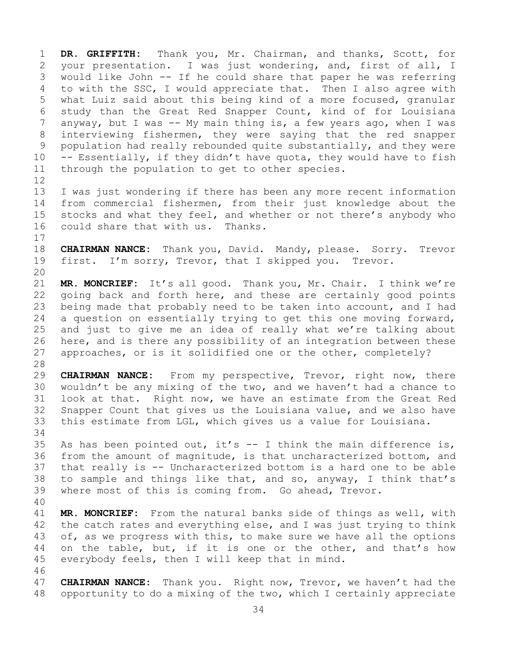1 **DR. GRIFFITH:** Thank you, Mr. Chairman, and thanks, Scott, for 2 your presentation. I was just wondering, and, first of all, I<br>3 would like John -- If he could share that paper he was referring 3 would like John -- If he could share that paper he was referring<br>4 to with the SSC, I would appreciate that. Then I also agree with to with the SSC, I would appreciate that. Then I also agree with 5 what Luiz said about this being kind of a more focused, granular 6 study than the Great Red Snapper Count, kind of for Louisiana 7 anyway, but I was -- My main thing is, a few years ago, when I was<br>8 interviewing fishermen, they were saying that the red snapper 8 interviewing fishermen, they were saying that the red snapper<br>9 population had really rebounded quite substantially, and they were 9 population had really rebounded quite substantially, and they were<br>10 -- Essentially, if they didn't have quota, they would have to fish 10 -- Essentially, if they didn't have quota, they would have to fish  $11$  through the population to get to other species. through the population to get to other species.

12<br>13 I was just wondering if there has been any more recent information 14 from commercial fishermen, from their just knowledge about the<br>15 stocks and what thev feel, and whether or not there's anvbody who 15 stocks and what they feel, and whether or not there's anybody who<br>16 could share that with us. Thanks. could share that with us. Thanks.

 $\begin{array}{c} 17 \\ 18 \end{array}$ 18 **CHAIRMAN NANCE:** Thank you, David. Mandy, please. Sorry. Trevor<br>19 first. I'm sorry, Trevor, that I skipped you. Trevor. first. I'm sorry, Trevor, that I skipped you. Trevor.

20<br>21 21 **MR. MONCRIEF:** It's all good. Thank you, Mr. Chair. I think we're 22 going back and forth here, and these are certainly good points<br>23 being made that probably need to be taken into account, and I had 23 being made that probably need to be taken into account, and I had<br>24 a question on essentially trying to get this one moving forward, 24 a question on essentially trying to get this one moving forward,<br>25 and just to give me an idea of really what we're talking about 25 and just to give me an idea of really what we're talking about<br>26 here, and is there any possibility of an integration between these 26 here, and is there any possibility of an integration between these<br>27 approaches, or is it solidified one or the other, completely? approaches, or is it solidified one or the other, completely?

28<br>29 29 **CHAIRMAN NANCE:** From my perspective, Trevor, right now, there<br>30 wouldn't be any mixing of the two, and we haven't had a chance to 30 wouldn't be any mixing of the two, and we haven't had a chance to<br>31 look at that. Right now, we have an estimate from the Great Red 31 look at that. Right now, we have an estimate from the Great Red<br>32 Snapper Count that gives us the Louisiana value, and we also have Snapper Count that gives us the Louisiana value, and we also have 33 this estimate from LGL, which gives us a value for Louisiana.

34<br>35 35 As has been pointed out, it's  $--$  I think the main difference is,<br>36 from the amount of magnitude, is that uncharacterized bottom, and 36 from the amount of magnitude, is that uncharacterized bottom, and<br>37 that really is -- Uncharacterized bottom is a hard one to be able that really is -- Uncharacterized bottom is a hard one to be able 38 to sample and things like that, and so, anyway, I think that's 39 where most of this is coming from. Go ahead, Trevor. where most of this is coming from. Go ahead, Trevor.

40 41 **MR. MONCRIEF:** From the natural banks side of things as well, with<br>42 the catch rates and everything else, and I was just trying to think 42 the catch rates and everything else, and I was just trying to think<br>43 of, as we progress with this, to make sure we have all the options 43 of, as we progress with this, to make sure we have all the options<br>44 on the table, but, if it is one or the other, and that's how on the table, but, if it is one or the other, and that's how 45 everybody feels, then I will keep that in mind.

46<br>47 47 **CHAIRMAN NANCE:** Thank you. Right now, Trevor, we haven't had the<br>48 opportunity to do a mixing of the two, which I certainly appreciate opportunity to do a mixing of the two, which I certainly appreciate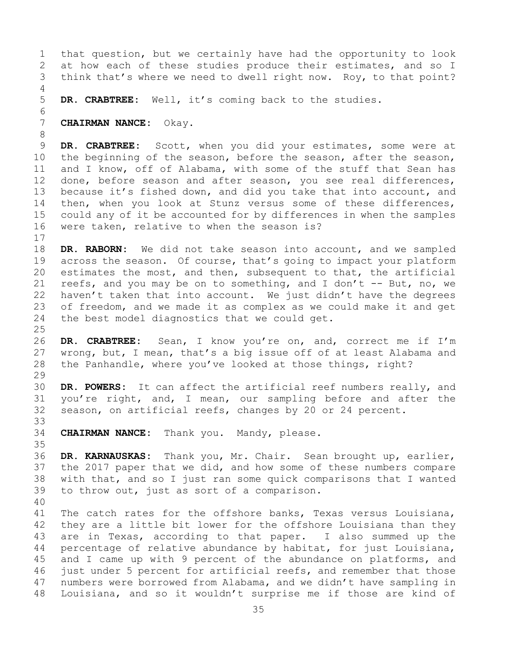1 that question, but we certainly have had the opportunity to look<br>2 at how each of these studies produce their estimates, and so I 2 at how each of these studies produce their estimates, and so I<br>3 think that's where we need to dwell right now. Rov, to that point? think that's where we need to dwell right now. Roy, to that point? 4 5 **DR. CRABTREE:** Well, it's coming back to the studies. 6<br>7 7 **CHAIRMAN NANCE:** Okay. 8<br>9 9 **DR. CRABTREE:** Scott, when you did your estimates, some were at 10 the beginning of the season, before the season, 10 the beginning of the season, before the season, after the season,<br>11 and I know, off of Alabama, with some of the stuff that Sean has 11 and I know, off of Alabama, with some of the stuff that Sean has<br>12 done, before season and after season, you see real differences, done, before season and after season, you see real differences, 13 because it's fished down, and did you take that into account, and 14 then, when you look at Stunz versus some of these differences,<br>15 could any of it be accounted for by differences in when the samples 15 could any of it be accounted for by differences in when the samples<br>16 were taken, relative to when the season is? were taken, relative to when the season is?  $\begin{array}{c} 17 \\ 18 \end{array}$ 18 **DR. RABORN:** We did not take season into account, and we sampled<br>19 across the season. Of course, that's going to impact your platform 19 across the season. Of course, that's going to impact your platform<br>20 estimates the most, and then, subsequent to that, the artificial

20 estimates the most, and then, subsequent to that, the artificial reefs, and you may be on to something, and I don't  $-$ - But, no, we 21 reefs, and you may be on to something, and I don't  $--$  But, no, we<br>22 haven't taken that into account. We just didn't have the degrees 22 haven't taken that into account. We just didn't have the degrees<br>23 of freedom, and we made it as complex as we could make it and get 23 of freedom, and we made it as complex as we could make it and get<br>24 the best model diagnostics that we could get. the best model diagnostics that we could get.

 $\frac{25}{26}$ 26 DR. CRABTREE: Sean, I know you're on, and, correct me if I'm<br>27 wrong, but, I mean, that's a big issue off of at least Alabama and wrong, but, I mean, that's a big issue off of at least Alabama and 28 the Panhandle, where you've looked at those things, right?

29<br>30 30 **DR. POWERS:** It can affect the artificial reef numbers really, and<br>31 you're right, and, I mean, our sampling before and after the 31 you're right, and, I mean, our sampling before and after the<br>32 season, on artificial reefs, changes by 20 or 24 percent. season, on artificial reefs, changes by 20 or 24 percent.

33<br>34 CHAIRMAN NANCE: Thank you. Mandy, please.

35<br>36 DR. KARNAUSKAS: Thank you, Mr. Chair. Sean brought up, earlier, 37 the 2017 paper that we did, and how some of these numbers compare 38 with that, and so I just ran some quick comparisons that I wanted<br>39 to throw out, just as sort of a comparison. to throw out, just as sort of a comparison.

40

41 The catch rates for the offshore banks, Texas versus Louisiana,<br>42 they are a little bit lower for the offshore Louisiana than they 42 they are a little bit lower for the offshore Louisiana than they<br>43 are in Texas, according to that paper. I also summed up the 43 are in Texas, according to that paper. I also summed up the<br>44 percentage of relative abundance by habitat, for just Louisiana, percentage of relative abundance by habitat, for just Louisiana, 45 and I came up with 9 percent of the abundance on platforms, and 46 just under 5 percent for artificial reefs, and remember that those<br>47 numbers were borrowed from Alabama, and we didn't have sampling in 47 numbers were borrowed from Alabama, and we didn't have sampling in<br>48 Iouisiana, and so it wouldn't surprise me if those are kind of Louisiana, and so it wouldn't surprise me if those are kind of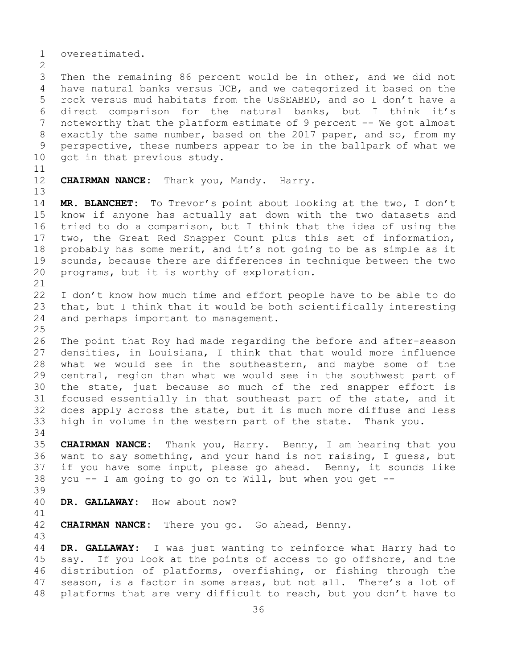1 overestimated.

 $\frac{2}{3}$ 3 Then the remaining 86 percent would be in other, and we did not<br>4 have natural banks versus UCB, and we categorized it based on the have natural banks versus UCB, and we categorized it based on the 5 rock versus mud habitats from the UsSEABED, and so I don't have a 6 direct comparison for the natural banks, but I think it's<br>7 noteworthy that the platform estimate of 9 percent -- We got almost 7 noteworthy that the platform estimate of 9 percent -- We got almost<br>8 exactly the same number, based on the 2017 paper, and so, from my 8 exactly the same number, based on the 2017 paper, and so, from my<br>9 perspective, these numbers appear to be in the ballpark of what we 9 perspective, these numbers appear to be in the ballpark of what we<br>10 qot in that previous study. got in that previous study.

11<br>12

13

CHAIRMAN NANCE: Thank you, Mandy. Harry.

14 **MR. BLANCHET:** To Trevor's point about looking at the two, I don't 15 know if anyone has actually sat down with the two datasets and<br>16 tried to do a comparison, but I think that the idea of using the 16 tried to do a comparison, but I think that the idea of using the<br>17 two, the Great Red Snapper Count plus this set of information, 17 two, the Great Red Snapper Count plus this set of information,<br>18 probably has some merit, and it's not going to be as simple as it 18 probably has some merit, and it's not going to be as simple as it<br>19 sounds, because there are differences in technique between the two 19 sounds, because there are differences in technique between the two<br>20 programs, but it is worthy of exploration. programs, but it is worthy of exploration.

21<br>22 22 I don't know how much time and effort people have to be able to do<br>23 that, but I think that it would be both scientifically interesting 23 that, but I think that it would be both scientifically interesting<br>24 and perhaps important to management. and perhaps important to management.

 $\frac{25}{26}$ 26 The point that Roy had made regarding the before and after-season<br>27 densities, in Louisiana, I think that that would more influence densities, in Louisiana, I think that that would more influence 28 what we would see in the southeastern, and maybe some of the<br>29 central, region than what we would see in the southwest part of 29 central, region than what we would see in the southwest part of<br>30 the state, just because so much of the red snapper effort is 30 the state, just because so much of the red snapper effort is<br>31 focused essentially in that southeast part of the state, and it 31 focused essentially in that southeast part of the state, and it<br>32 does apply across the state, but it is much more diffuse and less does apply across the state, but it is much more diffuse and less 33 high in volume in the western part of the state. Thank you.

34<br>35 35 **CHAIRMAN NANCE:** Thank you, Harry. Benny, I am hearing that you 36 want to say something, and your hand is not raising, I guess, but<br>37 if you have some input, please go ahead. Benny, it sounds like if you have some input, please go ahead. Benny, it sounds like 38 you -- I am going to go on to Will, but when you get --

39

DR. GALLAWAY: How about now?

41<br>42 CHAIRMAN NANCE: There you go. Go ahead, Benny.

43

DR. GALLAWAY: I was just wanting to reinforce what Harry had to 45 say. If you look at the points of access to go offshore, and the 46 distribution of platforms, overfishing, or fishing through the<br>47 season, is a factor in some areas, but not all. There's a lot of 47 season, is a factor in some areas, but not all. There's a lot of<br>48 platforms that are very difficult to reach, but you don't have to platforms that are very difficult to reach, but you don't have to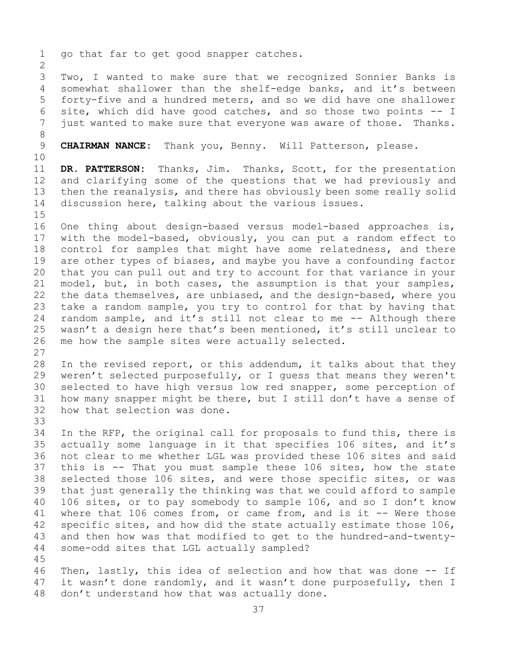1 go that far to get good snapper catches.  $\frac{2}{3}$ 3 Two, I wanted to make sure that we recognized Sonnier Banks is<br>4 somewhat shallower than the shelf-edge banks, and it's between somewhat shallower than the shelf-edge banks, and it's between 5 forty-five and a hundred meters, and so we did have one shallower 6 site, which did have good catches, and so those two points -- I<br>7 just wanted to make sure that evervone was aware of those. Thanks. just wanted to make sure that everyone was aware of those. Thanks. 8 CHAIRMAN NANCE: Thank you, Benny. Will Patterson, please. 10<br>11 11 **DR. PATTERSON:** Thanks, Jim. Thanks, Scott, for the presentation<br>12 and clarifying some of the questions that we had previously and and clarifying some of the questions that we had previously and 13 then the reanalysis, and there has obviously been some really solid 14 discussion here, talking about the various issues.  $15$ <br> $16$ 16 One thing about design-based versus model-based approaches is,<br>17 with the model-based, obviously, you can put a random effect to 17 with the model-based, obviously, you can put a random effect to<br>18 control for samples that might have some relatedness, and there 18 control for samples that might have some relatedness, and there<br>19 are other types of biases, and maybe you have a confounding factor 19 are other types of biases, and maybe you have a confounding factor<br>20 that you can pull out and try to account for that variance in your 20 that you can pull out and try to account for that variance in your<br>21 model, but, in both cases, the assumption is that your samples, 21 model, but, in both cases, the assumption is that your samples,<br>22 the data themselves, are unbiased, and the design-based, where you 22 the data themselves, are unbiased, and the design-based, where you<br>23 take a random sample, you try to control for that by having that 23 take a random sample, you try to control for that by having that<br>24 random sample, and it's still not clear to me -- Although there 24 random sample, and it's still not clear to me -- Although there<br>25 wasn't a design here that's been mentioned, it's still unclear to 25 wasn't a design here that's been mentioned, it's still unclear to<br>26 me how the sample sites were actually selected. me how the sample sites were actually selected.  $\frac{27}{28}$ 28 In the revised report, or this addendum, it talks about that they<br>29 weren't selected purposefully, or I quess that means they weren't 29 weren't selected purposefully, or I guess that means they weren't<br>30 selected to have high versus low red snapper, some perception of 30 selected to have high versus low red snapper, some perception of<br>31 how many snapper might be there, but I still don't have a sense of 31 how many snapper might be there, but I still don't have a sense of 32 how that selection was done. how that selection was done. 33<br>34 34 In the RFP, the original call for proposals to fund this, there is<br>35 actually some language in it that specifies 106 sites, and it's 35 actually some language in it that specifies 106 sites, and it's<br>36 not clear to me whether LGL was provided these 106 sites and said 36 not clear to me whether LGL was provided these 106 sites and said<br>37 this is -- That you must sample these 106 sites, how the state this is -- That you must sample these 106 sites, how the state 38 selected those 106 sites, and were those specific sites, or was<br>39 that just generally the thinking was that we could afford to sample 39 that just generally the thinking was that we could afford to sample<br>40 106 sites, or to pay somebody to sample 106, and so I don't know 40 106 sites, or to pay somebody to sample 106, and so I don't know<br>41 where that 106 comes from, or came from, and is it -- Were those 41 where that 106 comes from, or came from, and is it  $-$  Were those 42 specific sites, and how did the state actually estimate those 106, 42 specific sites, and how did the state actually estimate those 106,<br>43 and then how was that modified to get to the hundred-and-twenty-43 and then how was that modified to get to the hundred-and-twenty-<br>44 some-odd sites that LGL actually sampled? some-odd sites that LGL actually sampled? 45 46 Then, lastly, this idea of selection and how that was done  $-$ - If 47 it wasn't done randomly, and it wasn't done purposefully, then I

47 it wasn't done randomly, and it wasn't done purposefully, then I<br>48 don't understand how that was actually done. don't understand how that was actually done.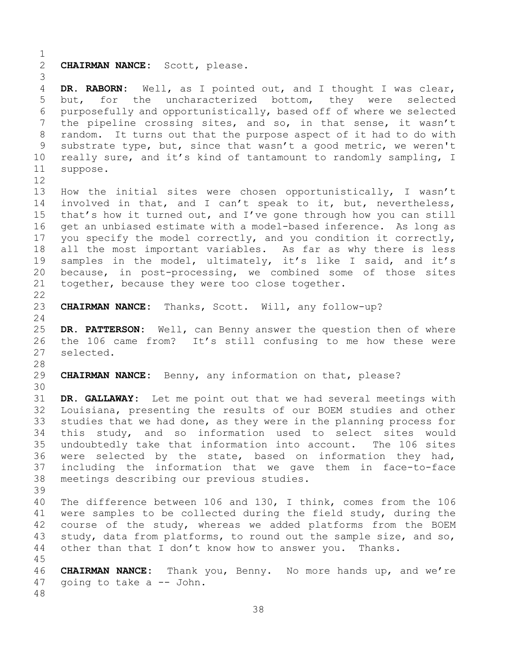$\frac{1}{2}$ CHAIRMAN NANCE: Scott, please. 3 DR. RABORN: Well, as I pointed out, and I thought I was clear, 5 but, for the uncharacterized bottom, they were selected 6 purposefully and opportunistically, based off of where we selected<br>7 the pipeline crossing sites, and so, in that sense, it wasn't 7 the pipeline crossing sites, and so, in that sense, it wasn't<br>8 random. It turns out that the purpose aspect of it had to do with 8 random. It turns out that the purpose aspect of it had to do with<br>9 substrate type, but, since that wasn't a good metric, we weren't 9 substrate type, but, since that wasn't a good metric, we weren't<br>10 really sure, and it's kind of tantamount to randomly sampling, I 10 really sure, and it's kind of tantamount to randomly sampling, I<br>11 suppose. suppose. 12<br>13 How the initial sites were chosen opportunistically, I wasn't 14 involved in that, and I can't speak to it, but, nevertheless,<br>15 that's how it turned out, and I've gone through how you can still 15 that's how it turned out, and I've gone through how you can still<br>16 qet an unbiased estimate with a model-based inference. As long as 16 get an unbiased estimate with a model-based inference. As long as<br>17 you specify the model correctly, and you condition it correctly, 17 you specify the model correctly, and you condition it correctly,<br>18 all the most important variables. As far as why there is less 18 all the most important variables. As far as why there is less<br>19 samples in the model, ultimately, it's like I said, and it's 19 samples in the model, ultimately, it's like I said, and it's<br>20 because, in post-processing, we combined some of those sites 20 because, in post-processing, we combined some of those sites<br>21 together, because they were too close together. together, because they were too close together.  $\begin{array}{c} 22 \\ 23 \end{array}$ CHAIRMAN NANCE: Thanks, Scott. Will, any follow-up?  $\frac{24}{25}$ 25 **DR. PATTERSON:** Well, can Benny answer the question then of where<br>26 the 106 came from? It's still confusing to me how these were 26 the 106 came from? It's still confusing to me how these were<br>27 selected. selected. 28<br>29 CHAIRMAN NANCE: Benny, any information on that, please? 30<br>31 31 **DR. GALLAWAY:** Let me point out that we had several meetings with Louisiana, presenting the results of our BOEM studies and other 33 studies that we had done, as they were in the planning process for<br>34 this study, and so information used to select sites would 34 this study, and so information used to select sites would<br>35 undoubtedly take that information into account. The 106 sites 35 undoubtedly take that information into account. The 106 sites<br>36 were selected by the state, based on information they had, were selected by the state, based on information they had, 37 including the information that we gave them in face-to-face 38 meetings describing our previous studies. 39 40 The difference between 106 and 130, I think, comes from the 106<br>41 were samples to be collected during the field study, during the 41 were samples to be collected during the field study, during the<br>42 course of the study, whereas we added platforms from the BOEM 42 course of the study, whereas we added platforms from the BOEM<br>43 study, data from platforms, to round out the sample size, and so, 43 study, data from platforms, to round out the sample size, and so,<br>44 other than that I don't know how to answer you. Thanks. other than that I don't know how to answer you. Thanks. 45 46 **CHAIRMAN NANCE:** Thank you, Benny. No more hands up, and we're 47 going to take a -- John. 48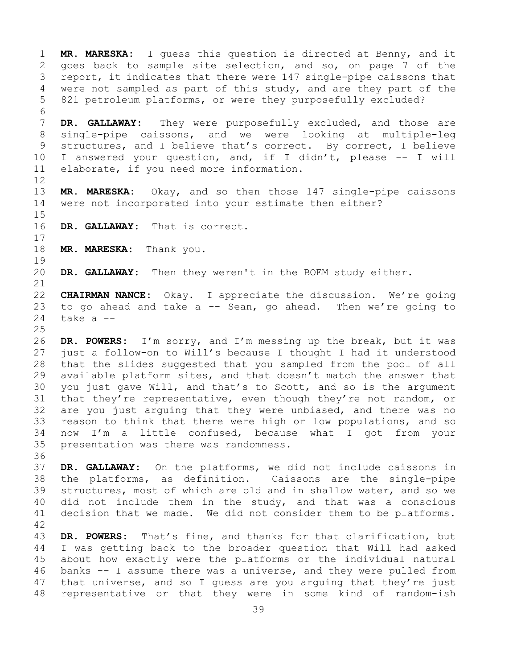1 **MR. MARESKA:** I guess this question is directed at Benny, and it 2 goes back to sample site selection, and so, on page 7 of the<br>3 report, it indicates that there were 147 single-pipe caissons that 3 report, it indicates that there were 147 single-pipe caissons that<br>4 were not sampled as part of this study, and are they part of the were not sampled as part of this study, and are they part of the 5 821 petroleum platforms, or were they purposefully excluded?

6<br>7 7 **DR. GALLAWAY:** They were purposefully excluded, and those are<br>8 single-pipe caissons, and we were looking at multiple-leg 8 single-pipe caissons, and we were looking at multiple-leg<br>9 structures, and I believe that's correct. By correct, I believe 9 structures, and I believe that's correct. By correct, I believe<br>10 I answered your question, and, if I didn't, please -- I will 10 I answered your question, and, if I didn't, please -- I will<br>11 elaborate, if you need more information. elaborate, if you need more information.

12<br>13 MR. MARESKA: Okay, and so then those 147 single-pipe caissons 14 were not incorporated into your estimate then either?

- $15$ <br> $16$ DR. GALLAWAY: That is correct.
- $\begin{array}{c} 17 \\ 18 \end{array}$ MR. MARESKA: Thank you.

 $\begin{array}{c} 19 \\ 20 \end{array}$ DR. GALLAWAY: Then they weren't in the BOEM study either.

21<br>22 22 **CHAIRMAN NANCE:** Okay. I appreciate the discussion. We're going 23 to go ahead and take a  $-$  Sean, go ahead. Then we're going to 24 take a  $$ take a --

 $\frac{25}{26}$ 26 **DR. POWERS:** I'm sorry, and I'm messing up the break, but it was just a follow-on to Will's because I thought I had it understood 28 that the slides suggested that you sampled from the pool of all<br>29 available platform sites, and that doesn't match the answer that 29 available platform sites, and that doesn't match the answer that<br>30 you just gave Will, and that's to Scott, and so is the argument 30 you just gave Will, and that's to Scott, and so is the argument<br>31 that they're representative, even though they're not random, or 31 that they're representative, even though they're not random, or<br>32 are vou just arquing that they were unbiased, and there was no 32 are you just arguing that they were unbiased, and there was no<br>33 reason to think that there were high or low populations, and so 33 reason to think that there were high or low populations, and so<br>34 now I'm a little confused, because what I got from your 34 now I'm a little confused, because what I got from your<br>35 presentation was there was randomness. presentation was there was randomness.

36<br>37 DR. GALLAWAY: On the platforms, we did not include caissons in 38 the platforms, as definition. Caissons are the single-pipe<br>39 structures, most of which are old and in shallow water, and so we 39 structures, most of which are old and in shallow water, and so we<br>40 did not include them in the study, and that was a conscious 40 did not include them in the study, and that was a conscious<br>41 decision that we made. We did not consider them to be platforms. decision that we made. We did not consider them to be platforms.

42 43 DR. POWERS: That's fine, and thanks for that clarification, but<br>44 I was getting back to the broader question that Will had asked I was getting back to the broader question that Will had asked 45 about how exactly were the platforms or the individual natural 46 banks  $-$  I assume there was a universe, and they were pulled from<br>47 that universe, and so I quess are you arquing that they're just 47 that universe, and so I guess are you arguing that they're just<br>48 representative or that they were in some kind of random-ish representative or that they were in some kind of random-ish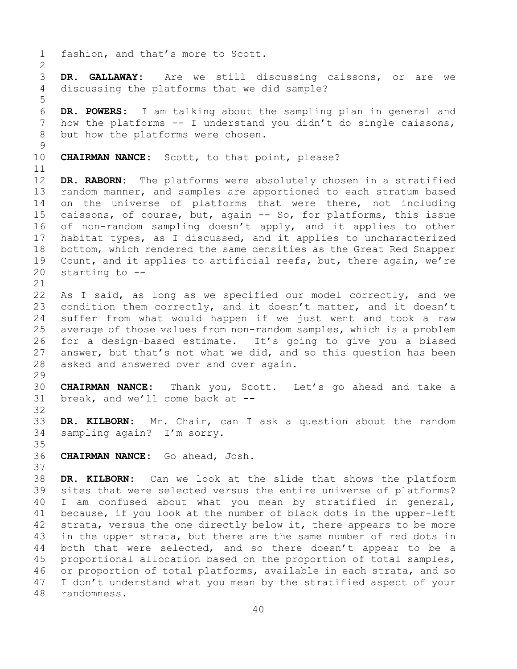1 fashion, and that's more to Scott.  $\frac{2}{3}$ 3 **DR. GALLAWAY:** Are we still discussing caissons, or are we discussing the platforms that we did sample? 5 6 **DR. POWERS:** I am talking about the sampling plan in general and 7 how the platforms -- I understand you didn't do single caissons,<br>8 but how the platforms were chosen. but how the platforms were chosen.  $\frac{9}{10}$ CHAIRMAN NANCE: Scott, to that point, please? 11<br>12 DR. RABORN: The platforms were absolutely chosen in a stratified 13 random manner, and samples are apportioned to each stratum based 14 on the universe of platforms that were there, not including<br>15 caissons, of course, but, again -- So, for platforms, this issue 15 caissons, of course, but, again -- So, for platforms, this issue<br>16 of non-random sampling doesn't apply, and it applies to other 16 of non-random sampling doesn't apply, and it applies to other<br>17 habitat types, as I discussed, and it applies to uncharacterized 17 habitat types, as I discussed, and it applies to uncharacterized<br>18 bottom, which rendered the same densities as the Great Red Snapper 18 bottom, which rendered the same densities as the Great Red Snapper<br>19 Count, and it applies to artificial reefs, but, there again, we're 19 Count, and it applies to artificial reefs, but, there again, we're  $20$  starting to  $$ starting to  $-$ -21<br>22 22 As I said, as long as we specified our model correctly, and we<br>23 condition them correctly, and it doesn't matter, and it doesn't 23 condition them correctly, and it doesn't matter, and it doesn't<br>24 suffer from what would happen if we just went and took a raw 24 suffer from what would happen if we just went and took a raw<br>25 average of those values from non-random samples, which is a problem 25 average of those values from non-random samples, which is a problem<br>26 for a design-based estimate. It's going to give you a biased 26 for a design-based estimate. It's going to give you a biased<br>27 answer, but that's not what we did, and so this question has been answer, but that's not what we did, and so this question has been 28 asked and answered over and over again. 29<br>30 30 **CHAIRMAN NANCE:** Thank you, Scott. Let's go ahead and take a break, and we'll come back at  $-$ -32 33 **DR. KILBORN:** Mr. Chair, can I ask a question about the random sampling again? I'm sorry. 35<br>36 36 **CHAIRMAN NANCE:** Go ahead, Josh. 37 38 **DR. KILBORN:** Can we look at the slide that shows the platform<br>39 sites that were selected versus the entire universe of platforms? 39 sites that were selected versus the entire universe of platforms?<br>40 I am confused about what you mean by stratified in general, 40 I am confused about what you mean by stratified in general,<br>41 because, if you look at the number of black dots in the upper-left 41 because, if you look at the number of black dots in the upper-left<br>42 strata, versus the one directly below it, there appears to be more 42 strata, versus the one directly below it, there appears to be more<br>43 in the upper strata, but there are the same number of red dots in 43 in the upper strata, but there are the same number of red dots in<br>44 both that were selected, and so there doesn't appear to be a both that were selected, and so there doesn't appear to be a 45 proportional allocation based on the proportion of total samples, 46 or proportion of total platforms, available in each strata, and so<br>47 I don't understand what vou mean by the stratified aspect of vour 47 I don't understand what you mean by the stratified aspect of your<br>48 randomness. 48 randomness.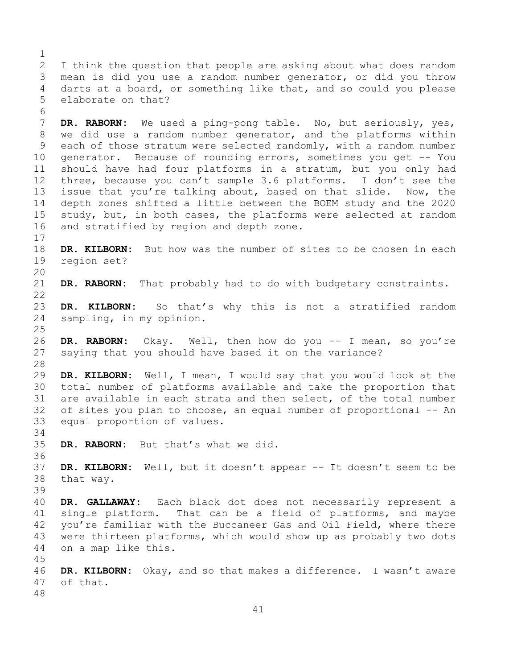$\frac{1}{2}$ 2 I think the question that people are asking about what does random<br>3 mean is did you use a random number generator, or did you throw 3 mean is did you use a random number generator, or did you throw<br>4 darts at a board, or something like that, and so could you please darts at a board, or something like that, and so could you please 5 elaborate on that?

6<br>7 7 **DR. RABORN:** We used a ping-pong table. No, but seriously, yes,<br>8 we did use a random number generator, and the platforms within 8 we did use a random number generator, and the platforms within<br>9 each of those stratum were selected randomly, with a random number 9 each of those stratum were selected randomly, with a random number<br>10 generator. Because of rounding errors, sometimes you get -- You 10 generator. Because of rounding errors, sometimes you get -- You<br>11 should have had four platforms in a stratum, but you only had 11 should have had four platforms in a stratum, but you only had<br>12 three, because you can't sample 3.6 platforms. I don't see the three, because you can't sample 3.6 platforms. I don't see the 13 issue that you're talking about, based on that slide. Now, the 14 depth zones shifted a little between the BOEM study and the 2020<br>15 study, but, in both cases, the platforms were selected at random 15 study, but, in both cases, the platforms were selected at random<br>16 and stratified by region and depth zone. and stratified by region and depth zone.

 $\frac{17}{18}$ 18 **DR. KILBORN:** But how was the number of sites to be chosen in each reqion set? region set?

20<br>21 DR. RABORN: That probably had to do with budgetary constraints.

 $\begin{array}{c} 22 \\ 23 \end{array}$ 23 **DR. KILBORN:** So that's why this is not a stratified random<br>24 sampling, in my opinion. sampling, in my opinion.

 $\frac{25}{26}$ 26 **DR. RABORN:** Okay. Well, then how do you -- I mean, so you're saying that you should have based it on the variance?

28<br>29 29 **DR. KILBORN:** Well, I mean, I would say that you would look at the 30 total number of platforms available and take the proportion that<br>31 are available in each strata and then select, of the total number 31 are available in each strata and then select, of the total number<br>32 of sites vou plan to choose, an equal number of proportional -- An of sites you plan to choose, an equal number of proportional -- An 33 equal proportion of values.

34<br>35 DR. RABORN: But that's what we did.

45

36<br>37 DR. KILBORN: Well, but it doesn't appear -- It doesn't seem to be 38 that way.

39 40 **DR. GALLAWAY:** Each black dot does not necessarily represent a 41 single platform. That can be a field of platforms, and maybe<br>42 vou're familiar with the Buccaneer Gas and Oil Field, where there 42 you're familiar with the Buccaneer Gas and Oil Field, where there<br>43 were thirteen platforms, which would show up as probably two dots 43 were thirteen platforms, which would show up as probably two dots<br>44 on a map like this. on a map like this.

46 **DR. KILBORN:** Okay, and so that makes a difference. I wasn't aware of that. 48

41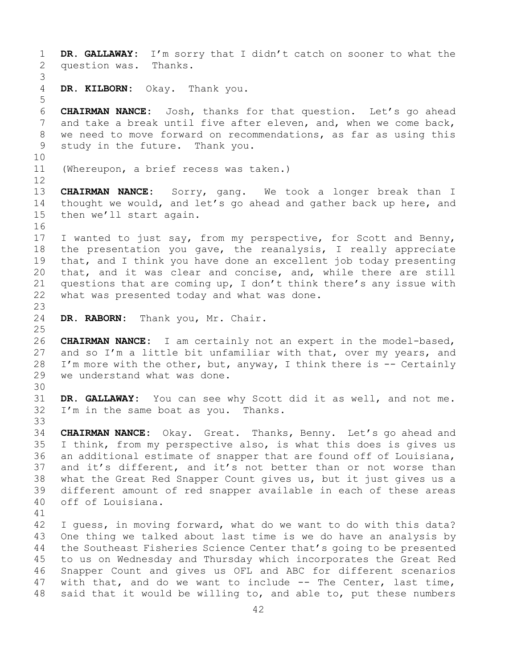1 **DR. GALLAWAY:** I'm sorry that I didn't catch on sooner to what the question was. 3 DR. KILBORN: Okay. Thank you. 5 6 **CHAIRMAN NANCE:** Josh, thanks for that question. Let's go ahead 7 and take a break until five after eleven, and, when we come back,<br>8 we need to move forward on recommendations, as far as using this 8 we need to move forward on recommendations, as far as using this<br>9 study in the future. Thank you. study in the future. Thank you. 10<br>11 (Whereupon, a brief recess was taken.) 12<br>13 CHAIRMAN NANCE: Sorry, gang. We took a longer break than I 14 thought we would, and let's go ahead and gather back up here, and<br>15 then we'll start again. then we'll start again. 16<br>17 17 I wanted to just say, from my perspective, for Scott and Benny,<br>18 the presentation you gave, the reanalysis, I really appreciate 18 the presentation you gave, the reanalysis, I really appreciate<br>19 that, and I think you have done an excellent job today presenting 19 that, and I think you have done an excellent job today presenting<br>20 that, and it was clear and concise, and, while there are still 20 that, and it was clear and concise, and, while there are still<br>21 questions that are coming up, I don't think there's any issue with 21 questions that are coming up, I don't think there's any issue with  $22$  what was presented today and what was done. what was presented today and what was done. 23 DR. RABORN: Thank you, Mr. Chair.  $\frac{25}{26}$ 26 **CHAIRMAN NANCE:** I am certainly not an expert in the model-based,<br>27 and so I'm a little bit unfamiliar with that, over my years, and and so I'm a little bit unfamiliar with that, over my years, and 28 I'm more with the other, but, anyway, I think there is  $-$ - Certainly 29 we understand what was done. we understand what was done. 30<br>31 31 DR. GALLAWAY: You can see why Scott did it as well, and not me.<br>32 I'm in the same boat as you. Thanks. I'm in the same boat as you. Thanks. 33<br>34 34 **CHAIRMAN NANCE:** Okay. Great. Thanks, Benny. Let's go ahead and 35 I think, from my perspective also, is what this does is gives us<br>36 an additional estimate of snapper that are found off of Louisiana, an additional estimate of snapper that are found off of Louisiana, 37 and it's different, and it's not better than or not worse than 38 what the Great Red Snapper Count gives us, but it just gives us a<br>39 different amount of red snapper available in each of these areas 39 different amount of red snapper available in each of these areas<br>40 off of Louisiana. off of Louisiana. 41<br>42 42 I guess, in moving forward, what do we want to do with this data?<br>43 One thing we talked about last time is we do have an analysis by 43 One thing we talked about last time is we do have an analysis by<br>44 the Southeast Fisheries Science Center that's going to be presented the Southeast Fisheries Science Center that's going to be presented 45 to us on Wednesday and Thursday which incorporates the Great Red 46 Snapper Count and gives us OFL and ABC for different scenarios<br>47 with that, and do we want to include -- The Center, last time,

47 with that, and do we want to include -- The Center, last time,<br>48 said that it would be willing to, and able to, put these numbers said that it would be willing to, and able to, put these numbers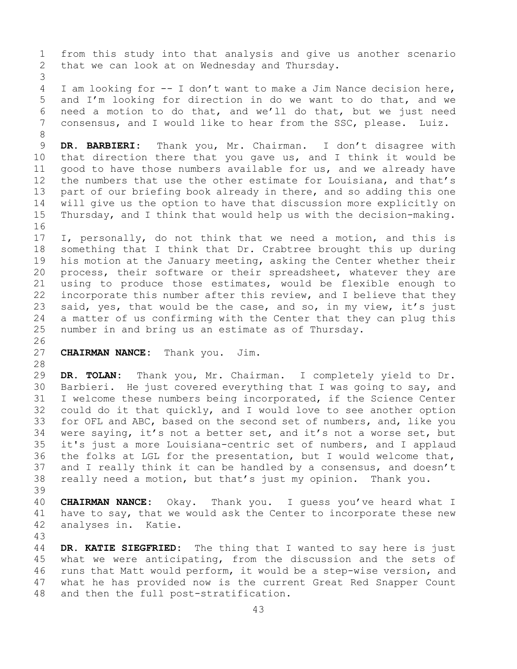1 from this study into that analysis and give us another scenario<br>2 that we can look at on Wednesday and Thursday. that we can look at on Wednesday and Thursday. 3 I am looking for -- I don't want to make a Jim Nance decision here, 5 and I'm looking for direction in do we want to do that, and we 6 need a motion to do that, and we'll do that, but we just need<br>7 consensus, and I would like to hear from the SSC, please. Luiz. consensus, and I would like to hear from the SSC, please. Luiz. 8<br>9 9 DR. BARBIERI: Thank you, Mr. Chairman. I don't disagree with<br>10 that direction there that you gave us, and I think it would be 10 that direction there that you gave us, and I think it would be<br>11 good to have those numbers available for us, and we already have 11 good to have those numbers available for us, and we already have<br>12 the numbers that use the other estimate for Louisiana, and that's the numbers that use the other estimate for Louisiana, and that's 13 part of our briefing book already in there, and so adding this one 14 will give us the option to have that discussion more explicitly on<br>15 Thursdav, and I think that would help us with the decision-making. Thursday, and I think that would help us with the decision-making. 16<br>17 17 I, personally, do not think that we need a motion, and this is<br>18 something that I think that Dr. Crabtree brought this up during 18 something that I think that Dr. Crabtree brought this up during<br>19 his motion at the January meeting, asking the Center whether their 19 his motion at the January meeting, asking the Center whether their<br>20 process, their software or their spreadsheet, whatever they are process, their software or their spreadsheet, whatever they are 21 using to produce those estimates, would be flexible enough to<br>22 incorporate this number after this review, and I believe that they 22 incorporate this number after this review, and I believe that they<br>23 said, yes, that would be the case, and so, in my view, it's just 23 said, yes, that would be the case, and so, in my view, it's just<br>24 a matter of us confirming with the Center that they can plug this 24 a matter of us confirming with the Center that they can plug this<br>25 number in and bring us an estimate as of Thursday. number in and bring us an estimate as of Thursday. 26<br>27 **CHAIRMAN NANCE:** Thank you. Jim. 28<br>29 DR. TOLAN: Thank you, Mr. Chairman. I completely yield to Dr. 30 Barbieri. He just covered everything that I was going to say, and<br>31 I welcome these numbers being incorporated, if the Science Center 31 I welcome these numbers being incorporated, if the Science Center<br>32 could do it that quickly, and I would love to see another option could do it that quickly, and I would love to see another option 33 for OFL and ABC, based on the second set of numbers, and, like you<br>34 were saying, it's not a better set, and it's not a worse set, but 34 were saying, it's not a better set, and it's not a worse set, but<br>35 it's just a more Louisiana-centric set of numbers, and I applaud 35 it's just a more Louisiana-centric set of numbers, and I applaud<br>36 the folks at LGL for the presentation, but I would welcome that, the folks at LGL for the presentation, but I would welcome that, 37 and I really think it can be handled by a consensus, and doesn't 38 really need a motion, but that's just my opinion. Thank you. 39 40 **CHAIRMAN NANCE:** Okay. Thank you. I guess you've heard what I<br>41 have to say, that we would ask the Center to incorporate these new 41 have to say, that we would ask the Center to incorporate these new<br>42 analyses in. Katie. analyses in. Katie. 43 DR. KATIE SIEGFRIED: The thing that I wanted to say here is just 45 what we were anticipating, from the discussion and the sets of 46 runs that Matt would perform, it would be a step-wise version, and<br>47 what he has provided now is the current Great Red Snapper Count

47 what he has provided now is the current Great Red Snapper Count<br>48 and then the full post-stratification. and then the full post-stratification.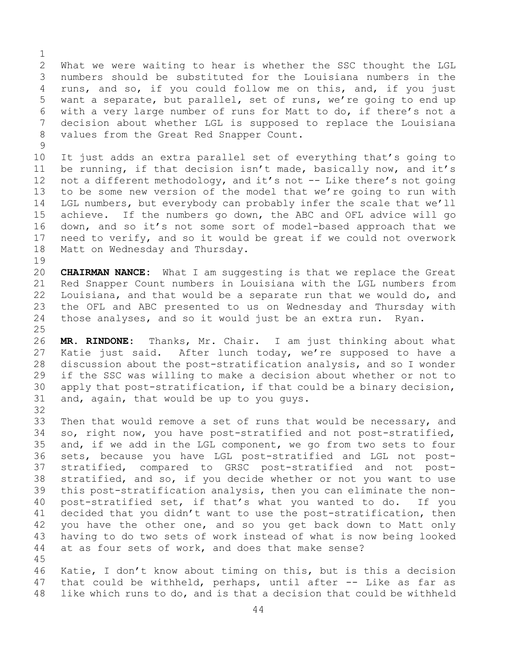$\frac{1}{2}$ 2 What we were waiting to hear is whether the SSC thought the LGL<br>3 numbers should be substituted for the Louisiana numbers in the 3 numbers should be substituted for the Louisiana numbers in the<br>4 runs, and so, if you could follow me on this, and, if you just runs, and so, if you could follow me on this, and, if you just 5 want a separate, but parallel, set of runs, we're going to end up 6 with a very large number of runs for Matt to do, if there's not a<br>7 decision about whether LGL is supposed to replace the Louisiana 7 decision about whether LGL is supposed to replace the Louisiana<br>8 values from the Great Red Snapper Count. values from the Great Red Snapper Count.

 $\begin{array}{c} 9 \\ 10 \end{array}$ 10 It just adds an extra parallel set of everything that's going to<br>11 be running, if that decision isn't made, basically now, and it's 11 be running, if that decision isn't made, basically now, and it's<br>12 not a different methodology, and it's not -- Like there's not going not a different methodology, and it's not -- Like there's not going 13 to be some new version of the model that we're going to run with 14 LGL numbers, but everybody can probably infer the scale that we'll<br>15 achieve. If the numbers go down, the ABC and OFL advice will go 15 achieve. If the numbers go down, the ABC and OFL advice will go<br>16 down, and so it's not some sort of model-based approach that we 16 down, and so it's not some sort of model-based approach that we<br>17 need to verify, and so it would be great if we could not overwork 17 need to verify, and so it would be great if we could not overwork<br>18 Matt on Wednesday and Thursday. Matt on Wednesday and Thursday.

 $\begin{array}{c} 19 \\ 20 \end{array}$ 20 **CHAIRMAN NANCE:** What I am suggesting is that we replace the Great<br>21 Red Snapper Count numbers in Louisiana with the LGL numbers from 21 Red Snapper Count numbers in Louisiana with the LGL numbers from<br>22 Louisiana, and that would be a separate run that we would do, and 22 Louisiana, and that would be a separate run that we would do, and<br>23 the OFL and ABC presented to us on Wednesday and Thursday with 23 the OFL and ABC presented to us on Wednesday and Thursday with<br>24 those analyses, and so it would just be an extra run. Ryan. those analyses, and so it would just be an extra run. Ryan.

 $\frac{25}{26}$ 26 **MR. RINDONE:** Thanks, Mr. Chair. I am just thinking about what After lunch today, we're supposed to have a 28 discussion about the post-stratification analysis, and so I wonder<br>29 if the SSC was willing to make a decision about whether or not to if the SSC was willing to make a decision about whether or not to 30 apply that post-stratification, if that could be a binary decision,<br>31 and, again, that would be up to you quys. and, again, that would be up to you guys. 32

33 Then that would remove a set of runs that would be necessary, and<br>34 so, right now, you have post-stratified and not post-stratified, 34 so, right now, you have post-stratified and not post-stratified,<br>35 and, if we add in the LGL component, we go from two sets to four 35 and, if we add in the LGL component, we go from two sets to four<br>36 sets, because you have LGL post-stratified and LGL not postsets, because you have LGL post-stratified and LGL not post-37 stratified, compared to GRSC post-stratified and not post-38 stratified, and so, if you decide whether or not you want to use<br>39 this post-stratification analysis, then you can eliminate the non-39 this post-stratification analysis, then you can eliminate the non-<br>40 post-stratified set, if that's what you wanted to do. If you 40 post-stratified set, if that's what you wanted to do.<br>41 decided that you didn't want to use the post-stratificatio 41 decided that you didn't want to use the post-stratification, then<br>42 you have the other one, and so you get back down to Matt only 42 you have the other one, and so you get back down to Matt only<br>43 having to do two sets of work instead of what is now being looked 43 having to do two sets of work instead of what is now being looked<br>44 at as four sets of work, and does that make sense? at as four sets of work, and does that make sense? 45

46 Katie, I don't know about timing on this, but is this a decision<br>47 that could be withheld, perhaps, until after -- Like as far as 47 that could be withheld, perhaps, until after  $-$ - Like as far as  $48$  like which runs to do, and is that a decision that could be withheld like which runs to do, and is that a decision that could be withheld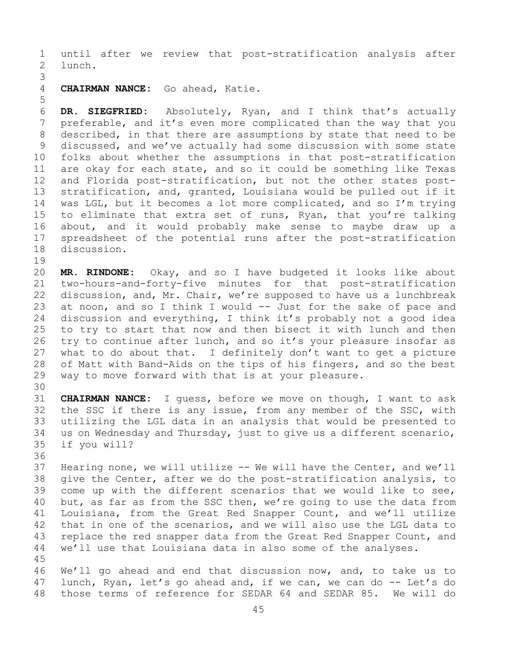1 until after we review that post-stratification analysis after 2 lunch.

3 CHAIRMAN NANCE: Go ahead, Katie.

6 **DR. SIEGFRIED:** Absolutely, Ryan, and I think that's actually 7 preferable, and it's even more complicated than the way that you<br>8 described, in that there are assumptions by state that need to be 8 described, in that there are assumptions by state that need to be<br>9 discussed, and we've actually had some discussion with some state 9 discussed, and we've actually had some discussion with some state<br>10 folks about whether the assumptions in that post-stratification 10 folks about whether the assumptions in that post-stratification<br>11 are okay for each state, and so it could be something like Texas 11 are okay for each state, and so it could be something like Texas<br>12 and Florida post-stratification, but not the other states post-12 and Florida post-stratification, but not the other states post-<br>13 stratification, and, granted, Louisiana would be pulled out if it stratification, and, granted, Louisiana would be pulled out if it 14 was LGL, but it becomes a lot more complicated, and so I'm trying<br>15 to eliminate that extra set of runs, Rvan, that vou're talking 15 to eliminate that extra set of runs, Ryan, that you're talking<br>16 about, and it would probably make sense to maybe draw up a 16 about, and it would probably make sense to maybe draw up a<br>17 spreadsheet of the potential runs after the post-stratification 17 spreadsheet of the potential runs after the post-stratification<br>18 discussion. discussion.

19<br>20 20 **MR. RINDONE:** Okay, and so I have budgeted it looks like about 21 two-hours-and-forty-five minutes for that post-stratification<br>22 discussion, and, Mr. Chair, we're supposed to have us a lunchbreak 22 discussion, and, Mr. Chair, we're supposed to have us a lunchbreak<br>23 at noon, and so I think I would -- Just for the sake of pace and 23 at noon, and so I think I would -- Just for the sake of pace and<br>24 discussion and everything, I think it's probably not a good idea 24 discussion and everything, I think it's probably not a good idea<br>25 to try to start that now and then bisect it with lunch and then 25 to try to start that now and then bisect it with lunch and then<br>26 try to continue after lunch, and so it's your pleasure insofar as 26 try to continue after lunch, and so it's your pleasure insofar as<br>27 what to do about that. I definitely don't want to get a picture 27 what to do about that. I definitely don't want to get a picture<br>28 of Matt with Band-Aids on the tips of his fingers, and so the best 28 of Matt with Band-Aids on the tips of his fingers, and so the best<br>29 way to move forward with that is at your pleasure. way to move forward with that is at your pleasure.

30<br>31 31 **CHAIRMAN NANCE:** I guess, before we move on though, I want to ask 32 the SSC if there is any issue, from any member of the SSC, with<br>33 utilizing the LGL data in an analysis that would be presented to 33 utilizing the LGL data in an analysis that would be presented to<br>34 us on Wednesday and Thursday, just to give us a different scenario, 34 us on Wednesday and Thursday, just to give us a different scenario,<br>35 if you will? if you will?

36<br>37

5

37 Hearing none, we will utilize -- We will have the Center, and we'll<br>38 qive the Center, after we do the post-stratification analysis, to 38 give the Center, after we do the post-stratification analysis, to<br>39 come up with the different scenarios that we would like to see, 39 come up with the different scenarios that we would like to see,<br>40 but, as far as from the SSC then, we're going to use the data from 40 but, as far as from the SSC then, we're going to use the data from<br>41 Louisiana, from the Great Red Snapper Count, and we'll utilize 41 Louisiana, from the Great Red Snapper Count, and we'll utilize<br>42 that in one of the scenarios, and we will also use the LGL data to 42 that in one of the scenarios, and we will also use the LGL data to<br>43 replace the red snapper data from the Great Red Snapper Count, and 43 replace the red snapper data from the Great Red Snapper Count, and<br>44 we'll use that Louisiana data in also some of the analyses. we'll use that Louisiana data in also some of the analyses.

45

46 We'll go ahead and end that discussion now, and, to take us to<br>47 lunch, Rvan, let's go ahead and, if we can, we can do -- Let's do 47 lunch, Ryan, let's go ahead and, if we can, we can do -- Let's do<br>48 those terms of reference for SEDAR 64 and SEDAR 85. We will do those terms of reference for SEDAR 64 and SEDAR 85. We will do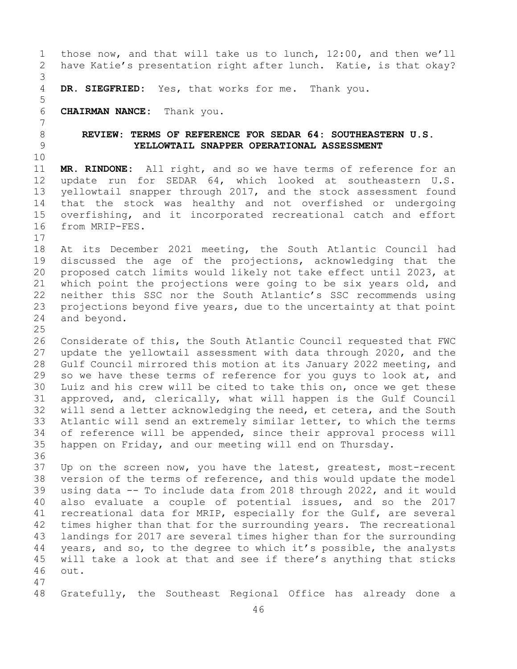1 those now, and that will take us to lunch, 12:00, and then we'll<br>2 have Katie's presentation right after lunch. Katie, is that okay? have Katie's presentation right after lunch. Katie, is that okay? 3 DR. SIEGFRIED: Yes, that works for me. Thank you. 5 6 **CHAIRMAN NANCE:** Thank you. 7 8 **REVIEW: TERMS OF REFERENCE FOR SEDAR 64: SOUTHEASTERN U.S.** 9 **YELLOWTAIL SNAPPER OPERATIONAL ASSESSMENT** 10<br>11 11 **MR. RINDONE:** All right, and so we have terms of reference for an 12 update run for SEDAR 64, which looked at southeastern U.S.<br>13 vellowtail snapper through 2017, and the stock assessment found vellowtail snapper through 2017, and the stock assessment found 14 that the stock was healthy and not overfished or undergoing<br>15 overfishing, and it incorporated recreational catch and effort 15 overfishing, and it incorporated recreational catch and effort<br>16 from MRIP-FES. from MRIP-FES.  $\begin{array}{c} 17 \\ 18 \end{array}$ 18 At its December 2021 meeting, the South Atlantic Council had<br>19 discussed the age of the projections, acknowledging that the 19 discussed the age of the projections, acknowledging that the<br>20 proposed catch limits would likely not take effect until 2023, at 20 proposed catch limits would likely not take effect until 2023, at<br>21 which point the projections were going to be six years old, and 21 which point the projections were going to be six years old, and<br>22 neither this SSC nor the South Atlantic's SSC recommends using 22 neither this SSC nor the South Atlantic's SSC recommends using<br>23 projections beyond five years, due to the uncertainty at that point 23 projections beyond five years, due to the uncertainty at that point<br>24 and beyond. and beyond.  $\frac{25}{26}$ 26 Considerate of this, the South Atlantic Council requested that FWC<br>27 update the yellowtail assessment with data through 2020, and the 27 update the yellowtail assessment with data through 2020, and the<br>28 Gulf Council mirrored this motion at its January 2022 meeting, and 28 Gulf Council mirrored this motion at its January 2022 meeting, and<br>29 so we have these terms of reference for you quys to look at, and 29 so we have these terms of reference for you guys to look at, and<br>30 Luiz and his crew will be cited to take this on, once we get these 30 Luiz and his crew will be cited to take this on, once we get these<br>31 approved, and, clerically, what will happen is the Gulf Council 31 approved, and, clerically, what will happen is the Gulf Council<br>32 will send a letter acknowledging the need, et cetera, and the South will send a letter acknowledging the need, et cetera, and the South 33 Atlantic will send an extremely similar letter, to which the terms<br>34 of reference will be appended, since their approval process will 34 of reference will be appended, since their approval process will<br>35 happen on Friday, and our meeting will end on Thursday. happen on Friday, and our meeting will end on Thursday. 36<br>37 37 Up on the screen now, you have the latest, greatest, most-recent<br>38 version of the terms of reference, and this would update the model 38 version of the terms of reference, and this would update the model<br>39 using data -- To include data from 2018 through 2022, and it would 39 using data -- To include data from 2018 through 2022, and it would<br>40 also evaluate a couple of potential issues, and so the 2017 40 also evaluate a couple of potential issues, and so the 2017<br>41 recreational data for MRIP, especially for the Gulf, are several 41 recreational data for MRIP, especially for the Gulf, are several<br>42 times higher than that for the surrounding years. The recreational 42 times higher than that for the surrounding years. The recreational<br>43 landings for 2017 are several times higher than for the surrounding 43 landings for 2017 are several times higher than for the surrounding<br>44 vears, and so, to the degree to which it's possible, the analysts years, and so, to the degree to which it's possible, the analysts 45 will take a look at that and see if there's anything that sticks<br>46 out. out. 47 Gratefully, the Southeast Regional Office has already done a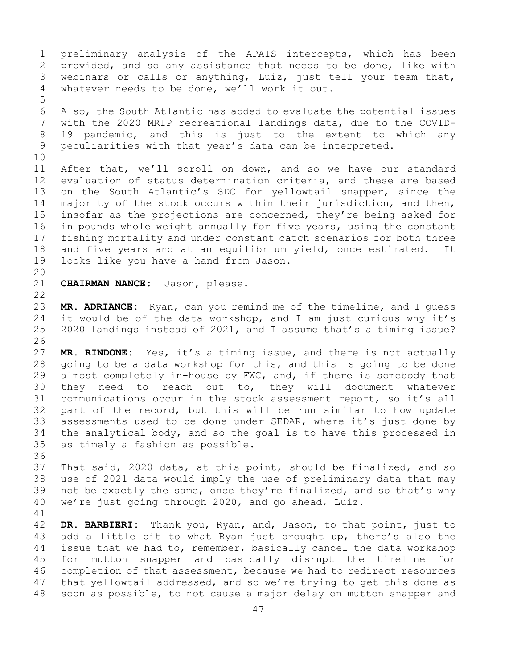1 preliminary analysis of the APAIS intercepts, which has been<br>2 provided, and so any assistance that needs to be done, like with 2 provided, and so any assistance that needs to be done, like with<br>3 webinars or calls or anything, Luiz, just tell your team that, 3 webinars or calls or anything, Luiz, just tell your team that,<br>4 whatever needs to be done, we'll work it out. whatever needs to be done, we'll work it out. 5 6 Also, the South Atlantic has added to evaluate the potential issues<br>7 with the 2020 MRIP recreational landings data, due to the COVID-7 with the 2020 MRIP recreational landings data, due to the COVID-<br>8 19 pandemic, and this is just to the extent to which any 8 19 pandemic, and this is just to the extent to which any<br>9 peculiarities with that year's data can be interpreted. peculiarities with that year's data can be interpreted. 10<br>11 11 After that, we'll scroll on down, and so we have our standard<br>12 evaluation of status determination criteria, and these are based 12 evaluation of status determination criteria, and these are based<br>13 on the South Atlantic's SDC for vellowtail snapper, since the on the South Atlantic's SDC for yellowtail snapper, since the 14 majority of the stock occurs within their jurisdiction, and then,<br>15 insofar as the projections are concerned, they're being asked for 15 insofar as the projections are concerned, they're being asked for<br>16 in pounds whole weight annually for five years, using the constant 16 in pounds whole weight annually for five years, using the constant<br>17 fishing mortality and under constant catch scenarios for both three 17 fishing mortality and under constant catch scenarios for both three<br>18 and five years and at an equilibrium yield, once estimated. It 18 and five years and at an equilibrium yield, once estimated. It<br>19 looks like vou have a hand from Jason. looks like you have a hand from Jason. 20<br>21 CHAIRMAN NANCE: Jason, please.  $\begin{array}{c} 22 \\ 23 \end{array}$ 23 **MR. ADRIANCE:** Ryan, can you remind me of the timeline, and I guess<br>24 it would be of the data workshop, and I am just curious why it's 24 it would be of the data workshop, and I am just curious why it's<br>25 2020 landings instead of 2021, and I assume that's a timing issue? 2020 landings instead of 2021, and I assume that's a timing issue? 26<br>27 MR. RINDONE: Yes, it's a timing issue, and there is not actually 28 going to be a data workshop for this, and this is going to be done<br>29 almost completely in-house by FWC, and, if there is somebody that 29 almost completely in-house by FWC, and, if there is somebody that<br>30 they need to reach out to, they will document whatever 30 they need to reach out to, they will document whatever<br>31 communications occur in the stock assessment report, so it's all 31 communications occur in the stock assessment report, so it's all<br>32 part of the record, but this will be run similar to how update 32 part of the record, but this will be run similar to how update<br>33 assessments used to be done under SEDAR, where it's just done by 33 assessments used to be done under SEDAR, where it's just done by<br>34 the analytical body, and so the goal is to have this processed in 34 the analytical body, and so the goal is to have this processed in<br>35 as timely a fashion as possible. as timely a fashion as possible.

36<br>37 That said, 2020 data, at this point, should be finalized, and so 38 use of 2021 data would imply the use of preliminary data that may<br>39 not be exactly the same, once they're finalized, and so that's why 39 not be exactly the same, once they're finalized, and so that's why<br>40 we're just going through 2020, and go ahead, Luiz. we're just going through 2020, and go ahead, Luiz.

41<br>42 42 **DR. BARBIERI:** Thank you, Ryan, and, Jason, to that point, just to 43 add a little bit to what Ryan just brought up, there's also the<br>44 issue that we had to, remember, basically cancel the data workshop issue that we had to, remember, basically cancel the data workshop 45 for mutton snapper and basically disrupt the timeline for 46 completion of that assessment, because we had to redirect resources<br>47 that yellowtail addressed, and so we're trying to get this done as 47 that yellowtail addressed, and so we're trying to get this done as<br>48 soon as possible, to not cause a major delay on mutton snapper and soon as possible, to not cause a major delay on mutton snapper and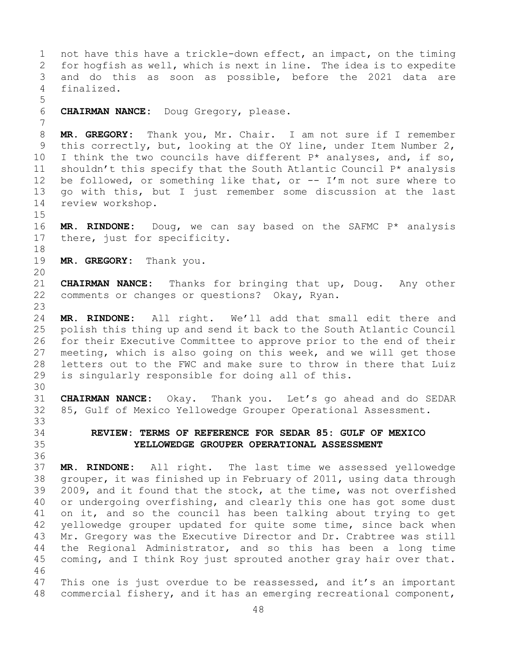1 not have this have a trickle-down effect, an impact, on the timing<br>2 for hogfish as well, which is next in line. The idea is to expedite 2 for hogfish as well, which is next in line. The idea is to expedite<br>3 and do this as soon as possible, before the 2021 data are 3 and do this as soon as possible, before the 2021 data are<br>4 finalized. finalized. 5 6 **CHAIRMAN NANCE:** Doug Gregory, please. 7 8 **MR. GREGORY:** Thank you, Mr. Chair. I am not sure if I remember<br>9 this correctly, but, looking at the OY line, under Item Number 2, 9 this correctly, but, looking at the OY line, under Item Number 2,<br>10 I think the two councils have different P\* analyses, and, if so, 10 I think the two councils have different  $P^*$  analyses, and, if so, 11 shouldn't this specify that the South Atlantic Council  $P^*$  analysis 11 shouldn't this specify that the South Atlantic Council  $P^*$  analysis<br>12 be followed, or something like that, or -- I'm not sure where to be followed, or something like that, or  $-$ - I'm not sure where to 13 go with this, but I just remember some discussion at the last 14 review workshop.  $15$ <br> $16$ 16 **MR. RINDONE:** Doug, we can say based on the SAFMC P\* analysis 17 there, just for specificity. there, just for specificity. 18<br>19 MR. GREGORY: Thank you. 20<br>21 21 **CHAIRMAN NANCE:** Thanks for bringing that up, Doug. Any other<br>22 comments or changes or questions? Okay, Ryan. comments or changes or questions? Okay, Ryan. 23 24 **MR. RINDONE:** All right. We'll add that small edit there and 25 polish this thing up and send it back to the South Atlantic Council<br>26 for their Executive Committee to approve prior to the end of their 26 for their Executive Committee to approve prior to the end of their<br>27 meeting, which is also going on this week, and we will get those meeting, which is also going on this week, and we will get those 28 letters out to the FWC and make sure to throw in there that Luiz<br>29 is singularly responsible for doing all of this. is singularly responsible for doing all of this. 30<br>31 31 **CHAIRMAN NANCE:** Okay. Thank you. Let's go ahead and do SEDAR 85, Gulf of Mexico Yellowedge Grouper Operational Assessment. 33<br>34 34 **REVIEW: TERMS OF REFERENCE FOR SEDAR 85: GULF OF MEXICO**  35 **YELLOWEDGE GROUPER OPERATIONAL ASSESSMENT** 36<br>37 MR. RINDONE: All right. The last time we assessed yellowedge 38 grouper, it was finished up in February of 2011, using data through<br>39 2009, and it found that the stock, at the time, was not overfished 39 2009, and it found that the stock, at the time, was not overfished<br>40 or undergoing overfishing, and clearly this one has got some dust 40 or undergoing overfishing, and clearly this one has got some dust<br>41 on it, and so the council has been talking about trving to get 41 on it, and so the council has been talking about trying to get<br>42 vellowedge grouper updated for quite some time, since back when 42 yellowedge grouper updated for quite some time, since back when<br>43 Mr. Gregory was the Executive Director and Dr. Crabtree was still 43 Mr. Gregory was the Executive Director and Dr. Crabtree was still<br>44 the Regional Administrator, and so this has been a long time the Regional Administrator, and so this has been a long time 45 coming, and I think Roy just sprouted another gray hair over that. 46<br>47 47 This one is just overdue to be reassessed, and it's an important<br>48 commercial fishery, and it has an emerging recreational component, commercial fishery, and it has an emerging recreational component,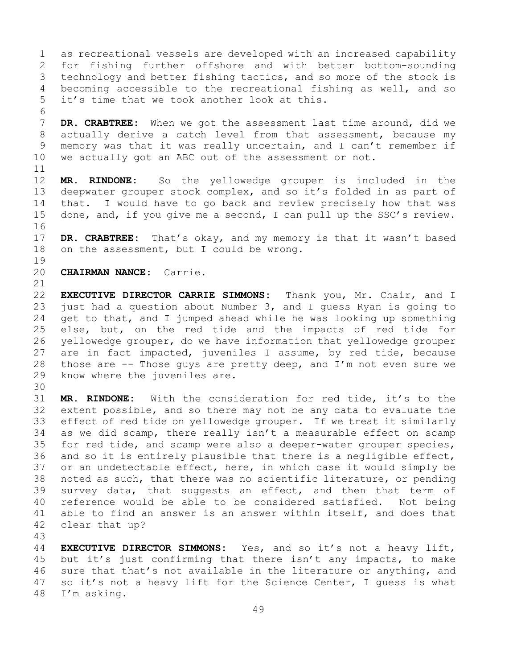1 as recreational vessels are developed with an increased capability<br>2 for fishing further offshore and with better bottom-sounding 2 for fishing further offshore and with better bottom-sounding<br>3 technology and better fishing tactics, and so more of the stock is 3 technology and better fishing tactics, and so more of the stock is<br>4 becoming accessible to the recreational fishing as well, and so becoming accessible to the recreational fishing as well, and so 5 it's time that we took another look at this.

6<br>7 7 **DR. CRABTREE:** When we got the assessment last time around, did we<br>8 actually derive a catch level from that assessment, because my 8 actually derive a catch level from that assessment, because my<br>9 memory was that it was really uncertain, and I can't remember if 9 memory was that it was really uncertain, and I can't remember if<br>10 we actually got an ABC out of the assessment or not. we actually got an ABC out of the assessment or not.

11<br>12 MR. RINDONE: So the yellowedge grouper is included in the 13 deepwater grouper stock complex, and so it's folded in as part of 14 that. I would have to go back and review precisely how that was<br>15 done, and, if you give me a second, I can pull up the SSC's review. done, and, if you give me a second, I can pull up the SSC's review.

16<br>17 17 **DR. CRABTREE:** That's okay, and my memory is that it wasn't based<br>18 on the assessment, but I could be wrong. on the assessment, but I could be wrong.

 $\begin{array}{c} 19 \\ 20 \end{array}$ 20 **CHAIRMAN NANCE:** Carrie.

21<br>22 22 **EXECUTIVE DIRECTOR CARRIE SIMMONS:** Thank you, Mr. Chair, and I<br>23 just had a question about Number 3, and I quess Ryan is going to 23 just had a question about Number 3, and I guess Ryan is going to<br>24 qet to that, and I jumped ahead while he was looking up something 24 get to that, and I jumped ahead while he was looking up something<br>25 else, but, on the red tide and the impacts of red tide for 25 else, but, on the red tide and the impacts of red tide for<br>26 vellowedge grouper, do we have information that vellowedge grouper 26 yellowedge grouper, do we have information that yellowedge grouper<br>27 are in fact impacted, juveniles I assume, by red tide, because are in fact impacted, juveniles I assume, by red tide, because 28 those are  $-$ - Those guys are pretty deep, and I'm not even sure we 29 know where the juveniles are. know where the juveniles are.

30<br>31 31 **MR. RINDONE:** With the consideration for red tide, it's to the extent possible, and so there may not be any data to evaluate the 33 effect of red tide on yellowedge grouper. If we treat it similarly<br>34 as we did scamp, there really isn't a measurable effect on scamp 34 as we did scamp, there really isn't a measurable effect on scamp<br>35 for red tide, and scamp were also a deeper-water grouper species, 35 for red tide, and scamp were also a deeper-water grouper species,<br>36 and so it is entirely plausible that there is a negligible effect, 36 and so it is entirely plausible that there is a negligible effect,<br>37 or an undetectable effect, here, in which case it would simply be or an undetectable effect, here, in which case it would simply be 38 noted as such, that there was no scientific literature, or pending<br>39 survey data, that suggests an effect, and then that term of 39 survey data, that suggests an effect, and then that term of<br>40 reference would be able to be considered satisfied. Not being 40 reference would be able to be considered satisfied. Not being<br>41 able to find an answer is an answer within itself, and does that 41 able to find an answer is an answer within itself, and does that 42 clear that up? clear that up?

43

**EXECUTIVE DIRECTOR SIMMONS:** Yes, and so it's not a heavy lift, 45 but it's just confirming that there isn't any impacts, to make 46 sure that that's not available in the literature or anything, and<br>47 so it's not a heavy lift for the Science Center, I quess is what 47 so it's not a heavy lift for the Science Center, I guess is what  $48$  I'm asking. I'm asking.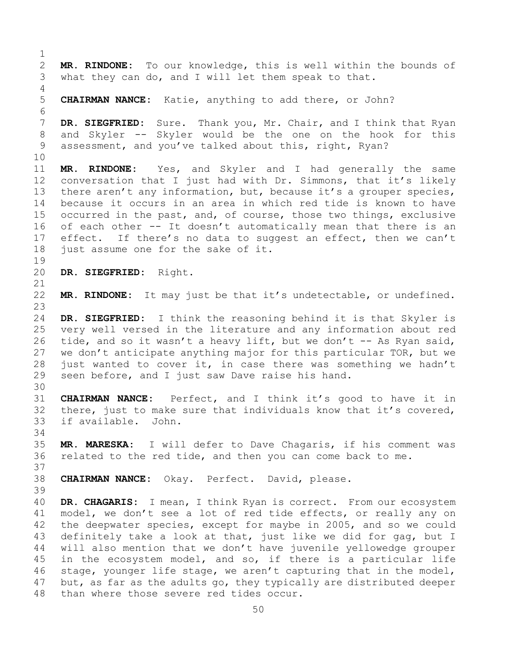$\frac{1}{2}$ 2 **MR. RINDONE:** To our knowledge, this is well within the bounds of what they can do, and I will let them speak to that. what they can do, and I will let them speak to that. 4 5 **CHAIRMAN NANCE:** Katie, anything to add there, or John? 6<br>7 7 **DR. SIEGFRIED:** Sure. Thank you, Mr. Chair, and I think that Ryan<br>8 and Skyler -- Skyler would be the one on the hook for this 8 and Skyler -- Skyler would be the one on the hook for this<br>9 assessment, and you've talked about this, right, Ryan? assessment, and you've talked about this, right, Ryan? 10<br>11 11 **MR. RINDONE:** Yes, and Skyler and I had generally the same conversation that I just had with Dr. Simmons, that it's likely 13 there aren't any information, but, because it's a grouper species, 14 because it occurs in an area in which red tide is known to have<br>15 occurred in the past, and, of course, those two things, exclusive 15 occurred in the past, and, of course, those two things, exclusive<br>16 of each other -- It doesn't automatically mean that there is an 16 of each other -- It doesn't automatically mean that there is an<br>17 effect. If there's no data to suggest an effect, then we can't 17 effect. If there's no data to suggest an effect, then we can't<br>18 just assume one for the sake of it. just assume one for the sake of it. 19<br>20 20 **DR. SIEGFRIED:** Right. 21<br>22 MR. RINDONE: It may just be that it's undetectable, or undefined.  $\frac{23}{24}$ 24 **DR. SIEGFRIED:** I think the reasoning behind it is that Skyler is very well versed in the literature and any information about red 26 tide, and so it wasn't a heavy lift, but we don't -- As Ryan said,<br>27 we don't anticipate anything major for this particular TOR, but we we don't anticipate anything major for this particular TOR, but we 28 just wanted to cover it, in case there was something we hadn't  $29$  seen before, and I just saw Dave raise his hand. seen before, and I just saw Dave raise his hand. 30<br>31 31 **CHAIRMAN NANCE:** Perfect, and I think it's good to have it in there, just to make sure that individuals know that it's covered, 33 if available. John. 34<br>35 35 **MR. MARESKA:** I will defer to Dave Chagaris, if his comment was related to the red tide, and then you can come back to me. 37 38 **CHAIRMAN NANCE:** Okay. Perfect. David, please. 39 40 **DR. CHAGARIS:** I mean, I think Ryan is correct. From our ecosystem<br>41 model, we don't see a lot of red tide effects, or really any on 41 model, we don't see a lot of red tide effects, or really any on<br>42 the deepwater species, except for maybe in 2005, and so we could 42 the deepwater species, except for maybe in 2005, and so we could<br>43 definitely take a look at that, just like we did for gag, but I 43 definitely take a look at that, just like we did for gag, but I<br>44 will also mention that we don't have juvenile vellowedge grouper will also mention that we don't have juvenile yellowedge grouper 45 in the ecosystem model, and so, if there is a particular life 46 stage, younger life stage, we aren't capturing that in the model,<br>47 but, as far as the adults go, they typically are distributed deeper 47 but, as far as the adults go, they typically are distributed deeper<br>48 than where those severe red tides occur. than where those severe red tides occur.

50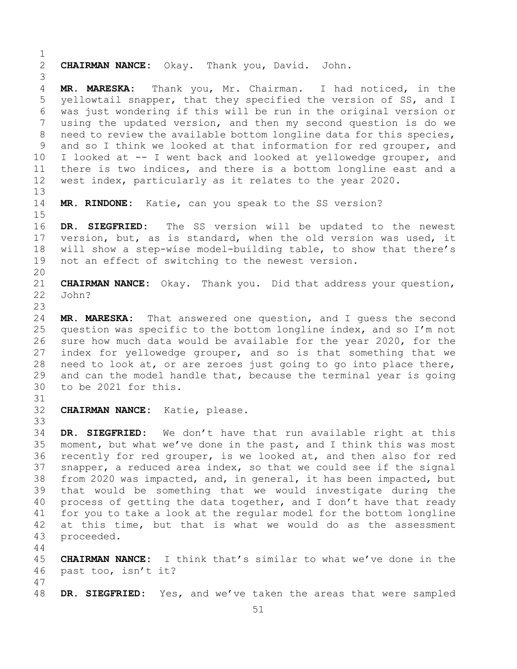$\frac{1}{2}$ 2 **CHAIRMAN NANCE:** Okay. Thank you, David. John. 3 MR. MARESKA: Thank you, Mr. Chairman. I had noticed, in the 5 yellowtail snapper, that they specified the version of SS, and I 6 was just wondering if this will be run in the original version or 7 using the updated version, and then my second question is do we<br>8 need to review the available bottom longline data for this species, 8 need to review the available bottom longline data for this species,<br>9 and so I think we looked at that information for red grouper, and 9 and so I think we looked at that information for red grouper, and<br>10 I looked at -- I went back and looked at vellowedge grouper, and 10 I looked at -- I went back and looked at yellowedge grouper, and<br>11 there is two indices, and there is a bottom longline east and a 11 there is two indices, and there is a bottom longline east and a<br>12 west index, particularly as it relates to the year 2020. west index, particularly as it relates to the year 2020. 13 14 **MR. RINDONE:** Katie, can you speak to the SS version?  $15$ <br> $16$ 16 **DR. SIEGFRIED:** The SS version will be updated to the newest<br>17 version, but, as is standard, when the old version was used, it 17 version, but, as is standard, when the old version was used, it<br>18 will show a step-wise model-building table, to show that there's 18 will show a step-wise model-building table, to show that there's<br>19 not an effect of switching to the newest version. not an effect of switching to the newest version. 20<br>21 21 **CHAIRMAN NANCE:** Okay. Thank you. Did that address your question, John?  $\frac{23}{24}$ 24 **MR. MARESKA:** That answered one question, and I guess the second<br>25 question was specific to the bottom longline index, and so I'm not 25 question was specific to the bottom longline index, and so I'm not<br>26 sure how much data would be available for the vear 2020, for the 26 sure how much data would be available for the year 2020, for the<br>27 index for vellowedge grouper, and so is that something that we index for yellowedge grouper, and so is that something that we 28 need to look at, or are zeroes just going to go into place there,<br>29 and can the model handle that, because the terminal year is going 29 and can the model handle that, because the terminal year is going<br>30 to be 2021 for this. to be 2021 for this. 31<br>32 CHAIRMAN NANCE: Katie, please. 33<br>34 34 **DR. SIEGFRIED:** We don't have that run available right at this 35 moment, but what we've done in the past, and I think this was most<br>36 recently for red grouper, is we looked at, and then also for red recently for red grouper, is we looked at, and then also for red 37 snapper, a reduced area index, so that we could see if the signal 38 from 2020 was impacted, and, in general, it has been impacted, but<br>39 that would be something that we would investigate during the 39 that would be something that we would investigate during the<br>40 process of getting the data together, and I don't have that ready 40 process of getting the data together, and I don't have that ready<br>41 for you to take a look at the regular model for the bottom longline 41 for you to take a look at the regular model for the bottom longline<br>42 at this time, but that is what we would do as the assessment 42 at this time, but that is what we would do as the assessment<br>43 proceeded. 43 proceeded. 44 45 **CHAIRMAN NANCE:** I think that's similar to what we've done in the 46 past too, isn't it? 47

DR. SIEGFRIED: Yes, and we've taken the areas that were sampled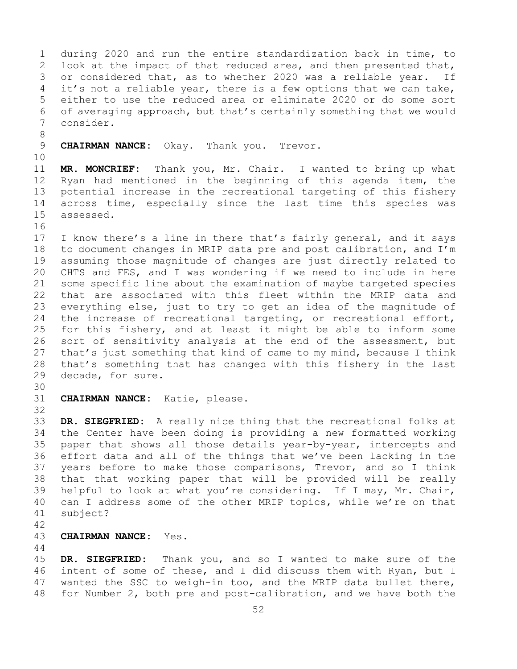1 during 2020 and run the entire standardization back in time, to<br>2 look at the impact of that reduced area, and then presented that, 2 look at the impact of that reduced area, and then presented that,<br>3 or considered that, as to whether 2020 was a reliable year. If 3 or considered that, as to whether 2020 was a reliable year. If<br>4 it's not a reliable year, there is a few options that we can take, it's not a reliable year, there is a few options that we can take, 5 either to use the reduced area or eliminate 2020 or do some sort 6 of averaging approach, but that's certainly something that we would<br>7 consider. 7 consider. 8<br>9 **CHAIRMAN NANCE:** Okay. Thank you. Trevor. 10<br>11 11 **MR. MONCRIEF:** Thank you, Mr. Chair. I wanted to bring up what 12 Ryan had mentioned in the beginning of this agenda item, the<br>13 potential increase in the recreational targeting of this fishery potential increase in the recreational targeting of this fishery 14 across time, especially since the last time this species was<br>15 assessed. assessed. 16<br>17 17 I know there's a line in there that's fairly general, and it says<br>18 to document changes in MRIP data pre and post calibration, and I'm 18 to document changes in MRIP data pre and post calibration, and I'm<br>19 assuming those magnitude of changes are just directly related to 19 assuming those magnitude of changes are just directly related to<br>20 CHTS and FES, and I was wondering if we need to include in here 20 CHTS and FES, and I was wondering if we need to include in here<br>21 some specific line about the examination of maybe targeted species 21 some specific line about the examination of maybe targeted species<br>22 that are associated with this fleet within the MRIP data and 22 that are associated with this fleet within the MRIP data and<br>23 everything else, just to try to get an idea of the magnitude of 23 everything else, just to try to get an idea of the magnitude of<br>24 the increase of recreational targeting, or recreational effort, 24 the increase of recreational targeting, or recreational effort,<br>25 for this fishery, and at least it might be able to inform some 25 for this fishery, and at least it might be able to inform some<br>26 sort of sensitivity analysis at the end of the assessment, but 26 sort of sensitivity analysis at the end of the assessment, but<br>27 that's just something that kind of came to my mind, because I think that's just something that kind of came to my mind, because I think 28 that's something that has changed with this fishery in the last<br>29 decade, for sure. decade, for sure. 30<br>31 CHAIRMAN NANCE: Katie, please. 32 33 **DR. SIEGFRIED:** A really nice thing that the recreational folks at 34 the Center have been doing is providing a new formatted working<br>35 paper that shows all those details year-by-year, intercepts and 35 paper that shows all those details year-by-year, intercepts and<br>36 effort data and all of the things that we've been lacking in the effort data and all of the things that we've been lacking in the 37 years before to make those comparisons, Trevor, and so I think 38 that that working paper that will be provided will be really<br>39 helpful to look at what you're considering. If I may, Mr. Chair, 39 helpful to look at what you're considering. If I may, Mr. Chair,<br>40 can I address some of the other MRIP topics, while we're on that 40 can I address some of the other MRIP topics, while we're on that 41 subject? subject?  $42$ <br> $43$ 43 **CHAIRMAN NANCE:** Yes. 44 45 **DR. SIEGFRIED:** Thank you, and so I wanted to make sure of the

46 intent of some of these, and I did discuss them with Ryan, but I<br>47 wanted the SSC to weigh-in too, and the MRIP data bullet there, 47 wanted the SSC to weigh-in too, and the MRIP data bullet there,<br>48 for Number 2, both pre and post-calibration, and we have both the for Number 2, both pre and post-calibration, and we have both the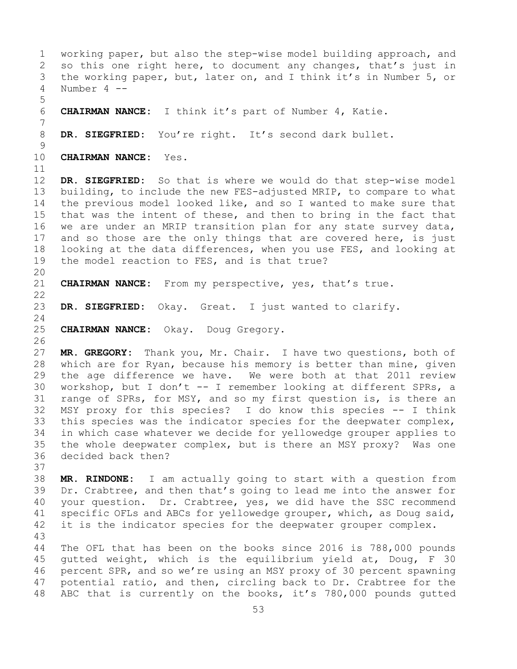1 working paper, but also the step-wise model building approach, and<br>2 so this one right here, to document any changes, that's just in 2 so this one right here, to document any changes, that's just in<br>3 the working paper, but, later on, and I think it's in Number 5, or 3 the working paper, but, later on, and I think it's in Number 5, or<br>4 Number 4 --Number 4 --5 6 **CHAIRMAN NANCE:** I think it's part of Number 4, Katie. 7 DR. SIEGFRIED: You're right. It's second dark bullet.  $\frac{9}{10}$ **CHAIRMAN NANCE:** Yes. 11<br>12 DR. SIEGFRIED: So that is where we would do that step-wise model 13 building, to include the new FES-adjusted MRIP, to compare to what 14 the previous model looked like, and so I wanted to make sure that<br>15 that was the intent of these, and then to bring in the fact that 15 that was the intent of these, and then to bring in the fact that<br>16 we are under an MRIP transition plan for any state survey data, 16 we are under an MRIP transition plan for any state survey data,<br>17 and so those are the only things that are covered here, is just 17 and so those are the only things that are covered here, is just<br>18 looking at the data differences, when you use FES, and looking at 18 looking at the data differences, when you use FES, and looking at<br>19 the model reaction to FES, and is that true? the model reaction to FES, and is that true? 20<br>21 21 **CHAIRMAN NANCE:** From my perspective, yes, that's true.  $\begin{array}{c} 22 \\ 23 \end{array}$ DR. SIEGFRIED: Okay. Great. I just wanted to clarify.  $\frac{24}{25}$ 25 **CHAIRMAN NANCE:** Okay. Doug Gregory. 26<br>27 MR. GREGORY: Thank you, Mr. Chair. I have two questions, both of 28 which are for Ryan, because his memory is better than mine, given<br>29 the age difference we have. We were both at that 2011 review 29 the age difference we have. We were both at that 2011 review<br>30 workshop, but I don't -- I remember looking at different SPRs, a 30 workshop, but I don't -- I remember looking at different SPRs, a<br>31 range of SPRs, for MSY, and so my first question is, is there an 31 range of SPRs, for MSY, and so my first question is, is there an<br>32 MSY proxy for this species? I do know this species -- I think MSY proxy for this species? I do know this species -- I think 33 this species was the indicator species for the deepwater complex,<br>34 in which case whatever we decide for yellowedge grouper applies to 34 in which case whatever we decide for yellowedge grouper applies to<br>35 the whole deepwater complex, but is there an MSY proxy? Was one 35 the whole deepwater complex, but is there an MSY proxy? Was one decided back then? 37 38 **MR. RINDONE:** I am actually going to start with a question from 39 Dr. Crabtree, and then that's going to lead me into the answer for<br>40 your question. Dr. Crabtree, yes, we did have the SSC recommend 40 your question. Dr. Crabtree, yes, we did have the SSC recommend<br>41 specific OFLs and ABCs for yellowedge grouper, which, as Doug said, 41 specific OFLs and ABCs for yellowedge grouper, which, as Doug said,<br>42 it is the indicator species for the deepwater grouper complex. it is the indicator species for the deepwater grouper complex. 43 The OFL that has been on the books since 2016 is 788,000 pounds 45 gutted weight, which is the equilibrium yield at, Doug, F 30 46 percent SPR, and so we're using an MSY proxy of 30 percent spawning<br>47 potential ratio, and then, circling back to Dr. Crabtree for the 47 potential ratio, and then, circling back to Dr. Crabtree for the<br>48 ABC that is currently on the books, it's 780,000 pounds qutted ABC that is currently on the books, it's  $780,000$  pounds gutted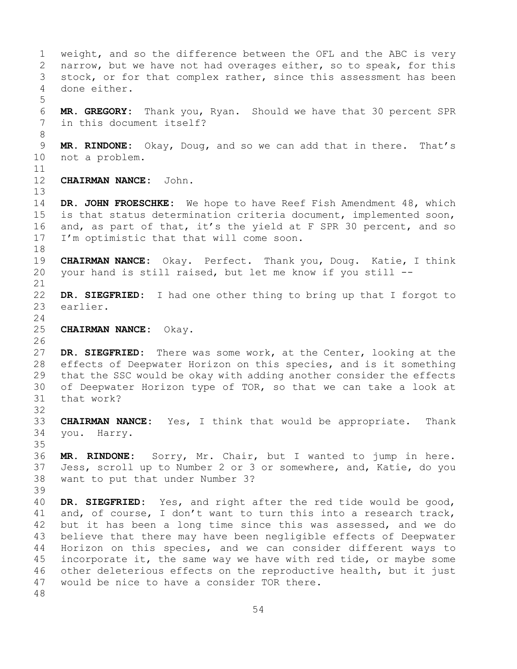1 weight, and so the difference between the OFL and the ABC is very<br>2 narrow, but we have not had overages either, so to speak, for this 2 narrow, but we have not had overages either, so to speak, for this<br>3 stock, or for that complex rather, since this assessment has been 3 stock, or for that complex rather, since this assessment has been<br>4 done either. done either. 5 6 **MR. GREGORY:** Thank you, Ryan. Should we have that 30 percent SPR in this document itself? 8<br>9 9 **MR. RINDONE:** Okay, Doug, and so we can add that in there. That's not a problem. 11<br>12 CHAIRMAN NANCE: John. 13 14 **DR. JOHN FROESCHKE:** We hope to have Reef Fish Amendment 48, which<br>15 is that status determination criteria document, implemented soon, 15 is that status determination criteria document, implemented soon,<br>16 and, as part of that, it's the yield at F SPR 30 percent, and so 16 and, as part of that, it's the yield at F SPR 30 percent, and so<br>17 I'm optimistic that that will come soon. I'm optimistic that that will come soon. 18<br>19 19 **CHAIRMAN NANCE:** Okay. Perfect. Thank you, Doug. Katie, I think<br>20 your hand is still raised, but let me know if you still -your hand is still raised, but let me know if you still --21<br>22 22 **DR. SIEGFRIED:** I had one other thing to bring up that I forgot to earlier.  $\frac{24}{25}$ 25 **CHAIRMAN NANCE:** Okay. 26<br>27 DR. SIEGFRIED: There was some work, at the Center, looking at the 28 effects of Deepwater Horizon on this species, and is it something<br>29 that the SSC would be okay with adding another consider the effects that the SSC would be okay with adding another consider the effects 30 of Deepwater Horizon type of TOR, so that we can take a look at 31 that work? that work? 32 33 **CHAIRMAN NANCE:** Yes, I think that would be appropriate. Thank you. Harry. 35<br>36 MR. RINDONE: Sorry, Mr. Chair, but I wanted to jump in here. 37 Jess, scroll up to Number 2 or 3 or somewhere, and, Katie, do you 38 want to put that under Number 3? 39 40 **DR. SIEGFRIED:** Yes, and right after the red tide would be good,<br>41 and, of course, I don't want to turn this into a research track, 41 and, of course, I don't want to turn this into a research track,<br>42 but it has been a long time since this was assessed, and we do 42 but it has been a long time since this was assessed, and we do<br>43 believe that there may have been negligible effects of Deepwater 43 believe that there may have been negligible effects of Deepwater<br>44 Horizon on this species, and we can consider different ways to 44 Horizon on this species, and we can consider different ways to 45 incorporate it, the same way we have with red tide, or maybe some 46 other deleterious effects on the reproductive health, but it just<br>47 would be nice to have a consider TOR there. would be nice to have a consider TOR there. 48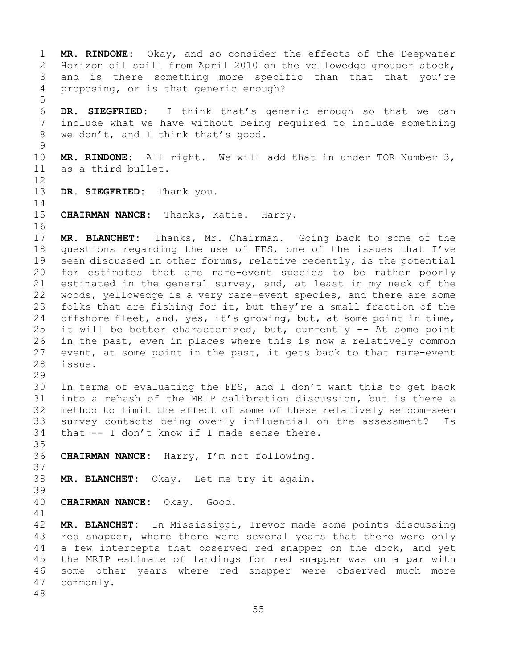1 **MR. RINDONE:** Okay, and so consider the effects of the Deepwater 2 Horizon oil spill from April 2010 on the yellowedge grouper stock,<br>3 and is there something more specific than that that you're 3 and is there something more specific than that that you're<br>4 proposing, or is that generic enough? proposing, or is that generic enough?

6 **DR. SIEGFRIED:** I think that's generic enough so that we can 7 include what we have without being required to include something<br>8 we don't, and I think that's good. we don't, and I think that's good.

 $\frac{9}{10}$ 10 **MR. RINDONE:** All right. We will add that in under TOR Number 3, as a third bullet.

12

5

13 **DR. SIEGFRIED:** Thank you.

 $\frac{14}{15}$ CHAIRMAN NANCE: Thanks, Katie. Harry.

16<br>17 17 **MR. BLANCHET:** Thanks, Mr. Chairman. Going back to some of the 18 questions regarding the use of FES, one of the issues that I've<br>19 seen discussed in other forums, relative recently, is the potential 19 seen discussed in other forums, relative recently, is the potential<br>20 for estimates that are rare-event species to be rather poorly for estimates that are rare-event species to be rather poorly 21 estimated in the general survey, and, at least in my neck of the<br>22 woods, yellowedge is a very rare-event species, and there are some 22 woods, yellowedge is a very rare-event species, and there are some<br>23 folks that are fishing for it, but they're a small fraction of the 23 folks that are fishing for it, but they're a small fraction of the<br>24 offshore fleet, and, yes, it's growing, but, at some point in time, 24 offshore fleet, and, yes, it's growing, but, at some point in time,<br>25 it will be better characterized, but, currently -- At some point 25 it will be better characterized, but, currently  $-$  At some point 26 in the past, even in places where this is now a relatively common 26 in the past, even in places where this is now a relatively common<br>27 event, at some point in the past, it gets back to that rare-event event, at some point in the past, it gets back to that rare-event 28 issue.

29<br>30

30 In terms of evaluating the FES, and I don't want this to get back<br>31 into a rehash of the MRIP calibration discussion, but is there a 31 into a rehash of the MRIP calibration discussion, but is there a<br>32 method to limit the effect of some of these relatively seldom-seen method to limit the effect of some of these relatively seldom-seen 33 survey contacts being overly influential on the assessment? Is<br>34 that -- I don't know if I made sense there. that  $-$  I don't know if I made sense there.

35<br>36 36 **CHAIRMAN NANCE:** Harry, I'm not following.

37

38 **MR. BLANCHET:** Okay. Let me try it again.

39

40 **CHAIRMAN NANCE:** Okay. Good.

41<br>42 42 **MR. BLANCHET:** In Mississippi, Trevor made some points discussing<br>43 red snapper, where there were several years that there were only 43 red snapper, where there were several years that there were only<br>44 a few intercepts that observed red snapper on the dock, and yet a few intercepts that observed red snapper on the dock, and yet 45 the MRIP estimate of landings for red snapper was on a par with 46 some other years where red snapper were observed much more<br>47 commonly. commonly.

48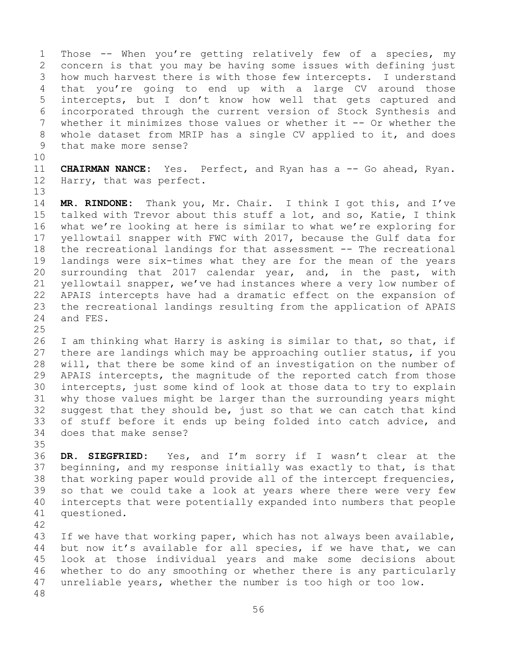1 Those -- When you're getting relatively few of a species, my<br>2 concern is that you may be having some issues with defining just 2 concern is that you may be having some issues with defining just<br>3 how much harvest there is with those few intercepts. I understand 3 how much harvest there is with those few intercepts. I understand<br>4 that you're going to end up with a large CV around those that you're going to end up with a large CV around those 5 intercepts, but I don't know how well that gets captured and 6 incorporated through the current version of Stock Synthesis and<br>7 whether it minimizes those values or whether it -- Or whether the 7 whether it minimizes those values or whether it -- Or whether the<br>8 whole dataset from MRIP has a single CV applied to it, and does 8 whole dataset from MRIP has a single CV applied to it, and does<br>9 that make more sense? that make more sense?

10<br>11

13

11 **CHAIRMAN NANCE:** Yes. Perfect, and Ryan has a -- Go ahead, Ryan.<br>12 Harry, that was perfect. Harry, that was perfect.

14 **MR. RINDONE:** Thank you, Mr. Chair. I think I got this, and I've 15 talked with Trevor about this stuff a lot, and so, Katie, I think<br>16 what we're looking at here is similar to what we're exploring for 16 what we're looking at here is similar to what we're exploring for<br>17 yellowtail snapper with FWC with 2017, because the Gulf data for 17 yellowtail snapper with FWC with 2017, because the Gulf data for<br>18 the recreational landings for that assessment -- The recreational 18 the recreational landings for that assessment -- The recreational<br>19 landings were six-times what they are for the mean of the years 19 landings were six-times what they are for the mean of the years<br>20 surrounding that 2017 calendar year, and, in the past, with 20 surrounding that 2017 calendar year, and, in the past, with<br>21 yellowtail snapper, we've had instances where a very low number of 21 yellowtail snapper, we've had instances where a very low number of<br>22 APAIS intercepts have had a dramatic effect on the expansion of 22 APAIS intercepts have had a dramatic effect on the expansion of<br>23 the recreational landings resulting from the application of APAIS 23 the recreational landings resulting from the application of APAIS<br>24 and FES. and FES.

 $\frac{25}{26}$ 26 I am thinking what Harry is asking is similar to that, so that, if<br>27 there are landings which may be approaching outlier status, if you there are landings which may be approaching outlier status, if you 28 will, that there be some kind of an investigation on the number of<br>29 APAIS intercepts, the magnitude of the reported catch from those 29 APAIS intercepts, the magnitude of the reported catch from those<br>30 intercepts, just some kind of look at those data to try to explain 30 intercepts, just some kind of look at those data to try to explain<br>31 why those values might be larger than the surrounding years might 31 why those values might be larger than the surrounding years might<br>32 suggest that they should be, just so that we can catch that kind 32 suggest that they should be, just so that we can catch that kind<br>33 of stuff before it ends up being folded into catch advice, and 33 of stuff before it ends up being folded into catch advice, and<br>34 does that make sense? does that make sense?

35<br>36 DR. SIEGFRIED: Yes, and I'm sorry if I wasn't clear at the 37 beginning, and my response initially was exactly to that, is that 38 that working paper would provide all of the intercept frequencies,<br>39 so that we could take a look at years where there were very few 39 so that we could take a look at years where there were very few<br>40 intercepts that were potentially expanded into numbers that people 40 intercepts that were potentially expanded into numbers that people 41 questioned. questioned.

42

43 If we have that working paper, which has not always been available,<br>44 but now it's available for all species, if we have that, we can but now it's available for all species, if we have that, we can 45 look at those individual years and make some decisions about 46 whether to do any smoothing or whether there is any particularly<br>47 unreliable years, whether the number is too high or too low. unreliable years, whether the number is too high or too low. 48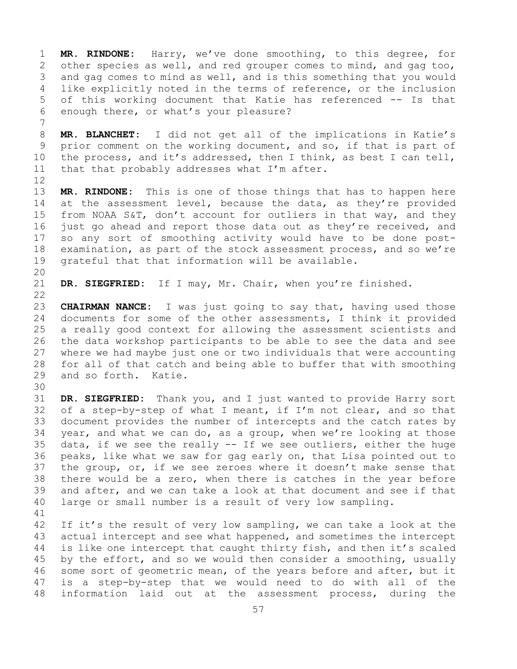1 **MR. RINDONE:** Harry, we've done smoothing, to this degree, for 2 other species as well, and red grouper comes to mind, and gag too,<br>3 and gag comes to mind as well, and is this something that you would 3 and gag comes to mind as well, and is this something that you would<br>4 like explicitly noted in the terms of reference, or the inclusion like explicitly noted in the terms of reference, or the inclusion 5 of this working document that Katie has referenced -- Is that 6 enough there, or what's your pleasure?

7 8 **MR. BLANCHET:** I did not get all of the implications in Katie's<br>9 prior comment on the working document, and so, if that is part of 9 prior comment on the working document, and so, if that is part of<br>10 the process, and it's addressed, then I think, as best I can tell, 10 the process, and it's addressed, then I think, as best I can tell,<br>11 that that probably addresses what I'm after. that that probably addresses what I'm after.

12<br>13 MR. RINDONE: This is one of those things that has to happen here 14 at the assessment level, because the data, as they're provided<br>15 from NOAA S&T, don't account for outliers in that way, and they 15 from NOAA S&T, don't account for outliers in that way, and they<br>16 just go ahead and report those data out as they're received, and 16 just go ahead and report those data out as they're received, and<br>17 so any sort of smoothing activity would have to be done post-17 so any sort of smoothing activity would have to be done post-<br>18 examination, as part of the stock assessment process, and so we're 18 examination, as part of the stock assessment process, and so we're<br>19 qrateful that that information will be available. grateful that that information will be available.

20<br>21

DR. SIEGFRIED: If I may, Mr. Chair, when you're finished.

 $\begin{array}{c} 22 \\ 23 \end{array}$ 23 **CHAIRMAN NANCE:** I was just going to say that, having used those<br>24 documents for some of the other assessments, I think it provided 24 documents for some of the other assessments, I think it provided<br>25 a really good context for allowing the assessment scientists and a really good context for allowing the assessment scientists and 26 the data workshop participants to be able to see the data and see<br>27 where we had maybe just one or two individuals that were accounting where we had maybe just one or two individuals that were accounting 28 for all of that catch and being able to buffer that with smoothing<br>29 and so forth. Katie. and so forth. Katie.

30<br>31 31 **DR. SIEGFRIED:** Thank you, and I just wanted to provide Harry sort of a step-by-step of what I meant, if I'm not clear, and so that 33 document provides the number of intercepts and the catch rates by<br>34 year, and what we can do, as a group, when we're looking at those 34 year, and what we can do, as a group, when we're looking at those 35 data, if we see the really  $--$  If we see outliers, either the huge 35 data, if we see the really  $-$  If we see outliers, either the huge 36 peaks, like what we saw for gag early on, that Lisa pointed out to 36 peaks, like what we saw for gag early on, that Lisa pointed out to<br>37 the group, or, if we see zeroes where it doesn't make sense that the group, or, if we see zeroes where it doesn't make sense that 38 there would be a zero, when there is catches in the year before<br>39 and after, and we can take a look at that document and see if that 39 and after, and we can take a look at that document and see if that<br>40 large or small number is a result of very low sampling. large or small number is a result of very low sampling.

41 42 If it's the result of very low sampling, we can take a look at the<br>43 actual intercept and see what happened, and sometimes the intercept 43 actual intercept and see what happened, and sometimes the intercept<br>44 is like one intercept that caught thirty fish, and then it's scaled is like one intercept that caught thirty fish, and then it's scaled 45 by the effort, and so we would then consider a smoothing, usually 46 some sort of geometric mean, of the years before and after, but it<br>47 is a step-by-step that we would need to do with all of the 47 is a step-by-step that we would need to do with all of the<br>48 information laid out at the assessment process, during the information laid out at the assessment process, during the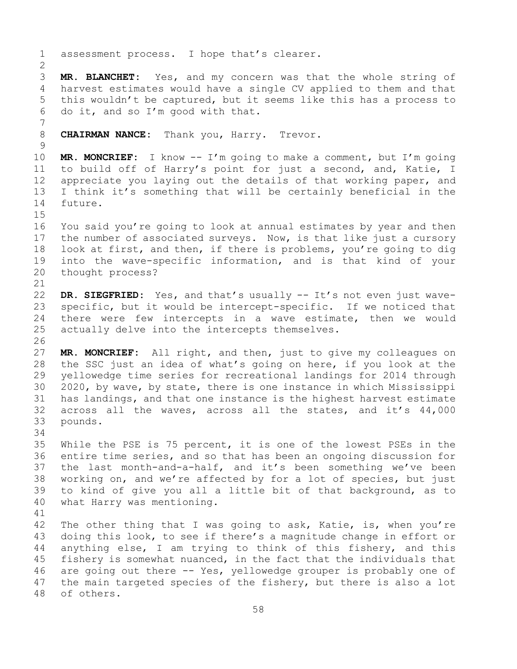1 assessment process. I hope that's clearer.  $\frac{2}{3}$ 3 **MR. BLANCHET:** Yes, and my concern was that the whole string of harvest estimates would have a single CV applied to them and that 5 this wouldn't be captured, but it seems like this has a process to 6 do it, and so I'm good with that. 7 8 **CHAIRMAN NANCE:** Thank you, Harry. Trevor.  $\frac{9}{10}$ 10 **MR. MONCRIEF:** I know -- I'm going to make a comment, but I'm going 11 to build off of Harry's point for just a second, and, Katie, I<br>12 appreciate you laying out the details of that working paper, and appreciate you laying out the details of that working paper, and 13 I think it's something that will be certainly beneficial in the 14 future. 15<br>16 16 You said you're going to look at annual estimates by year and then<br>17 the number of associated surveys. Now, is that like just a cursory 17 the number of associated surveys. Now, is that like just a cursory<br>18 look at first, and then, if there is problems, you're going to dig 18 look at first, and then, if there is problems, you're going to dig<br>19 into the wave-specific information, and is that kind of your 19 into the wave-specific information, and is that kind of your<br>20 thought process? thought process? 21<br>22 22 **DR. SIEGFRIED:** Yes, and that's usually -- It's not even just wave-<br>23 specific, but it would be intercept-specific. If we noticed that 23 specific, but it would be intercept-specific. If we noticed that<br>24 there were few intercepts in a wave estimate, then we would 24 there were few intercepts in a wave estimate, then we would<br>25 actually delve into the intercepts themselves. actually delve into the intercepts themselves. 26<br>27 MR. MONCRIEF: All right, and then, just to give my colleagues on 28 the SSC just an idea of what's going on here, if you look at the<br>29 yellowedge time series for recreational landings for 2014 through 29 yellowedge time series for recreational landings for 2014 through<br>30 2020, by wave, by state, there is one instance in which Mississippi 30 2020, by wave, by state, there is one instance in which Mississippi<br>31 has landings, and that one instance is the highest harvest estimate 31 has landings, and that one instance is the highest harvest estimate<br>32 across all the waves, across all the states, and it's 44,000 across all the waves, across all the states, and it's 44,000 33 pounds. 34<br>35 35 While the PSE is 75 percent, it is one of the lowest PSEs in the<br>36 entire time series, and so that has been an ongoing discussion for entire time series, and so that has been an ongoing discussion for 37 the last month-and-a-half, and it's been something we've been 38 working on, and we're affected by for a lot of species, but just<br>39 to kind of give you all a little bit of that background, as to 39 to kind of give you all a little bit of that background, as to 40 what Harry was mentioning. what Harry was mentioning. 41<br>42 42 The other thing that I was going to ask, Katie, is, when you're<br>43 doing this look, to see if there's a magnitude change in effort or 43 doing this look, to see if there's a magnitude change in effort or<br>44 anything else, I am trying to think of this fishery, and this anything else, I am trying to think of this fishery, and this 45 fishery is somewhat nuanced, in the fact that the individuals that 46 are going out there -- Yes, yellowedge grouper is probably one of<br>47 the main targeted species of the fishery, but there is also a lot 47 the main targeted species of the fishery, but there is also a lot 48 of others. of others.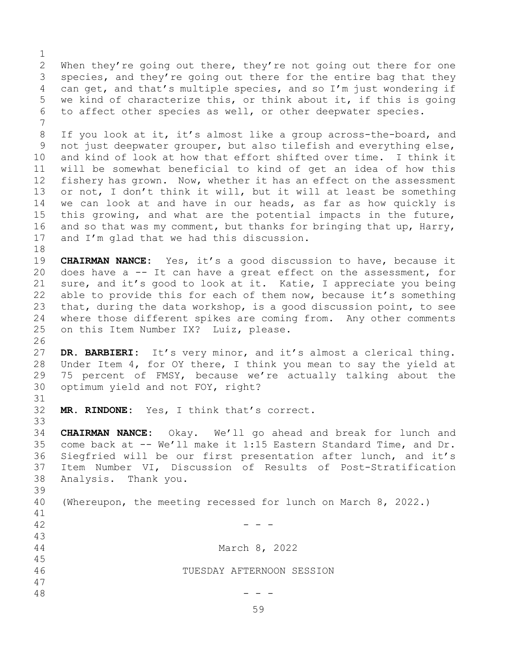$\frac{1}{2}$ 2 When they're going out there, they're not going out there for one<br>3 species, and they're going out there for the entire bag that they 3 species, and they're going out there for the entire bag that they<br>4 can get, and that's multiple species, and so I'm just wondering if can get, and that's multiple species, and so I'm just wondering if 5 we kind of characterize this, or think about it, if this is going 6 to affect other species as well, or other deepwater species.

7 8 If you look at it, it's almost like a group across-the-board, and<br>9 not just deepwater grouper, but also tilefish and everything else, 9 not just deepwater grouper, but also tilefish and everything else,<br>10 and kind of look at how that effort shifted over time. I think it 10 and kind of look at how that effort shifted over time. I think it<br>11 will be somewhat beneficial to kind of get an idea of how this 11 will be somewhat beneficial to kind of get an idea of how this<br>12 fishery has grown. Now, whether it has an effect on the assessment fishery has grown. Now, whether it has an effect on the assessment 13 or not, I don't think it will, but it will at least be something 14 we can look at and have in our heads, as far as how quickly is<br>15 this growing, and what are the potential impacts in the future, 15 this growing, and what are the potential impacts in the future,<br>16 and so that was my comment, but thanks for bringing that up, Harry, 16 and so that was my comment, but thanks for bringing that up, Harry,  $17$  and I'm glad that we had this discussion. and I'm glad that we had this discussion.

18<br>19 19 **CHAIRMAN NANCE:** Yes, it's a good discussion to have, because it<br>20 does have a -- It can have a great effect on the assessment, for 20 does have a  $-$  It can have a great effect on the assessment, for  $21$  sure, and it's good to look at it. Katie, I appreciate you being 21 sure, and it's good to look at it. Katie, I appreciate you being<br>22 able to provide this for each of them now, because it's something 22 able to provide this for each of them now, because it's something<br>23 that, during the data workshop, is a good discussion point, to see 23 that, during the data workshop, is a good discussion point, to see<br>24 where those different spikes are coming from. Any other comments 24 where those different spikes are coming from. Any other comments<br>25 on this Item Number IX? Luiz, please. on this Item Number IX? Luiz, please.

26<br>27 DR. BARBIERI: It's very minor, and it's almost a clerical thing. 28 Under Item 4, for OY there, I think you mean to say the yield at<br>29 75 percent of FMSY, because we're actually talking about the 29 75 percent of FMSY, because we're actually talking about the<br>30 optimum yield and not FOY, right? optimum yield and not FOY, right?

31<br>32 MR. RINDONE: Yes, I think that's correct.

33<br>34 34 **CHAIRMAN NANCE:** Okay. We'll go ahead and break for lunch and 35 come back at -- We'll make it 1:15 Eastern Standard Time, and Dr.<br>36 Siegfried will be our first presentation after lunch, and it's Siegfried will be our first presentation after lunch, and it's 37 Item Number VI, Discussion of Results of Post-Stratification 38 Analysis. Thank you.

39 (Whereupon, the meeting recessed for lunch on March 8, 2022.)

41<br>42

 $42$  - - -

47

43 45

March 8, 2022

46 TUESDAY AFTERNOON SESSION

 $48$  - - -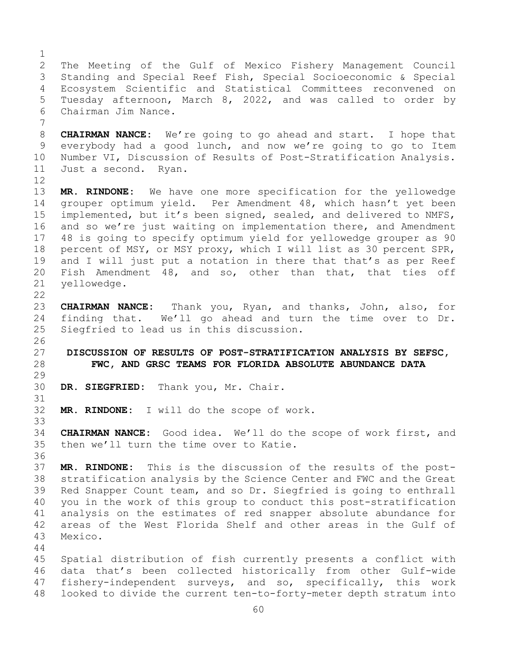$\frac{1}{2}$ 2 The Meeting of the Gulf of Mexico Fishery Management Council<br>3 Standing and Special Reef Fish, Special Socioeconomic & Special 3 Standing and Special Reef Fish, Special Socioeconomic & Special 4 Ecosystem Scientific and Statistical Committees reconvened on 5 Tuesday afternoon, March 8, 2022, and was called to order by 6 Chairman Jim Nance. 7 8 **CHAIRMAN NANCE:** We're going to go ahead and start. I hope that<br>9 everybody had a good lunch, and now we're going to go to Item 9 everybody had a good lunch, and now we're going to go to Item<br>10 Number VI, Discussion of Results of Post-Stratification Analysis. 10 Number VI, Discussion of Results of Post-Stratification Analysis.<br>11 Just a second. Ryan. Just a second. 12<br>13 MR. RINDONE: We have one more specification for the yellowedge 14 grouper optimum yield. Per Amendment 48, which hasn't yet been<br>15 implemented, but it's been signed, sealed, and delivered to NMFS, 15 implemented, but it's been signed, sealed, and delivered to NMFS,<br>16 and so we're just waiting on implementation there, and Amendment 16 and so we're just waiting on implementation there, and Amendment<br>17 48 is going to specify optimum yield for yellowedge grouper as 90 17 48 is going to specify optimum yield for yellowedge grouper as 90<br>18 percent of MSY, or MSY proxy, which I will list as 30 percent SPR, 18 percent of MSY, or MSY proxy, which I will list as 30 percent SPR,<br>19 and I will just put a notation in there that that's as per Reef 19 and I will just put a notation in there that that's as per Reef<br>20 Fish Amendment 48, and so, other than that, that ties off 20 Fish Amendment 48, and so, other than that, that ties off<br>21 yellowedge. yellowedge.  $\begin{array}{c} 22 \\ 23 \end{array}$ 23 **CHAIRMAN NANCE:** Thank you, Ryan, and thanks, John, also, for 24 finding that. We'll go ahead and turn the time over to Dr.<br>25 Siegfried to lead us in this discussion. Siegfried to lead us in this discussion.  $\frac{26}{27}$ 27 **DISCUSSION OF RESULTS OF POST-STRATIFICATION ANALYSIS BY SEFSC,**  28 **FWC, AND GRSC TEAMS FOR FLORIDA ABSOLUTE ABUNDANCE DATA** 29<br>30 DR. SIEGFRIED: Thank you, Mr. Chair. 31<br>32 MR. RINDONE: I will do the scope of work. 33<br>34 34 **CHAIRMAN NANCE:** Good idea. We'll do the scope of work first, and<br>35 then we'll turn the time over to Katie. then we'll turn the time over to Katie. 36<br>37 MR. RINDONE: This is the discussion of the results of the post-38 stratification analysis by the Science Center and FWC and the Great<br>39 Red Snapper Count team, and so Dr. Siegfried is going to enthrall 39 Red Snapper Count team, and so Dr. Siegfried is going to enthrall<br>40 you in the work of this group to conduct this post-stratification 40 you in the work of this group to conduct this post-stratification<br>41 analysis on the estimates of red snapper absolute abundance for 41 analysis on the estimates of red snapper absolute abundance for<br>42 areas of the West Florida Shelf and other areas in the Gulf of 42 areas of the West Florida Shelf and other areas in the Gulf of 43 Mexico. Mexico. 44 45 Spatial distribution of fish currently presents a conflict with 46 data that's been collected historically from other Gulf-wide<br>47 fishery-independent surveys, and so, specifically, this work 47 fishery-independent surveys, and so, specifically, this work<br>48 looked to divide the current ten-to-forty-meter depth stratum into looked to divide the current ten-to-forty-meter depth stratum into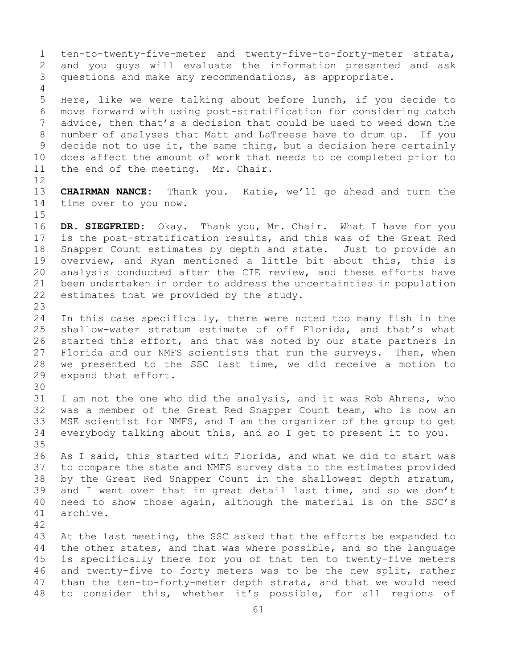1 ten-to-twenty-five-meter and twenty-five-to-forty-meter strata,<br>2 and you quys will evaluate the information presented and ask 2 and you guys will evaluate the information presented and ask<br>3 questions and make any recommendations, as appropriate. questions and make any recommendations, as appropriate. 4 5 Here, like we were talking about before lunch, if you decide to 6 move forward with using post-stratification for considering catch<br>7 advice, then that's a decision that could be used to weed down the 7 advice, then that's a decision that could be used to weed down the<br>8 number of analyses that Matt and LaTreese have to drum up. If you 8 number of analyses that Matt and LaTreese have to drum up. If you<br>9 decide not to use it, the same thing, but a decision here certainly 9 decide not to use it, the same thing, but a decision here certainly<br>10 does affect the amount of work that needs to be completed prior to 10 does affect the amount of work that needs to be completed prior to<br>11 the end of the meeting. Mr. Chair. the end of the meeting. Mr. Chair. 12<br>13 13 **CHAIRMAN NANCE:** Thank you. Katie, we'll go ahead and turn the 14 time over to you now.  $15$ <br> $16$ 16 **DR. SIEGFRIED:** Okay. Thank you, Mr. Chair. What I have for you 17 is the post-stratification results, and this was of the Great Red<br>18 Snapper Count estimates by depth and state. Just to provide an 18 Snapper Count estimates by depth and state.<br>19 overview, and Ryan mentioned a little bit a 19 overview, and Ryan mentioned a little bit about this, this is<br>20 analysis conducted after the CIE review, and these efforts have 20 analysis conducted after the CIE review, and these efforts have<br>21 been undertaken in order to address the uncertainties in population 21 been undertaken in order to address the uncertainties in population<br>22 estimates that we provided by the study. estimates that we provided by the study. 23 24 In this case specifically, there were noted too many fish in the<br>25 shallow-water stratum estimate of off Florida, and that's what 25 shallow-water stratum estimate of off Florida, and that's what<br>26 started this effort, and that was noted by our state partners in 26 started this effort, and that was noted by our state partners in<br>27 Florida and our NMFS scientists that run the surveys. Then, when Florida and our NMFS scientists that run the surveys. Then, when 28 we presented to the SSC last time, we did receive a motion to 29 expand that effort. expand that effort. 30<br>31 31 I am not the one who did the analysis, and it was Rob Ahrens, who<br>32 was a member of the Great Red Snapper Count team, who is now an 32 was a member of the Great Red Snapper Count team, who is now an<br>33 MSE scientist for NMFS, and I am the organizer of the group to get 33 MSE scientist for NMFS, and I am the organizer of the group to get<br>34 everybody talking about this, and so I get to present it to you. everybody talking about this, and so I get to present it to you. 35<br>36 36 As I said, this started with Florida, and what we did to start was<br>37 to compare the state and NMFS survey data to the estimates provided to compare the state and NMFS survey data to the estimates provided 38 by the Great Red Snapper Count in the shallowest depth stratum,<br>39 and I went over that in great detail last time, and so we don't 39 and I went over that in great detail last time, and so we don't<br>40 need to show those again, although the material is on the SSC's 40 need to show those again, although the material is on the SSC's 41 archive. archive. 42 43 At the last meeting, the SSC asked that the efforts be expanded to<br>44 the other states, and that was where possible, and so the language the other states, and that was where possible, and so the language 45 is specifically there for you of that ten to twenty-five meters 46 and twenty-five to forty meters was to be the new split, rather<br>47 than the ten-to-forty-meter depth strata, and that we would need 47 than the ten-to-forty-meter depth strata, and that we would need<br>48 to consider this, whether it's possible, for all regions of to consider this, whether it's possible, for all regions of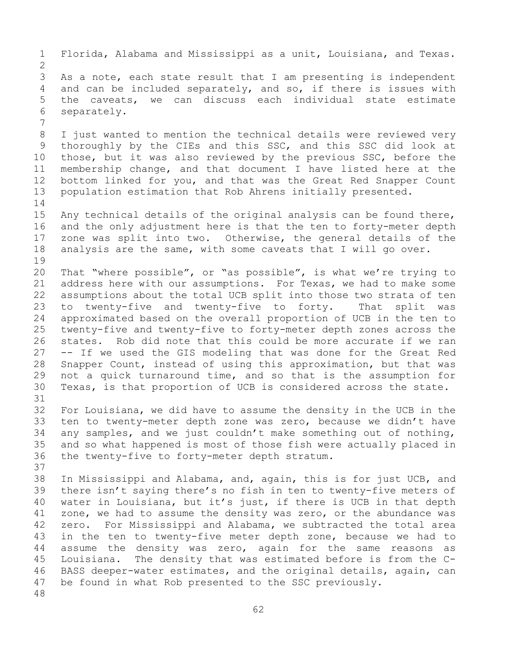1 Florida, Alabama and Mississippi as a unit, Louisiana, and Texas.  $\frac{2}{3}$ 3 As a note, each state result that I am presenting is independent<br>4 and can be included separately, and so, if there is issues with and can be included separately, and so, if there is issues with 5 the caveats, we can discuss each individual state estimate 6 separately. 7 8 I just wanted to mention the technical details were reviewed very<br>9 thoroughly by the CIEs and this SSC, and this SSC did look at 9 thoroughly by the CIEs and this SSC, and this SSC did look at<br>10 those, but it was also reviewed by the previous SSC, before the 10 those, but it was also reviewed by the previous SSC, before the<br>11 membership change, and that document I have listed here at the 11 membership change, and that document I have listed here at the<br>12 bottom linked for you, and that was the Great Red Snapper Count 12 bottom linked for you, and that was the Great Red Snapper Count<br>13 population estimation that Rob Ahrens initially presented. population estimation that Rob Ahrens initially presented.  $\frac{14}{15}$ 15 Any technical details of the original analysis can be found there,<br>16 and the only adjustment here is that the ten to forty-meter depth 16 and the only adjustment here is that the ten to forty-meter depth<br>17 zone was split into two. Otherwise, the general details of the 17 zone was split into two. Otherwise, the general details of the<br>18 analysis are the same, with some caveats that I will go over. analysis are the same, with some caveats that I will go over. 19<br>20 20 That "where possible", or "as possible", is what we're trying to<br>21 address here with our assumptions. For Texas, we had to make some 21 address here with our assumptions. For Texas, we had to make some<br>22 assumptions about the total UCB split into those two strata of ten 22 assumptions about the total UCB split into those two strata of ten<br>23 to twenty-five and twenty-five to forty. That split was 23 to twenty-five and twenty-five to forty.<br>24 approximated based on the overall proportion 24 approximated based on the overall proportion of UCB in the ten to<br>25 twenty-five and twenty-five to forty-meter depth zones across the 25 twenty-five and twenty-five to forty-meter depth zones across the<br>26 states. Rob did note that this could be more accurate if we ran 26 states. Rob did note that this could be more accurate if we ran<br>27 -- If we used the GIS modeling that was done for the Great Red -- If we used the GIS modeling that was done for the Great Red 28 Snapper Count, instead of using this approximation, but that was<br>29 not a quick turnaround time, and so that is the assumption for 29 not a quick turnaround time, and so that is the assumption for<br>30 Texas, is that proportion of UCB is considered across the state. Texas, is that proportion of UCB is considered across the state. 31<br>32 For Louisiana, we did have to assume the density in the UCB in the 33 ten to twenty-meter depth zone was zero, because we didn't have<br>34 any samples, and we just couldn't make something out of nothing, 34 any samples, and we just couldn't make something out of nothing,<br>35 and so what happened is most of those fish were actually placed in 35 and so what happened is most of those fish were actually placed in<br>36 the twenty-five to forty-meter depth stratum. the twenty-five to forty-meter depth stratum. 37 38 In Mississippi and Alabama, and, again, this is for just UCB, and<br>39 there isn't saying there's no fish in ten to twenty-five meters of 39 there isn't saying there's no fish in ten to twenty-five meters of<br>40 water in Louisiana, but it's just, if there is UCB in that depth 40 water in Louisiana, but it's just, if there is UCB in that depth<br>41 zone, we had to assume the density was zero, or the abundance was 41 zone, we had to assume the density was zero, or the abundance was<br>42 zero. For Mississippi and Alabama, we subtracted the total area 42 zero. For Mississippi and Alabama, we subtracted the total area<br>43 in the ten to twenty-five meter depth zone, because we had to 43 in the ten to twenty-five meter depth zone, because we had to<br>44 assume the density was zero, again for the same reasons as assume the density was zero, again for the same reasons as 45 Louisiana. The density that was estimated before is from the C-46 BASS deeper-water estimates, and the original details, again, can<br>47 be found in what Rob presented to the SSC previously. be found in what Rob presented to the SSC previously. 48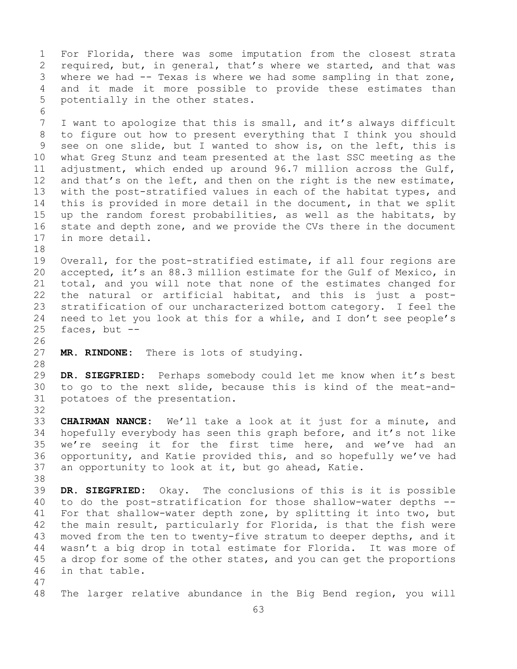1 For Florida, there was some imputation from the closest strata<br>2 required, but, in general, that's where we started, and that was 2 required, but, in general, that's where we started, and that was<br>3 where we had -- Texas is where we had some sampling in that zone, 3 where we had -- Texas is where we had some sampling in that zone,<br>4 and it made it more possible to provide these estimates than and it made it more possible to provide these estimates than 5 potentially in the other states. 6<br>7 7 I want to apologize that this is small, and it's always difficult<br>8 to figure out how to present everything that I think you should 8 to figure out how to present everything that I think you should<br>9 see on one slide, but I wanted to show is, on the left, this is 9 see on one slide, but I wanted to show is, on the left, this is<br>10 what Greg Stunz and team presented at the last SSC meeting as the 10 what Greg Stunz and team presented at the last SSC meeting as the<br>11 adjustment, which ended up around 96.7 million across the Gulf, 11 adjustment, which ended up around 96.7 million across the Gulf,<br>12 and that's on the left, and then on the right is the new estimate, and that's on the left, and then on the right is the new estimate, 13 with the post-stratified values in each of the habitat types, and 14 this is provided in more detail in the document, in that we split<br>15 up the random forest probabilities, as well as the habitats, by 15 up the random forest probabilities, as well as the habitats, by<br>16 state and depth zone, and we provide the CVs there in the document 16 state and depth zone, and we provide the CVs there in the document<br>17 in more detail. in more detail. 18<br>19 19 Overall, for the post-stratified estimate, if all four regions are<br>20 accepted, it's an 88.3 million estimate for the Gulf of Mexico, in 20 accepted, it's an 88.3 million estimate for the Gulf of Mexico, in<br>21 total, and you will note that none of the estimates changed for 21 total, and you will note that none of the estimates changed for<br>22 the natural or artificial habitat, and this is just a post-22 the natural or artificial habitat, and this is just a post-<br>23 stratification of our uncharacterized bottom category. I feel the 23 stratification of our uncharacterized bottom category. I feel the<br>24 need to let you look at this for a while, and I don't see people's 24 need to let you look at this for a while, and I don't see people's  $25$  faces, but  $$ faces, but  $--$ 26<br>27 MR. RINDONE: There is lots of studying. 28<br>29 29 **DR. SIEGFRIED:** Perhaps somebody could let me know when it's best 30 to go to the next slide, because this is kind of the meat-and-<br>31 potatoes of the presentation. potatoes of the presentation. 32 33 **CHAIRMAN NANCE:** We'll take a look at it just for a minute, and 34 hopefully everybody has seen this graph before, and it's not like<br>35 we're seeing it for the first time here, and we've had an 35 we're seeing it for the first time here, and we've had an<br>36 opportunity, and Katie provided this, and so hopefully we've had 36 opportunity, and Katie provided this, and so hopefully we've had<br>37 an opportunity to look at it, but go ahead, Katie. an opportunity to look at it, but go ahead, Katie. 38<br>39 39 **DR. SIEGFRIED:** Okay. The conclusions of this is it is possible 40 to do the post-stratification for those shallow-water depths --<br>41 For that shallow-water depth zone, by splitting it into two, but 41 For that shallow-water depth zone, by splitting it into two, but<br>42 the main result, particularly for Florida, is that the fish were 42 the main result, particularly for Florida, is that the fish were<br>43 moved from the ten to twenty-five stratum to deeper depths, and it 43 moved from the ten to twenty-five stratum to deeper depths, and it<br>44 wasn't a big drop in total estimate for Florida. It was more of wasn't a big drop in total estimate for Florida. It was more of 45 a drop for some of the other states, and you can get the proportions 46 in that table. 47 The larger relative abundance in the Big Bend region, you will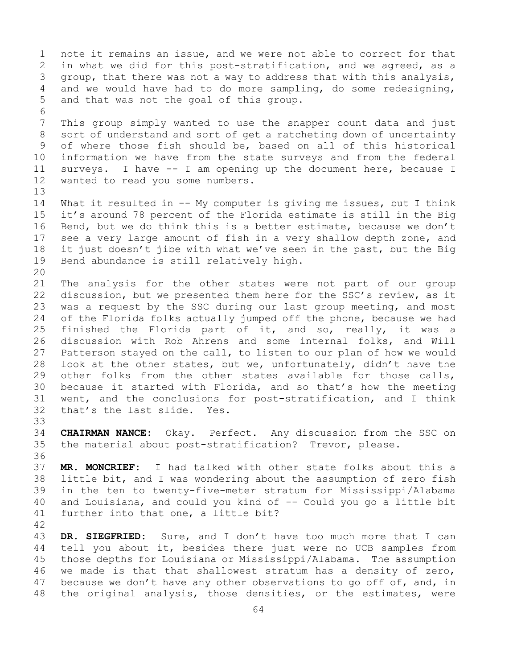1 note it remains an issue, and we were not able to correct for that<br>2 in what we did for this post-stratification, and we agreed, as a 2 in what we did for this post-stratification, and we agreed, as a<br>3 qroup, that there was not a way to address that with this analysis, 3 group, that there was not a way to address that with this analysis,<br>4 and we would have had to do more sampling, do some redesigning, and we would have had to do more sampling, do some redesigning, 5 and that was not the goal of this group. 6<br>7 7 This group simply wanted to use the snapper count data and just<br>8 sort of understand and sort of get a ratcheting down of uncertainty 8 sort of understand and sort of get a ratcheting down of uncertainty<br>9 of where those fish should be, based on all of this historical 9 of where those fish should be, based on all of this historical<br>10 information we have from the state surveys and from the federal 10 information we have from the state surveys and from the federal<br>11 surveys. I have -- I am opening up the document here, because I 11 surveys. I have -- I am opening up the document here, because I<br>12 wanted to read you some numbers. wanted to read you some numbers. 13 14 What it resulted in -- My computer is giving me issues, but I think<br>15 it's around 78 percent of the Florida estimate is still in the Big 15 it's around 78 percent of the Florida estimate is still in the Big<br>16 Bend, but we do think this is a better estimate, because we don't 16 Bend, but we do think this is a better estimate, because we don't<br>17 see a very large amount of fish in a very shallow depth zone, and 17 see a very large amount of fish in a very shallow depth zone, and<br>18 it just doesn't jibe with what we've seen in the past, but the Big 18 it just doesn't jibe with what we've seen in the past, but the Big<br>19 Bend abundance is still relatively high. Bend abundance is still relatively high. 20<br>21 21 The analysis for the other states were not part of our group<br>22 discussion, but we presented them here for the SSC's review, as it 22 discussion, but we presented them here for the SSC's review, as it<br>23 was a request by the SSC during our last group meeting, and most 23 was a request by the SSC during our last group meeting, and most<br>24 of the Florida folks actually jumped off the phone, because we had 24 of the Florida folks actually jumped off the phone, because we had<br>25 finished the Florida part of it, and so, really, it was a 25 finished the Florida part of it, and so, really, it was a<br>26 discussion with Rob Ahrens and some internal folks, and Will 26 discussion with Rob Ahrens and some internal folks, and Will<br>27 Patterson staved on the call, to listen to our plan of how we would Patterson stayed on the call, to listen to our plan of how we would 28 look at the other states, but we, unfortunately, didn't have the<br>29 other folks from the other states available for those calls, 29 other folks from the other states available for those calls,<br>30 because it started with Florida, and so that's how the meeting 30 because it started with Florida, and so that's how the meeting<br>31 went, and the conclusions for post-stratification, and I think 31 went, and the conclusions for post-stratification, and I think<br>32 that's the last slide. Yes. that's the last slide. 33<br>34 34 **CHAIRMAN NANCE:** Okay. Perfect. Any discussion from the SSC on the material about post-stratification? Trevor, please. 36 37 **MR. MONCRIEF:** I had talked with other state folks about this a 38 little bit, and I was wondering about the assumption of zero fish<br>39 in the ten to twenty-five-meter stratum for Mississippi/Alabama 39 in the ten to twenty-five-meter stratum for Mississippi/Alabama<br>40 and Louisiana, and could you kind of -- Could you go a little bit 40 and Louisiana, and could you kind of  $-$  Could you go a little bit 41 further into that one, a little bit? further into that one, a little bit?  $\frac{42}{43}$ 43 DR. SIEGFRIED: Sure, and I don't have too much more that I can<br>44 tell you about it, besides there just were no UCB samples from tell you about it, besides there just were no UCB samples from 45 those depths for Louisiana or Mississippi/Alabama. The assumption 46 we made is that that shallowest stratum has a density of zero,<br>47 because we don't have any other observations to go off of, and, in 47 because we don't have any other observations to go off of, and, in<br>48 the original analysis, those densities, or the estimates, were the original analysis, those densities, or the estimates, were

64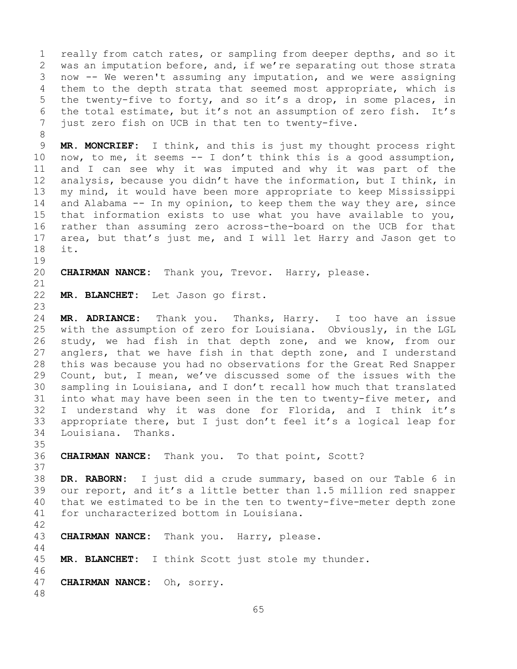1 really from catch rates, or sampling from deeper depths, and so it<br>2 was an imputation before, and, if we're separating out those strata 2 was an imputation before, and, if we're separating out those strata<br>3 now -- We weren't assuming any imputation, and we were assigning 3 now -- We weren't assuming any imputation, and we were assigning<br>4 them to the depth strata that seemed most appropriate, which is them to the depth strata that seemed most appropriate, which is 5 the twenty-five to forty, and so it's a drop, in some places, in 6 the total estimate, but it's not an assumption of zero fish. It's<br>7 iust zero fish on UCB in that ten to twentv-five. just zero fish on UCB in that ten to twenty-five.

8<br>9 9 MR. MONCRIEF: I think, and this is just my thought process right<br>10 now, to me, it seems -- I don't think this is a good assumption, 10 now, to me, it seems -- I don't think this is a good assumption,<br>11 and I can see why it was imputed and why it was part of the 11 and I can see why it was imputed and why it was part of the<br>12 analysis, because you didn't have the information, but I think, in analysis, because you didn't have the information, but I think, in 13 my mind, it would have been more appropriate to keep Mississippi 14 and Alabama -- In my opinion, to keep them the way they are, since<br>15 that information exists to use what you have available to you, 15 that information exists to use what you have available to you,<br>16 rather than assuming zero across-the-board on the UCB for that 16 rather than assuming zero across-the-board on the UCB for that<br>17 area, but that's just me, and I will let Harry and Jason get to 17 area, but that's just me, and I will let Harry and Jason get to 18 it. it.

19<br>20 CHAIRMAN NANCE: Thank you, Trevor. Harry, please.

```
21<br>22
```
MR. BLANCHET: Let Jason go first.

23 24 **MR. ADRIANCE:** Thank you. Thanks, Harry. I too have an issue<br>25 with the assumption of zero for Louisiana. Obviously, in the LGL with the assumption of zero for Louisiana. Obviously, in the LGL 26 study, we had fish in that depth zone, and we know, from our<br>27 anglers, that we have fish in that depth zone, and I understand anglers, that we have fish in that depth zone, and I understand 28 this was because you had no observations for the Great Red Snapper<br>29 Count, but, I mean, we've discussed some of the issues with the Count, but, I mean, we've discussed some of the issues with the 30 sampling in Louisiana, and I don't recall how much that translated<br>31 into what may have been seen in the ten to twenty-five meter, and 31 into what may have been seen in the ten to twenty-five meter, and<br>32 I understand why it was done for Florida, and I think it's I understand why it was done for Florida, and I think it's 33 appropriate there, but I just don't feel it's a logical leap for Louisiana. Thanks.

35<br>36 CHAIRMAN NANCE: Thank you. To that point, Scott?

37 38 **DR. RABORN:** I just did a crude summary, based on our Table 6 in 39 our report, and it's a little better than 1.5 million red snapper<br>40 that we estimated to be in the ten to twenty-five-meter depth zone 40 that we estimated to be in the ten to twenty-five-meter depth zone<br>41 for uncharacterized bottom in Louisiana. for uncharacterized bottom in Louisiana.

42 CHAIRMAN NANCE: Thank you. Harry, please.

45 **MR. BLANCHET:** I think Scott just stole my thunder.

46<br>47 CHAIRMAN NANCE: Oh, sorry.

48

44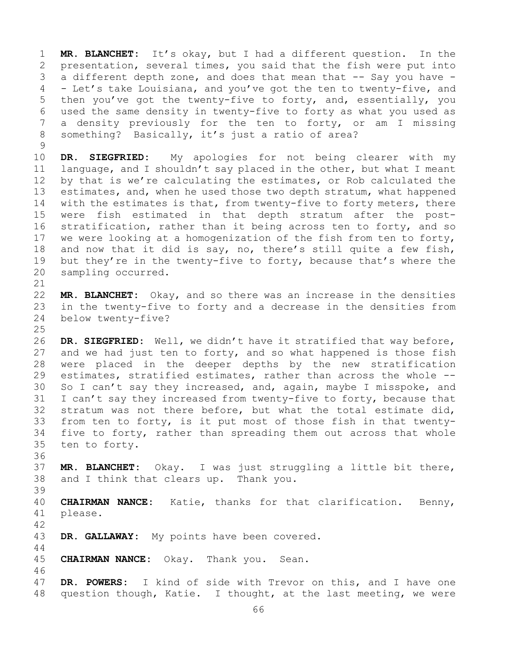1 **MR. BLANCHET:** It's okay, but I had a different question. In the 2 presentation, several times, you said that the fish were put into<br>3 a different depth zone, and does that mean that -- Say you have -3 a different depth zone, and does that mean that -- Say you have -<br>4 - Let's take Louisiana, and you've got the ten to twenty-five, and - Let's take Louisiana, and you've got the ten to twenty-five, and 5 then you've got the twenty-five to forty, and, essentially, you 6 used the same density in twenty-five to forty as what you used as 7 a density previously for the ten to forty, or am I missing<br>8 something? Basically, it's just a ratio of area? something? Basically, it's just a ratio of area?

 $\begin{array}{c} 9 \\ 10 \end{array}$ 10 **DR. SIEGFRIED:** My apologies for not being clearer with my<br>11 language, and I shouldn't say placed in the other, but what I meant 11 language, and I shouldn't say placed in the other, but what I meant<br>12 by that is we're calculating the estimates, or Rob calculated the by that is we're calculating the estimates, or Rob calculated the 13 estimates, and, when he used those two depth stratum, what happened 14 with the estimates is that, from twenty-five to forty meters, there<br>15 were fish estimated in that depth stratum after the post-15 were fish estimated in that depth stratum after the post-<br>16 stratification, rather than it being across ten to forty, and so 16 stratification, rather than it being across ten to forty, and so<br>17 we were looking at a homogenization of the fish from ten to forty, 17 we were looking at a homogenization of the fish from ten to forty,<br>18 and now that it did is say, no, there's still quite a few fish, 18 and now that it did is say, no, there's still quite a few fish,<br>19 but they're in the twenty-five to forty, because that's where the 19 but they're in the twenty-five to forty, because that's where the<br>20 sampling occurred. sampling occurred.

21<br>22 22 **MR. BLANCHET:** Okay, and so there was an increase in the densities 23 in the twenty-five to forty and a decrease in the densities from<br>24 below twenty-five? below twenty-five?

 $\frac{25}{26}$ 26 **DR. SIEGFRIED:** Well, we didn't have it stratified that way before,<br>27 and we had just ten to forty, and so what happened is those fish and we had just ten to forty, and so what happened is those fish 28 were placed in the deeper depths by the new stratification<br>29 estimates, stratified estimates, rather than across the whole --29 estimates, stratified estimates, rather than across the whole --<br>30 So I can't say they increased, and, again, maybe I misspoke, and 30 So I can't say they increased, and, again, maybe I misspoke, and<br>31 I can't say they increased from twenty-five to forty, because that 31 I can't say they increased from twenty-five to forty, because that<br>32 stratum was not there before, but what the total estimate did, stratum was not there before, but what the total estimate did, 33 from ten to forty, is it put most of those fish in that twenty-<br>34 five to forty, rather than spreading them out across that whole 34 five to forty, rather than spreading them out across that whole<br>35 ten to forty. ten to forty.

37 **MR. BLANCHET:** Okay. I was just struggling a little bit there, 38 and I think that clears up. Thank you.

39 40 **CHAIRMAN NANCE:** Katie, thanks for that clarification. Benny,<br>41 please. please.

42 DR. GALLAWAY: My points have been covered.

45 **CHAIRMAN NANCE:** Okay. Thank you. Sean.

36

44

46<br>47 47 **DR. POWERS:** I kind of side with Trevor on this, and I have one question though, Katie. I thought, at the last meeting, we were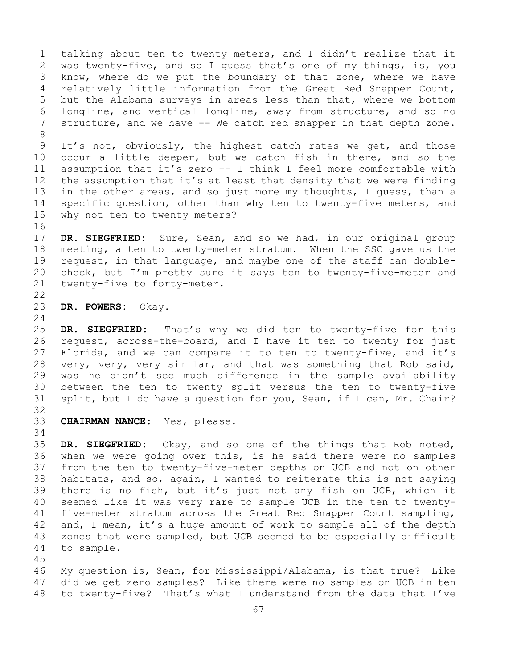1 talking about ten to twenty meters, and I didn't realize that it<br>2 was twenty-five, and so I quess that's one of my things, is, you 2 was twenty-five, and so I guess that's one of my things, is, you<br>3 know, where do we put the boundary of that zone, where we have 3 know, where do we put the boundary of that zone, where we have<br>4 relatively little information from the Great Red Snapper Count, relatively little information from the Great Red Snapper Count, 5 but the Alabama surveys in areas less than that, where we bottom 6 longline, and vertical longline, away from structure, and so no<br>7 structure, and we have -- We catch red snapper in that depth zone. structure, and we have -- We catch red snapper in that depth zone. 8<br>9

9 It's not, obviously, the highest catch rates we get, and those<br>10 occur a little deeper, but we catch fish in there, and so the 10 occur a little deeper, but we catch fish in there, and so the<br>11 assumption that it's zero -- I think I feel more comfortable with 11 assumption that it's zero -- I think I feel more comfortable with<br>12 the assumption that it's at least that density that we were finding 12 the assumption that it's at least that density that we were finding<br>13 in the other areas, and so just more my thoughts, I quess, than a in the other areas, and so just more my thoughts, I guess, than a 14 specific question, other than why ten to twenty-five meters, and<br>15 why not ten to twenty meters? why not ten to twenty meters?

16<br>17 17 **DR. SIEGFRIED:** Sure, Sean, and so we had, in our original group 18 meeting, a ten to twenty-meter stratum. When the SSC gave us the<br>19 request, in that language, and maybe one of the staff can double-19 request, in that language, and maybe one of the staff can double-<br>20 check, but I'm pretty sure it says ten to twenty-five-meter and 20 check, but I'm pretty sure it says ten to twenty-five-meter and<br>21 twenty-five to forty-meter. twenty-five to forty-meter.

 $\begin{array}{c} 22 \\ 23 \end{array}$ 23 **DR. POWERS:** Okay.

 $\frac{24}{25}$ 25 **DR. SIEGFRIED:** That's why we did ten to twenty-five for this<br>26 request, across-the-board, and I have it ten to twenty for just 26 request, across-the-board, and I have it ten to twenty for just<br>27 Florida, and we can compare it to ten to twenty-five, and it's Florida, and we can compare it to ten to twenty-five, and it's 28 very, very, very similar, and that was something that Rob said,<br>29 was he didn't see much difference in the sample availability 29 was he didn't see much difference in the sample availability<br>30 between the ten to twenty split versus the ten to twenty-five 30 between the ten to twenty split versus the ten to twenty-five<br>31 split, but I do have a question for you, Sean, if I can, Mr. Chair? split, but I do have a question for you, Sean, if I can, Mr. Chair?

32<br>33

CHAIRMAN NANCE: Yes, please.

34<br>35 35 **DR. SIEGFRIED:** Okay, and so one of the things that Rob noted, when we were going over this, is he said there were no samples 37 from the ten to twenty-five-meter depths on UCB and not on other 38 habitats, and so, again, I wanted to reiterate this is not saying<br>39 there is no fish, but it's just not any fish on UCB, which it 39 there is no fish, but it's just not any fish on UCB, which it<br>40 seemed like it was very rare to sample UCB in the ten to twenty-40 seemed like it was very rare to sample UCB in the ten to twenty-<br>41 five-meter stratum across the Great Red Snapper Count sampling, 41 five-meter stratum across the Great Red Snapper Count sampling,<br>42 and, I mean, it's a huge amount of work to sample all of the depth 42 and, I mean, it's a huge amount of work to sample all of the depth<br>43 zones that were sampled, but UCB seemed to be especially difficult 43 zones that were sampled, but UCB seemed to be especially difficult<br>44 to sample. to sample.

45

46 My question is, Sean, for Mississippi/Alabama, is that true? Like<br>47 did we get zero samples? Like there were no samples on UCB in ten 47 did we get zero samples? Like there were no samples on UCB in ten<br>48 to twenty-five? That's what I understand from the data that I've to twenty-five? That's what I understand from the data that I've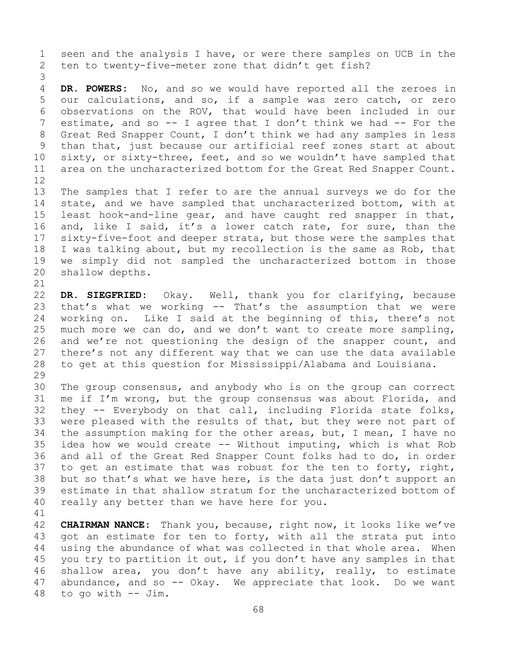1 seen and the analysis I have, or were there samples on UCB in the<br>2 ten to twenty-five-meter zone that didn't get fish? ten to twenty-five-meter zone that didn't get fish?

3 DR. POWERS: No, and so we would have reported all the zeroes in 5 our calculations, and so, if a sample was zero catch, or zero 6 observations on the ROV, that would have been included in our  $\overline{a}$  estimate, and so  $\overline{a}$  = I agree that I don't think we had  $\overline{a}$  = For the 7 estimate, and so -- I agree that I don't think we had -- For the<br>8 Great Red Snapper Count, I don't think we had any samples in less 8 Great Red Snapper Count, I don't think we had any samples in less<br>9 than that, just because our artificial reef zones start at about 9 than that, just because our artificial reef zones start at about<br>10 sixty, or sixty-three, feet, and so we wouldn't have sampled that 10 sixty, or sixty-three, feet, and so we wouldn't have sampled that<br>11 area on the uncharacterized bottom for the Great Red Snapper Count. area on the uncharacterized bottom for the Great Red Snapper Count.

- 12<br>13 The samples that I refer to are the annual surveys we do for the 14 state, and we have sampled that uncharacterized bottom, with at<br>15 least hook-and-line gear, and have caught red snapper in that, 15 least hook-and-line gear, and have caught red snapper in that,<br>16 and, like I said, it's a lower catch rate, for sure, than the 16 and, like I said, it's a lower catch rate, for sure, than the<br>17 sixty-five-foot and deeper strata, but those were the samples that 17 sixty-five-foot and deeper strata, but those were the samples that<br>18 I was talking about, but my recollection is the same as Rob, that 18 I was talking about, but my recollection is the same as Rob, that<br>19 we simply did not sampled the uncharacterized bottom in those 19 we simply did not sampled the uncharacterized bottom in those<br>20 shallow depths. shallow depths.
- 

21<br>22 22 **DR. SIEGFRIED:** Okay. Well, thank you for clarifying, because 23 that's what we working -- That's the assumption that we were<br>24 working on. Like I said at the beginning of this, there's not 24 working on. Like I said at the beginning of this, there's not<br>25 much more we can do, and we don't want to create more sampling, 25 much more we can do, and we don't want to create more sampling,<br>26 and we're not questioning the design of the snapper count, and 26 and we're not questioning the design of the snapper count, and<br>27 there's not any different way that we can use the data available 27 there's not any different way that we can use the data available<br>28 to get at this question for Mississippi/Alabama and Louisiana. to get at this question for Mississippi/Alabama and Louisiana.

29<br>30 30 The group consensus, and anybody who is on the group can correct<br>31 me if I'm wrong, but the group consensus was about Florida, and 31 me if I'm wrong, but the group consensus was about Florida, and<br>32 thev -- Evervbody on that call, including Florida state folks, 32 they -- Everybody on that call, including Florida state folks,<br>33 were pleased with the results of that, but they were not part of 33 were pleased with the results of that, but they were not part of<br>34 the assumption making for the other areas, but, I mean, I have no 34 the assumption making for the other areas, but, I mean, I have no<br>35 idea how we would create -- Without imputing, which is what Rob 35 idea how we would create -- Without imputing, which is what Rob<br>36 and all of the Great Red Snapper Count folks had to do, in order 36 and all of the Great Red Snapper Count folks had to do, in order<br>37 to get an estimate that was robust for the ten to forty, right, to get an estimate that was robust for the ten to forty, right, 38 but so that's what we have here, is the data just don't support an<br>39 estimate in that shallow stratum for the uncharacterized bottom of 39 estimate in that shallow stratum for the uncharacterized bottom of<br>40 really any better than we have here for you. really any better than we have here for you.

41<br>42 42 **CHAIRMAN NANCE:** Thank you, because, right now, it looks like we've 43 got an estimate for ten to forty, with all the strata put into<br>44 using the abundance of what was collected in that whole area. When using the abundance of what was collected in that whole area. When 45 you try to partition it out, if you don't have any samples in that 46 shallow area, you don't have any ability, really, to estimate<br>47 abundance, and so  $-$  Okay. We appreciate that look. Do we want 47 abundance, and so  $-$  Okay. We appreciate that look. Do we want  $48$  to go with  $-$  Jim. to go with  $--$  Jim.

68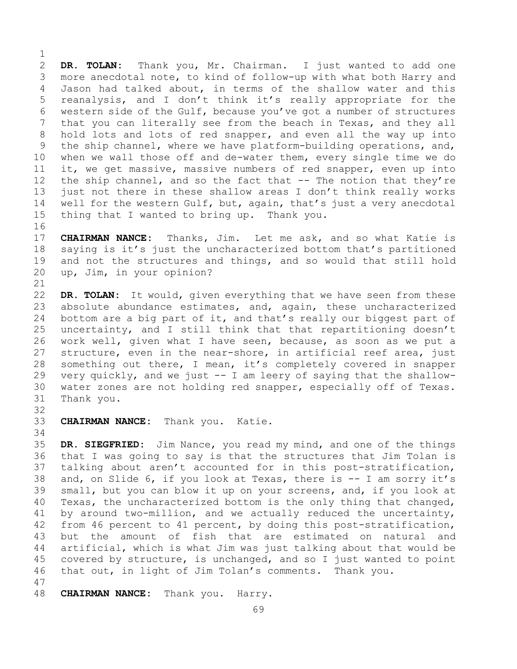$\frac{1}{2}$ 2 **DR. TOLAN:** Thank you, Mr. Chairman. I just wanted to add one 3 more anecdotal note, to kind of follow-up with what both Harry and<br>4 Jason had talked about, in terms of the shallow water and this Jason had talked about, in terms of the shallow water and this 5 reanalysis, and I don't think it's really appropriate for the 6 western side of the Gulf, because you've got a number of structures<br>7 that you can literally see from the beach in Texas, and they all 7 that you can literally see from the beach in Texas, and they all<br>8 hold lots and lots of red snapper, and even all the way up into 8 hold lots and lots of red snapper, and even all the way up into<br>9 the ship channel, where we have platform-building operations, and, 9 the ship channel, where we have platform-building operations, and,<br>10 when we wall those off and de-water them, every single time we do 10 when we wall those off and de-water them, every single time we do<br>11 it, we get massive, massive numbers of red snapper, even up into 11 it, we get massive, massive numbers of red snapper, even up into<br>12 the ship channel, and so the fact that -- The notion that they're the ship channel, and so the fact that  $-$ - The notion that they're 13 just not there in these shallow areas I don't think really works 14 well for the western Gulf, but, again, that's just a very anecdotal<br>15 thing that I wanted to bring up. Thank you. thing that I wanted to bring up. Thank you.

16<br>17 17 **CHAIRMAN NANCE:** Thanks, Jim. Let me ask, and so what Katie is<br>18 saying is it's just the uncharacterized bottom that's partitioned 18 saying is it's just the uncharacterized bottom that's partitioned<br>19 and not the structures and things, and so would that still hold 19 and not the structures and things, and so would that still hold<br>20 up, Jim, in your opinion? up, Jim, in your opinion?

21<br>22 22 **DR. TOLAN:** It would, given everything that we have seen from these<br>23 absolute abundance estimates, and, again, these uncharacterized 23 absolute abundance estimates, and, again, these uncharacterized<br>24 bottom are a big part of it, and that's really our biggest part of 24 bottom are a big part of it, and that's really our biggest part of<br>25 uncertainty, and I still think that that repartitioning doesn't 25 uncertainty, and I still think that that repartitioning doesn't<br>26 work well, given what I have seen, because, as soon as we put a 26 work well, given what I have seen, because, as soon as we put a<br>27 structure, even in the near-shore, in artificial reef area, just structure, even in the near-shore, in artificial reef area, just 28 something out there, I mean, it's completely covered in snapper<br>29 very quickly, and we just -- I am leery of saying that the shallow-29 very quickly, and we just -- I am leery of saying that the shallow-<br>30 water zones are not holding red snapper, especially off of Texas. 30 water zones are not holding red snapper, especially off of Texas.<br>31 Thank you. Thank you.

32

33 **CHAIRMAN NANCE:** Thank you. Katie.

34<br>35 35 **DR. SIEGFRIED:** Jim Nance, you read my mind, and one of the things that I was going to say is that the structures that Jim Tolan is 37 talking about aren't accounted for in this post-stratification, 38 and, on Slide 6, if you look at Texas, there is -- I am sorry it's<br>39 small, but you can blow it up on your screens, and, if you look at 39 small, but you can blow it up on your screens, and, if you look at 40 Texas, the uncharacterized bottom is the only thing that changed, 40 Texas, the uncharacterized bottom is the only thing that changed,<br>41 by around two-million, and we actually reduced the uncertainty, 41 by around two-million, and we actually reduced the uncertainty,<br>42 from 46 percent to 41 percent, by doing this post-stratification, 42 from 46 percent to 41 percent, by doing this post-stratification,<br>43 but the amount of fish that are estimated on natural and 43 but the amount of fish that are estimated on natural and<br>44 artificial, which is what Jim was just talking about that would be artificial, which is what Jim was just talking about that would be 45 covered by structure, is unchanged, and so I just wanted to point 46 that out, in light of Jim Tolan's comments. Thank you.

47 CHAIRMAN NANCE: Thank you. Harry.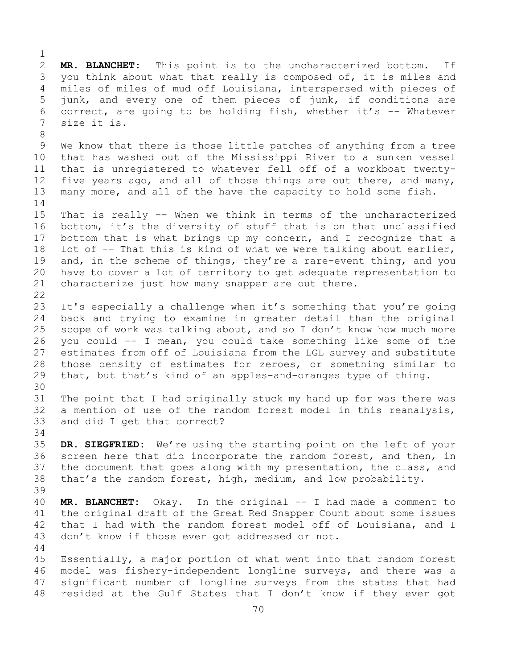$\frac{1}{2}$ 2 **MR. BLANCHET:** This point is to the uncharacterized bottom. If<br>3 you think about what that really is composed of, it is miles and 3 you think about what that really is composed of, it is miles and<br>4 miles of miles of mud off Louisiana, interspersed with pieces of miles of miles of mud off Louisiana, interspersed with pieces of 5 junk, and every one of them pieces of junk, if conditions are 6 correct, are going to be holding fish, whether it's  $-$  Whatever<br>7 size it is. size it is. 8 9 We know that there is those little patches of anything from a tree<br>10 that has washed out of the Mississippi River to a sunken vessel 10 that has washed out of the Mississippi River to a sunken vessel<br>11 that is unregistered to whatever fell off of a workboat twenty-11 that is unregistered to whatever fell off of a workboat twenty-<br>12 five years ago, and all of those things are out there, and many, five years ago, and all of those things are out there, and many, 13 many more, and all of the have the capacity to hold some fish.  $\frac{14}{15}$ 15 That is really -- When we think in terms of the uncharacterized<br>16 bottom, it's the diversity of stuff that is on that unclassified 16 bottom, it's the diversity of stuff that is on that unclassified<br>17 bottom that is what brings up my concern, and I recognize that a 17 bottom that is what brings up my concern, and I recognize that a<br>18 lot of -- That this is kind of what we were talking about earlier, 18 lot of -- That this is kind of what we were talking about earlier,<br>19 and, in the scheme of things, they're a rare-event thing, and you 19 and, in the scheme of things, they're a rare-event thing, and you<br>20 have to cover a lot of territory to get adequate representation to have to cover a lot of territory to get adequate representation to 21 characterize just how many snapper are out there.  $\begin{array}{c} 22 \\ 23 \end{array}$ 23 It's especially a challenge when it's something that you're going<br>24 back and trving to examine in greater detail than the original 24 back and trying to examine in greater detail than the original<br>25 scope of work was talking about, and so I don't know how much more 25 scope of work was talking about, and so I don't know how much more<br>26 vou could -- I mean, vou could take something like some of the 26 you could -- I mean, you could take something like some of the estimates from off of Louisiana from the LGL survey and substitute 28 those density of estimates for zeroes, or something similar to<br>29 that, but that's kind of an apples-and-oranges type of thing. that, but that's kind of an apples-and-oranges type of thing. 30<br>31 31 The point that I had originally stuck my hand up for was there was<br>32 a mention of use of the random forest model in this reanalysis, a mention of use of the random forest model in this reanalysis, 33 and did I get that correct? 34<br>35 35 **DR. SIEGFRIED:** We're using the starting point on the left of your screen here that did incorporate the random forest, and then, in 37 the document that goes along with my presentation, the class, and 38 that's the random forest, high, medium, and low probability. 39 40 **MR. BLANCHET:** Okay. In the original -- I had made a comment to 41 the original draft of the Great Red Snapper Count about some issues<br>42 that I had with the random forest model off of Louisiana, and I 42 that I had with the random forest model off of Louisiana, and I<br>43 don't know if those ever got addressed or not. don't know if those ever got addressed or not. 44 45 Essentially, a major portion of what went into that random forest 46 model was fishery-independent longline surveys, and there was a<br>47 significant number of longline surveys from the states that had 47 significant number of longline surveys from the states that had<br>48 resided at the Gulf States that I don't know if they ever got resided at the Gulf States that I don't know if they ever got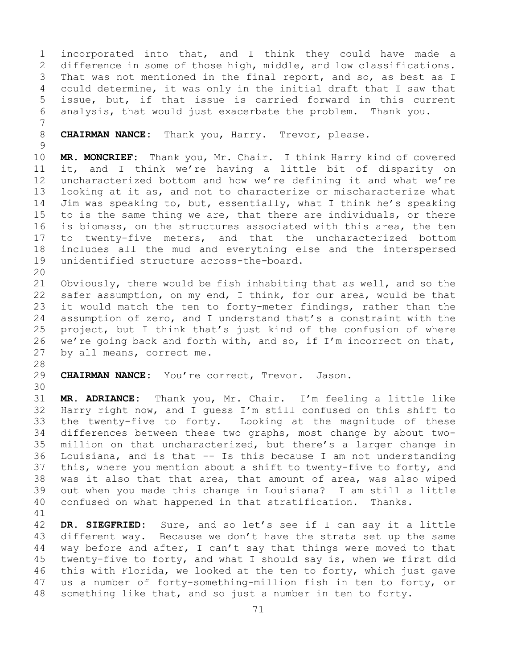1 incorporated into that, and I think they could have made a<br>2 difference in some of those high, middle, and low classifications. 2 difference in some of those high, middle, and low classifications.<br>3 That was not mentioned in the final report, and so, as best as I 3 That was not mentioned in the final report, and so, as best as I<br>4 could determine, it was only in the initial draft that I saw that could determine, it was only in the initial draft that I saw that 5 issue, but, if that issue is carried forward in this current 6 analysis, that would just exacerbate the problem. Thank you.

7 CHAIRMAN NANCE: Thank you, Harry. Trevor, please.

 $\frac{9}{10}$ 10 **MR. MONCRIEF:** Thank you, Mr. Chair. I think Harry kind of covered<br>11 it, and I think we're having a little bit of disparity on 11 it, and I think we're having a little bit of disparity on<br>12 uncharacterized bottom and how we're defining it and what we're uncharacterized bottom and how we're defining it and what we're 13 looking at it as, and not to characterize or mischaracterize what 14 Jim was speaking to, but, essentially, what I think he's speaking<br>15 to is the same thing we are, that there are individuals, or there 15 to is the same thing we are, that there are individuals, or there<br>16 is biomass, on the structures associated with this area, the ten 16 is biomass, on the structures associated with this area, the ten<br>17 to twenty-five meters, and that the uncharacterized bottom 17 to twenty-five meters, and that the uncharacterized bottom<br>18 includes all the mud and everything else and the interspersed 18 includes all the mud and everything else and the interspersed<br>19 unidentified structure across-the-board. unidentified structure across-the-board.

20<br>21 21 Obviously, there would be fish inhabiting that as well, and so the<br>22 safer assumption, on my end, I think, for our area, would be that 22 safer assumption, on my end, I think, for our area, would be that<br>23 it would match the ten to forty-meter findings, rather than the 23 it would match the ten to forty-meter findings, rather than the<br>24 assumption of zero, and I understand that's a constraint with the 24 assumption of zero, and I understand that's a constraint with the<br>25 project, but I think that's just kind of the confusion of where 25 project, but I think that's just kind of the confusion of where<br>26 we're going back and forth with, and so, if I'm incorrect on that, 26 we're going back and forth with, and so, if I'm incorrect on that,<br>27 by all means, correct me. by all means, correct me.

28<br>29

CHAIRMAN NANCE: You're correct, Trevor. Jason.

30<br>31

31 **MR. ADRIANCE:** Thank you, Mr. Chair. I'm feeling a little like Harry right now, and I guess I'm still confused on this shift to 33 the twenty-five to forty. Looking at the magnitude of these<br>34 differences between these two graphs, most change by about two-34 differences between these two graphs, most change by about two-<br>35 million on that uncharacterized, but there's a larger change in 35 million on that uncharacterized, but there's a larger change in<br>36 Iouisiana, and is that -- Is this because I am not understanding Louisiana, and is that  $--$  Is this because I am not understanding 37 this, where you mention about a shift to twenty-five to forty, and 38 was it also that that area, that amount of area, was also wiped<br>39 out when you made this change in Louisiana? I am still a little 39 out when you made this change in Louisiana? I am still a little<br>40 confused on what happened in that stratification. Thanks. confused on what happened in that stratification.

41<br>42 42 **DR. SIEGFRIED:** Sure, and so let's see if I can say it a little 43 different way. Because we don't have the strata set up the same<br>44 way before and after, I can't say that things were moved to that way before and after, I can't say that things were moved to that 45 twenty-five to forty, and what I should say is, when we first did 46 this with Florida, we looked at the ten to forty, which just gave<br>47 us a number of forty-something-million fish in ten to forty, or 47 us a number of forty-something-million fish in ten to forty, or<br>48 something like that, and so just a number in ten to forty. something like that, and so just a number in ten to forty.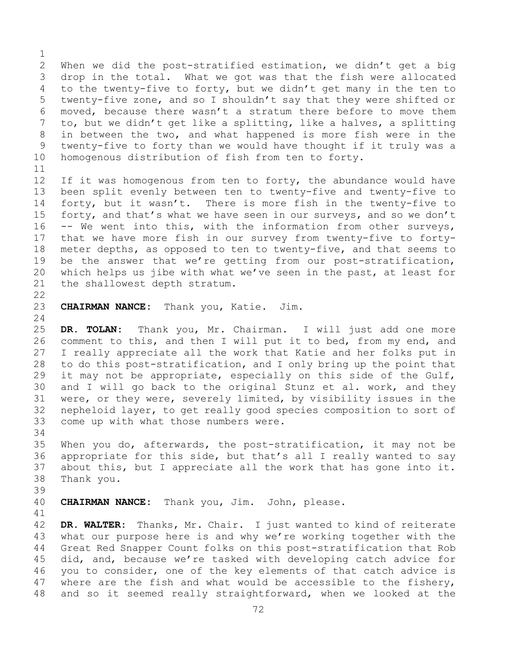$\frac{1}{2}$ 2 When we did the post-stratified estimation, we didn't get a big<br>3 drop in the total. What we got was that the fish were allocated 3 drop in the total. What we got was that the fish were allocated<br>4 to the twenty-five to forty, but we didn't get many in the ten to to the twenty-five to forty, but we didn't get many in the ten to 5 twenty-five zone, and so I shouldn't say that they were shifted or 6 moved, because there wasn't a stratum there before to move them<br>7 to, but we didn't get like a splitting, like a halves, a splitting 7 to, but we didn't get like a splitting, like a halves, a splitting<br>8 in between the two, and what happened is more fish were in the 8 in between the two, and what happened is more fish were in the<br>9 twenty-five to forty than we would have thought if it truly was a 9 twenty-five to forty than we would have thought if it truly was a<br>10 homogenous distribution of fish from ten to forty. homogenous distribution of fish from ten to forty.

11<br>12 If it was homogenous from ten to forty, the abundance would have 13 been split evenly between ten to twenty-five and twenty-five to 14 forty, but it wasn't. There is more fish in the twenty-five to<br>15 forty, and that's what we have seen in our surveys, and so we don't 15 forty, and that's what we have seen in our surveys, and so we don't<br>16 -- We went into this, with the information from other surveys, 16 -- We went into this, with the information from other surveys,<br>17 that we have more fish in our survey from twenty-five to forty-17 that we have more fish in our survey from twenty-five to forty-<br>18 meter depths, as opposed to ten to twenty-five, and that seems to 18 meter depths, as opposed to ten to twenty-five, and that seems to<br>19 be the answer that we're getting from our post-stratification, 19 be the answer that we're getting from our post-stratification,<br>20 which helps us jibe with what we've seen in the past, at least for 20 which helps us jibe with what we've seen in the past, at least for<br>21 the shallowest depth stratum. the shallowest depth stratum.

 $\begin{array}{c} 22 \\ 23 \end{array}$ 

CHAIRMAN NANCE: Thank you, Katie. Jim.

 $\frac{24}{25}$ 25 **DR. TOLAN:** Thank you, Mr. Chairman. I will just add one more 26 comment to this, and then I will put it to bed, from my end, and<br>27 I really appreciate all the work that Katie and her folks put in I really appreciate all the work that Katie and her folks put in 28 to do this post-stratification, and I only bring up the point that<br>29 it may not be appropriate, especially on this side of the Gulf, 29 it may not be appropriate, especially on this side of the Gulf,<br>30 and I will go back to the original Stunz et al. work, and they 30 and I will go back to the original Stunz et al. work, and they<br>31 were, or they were, severely limited, by visibility issues in the 31 were, or they were, severely limited, by visibility issues in the<br>32 nepheloid laver, to get really good species composition to sort of nepheloid layer, to get really good species composition to sort of 33 come up with what those numbers were.

34<br>35 35 When you do, afterwards, the post-stratification, it may not be<br>36 appropriate for this side, but that's all I really wanted to say 36 appropriate for this side, but that's all I really wanted to say<br>37 about this, but I appreciate all the work that has gone into it. about this, but I appreciate all the work that has gone into it. 38 Thank you.

39

CHAIRMAN NANCE: Thank you, Jim. John, please.

41<br>42 42 **DR. WALTER:** Thanks, Mr. Chair. I just wanted to kind of reiterate<br>43 what our purpose here is and why we're working together with the 43 what our purpose here is and why we're working together with the<br>44 Great Red Snapper Count folks on this post-stratification that Rob Great Red Snapper Count folks on this post-stratification that Rob 45 did, and, because we're tasked with developing catch advice for 46 you to consider, one of the key elements of that catch advice is<br>47 where are the fish and what would be accessible to the fishery, 47 where are the fish and what would be accessible to the fishery,<br>48 and so it seemed really straightforward, when we looked at the and so it seemed really straightforward, when we looked at the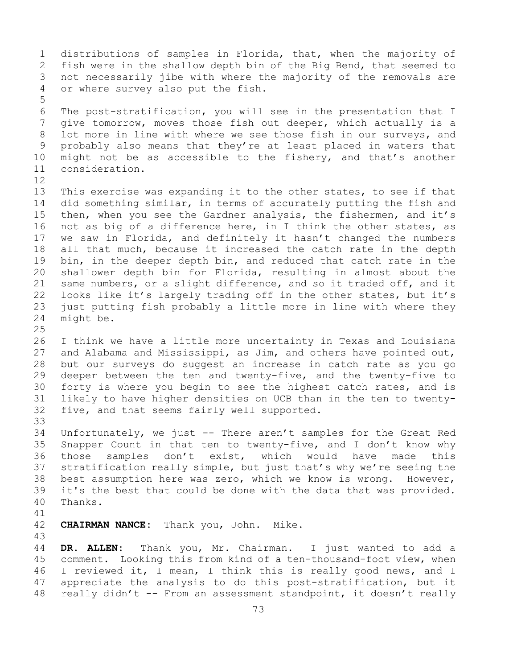1 distributions of samples in Florida, that, when the majority of<br>2 fish were in the shallow depth bin of the Big Bend, that seemed to 2 fish were in the shallow depth bin of the Big Bend, that seemed to<br>3 not necessarily jibe with where the majority of the removals are 3 not necessarily jibe with where the majority of the removals are<br>4 or where survey also put the fish. or where survey also put the fish. 5 6 The post-stratification, you will see in the presentation that I<br>7 qive tomorrow, moves those fish out deeper, which actually is a 7 give tomorrow, moves those fish out deeper, which actually is a<br>8 lot more in line with where we see those fish in our surveys, and 8 lot more in line with where we see those fish in our surveys, and<br>9 probably also means that they're at least placed in waters that 9 probably also means that they're at least placed in waters that<br>10 might not be as accessible to the fishery, and that's another 10 might not be as accessible to the fishery, and that's another<br>11 consideration. consideration. 12<br>13 This exercise was expanding it to the other states, to see if that 14 did something similar, in terms of accurately putting the fish and<br>15 then, when you see the Gardner analysis, the fishermen, and it's 15 then, when you see the Gardner analysis, the fishermen, and it's<br>16 not as big of a difference here, in I think the other states, as 16 not as big of a difference here, in I think the other states, as<br>17 we saw in Florida, and definitely it hasn't changed the numbers 17 we saw in Florida, and definitely it hasn't changed the numbers<br>18 all that much, because it increased the catch rate in the depth 18 all that much, because it increased the catch rate in the depth<br>19 bin, in the deeper depth bin, and reduced that catch rate in the 19 bin, in the deeper depth bin, and reduced that catch rate in the<br>20 shallower depth bin for Florida, resulting in almost about the 20 shallower depth bin for Florida, resulting in almost about the<br>21 same numbers, or a slight difference, and so it traded off, and it 21 same numbers, or a slight difference, and so it traded off, and it<br>22 looks like it's largely trading off in the other states, but it's 22 looks like it's largely trading off in the other states, but it's<br>23 just putting fish probably a little more in line with where they 23 just putting fish probably a little more in line with where they<br>24 might be. might be.  $\frac{25}{26}$ 26 I think we have a little more uncertainty in Texas and Louisiana<br>27 and Alabama and Mississippi, as Jim, and others have pointed out, and Alabama and Mississippi, as Jim, and others have pointed out, 28 but our surveys do suggest an increase in catch rate as you go<br>29 deeper between the ten and twenty-five, and the twenty-five to 29 deeper between the ten and twenty-five, and the twenty-five to<br>30 forty is where you begin to see the highest catch rates, and is 30 forty is where you begin to see the highest catch rates, and is<br>31 likely to have higher densities on UCB than in the ten to twenty-31 likely to have higher densities on UCB than in the ten to twenty-<br>32 five, and that seems fairly well supported. five, and that seems fairly well supported. 33<br>34 34 Unfortunately, we just -- There aren't samples for the Great Red<br>35 Snapper Count in that ten to twenty-five, and I don't know why 35 Snapper Count in that ten to twenty-five, and I don't know why<br>36 those samples don't exist, which would have made this don't exist, which would have 37 stratification really simple, but just that's why we're seeing the 38 best assumption here was zero, which we know is wrong. However,<br>39 it's the best that could be done with the data that was provided. 39 it's the best that could be done with the data that was provided.<br>40 Thanks. Thanks. 41<br>42 **CHAIRMAN NANCE:** Thank you, John. Mike. 43 DR. ALLEN: Thank you, Mr. Chairman. I just wanted to add a 45 comment. Looking this from kind of a ten-thousand-foot view, when

46 I reviewed it, I mean, I think this is really good news, and I<br>47 appreciate the analysis to do this post-stratification, but it 47 appreciate the analysis to do this post-stratification, but it<br>48 really didn't -- From an assessment standpoint, it doesn't really really didn't  $-$ - From an assessment standpoint, it doesn't really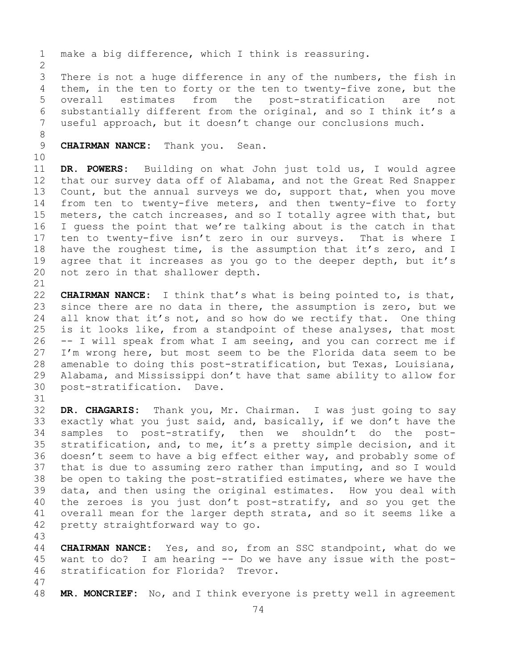1 make a big difference, which I think is reassuring.  $\frac{2}{3}$ 3 There is not a huge difference in any of the numbers, the fish in<br>4 them, in the ten to forty or the ten to twenty-five zone, but the them, in the ten to forty or the ten to twenty-five zone, but the 5 overall estimates from the post-stratification are not 6 substantially different from the original, and so I think it's a<br>7 useful approach, but it doesn't change our conclusions much. useful approach, but it doesn't change our conclusions much. 8 **CHAIRMAN NANCE:** Thank you. Sean. 10<br>11 11 **DR. POWERS:** Building on what John just told us, I would agree that our survey data off of Alabama, and not the Great Red Snapper 13 Count, but the annual surveys we do, support that, when you move 14 from ten to twenty-five meters, and then twenty-five to forty<br>15 meters, the catch increases, and so I totally agree with that, but 15 meters, the catch increases, and so I totally agree with that, but<br>16 I quess the point that we're talking about is the catch in that 16 I guess the point that we're talking about is the catch in that<br>17 ten to twenty-five isn't zero in our surveys. That is where I 17 ten to twenty-five isn't zero in our surveys. That is where I<br>18 have the roughest time, is the assumption that it's zero, and I 18 have the roughest time, is the assumption that it's zero, and I<br>19 agree that it increases as you go to the deeper depth, but it's 19 agree that it increases as you go to the deeper depth, but it's<br>20 not zero in that shallower depth. not zero in that shallower depth. 21<br>22 22 **CHAIRMAN NANCE:** I think that's what is being pointed to, is that,<br>23 since there are no data in there, the assumption is zero, but we 23 since there are no data in there, the assumption is zero, but we<br>24 all know that it's not, and so how do we rectify that. One thing 24 all know that it's not, and so how do we rectify that. One thing<br>25 is it looks like, from a standpoint of these analyses, that most 25 is it looks like, from a standpoint of these analyses, that most  $26$  -- I will speak from what I am seeing, and you can correct me if 26 -- I will speak from what I am seeing, and you can correct me if<br>27 I'm wrong here, but most seem to be the Florida data seem to be I'm wrong here, but most seem to be the Florida data seem to be 28 amenable to doing this post-stratification, but Texas, Louisiana,<br>29 Alabama, and Mississippi don't have that same ability to allow for 29 Alabama, and Mississippi don't have that same ability to allow for<br>30 post-stratification. Dave. post-stratification. Dave. 31<br>32 DR. CHAGARIS: Thank you, Mr. Chairman. I was just going to say 33 exactly what you just said, and, basically, if we don't have the<br>34 samples to post-stratify, then we shouldn't do the post-34 samples to post-stratify, then we shouldn't do the post-<br>35 stratification, and, to me, it's a pretty simple-decision, and it 35 stratification, and, to me, it's a pretty simple decision, and it<br>36 doesn't seem to have a big effect either way, and probably some of doesn't seem to have a big effect either way, and probably some of 37 that is due to assuming zero rather than imputing, and so I would 38 be open to taking the post-stratified estimates, where we have the<br>39 data, and then using the original estimates. How you deal with 39 data, and then using the original estimates. How you deal with<br>40 the zeroes is you just don't post-stratify, and so you get the 40 the zeroes is you just don't post-stratify, and so you get the<br>41 overall mean for the larger depth strata, and so it seems like a 41 overall mean for the larger depth strata, and so it seems like a<br>42 pretty straightforward way to go. pretty straightforward way to go.

43 **CHAIRMAN NANCE:** Yes, and so, from an SSC standpoint, what do we want to do? I am hearing -- Do we have any issue with the post-stratification for Florida? Trevor.

47 MR. MONCRIEF: No, and I think everyone is pretty well in agreement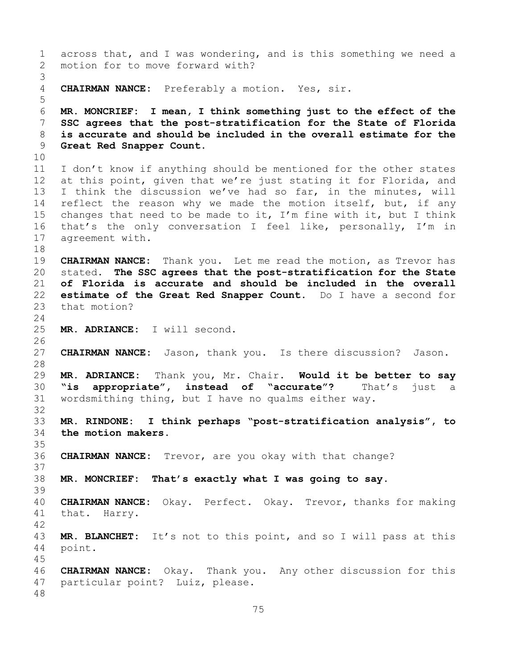```
1 across that, and I was wondering, and is this something we need a<br>2 motion for to move forward with?
     motion for to move forward with?
 3
     CHAIRMAN NANCE: Preferably a motion. Yes, sir.
 5
 6 MR. MONCRIEF: I mean, I think something just to the effect of the 
 7 SSC agrees that the post-stratification for the State of Florida 
 8 is accurate and should be included in the overall estimate for the 
     9 Great Red Snapper Count. 
10<br>11
11 I don't know if anything should be mentioned for the other states<br>12 at this point, given that we're just stating it for Florida, and
     at this point, given that we're just stating it for Florida, and
13 I think the discussion we've had so far, in the minutes, will 
14 reflect the reason why we made the motion itself, but, if any<br>15 changes that need to be made to it, I'm fine with it, but I think
15 changes that need to be made to it, I'm fine with it, but I think<br>16 that's the only conversation I feel like, personally, I'm in
16 that's the only conversation I feel like, personally, I'm in<br>17 agreement with.
     agreement with.
18<br>19
19 CHAIRMAN NANCE: Thank you. Let me read the motion, as Trevor has<br>20 stated. The SSC agrees that the post-stratification for the State
     stated. The SSC agrees that the post-stratification for the State
21 of Florida is accurate and should be included in the overall 
22 estimate of the Great Red Snapper Count. Do I have a second for 
     that motion?
\frac{24}{25}MR. ADRIANCE: I will second.
26<br>27
     27 CHAIRMAN NANCE: Jason, thank you. Is there discussion? Jason.
28<br>29
     29 MR. ADRIANCE: Thank you, Mr. Chair. Would it be better to say 
30 "is appropriate", instead of "accurate"? That's just a 
     wordsmithing thing, but I have no qualms either way.
32
33 MR. RINDONE: I think perhaps "post-stratification analysis", to 
     the motion makers.
35<br>36
     36 CHAIRMAN NANCE: Trevor, are you okay with that change?
37
38 MR. MONCRIEF: That's exactly what I was going to say.
39
40 CHAIRMAN NANCE: Okay. Perfect. Okay. Trevor, thanks for making 
     that. Harry.
\frac{42}{43}43 MR. BLANCHET: It's not to this point, and so I will pass at this 44 point.
     point.
45
46 CHAIRMAN NANCE: Okay. Thank you. Any other discussion for this 
     particular point? Luiz, please.
48
```

```
75
```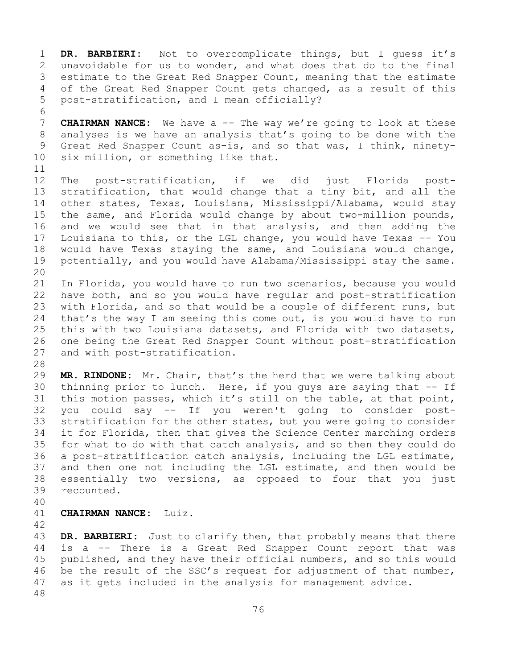1 **DR. BARBIERI:** Not to overcomplicate things, but I guess it's 2 unavoidable for us to wonder, and what does that do to the final<br>3 estimate to the Great Red Snapper Count, meaning that the estimate 3 estimate to the Great Red Snapper Count, meaning that the estimate<br>4 of the Great Red Snapper Count gets changed, as a result of this of the Great Red Snapper Count gets changed, as a result of this 5 post-stratification, and I mean officially?

6<br>7 7 **CHAIRMAN NANCE:** We have a -- The way we're going to look at these<br>8 analyses is we have an analysis that's going to be done with the 8 analyses is we have an analysis that's going to be done with the<br>9 Great Red Snapper Count as-is, and so that was, I think, ninety-9 Great Red Snapper Count as-is, and so that was, I think, ninety-<br>10 six million, or something like that. six million, or something like that.

11<br>12 12 The post-stratification, if we did just Florida post-<br>13 stratification, that would change that a tiny bit, and all the stratification, that would change that a tiny bit, and all the 14 other states, Texas, Louisiana, Mississippi/Alabama, would stay<br>15 the same, and Florida would change by about two-million pounds, 15 the same, and Florida would change by about two-million pounds,<br>16 and we would see that in that analysis, and then adding the 16 and we would see that in that analysis, and then adding the<br>17 Louisiana to this, or the LGL change, you would have Texas -- You 17 Louisiana to this, or the LGL change, you would have Texas -- You<br>18 would have Texas staying the same, and Louisiana would change, 18 would have Texas staying the same, and Louisiana would change,<br>19 potentially, and you would have Alabama/Mississippi stay the same. potentially, and you would have Alabama/Mississippi stay the same.

20<br>21 21 In Florida, you would have to run two scenarios, because you would<br>22 have both, and so you would have reqular and post-stratification 22 have both, and so you would have regular and post-stratification<br>23 with Florida, and so that would be a couple of different runs, but 23 with Florida, and so that would be a couple of different runs, but<br>24 that's the way I am seeing this come out, is you would have to run 24 that's the way I am seeing this come out, is you would have to run<br>25 this with two Louisiana datasets, and Florida with two datasets, 25 this with two Louisiana datasets, and Florida with two datasets,<br>26 one being the Great Red Snapper Count without post-stratification 26 one being the Great Red Snapper Count without post-stratification<br>27 and with post-stratification. and with post-stratification.

28<br>29

29 **MR. RINDONE:** Mr. Chair, that's the herd that we were talking about 30 thinning prior to lunch. Here, if you guys are saying that -- If<br>31 this motion passes, which it's still on the table, at that point, 31 this motion passes, which it's still on the table, at that point,<br>32 vou could sav -- If vou weren't going to consider post-32 you could say -- If you weren't going to consider post-<br>33 stratification for the other states, but you were going to consider 33 stratification for the other states, but you were going to consider<br>34 it for Florida, then that gives the Science Center marching orders 34 it for Florida, then that gives the Science Center marching orders<br>35 for what to do with that catch analysis, and so then they could do 35 for what to do with that catch analysis, and so then they could do<br>36 a post-stratification catch analysis, including the LGL estimate, 36 a post-stratification catch analysis, including the LGL estimate,<br>37 and then one not including the LGL estimate, and then would be 37 and then one not including the LGL estimate, and then would be<br>38 essentially two versions, as opposed to four that you just 38 essentially two versions, as opposed to four that you just<br>39 recounted. recounted.

40

## 41 **CHAIRMAN NANCE:** Luiz.

42

43 **DR. BARBIERI:** Just to clarify then, that probably means that there<br>44 is a -- There is a Great Red Snapper Count report that was is a -- There is a Great Red Snapper Count report that was 45 published, and they have their official numbers, and so this would 46 be the result of the SSC's request for adjustment of that number,<br>47 as it gets included in the analysis for management advice. as it gets included in the analysis for management advice. 48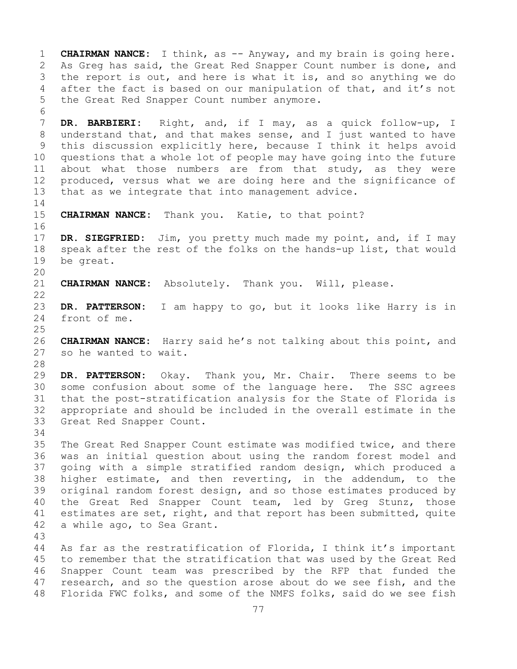1 **CHAIRMAN NANCE:** I think, as -- Anyway, and my brain is going here.<br>2 As Greq has said, the Great Red Snapper Count number is done, and 2 As Greg has said, the Great Red Snapper Count number is done, and<br>3 the report is out, and here is what it is, and so anything we do 3 the report is out, and here is what it is, and so anything we do<br>4 after the fact is based on our manipulation of that, and it's not after the fact is based on our manipulation of that, and it's not 5 the Great Red Snapper Count number anymore. 6<br>7 7 **DR. BARBIERI:** Right, and, if I may, as a quick follow-up, I 8 understand that, and that makes sense, and I just wanted to have<br>9 this discussion explicitly here, because I think it helps avoid 9 this discussion explicitly here, because I think it helps avoid<br>10 questions that a whole lot of people may have going into the future 10 questions that a whole lot of people may have going into the future<br>11 about what those numbers are from that study, as they were 11 about what those numbers are from that study, as they were<br>12 produced, versus what we are doing here and the significance of 12 produced, versus what we are doing here and the significance of<br>13 that as we integrate that into management advice. that as we integrate that into management advice.  $\frac{14}{15}$ CHAIRMAN NANCE: Thank you. Katie, to that point? 16<br>17 17 **DR. SIEGFRIED:** Jim, you pretty much made my point, and, if I may 18 speak after the rest of the folks on the hands-up list, that would<br>19 be great. be great. 20<br>21 CHAIRMAN NANCE: Absolutely. Thank you. Will, please.  $\begin{array}{c} 22 \\ 23 \end{array}$ 23 **DR. PATTERSON:** I am happy to go, but it looks like Harry is in front of me.  $\frac{25}{26}$ 26 **CHAIRMAN NANCE:** Harry said he's not talking about this point, and so he wanted to wait. 28<br>29 29 **DR. PATTERSON:** Okay. Thank you, Mr. Chair. There seems to be 30 some confusion about some of the language here. The SSC agrees<br>31 that the post-stratification analysis for the State of Florida is 31 that the post-stratification analysis for the State of Florida is 32 appropriate and should be included in the overall estimate in the 33 Great Red Snapper Count. Great Red Snapper Count. 34<br>35 35 The Great Red Snapper Count estimate was modified twice, and there<br>36 was an initial question about using the random forest model and 36 was an initial question about using the random forest model and<br>37 qoing with a simple stratified random design, which produced a going with a simple stratified random design, which produced a 38 higher estimate, and then reverting, in the addendum, to the<br>39 original random forest design, and so those estimates produced by 39 original random forest design, and so those estimates produced by<br>40 the Great Red Snapper Count team, led by Greq Stunz, those 40 the Great Red Snapper Count team, led by Greg Stunz, those<br>41 estimates are set, right, and that report has been submitted, quite 41 estimates are set, right, and that report has been submitted, quite<br>42 a while ago, to Sea Grant. a while ago, to Sea Grant. 43 As far as the restratification of Florida, I think it's important 45 to remember that the stratification that was used by the Great Red 46 Snapper Count team was prescribed by the RFP that funded the<br>47 research, and so the question arose about do we see fish, and the 47 research, and so the question arose about do we see fish, and the<br>48 Florida FWC folks, and some of the NMFS folks, said do we see fish Florida FWC folks, and some of the NMFS folks, said do we see fish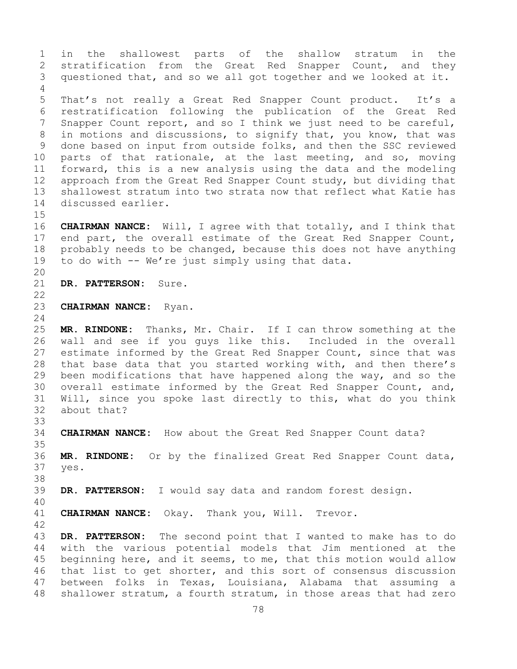1 in the shallowest parts of the shallow stratum in the<br>2 stratification from the Great Red Snapper Count, and they 2 stratification from the Great Red Snapper Count, and they<br>3 questioned that, and so we all got together and we looked at it. questioned that, and so we all got together and we looked at it. 4 5 That's not really a Great Red Snapper Count product. It's a 6 restratification following the publication of the Great Red<br>7 Snapper Count report, and so I think we just need to be careful, 7 Snapper Count report, and so I think we just need to be careful,<br>8 in motions and discussions, to signify that, you know, that was 8 in motions and discussions, to signify that, you know, that was<br>9 done based on input from outside folks, and then the SSC reviewed 9 done based on input from outside folks, and then the SSC reviewed<br>10 parts of that rationale, at the last meeting, and so, moving 10 parts of that rationale, at the last meeting, and so, moving<br>11 forward, this is a new analysis using the data and the modeling 11 forward, this is a new analysis using the data and the modeling<br>12 approach from the Great Red Snapper Count study, but dividing that 12 approach from the Great Red Snapper Count study, but dividing that<br>13 shallowest stratum into two strata now that reflect what Katie has shallowest stratum into two strata now that reflect what Katie has 14 discussed earlier.  $15$ <br> $16$ 16 **CHAIRMAN NANCE:** Will, I agree with that totally, and I think that<br>17 end part, the overall estimate of the Great Red Snapper Count, 17 end part, the overall estimate of the Great Red Snapper Count,<br>18 probably needs to be changed, because this does not have anything 18 probably needs to be changed, because this does not have anything<br>19 to do with -- We're just simply using that data. to do with -- We're just simply using that data. 20<br>21 DR. PATTERSON: Sure.  $\begin{array}{c} 22 \\ 23 \end{array}$ **CHAIRMAN NANCE:** Ryan.  $\frac{24}{25}$ 25 **MR. RINDONE:** Thanks, Mr. Chair. If I can throw something at the 26 wall and see if you guys like this. Included in the overall<br>27 estimate informed by the Great Red Snapper Count, since that was estimate informed by the Great Red Snapper Count, since that was 28 that base data that you started working with, and then there's<br>29 been modifications that have happened along the way, and so the 29 been modifications that have happened along the way, and so the<br>30 overall estimate informed by the Great Red Snapper Count, and, 30 overall estimate informed by the Great Red Snapper Count, and,<br>31 Will, since you spoke last directly to this, what do you think 31 Will, since you spoke last directly to this, what do you think<br>32 about that? about that? 33<br>34 CHAIRMAN NANCE: How about the Great Red Snapper Count data? 35<br>36 36 **MR. RINDONE:** Or by the finalized Great Red Snapper Count data, yes. 38<br>39 DR. PATTERSON: I would say data and random forest design. 40 CHAIRMAN NANCE: Okay. Thank you, Will. Trevor. 42 43 **DR. PATTERSON:** The second point that I wanted to make has to do<br>44 with the various potential models that Jim mentioned at the with the various potential models that Jim mentioned at the 45 beginning here, and it seems, to me, that this motion would allow 46 that list to get shorter, and this sort of consensus discussion<br>47 between folks in Texas, Louisiana, Alabama that assuming a 47 between folks in Texas, Louisiana, Alabama that assuming a<br>48 shallower stratum, a fourth stratum, in those areas that had zero shallower stratum, a fourth stratum, in those areas that had zero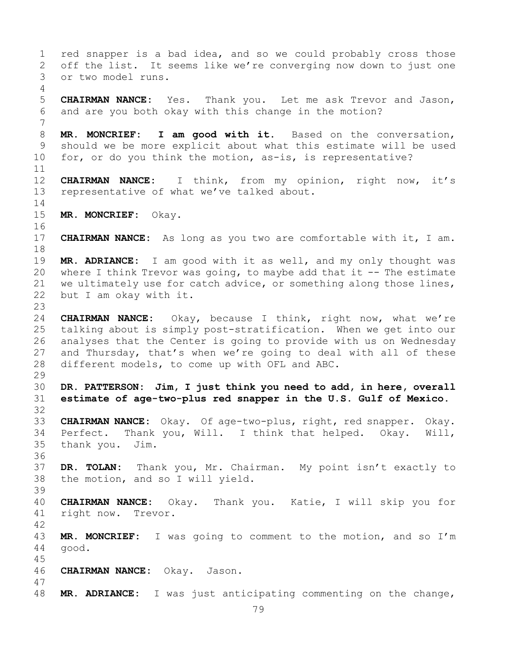1 red snapper is a bad idea, and so we could probably cross those<br>2 off the list. It seems like we're converging now down to just one 2 off the list. It seems like we're converging now down to just one<br>3 or two model runs. or two model runs. 4 5 **CHAIRMAN NANCE:** Yes. Thank you. Let me ask Trevor and Jason, 6 and are you both okay with this change in the motion? 7 8 **MR. MONCRIEF: I am good with it.** Based on the conversation,<br>9 should we be more explicit about what this estimate will be used 9 should we be more explicit about what this estimate will be used<br>10 for, or do you think the motion, as-is, is representative? for, or do you think the motion, as-is, is representative?  $\begin{array}{c} 11 \\ 12 \end{array}$ 12 **CHAIRMAN NANCE:** I think, from my opinion, right now, it's 13 representative of what we've talked about.  $\frac{14}{15}$ MR. MONCRIEF: Okay. 16<br>17 **CHAIRMAN NANCE:** As long as you two are comfortable with it, I am. 18<br>19 19 **MR. ADRIANCE:** I am good with it as well, and my only thought was<br>20 where I think Trevor was going, to maybe add that it -- The estimate where I think Trevor was going, to maybe add that it  $-$ - The estimate 21 we ultimately use for catch advice, or something along those lines,<br>22 but I am okay with it. but I am okay with it.  $\frac{23}{24}$ 24 **CHAIRMAN NANCE:** Okay, because I think, right now, what we're 25 talking about is simply post-stratification. When we get into our<br>26 analyses that the Center is going to provide with us on Wednesday 26 analyses that the Center is going to provide with us on Wednesday<br>27 and Thursday, that's when we're going to deal with all of these and Thursday, that's when we're going to deal with all of these 28 different models, to come up with OFL and ABC. 29<br>30 30 **DR. PATTERSON: Jim, I just think you need to add, in here, overall**  31 **estimate of age-two-plus red snapper in the U.S. Gulf of Mexico.** 32 33 **CHAIRMAN NANCE:** Okay. Of age-two-plus, right, red snapper. Okay. 34 Perfect. Thank you, Will. I think that helped. Okay. Will,<br>35 thank you. Jim. thank you. Jim. 36 37 **DR. TOLAN:** Thank you, Mr. Chairman. My point isn't exactly to 38 the motion, and so I will yield. 39 40 **CHAIRMAN NANCE:** Okay. Thank you. Katie, I will skip you for right now. Trevor. 42 43 **MR. MONCRIEF:** I was going to comment to the motion, and so I'm 44 good. 45 46 **CHAIRMAN NANCE:** Okay. Jason. 47 MR. ADRIANCE: I was just anticipating commenting on the change,

79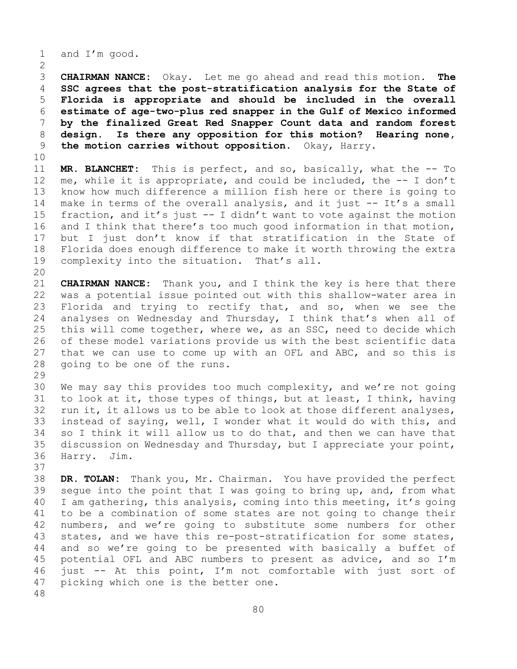1 and I'm good.

 $\frac{2}{3}$  **CHAIRMAN NANCE:** Okay. Let me go ahead and read this motion. **The SSC agrees that the post-stratification analysis for the State of Florida is appropriate and should be included in the overall estimate of age-two-plus red snapper in the Gulf of Mexico informed by the finalized Great Red Snapper Count data and random forest design. Is there any opposition for this motion? Hearing none,**<br>9 **the motion carries without opposition.** Okay, Harry. **the motion carries without opposition.** Okay, Harry.

10<br>11

11 **MR. BLANCHET:** This is perfect, and so, basically, what the -- To<br>12 me, while it is appropriate, and could be included, the -- I don't me, while it is appropriate, and could be included, the  $-$ - I don't 13 know how much difference a million fish here or there is going to 14 make in terms of the overall analysis, and it just -- It's a small<br>15 fraction, and it's just -- I didn't want to vote against the motion 15 fraction, and it's just  $-$  I didn't want to vote against the motion<br>16 and I think that there's too much good information in that motion, 16 and I think that there's too much good information in that motion,<br>17 but I just don't know if that stratification in the State of 17 but I just don't know if that stratification in the State of<br>18 Florida does enough difference to make it worth throwing the extra 18 Florida does enough difference to make it worth throwing the extra<br>19 complexity into the situation. That's all. complexity into the situation. That's all.

20<br>21

21 **CHAIRMAN NANCE:** Thank you, and I think the key is here that there 22 was a potential issue pointed out with this shallow-water area in<br>23 Florida and trying to rectify that, and so, when we see the 23 Florida and trying to rectify that, and so, when we see the<br>24 analyses on Wednesday and Thursday, I think that's when all of 24 analyses on Wednesday and Thursday, I think that's when all of<br>25 this will come together, where we, as an SSC, need to decide which 25 this will come together, where we, as an SSC, need to decide which<br>26 of these model variations provide us with the best scientific data 26 of these model variations provide us with the best scientific data<br>27 that we can use to come up with an OFL and ABC, and so this is that we can use to come up with an OFL and ABC, and so this is 28 going to be one of the runs.

29<br>30 30 We may say this provides too much complexity, and we're not going<br>31 to look at it, those types of things, but at least, I think, having 31 to look at it, those types of things, but at least, I think, having<br>32 run it, it allows us to be able to look at those different analyses, run it, it allows us to be able to look at those different analyses, 33 instead of saying, well, I wonder what it would do with this, and<br>34 so I think it will allow us to do that, and then we can have that 34 so I think it will allow us to do that, and then we can have that<br>35 discussion on Wednesday and Thursday, but I appreciate your point, 35 discussion on Wednesday and Thursday, but I appreciate your point,<br>36 Harry. Jim. Harry.

37

38 **DR. TOLAN:** Thank you, Mr. Chairman. You have provided the perfect 39 segue into the point that I was going to bring up, and, from what<br>40 I am gathering, this analysis, coming into this meeting, it's going 40 I am gathering, this analysis, coming into this meeting, it's going<br>41 to be a combination of some states are not going to change their 41 to be a combination of some states are not going to change their<br>42 numbers, and we're going to substitute some numbers for other 42 numbers, and we're going to substitute some numbers for other<br>43 states, and we have this re-post-stratification for some states, 43 states, and we have this re-post-stratification for some states,<br>44 and so we're going to be presented with basically a buffet of and so we're going to be presented with basically a buffet of 45 potential OFL and ABC numbers to present as advice, and so I'm 46 just  $-$  At this point, I'm not comfortable with just sort of 47 picking which one is the better one. picking which one is the better one. 48

80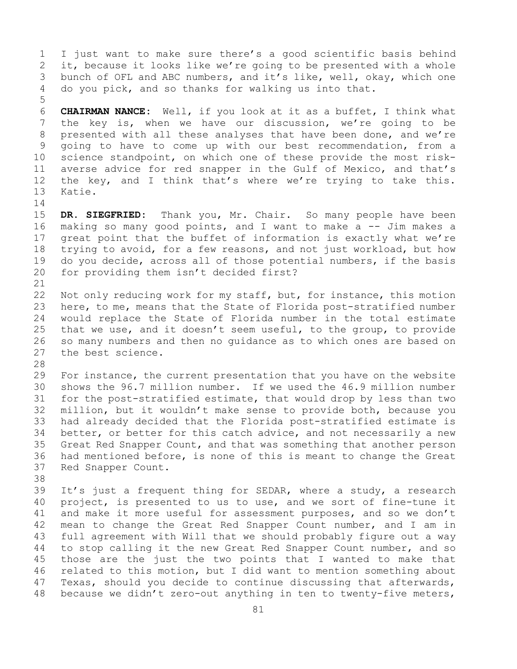1 I just want to make sure there's a good scientific basis behind<br>2 it, because it looks like we're going to be presented with a whole 2 it, because it looks like we're going to be presented with a whole<br>3 bunch of OFL and ABC numbers, and it's like, well, okay, which one 3 bunch of OFL and ABC numbers, and it's like, well, okay, which one<br>4 do you pick, and so thanks for walking us into that. do you pick, and so thanks for walking us into that.

6 **CHAIRMAN NANCE:** Well, if you look at it as a buffet, I think what 7 the key is, when we have our discussion, we're going to be presented with all these analyses that have been done, and we're 8 presented with all these analyses that have been done, and we're<br>9 qoing to have to come up with our best recommendation, from a 9 going to have to come up with our best recommendation, from a<br>10 science standpoint, on which one of these provide the most risk-10 science standpoint, on which one of these provide the most risk-<br>11 averse advice for red snapper in the Gulf of Mexico, and that's 11 averse advice for red snapper in the Gulf of Mexico, and that's<br>12 the key, and I think that's where we're trying to take this. 12 the key, and I think that's where we're trying to take this.<br>13 Katie. Katie.

 $\frac{14}{15}$ 

5

15 **DR. SIEGFRIED:** Thank you, Mr. Chair. So many people have been<br>16 making so many good points, and I want to make a -- Jim makes a 16 making so many good points, and I want to make a  $-$ - Jim makes a 17 qreat point that the buffet of information is exactly what we're 17 great point that the buffet of information is exactly what we're<br>18 trying to avoid, for a few reasons, and not just workload, but how 18 trying to avoid, for a few reasons, and not just workload, but how<br>19 do vou decide, across all of those potential numbers, if the basis 19 do you decide, across all of those potential numbers, if the basis<br>20 for providing them isn't decided first? for providing them isn't decided first?

21<br>22 22 Not only reducing work for my staff, but, for instance, this motion<br>23 here, to me, means that the State of Florida post-stratified number 23 here, to me, means that the State of Florida post-stratified number<br>24 would replace the State of Florida number in the total estimate 24 would replace the State of Florida number in the total estimate<br>25 that we use, and it doesn't seem useful, to the group, to provide 25 that we use, and it doesn't seem useful, to the group, to provide<br>26 so many numbers and then no quidance as to which ones are based on 26 so many numbers and then no guidance as to which ones are based on 27 the best science. the best science.

28<br>29

29 For instance, the current presentation that you have on the website<br>30 shows the 96.7 million number. If we used the 46.9 million number 30 shows the 96.7 million number. If we used the 46.9 million number<br>31 for the post-stratified estimate, that would drop by less than two 31 for the post-stratified estimate, that would drop by less than two<br>32 million, but it wouldn't make sense to provide both, because you 32 million, but it wouldn't make sense to provide both, because you<br>33 had already decided that the Florida post-stratified estimate is 33 had already decided that the Florida post-stratified estimate is<br>34 better, or better for this catch advice, and not necessarily a new 34 better, or better for this catch advice, and not necessarily a new<br>35 Great Red Snapper Count, and that was something that another person 35 Great Red Snapper Count, and that was something that another person<br>36 had mentioned before, is none of this is meant to change the Great 36 had mentioned before, is none of this is meant to change the Great<br>37 Red Snapper Count. Red Snapper Count.

38<br>39

39 It's just a frequent thing for SEDAR, where a study, a research<br>40 project, is presented to us to use, and we sort of fine-tune it 40 project, is presented to us to use, and we sort of fine-tune it<br>41 and make it more useful for assessment purposes, and so we don't 41 and make it more useful for assessment purposes, and so we don't<br>42 mean to change the Great Red Snapper Count number, and I am in 42 mean to change the Great Red Snapper Count number, and I am in<br>43 full agreement with Will that we should probably figure out a way 43 full agreement with Will that we should probably figure out a way<br>44 to stop calling it the new Great Red Snapper Count number, and so 44 to stop calling it the new Great Red Snapper Count number, and so 45 those are the just the two points that I wanted to make that 46 related to this motion, but I did want to mention something about<br>47 Texas, should you decide to continue discussing that afterwards, 47 Texas, should you decide to continue discussing that afterwards,<br>48 because we didn't zero-out anything in ten to twenty-five meters, because we didn't zero-out anything in ten to twenty-five meters,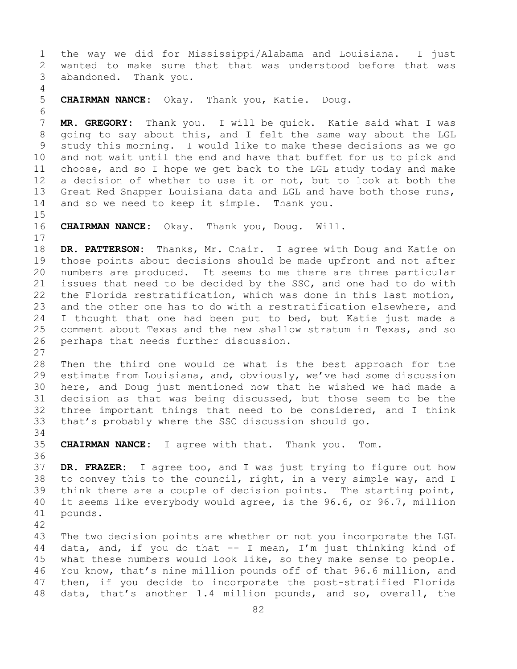1 the way we did for Mississippi/Alabama and Louisiana. I just 2 wanted to make sure that that was understood before that was<br>3 abandoned. Thank you. abandoned. Thank you. 4 5 **CHAIRMAN NANCE:** Okay. Thank you, Katie. Doug. 6<br>7 7 **MR. GREGORY:** Thank you. I will be quick. Katie said what I was 8 going to say about this, and I felt the same way about the LGL<br>9 study this morning. I would like to make these decisions as we go 9 study this morning. I would like to make these decisions as we go<br>10 and not wait until the end and have that buffet for us to pick and 10 and not wait until the end and have that buffet for us to pick and<br>11 choose, and so I hope we get back to the LGL study today and make 11 choose, and so I hope we get back to the LGL study today and make<br>12 a decision of whether to use it or not, but to look at both the a decision of whether to use it or not, but to look at both the 13 Great Red Snapper Louisiana data and LGL and have both those runs, 14 and so we need to keep it simple. Thank you. 15<br>16 **CHAIRMAN NANCE:** Okay. Thank you, Doug. Will.  $\begin{array}{c} 17 \\ 18 \end{array}$ 18 **DR. PATTERSON:** Thanks, Mr. Chair. I agree with Doug and Katie on<br>19 those points about decisions should be made upfront and not after 19 those points about decisions should be made upfront and not after<br>20 numbers are produced. It seems to me there are three particular 20 numbers are produced. It seems to me there are three particular<br>21 issues that need to be decided by the SSC, and one had to do with 21 issues that need to be decided by the SSC, and one had to do with<br>22 the Florida restratification, which was done in this last motion, 22 the Florida restratification, which was done in this last motion,<br>23 and the other one has to do with a restratification elsewhere, and 23 and the other one has to do with a restratification elsewhere, and<br>24 I thought that one had been put to bed, but Katie just made a 24 I thought that one had been put to bed, but Katie just made a<br>25 comment about Texas and the new shallow stratum in Texas, and so 25 comment about Texas and the new shallow stratum in Texas, and so<br>26 perhaps that needs further discussion. perhaps that needs further discussion.  $\frac{27}{28}$ 28 Then the third one would be what is the best approach for the<br>29 estimate from Louisiana, and, obviously, we've had some discussion 29 estimate from Louisiana, and, obviously, we've had some discussion<br>30 here, and Doug just mentioned now that he wished we had made a 30 here, and Doug just mentioned now that he wished we had made a<br>31 decision as that was being discussed, but those seem to be the 31 decision as that was being discussed, but those seem to be the<br>32 three important things that need to be considered, and I think three important things that need to be considered, and I think 33 that's probably where the SSC discussion should go. 34<br>35 35 **CHAIRMAN NANCE:** I agree with that. Thank you. Tom. 36<br>37 DR. FRAZER: I agree too, and I was just trying to figure out how 38 to convey this to the council, right, in a very simple way, and I<br>39 think there are a couple of decision points. The starting point, 39 think there are a couple of decision points. The starting point,<br>40 it seems like everybody would agree, is the 96.6, or 96.7, million 40 it seems like everybody would agree, is the 96.6, or 96.7, million 41 pounds. pounds. 42 43 The two decision points are whether or not you incorporate the LGL<br>44 data, and, if you do that -- I mean, I'm just thinking kind of data, and, if you do that  $-$  I mean, I'm just thinking kind of 45 what these numbers would look like, so they make sense to people. 46 You know, that's nine million pounds off of that 96.6 million, and<br>47 then, if you decide to incorporate the post-stratified Florida 47 then, if you decide to incorporate the post-stratified Florida<br>48 data, that's another 1.4 million pounds, and so, overall, the data, that's another 1.4 million pounds, and so, overall, the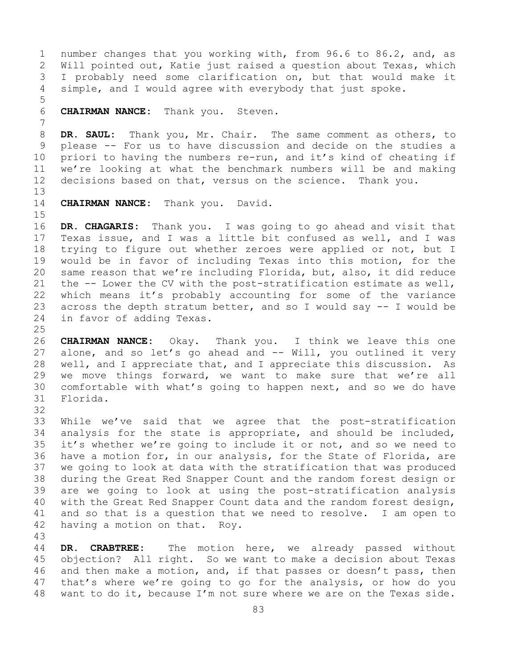1 number changes that you working with, from 96.6 to 86.2, and, as<br>2 Will pointed out, Katie just raised a question about Texas, which 2 Will pointed out, Katie just raised a question about Texas, which<br>3 I probably need some clarification on, but that would make it 3 I probably need some clarification on, but that would make it<br>4 simple, and I would agree with everybody that just spoke. simple, and I would agree with everybody that just spoke.

6 **CHAIRMAN NANCE:** Thank you. Steven.

7 8 **DR. SAUL:** Thank you, Mr. Chair. The same comment as others, to<br>9 please -- For us to have discussion and decide on the studies a 9 please -- For us to have discussion and decide on the studies a<br>10 priori to having the numbers re-run, and it's kind of cheating if 10 priori to having the numbers re-run, and it's kind of cheating if<br>11 we're looking at what the benchmark numbers will be and making 11 we're looking at what the benchmark numbers will be and making<br>12 decisions based on that, versus on the science. Thank you. decisions based on that, versus on the science. Thank you.

13

5

14 **CHAIRMAN NANCE:** Thank you. David.

15<br>16

16 **DR. CHAGARIS:** Thank you. I was going to go ahead and visit that 17 Texas issue, and I was a little bit confused as well, and I was<br>18 trying to figure out whether zeroes were applied or not, but I 18 trying to figure out whether zeroes were applied or not, but I<br>19 would be in favor of including Texas into this motion, for the 19 would be in favor of including Texas into this motion, for the<br>20 same reason that we're including Florida, but, also, it did reduce same reason that we're including Florida, but, also, it did reduce 21 the -- Lower the CV with the post-stratification estimate as well,<br>22 which means it's probably accounting for some of the variance 22 which means it's probably accounting for some of the variance<br>23 across the depth stratum better, and so I would say -- I would be 23 across the depth stratum better, and so I would say  $-$  I would be 24 in favor of adding Texas. in favor of adding Texas.

 $\frac{25}{26}$ 26 **CHAIRMAN NANCE:** Okay. Thank you. I think we leave this one alone, and so let's go ahead and -- Will, you outlined it very 28 well, and I appreciate that, and I appreciate this discussion. As<br>29 we move things forward, we want to make sure that we're all 29 we move things forward, we want to make sure that we're all<br>30 comfortable with what's going to happen next, and so we do have 30 comfortable with what's going to happen next, and so we do have Florida.

32

33 While we've said that we agree that the post-stratification<br>34 analysis for the state is appropriate, and should be included, 34 analysis for the state is appropriate, and should be included,<br>35 it's whether we're going to include it or not, and so we need to 35 it's whether we're going to include it or not, and so we need to<br>36 have a motion for, in our analysis, for the State of Florida, are have a motion for, in our analysis, for the State of Florida, are 37 we going to look at data with the stratification that was produced 38 during the Great Red Snapper Count and the random forest design or<br>39 are we going to look at using the post-stratification analysis 39 are we going to look at using the post-stratification analysis<br>40 with the Great Red Snapper Count data and the random forest design, 40 with the Great Red Snapper Count data and the random forest design,<br>41 and so that is a question that we need to resolve. I am open to 41 and so that is a question that we need to resolve. I am open to 42 having a motion on that. Rov. having a motion on that. Roy.

43 DR. CRABTREE: The motion here, we already passed without 45 objection? All right. So we want to make a decision about Texas 46 and then make a motion, and, if that passes or doesn't pass, then<br>47 that's where we're going to go for the analysis, or how do you 47 that's where we're going to go for the analysis, or how do you<br>48 want to do it, because I'm not sure where we are on the Texas side. want to do it, because I'm not sure where we are on the Texas side.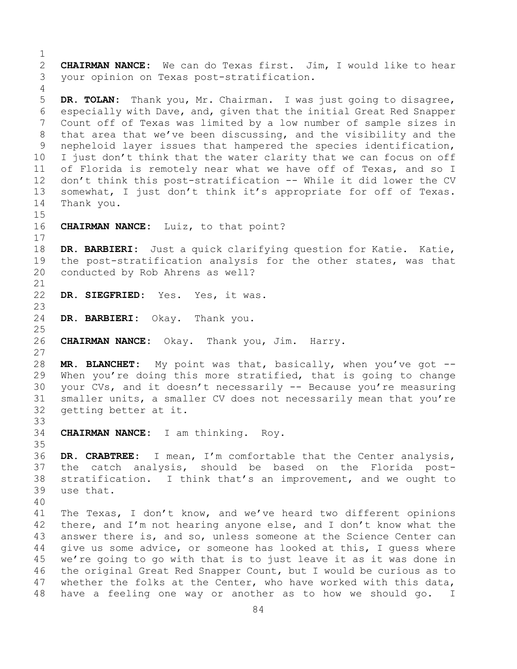$\frac{1}{2}$ 2 **CHAIRMAN NANCE:** We can do Texas first. Jim, I would like to hear your opinion on Texas post-stratification. 4 5 **DR. TOLAN:** Thank you, Mr. Chairman. I was just going to disagree, 6 especially with Dave, and, given that the initial Great Red Snapper<br>7 Count off of Texas was limited by a low number of sample sizes in 7 Count off of Texas was limited by a low number of sample sizes in<br>8 that area that we've been discussing, and the visibility and the 8 that area that we've been discussing, and the visibility and the<br>9 nepheloid layer issues that hampered the species identification, 9 nepheloid layer issues that hampered the species identification,<br>10 I just don't think that the water clarity that we can focus on off 10 I just don't think that the water clarity that we can focus on off<br>11 of Florida is remotely near what we have off of Texas, and so I 11 of Florida is remotely near what we have off of Texas, and so I<br>12 don't think this post-stratification -- While it did lower the CV 12 don't think this post-stratification -- While it did lower the CV 13 somewhat, I just don't think it's appropriate for off of Texas. 14 Thank you. 15<br>16 CHAIRMAN NANCE: Luiz, to that point?  $\begin{array}{c} 17 \\ 18 \end{array}$ 18 **DR. BARBIERI:** Just a quick clarifying question for Katie. Katie,<br>19 the post-stratification analysis for the other states, was that 19 the post-stratification analysis for the other states, was that<br>20 conducted by Rob Ahrens as well? conducted by Rob Ahrens as well? 21<br>22 DR. SIEGFRIED: Yes. Yes, it was. 23 DR. BARBIERI: Okay. Thank you.  $\frac{25}{26}$ 26 **CHAIRMAN NANCE:** Okay. Thank you, Jim. Harry. 27 28 **MR. BLANCHET:** My point was that, basically, when you've got -- 29 When you're doing this more stratified, that is going to change<br>30 vour CVs, and it doesn't necessarily -- Because you're measuring 30 your CVs, and it doesn't necessarily -- Because you're measuring<br>31 smaller units, a smaller CV does not necessarily mean that you're 31 smaller units, a smaller CV does not necessarily mean that you're<br>32 qetting better at it. getting better at it. 33<br>34 34 **CHAIRMAN NANCE:** I am thinking. Roy. 35<br>36 DR. CRABTREE: I mean, I'm comfortable that the Center analysis, 37 the catch analysis, should be based on the Florida post-38 stratification. I think that's an improvement, and we ought to<br>39 use that. use that. 40 41 The Texas, I don't know, and we've heard two different opinions<br>42 there, and I'm not hearing anyone else, and I don't know what the 42 there, and I'm not hearing anyone else, and I don't know what the<br>43 answer there is, and so, unless someone at the Science Center can 43 answer there is, and so, unless someone at the Science Center can<br>44 qive us some advice, or someone has looked at this, I quess where give us some advice, or someone has looked at this, I quess where 45 we're going to go with that is to just leave it as it was done in 46 the original Great Red Snapper Count, but I would be curious as to<br>47 whether the folks at the Center, who have worked with this data, 47 whether the folks at the Center, who have worked with this data,<br>48 have a feeling one way or another as to how we should go. I have a feeling one way or another as to how we should go. I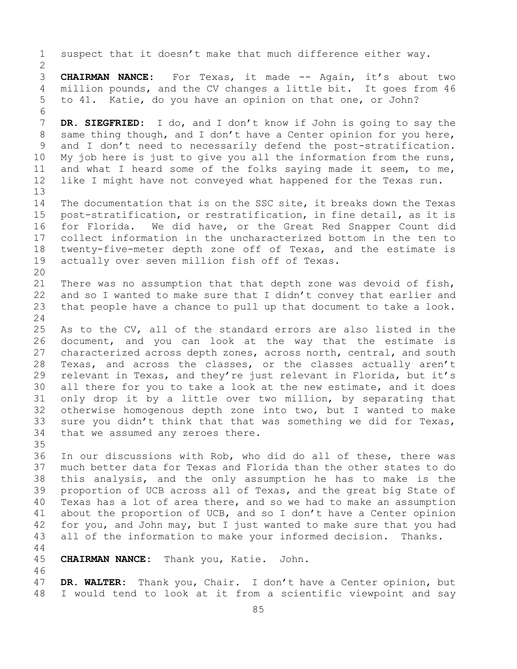1 suspect that it doesn't make that much difference either way.  $\frac{2}{3}$ 3 **CHAIRMAN NANCE:** For Texas, it made -- Again, it's about two<br>4 million pounds, and the CV changes a little bit. It goes from 46 million pounds, and the CV changes a little bit. It goes from 46 5 to 41. Katie, do you have an opinion on that one, or John? 6<br>7 7 **DR. SIEGFRIED:** I do, and I don't know if John is going to say the<br>8 same thing though, and I don't have a Center opinion for you here, 8 same thing though, and I don't have a Center opinion for you here,<br>9 and I don't need to necessarily defend the post-stratification. 9 and I don't need to necessarily defend the post-stratification.<br>10 My job here is just to give you all the information from the runs, 10 My job here is just to give you all the information from the runs,<br>11 and what I heard some of the folks saving made it seem, to me, 11 and what I heard some of the folks saying made it seem, to me,<br>12 like I might have not conveved what happened for the Texas run. like I might have not conveyed what happened for the Texas run. 13 14 The documentation that is on the SSC site, it breaks down the Texas<br>15 post-stratification, or restratification, in fine detail, as it is 15 post-stratification, or restratification, in fine detail, as it is<br>16 for Florida. We did have, or the Great Red Snapper Count did 16 for Florida. We did have, or the Great Red Snapper Count did<br>17 collect information in the uncharacterized bottom in the ten to 17 collect information in the uncharacterized bottom in the ten to<br>18 twenty-five-meter depth zone off of Texas, and the estimate is 18 twenty-five-meter depth zone off of Texas, and the estimate is<br>19 actually over seven million fish off of Texas. actually over seven million fish off of Texas. 20<br>21 21 There was no assumption that that depth zone was devoid of fish,<br>22 and so I wanted to make sure that I didn't convey that earlier and 22 and so I wanted to make sure that I didn't convey that earlier and<br>23 that people have a chance to pull up that document to take a look. that people have a chance to pull up that document to take a look.  $\frac{24}{25}$ 25 As to the CV, all of the standard errors are also listed in the<br>26 document, and you can look at the way that the estimate is 26 document, and you can look at the way that the estimate is<br>27 characterized across depth zones, across north, central, and south characterized across depth zones, across north, central, and south 28 Texas, and across the classes, or the classes actually aren't<br>29 relevant in Texas, and they're just relevant in Florida, but it's 29 relevant in Texas, and they're just relevant in Florida, but it's<br>30 all there for you to take a look at the new estimate, and it does 30 all there for you to take a look at the new estimate, and it does<br>31 only drop it by a little over two million, by separating that 31 only drop it by a little over two million, by separating that<br>32 otherwise homogenous depth zone into two, but I wanted to make otherwise homogenous depth zone into two, but I wanted to make 33 sure you didn't think that that was something we did for Texas,<br>34 that we assumed any zeroes there. that we assumed any zeroes there. 35<br>36 In our discussions with Rob, who did do all of these, there was 37 much better data for Texas and Florida than the other states to do 38 this analysis, and the only assumption he has to make is the<br>39 proportion of UCB across all of Texas, and the great big State of 39 proportion of UCB across all of Texas, and the great big State of<br>40 Texas has a lot of area there, and so we had to make an assumption 40 Texas has a lot of area there, and so we had to make an assumption<br>41 about the proportion of UCB, and so I don't have a Center opinion 41 about the proportion of UCB, and so I don't have a Center opinion<br>42 for you, and John may, but I just wanted to make sure that you had 42 for you, and John may, but I just wanted to make sure that you had<br>43 all of the information to make your informed decision. Thanks. all of the information to make your informed decision. Thanks. 44 45 **CHAIRMAN NANCE:** Thank you, Katie. John. 46<br>47 47 **DR. WALTER:** Thank you, Chair. I don't have a Center opinion, but I would tend to look at it from a scientific viewpoint and say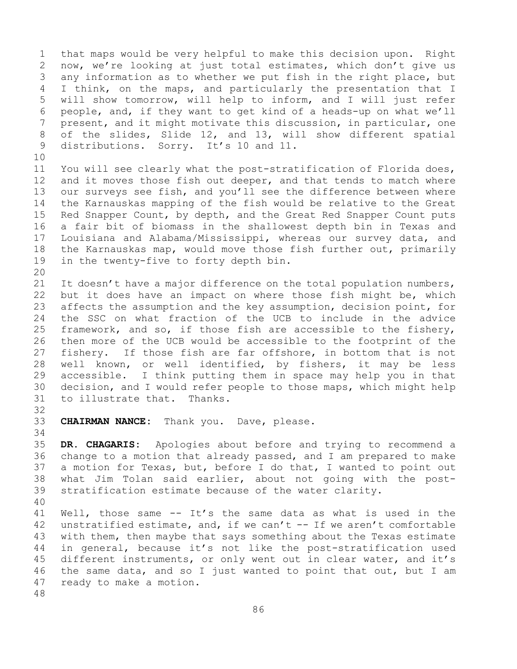1 that maps would be very helpful to make this decision upon. Right<br>2 now, we're looking at just total estimates, which don't give us 2 now, we're looking at just total estimates, which don't give us<br>3 any information as to whether we put fish in the right place, but 3 any information as to whether we put fish in the right place, but<br>4 I think, on the maps, and particularly the presentation that I I think, on the maps, and particularly the presentation that I 5 will show tomorrow, will help to inform, and I will just refer 6 people, and, if they want to get kind of a heads-up on what we'll<br>7 present, and it might motivate this discussion, in particular, one 7 present, and it might motivate this discussion, in particular, one<br>8 of the slides, Slide 12, and 13, will show different spatial 8 of the slides, Slide 12, and 13, will show different spatial<br>9 distributions. Sorry. It's 10 and 11. distributions. Sorry. It's 10 and 11.

10<br>11 11 You will see clearly what the post-stratification of Florida does,<br>12 and it moves those fish out deeper, and that tends to match where and it moves those fish out deeper, and that tends to match where 13 our surveys see fish, and you'll see the difference between where 14 the Karnauskas mapping of the fish would be relative to the Great<br>15 Red Snapper Count, by depth, and the Great Red Snapper Count puts 15 Red Snapper Count, by depth, and the Great Red Snapper Count puts<br>16 a fair bit of biomass in the shallowest depth bin in Texas and 16 a fair bit of biomass in the shallowest depth bin in Texas and<br>17 Iouisiana and Alabama/Mississippi, whereas our survey data, and 17 Louisiana and Alabama/Mississippi, whereas our survey data, and<br>18 the Karnauskas map, would move those fish further out, primarily 18 the Karnauskas map, would move those fish further out, primarily<br>19 in the twentv-five to forty depth bin. in the twenty-five to forty depth bin.

20<br>21 21 It doesn't have a major difference on the total population numbers,<br>22 but it does have an impact on where those fish might be, which 22 but it does have an impact on where those fish might be, which<br>23 affects the assumption and the key assumption, decision point, for 23 affects the assumption and the key assumption, decision point, for<br>24 the SSC on what fraction of the UCB to include in the advice 24 the SSC on what fraction of the UCB to include in the advice<br>25 framework, and so, if those fish are accessible to the fishery, 25 framework, and so, if those fish are accessible to the fishery,<br>26 then more of the UCB would be accessible to the footprint of the 26 then more of the UCB would be accessible to the footprint of the<br>27 fishery. If those fish are far offshore, in bottom that is not fishery. If those fish are far offshore, in bottom that is not 28 well known, or well identified, by fishers, it may be less<br>29 accessible. I think putting them in space may help you in that 29 accessible. I think putting them in space may help you in that<br>30 decision, and I would refer people to those maps, which might help 30 decision, and I would refer people to those maps, which might help to illustrate that. Thanks. to illustrate that. Thanks.

32

33 **CHAIRMAN NANCE:** Thank you. Dave, please.

34<br>35 35 **DR. CHAGARIS:** Apologies about before and trying to recommend a change to a motion that already passed, and I am prepared to make 37 a motion for Texas, but, before I do that, I wanted to point out 38 what Jim Tolan said earlier, about not going with the post-<br>39 stratification estimate because of the water clarity. stratification estimate because of the water clarity.

40 41 Well, those same  $--$  It's the same data as what is used in the 42 unstratified estimate, and, if we can't  $--$  If we aren't comfortable 42 unstratified estimate, and, if we can't  $--$  If we aren't comfortable 43 with them, then maybe that says something about the Texas estimate 43 with them, then maybe that says something about the Texas estimate<br>44 in general, because it's not like the post-stratification used in general, because it's not like the post-stratification used 45 different instruments, or only went out in clear water, and it's 46 the same data, and so I just wanted to point that out, but I am<br>47 ready to make a motion. ready to make a motion.

48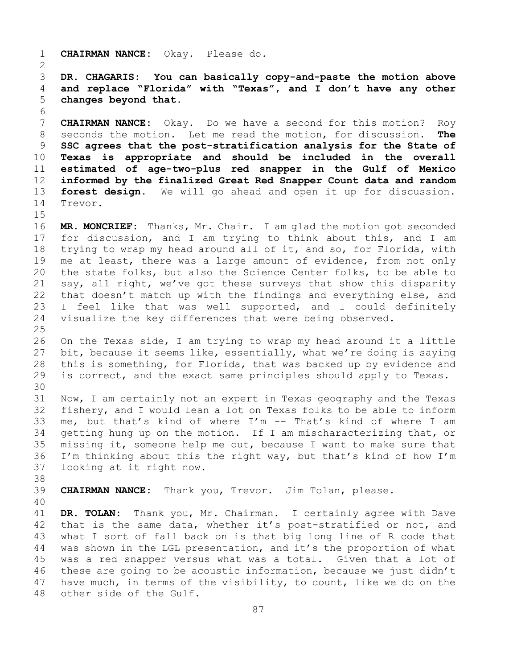1 **CHAIRMAN NANCE:** Okay. Please do.  $\frac{2}{3}$ 3 **DR. CHAGARIS: You can basically copy-and-paste the motion above**  4 **and replace "Florida" with "Texas", and I don't have any other**  5 **changes beyond that.** 6<br>7 7 **CHAIRMAN NANCE:** Okay. Do we have a second for this motion? Roy<br>8 seconds the motion. Let me read the motion, for discussion. The 8 seconds the motion. Let me read the motion, for discussion.<br>9 **SSC agrees that the post-stratification analysis for the Stat** 9 **SSC agrees that the post-stratification analysis for the State of**  10 **Texas is appropriate and should be included in the overall**  11 **estimated of age-two-plus red snapper in the Gulf of Mexico**  12 **informed by the finalized Great Red Snapper Count data and random**  13 **forest design.** We will go ahead and open it up for discussion. 14 Trevor.  $15$ <br> $16$ 16 **MR. MONCRIEF:** Thanks, Mr. Chair. I am glad the motion got seconded<br>17 for discussion, and I am trying to think about this, and I am 17 for discussion, and I am trying to think about this, and I am<br>18 trying to wrap my head around all of it, and so, for Florida, with 18 trying to wrap my head around all of it, and so, for Florida, with<br>19 me at least, there was a large amount of evidence, from not only 19 me at least, there was a large amount of evidence, from not only<br>20 the state folks, but also the Science Center folks, to be able to the state folks, but also the Science Center folks, to be able to 21 say, all right, we've got these surveys that show this disparity<br>22 that doesn't match up with the findings and everything else, and 22 that doesn't match up with the findings and everything else, and<br>23 I feel like that was well supported, and I could definitely 23 I feel like that was well supported, and I could definitely<br>24 visualize the key differences that were being observed. visualize the key differences that were being observed. 25 26 On the Texas side, I am trying to wrap my head around it a little<br>27 bit, because it seems like, essentially, what we're doing is saying bit, because it seems like, essentially, what we're doing is saying 28 this is something, for Florida, that was backed up by evidence and<br>29 is correct, and the exact same principles should apply to Texas. is correct, and the exact same principles should apply to Texas. 30<br>31 31 Now, I am certainly not an expert in Texas geography and the Texas<br>32 fisherv, and I would lean a lot on Texas folks to be able to inform fishery, and I would lean a lot on Texas folks to be able to inform 33 me, but that's kind of where  $I'm$  -- That's kind of where I am<br>34 qetting hung up on the motion. If I am mischaracterizing that, or 34 getting hung up on the motion. If I am mischaracterizing that, or<br>35 missing it, someone help me out, because I want to make sure that 35 missing it, someone help me out, because I want to make sure that<br>36 I'm thinking about this the right way, but that's kind of how I'm I'm thinking about this the right way, but that's kind of how I'm 37 looking at it right now. 38<br>39 39 **CHAIRMAN NANCE:** Thank you, Trevor. Jim Tolan, please. 40 41 **DR. TOLAN:** Thank you, Mr. Chairman. I certainly agree with Dave<br>42 that is the same data, whether it's post-stratified or not, and 42 that is the same data, whether it's post-stratified or not, and<br>43 what I sort of fall back on is that big long line of R code that 43 what I sort of fall back on is that big long line of R code that<br>44 was shown in the LGL presentation, and it's the proportion of what was shown in the LGL presentation, and it's the proportion of what 45 was a red snapper versus what was a total. Given that a lot of 46 these are going to be acoustic information, because we just didn't<br>47 have much, in terms of the visibility, to count, like we do on the 47 have much, in terms of the visibility, to count, like we do on the 48 other side of the Gulf. other side of the Gulf.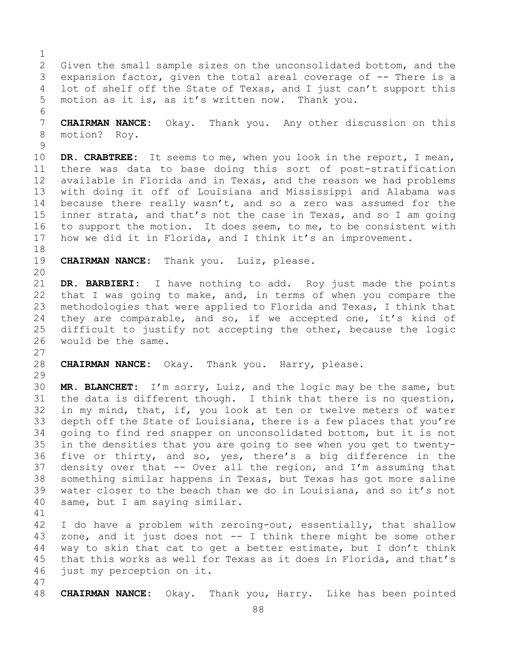$\frac{1}{2}$ 2 Given the small sample sizes on the unconsolidated bottom, and the<br>3 expansion factor, given the total areal coverage of -- There is a 3 expansion factor, given the total areal coverage of -- There is a<br>4 lot of shelf off the State of Texas, and I just can't support this lot of shelf off the State of Texas, and I just can't support this 5 motion as it is, as it's written now. Thank you.

6<br>7 7 **CHAIRMAN NANCE:** Okay. Thank you. Any other discussion on this motion? Roy.

 $\begin{array}{c} 9 \\ 10 \end{array}$ 10 **DR. CRABTREE:** It seems to me, when you look in the report, I mean,<br>11 there was data to base doing this sort of post-stratification 11 there was data to base doing this sort of post-stratification<br>12 available in Florida and in Texas, and the reason we had problems available in Florida and in Texas, and the reason we had problems 13 with doing it off of Louisiana and Mississippi and Alabama was 14 because there really wasn't, and so a zero was assumed for the<br>15 inner strata, and that's not the case in Texas, and so I am going 15 inner strata, and that's not the case in Texas, and so I am going<br>16 to support the motion. It does seem, to me, to be consistent with 16 to support the motion. It does seem, to me, to be consistent with<br>17 how we did it in Florida, and I think it's an improvement. how we did it in Florida, and I think it's an improvement.

18<br>19 CHAIRMAN NANCE: Thank you. Luiz, please.

27

20<br>21 21 **DR. BARBIERI:** I have nothing to add. Roy just made the points<br>22 that I was going to make, and, in terms of when you compare the 22 that I was going to make, and, in terms of when you compare the<br>23 methodologies that were applied to Florida and Texas, I think that 23 methodologies that were applied to Florida and Texas, I think that<br>24 thev are comparable, and so, if we accepted one, it's kind of 24 they are comparable, and so, if we accepted one, it's kind of<br>25 difficult to justify not accepting the other, because the logic 25 difficult to justify not accepting the other, because the logic<br>26 would be the same. would be the same.

28 **CHAIRMAN NANCE:** Okay. Thank you. Harry, please.

29<br>30 30 **MR. BLANCHET:** I'm sorry, Luiz, and the logic may be the same, but 31 the data is different though. I think that there is no question,<br>32 in my mind, that, if, you look at ten or twelve meters of water in my mind, that, if, you look at ten or twelve meters of water 33 depth off the State of Louisiana, there is a few places that you're<br>34 qoing to find red snapper on unconsolidated bottom, but it is not 34 going to find red snapper on unconsolidated bottom, but it is not<br>35 in the densities that you are going to see when you get to twenty-35 in the densities that you are going to see when you get to twenty-<br>36 five or thirty, and so, yes, there's a big difference in the five or thirty, and so, yes, there's a big difference in the 37 density over that -- Over all the region, and I'm assuming that 38 something similar happens in Texas, but Texas has got more saline<br>39 water closer to the beach than we do in Louisiana, and so it's not 39 water closer to the beach than we do in Louisiana, and so it's not<br>40 same, but I am saying similar. same, but I am saying similar.

41<br>42 42 I do have a problem with zeroing-out, essentially, that shallow<br>43 zone, and it just does not -- I think there might be some other 43 zone, and it just does not  $-$  I think there might be some other<br>44 way to skin that cat to get a better estimate, but I don't think way to skin that cat to get a better estimate, but I don't think 45 that this works as well for Texas as it does in Florida, and that's 46 just my perception on it.

47 48 **CHAIRMAN NANCE:** Okay. Thank you, Harry. Like has been pointed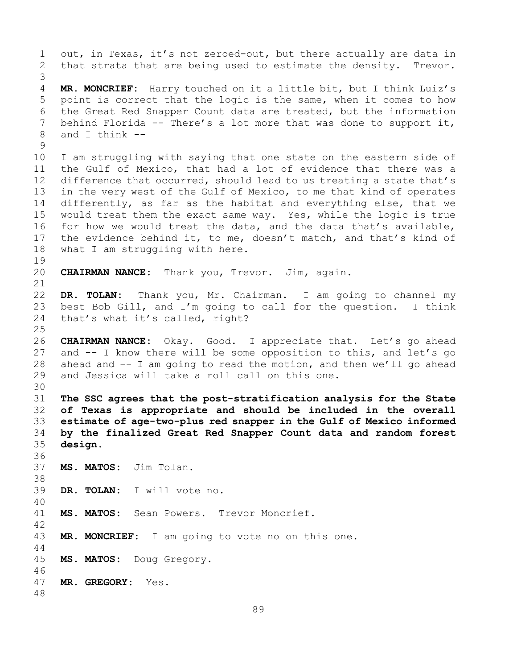1 out, in Texas, it's not zeroed-out, but there actually are data in<br>2 that strata that are being used to estimate the density. Trevor. that strata that are being used to estimate the density. 3 4 **MR. MONCRIEF:** Harry touched on it a little bit, but I think Luiz's 5 point is correct that the logic is the same, when it comes to how 6 the Great Red Snapper Count data are treated, but the information<br>7 behind Florida -- There's a lot more that was done to support it. 7 behind Florida -- There's a lot more that was done to support it,<br>8 and I think -and I think  $- \begin{array}{c} 9 \\ 10 \end{array}$ 10 I am struggling with saying that one state on the eastern side of<br>11 the Gulf of Mexico, that had a lot of evidence that there was a 11 the Gulf of Mexico, that had a lot of evidence that there was a<br>12 difference that occurred, should lead to us treating a state that's difference that occurred, should lead to us treating a state that's 13 in the very west of the Gulf of Mexico, to me that kind of operates 14 differently, as far as the habitat and everything else, that we<br>15 would treat them the exact same way. Yes, while the logic is true 15 would treat them the exact same way. Yes, while the logic is true<br>16 for how we would treat the data, and the data that's available, 16 for how we would treat the data, and the data that's available,<br>17 the evidence behind it, to me, doesn't match, and that's kind of 17 the evidence behind it, to me, doesn't match, and that's kind of<br>18 what I am struggling with here. what I am struggling with here.  $\begin{array}{c} 19 \\ 20 \end{array}$ CHAIRMAN NANCE: Thank you, Trevor. Jim, again. 21<br>22 22 **DR. TOLAN:** Thank you, Mr. Chairman. I am going to channel my 23 best Bob Gill, and I'm going to call for the question. I think<br>24 that's what it's called, right? that's what it's called, right?  $\frac{25}{26}$ 26 **CHAIRMAN NANCE:** Okay. Good. I appreciate that. Let's go ahead and  $--$  I know there will be some opposition to this, and let's go 28 ahead and -- I am going to read the motion, and then we'll go ahead<br>29 and Jessica will take a roll call on this one. and Jessica will take a roll call on this one. 30<br>31 31 **The SSC agrees that the post-stratification analysis for the State**  32 **of Texas is appropriate and should be included in the overall**  33 **estimate of age-two-plus red snapper in the Gulf of Mexico informed**  34 **by the finalized Great Red Snapper Count data and random forest**  design. 36 37 **MS. MATOS:** Jim Tolan. 38<br>39 DR. TOLAN: I will vote no. 40 MS. MATOS: Sean Powers. Trevor Moncrief. 42 MR. MONCRIEF: I am going to vote no on this one. 44 45 **MS. MATOS:** Doug Gregory. 46<br>47 47 **MR. GREGORY:** Yes. 48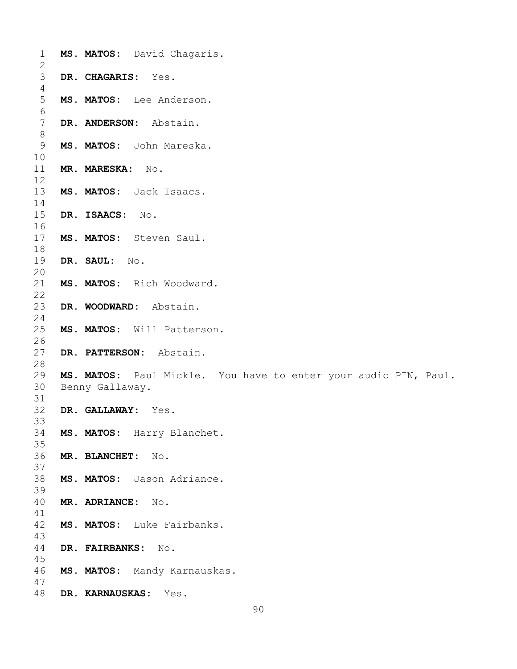| $\mathbf 1$     | MS. MATOS: David Chagaris.                                      |
|-----------------|-----------------------------------------------------------------|
| $\mathbf{2}$    |                                                                 |
| $\mathfrak{Z}$  | DR. CHAGARIS: Yes.                                              |
| 4               |                                                                 |
| 5               | MS. MATOS: Lee Anderson.                                        |
| $6\,$           |                                                                 |
| $7\phantom{.0}$ | DR. ANDERSON: Abstain.                                          |
| $\,8\,$         |                                                                 |
|                 |                                                                 |
| 9               | MS. MATOS: John Mareska.                                        |
| 10              |                                                                 |
| 11              | <b>MR. MARESKA:</b><br>No.                                      |
| 12              |                                                                 |
| 13              | MS. MATOS: Jack Isaacs.                                         |
| 14              |                                                                 |
| 15              | DR. ISAACS:<br>$\mathbb N\circ$ .                               |
| 16              |                                                                 |
| 17              | MS. MATOS: Steven Saul.                                         |
|                 |                                                                 |
| 18              |                                                                 |
| 19              | DR. SAUL: No.                                                   |
| 20              |                                                                 |
| 21              | MS. MATOS: Rich Woodward.                                       |
| 22              |                                                                 |
| 23              | DR. WOODWARD: Abstain.                                          |
| 24              |                                                                 |
| 25              | MS. MATOS: Will Patterson.                                      |
| 26              |                                                                 |
| 27              | DR. PATTERSON: Abstain.                                         |
| 28              |                                                                 |
|                 |                                                                 |
| 29              | MS. MATOS: Paul Mickle. You have to enter your audio PIN, Paul. |
| 30              | Benny Gallaway.                                                 |
| 31              |                                                                 |
| 32              | DR. GALLAWAY: Yes.                                              |
| 33              |                                                                 |
| 34              | MS. MATOS: Harry Blanchet.                                      |
| 35              |                                                                 |
| 36              | MR. BLANCHET:<br>No.                                            |
| 37              |                                                                 |
|                 | MS. MATOS: Jason Adriance.                                      |
| 38              |                                                                 |
| 39              |                                                                 |
| 40              | MR. ADRIANCE:<br>No.                                            |
| 41              |                                                                 |
| 42              | MS. MATOS: Luke Fairbanks.                                      |
| 43              |                                                                 |
| 44              | DR. FAIRBANKS:<br>$\mathbb N$ o.                                |
| 45              |                                                                 |
| 46              | MS. MATOS: Mandy Karnauskas.                                    |
| 47              |                                                                 |
| 48              | Yes.                                                            |
|                 | DR. KARNAUSKAS:                                                 |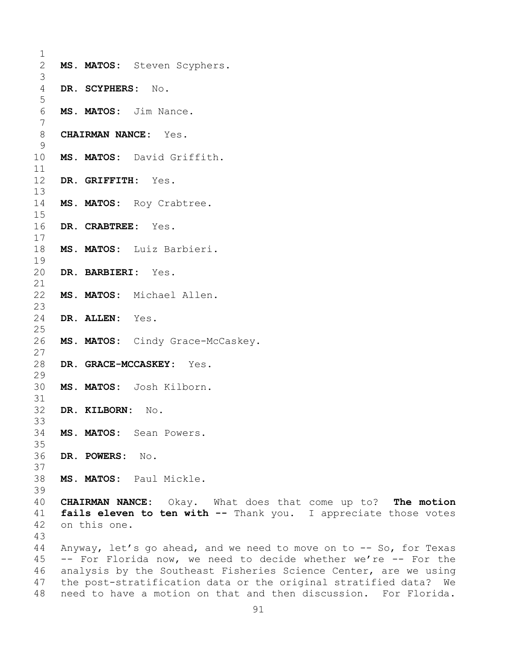| 1              |                                                                 |                                                                  |                                                                    |  |  |  |
|----------------|-----------------------------------------------------------------|------------------------------------------------------------------|--------------------------------------------------------------------|--|--|--|
| $\overline{2}$ |                                                                 |                                                                  | MS. MATOS: Steven Scyphers.                                        |  |  |  |
| 3              |                                                                 |                                                                  |                                                                    |  |  |  |
| 4              |                                                                 | DR. SCYPHERS: No.                                                |                                                                    |  |  |  |
| 5              |                                                                 |                                                                  |                                                                    |  |  |  |
| 6              |                                                                 |                                                                  | MS. MATOS: Jim Nance.                                              |  |  |  |
| 7              |                                                                 |                                                                  |                                                                    |  |  |  |
| 8              |                                                                 |                                                                  | <b>CHAIRMAN NANCE:</b> Yes.                                        |  |  |  |
| 9              |                                                                 |                                                                  |                                                                    |  |  |  |
| 10             |                                                                 |                                                                  | MS. MATOS: David Griffith.                                         |  |  |  |
| 11             |                                                                 |                                                                  |                                                                    |  |  |  |
| 12             |                                                                 |                                                                  | DR. GRIFFITH: Yes.                                                 |  |  |  |
| 13<br>14       |                                                                 |                                                                  | MS. MATOS: Roy Crabtree.                                           |  |  |  |
| 15             |                                                                 |                                                                  |                                                                    |  |  |  |
| 16             |                                                                 |                                                                  | DR. CRABTREE: Yes.                                                 |  |  |  |
| 17             |                                                                 |                                                                  |                                                                    |  |  |  |
| 18             |                                                                 |                                                                  | MS. MATOS: Luiz Barbieri.                                          |  |  |  |
| 19             |                                                                 |                                                                  |                                                                    |  |  |  |
| 20             |                                                                 |                                                                  | DR. BARBIERI: Yes.                                                 |  |  |  |
| 21             |                                                                 |                                                                  |                                                                    |  |  |  |
| 22             |                                                                 |                                                                  | MS. MATOS: Michael Allen.                                          |  |  |  |
| 23             |                                                                 |                                                                  |                                                                    |  |  |  |
| 24             |                                                                 | DR. ALLEN: Yes.                                                  |                                                                    |  |  |  |
| 25             |                                                                 |                                                                  |                                                                    |  |  |  |
| 26             |                                                                 |                                                                  | MS. MATOS: Cindy Grace-McCaskey.                                   |  |  |  |
| 27             |                                                                 |                                                                  |                                                                    |  |  |  |
| 28             |                                                                 |                                                                  | DR. GRACE-MCCASKEY: Yes.                                           |  |  |  |
| 29             |                                                                 |                                                                  |                                                                    |  |  |  |
| 30             |                                                                 |                                                                  | MS. MATOS: Josh Kilborn.                                           |  |  |  |
| 31<br>32       |                                                                 |                                                                  |                                                                    |  |  |  |
| 33             |                                                                 | DR. KILBORN:                                                     | No.                                                                |  |  |  |
| 34             |                                                                 |                                                                  | MS. MATOS: Sean Powers.                                            |  |  |  |
| 35             |                                                                 |                                                                  |                                                                    |  |  |  |
| 36             |                                                                 | DR. POWERS: No.                                                  |                                                                    |  |  |  |
| 37             |                                                                 |                                                                  |                                                                    |  |  |  |
| 38             |                                                                 |                                                                  | MS. MATOS: Paul Mickle.                                            |  |  |  |
| 39             |                                                                 |                                                                  |                                                                    |  |  |  |
| 40             |                                                                 |                                                                  | CHAIRMAN NANCE: Okay. What does that come up to? The motion        |  |  |  |
| 41             |                                                                 |                                                                  | fails eleven to ten with -- Thank you. I appreciate those votes    |  |  |  |
| 42             |                                                                 | on this one.                                                     |                                                                    |  |  |  |
| 43             |                                                                 |                                                                  |                                                                    |  |  |  |
| 44             |                                                                 |                                                                  | Anyway, let's go ahead, and we need to move on to -- So, for Texas |  |  |  |
| 45             | -- For Florida now, we need to decide whether we're -- For the  |                                                                  |                                                                    |  |  |  |
| 46             |                                                                 | analysis by the Southeast Fisheries Science Center, are we using |                                                                    |  |  |  |
| 47             |                                                                 |                                                                  | the post-stratification data or the original stratified data? We   |  |  |  |
| 48             | need to have a motion on that and then discussion. For Florida. |                                                                  |                                                                    |  |  |  |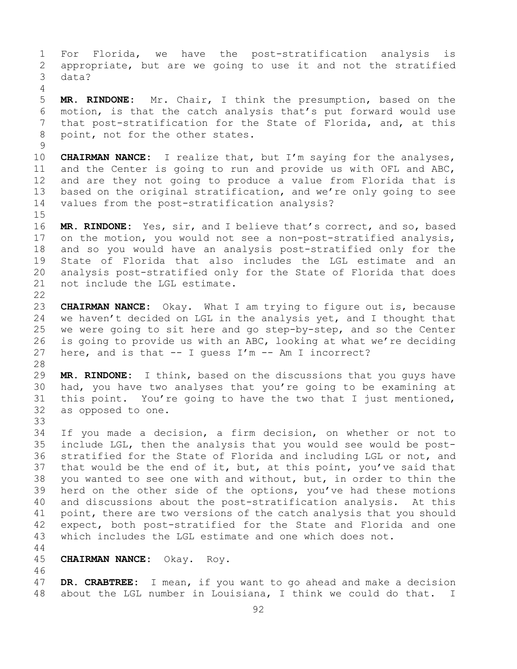1 For Florida, we have the post-stratification analysis is<br>2 appropriate, but are we going to use it and not the stratified 2 appropriate, but are we going to use it and not the stratified data? 4 5 **MR. RINDONE:** Mr. Chair, I think the presumption, based on the 6 motion, is that the catch analysis that's put forward would use<br>7 that post-stratification for the State of Florida, and, at this 7 that post-stratification for the State of Florida, and, at this<br>8 point, not for the other states. point, not for the other states.  $\frac{9}{10}$ 10 **CHAIRMAN NANCE:** I realize that, but I'm saying for the analyses,<br>11 and the Center is going to run and provide us with OFL and ABC, 11 and the Center is going to run and provide us with OFL and ABC,<br>12 and are they not going to produce a value from Florida that is 12 and are they not going to produce a value from Florida that is<br>13 based on the original stratification, and we're only going to see based on the original stratification, and we're only going to see 14 values from the post-stratification analysis?  $15$ <br> $16$ 16 **MR. RINDONE:** Yes, sir, and I believe that's correct, and so, based<br>17 on the motion, you would not see a non-post-stratified analysis, 17 on the motion, you would not see a non-post-stratified analysis,<br>18 and so you would have an analysis post-stratified only for the 18 and so you would have an analysis post-stratified only for the 19 State of Florida that also includes the LGL estimate and an<br>20 analysis post-stratified only for the State of Florida that does 20 analysis post-stratified only for the State of Florida that does<br>21 not include the LGL estimate. not include the LGL estimate.  $\begin{array}{c} 22 \\ 23 \end{array}$ 23 **CHAIRMAN NANCE:** Okay. What I am trying to figure out is, because<br>24 we haven't decided on LGL in the analysis yet, and I thought that 24 we haven't decided on LGL in the analysis yet, and I thought that<br>25 we were going to sit here and go step-by-step, and so the Center 25 we were going to sit here and go step-by-step, and so the Center<br>26 is going to provide us with an ABC, looking at what we're deciding 26 is going to provide us with an ABC, looking at what we're deciding<br>27 here, and is that  $-$  I quess I'm  $-$  Am I incorrect? here, and is that  $--$  I guess I'm  $--$  Am I incorrect? 28<br>29 29 **MR. RINDONE:** I think, based on the discussions that you guys have 30 had, you have two analyses that you're going to be examining at<br>31 this point. You're going to have the two that I just mentioned, 31 this point. You're going to have the two that I just mentioned,<br>32 as opposed to one. as opposed to one. 33<br>34 34 If you made a decision, a firm decision, on whether or not to<br>35 include LGL, then the analysis that you would see would be post-35 include LGL, then the analysis that you would see would be post-<br>36 stratified for the State of Florida and including LGL or not, and 36 stratified for the State of Florida and including LGL or not, and<br>37 that would be the end of it, but, at this point, you've said that that would be the end of it, but, at this point, you've said that 38 you wanted to see one with and without, but, in order to thin the<br>39 herd on the other side of the options, you've had these motions 39 herd on the other side of the options, you've had these motions<br>40 and discussions about the post-stratification analysis. At this 40 and discussions about the post-stratification analysis. At this<br>41 point, there are two versions of the catch analysis that you should 41 point, there are two versions of the catch analysis that you should<br>42 expect, both post-stratified for the State and Florida and one 42 expect, both post-stratified for the State and Florida and one<br>43 which includes the LGL estimate and one which does not. which includes the LGL estimate and one which does not. 44 45 **CHAIRMAN NANCE:** Okay. Roy. 46<br>47 47 **DR. CRABTREE:** I mean, if you want to go ahead and make a decision about the LGL number in Louisiana, I think we could do that. I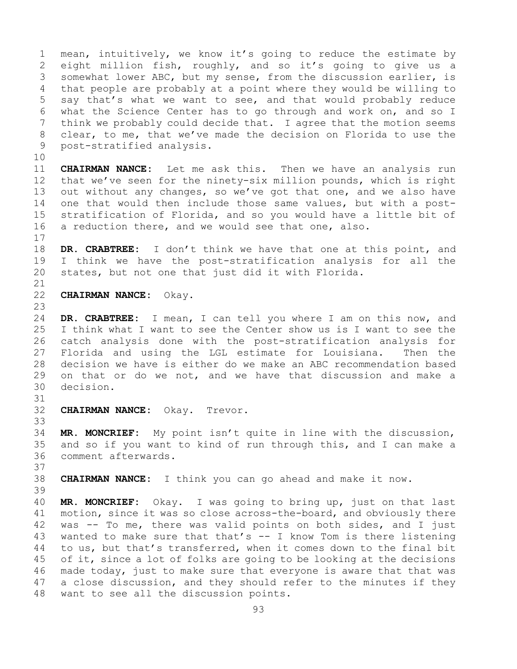1 mean, intuitively, we know it's going to reduce the estimate by<br>2 eight million fish, roughly, and so it's going to give us a 2 eight million fish, roughly, and so it's going to give us a<br>3 somewhat lower ABC, but my sense, from the discussion earlier, is 3 somewhat lower ABC, but my sense, from the discussion earlier, is<br>4 that people are probably at a point where they would be willing to that people are probably at a point where they would be willing to 5 say that's what we want to see, and that would probably reduce 6 what the Science Center has to go through and work on, and so I<br>7 think we probably could decide that. I agree that the motion seems 7 think we probably could decide that. I agree that the motion seems<br>8 clear, to me, that we've made the decision on Florida to use the 8 clear, to me, that we've made the decision on Florida to use the<br>9 post-stratified analysis. 9 post-stratified analysis. 10<br>11 11 **CHAIRMAN NANCE:** Let me ask this. Then we have an analysis run<br>12 that we've seen for the ninety-six million pounds, which is right that we've seen for the ninety-six million pounds, which is right 13 out without any changes, so we've got that one, and we also have 14 one that would then include those same values, but with a post-<br>15 stratification of Florida, and so vou would have a little bit of 15 stratification of Florida, and so you would have a little bit of<br>16 a reduction there, and we would see that one, also. a reduction there, and we would see that one, also.  $\begin{array}{c} 17 \\ 18 \end{array}$ 18 **DR. CRABTREE:** I don't think we have that one at this point, and 19 I think we have the post-stratification analysis for all the<br>20 states, but not one that just did it with Florida. states, but not one that just did it with Florida. 21<br>22 **CHAIRMAN NANCE:** Okay. 23 24 **DR. CRABTREE:** I mean, I can tell you where I am on this now, and<br>25 I think what I want to see the Center show us is I want to see the I think what I want to see the Center show us is I want to see the 26 catch analysis done with the post-stratification analysis for<br>27 Florida and using the LGL estimate for Louisiana. Then the Florida and using the LGL estimate for Louisiana. 28 decision we have is either do we make an ABC recommendation based<br>29 on that or do we not, and we have that discussion and make a 29 on that or do we not, and we have that discussion and make a 30 decision. decision. 31<br>32 CHAIRMAN NANCE: Okay. Trevor. 33<br>34 34 **MR. MONCRIEF:** My point isn't quite in line with the discussion, 35 and so if you want to kind of run through this, and I can make a 36 comment afterwards. comment afterwards. 37 38 **CHAIRMAN NANCE:** I think you can go ahead and make it now. 39 40 **MR. MONCRIEF:** Okay. I was going to bring up, just on that last 41 motion, since it was so close across-the-board, and obviously there<br>42 was -- To me, there was valid points on both sides, and I just 42 was  $-$  To me, there was valid points on both sides, and I just 43 wanted to make sure that that's  $-$  I know Tom is there listening 43 wanted to make sure that that's  $--$  I know Tom is there listening<br>44 to us, but that's transferred, when it comes down to the final bit to us, but that's transferred, when it comes down to the final bit 45 of it, since a lot of folks are going to be looking at the decisions 46 made today, just to make sure that everyone is aware that that was<br>47 a close discussion, and they should refer to the minutes if they 47 a close discussion, and they should refer to the minutes if they<br>48 want to see all the discussion points. want to see all the discussion points.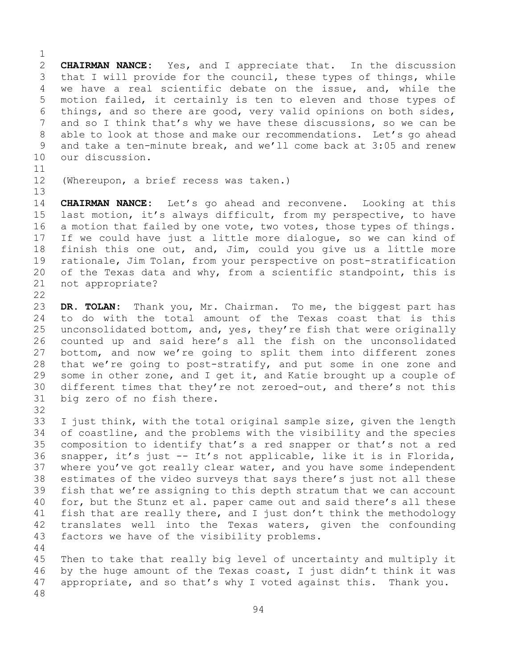$\frac{1}{2}$ 2 **CHAIRMAN NANCE:** Yes, and I appreciate that. In the discussion<br>3 that I will provide for the council, these types of things, while 3 that I will provide for the council, these types of things, while<br>4 we have a real scientific debate on the issue, and, while the we have a real scientific debate on the issue, and, while the 5 motion failed, it certainly is ten to eleven and those types of 6 things, and so there are good, very valid opinions on both sides,<br>7 and so I think that's why we have these discussions, so we can be 7 and so I think that's why we have these discussions, so we can be<br>8 able to look at those and make our recommendations. Let's go ahead 8 able to look at those and make our recommendations. Let's go ahead<br>9 and take a ten-minute break, and we'll come back at 3:05 and renew 9 and take a ten-minute break, and we'll come back at 3:05 and renew 10 our discussion. our discussion.

11<br>12

13

(Whereupon, a brief recess was taken.)

14 **CHAIRMAN NANCE:** Let's go ahead and reconvene. Looking at this<br>15 last motion, it's always difficult, from my perspective, to have 15 last motion, it's always difficult, from my perspective, to have<br>16 a motion that failed by one vote, two votes, those types of things. 16 a motion that failed by one vote, two votes, those types of things.<br>17 If we could have just a little more dialoque, so we can kind of 17 If we could have just a little more dialogue, so we can kind of<br>18 finish this one out, and, Jim, could you give us a little more 18 finish this one out, and, Jim, could you give us a little more<br>19 rationale, Jim Tolan, from your perspective on post-stratification 19 rationale, Jim Tolan, from your perspective on post-stratification<br>20 of the Texas data and why, from a scientific standpoint, this is 20 of the Texas data and why, from a scientific standpoint, this is 21 not appropriate? not appropriate?

 $\begin{array}{c} 22 \\ 23 \end{array}$ 23 **DR. TOLAN:** Thank you, Mr. Chairman. To me, the biggest part has 24 to do with the total amount of the Texas coast that is this<br>25 unconsolidated bottom, and, yes, they're fish that were originally 25 unconsolidated bottom, and, yes, they're fish that were originally<br>26 counted up and said here's all the fish on the unconsolidated 26 counted up and said here's all the fish on the unconsolidated<br>27 bottom, and now we're going to split them into different zones bottom, and now we're going to split them into different zones 28 that we're going to post-stratify, and put some in one zone and<br>29 some in other zone, and I get it, and Katie brought up a couple of 29 some in other zone, and I get it, and Katie brought up a couple of<br>30 different times that they're not zeroed-out, and there's not this 30 different times that they're not zeroed-out, and there's not this  $31$  biq zero of no fish there. big zero of no fish there.

32<br>33 33 I just think, with the total original sample size, given the length<br>34 of coastline, and the problems with the visibility and the species 34 of coastline, and the problems with the visibility and the species<br>35 composition to identify that's a red snapper or that's not a red 35 composition to identify that's a red snapper or that's not a red<br>36 snapper, it's just -- It's not applicable, like it is in Florida, 36 snapper, it's just -- It's not applicable, like it is in Florida,<br>37 where you've got really clear water, and you have some independent 37 where you've got really clear water, and you have some independent<br>38 estimates of the video surveys that says there's just not all these 38 estimates of the video surveys that says there's just not all these<br>39 fish that we're assigning to this depth stratum that we can account 39 fish that we're assigning to this depth stratum that we can account<br>40 for, but the Stunz et al. paper came out and said there's all these 40 for, but the Stunz et al. paper came out and said there's all these<br>41 fish that are really there, and I just don't think the methodology 41 fish that are really there, and I just don't think the methodology<br>42 translates well into the Texas waters, given the confounding 42 translates well into the Texas waters, given the confounding<br>43 factors we have of the visibility problems. factors we have of the visibility problems. 44

45 Then to take that really big level of uncertainty and multiply it 46 by the huge amount of the Texas coast, I just didn't think it was<br>47 appropriate, and so that's why I voted against this. Thank you. appropriate, and so that's why I voted against this. Thank you. 48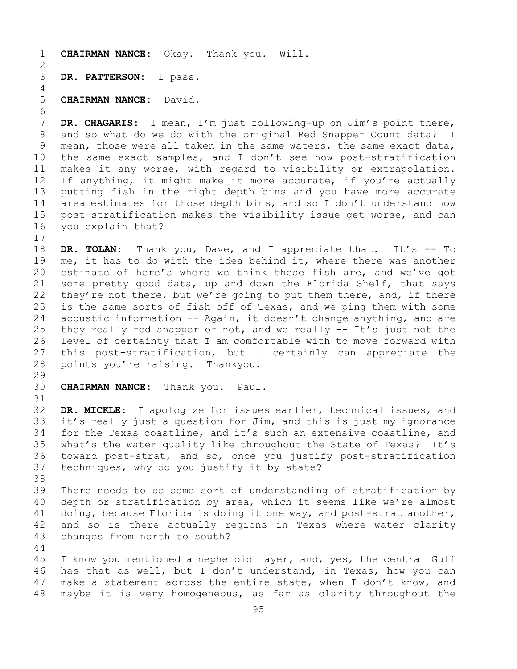1 **CHAIRMAN NANCE:** Okay. Thank you. Will.  $\frac{2}{3}$ DR. PATTERSON: I pass. 4 5 **CHAIRMAN NANCE:** David. 6<br>7

7 **DR. CHAGARIS:** I mean, I'm just following-up on Jim's point there,<br>8 and so what do we do with the original Red Snapper Count data? I 8 and so what do we do with the original Red Snapper Count data? I<br>9 mean, those were all taken in the same waters, the same exact data, 9 mean, those were all taken in the same waters, the same exact data,<br>10 the same exact samples, and I don't see how post-stratification 10 the same exact samples, and I don't see how post-stratification<br>11 makes it any worse, with regard to visibility or extrapolation. 11 makes it any worse, with regard to visibility or extrapolation.<br>12 If anything, it might make it more accurate, if you're actually 12 If anything, it might make it more accurate, if you're actually<br>13 putting fish in the right depth bins and you have more accurate putting fish in the right depth bins and you have more accurate 14 area estimates for those depth bins, and so I don't understand how<br>15 post-stratification makes the visibility issue get worse, and can 15 post-stratification makes the visibility issue get worse, and can<br>16 you explain that? you explain that?

 $\begin{array}{c} 17 \\ 18 \end{array}$ 18 **DR. TOLAN:** Thank you, Dave, and I appreciate that. It's -- To<br>19 me, it has to do with the idea behind it, where there was another 19 me, it has to do with the idea behind it, where there was another<br>20 estimate of here's where we think these fish are, and we've got 20 estimate of here's where we think these fish are, and we've got<br>21 some pretty good data, up and down the Florida Shelf, that says 21 some pretty good data, up and down the Florida Shelf, that says<br>22 they're not there, but we're going to put them there, and, if there 22 they're not there, but we're going to put them there, and, if there<br>23 is the same sorts of fish off of Texas, and we ping them with some 23 is the same sorts of fish off of Texas, and we ping them with some<br>24 acoustic information -- Again, it doesn't change anything, and are 24 acoustic information  $-$  Again, it doesn't change anything, and are<br>25 they really red snapper or not, and we really  $-$  It's just not the 25 they really red snapper or not, and we really  $--$  It's just not the 26 level of certainty that I am comfortable with to move forward with 26 level of certainty that I am comfortable with to move forward with<br>27 this post-stratification, but I certainly can appreciate the 27 this post-stratification, but I certainly can appreciate the<br>28 points you're raising. Thankyou. points you're raising. Thankyou.

29<br>30 **CHAIRMAN NANCE:** Thank you. Paul.

44

31<br>32 DR. MICKLE: I apologize for issues earlier, technical issues, and 33 it's really just a question for Jim, and this is just my ignorance<br>34 for the Texas coastline, and it's such an extensive coastline, and 34 for the Texas coastline, and it's such an extensive coastline, and<br>35 what's the water quality like throughout the State of Texas? It's 35 what's the water quality like throughout the State of Texas? It's<br>36 toward post-strat, and so, once you justify post-stratification 36 toward post-strat, and so, once you justify post-stratification<br>37 techniques, why do you justify it by state? techniques, why do you justify it by state?

38<br>39 39 There needs to be some sort of understanding of stratification by<br>40 depth or stratification by area, which it seems like we're almost 40 depth or stratification by area, which it seems like we're almost<br>41 doing, because Florida is doing it one way, and post-strat another, 41 doing, because Florida is doing it one way, and post-strat another,<br>42 and so is there actually regions in Texas where water clarity 42 and so is there actually regions in Texas where water clarity<br>43 changes from north to south? changes from north to south?

45 I know you mentioned a nepheloid layer, and, yes, the central Gulf 46 has that as well, but I don't understand, in Texas, how you can<br>47 make a statement across the entire state, when I don't know, and 47 make a statement across the entire state, when I don't know, and<br>48 maybe it is very homogeneous, as far as clarity throughout the maybe it is very homogeneous, as far as clarity throughout the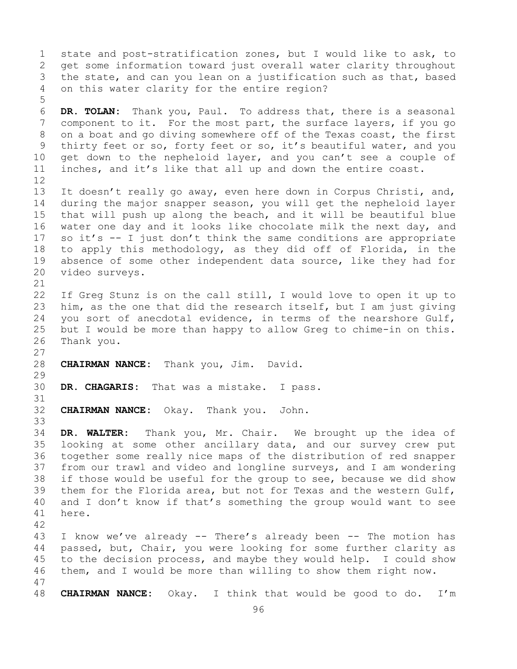1 state and post-stratification zones, but I would like to ask, to<br>2 get some information toward just overall water clarity throughout 2 get some information toward just overall water clarity throughout<br>3 the state, and can you lean on a justification such as that, based 3 the state, and can you lean on a justification such as that, based<br>4 on this water clarity for the entire region? on this water clarity for the entire region? 5 6 **DR. TOLAN:** Thank you, Paul. To address that, there is a seasonal 7 component to it. For the most part, the surface layers, if you go<br>8 on a boat and go diving somewhere off of the Texas coast, the first 8 on a boat and go diving somewhere off of the Texas coast, the first<br>9 thirty feet or so, forty feet or so, it's beautiful water, and you 9 thirty feet or so, forty feet or so, it's beautiful water, and you<br>10 get down to the nepheloid laver, and you can't see a couple of 10 get down to the nepheloid layer, and you can't see a couple of<br>11 inches, and it's like that all up and down the entire coast. inches, and it's like that all up and down the entire coast. 12<br>13 It doesn't really go away, even here down in Corpus Christi, and, 14 during the major snapper season, you will get the nepheloid layer<br>15 that will push up along the beach, and it will be beautiful blue 15 that will push up along the beach, and it will be beautiful blue<br>16 water one day and it looks like chocolate milk the next day, and 16 water one day and it looks like chocolate milk the next day, and<br>17 so it's -- I just don't think the same conditions are appropriate 17 so it's  $-$  I just don't think the same conditions are appropriate<br>18 to apply this methodology, as they did off of Florida, in the 18 to apply this methodology, as they did off of Florida, in the<br>19 absence of some other independent data source, like they had for 19 absence of some other independent data source, like they had for<br>20 video surveys. video surveys. 21<br>22 22 If Greg Stunz is on the call still, I would love to open it up to<br>23 him, as the one that did the research itself, but I am just giving 23 him, as the one that did the research itself, but I am just giving<br>24 vou sort of anecdotal evidence, in terms of the nearshore Gulf, 24 you sort of anecdotal evidence, in terms of the nearshore Gulf,<br>25 but I would be more than happy to allow Greq to chime-in on this. 25 but I would be more than happy to allow Greg to chime-in on this.<br>26 Thank you. Thank you.  $\frac{27}{28}$ 28 **CHAIRMAN NANCE:** Thank you, Jim. David. 29<br>30 DR. CHAGARIS: That was a mistake. I pass. 31<br>32 **CHAIRMAN NANCE:** Okay. Thank you. John. 33<br>34 34 **DR. WALTER:** Thank you, Mr. Chair. We brought up the idea of 35 looking at some other ancillary data, and our survey crew put<br>36 together some really nice maps of the distribution of red snapper together some really nice maps of the distribution of red snapper 37 from our trawl and video and longline surveys, and I am wondering 38 if those would be useful for the group to see, because we did show<br>39 them for the Florida area, but not for Texas and the western Gulf, 39 them for the Florida area, but not for Texas and the western Gulf,<br>40 and I don't know if that's something the group would want to see 40 and I don't know if that's something the group would want to see<br>41 here. here. 42 43 I know we've already -- There's already been -- The motion has<br>44 passed, but, Chair, you were looking for some further clarity as passed, but, Chair, you were looking for some further clarity as 45 to the decision process, and maybe they would help. I could show 46 them, and I would be more than willing to show them right now. 47 48 **CHAIRMAN NANCE:** Okay. I think that would be good to do. I'm

96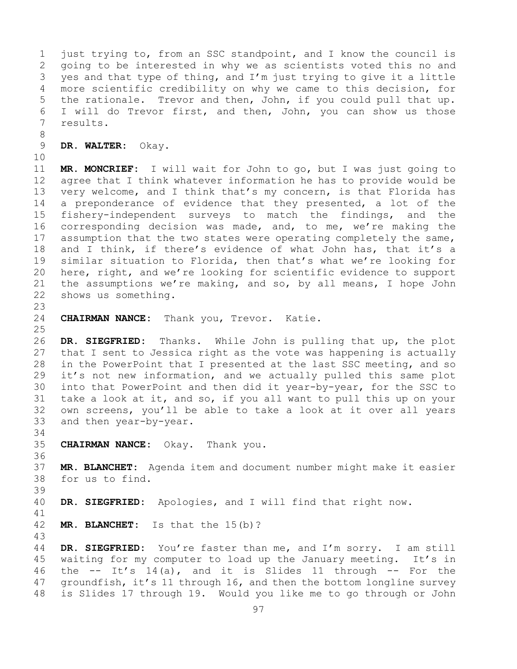1 just trying to, from an SSC standpoint, and I know the council is<br>2 qoing to be interested in why we as scientists voted this no and 2 going to be interested in why we as scientists voted this no and<br>3 ves and that type of thing, and I'm just trying to give it a little 3 yes and that type of thing, and I'm just trying to give it a little<br>4 more scientific credibility on why we came to this decision, for more scientific credibility on why we came to this decision, for 5 the rationale. Trevor and then, John, if you could pull that up. 6 I will do Trevor first, and then, John, you can show us those<br>7 results. 7 results.

8<br>9 9 **DR. WALTER:** Okay.

10<br>11

11 **MR. MONCRIEF:** I will wait for John to go, but I was just going to agree that I think whatever information he has to provide would be 13 very welcome, and I think that's my concern, is that Florida has 14 a preponderance of evidence that they presented, a lot of the<br>15 fisherv-independent surveys to match the findings, and the 15 fishery-independent surveys to match the findings, and the<br>16 corresponding decision was made, and, to me, we're making the 16 corresponding decision was made, and, to me, we're making the<br>17 assumption that the two states were operating completely the same, 17 assumption that the two states were operating completely the same,<br>18 and I think, if there's evidence of what John has, that it's a 18 and I think, if there's evidence of what John has, that it's a<br>19 similar situation to Florida, then that's what we're looking for 19 similar situation to Florida, then that's what we're looking for<br>20 here, right, and we're looking for scientific evidence to support 20 here, right, and we're looking for scientific evidence to support<br>21 the assumptions we're making, and so, by all means, I hope John 21 the assumptions we're making, and so, by all means, I hope John 22 shows us something. shows us something.

23 CHAIRMAN NANCE: Thank you, Trevor. Katie.

 $\frac{25}{26}$ 26 **DR. SIEGFRIED:** Thanks. While John is pulling that up, the plot that I sent to Jessica right as the vote was happening is actually 28 in the PowerPoint that I presented at the last SSC meeting, and so<br>29 it's not new information, and we actually pulled this same plot 29 it's not new information, and we actually pulled this same plot<br>30 into that PowerPoint and then did it year-by-year, for the SSC to 30 into that PowerPoint and then did it year-by-year, for the SSC to<br>31 take a look at it, and so, if you all want to pull this up on your 31 take a look at it, and so, if you all want to pull this up on your<br>32 own screens, vou'll be able to take a look at it over all vears own screens, you'll be able to take a look at it over all years 33 and then year-by-year.

34<br>35 35 **CHAIRMAN NANCE:** Okay. Thank you.

36<br>37 37 **MR. BLANCHET:** Agenda item and document number might make it easier 38 for us to find.

39 DR. SIEGFRIED: Apologies, and I will find that right now.

41<br>42 MR. BLANCHET: Is that the 15(b)?

43 DR. SIEGFRIED: You're faster than me, and I'm sorry. I am still 45 waiting for my computer to load up the January meeting. It's in 46 the  $--$  It's 14(a), and it is Slides 11 through  $--$  For the 47 qroundfish, it's 11 through 16, and then the bottom longline survey 47 groundfish, it's 11 through 16, and then the bottom longline survey<br>48 is Slides 17 through 19. Would you like me to go through or John is Slides 17 through 19. Would you like me to go through or John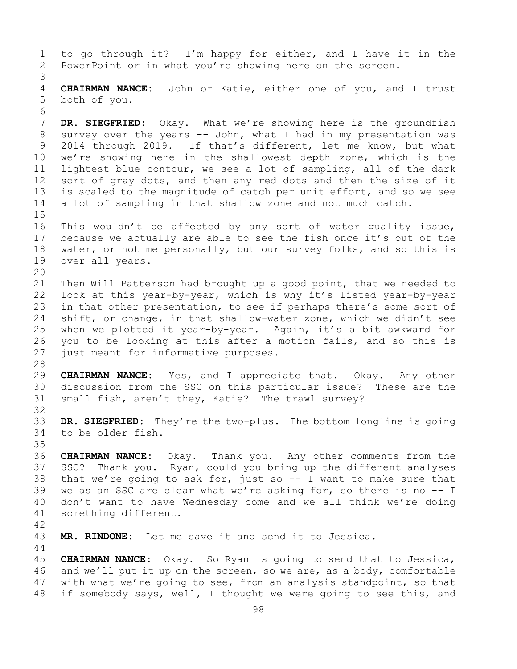1 to go through it? I'm happy for either, and I have it in the<br>2 PowerPoint or in what you're showing here on the screen. PowerPoint or in what you're showing here on the screen. 3 4 **CHAIRMAN NANCE:** John or Katie, either one of you, and I trust 5 both of you. 6<br>7 7 **DR. SIEGFRIED:** Okay. What we're showing here is the groundfish<br>8 survey over the years -- John, what I had in my presentation was 8 survey over the years -- John, what I had in my presentation was<br>9 2014 through 2019. If that's different, let me know, but what 9 2014 through 2019. If that's different, let me know, but what<br>10 we're showing here in the shallowest depth zone, which is the 10 we're showing here in the shallowest depth zone, which is the<br>11 lightest blue contour, we see a lot of sampling, all of the dark 11 lightest blue contour, we see a lot of sampling, all of the dark<br>12 sort of gray dots, and then any red dots and then the size of it 12 sort of gray dots, and then any red dots and then the size of it<br>13 is scaled to the magnitude of catch per unit effort, and so we see is scaled to the magnitude of catch per unit effort, and so we see 14 a lot of sampling in that shallow zone and not much catch.  $15$ <br> $16$ 16 This wouldn't be affected by any sort of water quality issue,<br>17 because we actually are able to see the fish once it's out of the 17 because we actually are able to see the fish once it's out of the<br>18 water, or not me personally, but our survey folks, and so this is 18 water, or not me personally, but our survey folks, and so this is 19 over all vears. over all years. 20<br>21 21 Then Will Patterson had brought up a good point, that we needed to<br>22 Iook at this year-by-year, which is why it's listed year-by-year 22 look at this year-by-year, which is why it's listed year-by-year<br>23 in that other presentation, to see if perhaps there's some sort of 23 in that other presentation, to see if perhaps there's some sort of<br>24 shift, or change, in that shallow-water zone, which we didn't see 24 shift, or change, in that shallow-water zone, which we didn't see<br>25 when we plotted it year-by-year. Again, it's a bit awkward for 25 when we plotted it year-by-year. Again, it's a bit awkward for<br>26 you to be looking at this after a motion fails, and so this is 26 you to be looking at this after a motion fails, and so this is<br>27 just meant for informative purposes. just meant for informative purposes. 28<br>29 29 **CHAIRMAN NANCE:** Yes, and I appreciate that. Okay. Any other 30 discussion from the SSC on this particular issue? These are the<br>31 small fish, aren't they, Katie? The trawl survey? small fish, aren't they, Katie? The trawl survey? 32<br>33 33 **DR. SIEGFRIED:** They're the two-plus. The bottom longline is going to be older fish. 35<br>36 36 **CHAIRMAN NANCE:** Okay. Thank you. Any other comments from the 37 SSC? Thank you. Ryan, could you bring up the different analyses 38 that we're going to ask for, just so  $-$  I want to make sure that<br>39 we as an SSC are clear what we're asking for, so there is no  $-$  I 39 we as an SSC are clear what we're asking for, so there is no -- I<br>40 don't want to have Wednesday come and we all think we're doing 40 don't want to have Wednesday come and we all think we're doing<br>41 something different. something different. 42 MR. RINDONE: Let me save it and send it to Jessica. 44 45 **CHAIRMAN NANCE:** Okay. So Ryan is going to send that to Jessica, 46 and we'll put it up on the screen, so we are, as a body, comfortable<br>47 with what we're going to see, from an analysis standpoint, so that 47 with what we're going to see, from an analysis standpoint, so that<br>48 if somebody says, well, I thought we were going to see this, and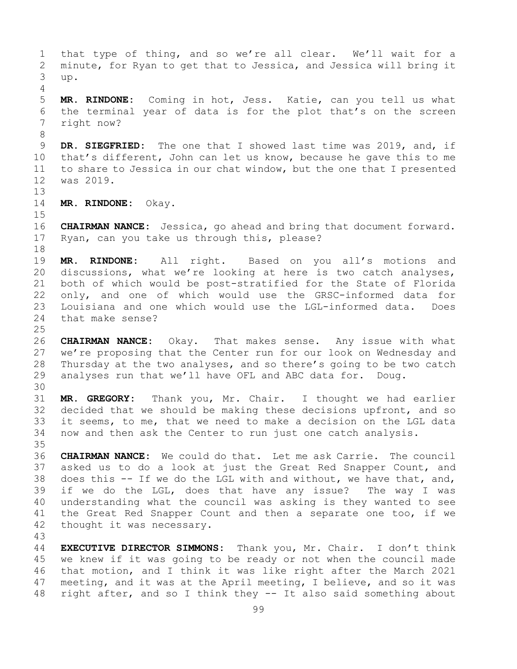1 that type of thing, and so we're all clear. We'll wait for a<br>2 minute, for Ryan to get that to Jessica, and Jessica will bring it 2 minute, for Ryan to get that to Jessica, and Jessica will bring it<br>3 up. 3 up. 4 5 **MR. RINDONE:** Coming in hot, Jess. Katie, can you tell us what 6 the terminal year of data is for the plot that's on the screen<br>7 right now? 7 right now? 8<br>9 9 **DR. SIEGFRIED:** The one that I showed last time was 2019, and, if 10 that's different, John can let us know, because he gave this to me 10 that's different, John can let us know, because he gave this to me<br>11 to share to Jessica in our chat window, but the one that I presented 11 to share to Jessica in our chat window, but the one that I presented<br>12 was 2019. was 2019. 13 14 **MR. RINDONE:** Okay.  $15$ <br> $16$ 16 **CHAIRMAN NANCE:** Jessica, go ahead and bring that document forward.<br>17 Ryan, can you take us through this, please? Ryan, can you take us through this, please? 18<br>19 19 **MR. RINDONE:** All right. Based on you all's motions and<br>20 discussions, what we're looking at here is two catch analyses, discussions, what we're looking at here is two catch analyses, 21 both of which would be post-stratified for the State of Florida<br>22 only, and one of which would use the GRSC-informed data for 22 only, and one of which would use the GRSC-informed data for<br>23 Iouisiana and one which would use the LGL-informed data. Does 23 Louisiana and one which would use the LGL-informed data.<br>24 that make sense? that make sense?  $\frac{25}{26}$ 26 **CHAIRMAN NANCE:** Okay. That makes sense. Any issue with what we're proposing that the Center run for our look on Wednesday and 28 Thursday at the two analyses, and so there's going to be two catch<br>29 analyses run that we'll have OFL and ABC data for. Doug. analyses run that we'll have OFL and ABC data for. Doug. 30<br>31 31 **MR. GREGORY:** Thank you, Mr. Chair. I thought we had earlier decided that we should be making these decisions upfront, and so 33 it seems, to me, that we need to make a decision on the LGL data<br>34 now and then ask the Center to run just one catch analysis. now and then ask the Center to run just one catch analysis. 35<br>36 CHAIRMAN NANCE: We could do that. Let me ask Carrie. The council 37 asked us to do a look at just the Great Red Snapper Count, and 38 does this -- If we do the LGL with and without, we have that, and,<br>39 if we do the LGL, does that have any issue? The way I was 39 if we do the LGL, does that have any issue? The way I was<br>40 understanding what the council was asking is they wanted to see 40 understanding what the council was asking is they wanted to see<br>41 the Great Red Snapper Count and then a separate one too, if we 41 the Great Red Snapper Count and then a separate one too, if we 42 thought it was necessary. thought it was necessary. 43 44 **EXECUTIVE DIRECTOR SIMMONS:** Thank you, Mr. Chair. I don't think 45 we knew if it was going to be ready or not when the council made 46 that motion, and I think it was like right after the March 2021<br>47 meeting, and it was at the April meeting, I believe, and so it was 47 meeting, and it was at the April meeting, I believe, and so it was<br>48 right after, and so I think they -- It also said something about right after, and so I think they -- It also said something about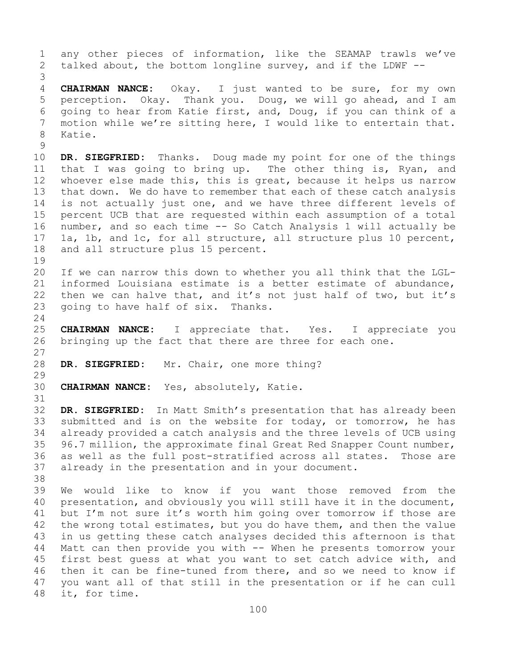1 any other pieces of information, like the SEAMAP trawls we've<br>2 talked about, the bottom longline survey, and if the LDWF -talked about, the bottom longline survey, and if the LDWF  $-$ -3 4 **CHAIRMAN NANCE:** Okay. I just wanted to be sure, for my own 5 perception. Okay. Thank you. Doug, we will go ahead, and I am 6 going to hear from Katie first, and, Doug, if you can think of a<br>7 motion while we're sitting here, I would like to entertain that. 7 motion while we're sitting here, I would like to entertain that.<br>8 Katie. Katie.  $\begin{array}{c} 9 \\ 10 \end{array}$ 10 **DR. SIEGFRIED:** Thanks. Doug made my point for one of the things<br>11 that I was going to bring up. The other thing is, Ryan, and 11 that I was going to bring up. The other thing is, Ryan, and<br>12 whoever else made this, this is great, because it helps us narrow whoever else made this, this is great, because it helps us narrow 13 that down. We do have to remember that each of these catch analysis 14 is not actually just one, and we have three different levels of<br>15 percent UCB that are requested within each assumption of a total 15 percent UCB that are requested within each assumption of a total<br>16 number, and so each time -- So Catch Analysis 1 will actually be 16 number, and so each time -- So Catch Analysis 1 will actually be<br>17 1a, 1b, and 1c, for all structure, all structure plus 10 percent, 17 1a, 1b, and 1c, for all structure, all structure plus 10 percent,<br>18 and all structure plus 15 percent. and all structure plus 15 percent.  $\begin{array}{c} 19 \\ 20 \end{array}$ 20 If we can narrow this down to whether you all think that the LGL-<br>21 informed Louisiana estimate is a better estimate of abundance, 21 informed Louisiana estimate is a better estimate of abundance,<br>22 then we can halve that, and it's not just half of two, but it's 22 then we can halve that, and it's not just half of two, but it's  $23$  going to have half of six. Thanks. going to have half of six. Thanks.  $\frac{24}{25}$ 25 **CHAIRMAN NANCE:** I appreciate that. Yes. I appreciate you<br>26 bringing up the fact that there are three for each one. bringing up the fact that there are three for each one.  $\frac{27}{28}$ DR. SIEGFRIED: Mr. Chair, one more thing? 29<br>30 CHAIRMAN NANCE: Yes, absolutely, Katie. 31<br>32 DR. SIEGFRIED: In Matt Smith's presentation that has already been 33 submitted and is on the website for today, or tomorrow, he has<br>34 already provided a catch analysis and the three levels of UCB using 34 already provided a catch analysis and the three levels of UCB using<br>35 96.7 million, the approximate final Great Red Snapper Count number, 35 96.7 million, the approximate final Great Red Snapper Count number,<br>36 as well as the full post-stratified across all states. Those are as well as the full post-stratified across all states. 37 already in the presentation and in your document. 38<br>39 39 We would like to know if you want those removed from the<br>40 presentation, and obviously you will still have it in the document, 40 presentation, and obviously you will still have it in the document,<br>41 but I'm not sure it's worth him going over tomorrow if those are 41 but I'm not sure it's worth him going over tomorrow if those are<br>42 the wrong total estimates, but you do have them, and then the value 42 the wrong total estimates, but you do have them, and then the value<br>43 in us getting these catch analyses decided this afternoon is that 43 in us getting these catch analyses decided this afternoon is that<br>44 Matt can then provide you with -- When he presents tomorrow your Matt can then provide you with -- When he presents tomorrow your 45 first best guess at what you want to set catch advice with, and 46 then it can be fine-tuned from there, and so we need to know if<br>47 you want all of that still in the presentation or if he can cull 47 you want all of that still in the presentation or if he can cull 48 it, for time. it, for time.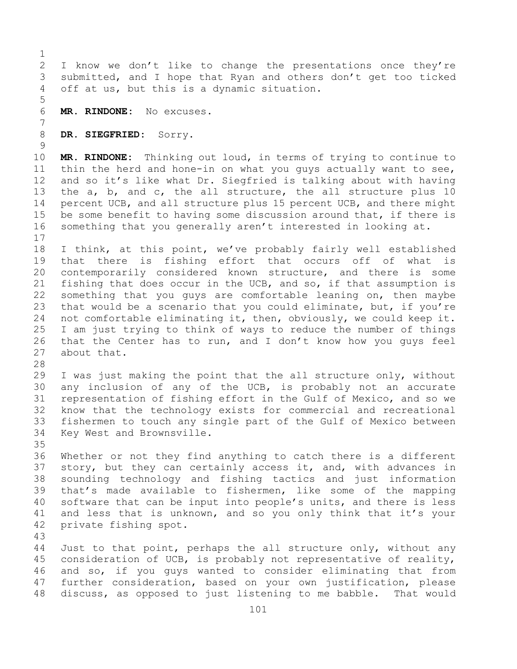$\frac{1}{2}$ 2 I know we don't like to change the presentations once they're<br>3 submitted, and I hope that Ryan and others don't get too ticked 3 submitted, and I hope that Ryan and others don't get too ticked<br>4 off at us, but this is a dynamic situation. off at us, but this is a dynamic situation. 5 6 **MR. RINDONE:** No excuses. 7 8 **DR. SIEGFRIED:** Sorry.  $\frac{9}{10}$ 10 **MR. RINDONE:** Thinking out loud, in terms of trying to continue to<br>11 thin the herd and hone-in on what you guys actually want to see. 11 thin the herd and hone-in on what you guys actually want to see,<br>12 and so it's like what Dr. Siegfried is talking about with having and so it's like what Dr. Siegfried is talking about with having 13 the a, b, and c, the all structure, the all structure plus 10 14 percent UCB, and all structure plus 15 percent UCB, and there might<br>15 be some benefit to having some discussion around that, if there is 15 be some benefit to having some discussion around that, if there is<br>16 something that you generally aren't interested in looking at. something that you generally aren't interested in looking at.  $17$ <br> $18$ 18 I think, at this point, we've probably fairly well established<br>19 that there is fishing effort that occurs off of what is 19 that there is fishing effort that occurs off of what is<br>20 contemporarily considered known structure, and there is some 20 contemporarily considered known structure, and there is some<br>21 fishing that does occur in the UCB, and so, if that assumption is 21 fishing that does occur in the UCB, and so, if that assumption is<br>22 something that you quys are comfortable leaning on, then maybe 22 something that you guys are comfortable leaning on, then maybe<br>23 that would be a scenario that you could eliminate, but, if you're 23 that would be a scenario that you could eliminate, but, if you're<br>24 not comfortable eliminating it, then, obviously, we could keep it. 24 not comfortable eliminating it, then, obviously, we could keep it.<br>25 I am just trying to think of ways to reduce the number of things 25 I am just trying to think of ways to reduce the number of things<br>26 that the Center has to run, and I don't know how you guys feel 26 that the Center has to run, and I don't know how you guys feel<br>27 about that. about that. 28<br>29 29 I was just making the point that the all structure only, without<br>30 any inclusion of any of the UCB, is probably not an accurate 30 any inclusion of any of the UCB, is probably not an accurate<br>31 representation of fishing effort in the Gulf of Mexico, and so we 31 representation of fishing effort in the Gulf of Mexico, and so we<br>32 know that the technology exists for commercial and recreational know that the technology exists for commercial and recreational 33 fishermen to touch any single part of the Gulf of Mexico between<br>34 Key West and Brownsville. Key West and Brownsville. 35<br>36 Whether or not they find anything to catch there is a different 37 story, but they can certainly access it, and, with advances in 38 sounding technology and fishing tactics and just information<br>39 that's made available to fishermen, like some of the mapping 39 that's made available to fishermen, like some of the mapping<br>40 software that can be input into people's units, and there is less 40 software that can be input into people's units, and there is less<br>41 and less that is unknown, and so you only think that it's your 41 and less that is unknown, and so you only think that it's your<br>42 private fishing spot. private fishing spot. 43 Just to that point, perhaps the all structure only, without any 45 consideration of UCB, is probably not representative of reality, 46 and so, if you guys wanted to consider eliminating that from<br>47 further consideration, based on your own justification, please 47 further consideration, based on your own justification, please<br>48 discuss, as opposed to just listening to me babble. That would discuss, as opposed to just listening to me babble.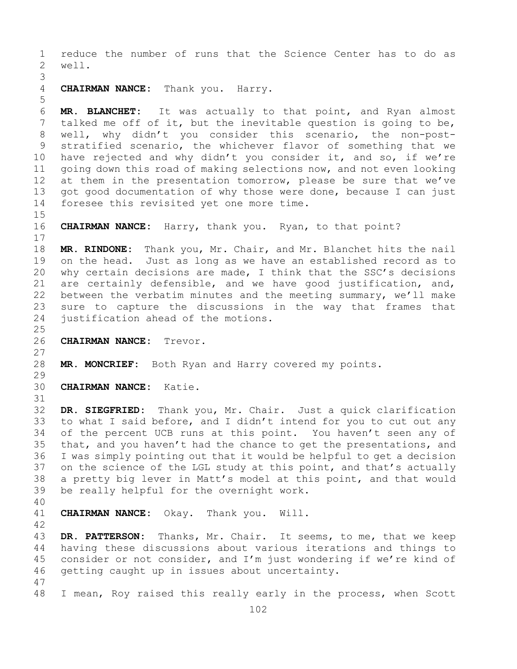1 reduce the number of runs that the Science Center has to do as<br>2 well. well. 3 CHAIRMAN NANCE: Thank you. Harry. 5 6 **MR. BLANCHET:** It was actually to that point, and Ryan almost 7 talked me off of it, but the inevitable question is going to be,<br>8 well, why didn't you consider this scenario, the non-post-8 well, why didn't you consider this scenario, the non-post-<br>9 stratified scenario, the whichever flavor of something that we 9 stratified scenario, the whichever flavor of something that we<br>10 have rejected and why didn't you consider it, and so, if we're 10 have rejected and why didn't you consider it, and so, if we're<br>11 qoing down this road of making selections now, and not even looking 11 going down this road of making selections now, and not even looking<br>12 at them in the presentation tomorrow, please be sure that we've at them in the presentation tomorrow, please be sure that we've 13 got good documentation of why those were done, because I can just 14 foresee this revisited yet one more time.  $15$ <br> $16$ CHAIRMAN NANCE: Harry, thank you. Ryan, to that point?  $\begin{array}{c} 17 \\ 18 \end{array}$ 18 **MR. RINDONE:** Thank you, Mr. Chair, and Mr. Blanchet hits the nail 19 on the head. Just as long as we have an established record as to<br>20 why certain decisions are made, I think that the SSC's decisions why certain decisions are made, I think that the SSC's decisions 21 are certainly defensible, and we have good justification, and,<br>22 between the verbatim minutes and the meeting summary, we'll make 22 between the verbatim minutes and the meeting summary, we'll make<br>23 sure to capture the discussions in the way that frames that 23 sure to capture the discussions in the way that frames that<br>24 iustification ahead of the motions. justification ahead of the motions.  $\frac{25}{26}$ 26 **CHAIRMAN NANCE:** Trevor.  $\frac{27}{28}$ MR. MONCRIEF: Both Ryan and Harry covered my points. 29<br>30 30 **CHAIRMAN NANCE:** Katie. 31<br>32 DR. SIEGFRIED: Thank you, Mr. Chair. Just a quick clarification

33 to what I said before, and I didn't intend for you to cut out any<br>34 of the percent UCB runs at this point. You haven't seen any of 34 of the percent UCB runs at this point. You haven't seen any of<br>35 that, and you haven't had the chance to get the presentations, and 35 that, and you haven't had the chance to get the presentations, and<br>36 I was simply pointing out that it would be helpful to get a decision 36 I was simply pointing out that it would be helpful to get a decision<br>37 on the science of the LGL study at this point, and that's actually on the science of the LGL study at this point, and that's actually 38 a pretty big lever in Matt's model at this point, and that would<br>39 be really helpful for the overnight work. be really helpful for the overnight work.

40

**CHAIRMAN NANCE:** Okay. Thank you. Will.

42 43 **DR. PATTERSON:** Thanks, Mr. Chair. It seems, to me, that we keep<br>44 having these discussions about various iterations and things to having these discussions about various iterations and things to 45 consider or not consider, and I'm just wondering if we're kind of 46 getting caught up in issues about uncertainty.

47 I mean, Roy raised this really early in the process, when Scott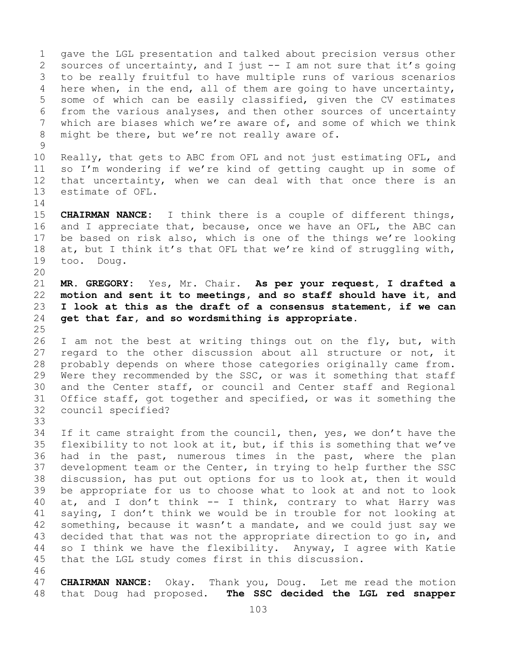1 gave the LGL presentation and talked about precision versus other<br>2 sources of uncertainty, and I just -- I am not sure that it's going 2 sources of uncertainty, and I just -- I am not sure that it's going<br>3 to be really fruitful to have multiple runs of various scenarios 3 to be really fruitful to have multiple runs of various scenarios<br>4 here when, in the end, all of them are going to have uncertainty, here when, in the end, all of them are going to have uncertainty, 5 some of which can be easily classified, given the CV estimates 6 from the various analyses, and then other sources of uncertainty<br>7 which are biases which we're aware of, and some of which we think 7 which are biases which we're aware of, and some of which we think<br>8 might be there, but we're not really aware of. might be there, but we're not really aware of.

 $\begin{array}{c} 9 \\ 10 \end{array}$ 10 Really, that gets to ABC from OFL and not just estimating OFL, and<br>11 so I'm wondering if we're kind of getting caught up in some of 11 so I'm wondering if we're kind of getting caught up in some of<br>12 that uncertainty, when we can deal with that once there is an 12 that uncertainty, when we can deal with that once there is an<br>13 estimate of OFL. estimate of OFL.

 $\frac{14}{15}$ 

15 **CHAIRMAN NANCE:** I think there is a couple of different things,<br>16 and I appreciate that, because, once we have an OFL, the ABC can 16 and I appreciate that, because, once we have an OFL, the ABC can<br>17 be based on risk also, which is one of the things we're looking 17 be based on risk also, which is one of the things we're looking<br>18 at, but I think it's that OFL that we're kind of struggling with, 18 at, but I think it's that OFL that we're kind of struggling with,<br>19 too. Doug. too. Doug.

20<br>21 21 **MR. GREGORY:** Yes, Mr. Chair. **As per your request, I drafted a**  22 **motion and sent it to meetings, and so staff should have it, and**  23 **I look at this as the draft of a consensus statement, if we can**  get that far, and so wordsmithing is appropriate.

 $\frac{25}{26}$ 26 I am not the best at writing things out on the fly, but, with<br>27 regard to the other discussion about all structure or not, it regard to the other discussion about all structure or not, it 28 probably depends on where those categories originally came from.<br>29 Were they recommended by the SSC, or was it something that staff 29 Were they recommended by the SSC, or was it something that staff<br>30 and the Center staff, or council and Center staff and Regional 30 and the Center staff, or council and Center staff and Regional<br>31 Office staff, got together and specified, or was it something the 31 Office staff, got together and specified, or was it something the 32 council specified? council specified?

33<br>34

34 If it came straight from the council, then, yes, we don't have the<br>35 flexibility to not look at it, but, if this is something that we've 35 flexibility to not look at it, but, if this is something that we've<br>36 had in the past, numerous times in the past, where the plan 36 had in the past, numerous times in the past, where the plan<br>37 development team or the Center, in trying to help further the SSC development team or the Center, in trying to help further the SSC 38 discussion, has put out options for us to look at, then it would<br>39 be appropriate for us to choose what to look at and not to look 39 be appropriate for us to choose what to look at and not to look<br>40 at, and I don't think -- I think, contrary to what Harry was 40 at, and I don't think  $--$  I think, contrary to what Harry was<br>41 saying, I don't think we would be in trouble for not looking at 41 saying, I don't think we would be in trouble for not looking at<br>42 something, because it wasn't a mandate, and we could just say we 42 something, because it wasn't a mandate, and we could just say we<br>43 decided that that was not the appropriate direction to go in, and 43 decided that that was not the appropriate direction to go in, and<br>44 so I think we have the flexibility. Anyway, I agree with Katie so I think we have the flexibility. Anyway, I agree with Katie 45 that the LGL study comes first in this discussion.

46<br>47 47 **CHAIRMAN NANCE:** Okay. Thank you, Doug. Let me read the motion<br>48 that Doug had proposed. The SSC decided the LGL red snapper 48 that Doug had proposed. **The SSC decided the LGL red snapper**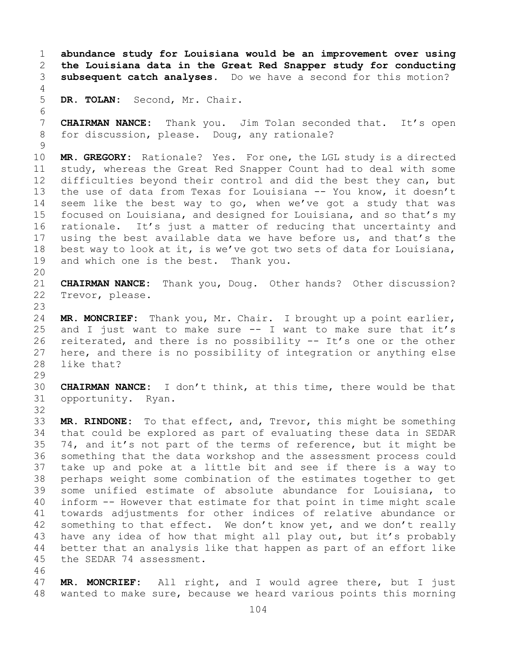1 **abundance study for Louisiana would be an improvement over using**  2 **the Louisiana data in the Great Red Snapper study for conducting**  subsequent catch analyses. Do we have a second for this motion? 4 5 **DR. TOLAN:** Second, Mr. Chair. 6<br>7 7 **CHAIRMAN NANCE:** Thank you. Jim Tolan seconded that. It's open<br>8 for discussion, please. Doug, any rationale? for discussion, please. Doug, any rationale?  $\begin{array}{c} 9 \\ 10 \end{array}$ 10 **MR. GREGORY:** Rationale? Yes. For one, the LGL study is a directed<br>11 study, whereas the Great Red Snapper Count had to deal with some 11 study, whereas the Great Red Snapper Count had to deal with some<br>12 difficulties bevond their control and did the best they can, but difficulties beyond their control and did the best they can, but 13 the use of data from Texas for Louisiana -- You know, it doesn't 14 seem like the best way to go, when we've got a study that was<br>15 focused on Louisiana, and designed for Louisiana, and so that's my 15 focused on Louisiana, and designed for Louisiana, and so that's my<br>16 rationale. It's just a matter of reducing that uncertainty and 16 rationale. It's just a matter of reducing that uncertainty and<br>17 using the best available data we have before us, and that's the 17 using the best available data we have before us, and that's the<br>18 best way to look at it, is we've got two sets of data for Louisiana, 18 best way to look at it, is we've got two sets of data for Louisiana,<br>19 and which one is the best. Thank you. and which one is the best. Thank you. 20<br>21 21 **CHAIRMAN NANCE:** Thank you, Doug. Other hands? Other discussion?<br>22 Trevor, please. Trevor, please. 23 24 **MR. MONCRIEF:** Thank you, Mr. Chair. I brought up a point earlier, 25 and I just want to make sure  $-$  I want to make sure that it's<br>26 reiterated, and there is no possibility  $-$  It's one or the other 26 reiterated, and there is no possibility -- It's one or the other<br>27 here, and there is no possibility of integration or anything else here, and there is no possibility of integration or anything else 28 like that? 29<br>30 30 **CHAIRMAN NANCE:** I don't think, at this time, there would be that<br>31 opportunity. Ryan. opportunity. Ryan. 32 33 **MR. RINDONE:** To that effect, and, Trevor, this might be something 34 that could be explored as part of evaluating these data in SEDAR<br>35 74, and it's not part of the terms of reference, but it might be 35 74, and it's not part of the terms of reference, but it might be<br>36 something that the data workshop and the assessment process could something that the data workshop and the assessment process could 37 take up and poke at a little bit and see if there is a way to 38 perhaps weight some combination of the estimates together to get<br>39 some unified estimate of absolute abundance for Louisiana, to 39 some unified estimate of absolute abundance for Louisiana, to<br>40 inform -- However that estimate for that point in time might scale 40 inform -- However that estimate for that point in time might scale<br>41 towards adjustments for other indices of relative abundance or 41 towards adjustments for other indices of relative abundance or<br>42 something to that effect. We don't know yet, and we don't really 42 something to that effect. We don't know yet, and we don't really<br>43 have any idea of how that might all play out, but it's probably 43 have any idea of how that might all play out, but it's probably<br>44 better that an analysis like that happen as part of an effort like better that an analysis like that happen as part of an effort like 45 the SEDAR 74 assessment. 46<br>47

47 **MR. MONCRIEF:** All right, and I would agree there, but I just wanted to make sure, because we heard various points this morning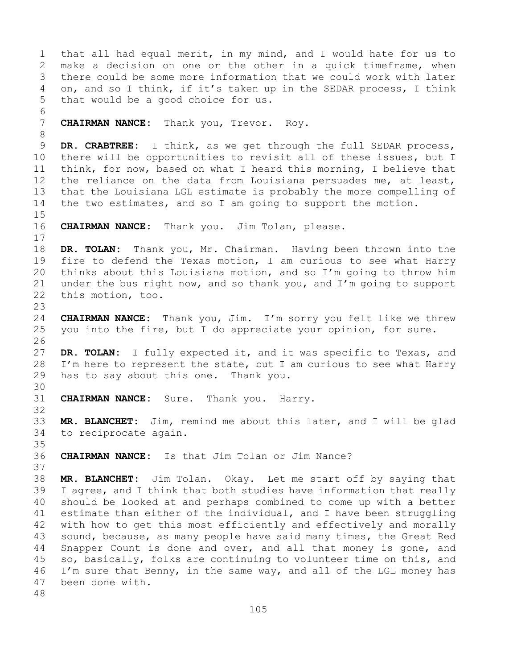1 that all had equal merit, in my mind, and I would hate for us to<br>2 make a decision on one or the other in a quick timeframe, when 2 make a decision on one or the other in a quick timeframe, when<br>3 there could be some more information that we could work with later 3 there could be some more information that we could work with later<br>4 on, and so I think, if it's taken up in the SEDAR process, I think on, and so I think, if it's taken up in the SEDAR process, I think 5 that would be a good choice for us. 6<br>7 CHAIRMAN NANCE: Thank you, Trevor. Roy. 8<br>9 9 **DR. CRABTREE:** I think, as we get through the full SEDAR process,<br>10 there will be opportunities to revisit all of these issues, but I 10 there will be opportunities to revisit all of these issues, but I<br>11 think, for now, based on what I heard this morning, I believe that 11 think, for now, based on what I heard this morning, I believe that<br>12 the reliance on the data from Louisiana persuades me, at least, the reliance on the data from Louisiana persuades me, at least, 13 that the Louisiana LGL estimate is probably the more compelling of 14 the two estimates, and so I am going to support the motion.  $15$ <br> $16$ CHAIRMAN NANCE: Thank you. Jim Tolan, please.  $\begin{array}{c} 17 \\ 18 \end{array}$ 18 **DR. TOLAN:** Thank you, Mr. Chairman. Having been thrown into the<br>19 fire to defend the Texas motion, I am curious to see what Harry 19 fire to defend the Texas motion, I am curious to see what Harry<br>20 thinks about this Louisiana motion, and so I'm going to throw him thinks about this Louisiana motion, and so I'm going to throw him 21 under the bus right now, and so thank you, and  $I'm$  going to support  $22$  this motion, too. this motion, too. 23 24 **CHAIRMAN NANCE:** Thank you, Jim. I'm sorry you felt like we threw<br>25 you into the fire, but I do appreciate your opinion, for sure. you into the fire, but I do appreciate your opinion, for sure. 26<br>27 DR. TOLAN: I fully expected it, and it was specific to Texas, and 28 I'm here to represent the state, but I am curious to see what Harry<br>29 has to say about this one. Thank you. has to say about this one. Thank you. 30<br>31 CHAIRMAN NANCE: Sure. Thank you. Harry. 32 33 **MR. BLANCHET:** Jim, remind me about this later, and I will be glad to reciprocate again. 35<br>36 CHAIRMAN NANCE: Is that Jim Tolan or Jim Nance? 37 38 **MR. BLANCHET:** Jim Tolan. Okay. Let me start off by saying that 39 I agree, and I think that both studies have information that really<br>40 should be looked at and perhaps combined to come up with a better 40 should be looked at and perhaps combined to come up with a better<br>41 estimate than either of the individual, and I have been struggling 41 estimate than either of the individual, and I have been struggling<br>42 with how to get this most efficiently and effectively and morally 42 with how to get this most efficiently and effectively and morally<br>43 sound, because, as many people have said many times, the Great Red 43 sound, because, as many people have said many times, the Great Red<br>44 Snapper Count is done and over, and all that money is gone, and Snapper Count is done and over, and all that money is gone, and 45 so, basically, folks are continuing to volunteer time on this, and 46 I'm sure that Benny, in the same way, and all of the LGL money has 47 been done with. been done with. 48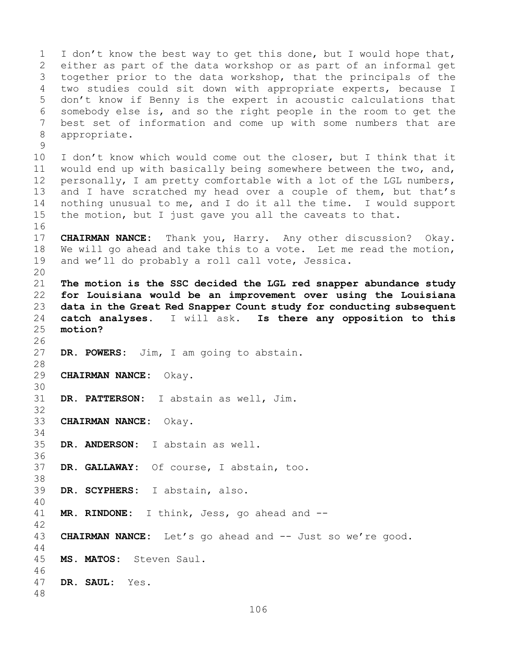1 I don't know the best way to get this done, but I would hope that,<br>2 either as part of the data workshop or as part of an informal get 2 either as part of the data workshop or as part of an informal get<br>3 together prior to the data workshop, that the principals of the 3 together prior to the data workshop, that the principals of the<br>4 two studies could sit down with appropriate experts, because I two studies could sit down with appropriate experts, because I 5 don't know if Benny is the expert in acoustic calculations that 6 somebody else is, and so the right people in the room to get the<br>7 best set of information and come up with some numbers that are 7 best set of information and come up with some numbers that are<br>8 appropriate. appropriate.  $\begin{array}{c} 9 \\ 10 \end{array}$ 10 I don't know which would come out the closer, but I think that it<br>11 would end up with basically being somewhere between the two, and, 11 would end up with basically being somewhere between the two, and,<br>12 personally, I am pretty comfortable with a lot of the LGL numbers, personally, I am pretty comfortable with a lot of the LGL numbers, 13 and I have scratched my head over a couple of them, but that's 14 nothing unusual to me, and I do it all the time. I would support<br>15 the motion, but I just gave vou all the caveats to that. the motion, but I just gave you all the caveats to that. 16<br>17 17 **CHAIRMAN NANCE:** Thank you, Harry. Any other discussion? Okay. 18 We will go ahead and take this to a vote. Let me read the motion,<br>19 and we'll do probably a roll call vote, Jessica. and we'll do probably a roll call vote, Jessica. 20<br>21 21 **The motion is the SSC decided the LGL red snapper abundance study**  22 **for Louisiana would be an improvement over using the Louisiana**  23 **data in the Great Red Snapper Count study for conducting subsequent**  24 **catch analyses.** I will ask. **Is there any opposition to this**  motion? 26<br>27 DR. POWERS: Jim, I am going to abstain. 28<br>29 29 **CHAIRMAN NANCE:** Okay. 30<br>31 DR. PATTERSON: I abstain as well, Jim. 32 33 **CHAIRMAN NANCE:** Okay. 34<br>35 DR. ANDERSON: I abstain as well. 36 37 **DR. GALLAWAY:** Of course, I abstain, too. 38<br>39 DR. SCYPHERS: I abstain, also. 40 MR. RINDONE: I think, Jess, go ahead and --42 43 **CHAIRMAN NANCE:** Let's go ahead and -- Just so we're good. 44 45 **MS. MATOS:** Steven Saul. 46<br>47 DR. SAUL: Yes. 48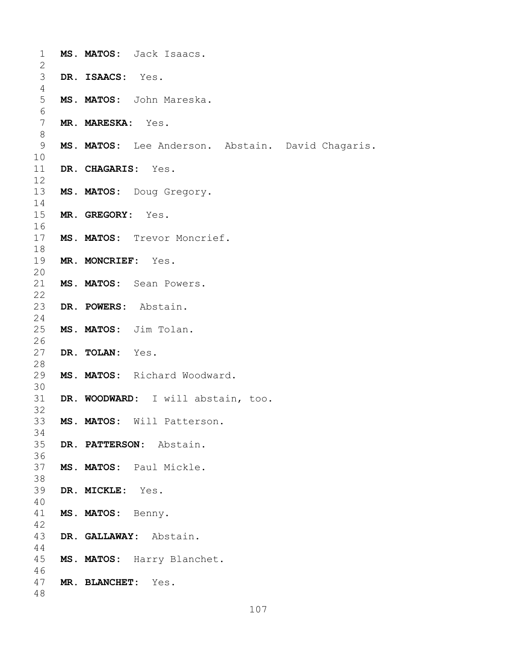| $\mathbf 1$    |                    | MS. MATOS: Jack Isaacs.                           |
|----------------|--------------------|---------------------------------------------------|
| 2<br>3         | DR. ISAACS: Yes.   |                                                   |
| 4              |                    |                                                   |
| 5              |                    | MS. MATOS: John Mareska.                          |
| 6              |                    |                                                   |
| $7\phantom{.}$ | MR. MARESKA: Yes.  |                                                   |
| 8              |                    |                                                   |
| 9              |                    | MS. MATOS: Lee Anderson. Abstain. David Chagaris. |
| 10             |                    |                                                   |
| 11             | DR. CHAGARIS: Yes. |                                                   |
| 12<br>13       |                    |                                                   |
| 14             |                    | MS. MATOS: Doug Gregory.                          |
| 15             | MR. GREGORY: Yes.  |                                                   |
| 16             |                    |                                                   |
| 17             |                    | MS. MATOS: Trevor Moncrief.                       |
| 18             |                    |                                                   |
| 19             | MR. MONCRIEF: Yes. |                                                   |
| 20             |                    |                                                   |
| 21             |                    | MS. MATOS: Sean Powers.                           |
| 22             |                    |                                                   |
| 23<br>24       |                    | DR. POWERS: Abstain.                              |
| 25             |                    | MS. MATOS: Jim Tolan.                             |
| 26             |                    |                                                   |
| 27             | DR. TOLAN: Yes.    |                                                   |
| 28             |                    |                                                   |
| 29             |                    | MS. MATOS: Richard Woodward.                      |
| 30             |                    |                                                   |
| 31             |                    | DR. WOODWARD: I will abstain, too.                |
| 32<br>33       |                    | MS. MATOS: Will Patterson.                        |
| 34             |                    |                                                   |
| 35             |                    | DR. PATTERSON: Abstain.                           |
| 36             |                    |                                                   |
| 37             |                    | MS. MATOS: Paul Mickle.                           |
| 38             |                    |                                                   |
| 39             | DR. MICKLE: Yes.   |                                                   |
| 40<br>41       | MS. MATOS: Benny.  |                                                   |
| 42             |                    |                                                   |
| 43             |                    | DR. GALLAWAY: Abstain.                            |
| 44             |                    |                                                   |
| 45             |                    | MS. MATOS: Harry Blanchet.                        |
| 46             |                    |                                                   |
| 47             | MR. BLANCHET:      | Yes.                                              |
| 48             |                    |                                                   |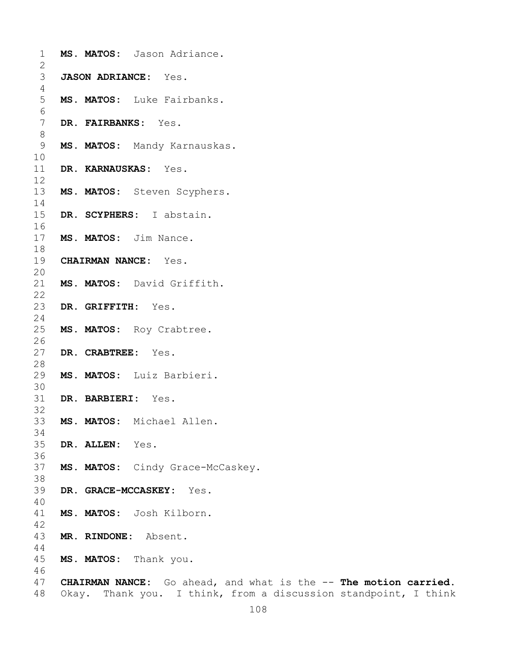| $\mathbf 1$     |                    | MS. MATOS: Jason Adriance.                                       |
|-----------------|--------------------|------------------------------------------------------------------|
| $\overline{2}$  |                    |                                                                  |
| 3               |                    | JASON ADRIANCE: Yes.                                             |
| 4<br>5          |                    | MS. MATOS: Luke Fairbanks.                                       |
| $\epsilon$      |                    |                                                                  |
| $7\phantom{.0}$ |                    | DR. FAIRBANKS: Yes.                                              |
| $\,8\,$         |                    |                                                                  |
| 9               |                    | MS. MATOS: Mandy Karnauskas.                                     |
| 10              |                    |                                                                  |
| 11              |                    | DR. KARNAUSKAS: Yes.                                             |
| 12              |                    |                                                                  |
| 13              |                    | MS. MATOS: Steven Scyphers.                                      |
| 14              |                    |                                                                  |
| 15              |                    | DR. SCYPHERS: I abstain.                                         |
| 16              |                    |                                                                  |
| 17              |                    | MS. MATOS: Jim Nance.                                            |
| 18              |                    |                                                                  |
| 19              |                    | <b>CHAIRMAN NANCE:</b> Yes.                                      |
| 20              |                    |                                                                  |
| 21              |                    | MS. MATOS: David Griffith.                                       |
| 22              |                    |                                                                  |
| 23              | DR. GRIFFITH: Yes. |                                                                  |
| 24              |                    |                                                                  |
| 25              |                    | MS. MATOS: Roy Crabtree.                                         |
| 26              |                    |                                                                  |
| 27              | DR. CRABTREE: Yes. |                                                                  |
| 28              |                    |                                                                  |
| 29<br>30        |                    | MS. MATOS: Luiz Barbieri.                                        |
| 31              | DR. BARBIERI: Yes. |                                                                  |
| 32              |                    |                                                                  |
| 33              |                    | MS. MATOS: Michael Allen.                                        |
| 34              |                    |                                                                  |
| 35              | DR. ALLEN: Yes.    |                                                                  |
| 36              |                    |                                                                  |
| 37              |                    | MS. MATOS: Cindy Grace-McCaskey.                                 |
| 38              |                    |                                                                  |
| 39              |                    | DR. GRACE-MCCASKEY: Yes.                                         |
| 40              |                    |                                                                  |
| 41              |                    | MS. MATOS: Josh Kilborn.                                         |
| 42              |                    |                                                                  |
| 43              | MR. RINDONE:       | Absent.                                                          |
| 44              |                    |                                                                  |
| 45<br>46        |                    | MS. MATOS: Thank you.                                            |
| 47              |                    | CHAIRMAN NANCE: Go ahead, and what is the -- The motion carried. |
| 48              |                    | Okay. Thank you. I think, from a discussion standpoint, I think  |
|                 |                    |                                                                  |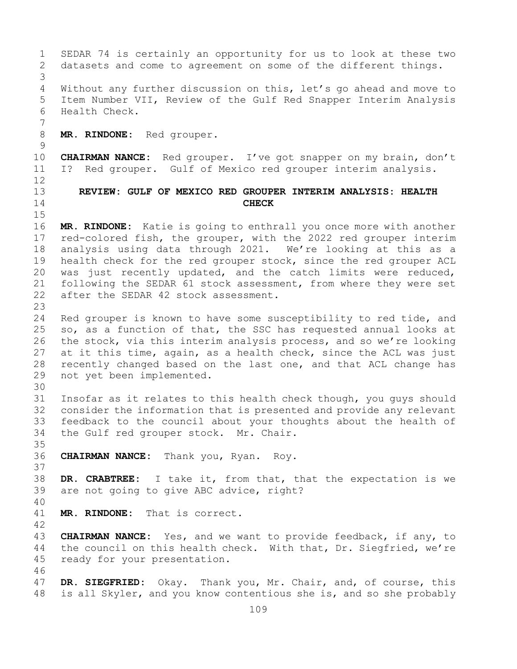1 SEDAR 74 is certainly an opportunity for us to look at these two<br>2 datasets and come to agreement on some of the different things. datasets and come to agreement on some of the different things. 3 Without any further discussion on this, let's go ahead and move to 5 Item Number VII, Review of the Gulf Red Snapper Interim Analysis 6 Health Check. 7 8 **MR. RINDONE:** Red grouper.  $\frac{9}{10}$ 10 **CHAIRMAN NANCE:** Red grouper. I've got snapper on my brain, don't<br>11 I? Red grouper. Gulf of Mexico red grouper interim analysis. 11 I? Red grouper. Gulf of Mexico red grouper interim analysis. 12 13 **REVIEW: GULF OF MEXICO RED GROUPER INTERIM ANALYSIS: HEALTH**  14 **CHECK**  $15$ <br> $16$ 16 **MR. RINDONE:** Katie is going to enthrall you once more with another 17 red-colored fish, the grouper, with the 2022 red grouper interim<br>18 analysis using data through 2021. We're looking at this as a 18 analysis using data through 2021. We're looking at this as a<br>19 health check for the red grouper stock, since the red grouper ACL 19 health check for the red grouper stock, since the red grouper ACL<br>20 was just recently updated, and the catch limits were reduced, was just recently updated, and the catch limits were reduced, 21 following the SEDAR 61 stock assessment, from where they were set<br>22 after the SEDAR 42 stock assessment. after the SEDAR 42 stock assessment.  $\frac{23}{24}$ 24 Red grouper is known to have some susceptibility to red tide, and<br>25 so, as a function of that, the SSC has requested annual looks at 25 so, as a function of that, the SSC has requested annual looks at<br>26 the stock, via this interim analysis process, and so we're looking 26 the stock, via this interim analysis process, and so we're looking<br>27 at it this time, again, as a health check, since the ACL was just at it this time, again, as a health check, since the ACL was just 28 recently changed based on the last one, and that ACL change has<br>29 not yet been implemented. not yet been implemented. 30<br>31 31 Insofar as it relates to this health check though, you guys should<br>32 consider the information that is presented and provide any relevant consider the information that is presented and provide any relevant 33 feedback to the council about your thoughts about the health of<br>34 the Gulf red grouper stock. Mr. Chair. the Gulf red grouper stock. Mr. Chair. 35<br>36 36 **CHAIRMAN NANCE:** Thank you, Ryan. Roy. 37 38 **DR. CRABTREE:** I take it, from that, that the expectation is we are not going to give ABC advice, right? 40 MR. RINDONE: That is correct.  $\frac{42}{43}$ 43 **CHAIRMAN NANCE:** Yes, and we want to provide feedback, if any, to 44 the council on this health check. With that, Dr. Siegfried, we're the council on this health check. With that, Dr. Siegfried, we're 45 ready for your presentation. 46<br>47 47 **DR. SIEGFRIED:** Okay. Thank you, Mr. Chair, and, of course, this<br>48 is all Skyler, and you know contentious she is, and so she probably is all Skyler, and you know contentious she is, and so she probably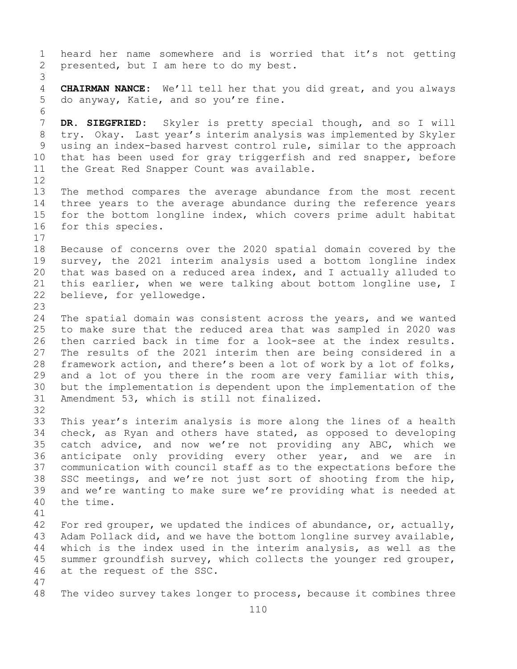110 1 heard her name somewhere and is worried that it's not getting<br>2 presented, but I am here to do my best. presented, but I am here to do my best. 3 4 **CHAIRMAN NANCE:** We'll tell her that you did great, and you always 5 do anyway, Katie, and so you're fine. 6<br>7 7 **DR. SIEGFRIED:** Skyler is pretty special though, and so I will<br>8 try. Okay. Last year's interim analysis was implemented by Skyler 8 try. Okay. Last year's interim analysis was implemented by Skyler<br>9 using an index-based harvest control rule, similar to the approach 9 using an index-based harvest control rule, similar to the approach<br>10 that has been used for gray triggerfish and red snapper, before 10 that has been used for gray triggerfish and red snapper, before<br>11 the Great Red Snapper Count was available. the Great Red Snapper Count was available. 12<br>13 The method compares the average abundance from the most recent 14 three years to the average abundance during the reference years<br>15 for the bottom longline index, which covers prime adult habitat 15 for the bottom longline index, which covers prime adult habitat<br>16 for this species. for this species.  $\begin{array}{c} 17 \\ 18 \end{array}$ 18 Because of concerns over the 2020 spatial domain covered by the<br>19 survey, the 2021 interim analysis used a bottom longline index 19 survey, the 2021 interim analysis used a bottom longline index<br>20 that was based on a reduced area index, and I actually alluded to 20 that was based on a reduced area index, and I actually alluded to<br>21 this earlier, when we were talking about bottom longline use, I 21 this earlier, when we were talking about bottom longline use, I<br>22 believe, for yellowedge. believe, for yellowedge. 23 24 The spatial domain was consistent across the years, and we wanted<br>25 to make sure that the reduced area that was sampled in 2020 was 25 to make sure that the reduced area that was sampled in 2020 was<br>26 then carried back in time for a look-see at the index results. 26 then carried back in time for a look-see at the index results.<br>27 The results of the 2021 interim then are being considered in a The results of the 2021 interim then are being considered in a 28 framework action, and there's been a lot of work by a lot of folks,<br>29 and a lot of you there in the room are very familiar with this, 29 and a lot of you there in the room are very familiar with this,<br>30 but the implementation is dependent upon the implementation of the 30 but the implementation is dependent upon the implementation of the<br>31 Amendment 53, which is still not finalized. Amendment 53, which is still not finalized. 32<br>33 33 This year's interim analysis is more along the lines of a health<br>34 check, as Ryan and others have stated, as opposed to developing 34 check, as Ryan and others have stated, as opposed to developing<br>35 catch advice, and now we're not providing any ABC, which we 35 catch advice, and now we're not providing any ABC, which we<br>36 anticipate only providing every other year, and we are in 36 anticipate only providing every other year, and we are in<br>37 communication with council staff as to the expectations before the communication with council staff as to the expectations before the 38 SSC meetings, and we're not just sort of shooting from the hip,<br>39 and we're wanting to make sure we're providing what is needed at 39 and we're wanting to make sure we're providing what is needed at 40 the time. the time. 41<br>42 42 For red grouper, we updated the indices of abundance, or, actually,<br>43 Adam Pollack did, and we have the bottom longline survey available, 43 Adam Pollack did, and we have the bottom longline survey available,<br>44 which is the index used in the interim analysis, as well as the which is the index used in the interim analysis, as well as the 45 summer groundfish survey, which collects the younger red grouper, 46 at the request of the SSC. 47 The video survey takes longer to process, because it combines three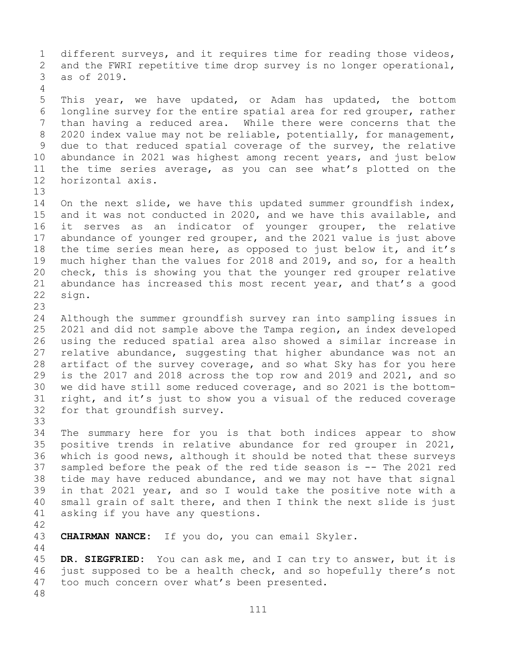1 different surveys, and it requires time for reading those videos,<br>2 and the FWRI repetitive time drop survey is no longer operational, 2 and the FWRI repetitive time drop survey is no longer operational,<br>3 as of 2019. as of 2019. 4 5 This year, we have updated, or Adam has updated, the bottom 6 longline survey for the entire spatial area for red grouper, rather<br>7 than having a reduced area. While there were concerns that the 7 than having a reduced area. While there were concerns that the<br>8 2020 index value may not be reliable, potentially, for management, 8 2020 index value may not be reliable, potentially, for management,<br>9 due to that reduced spatial coverage of the survey, the relative 9 due to that reduced spatial coverage of the survey, the relative<br>10 abundance in 2021 was highest among recent vears, and just below 10 abundance in 2021 was highest among recent years, and just below<br>11 the time series average, as you can see what's plotted on the 11 the time series average, as you can see what's plotted on the 12 horizontal axis. horizontal axis. 13 14 On the next slide, we have this updated summer groundfish index,<br>15 and it was not conducted in 2020, and we have this available, and 15 and it was not conducted in 2020, and we have this available, and<br>16 it serves as an indicator of younger grouper, the relative 16 it serves as an indicator of younger grouper, the relative<br>17 abundance of younger red grouper, and the 2021 value is just above 17 abundance of younger red grouper, and the 2021 value is just above<br>18 the time series mean here, as opposed to just below it, and it's 18 the time series mean here, as opposed to just below it, and it's<br>19 much higher than the values for 2018 and 2019, and so, for a health 19 much higher than the values for 2018 and 2019, and so, for a health<br>20 check, this is showing you that the younger red grouper relative 20 check, this is showing you that the younger red grouper relative<br>21 abundance has increased this most recent year, and that's a good 21 abundance has increased this most recent year, and that's a good  $22$  sign. sign. 23 24 Although the summer groundfish survey ran into sampling issues in<br>25 2021 and did not sample above the Tampa region, an index developed 25 2021 and did not sample above the Tampa region, an index developed<br>26 using the reduced spatial area also showed a similar increase in 26 using the reduced spatial area also showed a similar increase in<br>27 relative abundance, suggesting that higher abundance was not an relative abundance, suggesting that higher abundance was not an 28 artifact of the survey coverage, and so what Sky has for you here<br>29 is the 2017 and 2018 across the top row and 2019 and 2021, and so 29 is the 2017 and 2018 across the top row and 2019 and 2021, and so<br>30 we did have still some reduced coverage, and so 2021 is the bottom-30 we did have still some reduced coverage, and so 2021 is the bottom-<br>31 right, and it's just to show you a visual of the reduced coverage 31 right, and it's just to show you a visual of the reduced coverage<br>32 for that groundfish survey. for that groundfish survey. 33<br>34 34 The summary here for you is that both indices appear to show<br>35 positive trends in relative abundance for red grouper in 2021, 35 positive trends in relative abundance for red grouper in 2021,<br>36 which is good news, although it should be noted that these surveys 36 which is good news, although it should be noted that these surveys<br>37 sampled before the peak of the red tide season is -- The 2021 red 37 sampled before the peak of the red tide season is -- The 2021 red<br>38 tide may have reduced abundance, and we may not have that signal 38 tide may have reduced abundance, and we may not have that signal<br>39 in that 2021 vear, and so I would take the positive note with a 39 in that 2021 year, and so I would take the positive note with a<br>40 small grain of salt there, and then I think the next slide is just 40 small grain of salt there, and then I think the next slide is just<br>41 asking if you have any questions. asking if you have any questions. 42 CHAIRMAN NANCE: If you do, you can email Skyler. 44 45 **DR. SIEGFRIED:** You can ask me, and I can try to answer, but it is 46 just supposed to be a health check, and so hopefully there's not<br>47 too much concern over what's been presented. too much concern over what's been presented. 48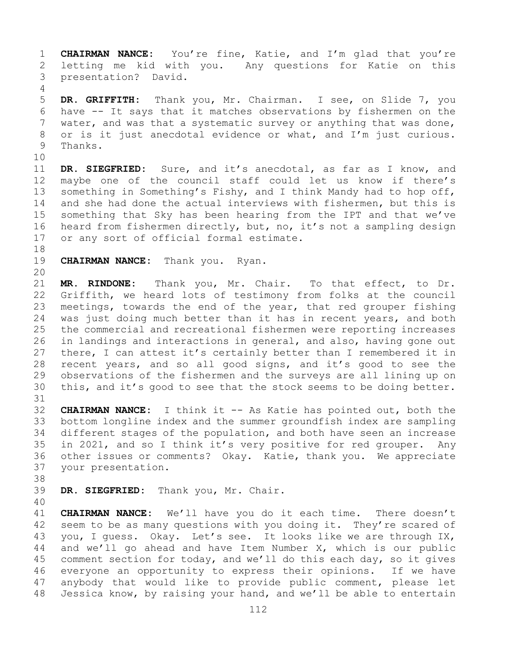1 **CHAIRMAN NANCE:** You're fine, Katie, and I'm glad that you're 2 letting me kid with you. Any questions for Katie on this<br>3 presentation? David. presentation? David. 4

5 **DR. GRIFFITH:** Thank you, Mr. Chairman. I see, on Slide 7, you 6 have -- It says that it matches observations by fishermen on the<br>7 water, and was that a systematic survey or anything that was done, 7 water, and was that a systematic survey or anything that was done,<br>8 or is it just anecdotal evidence or what, and I'm just curious. 8 or is it just anecdotal evidence or what, and I'm just curious.<br>9 Thanks. Thanks.

10<br>11 11 **DR. SIEGFRIED:** Sure, and it's anecdotal, as far as I know, and<br>12 maybe one of the council staff could let us know if there's maybe one of the council staff could let us know if there's 13 something in Something's Fishy, and I think Mandy had to hop off, 14 and she had done the actual interviews with fishermen, but this is<br>15 something that Sky has been hearing from the IPT and that we've 15 something that Sky has been hearing from the IPT and that we've<br>16 heard from fishermen directly, but, no, it's not a sampling design 16 heard from fishermen directly, but, no, it's not a sampling design<br>17 or any sort of official formal estimate. or any sort of official formal estimate.

18<br>19 **CHAIRMAN NANCE:** Thank you. Ryan.

20<br>21

21 **MR. RINDONE:** Thank you, Mr. Chair. To that effect, to Dr. 22 Griffith, we heard lots of testimony from folks at the council<br>23 meetings, towards the end of the year, that red grouper fishing 23 meetings, towards the end of the year, that red grouper fishing<br>24 was just doing much better than it has in recent years, and both 24 was just doing much better than it has in recent years, and both<br>25 the commercial and recreational fishermen were reporting increases 25 the commercial and recreational fishermen were reporting increases<br>26 in landings and interactions in general, and also, having gone out 26 in landings and interactions in general, and also, having gone out<br>27 there, I can attest it's certainly better than I remembered it in there, I can attest it's certainly better than I remembered it in 28 recent years, and so all good signs, and it's good to see the<br>29 observations of the fishermen and the surveys are all lining up on 29 observations of the fishermen and the surveys are all lining up on<br>30 this, and it's good to see that the stock seems to be doing better. this, and it's good to see that the stock seems to be doing better.

31<br>32 32 **CHAIRMAN NANCE:** I think it -- As Katie has pointed out, both the 33 bottom longline index and the summer groundfish index are sampling<br>34 different stages of the population, and both have seen an increase 34 different stages of the population, and both have seen an increase<br>35 in 2021, and so I think it's very positive for red grouper. Any 35 in 2021, and so I think it's very positive for red grouper. Any<br>36 other issues or comments? Okay. Katie, thank you. We appreciate 36 other issues or comments? Okay. Katie, thank you. We appreciate your presentation.

38<br>39

DR. SIEGFRIED: Thank you, Mr. Chair.

41 **CHAIRMAN NANCE:** We'll have you do it each time. There doesn't<br>42 seem to be as many questions with you doing it. They're scared of 42 seem to be as many questions with you doing it. They're scared of<br>43 vou, I quess. Okay. Let's see. It looks like we are through IX, 43 you, I guess. Okay. Let's see. It looks like we are through IX,<br>44 and we'll go ahead and have Item Number X, which is our public and we'll go ahead and have Item Number X, which is our public 45 comment section for today, and we'll do this each day, so it gives 46 everyone an opportunity to express their opinions. If we have<br>47 anybody that would like to provide public comment, please let 47 anybody that would like to provide public comment, please let<br>48 Jessica know, by raising your hand, and we'll be able to entertain Jessica know, by raising your hand, and we'll be able to entertain

<sup>40</sup>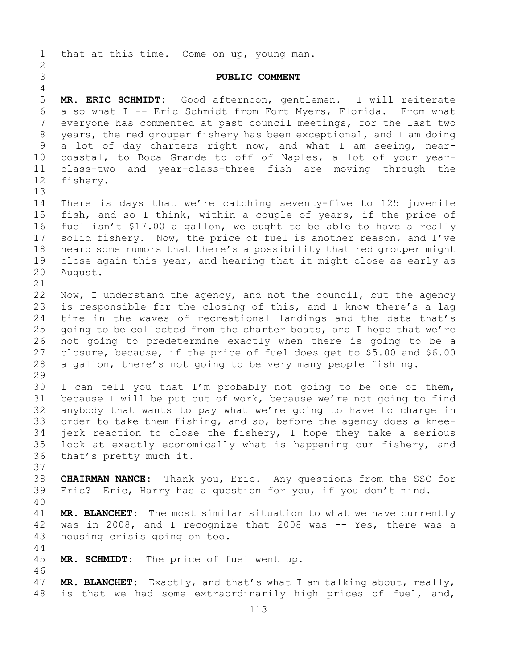1 that at this time. Come on up, young man.  $\frac{2}{3}$ 3 **PUBLIC COMMENT** 4<br>5 5 **MR. ERIC SCHMIDT:** Good afternoon, gentlemen. I will reiterate 6 also what I -- Eric Schmidt from Fort Myers, Florida. From what<br>7 evervone has commented at past council meetings, for the last two 7 everyone has commented at past council meetings, for the last two<br>8 years, the red grouper fishery has been exceptional, and I am doing 8 years, the red grouper fishery has been exceptional, and I am doing<br>9 a lot of day charters right now, and what I am seeing, near-9 a lot of day charters right now, and what I am seeing, near-<br>10 coastal, to Boca Grande to off of Naples, a lot of your year-10 coastal, to Boca Grande to off of Naples, a lot of your year-<br>11 class-two and vear-class-three fish are moving through the 11 class-two and year-class-three fish are moving through the fishery. 13 14 There is days that we're catching seventy-five to 125 juvenile<br>15 fish, and so I think, within a couple of vears, if the price of 15 fish, and so I think, within a couple of years, if the price of<br>16 fuel isn't \$17.00 a gallon, we ought to be able to have a really 16 fuel isn't \$17.00 a gallon, we ought to be able to have a really<br>17 solid fishery. Now, the price of fuel is another reason, and I've 17 solid fishery. Now, the price of fuel is another reason, and I've<br>18 heard some rumors that there's a possibility that red grouper might 18 heard some rumors that there's a possibility that red grouper might<br>19 close again this year, and hearing that it might close as early as 19 close again this year, and hearing that it might close as early as 20 August. August. 21<br>22 22 Now, I understand the agency, and not the council, but the agency<br>23 is responsible for the closing of this, and I know there's a lag 23 is responsible for the closing of this, and I know there's a lag<br>24 time in the waves of recreational landings and the data that's 24 time in the waves of recreational landings and the data that's<br>25 qoing to be collected from the charter boats, and I hope that we're 25 going to be collected from the charter boats, and I hope that we're<br>26 not going to predetermine exactly when there is going to be a 26 not going to predetermine exactly when there is going to be a<br>27 closure, because, if the price of fuel does get to \$5.00 and \$6.00 27 closure, because, if the price of fuel does get to \$5.00 and \$6.00<br>28 a gallon, there's not going to be very many people fishing. a gallon, there's not going to be very many people fishing. 29<br>30 30 I can tell you that I'm probably not going to be one of them,<br>31 because I will be put out of work, because we're not going to find 31 because I will be put out of work, because we're not going to find<br>32 anvbody that wants to pay what we're going to have to charge in 32 anybody that wants to pay what we're going to have to charge in<br>33 order to take them fishing, and so, before the agency does a knee-33 order to take them fishing, and so, before the agency does a knee-<br>34 ierk reaction to close the fishery, I hope they take a serious 34 jerk reaction to close the fishery, I hope they take a serious<br>35 look at exactly economically what is happening our fishery, and 35 look at exactly economically what is happening our fishery, and<br>36 that's pretty much it. that's pretty much it. 37<br>38 38 **CHAIRMAN NANCE:** Thank you, Eric. Any questions from the SSC for<br>39 Eric? Eric, Harry has a question for you, if you don't mind. Eric? Eric, Harry has a question for you, if you don't mind. 40 41 **MR. BLANCHET:** The most similar situation to what we have currently<br>42 was in 2008, and I recognize that 2008 was -- Yes, there was a 42 was in 2008, and I recognize that 2008 was  $-$  Yes, there was a 43 housing crisis going on too. housing crisis going on too. 44 45 **MR. SCHMIDT:** The price of fuel went up. 46<br>47 47 **MR. BLANCHET:** Exactly, and that's what I am talking about, really,<br>48 is that we had some extraordinarily high prices of fuel, and, is that we had some extraordinarily high prices of fuel, and,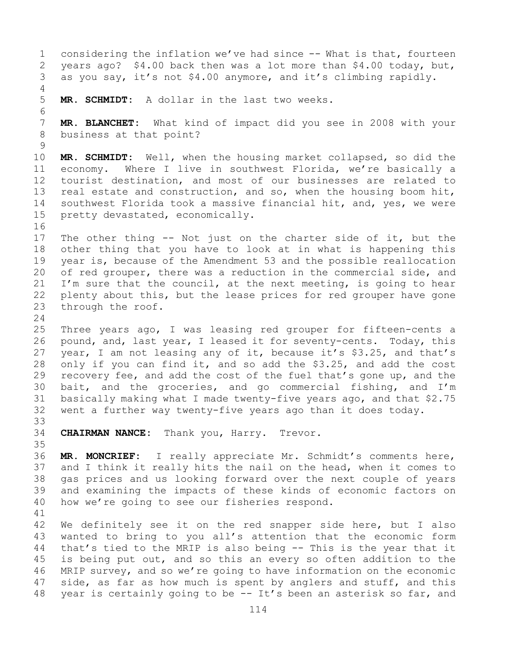1 considering the inflation we've had since -- What is that, fourteen<br>2 years ago? \$4.00 back then was a lot more than \$4.00 today, but, 2 years ago? \$4.00 back then was a lot more than \$4.00 today, but,<br>3 as you say, it's not \$4.00 anymore, and it's climbing rapidly. as you say, it's not \$4.00 anymore, and it's climbing rapidly. 4 5 **MR. SCHMIDT:** A dollar in the last two weeks. 6<br>7 7 **MR. BLANCHET:** What kind of impact did you see in 2008 with your business at that point?  $\begin{array}{c} 9 \\ 10 \end{array}$ 10 **MR. SCHMIDT:** Well, when the housing market collapsed, so did the 11 economy. Where I live in southwest Florida, we're basically a<br>12 tourist destination, and most of our businesses are related to 12 tourist destination, and most of our businesses are related to<br>13 real estate and construction, and so, when the housing boom hit, real estate and construction, and so, when the housing boom hit, 14 southwest Florida took a massive financial hit, and, yes, we were<br>15 pretty devastated, economically. pretty devastated, economically. 16<br>17 17 The other thing -- Not just on the charter side of it, but the<br>18 other thing that you have to look at in what is happening this 18 other thing that you have to look at in what is happening this<br>19 vear is, because of the Amendment 53 and the possible reallocation 19 year is, because of the Amendment 53 and the possible reallocation<br>20 of red grouper, there was a reduction in the commercial side, and 20 of red grouper, there was a reduction in the commercial side, and<br>21 I'm sure that the council, at the next meeting, is going to hear 21 I'm sure that the council, at the next meeting, is going to hear<br>22 plenty about this, but the lease prices for red grouper have gone 22 plenty about this, but the lease prices for red grouper have gone<br>23 through the roof. through the roof.  $\frac{24}{25}$ 25 Three years ago, I was leasing red grouper for fifteen-cents a<br>26 pound, and, last year, I leased it for seventy-cents. Today, this 26 pound, and, last year, I leased it for seventy-cents. Today, this<br>27 year, I am not leasing any of it, because it's \$3.25, and that's year, I am not leasing any of it, because it's \$3.25, and that's 28 only if you can find it, and so add the \$3.25, and add the cost<br>29 recovery fee, and add the cost of the fuel that's gone up, and the 29 recovery fee, and add the cost of the fuel that's gone up, and the<br>30 bait, and the groceries, and go commercial fishing, and I'm 30 bait, and the groceries, and go commercial fishing, and I'm<br>31 basically making what I made twenty-five years ago, and that \$2.75 31 basically making what I made twenty-five years ago, and that \$2.75<br>32 went a further way twenty-five years ago than it does today. went a further way twenty-five years ago than it does today. 33<br>34 CHAIRMAN NANCE: Thank you, Harry. Trevor. 35<br>36 MR. MONCRIEF: I really appreciate Mr. Schmidt's comments here, 37 and I think it really hits the nail on the head, when it comes to 38 gas prices and us looking forward over the next couple of years<br>39 and examining the impacts of these kinds of economic factors on 39 and examining the impacts of these kinds of economic factors on<br>40 how we're going to see our fisheries respond. how we're going to see our fisheries respond. 41<br>42 42 We definitely see it on the red snapper side here, but I also<br>43 wanted to bring to you all's attention that the economic form 43 wanted to bring to you all's attention that the economic form<br>44 that's tied to the MRIP is also being -- This is the year that it that's tied to the MRIP is also being -- This is the year that it 45 is being put out, and so this an every so often addition to the 46 MRIP survey, and so we're going to have information on the economic<br>47 side, as far as how much is spent by anglers and stuff, and this 47 side, as far as how much is spent by anglers and stuff, and this<br>48 year is certainly going to be -- It's been an asterisk so far, and year is certainly going to be -- It's been an asterisk so far, and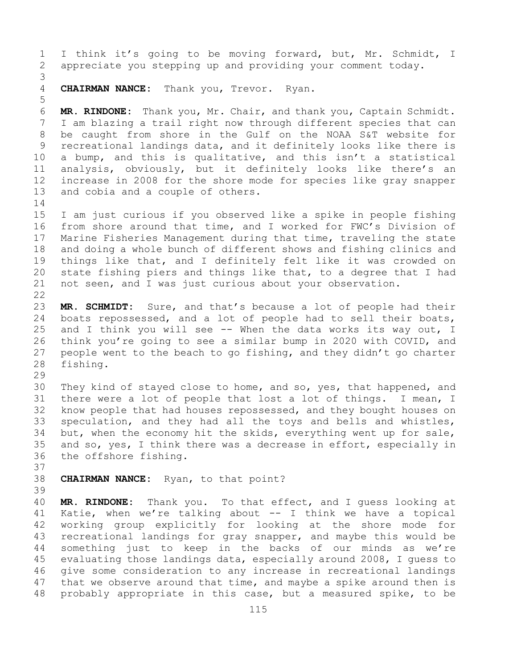1 I think it's going to be moving forward, but, Mr. Schmidt, I<br>2 appreciate you stepping up and providing your comment today. appreciate you stepping up and providing your comment today. 3 4 **CHAIRMAN NANCE:** Thank you, Trevor. Ryan. 5 6 **MR. RINDONE:** Thank you, Mr. Chair, and thank you, Captain Schmidt. 7 I am blazing a trail right now through different species that can<br>8 be caught from shore in the Gulf on the NOAA S&T website for 8 be caught from shore in the Gulf on the NOAA S&T website for<br>9 recreational landings data, and it definitely looks like there is 9 recreational landings data, and it definitely looks like there is<br>10 a bump, and this is qualitative, and this isn't a statistical 10 a bump, and this is qualitative, and this isn't a statistical<br>11 analysis, obviously, but it definitely looks like there's an 11 analysis, obviously, but it definitely looks like there's an<br>12 increase in 2008 for the shore mode for species like grav snapper 12 increase in 2008 for the shore mode for species like gray snapper<br>13 and cobia and a couple of others. and cobia and a couple of others.  $\frac{14}{15}$ 15 I am just curious if you observed like a spike in people fishing<br>16 from shore around that time, and I worked for FWC's Division of 16 from shore around that time, and I worked for FWC's Division of<br>17 Marine Fisheries Management during that time, traveling the state 17 Marine Fisheries Management during that time, traveling the state<br>18 and doing a whole bunch of different shows and fishing clinics and 18 and doing a whole bunch of different shows and fishing clinics and<br>19 things like that, and I definitely felt like it was crowded on 19 things like that, and I definitely felt like it was crowded on<br>20 state fishing piers and things like that, to a degree that I had 20 state fishing piers and things like that, to a degree that I had<br>21 not seen, and I was just curious about your observation. not seen, and I was just curious about your observation. 22<br>23 23 **MR. SCHMIDT:** Sure, and that's because a lot of people had their<br>24 boats repossessed, and a lot of people had to sell their boats, 24 boats repossessed, and a lot of people had to sell their boats,<br>25 and I think you will see -- When the data works its way out, I 25 and I think you will see -- When the data works its way out, I<br>26 think you're going to see a similar bump in 2020 with COVID, and 26 think you're going to see a similar bump in 2020 with COVID, and<br>27 people went to the beach to go fishing, and they didn't go charter 27 people went to the beach to go fishing, and they didn't go charter<br>28 fishing. fishing. 29<br>30 30 They kind of stayed close to home, and so, yes, that happened, and<br>31 there were a lot of people that lost a lot of things. I mean, I 31 there were a lot of people that lost a lot of things. I mean, I<br>32 know people that had houses repossessed, and they bought houses on 32 know people that had houses repossessed, and they bought houses on<br>33 speculation, and they had all the toys and bells and whistles, 33 speculation, and they had all the toys and bells and whistles,<br>34 but, when the economy hit the skids, everything went up for sale, 34 but, when the economy hit the skids, everything went up for sale,<br>35 and so, yes, I think there was a decrease in effort, especially in 35 and so, yes, I think there was a decrease in effort, especially in 36 the offshore fishing. the offshore fishing. 37<br>38 CHAIRMAN NANCE: Ryan, to that point? 39 40 **MR. RINDONE:** Thank you. To that effect, and I guess looking at 41 Katie, when we're talking about -- I think we have a topical<br>42 working group explicitly for looking at the shore mode for 42 working group explicitly for looking at the shore mode for<br>43 recreational landings for gray snapper, and maybe this would be 43 recreational landings for gray snapper, and maybe this would be<br>44 something just to keep in the backs of our minds as we're something just to keep in the backs of our minds as we're 45 evaluating those landings data, especially around 2008, I guess to 46 give some consideration to any increase in recreational landings<br>47 that we observe around that time, and maybe a spike around then is 47 that we observe around that time, and maybe a spike around then is<br>48 probably appropriate in this case, but a measured spike, to be probably appropriate in this case, but a measured spike, to be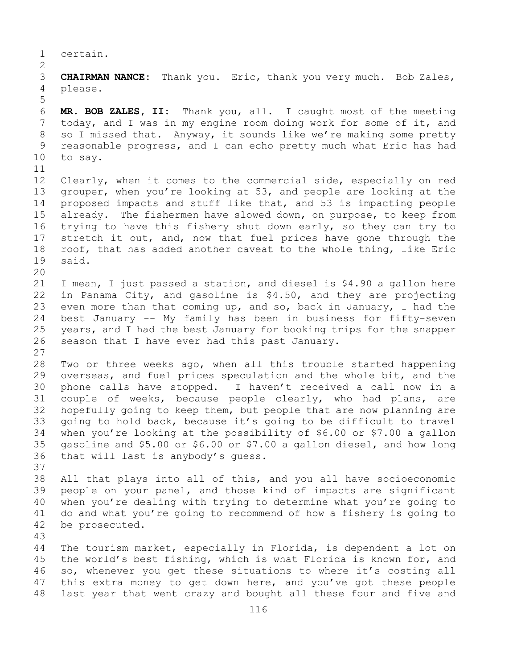1 certain.

 $\frac{2}{3}$ 3 **CHAIRMAN NANCE:** Thank you. Eric, thank you very much. Bob Zales, please.

6 **MR. BOB ZALES, II:** Thank you, all. I caught most of the meeting 7 today, and I was in my engine room doing work for some of it, and<br>8 so I missed that. Anyway, it sounds like we're making some pretty 8 so I missed that. Anyway, it sounds like we're making some pretty<br>9 reasonable progress, and I can echo pretty much what Eric has had 9 reasonable progress, and I can echo pretty much what Eric has had<br>10 to sav. to say.

5

11<br>12 12 Clearly, when it comes to the commercial side, especially on red<br>13 qrouper, when you're looking at 53, and people are looking at the grouper, when you're looking at 53, and people are looking at the 14 proposed impacts and stuff like that, and 53 is impacting people<br>15 already. The fishermen have slowed down, on purpose, to keep from 15 already. The fishermen have slowed down, on purpose, to keep from<br>16 trying to have this fishery shut down early, so they can try to 16 trying to have this fishery shut down early, so they can try to<br>17 stretch it out, and, now that fuel prices have gone through the 17 stretch it out, and, now that fuel prices have gone through the<br>18 roof, that has added another caveat to the whole thing, like Eric 18 roof, that has added another caveat to the whole thing, like Eric<br>19 said. said.

20<br>21

21 I mean, I just passed a station, and diesel is \$4.90 a gallon here<br>22 in Panama City, and gasoline is \$4.50, and they are projecting 22 in Panama City, and gasoline is \$4.50, and they are projecting<br>23 even more than that coming up, and so, back in January, I had the 23 even more than that coming up, and so, back in January, I had the<br>24 best January -- My family has been in business for fifty-seven 24 best January -- My family has been in business for fifty-seven<br>25 years, and I had the best January for booking trips for the snapper 25 years, and I had the best January for booking trips for the snapper<br>26 season that I have ever had this past January. season that I have ever had this past January. 27

28 Two or three weeks ago, when all this trouble started happening<br>29 overseas, and fuel prices speculation and the whole bit, and the 29 overseas, and fuel prices speculation and the whole bit, and the<br>30 phone calls have stopped. I haven't received a call now in a 30 phone calls have stopped. I haven't received a call now in a<br>31 couple of weeks, because people clearly, who had plans, are 31 couple of weeks, because people clearly, who had plans, are<br>32 hopefully going to keep them, but people that are now planning are hopefully going to keep them, but people that are now planning are 33 going to hold back, because it's going to be difficult to travel<br>34 when you're looking at the possibility of \$6.00 or \$7.00 a gallon 34 when you're looking at the possibility of \$6.00 or \$7.00 a gallon<br>35 qasoline and \$5.00 or \$6.00 or \$7.00 a gallon diesel, and how long 35 gasoline and \$5.00 or \$6.00 or \$7.00 a gallon diesel, and how long<br>36 that will last is anybody's quess. that will last is anybody's quess.

37

38 All that plays into all of this, and you all have socioeconomic<br>39 people on your panel, and those kind of impacts are significant 39 people on your panel, and those kind of impacts are significant<br>40 when you're dealing with trying to determine what you're going to 40 when you're dealing with trying to determine what you're going to<br>41 do and what you're going to recommend of how a fishery is going to 41 do and what you're going to recommend of how a fishery is going to 42 be prosecuted. be prosecuted.

43

The tourism market, especially in Florida, is dependent a lot on 45 the world's best fishing, which is what Florida is known for, and 46 so, whenever you get these situations to where it's costing all<br>47 this extra money to get down here, and you've got these people 47 this extra money to get down here, and you've got these people<br>48 last year that went crazy and bought all these four and five and last year that went crazy and bought all these four and five and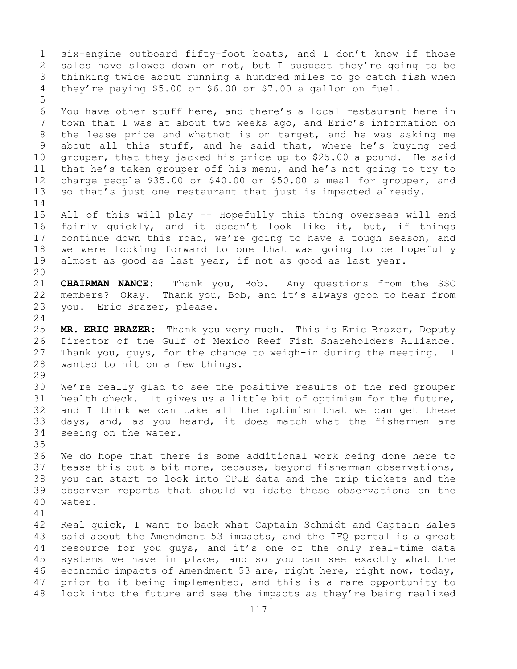1 six-engine outboard fifty-foot boats, and I don't know if those<br>2 sales have slowed down or not, but I suspect they're going to be 2 sales have slowed down or not, but I suspect they're going to be<br>3 thinking twice about running a hundred miles to go catch fish when 3 thinking twice about running a hundred miles to go catch fish when<br>4 thev're paying \$5.00 or \$6.00 or \$7.00 a gallon on fuel. they're paying \$5.00 or \$6.00 or \$7.00 a gallon on fuel. 5 6 You have other stuff here, and there's a local restaurant here in<br>7 town that I was at about two weeks ago, and Eric's information on 7 town that I was at about two weeks ago, and Eric's information on<br>8 the lease price and whatnot is on target, and he was asking me 8 the lease price and whatnot is on target, and he was asking me<br>9 about all this stuff, and he said that, where he's buying red 9 about all this stuff, and he said that, where he's buying red<br>10 grouper, that they jacked his price up to \$25.00 a pound. He said 10 grouper, that they jacked his price up to \$25.00 a pound. He said<br>11 that he's taken grouper off his menu, and he's not going to try to 11 that he's taken grouper off his menu, and he's not going to try to<br>12 charge people \$35.00 or \$40.00 or \$50.00 a meal for grouper, and charge people  $$35.00$  or  $$40.00$  or  $$50.00$  a meal for grouper, and 13 so that's just one restaurant that just is impacted already.  $\frac{14}{15}$ 15 All of this will play -- Hopefully this thing overseas will end<br>16 fairly quickly, and it doesn't look like it, but, if things 16 fairly quickly, and it doesn't look like it, but, if things<br>17 continue down this road, we're going to have a tough season, and 17 continue down this road, we're going to have a tough season, and<br>18 we were looking forward to one that was going to be hopefully 18 we were looking forward to one that was going to be hopefully<br>19 almost as good as last year, if not as good as last year. almost as good as last year, if not as good as last year. 20<br>21 21 **CHAIRMAN NANCE:** Thank you, Bob. Any questions from the SSC<br>22 members? Okay. Thank you, Bob, and it's always good to hear from 22 members? Okay. Thank you, Bob, and it's always good to hear from<br>23 you. Eric Brazer, please. you. Eric Brazer, please.  $\frac{24}{25}$ 25 **MR. ERIC BRAZER:** Thank you very much. This is Eric Brazer, Deputy 26 Director of the Gulf of Mexico Reef Fish Shareholders Alliance.<br>27 Thank you, quys, for the chance to weigh-in during the meeting. I Thank you, guys, for the chance to weigh-in during the meeting. I 28 wanted to hit on a few things. 29<br>30 30 We're really glad to see the positive results of the red grouper<br>31 health check. It gives us a little bit of optimism for the future, 31 health check. It gives us a little bit of optimism for the future,<br>32 and I think we can take all the optimism that we can get these and I think we can take all the optimism that we can get these 33 days, and, as you heard, it does match what the fishermen are<br>34 seeing on the water. seeing on the water. 35<br>36 36 We do hope that there is some additional work being done here to<br>37 tease this out a bit more, because, beyond fisherman observations, tease this out a bit more, because, beyond fisherman observations, 38 you can start to look into CPUE data and the trip tickets and the 39 observer reports that should validate these observations on the water. 41<br>42 42 Real quick, I want to back what Captain Schmidt and Captain Zales<br>43 said about the Amendment 53 impacts, and the IFO portal is a great 43 said about the Amendment 53 impacts, and the IFQ portal is a great<br>44 resource for you quys, and it's one of the only real-time data resource for you quys, and it's one of the only real-time data 45 systems we have in place, and so you can see exactly what the 46 economic impacts of Amendment 53 are, right here, right now, today,<br>47 prior to it being implemented, and this is a rare opportunity to 47 prior to it being implemented, and this is a rare opportunity to<br>48 look into the future and see the impacts as they're being realized look into the future and see the impacts as they're being realized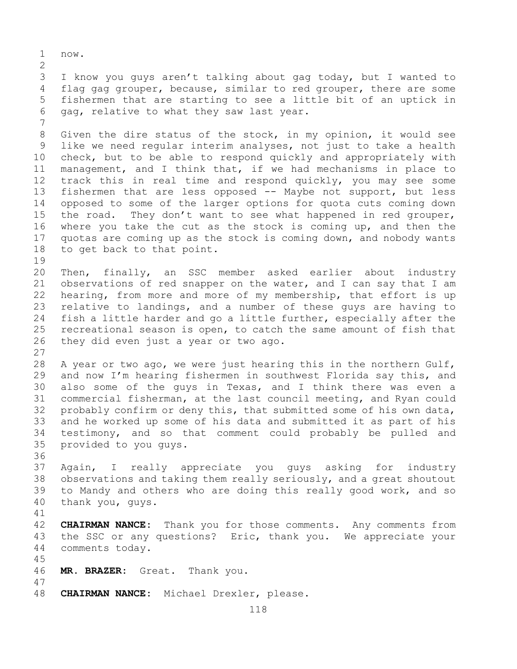1 now.  $\frac{2}{3}$ 3 I know you guys aren't talking about gag today, but I wanted to<br>4 flag gag grouper, because, similar to red grouper, there are some flag gag grouper, because, similar to red grouper, there are some 5 fishermen that are starting to see a little bit of an uptick in 6 gag, relative to what they saw last year. 7 8 Given the dire status of the stock, in my opinion, it would see<br>9 like we need reqular interim analyses, not just to take a health 9 like we need regular interim analyses, not just to take a health<br>10 check, but to be able to respond quickly and appropriately with 10 check, but to be able to respond quickly and appropriately with<br>11 management, and I think that, if we had mechanisms in place to 11 management, and I think that, if we had mechanisms in place to<br>12 track this in real time and respond quickly, you may see some track this in real time and respond quickly, you may see some 13 fishermen that are less opposed -- Maybe not support, but less 14 opposed to some of the larger options for quota cuts coming down<br>15 the road. They don't want to see what happened in red grouper, 15 the road. They don't want to see what happened in red grouper,<br>16 where you take the cut as the stock is coming up, and then the 16 where you take the cut as the stock is coming up, and then the<br>17 quotas are coming up as the stock is coming down, and nobody wants 17 quotas are coming up as the stock is coming down, and nobody wants<br>18 to get back to that point. to get back to that point.  $\begin{array}{c} 19 \\ 20 \end{array}$ 20 Then, finally, an SSC member asked earlier about industry<br>21 observations of red snapper on the water, and I can say that I am 21 observations of red snapper on the water, and I can say that I am<br>22 hearing, from more and more of my membership, that effort is up 22 hearing, from more and more of my membership, that effort is up<br>23 relative to landings, and a number of these guys are having to 23 relative to landings, and a number of these guys are having to<br>24 fish a little harder and go a little further, especially after the 24 fish a little harder and go a little further, especially after the<br>25 recreational season is open, to catch the same amount of fish that 25 recreational season is open, to catch the same amount of fish that<br>26 they did even just a year or two ago. they did even just a year or two ago. 27 28 A year or two ago, we were just hearing this in the northern Gulf,<br>29 and now I'm hearing fishermen in southwest Florida say this, and 29 and now I'm hearing fishermen in southwest Florida say this, and<br>30 also some of the quys in Texas, and I think there was even a 30 also some of the guys in Texas, and I think there was even a<br>31 commercial fisherman, at the last council meeting, and Ryan could 31 commercial fisherman, at the last council meeting, and Ryan could<br>32 probably confirm or deny this, that submitted some of his own data, probably confirm or deny this, that submitted some of his own data, 33 and he worked up some of his data and submitted it as part of his<br>34 testimony, and so that comment could probably be pulled and 34 testimony, and so that comment could probably be pulled and<br>35 provided to you guvs. provided to you guys.

36<br>37 Again, I really appreciate you guys asking for industry 38 observations and taking them really seriously, and a great shoutout<br>39 to Mandy and others who are doing this really good work, and so 39 to Mandy and others who are doing this really good work, and so 40 thank you, quys. thank you, guys.

41<br>42 42 **CHAIRMAN NANCE:** Thank you for those comments. Any comments from<br>43 the SSC or any questions? Eric, thank you. We appreciate your 43 the SSC or any questions? Eric, thank you. We appreciate your 44 comments today. comments today.

46 **MR. BRAZER:** Great. Thank you.

45

47 CHAIRMAN NANCE: Michael Drexler, please.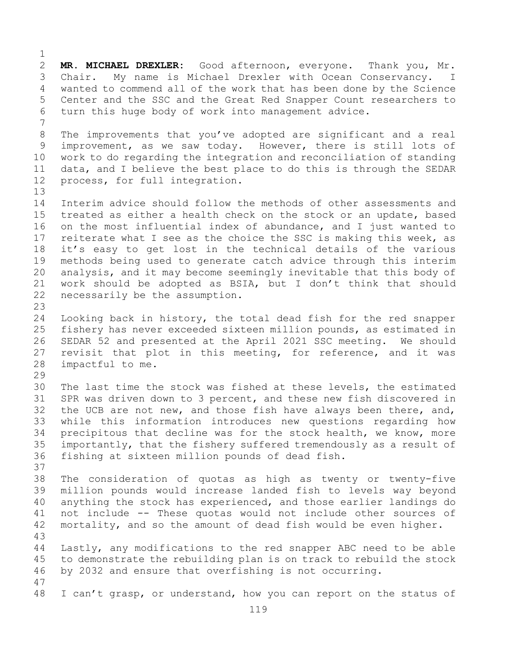$\frac{1}{2}$ 2 **MR. MICHAEL DREXLER:** Good afternoon, everyone. Thank you, Mr. 3 Chair. My name is Michael Drexler with Ocean Conservancy. I<br>4 wanted to commend all of the work that has been done by the Science wanted to commend all of the work that has been done by the Science 5 Center and the SSC and the Great Red Snapper Count researchers to 6 turn this huge body of work into management advice. 7 8 The improvements that you've adopted are significant and a real<br>9 improvement, as we saw today. However, there is still lots of 9 improvement, as we saw today. However, there is still lots of<br>10 work to do regarding the integration and reconciliation of standing 10 work to do regarding the integration and reconciliation of standing<br>11 data, and I believe the best place to do this is through the SEDAR 11 data, and I believe the best place to do this is through the SEDAR<br>12 process, for full integration. process, for full integration. 13 14 Interim advice should follow the methods of other assessments and<br>15 treated as either a health check on the stock or an update, based 15 treated as either a health check on the stock or an update, based<br>16 on the most influential index of abundance, and I just wanted to 16 on the most influential index of abundance, and I just wanted to<br>17 reiterate what I see as the choice the SSC is making this week, as 17 reiterate what I see as the choice the SSC is making this week, as<br>18 it's easy to get lost in the technical details of the various 18 it's easy to get lost in the technical details of the various<br>19 methods being used to generate catch advice through this interim 19 methods being used to generate catch advice through this interim<br>20 analysis, and it may become seemingly inevitable that this body of 20 analysis, and it may become seemingly inevitable that this body of<br>21 work should be adopted as BSIA, but I don't think that should 21 work should be adopted as BSIA, but I don't think that should  $22$  necessarily be the assumption. necessarily be the assumption.  $\frac{23}{24}$ 24 Looking back in history, the total dead fish for the red snapper<br>25 fishery has never exceeded sixteen million pounds, as estimated in 25 fishery has never exceeded sixteen million pounds, as estimated in<br>26 SEDAR 52 and presented at the April 2021 SSC meeting. We should 26 SEDAR 52 and presented at the April 2021 SSC meeting. We should<br>27 revisit that plot in this meeting, for reference, and it was revisit that plot in this meeting, for reference, and it was 28 impactful to me. 29<br>30 30 The last time the stock was fished at these levels, the estimated<br>31 SPR was driven down to 3 percent, and these new fish discovered in 31 SPR was driven down to 3 percent, and these new fish discovered in<br>32 the UCB are not new, and those fish have always been there, and, the UCB are not new, and those fish have always been there, and, 33 while this information introduces new questions regarding how<br>34 precipitous that decline was for the stock health, we know, more 34 precipitous that decline was for the stock health, we know, more<br>35 importantly, that the fishery suffered tremendously as a result of 35 importantly, that the fishery suffered tremendously as a result of<br>36 fishing at sixteen million pounds of dead fish. fishing at sixteen million pounds of dead fish. 37 38 The consideration of quotas as high as twenty or twenty-five 39 million pounds would increase landed fish to levels way beyond<br>40 anything the stock has experienced, and those earlier landings do 40 anything the stock has experienced, and those earlier landings do<br>41 not include -- These quotas would not include other sources of 41 not include -- These quotas would not include other sources of<br>42 mortality, and so the amount of dead fish would be even higher. mortality, and so the amount of dead fish would be even higher. 43 Lastly, any modifications to the red snapper ABC need to be able 45 to demonstrate the rebuilding plan is on track to rebuild the stock 46 by 2032 and ensure that overfishing is not occurring. 47 I can't grasp, or understand, how you can report on the status of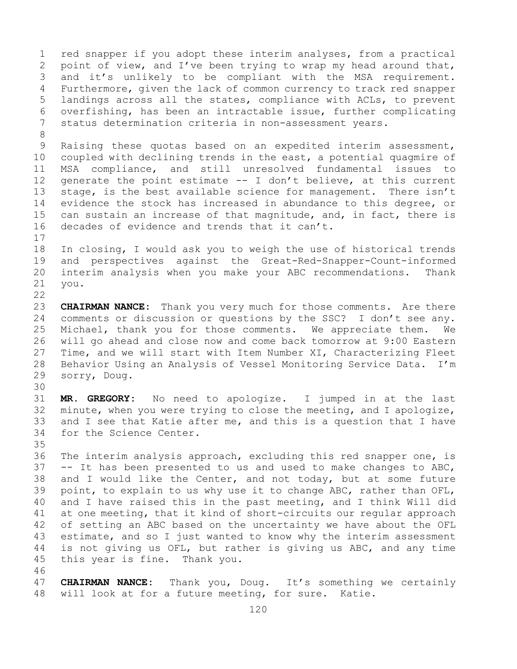1 red snapper if you adopt these interim analyses, from a practical<br>2 point of view, and I've been trying to wrap my head around that, 2 point of view, and I've been trying to wrap my head around that,<br>3 and it's unlikely to be compliant with the MSA requirement. 3 and it's unlikely to be compliant with the MSA requirement.<br>4 Furthermore, given the lack of common currency to track red snapper Furthermore, given the lack of common currency to track red snapper 5 landings across all the states, compliance with ACLs, to prevent 6 overfishing, has been an intractable issue, further complicating<br>7 status determination criteria in non-assessment vears. status determination criteria in non-assessment years.

8<br>9 9 Raising these quotas based on an expedited interim assessment,<br>10 coupled with declining trends in the east, a potential quagmire of 10 coupled with declining trends in the east, a potential quagmire of<br>11 MSA compliance, and still unresolved fundamental issues to 11 MSA compliance, and still unresolved fundamental issues to<br>12 generate the point estimate -- I don't believe, at this current generate the point estimate  $-$ - I don't believe, at this current 13 stage, is the best available science for management. There isn't 14 evidence the stock has increased in abundance to this degree, or<br>15 can sustain an increase of that magnitude, and, in fact, there is 15 can sustain an increase of that magnitude, and, in fact, there is<br>16 decades of evidence and trends that it can't. decades of evidence and trends that it can't.

 $\begin{array}{c} 17 \\ 18 \end{array}$ 18 In closing, I would ask you to weigh the use of historical trends<br>19 and perspectives against the Great-Red-Snapper-Count-informed 19 and perspectives against the Great-Red-Snapper-Count-informed<br>20 interim analysis when you make your ABC recommendations. Thank 20 interim analysis when you make your ABC recommendations. Thank<br>21 you. you.

 $\begin{array}{c} 22 \\ 23 \end{array}$ 23 **CHAIRMAN NANCE:** Thank you very much for those comments. Are there<br>24 comments or discussion or questions by the SSC? I don't see any. 24 comments or discussion or questions by the SSC? I don't see any.<br>25 Michael, thank you for those comments. We appreciate them. We 25 Michael, thank you for those comments. We appreciate them.<br>26 will go ahead and close now and come back tomorrow at 9:00 Eas 26 will go ahead and close now and come back tomorrow at 9:00 Eastern<br>27 Time, and we will start with Item Number XI, Characterizing Fleet Time, and we will start with Item Number XI, Characterizing Fleet 28 Behavior Using an Analysis of Vessel Monitoring Service Data. I'm<br>29 sorry, Doug. sorry, Doug.

30<br>31

31 **MR. GREGORY:** No need to apologize. I jumped in at the last minute, when you were trying to close the meeting, and I apologize, 33 and I see that Katie after me, and this is a question that I have<br>34 for the Science Center. for the Science Center.

35<br>36 The interim analysis approach, excluding this red snapper one, is  $37$  -- It has been presented to us and used to make changes to ABC, 38 and I would like the Center, and not today, but at some future<br>39 point, to explain to us why use it to change ABC, rather than OFL, 39 point, to explain to us why use it to change ABC, rather than OFL,<br>40 and I have raised this in the past meeting, and I think Will did 40 and I have raised this in the past meeting, and I think Will did<br>41 at one meeting, that it kind of short-circuits our reqular approach 41 at one meeting, that it kind of short-circuits our regular approach<br>42 of setting an ABC based on the uncertainty we have about the OFL 42 of setting an ABC based on the uncertainty we have about the OFL<br>43 estimate, and so I just wanted to know why the interim assessment 43 estimate, and so I just wanted to know why the interim assessment<br>44 is not giving us OFL, but rather is giving us ABC, and any time is not giving us OFL, but rather is giving us ABC, and any time 45 this year is fine. Thank you.

46<br>47 47 **CHAIRMAN NANCE:** Thank you, Doug. It's something we certainly 48 will look at for a future meeting, for sure. Katie. will look at for a future meeting, for sure. Katie.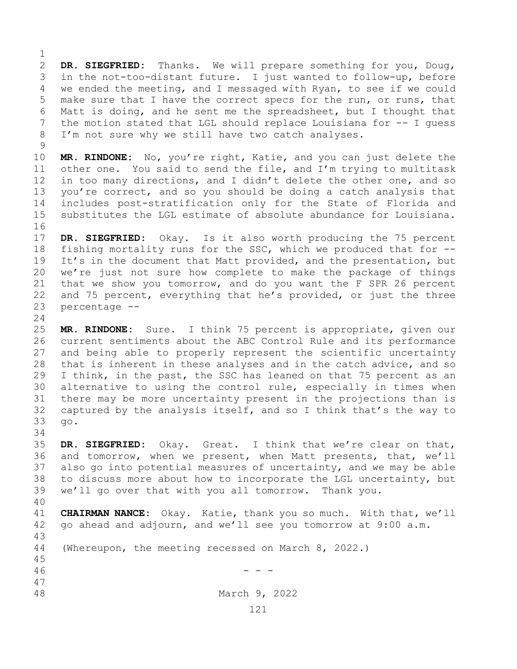$\frac{1}{2}$ 2 **DR. SIEGFRIED:** Thanks. We will prepare something for you, Doug, 3 in the not-too-distant future. I just wanted to follow-up, before<br>4 we ended the meeting, and I messaged with Ryan, to see if we could we ended the meeting, and I messaged with Ryan, to see if we could 5 make sure that I have the correct specs for the run, or runs, that 6 Matt is doing, and he sent me the spreadsheet, but I thought that  $7$  the motion stated that LGL should replace Louisiana for  $-$ - I quess 7 the motion stated that LGL should replace Louisiana for -- I guess<br>8 I'm not sure why we still have two catch analyses. I'm not sure why we still have two catch analyses.

 $\begin{array}{c} 9 \\ 10 \end{array}$ 10 **MR. RINDONE:** No, you're right, Katie, and you can just delete the 11 other one. You said to send the file, and I'm trying to multitask<br>12 in too many directions, and I didn't delete the other one, and so in too many directions, and I didn't delete the other one, and so 13 you're correct, and so you should be doing a catch analysis that 14 includes post-stratification only for the State of Florida and<br>15 substitutes the LGL estimate of absolute abundance for Louisiana. substitutes the LGL estimate of absolute abundance for Louisiana.

16<br>17 17 **DR. SIEGFRIED:** Okay. Is it also worth producing the 75 percent<br>18 fishing mortality runs for the SSC, which we produced that for --18 fishing mortality runs for the SSC, which we produced that for --<br>19 It's in the document that Matt provided, and the presentation, but 19 It's in the document that Matt provided, and the presentation, but<br>20 we're just not sure how complete to make the package of things we're just not sure how complete to make the package of things 21 that we show you tomorrow, and do you want the F SPR 26 percent<br>22 and 75 percent, everything that he's provided, or just the three 22 and 75 percent, everything that he's provided, or just the three  $23$  percentage  $$ percentage --

 $\frac{24}{25}$ MR. RINDONE: Sure. I think 75 percent is appropriate, given our 26 current sentiments about the ABC Control Rule and its performance<br>27 and being able to properly represent the scientific uncertainty and being able to properly represent the scientific uncertainty 28 that is inherent in these analyses and in the catch advice, and so<br>29 I think, in the past, the SSC has leaned on that 75 percent as an I think, in the past, the SSC has leaned on that 75 percent as an 30 alternative to using the control rule, especially in times when<br>31 there may be more uncertainty present in the projections than is 31 there may be more uncertainty present in the projections than is<br>32 captured by the analysis itself, and so I think that's the way to captured by the analysis itself, and so I think that's the way to 33 go.

34<br>35 35 **DR. SIEGFRIED:** Okay. Great. I think that we're clear on that, and tomorrow, when we present, when Matt presents, that, we'll 37 also go into potential measures of uncertainty, and we may be able 38 to discuss more about how to incorporate the LGL uncertainty, but<br>39 we'll go over that with you all tomorrow. Thank you. we'll go over that with you all tomorrow. Thank you.

40 41 **CHAIRMAN NANCE:** Okay. Katie, thank you so much. With that, we'll 42 go ahead and adjourn, and we'll see you tomorrow at 9:00 a.m. 42 go ahead and adjourn, and we'll see you tomorrow at 9:00 a.m. 43 (Whereupon, the meeting recessed on March 8, 2022.) 45

 $46$  - - -

47

March 9, 2022

121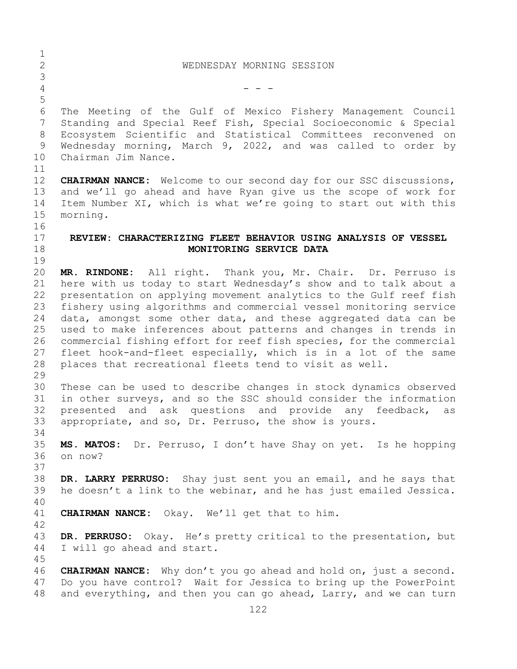| $\mathbf 1$    |                                                                           |
|----------------|---------------------------------------------------------------------------|
| $\overline{2}$ | WEDNESDAY MORNING SESSION                                                 |
| $\mathsf S$    |                                                                           |
| $\overline{4}$ |                                                                           |
| 5              |                                                                           |
| $6\,$          | The Meeting of the Gulf of Mexico Fishery Management Council              |
| 7              | Standing and Special Reef Fish, Special Socioeconomic & Special           |
| 8              | Ecosystem Scientific and Statistical Committees reconvened on             |
| 9              | Wednesday morning, March 9, 2022, and was called to order by              |
| 10             | Chairman Jim Nance.                                                       |
| 11             |                                                                           |
| 12             | <b>CHAIRMAN NANCE:</b> Welcome to our second day for our SSC discussions, |
| 13             | and we'll go ahead and have Ryan give us the scope of work for            |
| 14             | Item Number XI, which is what we're going to start out with this          |
| 15             | morning.                                                                  |
| 16             |                                                                           |
| 17             | REVIEW: CHARACTERIZING FLEET BEHAVIOR USING ANALYSIS OF VESSEL            |
| 18             | MONITORING SERVICE DATA                                                   |
| 19             |                                                                           |
| 20             | MR. RINDONE: All right. Thank you, Mr. Chair. Dr. Perruso is              |
| 21             | here with us today to start Wednesday's show and to talk about a          |
| 22             | presentation on applying movement analytics to the Gulf reef fish         |
| 23             | fishery using algorithms and commercial vessel monitoring service         |
| 24             | data, amongst some other data, and these aggregated data can be           |
| 25             | used to make inferences about patterns and changes in trends in           |
| 26             | commercial fishing effort for reef fish species, for the commercial       |
| 27             | fleet hook-and-fleet especially, which is in a lot of the same            |
| 28             | places that recreational fleets tend to visit as well.                    |
| 29             |                                                                           |
| 30             | These can be used to describe changes in stock dynamics observed          |
| 31             | in other surveys, and so the SSC should consider the information          |
| 32             | presented and ask questions and provide any feedback,<br>as               |
| 33             | appropriate, and so, Dr. Perruso, the show is yours.                      |
| 34             |                                                                           |
| 35             | MS. MATOS: Dr. Perruso, I don't have Shay on yet. Is he hopping           |
| 36             | on now?                                                                   |
| 37             |                                                                           |
| 38             | DR. LARRY PERRUSO: Shay just sent you an email, and he says that          |
| 39             | he doesn't a link to the webinar, and he has just emailed Jessica.        |
| 40             |                                                                           |
| 41             | CHAIRMAN NANCE: Okay. We'll get that to him.                              |
| 42             |                                                                           |
| 43             | DR. PERRUSO: Okay. He's pretty critical to the presentation, but          |
| 44             | I will go ahead and start.                                                |
| 45             |                                                                           |
| 46             | <b>CHAIRMAN NANCE:</b> Why don't you go ahead and hold on, just a second. |
| 47             | Do you have control? Wait for Jessica to bring up the PowerPoint          |
| 48             | and everything, and then you can go ahead, Larry, and we can turn         |
|                | 122                                                                       |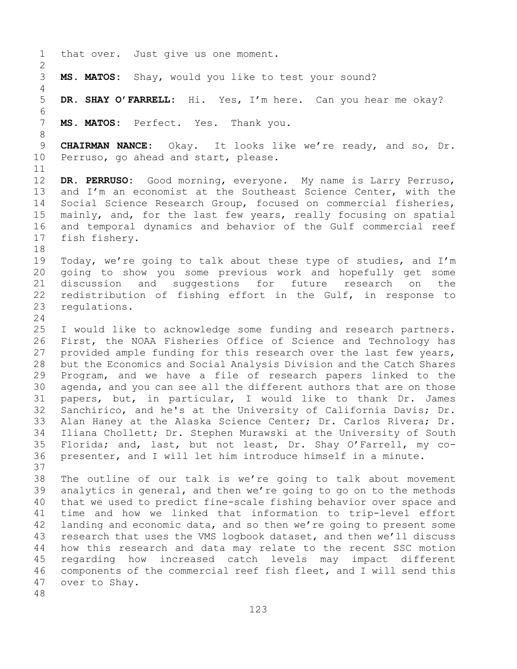1 that over. Just give us one moment.  $\frac{2}{3}$ MS. MATOS: Shay, would you like to test your sound? 4<br>5 5 **DR. SHAY O'FARRELL:** Hi. Yes, I'm here. Can you hear me okay? 6<br>7 MS. MATOS: Perfect. Yes. Thank you. 8 9 **CHAIRMAN NANCE:** Okay. It looks like we're ready, and so, Dr.<br>10 Perruso, go ahead and start, please. Perruso, go ahead and start, please.  $\begin{array}{c} 11 \\ 12 \end{array}$ DR. PERRUSO: Good morning, everyone. My name is Larry Perruso, 13 and I'm an economist at the Southeast Science Center, with the 14 Social Science Research Group, focused on commercial fisheries,<br>15 mainly, and, for the last few years, really focusing on spatial 15 mainly, and, for the last few years, really focusing on spatial<br>16 and temporal dynamics and behavior of the Gulf commercial reef 16 and temporal dynamics and behavior of the Gulf commercial reef<br>17 fish fishery. fish fishery. 18<br>19 19 Today, we're going to talk about these type of studies, and I'm<br>20 qoing to show you some previous work and hopefully get some 20 going to show you some previous work and hopefully get some<br>21 discussion and suggestions for future research on the 21 discussion and suggestions for future research on the<br>22 redistribution of fishing effort in the Gulf, in response to 22 redistribution of fishing effort in the Gulf, in response to<br>23 requlations. regulations.  $\frac{24}{25}$ 25 I would like to acknowledge some funding and research partners.<br>26 First, the NOAA Fisheries Office of Science and Technology has 26 First, the NOAA Fisheries Office of Science and Technology has<br>27 provided ample funding for this research over the last few years, provided ample funding for this research over the last few years, 28 but the Economics and Social Analysis Division and the Catch Shares<br>29 Program, and we have a file of research papers linked to the 29 Program, and we have a file of research papers linked to the<br>30 agenda, and you can see all the different authors that are on those 30 agenda, and you can see all the different authors that are on those<br>31 papers, but, in particular, I would like to thank Dr. James 31 papers, but, in particular, I would like to thank Dr. James<br>32 Sanchirico, and he's at the University of California Davis; Dr. Sanchirico, and he's at the University of California Davis; Dr. 33 Alan Haney at the Alaska Science Center; Dr. Carlos Rivera; Dr.<br>34 Iliana Chollett; Dr. Stephen Murawski at the University of South 34 Iliana Chollett; Dr. Stephen Murawski at the University of South<br>35 Florida; and, last, but not least, Dr. Shay O'Farrell, my co-35 Florida; and, last, but not least, Dr. Shay O'Farrell, my co-<br>36 presenter, and I will let him introduce himself in a minute. presenter, and I will let him introduce himself in a minute. 37<br>38 38 The outline of our talk is we're going to talk about movement<br>39 analytics in general, and then we're going to go on to the methods 39 analytics in general, and then we're going to go on to the methods<br>40 that we used to predict fine-scale fishing behavior over space and 40 that we used to predict fine-scale fishing behavior over space and<br>41 time and how we linked that information to trip-level effort 41 time and how we linked that information to trip-level effort<br>42 landing and economic data, and so then we're going to present some 42 landing and economic data, and so then we're going to present some<br>43 research that uses the VMS logbook dataset, and then we'll discuss 43 research that uses the VMS logbook dataset, and then we'll discuss<br>44 how this research and data may relate to the recent SSC motion how this research and data may relate to the recent SSC motion 45 regarding how increased catch levels may impact different 46 components of the commercial reef fish fleet, and I will send this<br>47 over to Shay. over to Shay. 48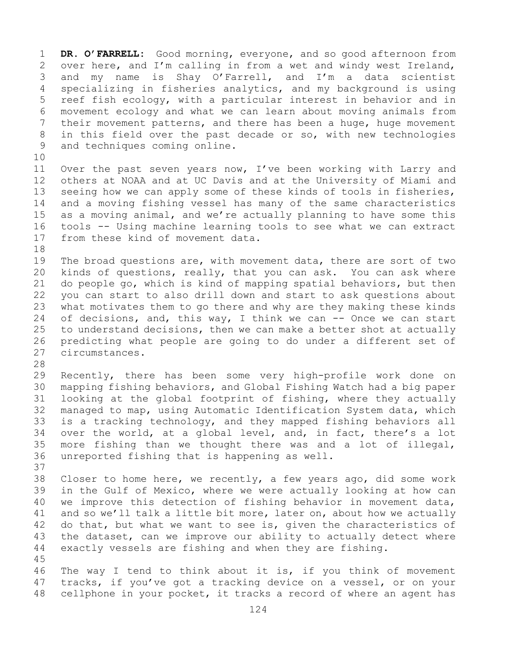1 **DR. O'FARRELL:** Good morning, everyone, and so good afternoon from<br>2 over here, and I'm calling in from a wet and windy west Ireland, 2 over here, and I'm calling in from a wet and windy west Ireland,<br>3 and my name is Shay O'Farrell, and I'm a data scientist 3 and my name is Shay O'Farrell, and I'm a data scientist<br>4 specializing in fisheries analytics, and my background is using specializing in fisheries analytics, and my background is using 5 reef fish ecology, with a particular interest in behavior and in 6 movement ecology and what we can learn about moving animals from 7 their movement patterns, and there has been a huge, huge movement<br>8 in this field over the past decade or so, with new technologies 8 in this field over the past decade or so, with new technologies<br>9 and techniques coming online. and techniques coming online.

10<br>11 11 Over the past seven years now, I've been working with Larry and<br>12 others at NOAA and at UC Davis and at the University of Miami and 12 others at NOAA and at UC Davis and at the University of Miami and<br>13 seeing how we can apply some of these kinds of tools in fisheries, seeing how we can apply some of these kinds of tools in fisheries, 14 and a moving fishing vessel has many of the same characteristics<br>15 as a moving animal, and we're actually planning to have some this 15 as a moving animal, and we're actually planning to have some this<br>16 tools -- Using machine learning tools to see what we can extract 16 tools -- Using machine learning tools to see what we can extract<br>17 from these kind of movement data. from these kind of movement data.

18<br>19 19 The broad questions are, with movement data, there are sort of two<br>20 kinds of questions, really, that you can ask. You can ask where 20 kinds of questions, really, that you can ask. You can ask where<br>21 do people go, which is kind of mapping spatial behaviors, but then 21 do people go, which is kind of mapping spatial behaviors, but then<br>22 you can start to also drill down and start to ask questions about 22 you can start to also drill down and start to ask questions about<br>23 what motivates them to go there and why are they making these kinds 23 what motivates them to go there and why are they making these kinds<br>24 of decisions, and, this way, I think we can -- Once we can start 24 of decisions, and, this way, I think we can  $-$  Once we can start<br>25 to understand decisions, then we can make a better shot at actually 25 to understand decisions, then we can make a better shot at actually<br>26 predicting what people are going to do under a different set of 26 predicting what people are going to do under a different set of<br>27 circumstances. circumstances.

28<br>29

37

29 Recently, there has been some very high-profile work done on<br>30 mapping fishing behaviors, and Global Fishing Watch had a big paper 30 mapping fishing behaviors, and Global Fishing Watch had a big paper<br>31 Iooking at the global footprint of fishing, where they actually 31 looking at the global footprint of fishing, where they actually<br>32 manaqed to map, using Automatic Identification System data, which 32 managed to map, using Automatic Identification System data, which<br>33 is a tracking technology, and they mapped fishing behaviors all 33 is a tracking technology, and they mapped fishing behaviors all<br>34 over the world, at a global level, and, in fact, there's a lot 34 over the world, at a global level, and, in fact, there's a lot<br>35 more fishing than we thought there was and a lot of illegal, 35 more fishing than we thought there was and a lot of illegal,<br>36 unreported fishing that is happening as well. unreported fishing that is happening as well.

38 Closer to home here, we recently, a few years ago, did some work<br>39 in the Gulf of Mexico, where we were actually looking at how can 39 in the Gulf of Mexico, where we were actually looking at how can<br>40 we improve this detection of fishing behavior in movement data, 40 we improve this detection of fishing behavior in movement data,<br>41 and so we'll talk a little bit more, later on, about how we actually 41 and so we'll talk a little bit more, later on, about how we actually<br>42 do that, but what we want to see is, given the characteristics of 42 do that, but what we want to see is, given the characteristics of<br>43 the dataset, can we improve our ability to actually detect where 43 the dataset, can we improve our ability to actually detect where<br>44 exactly vessels are fishing and when they are fishing. exactly vessels are fishing and when they are fishing. 45

46 The way I tend to think about it is, if you think of movement<br>47 tracks, if you've got a tracking device on a vessel, or on your 47 tracks, if you've got a tracking device on a vessel, or on your<br>48 cellphone in your pocket, it tracks a record of where an agent has cellphone in your pocket, it tracks a record of where an agent has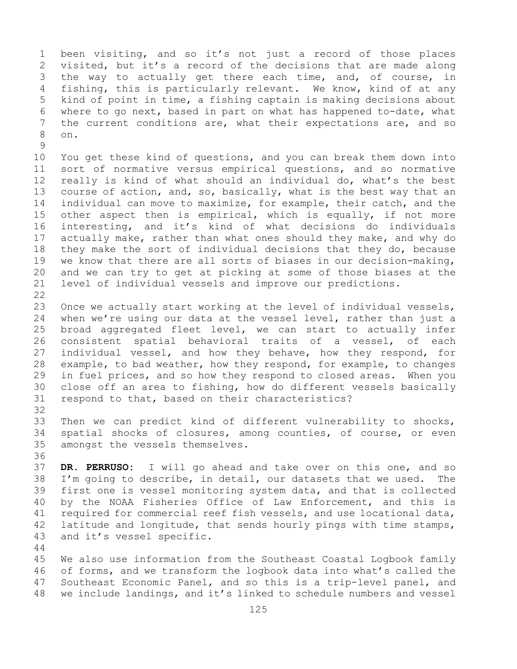1 been visiting, and so it's not just a record of those places<br>2 visited, but it's a record of the decisions that are made along 2 visited, but it's a record of the decisions that are made along<br>3 the way to actually get there each time, and, of course, in 3 the way to actually get there each time, and, of course, in<br>4 fishing, this is particularly relevant. We know, kind of at any fishing, this is particularly relevant. We know, kind of at any 5 kind of point in time, a fishing captain is making decisions about 6 where to go next, based in part on what has happened to-date, what<br>7 the current conditions are, what their expectations are, and so 7 the current conditions are, what their expectations are, and so<br>8 on. 8 on.

 $\frac{9}{10}$ 10 You get these kind of questions, and you can break them down into<br>11 sort of normative versus empirical questions, and so normative 11 sort of normative versus empirical questions, and so normative<br>12 really is kind of what should an individual do, what's the best 12 really is kind of what should an individual do, what's the best<br>13 course of action, and, so, basically, what is the best way that an course of action, and, so, basically, what is the best way that an 14 individual can move to maximize, for example, their catch, and the<br>15 other aspect then is empirical, which is equally, if not more 15 other aspect then is empirical, which is equally, if not more<br>16 interesting, and it's kind of what decisions do individuals 16 interesting, and it's kind of what decisions do individuals<br>17 actually make, rather than what ones should they make, and why do 17 actually make, rather than what ones should they make, and why do<br>18 they make the sort of individual decisions that they do, because 18 they make the sort of individual decisions that they do, because<br>19 we know that there are all sorts of biases in our decision-making, 19 we know that there are all sorts of biases in our decision-making,<br>20 and we can try to get at picking at some of those biases at the 20 and we can try to get at picking at some of those biases at the<br>21 level of individual vessels and improve our predictions. level of individual vessels and improve our predictions.

 $\begin{array}{c} 22 \\ 23 \end{array}$ 23 Once we actually start working at the level of individual vessels,<br>24 when we're using our data at the vessel level, rather than just a 24 when we're using our data at the vessel level, rather than just a<br>25 broad aggregated fleet level, we can start to actually infer 25 broad aggregated fleet level, we can start to actually infer<br>26 consistent spatial behavioral traits of a vessel, of each 26 consistent spatial behavioral traits of a vessel, of each<br>27 individual vessel, and how they behave, how they respond, for individual vessel, and how they behave, how they respond, for 28 example, to bad weather, how they respond, for example, to changes<br>29 in fuel prices, and so how they respond to closed areas. When you 29 in fuel prices, and so how they respond to closed areas. When you<br>30 close off an area to fishing, how do different vessels basically 30 close off an area to fishing, how do different vessels basically<br>31 respond to that, based on their characteristics? respond to that, based on their characteristics?

44

32<br>33 33 Then we can predict kind of different vulnerability to shocks,<br>34 spatial shocks of closures, among counties, of course, or even 34 spatial shocks of closures, among counties, of course, or even<br>35 amongst the vessels themselves. amongst the vessels themselves.

36<br>37 DR. PERRUSO: I will go ahead and take over on this one, and so 38 I'm going to describe, in detail, our datasets that we used. The<br>39 first one is vessel monitoring system data, and that is collected 39 first one is vessel monitoring system data, and that is collected<br>40 by the NOAA Fisheries Office of Law Enforcement, and this is 40 by the NOAA Fisheries Office of Law Enforcement, and this is<br>41 required for commercial reef fish vessels, and use locational data, 41 required for commercial reef fish vessels, and use locational data,<br>42 latitude and longitude, that sends hourly pings with time stamps, 42 latitude and longitude, that sends hourly pings with time stamps,<br>43 and it's vessel specific. and it's vessel specific.

45 We also use information from the Southeast Coastal Logbook family 46 of forms, and we transform the logbook data into what's called the<br>47 Southeast Economic Panel, and so this is a trip-level panel, and 47 Southeast Economic Panel, and so this is a trip-level panel, and<br>48 we include landings, and it's linked to schedule numbers and vessel we include landings, and it's linked to schedule numbers and vessel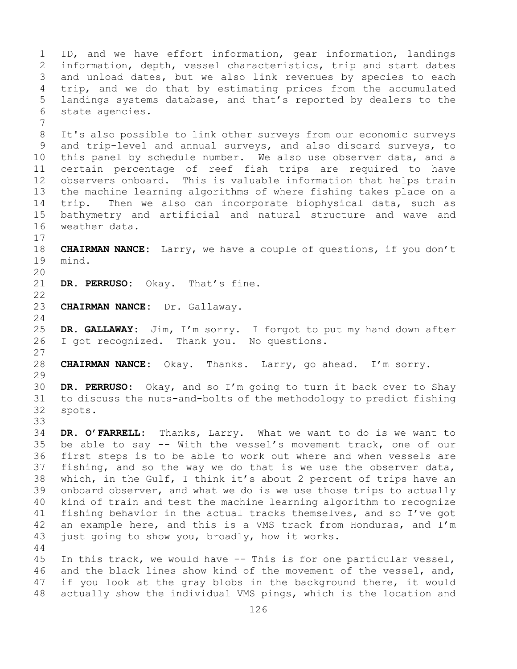1 ID, and we have effort information, gear information, landings<br>2 information, depth, vessel characteristics, trip and start dates 2 information, depth, vessel characteristics, trip and start dates<br>3 and unload dates, but we also link revenues by species to each 3 and unload dates, but we also link revenues by species to each<br>4 trip, and we do that by estimating prices from the accumulated trip, and we do that by estimating prices from the accumulated 5 landings systems database, and that's reported by dealers to the 6 state agencies. 7 8 It's also possible to link other surveys from our economic surveys<br>9 and trip-level and annual surveys, and also discard surveys, to 9 and trip-level and annual surveys, and also discard surveys, to<br>10 this panel by schedule number. We also use observer data, and a 10 this panel by schedule number. We also use observer data, and a<br>11 certain percentage of reef fish trips are required to have 11 certain percentage of reef fish trips are required to have<br>12 observers onboard. This is valuable information that helps train observers onboard. This is valuable information that helps train 13 the machine learning algorithms of where fishing takes place on a 14 trip. Then we also can incorporate biophysical data, such as<br>15 bathvmetrv and artificial and natural structure and wave and 15 bathymetry and artificial and natural structure and wave and weather data.  $\begin{array}{c} 17 \\ 18 \end{array}$ 18 **CHAIRMAN NANCE:** Larry, we have a couple of questions, if you don't mind. 20<br>21 DR. PERRUSO: Okay. That's fine.  $\begin{array}{c} 22 \\ 23 \end{array}$ 23 **CHAIRMAN NANCE:** Dr. Gallaway.  $\frac{24}{25}$ 25 **DR. GALLAWAY:** Jim, I'm sorry. I forgot to put my hand down after<br>26 I got recognized. Thank you. No questions. I got recognized. Thank you. No questions.  $\frac{27}{28}$ 28 **CHAIRMAN NANCE:** Okay. Thanks. Larry, go ahead. I'm sorry. 29<br>30 30 **DR. PERRUSO:** Okay, and so I'm going to turn it back over to Shay 31 to discuss the nuts-and-bolts of the methodology to predict fishing<br>32 spots. spots. 33<br>34 34 **DR. O'FARRELL:** Thanks, Larry. What we want to do is we want to 35 be able to say -- With the vessel's movement track, one of our<br>36 first steps is to be able to work out where and when vessels are first steps is to be able to work out where and when vessels are 37 fishing, and so the way we do that is we use the observer data, 38 which, in the Gulf, I think it's about 2 percent of trips have an<br>39 onboard observer, and what we do is we use those trips to actually 39 onboard observer, and what we do is we use those trips to actually<br>40 kind of train and test the machine learning algorithm to recognize 40 kind of train and test the machine learning algorithm to recognize<br>41 fishing behavior in the actual tracks themselves, and so I've got 41 fishing behavior in the actual tracks themselves, and so I've got<br>42 an example here, and this is a VMS track from Honduras, and I'm 42 an example here, and this is a VMS track from Honduras, and I'm<br>43 just going to show you, broadly, how it works. just going to show you, broadly, how it works. 44 45 In this track, we would have -- This is for one particular vessel, 46 and the black lines show kind of the movement of the vessel, and,<br>47 if you look at the gray blobs in the background there, it would 47 if you look at the gray blobs in the background there, it would<br>48 actually show the individual VMS pings, which is the location and actually show the individual VMS pings, which is the location and

126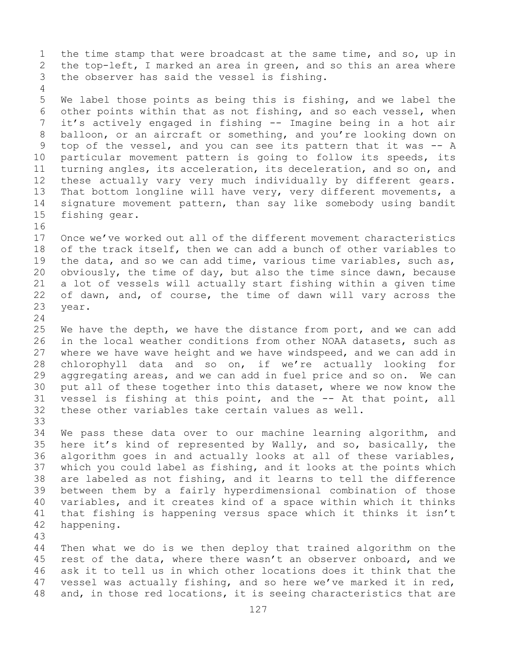1 the time stamp that were broadcast at the same time, and so, up in<br>2 the top-left, I marked an area in green, and so this an area where 2 the top-left, I marked an area in green, and so this an area where<br>3 the observer has said the vessel is fishing. the observer has said the vessel is fishing.

5 We label those points as being this is fishing, and we label the 6 other points within that as not fishing, and so each vessel, when 7 it's actively engaged in fishing -- Imagine being in a hot air<br>8 balloon, or an aircraft or something, and you're looking down on 8 balloon, or an aircraft or something, and you're looking down on<br>9 top of the vessel, and you can see its pattern that it was -- A 9 top of the vessel, and you can see its pattern that it was -- A<br>10 particular movement pattern is going to follow its speeds, its 10 particular movement pattern is going to follow its speeds, its<br>11 turning angles, its acceleration, its deceleration, and so on, and 11 turning angles, its acceleration, its deceleration, and so on, and<br>12 these actually vary very much individually by different gears. these actually vary very much individually by different gears. 13 That bottom longline will have very, very different movements, a 14 signature movement pattern, than say like somebody using bandit<br>15 fishing gear. fishing gear.

16<br>17 17 Once we've worked out all of the different movement characteristics<br>18 of the track itself, then we can add a bunch of other variables to 18 of the track itself, then we can add a bunch of other variables to<br>19 the data, and so we can add time, various time variables, such as, 19 the data, and so we can add time, various time variables, such as,<br>20 obviously, the time of day, but also the time since dawn, because  $obviously$ , the time of day, but also the time since dawn, because 21 a lot of vessels will actually start fishing within a given time<br>22 of dawn, and, of course, the time of dawn will vary across the 22 of dawn, and, of course, the time of dawn will vary across the 23 year. year.

 $\frac{24}{25}$ 25 We have the depth, we have the distance from port, and we can add<br>26 in the local weather conditions from other NOAA datasets, such as 26 in the local weather conditions from other NOAA datasets, such as<br>27 where we have wave height and we have windspeed, and we can add in where we have wave height and we have windspeed, and we can add in 28 chlorophyll data and so on, if we're actually looking for<br>29 aggregating areas, and we can add in fuel price and so on. We can 29 aggregating areas, and we can add in fuel price and so on. We can<br>30 put all of these together into this dataset, where we now know the 30 put all of these together into this dataset, where we now know the<br>31 vessel is fishing at this point, and the -- At that point, all 31 vessel is fishing at this point, and the -- At that point, all<br>32 these other variables take certain values as well. these other variables take certain values as well.

33<br>34 34 We pass these data over to our machine learning algorithm, and<br>35 here it's kind of represented by Wally, and so, basically, the 35 here it's kind of represented by Wally, and so, basically, the<br>36 algorithm goes in and actually looks at all of these variables, algorithm goes in and actually looks at all of these variables, 37 which you could label as fishing, and it looks at the points which 38 are labeled as not fishing, and it learns to tell the difference<br>39 between them by a fairly hyperdimensional combination of those 39 between them by a fairly hyperdimensional combination of those<br>40 variables, and it creates kind of a space within which it thinks 40 variables, and it creates kind of a space within which it thinks<br>41 that fishing is happening versus space which it thinks it isn't 41 that fishing is happening versus space which it thinks it isn't<br>42 happening. happening.

43

4

Then what we do is we then deploy that trained algorithm on the 45 rest of the data, where there wasn't an observer onboard, and we 46 ask it to tell us in which other locations does it think that the<br>47 vessel was actually fishing, and so here we've marked it in red, 47 vessel was actually fishing, and so here we've marked it in red,<br>48 and, in those red locations, it is seeing characteristics that are and, in those red locations, it is seeing characteristics that are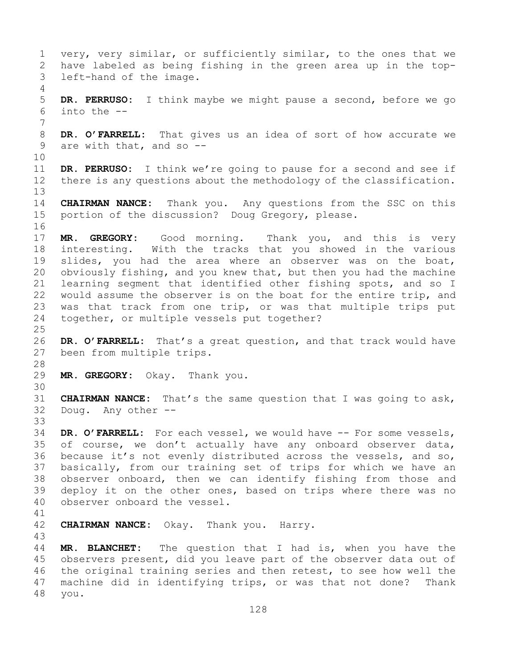1 very, very similar, or sufficiently similar, to the ones that we<br>2 have labeled as being fishing in the green area up in the top-2 have labeled as being fishing in the green area up in the topleft-hand of the image. 4 5 **DR. PERRUSO:** I think maybe we might pause a second, before we go 6 into the -- 7 8 **DR. O'FARRELL:** That gives us an idea of sort of how accurate we<br>9 are with that, and so -are with that, and so  $-$ -10<br>11 11 **DR. PERRUSO:** I think we're going to pause for a second and see if <br>12 there is any questions about the methodology of the classification. there is any questions about the methodology of the classification. 13 14 **CHAIRMAN NANCE:** Thank you. Any questions from the SSC on this<br>15 portion of the discussion? Doug Gregory, please. portion of the discussion? Doug Gregory, please. 16<br>17 17 **MR. GREGORY:** Good morning. Thank you, and this is very 18 interesting. With the tracks that you showed in the various<br>19 slides, you had the area where an observer was on the boat, 19 slides, you had the area where an observer was on the boat,<br>20 obviously fishing, and you knew that, but then you had the machine 20 obviously fishing, and you knew that, but then you had the machine 21 learning segment that identified other fishing spots, and so I<br>22 would assume the observer is on the boat for the entire trip, and 22 would assume the observer is on the boat for the entire trip, and<br>23 was that track from one trip, or was that multiple trips put 23 was that track from one trip, or was that multiple trips put<br>24 together, or multiple vessels put together? together, or multiple vessels put together?  $\frac{25}{26}$ 26 **DR. O'FARRELL:** That's a great question, and that track would have 27 been from multiple trips. been from multiple trips. 28<br>29 MR. GREGORY: Okay. Thank you. 30<br>31 31 **CHAIRMAN NANCE:** That's the same question that I was going to ask,<br>32 Doug. Any other --Any other --33<br>34 34 DR. O'FARRELL: For each vessel, we would have -- For some vessels,<br>35 of course, we don't actually have any onboard observer data, 35 of course, we don't actually have any onboard observer data,<br>36 because it's not evenly distributed across the vessels, and so, because it's not evenly distributed across the vessels, and so, 37 basically, from our training set of trips for which we have an 38 observer onboard, then we can identify fishing from those and<br>39 deploy it on the other ones, based on trips where there was no 39 deploy it on the other ones, based on trips where there was no<br>40 observer onboard the vessel. observer onboard the vessel. 41<br>42 **CHAIRMAN NANCE:** Okay. Thank you. Harry. 43 MR. BLANCHET: The question that I had is, when you have the 45 observers present, did you leave part of the observer data out of 46 the original training series and then retest, to see how well the<br>47 machine did in identifving trips, or was that not done? Thank 47 machine did in identifying trips, or was that not done? Thank<br>48 you. you.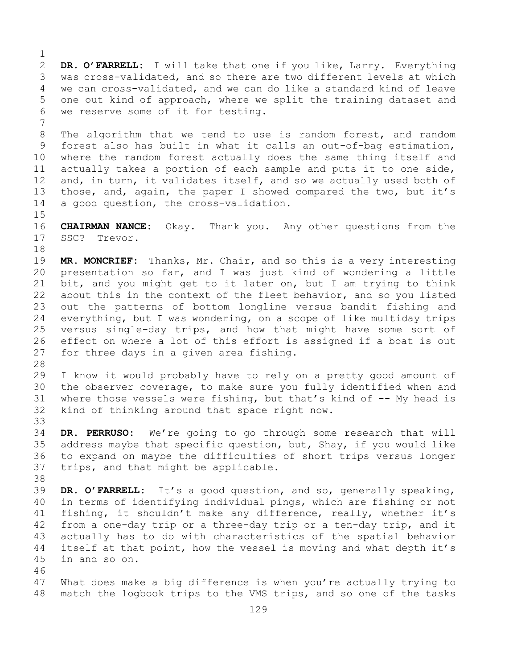$\frac{1}{2}$ 2 **DR. O'FARRELL:** I will take that one if you like, Larry. Everything 3 was cross-validated, and so there are two different levels at which<br>4 we can cross-validated, and we can do like a standard kind of leave we can cross-validated, and we can do like a standard kind of leave 5 one out kind of approach, where we split the training dataset and 6 we reserve some of it for testing.

7 8 The algorithm that we tend to use is random forest, and random<br>9 forest also has built in what it calls an out-of-bag estimation, 9 forest also has built in what it calls an out-of-bag estimation,<br>10 where the random forest actually does the same thing itself and 10 where the random forest actually does the same thing itself and<br>11 actually takes a portion of each sample and puts it to one side. 11 actually takes a portion of each sample and puts it to one side,<br>12 and, in turn, it validates itself, and so we actually used both of and, in turn, it validates itself, and so we actually used both of 13 those, and, again, the paper I showed compared the two, but it's 14 a good question, the cross-validation.

 $15$ <br> $16$ 16 **CHAIRMAN NANCE:** Okay. Thank you. Any other questions from the SSC? Trevor. SSC? Trevor.

18<br>19 19 **MR. MONCRIEF:** Thanks, Mr. Chair, and so this is a very interesting presentation so far, and I was just kind of wondering a little 21 bit, and you might get to it later on, but I am trying to think<br>22 about this in the context of the fleet behavior, and so you listed 22 about this in the context of the fleet behavior, and so you listed<br>23 out the patterns of bottom longline versus bandit fishing and 23 out the patterns of bottom longline versus bandit fishing and<br>24 everything, but I was wondering, on a scope of like multiday trips 24 everything, but I was wondering, on a scope of like multiday trips<br>25 versus single-day trips, and how that might have some sort of 25 versus single-day trips, and how that might have some sort of<br>26 effect on where a lot of this effort is assigned if a boat is out 26 effect on where a lot of this effort is assigned if a boat is out<br>27 for three davs in a given area fishing. for three days in a given area fishing.

28<br>29 I know it would probably have to rely on a pretty good amount of 30 the observer coverage, to make sure you fully identified when and<br>31 where those vessels were fishing, but that's kind of -- My head is 31 where those vessels were fishing, but that's kind of  $-$ - My head is 32 kind of thinking around that space right now. kind of thinking around that space right now.

33<br>34 34 **DR. PERRUSO:** We're going to go through some research that will 35 address maybe that specific question, but, Shay, if you would like<br>36 to expand on maybe the difficulties of short trips versus longer to expand on maybe the difficulties of short trips versus longer 37 trips, and that might be applicable.

38<br>39 39 **DR. O'FARRELL:** It's a good question, and so, generally speaking,<br>40 in terms of identifying individual pings, which are fishing or not 40 in terms of identifying individual pings, which are fishing or not<br>41 fishing, it shouldn't make any difference, really, whether it's 41 fishing, it shouldn't make any difference, really, whether it's<br>42 from a one-day trip or a three-day trip or a ten-day trip, and it 42 from a one-day trip or a three-day trip or a ten-day trip, and it<br>43 actually has to do with characteristics of the spatial behavior 43 actually has to do with characteristics of the spatial behavior<br>44 itself at that point, how the vessel is moving and what depth it's itself at that point, how the vessel is moving and what depth it's 45 in and so on.

46<br>47 47 What does make a big difference is when you're actually trying to<br>48 match the logbook trips to the VMS trips, and so one of the tasks match the logbook trips to the VMS trips, and so one of the tasks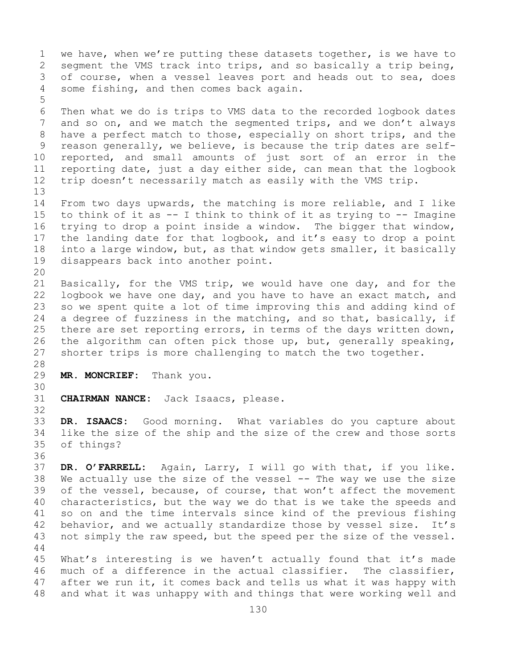1 we have, when we're putting these datasets together, is we have to<br>2 segment the VMS track into trips, and so basically a trip being, 2 segment the VMS track into trips, and so basically a trip being,<br>3 of course, when a vessel leaves port and heads out to sea, does 3 of course, when a vessel leaves port and heads out to sea, does<br>4 some fishing, and then comes back again. some fishing, and then comes back again. 5 6 Then what we do is trips to VMS data to the recorded logbook dates<br>7 and so on, and we match the segmented trips, and we don't always 7 and so on, and we match the segmented trips, and we don't always<br>8 have a perfect match to those, especially on short trips, and the 8 have a perfect match to those, especially on short trips, and the<br>9 reason generally, we believe, is because the trip dates are self-9 reason generally, we believe, is because the trip dates are self-<br>10 reported, and small amounts of just sort of an error in the 10 reported, and small amounts of just sort of an error in the<br>11 reporting date, just a day either side, can mean that the logbook 11 reporting date, just a day either side, can mean that the logbook<br>12 trip doesn't necessarily match as easily with the VMS trip. trip doesn't necessarily match as easily with the VMS trip. 13 14 From two days upwards, the matching is more reliable, and I like<br>15 to think of it as -- I think to think of it as trving to -- Imagine 15 to think of it as  $-$  I think to think of it as trying to  $-$  Imagine<br>16 trying to drop a point inside a window. The bigger that window, 16 trying to drop a point inside a window. The bigger that window,<br>17 the landing date for that logbook, and it's easy to drop a point 17 the landing date for that logbook, and it's easy to drop a point<br>18 into a large window, but, as that window gets smaller, it basically 18 into a large window, but, as that window gets smaller, it basically<br>19 disappears back into another point. disappears back into another point. 20<br>21 21 Basically, for the VMS trip, we would have one day, and for the<br>22 logbook we have one day, and you have to have an exact match, and 22 logbook we have one day, and you have to have an exact match, and<br>23 so we spent quite a lot of time improving this and adding kind of 23 so we spent quite a lot of time improving this and adding kind of<br>24 a degree of fuzziness in the matching, and so that, basically, if 24 a degree of fuzziness in the matching, and so that, basically, if<br>25 there are set reporting errors, in terms of the days written down, 25 there are set reporting errors, in terms of the days written down,<br>26 the algorithm can often pick those up, but, generally speaking, 26 the algorithm can often pick those up, but, generally speaking,<br>27 shorter trips is more challenging to match the two together. shorter trips is more challenging to match the two together. 28<br>29 MR. MONCRIEF: Thank you. 30<br>31 CHAIRMAN NANCE: Jack Isaacs, please. 32 33 **DR. ISAACS:** Good morning. What variables do you capture about 34 like the size of the ship and the size of the crew and those sorts<br>35 of things? of things? 36<br>37 DR. O'FARRELL: Again, Larry, I will go with that, if you like. 38 We actually use the size of the vessel -- The way we use the size<br>39 of the vessel, because, of course, that won't affect the movement 39 of the vessel, because, of course, that won't affect the movement<br>40 characteristics, but the way we do that is we take the speeds and 40 characteristics, but the way we do that is we take the speeds and<br>41 so on and the time intervals since kind of the previous fishing 41 so on and the time intervals since kind of the previous fishing<br>42 behavior, and we actually standardize those by vessel size. It's 42 behavior, and we actually standardize those by vessel size.<br>43 not simply the raw speed, but the speed per the size of the ve not simply the raw speed, but the speed per the size of the vessel. 44 45 What's interesting is we haven't actually found that it's made<br>46 much of a difference in the actual classifier. The classifier, 46 much of a difference in the actual classifier.<br>47 after we run it, it comes back and tells us what 47 after we run it, it comes back and tells us what it was happy with<br>48 and what it was unhappy with and things that were working well and and what it was unhappy with and things that were working well and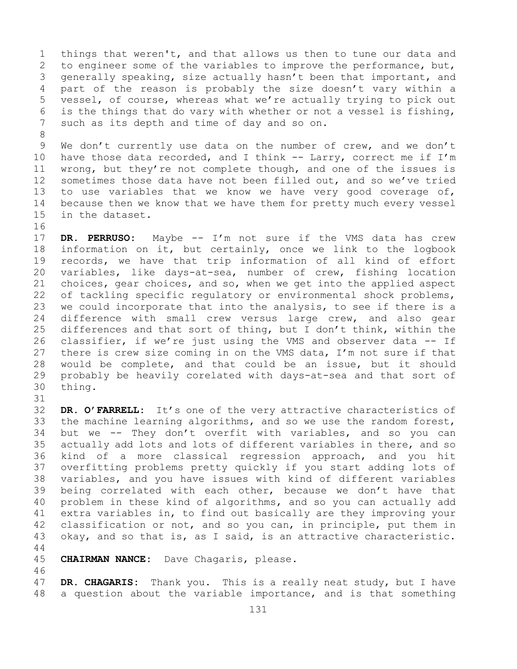1 things that weren't, and that allows us then to tune our data and<br>2 to engineer some of the variables to improve the performance, but, 2 to engineer some of the variables to improve the performance, but,<br>3 qenerally speaking, size actually hasn't been that important, and 3 generally speaking, size actually hasn't been that important, and<br>4 part of the reason is probably the size doesn't vary within a part of the reason is probably the size doesn't vary within a 5 vessel, of course, whereas what we're actually trying to pick out 6 is the things that do vary with whether or not a vessel is fishing,<br>7 such as its depth and time of dav and so on. such as its depth and time of day and so on.

8 9 We don't currently use data on the number of crew, and we don't<br>10 have those data recorded, and I think -- Larry, correct me if I'm 10 have those data recorded, and I think  $--$  Larry, correct me if I'm<br>11 wrong, but they're not complete though, and one of the issues is 11 wrong, but they're not complete though, and one of the issues is<br>12 sometimes those data have not been filled out, and so we've tried sometimes those data have not been filled out, and so we've tried 13 to use variables that we know we have very good coverage of, 14 because then we know that we have them for pretty much every vessel<br>15 in the dataset. in the dataset.

16<br>17

17 **DR. PERRUSO:** Maybe -- I'm not sure if the VMS data has crew 18 information on it, but certainly, once we link to the logbook<br>19 records, we have that trip information of all kind of effort 19 records, we have that trip information of all kind of effort<br>20 variables, like davs-at-sea, number of crew, fishing location 20 variables, like days-at-sea, number of crew, fishing location<br>21 choices, gear choices, and so, when we get into the applied aspect 21 choices, gear choices, and so, when we get into the applied aspect<br>22 of tackling specific regulatory or environmental shock problems, 22 of tackling specific regulatory or environmental shock problems,<br>23 we could incorporate that into the analysis, to see if there is a 23 we could incorporate that into the analysis, to see if there is a<br>24 difference with small crew versus large crew, and also gear 24 difference with small crew versus large crew, and also gear<br>25 differences and that sort of thing, but I don't think, within the 25 differences and that sort of thing, but I don't think, within the  $26$  classifier, if we're just using the VMS and observer data  $-$ - If 26 classifier, if we're just using the VMS and observer data -- If<br>27 there is crew size coming in on the VMS data, I'm not sure if that there is crew size coming in on the VMS data, I'm not sure if that 28 would be complete, and that could be an issue, but it should<br>29 probably be heavily corelated with days-at-sea and that sort of 29 probably be heavily corelated with days-at-sea and that sort of thing.

31<br>32

DR. O'FARRELL: It's one of the very attractive characteristics of 33 the machine learning algorithms, and so we use the random forest,<br>34 but we -- They don't overfit with variables, and so you can 34 but we -- They don't overfit with variables, and so you can<br>35 actually add lots and lots of different variables in there, and so 35 actually add lots and lots of different variables in there, and so<br>36 kind of a more classical regression approach, and you hit kind of a more classical regression approach, and you hit 37 overfitting problems pretty quickly if you start adding lots of 38 variables, and you have issues with kind of different variables<br>39 being correlated with each other, because we don't have that 39 being correlated with each other, because we don't have that<br>40 problem in these kind of algorithms, and so you can actually add 40 problem in these kind of algorithms, and so you can actually add<br>41 extra variables in, to find out basically are they improving your 41 extra variables in, to find out basically are they improving your<br>42 classification or not, and so you can, in principle, put them in 42 classification or not, and so you can, in principle, put them in<br>43 okav, and so that is, as I said, is an attractive characteristic. okay, and so that is, as I said, is an attractive characteristic.

44

45 **CHAIRMAN NANCE:** Dave Chagaris, please.

46<br>47 47 **DR. CHAGARIS:** Thank you. This is a really neat study, but I have<br>48 a question about the variable importance, and is that something a question about the variable importance, and is that something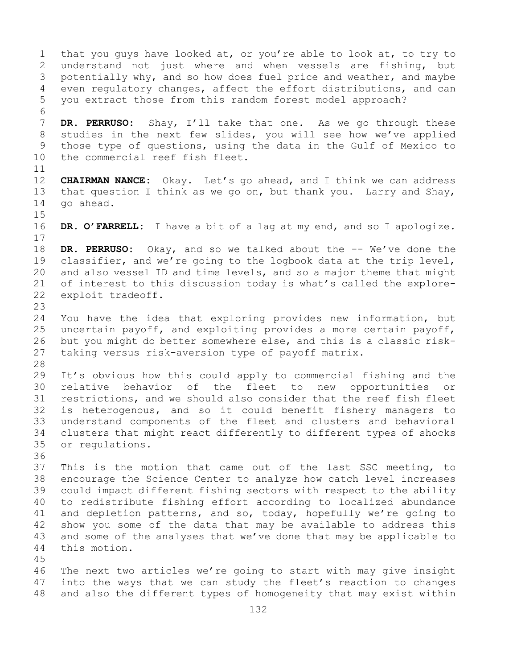1 that you guys have looked at, or you're able to look at, to try to<br>2 understand not just where and when vessels are fishing, but 2 understand not just where and when vessels are fishing, but<br>3 potentially why, and so how does fuel price and weather, and maybe 3 potentially why, and so how does fuel price and weather, and maybe<br>4 even requlatory changes, affect the effort distributions, and can even regulatory changes, affect the effort distributions, and can 5 you extract those from this random forest model approach? 6<br>7 7 **DR. PERRUSO:** Shay, I'll take that one. As we go through these<br>8 studies in the next few slides, you will see how we've applied 8 studies in the next few slides, you will see how we've applied<br>9 those type of questions, using the data in the Gulf of Mexico to 9 those type of questions, using the data in the Gulf of Mexico to<br>10 the commercial reef fish fleet. the commercial reef fish fleet. 11<br>12 12 **CHAIRMAN NANCE:** Okay. Let's go ahead, and I think we can address 13 that question I think as we go on, but thank you. Larry and Shay, 14 go ahead.  $15$ <br> $16$ DR. O'FARRELL: I have a bit of a lag at my end, and so I apologize.  $\begin{array}{c} 17 \\ 18 \end{array}$ 18 **DR. PERRUSO:** Okay, and so we talked about the -- We've done the 19 classifier, and we're going to the logbook data at the trip level, 19 classifier, and we're going to the logbook data at the trip level,<br>20 and also vessel ID and time levels, and so a major theme that might 20 and also vessel ID and time levels, and so a major theme that might<br>21 of interest to this discussion today is what's called the explore-21 of interest to this discussion today is what's called the explore-<br>22 exploit tradeoff. exploit tradeoff. 23 24 You have the idea that exploring provides new information, but<br>25 uncertain payoff, and exploiting provides a more certain payoff, 25 uncertain payoff, and exploiting provides a more certain payoff,<br>26 but you might do better somewhere else, and this is a classic risk-26 but you might do better somewhere else, and this is a classic risk-<br>27 taking versus risk-aversion type of pavoff matrix. taking versus risk-aversion type of payoff matrix. 28<br>29 29 It's obvious how this could apply to commercial fishing and the<br>30 relative behavior of the fleet to new opportunities or 30 relative behavior of the fleet to new opportunities or<br>31 restrictions, and we should also consider that the reef fish fleet 31 restrictions, and we should also consider that the reef fish fleet<br>32 is heterogenous, and so it could benefit fishery managers to is heterogenous, and so it could benefit fishery managers to 33 understand components of the fleet and clusters and behavioral 34 clusters that might react differently to different types of shocks<br>35 or requlations. or regulations. 36<br>37 This is the motion that came out of the last SSC meeting, to 38 encourage the Science Center to analyze how catch level increases<br>39 could impact different fishing sectors with respect to the ability 39 could impact different fishing sectors with respect to the ability<br>40 to redistribute fishing effort according to localized abundance 40 to redistribute fishing effort according to localized abundance<br>41 and depletion patterns, and so, today, hopefully we're going to 41 and depletion patterns, and so, today, hopefully we're going to<br>42 show you some of the data that may be available to address this 42 show you some of the data that may be available to address this<br>43 and some of the analyses that we've done that may be applicable to 43 and some of the analyses that we've done that may be applicable to 44 this motion. this motion. 45 46 The next two articles we're going to start with may give insight<br>47 into the ways that we can study the fleet's reaction to changes

47 into the ways that we can study the fleet's reaction to changes<br>48 and also the different types of homogeneity that may exist within and also the different types of homogeneity that may exist within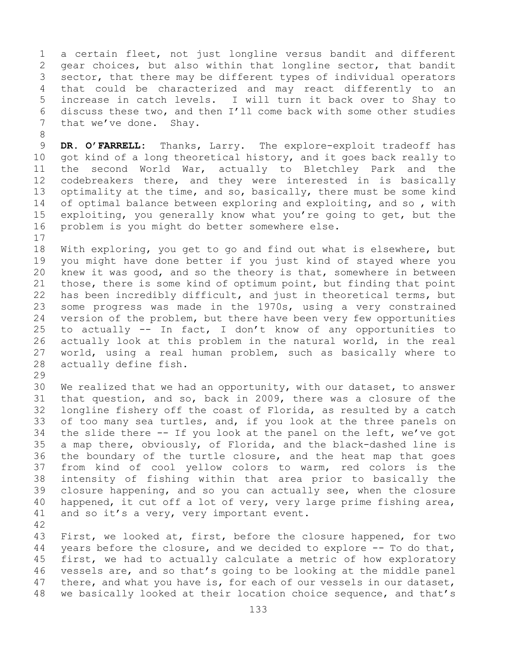1 a certain fleet, not just longline versus bandit and different<br>2 qear choices, but also within that longline sector, that bandit 2 gear choices, but also within that longline sector, that bandit<br>3 sector, that there may be different types of individual operators 3 sector, that there may be different types of individual operators<br>4 that could be characterized and may react differently to an that could be characterized and may react differently to an 5 increase in catch levels. I will turn it back over to Shay to 6 discuss these two, and then  $I'11$  come back with some other studies<br>7 that we've done. Shav. that we've done. Shay.

8 9 **DR. O'FARRELL:** Thanks, Larry. The explore-exploit tradeoff has<br>10 got kind of a long theoretical history, and it goes back really to 10 got kind of a long theoretical history, and it goes back really to<br>11 the second World War, actually to Bletchley Park and the 11 the second World War, actually to Bletchley Park and the<br>12 codebreakers there, and they were interested in is basically codebreakers there, and they were interested in is basically 13 optimality at the time, and so, basically, there must be some kind 14 of optimal balance between exploring and exploiting, and so, with<br>15 exploiting, you generally know what you're going to get, but the 15 exploiting, you generally know what you're going to get, but the<br>16 problem is you might do better somewhere else. problem is you might do better somewhere else.

 $\begin{array}{c} 17 \\ 18 \end{array}$ 18 With exploring, you get to go and find out what is elsewhere, but<br>19 vou might have done better if you just kind of staved where you 19 you might have done better if you just kind of stayed where you<br>20 knew it was good, and so the theory is that, somewhere in between 20 knew it was good, and so the theory is that, somewhere in between<br>21 those, there is some kind of optimum point, but finding that point 21 those, there is some kind of optimum point, but finding that point<br>22 has been incredibly difficult, and just in theoretical terms, but 22 has been incredibly difficult, and just in theoretical terms, but<br>23 some progress was made in the 1970s, using a very constrained 23 some progress was made in the 1970s, using a very constrained<br>24 version of the problem, but there have been very few opportunities 24 version of the problem, but there have been very few opportunities<br>25 to actually  $-$  In fact, I don't know of any opportunities to 25 to actually  $--$  In fact, I don't know of any opportunities to<br>26 actually look at this problem in the natural world, in the real 26 actually look at this problem in the natural world, in the real<br>27 world, using a real human problem, such as basically where to 27 world, using a real human problem, such as basically where to<br>28 actually define fish. actually define fish.

29<br>30

30 We realized that we had an opportunity, with our dataset, to answer<br>31 that question, and so, back in 2009, there was a closure of the 31 that question, and so, back in 2009, there was a closure of the<br>32 longline fishery off the coast of Florida, as resulted by a catch longline fishery off the coast of Florida, as resulted by a catch 33 of too many sea turtles, and, if you look at the three panels on<br>34 the slide there -- If you look at the panel on the left, we've got 34 the slide there -- If you look at the panel on the left, we've got<br>35 a map there, obviously, of Florida, and the black-dashed line is 35 a map there, obviously, of Florida, and the black-dashed line is<br>36 the boundary of the turtle closure, and the heat map that goes 36 the boundary of the turtle closure, and the heat map that goes<br>37 from kind of cool yellow colors to warm, red colors is the from kind of cool yellow colors to warm, red colors is the 38 intensity of fishing within that area prior to basically the<br>39 closure happening, and so you can actually see, when the closure 39 closure happening, and so you can actually see, when the closure<br>40 happened, it cut off a lot of very, very large prime fishing area, 40 happened, it cut off a lot of very, very large prime fishing area,  $41$  and so it's a very, very important event. and so it's a very, very important event.

42 43 First, we looked at, first, before the closure happened, for two<br>44 vears before the closure, and we decided to explore -- To do that, years before the closure, and we decided to explore  $-$ - To do that, 45 first, we had to actually calculate a metric of how exploratory 46 vessels are, and so that's going to be looking at the middle panel<br>47 there, and what you have is, for each of our vessels in our dataset, 47 there, and what you have is, for each of our vessels in our dataset,<br>48 we basically looked at their location choice sequence, and that's we basically looked at their location choice sequence, and that's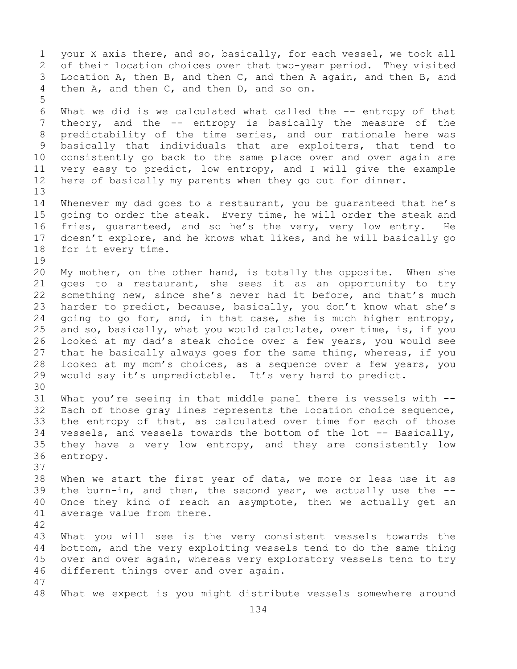1 your X axis there, and so, basically, for each vessel, we took all<br>2 of their location choices over that two-year period. They visited 2 of their location choices over that two-year period. They visited<br>3 Location A, then B, and then C, and then A again, and then B, and 3 Location A, then B, and then C, and then A again, and then B, and then A and then C, and then D, and so on. then A, and then C, and then D, and so on. 5 6 What we did is we calculated what called the -- entropy of that<br>7 theory, and the -- entropy is basically the measure of the 7 theory, and the -- entropy is basically the measure of the<br>8 predictability of the time series, and our rationale here was 8 predictability of the time series, and our rationale here was<br>9 basically that individuals that are exploiters, that tend to 9 basically that individuals that are exploiters, that tend to<br>10 consistently go back to the same place over and over again are 10 consistently go back to the same place over and over again are<br>11 very easy to predict, low entropy, and I will give the example 11 very easy to predict, low entropy, and I will give the example<br>12 here of basically my parents when they go out for dinner. here of basically my parents when they go out for dinner. 13 14 Whenever my dad goes to a restaurant, you be guaranteed that he's<br>15 qoing to order the steak. Every time, he will order the steak and 15 going to order the steak. Every time, he will order the steak and<br>16 fries, quaranteed, and so he's the very, very low entry. He 16 fries, guaranteed, and so he's the very, very low entry. He<br>17 doesn't explore, and he knows what likes, and he will basically go 17 doesn't explore, and he knows what likes, and he will basically go<br>18 for it every time. for it every time. 19<br>20 20 My mother, on the other hand, is totally the opposite. When she<br>21 qoes to a restaurant, she sees it as an opportunity to try 21 goes to a restaurant, she sees it as an opportunity to try<br>22 something new, since she's never had it before, and that's much 22 something new, since she's never had it before, and that's much<br>23 harder to predict, because, basically, you don't know what she's 23 harder to predict, because, basically, you don't know what she's<br>24 qoing to go for, and, in that case, she is much higher entropy, 24 going to go for, and, in that case, she is much higher entropy,<br>25 and so, basically, what you would calculate, over time, is, if you 25 and so, basically, what you would calculate, over time, is, if you<br>26 looked at my dad's steak choice over a few years, you would see 26 looked at my dad's steak choice over a few years, you would see<br>27 that he basically always goes for the same thing, whereas, if you that he basically always goes for the same thing, whereas, if you 28 looked at my mom's choices, as a sequence over a few years, you<br>29 would say it's unpredictable. It's very hard to predict. would say it's unpredictable. It's very hard to predict. 30<br>31 31 What you're seeing in that middle panel there is vessels with --<br>32 Each of those grav lines represents the location choice sequence, Each of those gray lines represents the location choice sequence, 33 the entropy of that, as calculated over time for each of those<br>34 vessels, and vessels towards the bottom of the lot -- Basically, 34 vessels, and vessels towards the bottom of the lot -- Basically,<br>35 they have a very low entropy, and they are consistently low 35 they have a very low entropy, and they are consistently low<br>36 entropy. entropy. 37 38 When we start the first year of data, we more or less use it as  $-39$  the burn-in, and then, the second year, we actually use the 39 the burn-in, and then, the second year, we actually use the  $-$ -40 Once they kind of reach an asymptote, then we actually get an 40 Once they kind of reach an asymptote, then we actually get an 41 average value from there. average value from there. 42 43 What you will see is the very consistent vessels towards the<br>44 bottom, and the very exploiting vessels tend to do the same thing bottom, and the very exploiting vessels tend to do the same thing 45 over and over again, whereas very exploratory vessels tend to try 46 different things over and over again. 47 What we expect is you might distribute vessels somewhere around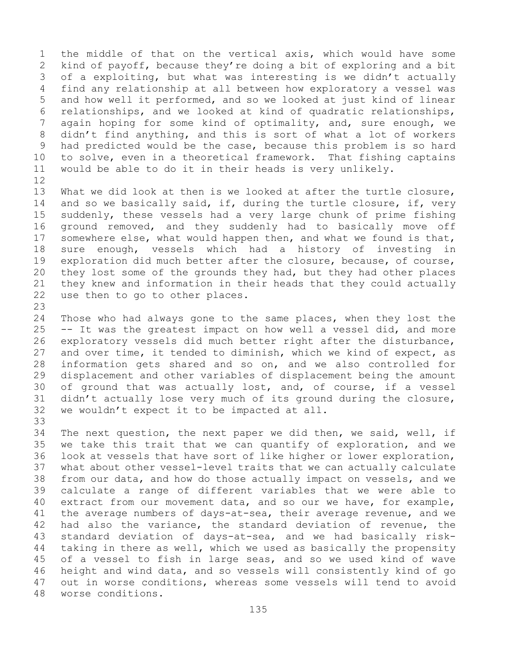1 the middle of that on the vertical axis, which would have some<br>2 kind of payoff, because they're doing a bit of exploring and a bit 2 kind of payoff, because they're doing a bit of exploring and a bit<br>3 of a exploiting, but what was interesting is we didn't actually 3 of a exploiting, but what was interesting is we didn't actually<br>4 find any relationship at all between how exploratory a vessel was find any relationship at all between how exploratory a vessel was 5 and how well it performed, and so we looked at just kind of linear 6 relationships, and we looked at kind of quadratic relationships,<br>7 again hoping for some kind of optimality, and, sure enough, we 7 again hoping for some kind of optimality, and, sure enough, we<br>8 didn't find anything, and this is sort of what a lot of workers 8 didn't find anything, and this is sort of what a lot of workers<br>9 had predicted would be the case, because this problem is so hard 9 had predicted would be the case, because this problem is so hard<br>10 to solve, even in a theoretical framework. That fishing captains 10 to solve, even in a theoretical framework. That fishing captains<br>11 would be able to do it in their heads is verv unlikelv. would be able to do it in their heads is very unlikely.

- 12<br>13 What we did look at then is we looked at after the turtle closure, 14 and so we basically said, if, during the turtle closure, if, very<br>15 suddenly, these vessels had a very large chunk of prime fishing 15 suddenly, these vessels had a very large chunk of prime fishing<br>16 ground removed, and they suddenly had to basically move off 16 ground removed, and they suddenly had to basically move off<br>17 somewhere else, what would happen then, and what we found is that, 17 somewhere else, what would happen then, and what we found is that,<br>18 sure enough, vessels which had a history of investing in 18 sure enough, vessels which had a history of investing in<br>19 exploration did much better after the closure, because, of course, 19 exploration did much better after the closure, because, of course,<br>20 they lost some of the grounds they had, but they had other places 20 they lost some of the grounds they had, but they had other places<br>21 they knew and information in their heads that they could actually 21 they knew and information in their heads that they could actually<br>22 use then to go to other places. use then to go to other places.
- 23 24 Those who had always gone to the same places, when they lost the<br>25 -- It was the greatest impact on how well a vessel did, and more 25 -- It was the greatest impact on how well a vessel did, and more<br>26 exploratory vessels did much better right after the disturbance, 26 exploratory vessels did much better right after the disturbance,<br>27 and over time, it tended to diminish, which we kind of expect, as 27 and over time, it tended to diminish, which we kind of expect, as<br>28 information gets shared and so on, and we also controlled for 28 information gets shared and so on, and we also controlled for<br>29 displacement and other variables of displacement being the amount 29 displacement and other variables of displacement being the amount<br>30 of ground that was actually lost, and, of course, if a vessel 30 of ground that was actually lost, and, of course, if a vessel<br>31 didn't actually lose very much of its ground during the closure, 31 didn't actually lose very much of its ground during the closure,<br>32 we wouldn't expect it to be impacted at all. we wouldn't expect it to be impacted at all.
- 33<br>34 34 The next question, the next paper we did then, we said, well, if<br>35 we take this trait that we can quantify of exploration, and we 35 we take this trait that we can quantify of exploration, and we<br>36 look at vessels that have sort of like higher or lower exploration, 36 look at vessels that have sort of like higher or lower exploration,<br>37 what about other vessel-level traits that we can actually calculate what about other vessel-level traits that we can actually calculate 38 from our data, and how do those actually impact on vessels, and we<br>39 calculate a range of different variables that we were able to 39 calculate a range of different variables that we were able to<br>40 extract from our movement data, and so our we have, for example, 40 extract from our movement data, and so our we have, for example,<br>41 the average numbers of days-at-sea, their average revenue, and we 41 the average numbers of days-at-sea, their average revenue, and we<br>42 had also the variance, the standard deviation of revenue, the 42 had also the variance, the standard deviation of revenue, the<br>43 standard deviation of days-at-sea, and we had basically risk-43 standard deviation of days-at-sea, and we had basically risk-<br>44 taking in there as well, which we used as basically the propensity taking in there as well, which we used as basically the propensity 45 of a vessel to fish in large seas, and so we used kind of wave 46 height and wind data, and so vessels will consistently kind of go<br>47 out in worse conditions, whereas some vessels will tend to avoid 47 out in worse conditions, whereas some vessels will tend to avoid 48 worse conditions. worse conditions.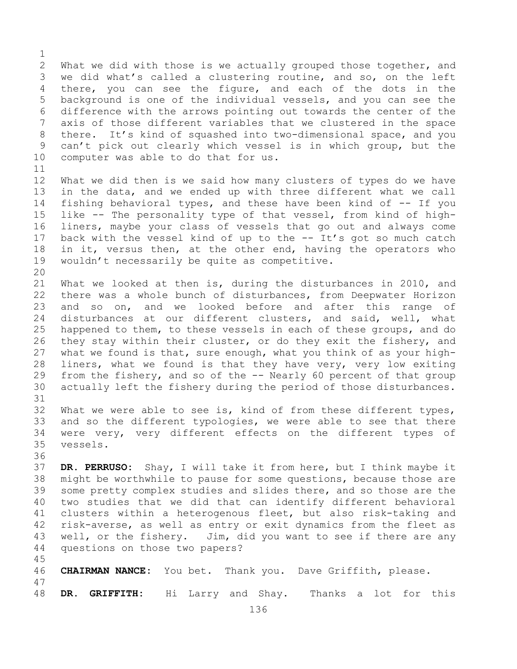$\frac{1}{2}$ 2 What we did with those is we actually grouped those together, and<br>3 we did what's called a clustering routine, and so, on the left 3 we did what's called a clustering routine, and so, on the left<br>4 there, you can see the figure, and each of the dots in the there, you can see the figure, and each of the dots in the 5 background is one of the individual vessels, and you can see the 6 difference with the arrows pointing out towards the center of the<br>7 axis of those different variables that we clustered in the space 7 axis of those different variables that we clustered in the space<br>8 there. It's kind of squashed into two-dimensional space, and you 8 there. It's kind of squashed into two-dimensional space, and you<br>9 can't pick out clearly which vessel is in which group, but the 9 can't pick out clearly which vessel is in which group, but the 10 computer was able to do that for us. computer was able to do that for us.

 $\begin{array}{c} 11 \\ 12 \end{array}$ What we did then is we said how many clusters of types do we have 13 in the data, and we ended up with three different what we call 14 fishing behavioral types, and these have been kind of -- If you<br>15 like -- The personality type of that vessel, from kind of high-15 like -- The personality type of that vessel, from kind of high-<br>16 liners, maybe your class of vessels that go out and always come 16 liners, maybe your class of vessels that go out and always come<br>17 back with the vessel kind of up to the -- It's got so much catch 17 back with the vessel kind of up to the -- It's got so much catch<br>18 in it, versus then, at the other end, having the operators who 18 in it, versus then, at the other end, having the operators who<br>19 wouldn't necessarily be quite as competitive. wouldn't necessarily be quite as competitive.

45

20<br>21 21 What we looked at then is, during the disturbances in 2010, and<br>22 there was a whole bunch of disturbances, from Deepwater Horizon 22 there was a whole bunch of disturbances, from Deepwater Horizon<br>23 and so on, and we looked before and after this range of 23 and so on, and we looked before and after this range of<br>24 disturbances at our different clusters, and said, well, what 24 disturbances at our different clusters, and said, well, what<br>25 happened to them, to these vessels in each of these groups, and do 25 happened to them, to these vessels in each of these groups, and do<br>26 they stay within their cluster, or do they exit the fishery, and 26 they stay within their cluster, or do they exit the fishery, and<br>27 what we found is that, sure enough, what you think of as your highwhat we found is that, sure enough, what you think of as your high-28 liners, what we found is that they have very, very low exiting<br>29 from the fishery, and so of the -- Nearly 60 percent of that group 29 from the fishery, and so of the -- Nearly 60 percent of that group<br>30 actually left the fishery during the period of those disturbances. actually left the fishery during the period of those disturbances.

31<br>32 What we were able to see is, kind of from these different types, 33 and so the different typologies, we were able to see that there<br>34 were very, very different effects on the different types of 34 were very, very different effects on the different types of<br>35 vessels. vessels. 36

37 **DR. PERRUSO:** Shay, I will take it from here, but I think maybe it 38 might be worthwhile to pause for some questions, because those are<br>39 some pretty complex studies and slides there, and so those are the 39 some pretty complex studies and slides there, and so those are the<br>40 two studies that we did that can identify different behavioral 40 two studies that we did that can identify different behavioral<br>41 clusters within a heterogenous fleet, but also risk-taking and 41 clusters within a heterogenous fleet, but also risk-taking and<br>42 risk-averse, as well as entry or exit dynamics from the fleet as 42 risk-averse, as well as entry or exit dynamics from the fleet as<br>43 well, or the fishery. Jim, did you want to see if there are any 43 well, or the fishery. Jim, did you want to see if there are any<br>44 questions on those two papers? questions on those two papers?

46 **CHAIRMAN NANCE:** You bet. Thank you. Dave Griffith, please.

47 48 **DR. GRIFFITH:** Hi Larry and Shay. Thanks a lot for this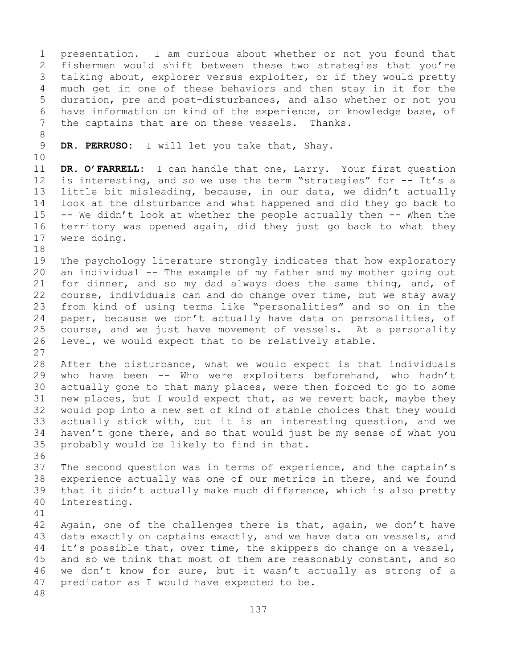1 presentation. I am curious about whether or not you found that<br>2 fishermen would shift between these two strategies that you're 2 fishermen would shift between these two strategies that you're<br>3 talking about, explorer versus exploiter, or if they would pretty 3 talking about, explorer versus exploiter, or if they would pretty<br>4 much get in one of these behaviors and then stav in it for the much get in one of these behaviors and then stay in it for the 5 duration, pre and post-disturbances, and also whether or not you 6 have information on kind of the experience, or knowledge base, of<br>7 the captains that are on these vessels. Thanks. the captains that are on these vessels. Thanks. 8<br>9 DR. PERRUSO: I will let you take that, Shay. 10<br>11 11 **DR. O'FARRELL:** I can handle that one, Larry. Your first question<br>12 is interesting, and so we use the term "strategies" for -- It's a is interesting, and so we use the term "strategies" for -- It's a 13 little bit misleading, because, in our data, we didn't actually 14 look at the disturbance and what happened and did they go back to<br>15 -- We didn't look at whether the people actually then -- When the 15 -- We didn't look at whether the people actually then  $-$ - When the 16 territory was opened again, did they just go back to what they 16 territory was opened again, did they just go back to what they<br>17 were doing. were doing. 18<br>19 19 The psychology literature strongly indicates that how exploratory<br>20 an individual -- The example of my father and my mother going out 20 an individual -- The example of my father and my mother going out<br>21 for dinner, and so my dad always does the same thing, and, of 21 for dinner, and so my dad always does the same thing, and, of<br>22 course, individuals can and do change over time, but we stay away 22 course, individuals can and do change over time, but we stay away<br>23 from kind of using terms like "personalities" and so on in the 23 from kind of using terms like "personalities" and so on in the<br>24 paper, because we don't actually have data on personalities, of 24 paper, because we don't actually have data on personalities, of<br>25 course, and we just have movement of vessels. At a personality 25 course, and we just have movement of vessels.<br>26 level, we would expect that to be relatively sta level, we would expect that to be relatively stable.  $\frac{27}{28}$ 28 After the disturbance, what we would expect is that individuals<br>29 who have been -- Who were exploiters beforehand, who hadn't 29 who have been -- Who were exploiters beforehand, who hadn't<br>30 actually gone to that many places, were then forced to go to some 30 actually gone to that many places, were then forced to go to some<br>31 new places, but I would expect that, as we revert back, maybe they 31 new places, but I would expect that, as we revert back, maybe they<br>32 would pop into a new set of kind of stable choices that they would would pop into a new set of kind of stable choices that they would 33 actually stick with, but it is an interesting question, and we<br>34 haven't gone there, and so that would just be my sense of what you 34 haven't gone there, and so that would just be my sense of what you<br>35 probably would be likely to find in that. probably would be likely to find in that. 36<br>37 The second question was in terms of experience, and the captain's 38 experience actually was one of our metrics in there, and we found<br>39 that it didn't actually make much difference, which is also pretty 39 that it didn't actually make much difference, which is also pretty<br>40 interesting. interesting. 41<br>42 42 Again, one of the challenges there is that, again, we don't have<br>43 data exactly on captains exactly, and we have data on vessels, and 43 data exactly on captains exactly, and we have data on vessels, and<br>44 it's possible that, over time, the skippers do change on a vessel, it's possible that, over time, the skippers do change on a vessel, 45 and so we think that most of them are reasonably constant, and so 46 we don't know for sure, but it wasn't actually as strong of a<br>47 predicator as I would have expected to be. predicator as I would have expected to be. 48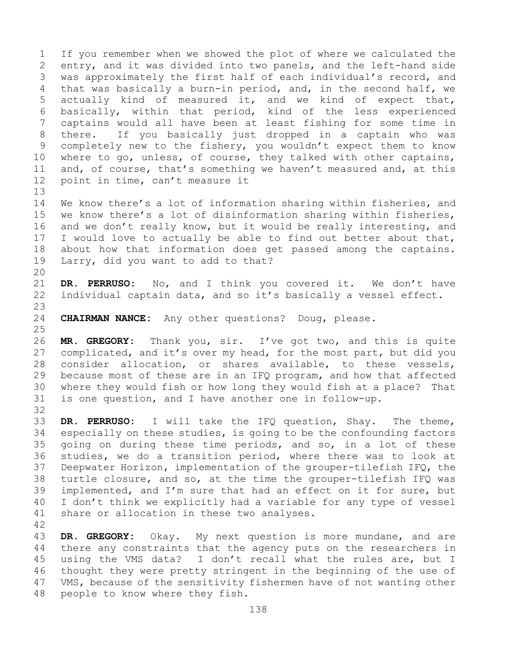1 If you remember when we showed the plot of where we calculated the<br>2 entry, and it was divided into two panels, and the left-hand side 2 entry, and it was divided into two panels, and the left-hand side<br>3 was approximately the first half of each individual's record, and 3 was approximately the first half of each individual's record, and<br>4 that was basically a burn-in period, and, in the second half, we that was basically a burn-in period, and, in the second half, we 5 actually kind of measured it, and we kind of expect that, 6 basically, within that period, kind of the less experienced 7 captains would all have been at least fishing for some time in<br>8 there. If you basically just dropped in a captain who was 8 there. If you basically just dropped in a captain who was<br>9 completely new to the fishery, you wouldn't expect them to know 9 completely new to the fishery, you wouldn't expect them to know<br>10 where to go, unless, of course, they talked with other captains, 10 where to go, unless, of course, they talked with other captains,<br>11 and, of course, that's something we haven't measured and, at this 11 and, of course, that's something we haven't measured and, at this 12 point in time, can't measure it point in time, can't measure it 13

14 We know there's a lot of information sharing within fisheries, and<br>15 we know there's a lot of disinformation sharing within fisheries, 15 we know there's a lot of disinformation sharing within fisheries,<br>16 and we don't really know, but it would be really interesting, and 16 and we don't really know, but it would be really interesting, and<br>17 I would love to actually be able to find out better about that, 17 I would love to actually be able to find out better about that,<br>18 about how that information does get passed among the captains. 18 about how that information does get passed among the captains.<br>19 Larry, did you want to add to that? Larry, did you want to add to that?

20<br>21 21 **DR. PERRUSO:** No, and I think you covered it. We don't have<br>22 individual captain data, and so it's basically a vessel effect. individual captain data, and so it's basically a vessel effect.

23 CHAIRMAN NANCE: Any other questions? Doug, please.

32

 $\frac{25}{26}$ 26 **MR. GREGORY:** Thank you, sir. I've got two, and this is quite<br>27 complicated, and it's over my head, for the most part, but did you complicated, and it's over my head, for the most part, but did you 28 consider allocation, or shares available, to these vessels,<br>29 because most of these are in an IFQ program, and how that affected because most of these are in an IFQ program, and how that affected 30 where they would fish or how long they would fish at a place? That<br>31 is one question, and I have another one in follow-up. is one question, and I have another one in follow-up.

33 **DR. PERRUSO:** I will take the IFQ question, Shay. The theme,<br>34 especially on these studies, is going to be the confounding factors 34 especially on these studies, is going to be the confounding factors<br>35 qoing on during these time periods, and so, in a lot of these 35 going on during these time periods, and so, in a lot of these<br>36 studies, we do a transition period, where there was to look at studies, we do a transition period, where there was to look at 37 Deepwater Horizon, implementation of the grouper-tilefish IFQ, the 38 turtle closure, and so, at the time the grouper-tilefish IFQ was<br>39 implemented, and I'm sure that had an effect on it for sure, but 39 implemented, and I'm sure that had an effect on it for sure, but<br>40 I don't think we explicitly had a variable for any type of vessel 40 I don't think we explicitly had a variable for any type of vessel<br>41 share or allocation in these two analyses. share or allocation in these two analyses.

42 43 **DR. GREGORY:** Okay. My next question is more mundane, and are<br>44 there any constraints that the agency puts on the researchers in there any constraints that the agency puts on the researchers in 45 using the VMS data? I don't recall what the rules are, but I 46 thought they were pretty stringent in the beginning of the use of<br>47 VMS, because of the sensitivity fishermen have of not wanting other 47 VMS, because of the sensitivity fishermen have of not wanting other<br>48 people to know where they fish. people to know where they fish.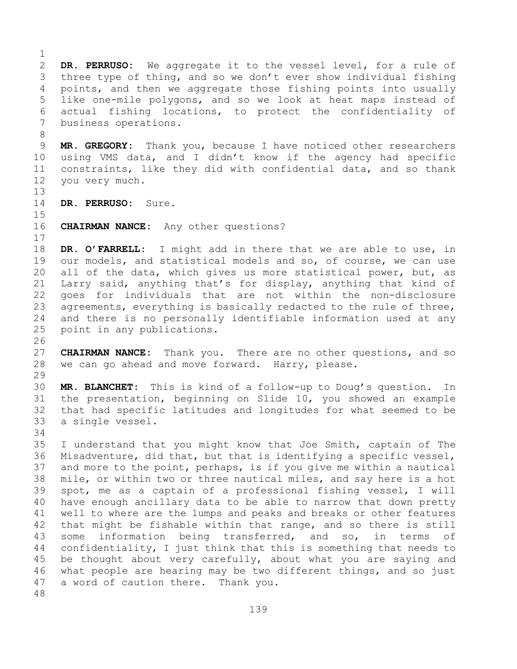$\frac{1}{2}$ 2 **DR. PERRUSO:** We aggregate it to the vessel level, for a rule of 3 three type of thing, and so we don't ever show individual fishing<br>4 points, and then we aggregate those fishing points into usually points, and then we aggregate those fishing points into usually 5 like one-mile polygons, and so we look at heat maps instead of 6 actual fishing locations, to protect the confidentiality of<br>7 business operations. business operations. 8 9 **MR. GREGORY:** Thank you, because I have noticed other researchers<br>10 using VMS data, and I didn't know if the agency had specific 10 using VMS data, and I didn't know if the agency had specific<br>11 constraints, like they did with confidential data, and so thank 11 constraints, like they did with confidential data, and so thank<br>12 you very much. you very much. 13 14 **DR. PERRUSO:** Sure.  $15$ <br> $16$ **CHAIRMAN NANCE:** Any other questions?  $\begin{array}{c} 17 \\ 18 \end{array}$ 18 **DR. O'FARRELL:** I might add in there that we are able to use, in<br>19 our models, and statistical models and so, of course, we can use 19 our models, and statistical models and so, of course, we can use<br>20 all of the data, which gives us more statistical power, but, as all of the data, which gives us more statistical power, but, as 21 Larry said, anything that's for display, anything that kind of<br>22 qoes for individuals that are not within the non-disclosure 22 goes for individuals that are not within the non-disclosure<br>23 agreements, everything is basically redacted to the rule of three, 23 agreements, everything is basically redacted to the rule of three,<br>24 and there is no personally identifiable information used at any 24 and there is no personally identifiable information used at any<br>25 point in any publications. point in any publications. 26<br>27 **CHAIRMAN NANCE:** Thank you. There are no other questions, and so 28 we can go ahead and move forward. Harry, please. 29<br>30 30 **MR. BLANCHET:** This is kind of a follow-up to Doug's question. In 31 the presentation, beginning on Slide 10, you showed an example<br>32 that had specific latitudes and longitudes for what seemed to be that had specific latitudes and longitudes for what seemed to be 33 a single vessel. 34<br>35 35 I understand that you might know that Joe Smith, captain of The<br>36 Misadventure, did that, but that is identifying a specific vessel, Misadventure, did that, but that is identifying a specific vessel, 37 and more to the point, perhaps, is if you give me within a nautical 38 mile, or within two or three nautical miles, and say here is a hot<br>39 spot, me as a captain of a professional fishing vessel, I will 39 spot, me as a captain of a professional fishing vessel, I will<br>40 have enough ancillary data to be able to narrow that down pretty 40 have enough ancillary data to be able to narrow that down pretty<br>41 well to where are the lumps and peaks and breaks or other features 41 well to where are the lumps and peaks and breaks or other features<br>42 that might be fishable within that range, and so there is still 42 that might be fishable within that range, and so there is still<br>43 some information being transferred, and so, in terms of 43 some information being transferred, and so, in terms of<br>44 confidentiality, I just think that this is something that needs to confidentiality, I just think that this is something that needs to 45 be thought about very carefully, about what you are saying and 46 what people are hearing may be two different things, and so just<br>47 a word of caution there. Thank vou. a word of caution there. Thank you.

48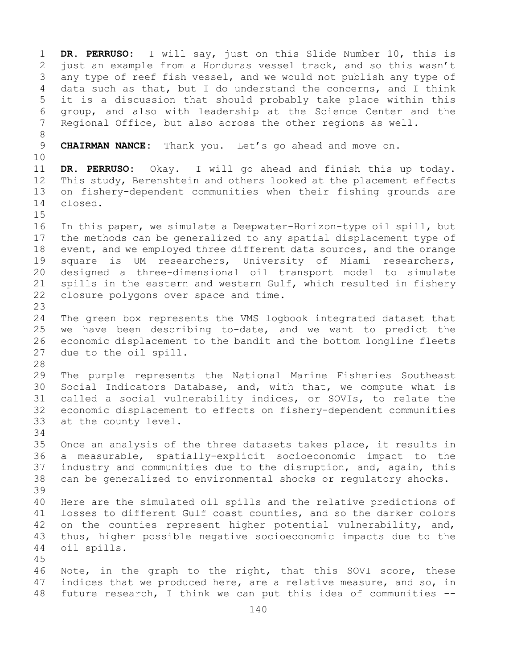1 **DR. PERRUSO:** I will say, just on this Slide Number 10, this is 2 just an example from a Honduras vessel track, and so this wasn't<br>3 any type of reef fish vessel, and we would not publish any type of 3 any type of reef fish vessel, and we would not publish any type of<br>4 data such as that, but I do understand the concerns, and I think data such as that, but I do understand the concerns, and I think 5 it is a discussion that should probably take place within this 6 group, and also with leadership at the Science Center and the Regional Office, but also across the other regions as well. 8<br>9 9 **CHAIRMAN NANCE:** Thank you. Let's go ahead and move on. 10<br>11 11 **DR. PERRUSO:** Okay. I will go ahead and finish this up today. 12 This study, Berenshtein and others looked at the placement effects<br>13 on fishery-dependent communities when their fishing grounds are on fishery-dependent communities when their fishing grounds are 14 closed.  $15$ <br> $16$ 16 In this paper, we simulate a Deepwater-Horizon-type oil spill, but<br>17 the methods can be generalized to any spatial displacement type of 17 the methods can be generalized to any spatial displacement type of<br>18 event, and we employed three different data sources, and the orange 18 event, and we employed three different data sources, and the orange<br>19 square is UM researchers, University of Miami researchers, 19 square is UM researchers, University of Miami researchers,<br>20 designed a three-dimensional oil transport model to simulate 20 designed a three-dimensional oil transport model to simulate<br>21 spills in the eastern and western Gulf, which resulted in fishery 21 spills in the eastern and western Gulf, which resulted in fishery<br>22 closure polygons over space and time. closure polygons over space and time.  $\frac{23}{24}$ 24 The green box represents the VMS logbook integrated dataset that<br>25 we have been describing to-date, and we want to predict the 25 we have been describing to-date, and we want to predict the<br>26 economic displacement to the bandit and the bottom longline fleets 26 economic displacement to the bandit and the bottom longline fleets<br>27 due to the oil spill. due to the oil spill. 28<br>29 29 The purple represents the National Marine Fisheries Southeast<br>30 Social Indicators Database, and, with that, we compute what is 30 Social Indicators Database, and, with that, we compute what is<br>31 called a social vulnerability indices, or SOVIs, to relate the 31 called a social vulnerability indices, or SOVIs, to relate the<br>32 economic displacement to effects on fishery-dependent communities economic displacement to effects on fishery-dependent communities 33 at the county level. 34<br>35 35 Once an analysis of the three datasets takes place, it results in<br>36 a measurable, spatially-explicit socioeconomic impact to the 36 a measurable, spatially-explicit socioeconomic impact to the<br>37 industry and communities due to the disruption, and, again, this industry and communities due to the disruption, and, again, this 38 can be generalized to environmental shocks or regulatory shocks. 39 40 Here are the simulated oil spills and the relative predictions of<br>41 losses to different Gulf coast counties, and so the darker colors 41 losses to different Gulf coast counties, and so the darker colors<br>42 on the counties represent higher potential vulnerability, and, 42 on the counties represent higher potential vulnerability, and,<br>43 thus, higher possible negative socioeconomic impacts due to the 43 thus, higher possible negative socioeconomic impacts due to the 44 oil spills. oil spills. 45 46 Note, in the graph to the right, that this SOVI score, these<br>47 indices that we produced here, are a relative measure, and so, in 47 indices that we produced here, are a relative measure, and so, in<br>48 future research, I think we can put this idea of communities -future research, I think we can put this idea of communities  $--$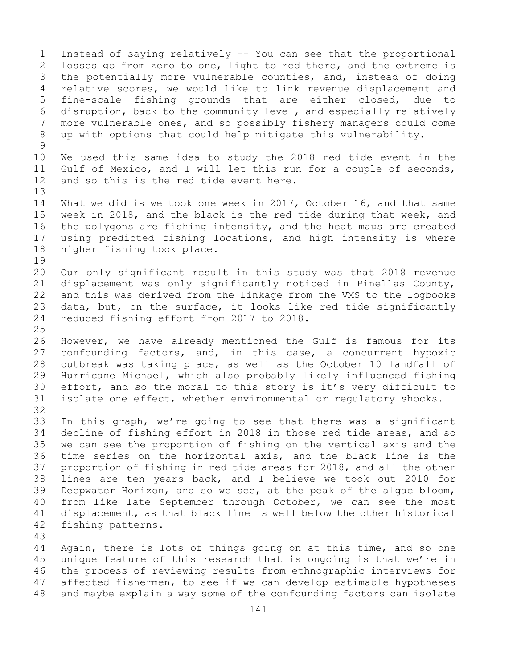1 Instead of saying relatively -- You can see that the proportional<br>2 losses go from zero to one, light to red there, and the extreme is 2 losses go from zero to one, light to red there, and the extreme is<br>3 the potentially more vulnerable counties, and, instead of doing 3 the potentially more vulnerable counties, and, instead of doing<br>4 relative scores, we would like to link revenue displacement and relative scores, we would like to link revenue displacement and 5 fine-scale fishing grounds that are either closed, due to 6 disruption, back to the community level, and especially relatively<br>7 more vulnerable ones, and so possibly fishery managers could come 7 more vulnerable ones, and so possibly fishery managers could come<br>8 up with options that could help mitigate this vulnerability. up with options that could help mitigate this vulnerability.  $\begin{array}{c} 9 \\ 10 \end{array}$ 10 We used this same idea to study the 2018 red tide event in the<br>11 Gulf of Mexico, and I will let this run for a couple of seconds, 11 Gulf of Mexico, and I will let this run for a couple of seconds,<br>12 and so this is the red tide event here. and so this is the red tide event here. 13 14 What we did is we took one week in 2017, October 16, and that same<br>15 week in 2018, and the black is the red tide during that week, and 15 week in 2018, and the black is the red tide during that week, and<br>16 the polygons are fishing intensity, and the heat maps are created 16 the polygons are fishing intensity, and the heat maps are created<br>17 using predicted fishing locations, and high intensity is where 17 using predicted fishing locations, and high intensity is where<br>18 higher fishing took place. higher fishing took place. 19<br>20 20 Our only significant result in this study was that 2018 revenue<br>21 displacement was only significantly noticed in Pinellas County, 21 displacement was only significantly noticed in Pinellas County,<br>22 and this was derived from the linkage from the VMS to the logbooks 22 and this was derived from the linkage from the VMS to the logbooks<br>23 data, but, on the surface, it looks like red tide significantly 23 data, but, on the surface, it looks like red tide significantly<br>24 reduced fishing effort from 2017 to 2018. reduced fishing effort from 2017 to 2018.  $\frac{25}{26}$ 26 However, we have already mentioned the Gulf is famous for its<br>27 confounding factors, and, in this case, a concurrent hypoxic confounding factors, and, in this case, a concurrent hypoxic 28 outbreak was taking place, as well as the October 10 landfall of<br>29 Hurricane Michael, which also probably likely influenced fishing 29 Hurricane Michael, which also probably likely influenced fishing<br>30 effort, and so the moral to this story is it's very difficult to 30 effort, and so the moral to this story is it's very difficult to<br>31 isolate one effect, whether environmental or requlatory shocks. isolate one effect, whether environmental or regulatory shocks. 32 33 In this graph, we're going to see that there was a significant<br>34 decline of fishing effort in 2018 in those red tide areas, and so 34 decline of fishing effort in 2018 in those red tide areas, and so<br>35 we can see the proportion of fishing on the vertical axis and the 35 we can see the proportion of fishing on the vertical axis and the<br>36 time series on the horizontal axis, and the black line is the 36 time series on the horizontal axis, and the black line is the<br>37 proportion of fishing in red tide areas for 2018, and all the other proportion of fishing in red tide areas for 2018, and all the other 38 lines are ten years back, and I believe we took out 2010 for<br>39 Deepwater Horizon, and so we see, at the peak of the algae bloom, 39 Deepwater Horizon, and so we see, at the peak of the algae bloom,<br>40 from like late September through October, we can see the most 40 from like late September through October, we can see the most<br>41 displacement, as that black line is well below the other historical 41 displacement, as that black line is well below the other historical<br>42 fishing patterns. fishing patterns. 43 Again, there is lots of things going on at this time, and so one 45 unique feature of this research that is ongoing is that we're in

46 the process of reviewing results from ethnographic interviews for<br>47 affected fishermen, to see if we can develop estimable hypotheses 47 affected fishermen, to see if we can develop estimable hypotheses<br>48 and maybe explain a way some of the confounding factors can isolate and maybe explain a way some of the confounding factors can isolate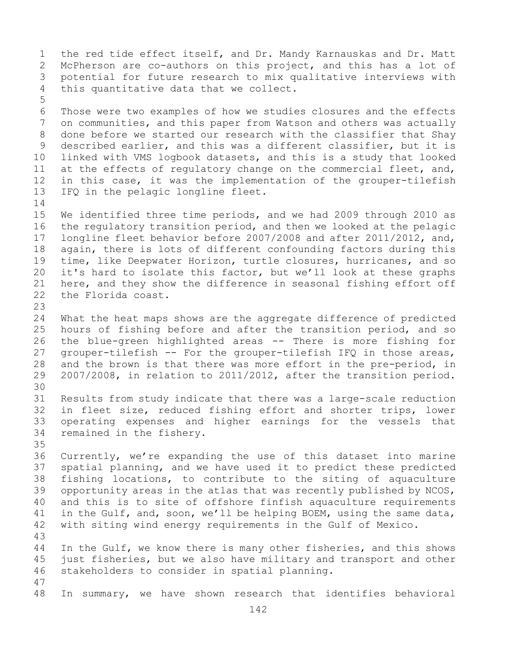1 the red tide effect itself, and Dr. Mandy Karnauskas and Dr. Matt<br>2 McPherson are co-authors on this project, and this has a lot of 2 McPherson are co-authors on this project, and this has a lot of<br>3 potential for future research to mix qualitative interviews with 3 potential for future research to mix qualitative interviews with<br>4 this quantitative data that we collect. this quantitative data that we collect. 5 6 Those were two examples of how we studies closures and the effects<br>7 on communities, and this paper from Watson and others was actually 7 on communities, and this paper from Watson and others was actually<br>8 done before we started our research with the classifier that Shay 8 done before we started our research with the classifier that Shay<br>9 described earlier, and this was a different classifier, but it is 9 described earlier, and this was a different classifier, but it is<br>10 linked with VMS logbook datasets, and this is a study that looked 10 linked with VMS logbook datasets, and this is a study that looked<br>11 at the effects of regulatory change on the commercial fleet, and, 11 at the effects of regulatory change on the commercial fleet, and,<br>12 in this case, it was the implementation of the grouper-tilefish 12 in this case, it was the implementation of the grouper-tilefish<br>13 IFO in the pelagic longline fleet. IFQ in the pelagic longline fleet.  $\frac{14}{15}$ 15 We identified three time periods, and we had 2009 through 2010 as<br>16 the requlatory transition period, and then we looked at the pelagic 16 the regulatory transition period, and then we looked at the pelagic<br>17 Iongline fleet behavior before 2007/2008 and after 2011/2012, and, 17 longline fleet behavior before 2007/2008 and after 2011/2012, and,<br>18 again, there is lots of different confounding factors during this 18 again, there is lots of different confounding factors during this<br>19 time, like Deepwater Horizon, turtle closures, hurricanes, and so 19 time, like Deepwater Horizon, turtle closures, hurricanes, and so<br>20 it's hard to isolate this factor, but we'll look at these graphs 20 it's hard to isolate this factor, but we'll look at these graphs<br>21 here, and they show the difference in seasonal fishing effort off 21 here, and they show the difference in seasonal fishing effort off<br>22 the Florida coast. the Florida coast. 23 24 What the heat maps shows are the aggregate difference of predicted<br>25 hours of fishing before and after the transition period, and so 25 hours of fishing before and after the transition period, and so<br>26 the blue-green highlighted areas -- There is more fishing for 26 the blue-green highlighted areas -- There is more fishing for<br>27 qrouper-tilefish -- For the grouper-tilefish IFO in those areas, 27 grouper-tilefish -- For the grouper-tilefish IFQ in those areas,<br>28 and the brown is that there was more effort in the pre-period, in 28 and the brown is that there was more effort in the pre-period, in<br>29 2007/2008, in relation to 2011/2012, after the transition period. 29 2007/2008, in relation to 2011/2012, after the transition period. 30<br>31 31 Results from study indicate that there was a large-scale reduction<br>32 in fleet size, reduced fishing effort and shorter trips, lower in fleet size, reduced fishing effort and shorter trips, lower 33 operating expenses and higher earnings for the vessels that<br>34 remained in the fishery. remained in the fishery. 35<br>36 36 Currently, we're expanding the use of this dataset into marine<br>37 spatial planning, and we have used it to predict these predicted spatial planning, and we have used it to predict these predicted 38 fishing locations, to contribute to the siting of aquaculture<br>39 opportunity areas in the atlas that was recently published by NCOS, 39 opportunity areas in the atlas that was recently published by NCOS,<br>40 and this is to site of offshore finfish aquaculture requirements 40 and this is to site of offshore finfish aquaculture requirements<br>41 in the Gulf, and, soon, we'll be helping BOEM, using the same data, 41 in the Gulf, and, soon, we'll be helping BOEM, using the same data,<br>42 with siting wind energy requirements in the Gulf of Mexico. with siting wind energy requirements in the Gulf of Mexico. 43 In the Gulf, we know there is many other fisheries, and this shows 45 just fisheries, but we also have military and transport and other 46 stakeholders to consider in spatial planning. 47 In summary, we have shown research that identifies behavioral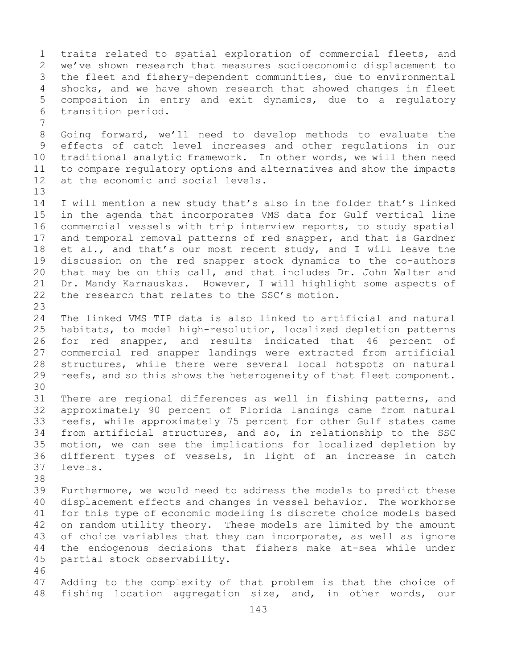1 traits related to spatial exploration of commercial fleets, and<br>2 we've shown research that measures socioeconomic displacement to 2 we've shown research that measures socioeconomic displacement to<br>3 the fleet and fishery-dependent communities, due to environmental 3 the fleet and fishery-dependent communities, due to environmental<br>4 shocks, and we have shown research that showed changes in fleet shocks, and we have shown research that showed changes in fleet 5 composition in entry and exit dynamics, due to a regulatory 6 transition period.

7 8 Going forward, we'll need to develop methods to evaluate the<br>9 effects of catch level increases and other requlations in our 9 effects of catch level increases and other regulations in our<br>10 traditional analytic framework. In other words, we will then need 10 traditional analytic framework. In other words, we will then need<br>11 to compare regulatory options and alternatives and show the impacts 11 to compare regulatory options and alternatives and show the impacts<br>12 at the economic and social levels. at the economic and social levels.

13

- 14 I will mention a new study that's also in the folder that's linked<br>15 in the agenda that incorporates VMS data for Gulf vertical line 15 in the agenda that incorporates VMS data for Gulf vertical line<br>16 commercial vessels with trip interview reports, to study spatial 16 commercial vessels with trip interview reports, to study spatial<br>17 and temporal removal patterns of red snapper, and that is Gardner 17 and temporal removal patterns of red snapper, and that is Gardner<br>18 et al., and that's our most recent study, and I will leave the 18 et al., and that's our most recent study, and I will leave the<br>19 discussion on the red snapper stock dynamics to the co-authors 19 discussion on the red snapper stock dynamics to the co-authors<br>20 that may be on this call, and that includes Dr. John Walter and 20 that may be on this call, and that includes Dr. John Walter and<br>21 Dr. Mandy Karnauskas. However, I will highlight some aspects of 21 Dr. Mandy Karnauskas. However, I will highlight some aspects of<br>22 the research that relates to the SSC's motion. the research that relates to the SSC's motion.
- $\frac{23}{24}$ 24 The linked VMS TIP data is also linked to artificial and natural<br>25 habitats, to model high-resolution, localized depletion patterns 25 habitats, to model high-resolution, localized depletion patterns<br>26 for red snapper, and results indicated that 46 percent of 26 for red snapper, and results indicated that 46 percent of<br>27 commercial red snapper landings were extracted from artificial commercial red snapper landings were extracted from artificial 28 structures, while there were several local hotspots on natural<br>29 reefs, and so this shows the heterogeneity of that fleet component. reefs, and so this shows the heterogeneity of that fleet component.
- 30<br>31 31 There are regional differences as well in fishing patterns, and<br>32 approximately 90 percent of Florida landings came from natural approximately 90 percent of Florida landings came from natural 33 reefs, while approximately 75 percent for other Gulf states came<br>34 from artificial structures, and so, in relationship to the SSC 34 from artificial structures, and so, in relationship to the SSC<br>35 motion, we can see the implications for localized depletion by 35 motion, we can see the implications for localized depletion by<br>36 different types of vessels, in light of an increase in catch 36 different types of vessels, in light of an increase in catch levels.
- 38<br>39 39 Furthermore, we would need to address the models to predict these<br>40 displacement effects and changes in vessel behavior. The workhorse 40 displacement effects and changes in vessel behavior. The workhorse<br>41 for this type of economic modeling is discrete choice models based 41 for this type of economic modeling is discrete choice models based<br>42 on random utility theory. These models are limited by the amount 42 on random utility theory. These models are limited by the amount<br>43 of choice variables that they can incorporate, as well as ignore 43 of choice variables that they can incorporate, as well as ignore<br>44 the endogenous decisions that fishers make at-sea while under the endogenous decisions that fishers make at-sea while under 45 partial stock observability.
	- 46<br>47 47 Adding to the complexity of that problem is that the choice of<br>48 fishing location aggregation size, and, in other words, our fishing location aggregation size, and, in other words, our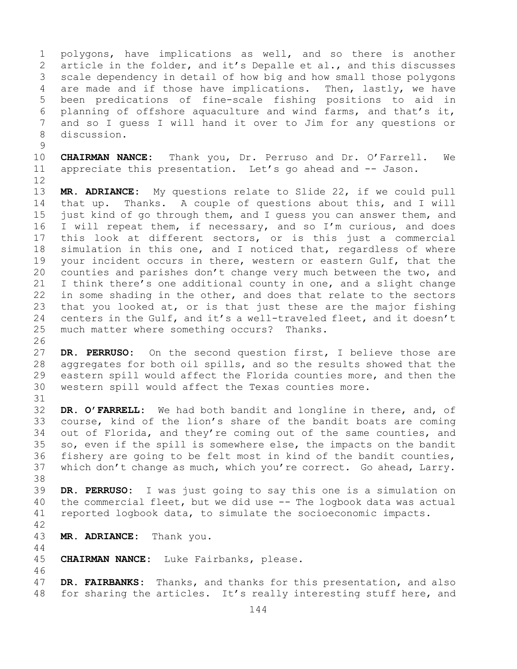1 polygons, have implications as well, and so there is another<br>2 article in the folder, and it's Depalle et al., and this discusses 2 article in the folder, and it's Depalle et al., and this discusses<br>3 scale dependency in detail of how big and how small those polygons 3 scale dependency in detail of how big and how small those polygons<br>4 are made and if those have implications. Then, lastly, we have are made and if those have implications. Then, lastly, we have 5 been predications of fine-scale fishing positions to aid in 6 planning of offshore aquaculture and wind farms, and that's it,<br>7 and so I quess I will hand it over to Jim for any questions or 7 and so I guess I will hand it over to Jim for any questions or discussion.

 $\frac{9}{10}$ 10 **CHAIRMAN NANCE:** Thank you, Dr. Perruso and Dr. O'Farrell. We appreciate this presentation. Let's go ahead and -- Jason.

12<br>13

MR. ADRIANCE: My questions relate to Slide 22, if we could pull 14 that up. Thanks. A couple of questions about this, and I will<br>15 iust kind of go through them, and I quess you can answer them, and 15 just kind of go through them, and I guess you can answer them, and<br>16 I will repeat them, if necessary, and so I'm curious, and does 16 I will repeat them, if necessary, and so I'm curious, and does<br>17 this look at different sectors, or is this just a commercial 17 this look at different sectors, or is this just a commercial<br>18 simulation in this one, and I noticed that, regardless of where 18 simulation in this one, and I noticed that, regardless of where<br>19 your incident occurs in there, western or eastern Gulf, that the 19 your incident occurs in there, western or eastern Gulf, that the<br>20 counties and parishes don't change very much between the two, and counties and parishes don't change very much between the two, and 21 I think there's one additional county in one, and a slight change<br>22 in some shading in the other, and does that relate to the sectors 22 in some shading in the other, and does that relate to the sectors<br>23 that you looked at, or is that just these are the major fishing 23 that you looked at, or is that just these are the major fishing<br>24 centers in the Gulf, and it's a well-traveled fleet, and it doesn't 24 centers in the Gulf, and it's a well-traveled fleet, and it doesn't<br>25 much matter where something occurs? Thanks. much matter where something occurs? Thanks.

26<br>27 DR. PERRUSO: On the second question first, I believe those are 28 aggregates for both oil spills, and so the results showed that the<br>29 eastern spill would affect the Florida counties more, and then the 29 eastern spill would affect the Florida counties more, and then the<br>30 western spill would affect the Texas counties more. western spill would affect the Texas counties more.

31<br>32 DR. O'FARRELL: We had both bandit and longline in there, and, of 33 course, kind of the lion's share of the bandit boats are coming<br>34 out of Florida, and they're coming out of the same counties, and 34 out of Florida, and they're coming out of the same counties, and<br>35 so, even if the spill is somewhere else, the impacts on the bandit 35 so, even if the spill is somewhere else, the impacts on the bandit<br>36 fishery are going to be felt most in kind of the bandit counties, 36 fishery are going to be felt most in kind of the bandit counties,<br>37 which don't change as much, which you're correct. Go ahead, Larry. which don't change as much, which you're correct. Go ahead, Larry.

38<br>39 39 **DR. PERRUSO:** I was just going to say this one is a simulation on 40 the commercial fleet, but we did use -- The logbook data was actual<br>41 reported logbook data, to simulate the socioeconomic impacts. reported logbook data, to simulate the socioeconomic impacts.

42

44

MR. ADRIANCE: Thank you.

45 **CHAIRMAN NANCE:** Luke Fairbanks, please.

46<br>47 47 **DR. FAIRBANKS:** Thanks, and thanks for this presentation, and also<br>48 for sharing the articles. It's really interesting stuff here, and for sharing the articles. It's really interesting stuff here, and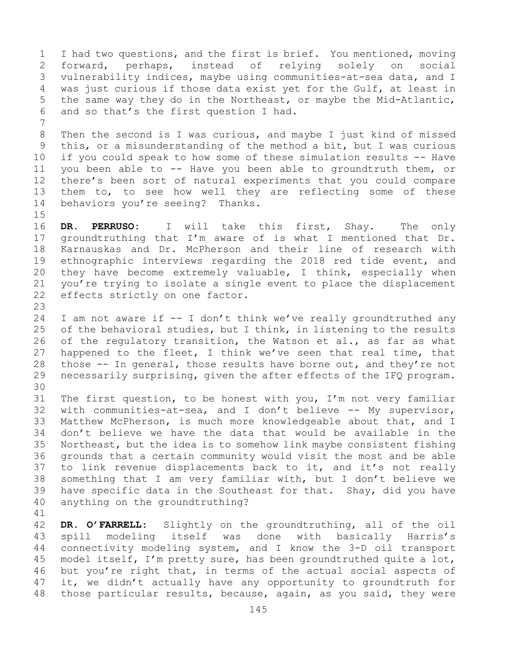1 I had two questions, and the first is brief. You mentioned, moving<br>2 forward, perhaps, instead of relying solely on social 2 forward, perhaps, instead of relying solely on<br>3 vulnerability indices, maybe-using-communities-at-sea-dat 3 vulnerability indices, maybe using communities-at-sea data, and I<br>4 was just curious if those data exist yet for the Gulf, at least in 4 was just curious if those data exist yet for the Gulf, at least in<br>5 the same way they do in the Northeast, or maybe the Mid-Atlantic, the same way they do in the Northeast, or maybe the Mid-Atlantic, 6 and so that's the first question I had.

7 8 Then the second is I was curious, and maybe I just kind of missed<br>9 this, or a misunderstanding of the method a bit, but I was curious 9 this, or a misunderstanding of the method a bit, but I was curious<br>10 if you could speak to how some of these simulation results -- Have 10 if you could speak to how some of these simulation results -- Have<br>11 vou been able to -- Have vou been able to groundtruth them, or 11 you been able to -- Have you been able to groundtruth them, or<br>12 there's been sort of natural experiments that you could compare 12 there's been sort of natural experiments that you could compare<br>13 them to, to see how well they are reflecting some of these them to, to see how well they are reflecting some of these 14 behaviors you're seeing? Thanks.

 $15$ <br> $16$ 

16 **DR. PERRUSO:** I will take this first, Shay. The only<br>17 qroundtruthing that I'm aware of is what I mentioned that Dr. 17 groundtruthing that I'm aware of is what I mentioned that Dr.<br>18 Karnauskas and Dr. McPherson and their line of research with 18 Karnauskas and Dr. McPherson and their line of research with<br>19 ethnographic interviews regarding the 2018 red tide event, and 19 ethnographic interviews regarding the 2018 red tide event, and<br>20 they have become extremely valuable, I think, especially when 20 they have become extremely valuable, I think, especially when<br>21 you're trying to isolate a single event to place the displacement 21 you're trying to isolate a single event to place the displacement<br>22 effects strictly on one factor. effects strictly on one factor.

23 24 I am not aware if  $-$  I don't think we've really groundtruthed any<br>25 of the behavioral studies, but I think, in listening to the results 25 of the behavioral studies, but I think, in listening to the results<br>26 of the requlatory transition, the Watson et al., as far as what 26 of the regulatory transition, the Watson et al., as far as what<br>27 happened to the fleet, I think we've seen that real time, that 27 happened to the fleet, I think we've seen that real time, that<br>28 those -- In general, those results have borne out, and they're not 28 those -- In general, those results have borne out, and they're not<br>29 necessarily surprising, given the after effects of the IFQ program. necessarily surprising, given the after effects of the IFQ program.

30<br>31 31 The first question, to be honest with you, I'm not very familiar<br>32 with communities-at-sea, and I don't believe -- My supervisor, with communities-at-sea, and I don't believe -- My supervisor, 33 Matthew McPherson, is much more knowledgeable about that, and I<br>34 don't believe we have the data that would be available in the 34 don't believe we have the data that would be available in the<br>35 Northeast, but the idea is to somehow link maybe consistent fishing 35 Northeast, but the idea is to somehow link maybe consistent fishing<br>36 qrounds that a certain community would visit the most and be able 36 grounds that a certain community would visit the most and be able<br>37 to link revenue displacements back to it, and it's not really 37 to link revenue displacements back to it, and it's not really<br>38 something that I am very familiar with, but I don't believe we 38 something that I am very familiar with, but I don't believe we<br>39 have specific data in the Southeast for that. Shay, did you have 39 have specific data in the Southeast for that. Shay, did you have  $40$  anything on the groundtruthing? anything on the groundtruthing?

41<br>42 42 **DR. O'FARRELL:** Slightly on the groundtruthing, all of the oil 43 spill modeling itself was<br>44 connectivity modeling system, a connectivity modeling system, and I know the 3-D oil transport 45 model itself, I'm pretty sure, has been groundtruthed quite a lot, 46 but you're right that, in terms of the actual social aspects of<br>47 it, we didn't actually have any opportunity to groundtruth for 47 it, we didn't actually have any opportunity to groundtruth for<br>48 those particular results, because, again, as you said, they were those particular results, because, again, as you said, they were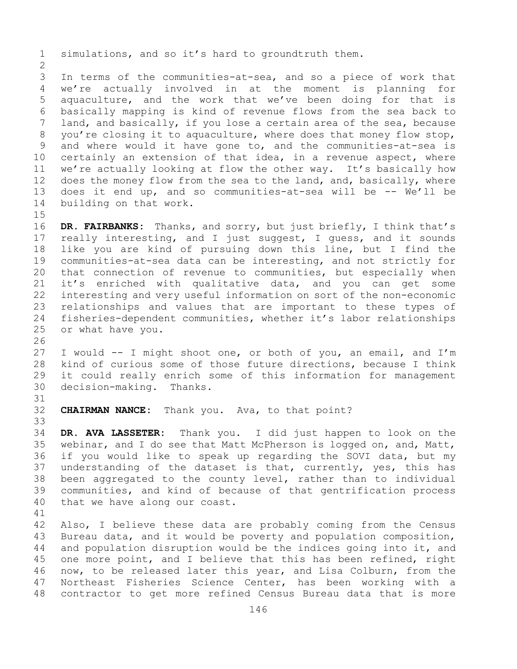1 simulations, and so it's hard to groundtruth them.

 $\frac{2}{3}$ 3 In terms of the communities-at-sea, and so a piece of work that<br>4 we're actually involved in at the moment is planning for we're actually involved in at the moment is planning for 5 aquaculture, and the work that we've been doing for that is 6 basically mapping is kind of revenue flows from the sea back to<br>7 land, and basically, if you lose a certain area of the sea, because 7 land, and basically, if you lose a certain area of the sea, because<br>8 you're closing it to aquaculture, where does that money flow stop, 8 you're closing it to aquaculture, where does that money flow stop,<br>9 and where would it have gone to, and the communities-at-sea is 9 and where would it have gone to, and the communities-at-sea is<br>10 certainly an extension of that idea, in a revenue aspect, where 10 certainly an extension of that idea, in a revenue aspect, where<br>11 we're actually looking at flow the other way. It's basically how 11 we're actually looking at flow the other way. It's basically how<br>12 does the money flow from the sea to the land, and, basically, where 12 does the money flow from the sea to the land, and, basically, where<br>13 does it end up, and so communities-at-sea will be -- We'll be does it end up, and so communities-at-sea will be  $-$ - We'll be 14 building on that work.

 $15$ <br> $16$ 16 **DR. FAIRBANKS:** Thanks, and sorry, but just briefly, I think that's<br>17 really interesting, and I just suggest, I guess, and it sounds 17 really interesting, and I just suggest, I guess, and it sounds<br>18 like you are kind of pursuing down this line, but I find the 18 like you are kind of pursuing down this line, but I find the<br>19 communities-at-sea data can be interesting, and not strictly for 19 communities-at-sea data can be interesting, and not strictly for<br>20 that connection of revenue to communities, but especially when that connection of revenue to communities, but especially when 21 it's enriched with qualitative data, and you can get some<br>22 interesting and very useful information on sort of the non-economic 22 interesting and very useful information on sort of the non-economic<br>23 relationships and values that are important to these types of 23 relationships and values that are important to these types of<br>24 fisheries-dependent communities, whether it's labor relationships 24 fisheries-dependent communities, whether it's labor relationships<br>25 or what have you. or what have you.

26<br>27 I would -- I might shoot one, or both of you, an email, and I'm 28 kind of curious some of those future directions, because I think<br>29 it could really enrich some of this information for management 29 it could really enrich some of this information for management<br>30 decision-making. Thanks. decision-making. Thanks.

31<br>32 **CHAIRMAN NANCE:** Thank you. Ava, to that point?

33<br>34 34 **DR. AVA LASSETER:** Thank you. I did just happen to look on the 35 webinar, and I do see that Matt McPherson is logged on, and, Matt,<br>36 if you would like to speak up regarding the SOVI data, but my 36 if you would like to speak up regarding the SOVI data, but my<br>37 understanding of the dataset is that, currently, yes, this has understanding of the dataset is that, currently, yes, this has 38 been aggregated to the county level, rather than to individual<br>39 communities, and kind of because of that gentrification process 39 communities, and kind of because of that gentrification process<br>40 that we have along our coast. that we have along our coast.

41<br>42 42 Also, I believe these data are probably coming from the Census<br>43 Bureau data, and it would be poverty and population composition, 43 Bureau data, and it would be poverty and population composition,<br>44 and population disruption would be the indices going into it, and and population disruption would be the indices going into it, and 45 one more point, and I believe that this has been refined, right 46 now, to be released later this year, and Lisa Colburn, from the<br>47 Northeast Fisheries Science Center, has been working with a 47 Northeast Fisheries Science Center, has been working with a<br>48 contractor to get more refined Census Bureau data that is more contractor to get more refined Census Bureau data that is more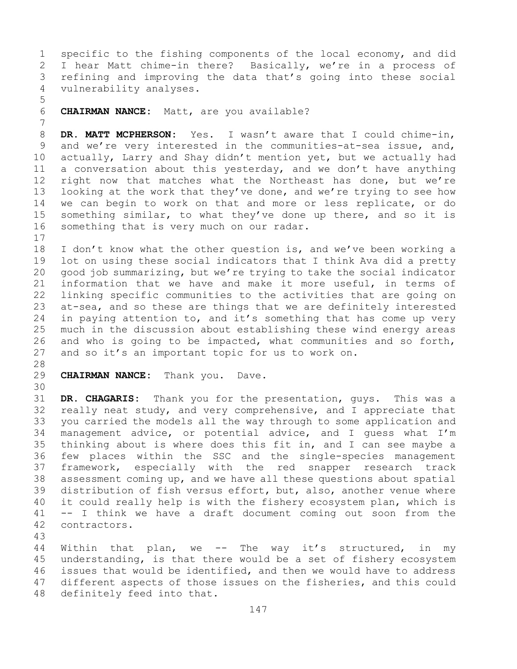1 specific to the fishing components of the local economy, and did<br>2 I hear Matt chime-in there? Basically, we're in a process of 2 I hear Matt chime-in there? Basically, we're in a process of<br>3 refining and improving the data that's going into these social 3 refining and improving the data that's going into these social<br>4 vulnerability analyses. vulnerability analyses.

7 8 **DR. MATT MCPHERSON:** Yes. I wasn't aware that I could chime-in,<br>9 and we're very interested in the communities-at-sea issue, and, 9 and we're very interested in the communities-at-sea issue, and,<br>10 actually, Larry and Shay didn't mention yet, but we actually had 10 actually, Larry and Shay didn't mention yet, but we actually had<br>11 a conversation about this vesterday, and we don't have anything 11 a conversation about this yesterday, and we don't have anything<br>12 right now that matches what the Northeast has done, but we're right now that matches what the Northeast has done, but we're 13 looking at the work that they've done, and we're trying to see how 14 we can begin to work on that and more or less replicate, or do<br>15 something similar, to what thev've done up there, and so it is 15 something similar, to what they've done up there, and so it is<br>16 something that is very much on our radar. something that is very much on our radar.

6 **CHAIRMAN NANCE:** Matt, are you available?

 $\begin{array}{c} 17 \\ 18 \end{array}$ 18 I don't know what the other question is, and we've been working a<br>19 lot on using these social indicators that I think Ava did a pretty 19 lot on using these social indicators that I think Ava did a pretty<br>20 qood job summarizing, but we're trying to take the social indicator 20 good job summarizing, but we're trying to take the social indicator<br>21 information that we have and make it more useful, in terms of 21 information that we have and make it more useful, in terms of<br>22 linking specific communities to the activities that are going on 22 linking specific communities to the activities that are going on<br>23 at-sea, and so these are things that we are definitely interested 23 at-sea, and so these are things that we are definitely interested<br>24 in paving attention to, and it's something that has come up very 24 in paying attention to, and it's something that has come up very<br>25 much in the discussion about establishing these wind energy areas 25 much in the discussion about establishing these wind energy areas<br>26 and who is going to be impacted, what communities and so forth, 26 and who is going to be impacted, what communities and so forth,<br>27 and so it's an important topic for us to work on. and so it's an important topic for us to work on.

28<br>29

5

**CHAIRMAN NANCE:** Thank you. Dave.

30<br>31

31 **DR. CHAGARIS:** Thank you for the presentation, guys. This was a really neat study, and very comprehensive, and I appreciate that 33 you carried the models all the way through to some application and<br>34 management advice, or potential advice, and I quess what I'm 34 management advice, or potential advice, and I guess what I'm<br>35 thinking about is where does this fit in, and I can see maybe a 35 thinking about is where does this fit in, and I can see maybe a<br>36 few places within the SSC and the single-species management 36 few places within the SSC and the single-species management<br>37 framework, especially with the red snapper research track framework, especially with the red snapper research track 38 assessment coming up, and we have all these questions about spatial<br>39 distribution of fish versus effort, but, also, another venue where 39 distribution of fish versus effort, but, also, another venue where<br>40 it could really help is with the fishery ecosystem plan, which is 40 it could really help is with the fishery ecosystem plan, which is  $41$  -- I think we have a draft document coming out soon from the 41 -- I think we have a draft document coming out soon from the contractors.

43

Within that plan, we  $-$ - The way it's structured, in my 45 understanding, is that there would be a set of fishery ecosystem 46 issues that would be identified, and then we would have to address<br>47 different aspects of those issues on the fisheries, and this could 47 different aspects of those issues on the fisheries, and this could definitely feed into that. definitely feed into that.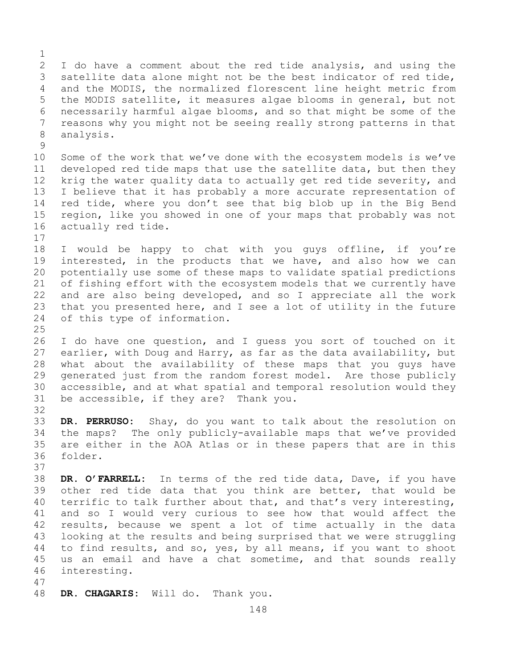$\frac{1}{2}$ 2 I do have a comment about the red tide analysis, and using the<br>3 satellite data alone might not be the best indicator of red tide, 3 satellite data alone might not be the best indicator of red tide,<br>4 and the MODIS, the normalized florescent line height metric from and the MODIS, the normalized florescent line height metric from 5 the MODIS satellite, it measures algae blooms in general, but not 6 necessarily harmful algae blooms, and so that might be some of the<br>7 reasons why you might not be seeing really strong patterns in that 7 reasons why you might not be seeing really strong patterns in that<br>8 analysis. analysis.  $\frac{9}{10}$ 10 Some of the work that we've done with the ecosystem models is we've<br>11 developed red tide maps that use the satellite data, but then they 11 developed red tide maps that use the satellite data, but then they<br>12 krig the water quality data to actually get red tide severity, and krig the water quality data to actually get red tide severity, and 13 I believe that it has probably a more accurate representation of 14 red tide, where you don't see that big blob up in the Big Bend<br>15 region, like you showed in one of your maps that probably was not 15 region, like you showed in one of your maps that probably was not<br>16 actually red tide. actually red tide.  $17$ <br> $18$ 18 I would be happy to chat with you guys offline, if you're<br>19 interested, in the products that we have, and also how we can 19 interested, in the products that we have, and also how we can<br>20 potentially use some of these maps to validate spatial predictions potentially use some of these maps to validate spatial predictions 21 of fishing effort with the ecosystem models that we currently have<br>22 and are also being developed, and so I appreciate all the work 22 and are also being developed, and so I appreciate all the work<br>23 that you presented here, and I see a lot of utility in the future 23 that you presented here, and I see a lot of utility in the future<br>24 of this type of information. of this type of information.  $\frac{25}{26}$ 26 I do have one question, and I guess you sort of touched on it<br>27 earlier, with Doug and Harry, as far as the data availability, but earlier, with Doug and Harry, as far as the data availability, but 28 what about the availability of these maps that you guys have<br>29 qenerated just from the random forest model. Are those publicly generated just from the random forest model. Are those publicly 30 accessible, and at what spatial and temporal resolution would they<br>31 be accessible, if they are? Thank you. be accessible, if they are? Thank you. 32 33 **DR. PERRUSO:** Shay, do you want to talk about the resolution on 34 the maps? The only publicly-available maps that we've provided 35 are either in the AOA Atlas or in these papers that are in this<br>36 folder. folder. 37 38 **DR. O'FARRELL:** In terms of the red tide data, Dave, if you have 39 other red tide data that you think are better, that would be<br>40 terrific to talk further about that, and that's very interesting, 40 terrific to talk further about that, and that's very interesting,<br>41 and so I would very curious to see how that would affect the 41 and so I would very curious to see how that would affect the<br>42 results, because we spent a lot of time actually in the data 42 results, because we spent a lot of time actually in the data<br>43 looking at the results and being surprised that we were struggling 43 looking at the results and being surprised that we were struggling<br>44 to find results, and so, ves, by all means, if you want to shoot to find results, and so, yes, by all means, if you want to shoot 45 us an email and have a chat sometime, and that sounds really 46 interesting. 47

DR. CHAGARIS: Will do. Thank you.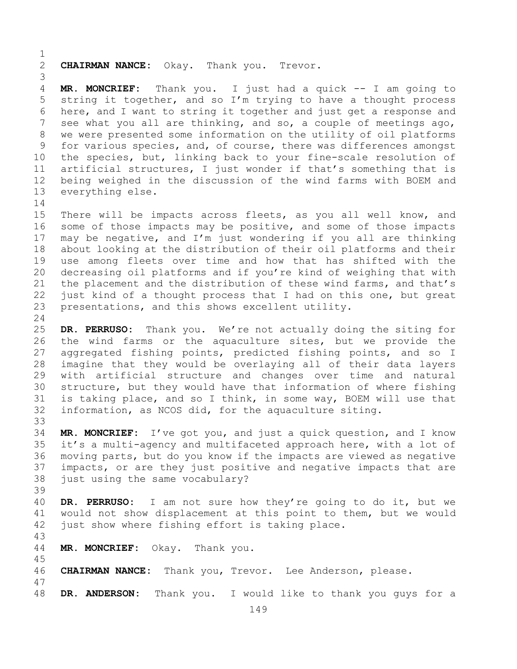$\frac{1}{2}$ 2 **CHAIRMAN NANCE:** Okay. Thank you. Trevor. 3 MR. MONCRIEF: Thank you. I just had a quick -- I am going to 5 string it together, and so I'm trying to have a thought process 6 here, and I want to string it together and just get a response and<br>7 see what you all are thinking, and so, a couple of meetings ago. 7 see what you all are thinking, and so, a couple of meetings ago,<br>8 we were presented some information on the utility of oil platforms 8 we were presented some information on the utility of oil platforms<br>9 for various species, and, of course, there was differences amongst 9 for various species, and, of course, there was differences amongst<br>10 the species, but, linking back to your fine-scale resolution of 10 the species, but, linking back to your fine-scale resolution of<br>11 artificial structures. I just wonder if that's something that is 11 artificial structures, I just wonder if that's something that is<br>12 being weighed in the discussion of the wind farms with BOEM and 12 being weighed in the discussion of the wind farms with BOEM and<br>13 everything else. everything else.  $\frac{14}{15}$ 15 There will be impacts across fleets, as you all well know, and<br>16 some of those impacts may be positive, and some of those impacts 16 some of those impacts may be positive, and some of those impacts<br>17 may be negative, and I'm just wondering if you all are thinking 17 may be negative, and I'm just wondering if you all are thinking<br>18 about looking at the distribution of their oil platforms and their 18 about looking at the distribution of their oil platforms and their<br>19 use among fleets over time and how that has shifted with the 19 use among fleets over time and how that has shifted with the<br>20 decreasing oil platforms and if you're kind of weighing that with 20 decreasing oil platforms and if you're kind of weighing that with<br>21 the placement and the distribution of these wind farms, and that's 21 the placement and the distribution of these wind farms, and that's<br>22 just kind of a thought process that I had on this one, but great 22 just kind of a thought process that I had on this one, but great<br>23 presentations, and this shows excellent utility. presentations, and this shows excellent utility.  $\frac{24}{25}$ 25 **DR. PERRUSO:** Thank you. We're not actually doing the siting for 26 the wind farms or the aquaculture sites, but we provide the<br>27 aggregated fishing points, predicted fishing points, and so I aggregated fishing points, predicted fishing points, and so I 28 imagine that they would be overlaying all of their data layers<br>29 with artificial structure and changes over time and natural 29 with artificial structure and changes over time and natural<br>30 structure, but they would have that information of where fishing 30 structure, but they would have that information of where fishing<br>31 is taking place, and so I think, in some way, BOEM will use that 31 is taking place, and so I think, in some way, BOEM will use that<br>32 information, as NCOS did, for the aquaculture siting. information, as NCOS did, for the aquaculture siting. 33<br>34 34 **MR. MONCRIEF:** I've got you, and just a quick question, and I know 35 it's a multi-agency and multifaceted approach here, with a lot of<br>36 moving parts, but do you know if the impacts are viewed as negative moving parts, but do you know if the impacts are viewed as negative 37 impacts, or are they just positive and negative impacts that are 38 just using the same vocabulary? 39 40 **DR. PERRUSO:** I am not sure how they're going to do it, but we 41 would not show displacement at this point to them, but we would<br>42 just show where fishing effort is taking place. just show where fishing effort is taking place. 43 MR. MONCRIEF: Okay. Thank you. 45 46 **CHAIRMAN NANCE:** Thank you, Trevor. Lee Anderson, please. 47 DR. ANDERSON: Thank you. I would like to thank you guys for a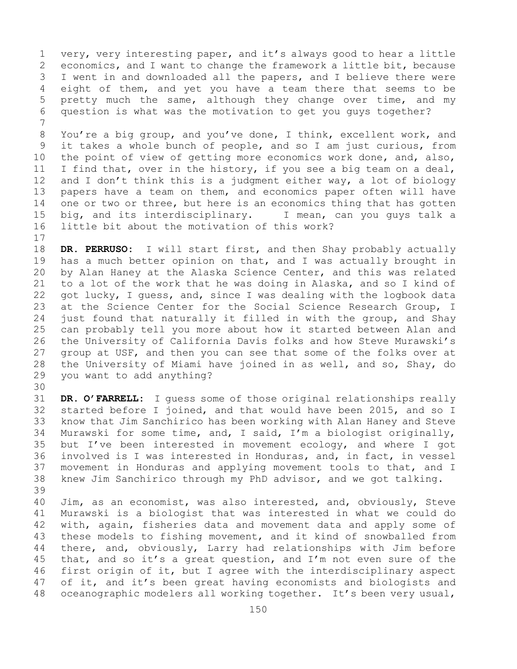1 very, very interesting paper, and it's always good to hear a little<br>2 economics, and I want to change the framework a little bit, because 2 economics, and I want to change the framework a little bit, because<br>3 I went in and downloaded all the papers, and I believe there were 3 I went in and downloaded all the papers, and I believe there were<br>4 eight of them, and yet you have a team there that seems to be eight of them, and yet you have a team there that seems to be 5 pretty much the same, although they change over time, and my 6 question is what was the motivation to get you guys together?

7 8 You're a big group, and you've done, I think, excellent work, and<br>9 it takes a whole bunch of people, and so I am just curious, from 9 it takes a whole bunch of people, and so I am just curious, from<br>10 the point of view of getting more economics work done, and, also, 10 the point of view of getting more economics work done, and, also,<br>11 I find that, over in the history, if you see a big team on a deal, 11 I find that, over in the history, if you see a big team on a deal,<br>12 and I don't think this is a judgment either way, a lot of biology 12 and I don't think this is a judgment either way, a lot of biology<br>13 papers have a team on them, and economics paper often will have papers have a team on them, and economics paper often will have 14 one or two or three, but here is an economics thing that has gotten<br>15 big, and its interdisciplinary. I mean, can you quys talk a 15 big, and its interdisciplinary.<br>16 little bit about the motivation little bit about the motivation of this work?

 $17$ <br> $18$ 18 **DR. PERRUSO:** I will start first, and then Shay probably actually<br>19 has a much better opinion on that, and I was actually brought in 19 has a much better opinion on that, and I was actually brought in<br>20 by Alan Haney at the Alaska Science Center, and this was related 20 by Alan Haney at the Alaska Science Center, and this was related<br>21 to a lot of the work that he was doing in Alaska, and so I kind of 21 to a lot of the work that he was doing in Alaska, and so I kind of<br>22 qot lucky, I quess, and, since I was dealing with the logbook data 22 got lucky, I guess, and, since I was dealing with the logbook data<br>23 at the Science Center for the Social Science Research Group, I 23 at the Science Center for the Social Science Research Group, I<br>24 just found that naturally it filled in with the group, and Shay 24 just found that naturally it filled in with the group, and Shay<br>25 can probably tell you more about how it started between Alan and 25 can probably tell you more about how it started between Alan and<br>26 the University of California Davis folks and how Steve Murawski's 26 the University of California Davis folks and how Steve Murawski's<br>27 qroup at USF, and then you can see that some of the folks over at 27 group at USF, and then you can see that some of the folks over at<br>28 the University of Miami have joined in as well, and so, Shay, do 28 the University of Miami have joined in as well, and so, Shay, do 29 you want to add anything? you want to add anything?

30<br>31

31 **DR. O'FARRELL:** I guess some of those original relationships really started before I joined, and that would have been 2015, and so I 33 know that Jim Sanchirico has been working with Alan Haney and Steve<br>34 Murawski for some time, and, I said, I'm a biologist originally, 34 Murawski for some time, and, I said, I'm a biologist originally,<br>35 but I've been interested in movement ecology, and where I got 35 but I've been interested in movement ecology, and where I got<br>36 involved is I was interested in Honduras, and, in fact, in vessel involved is I was interested in Honduras, and, in fact, in vessel 37 movement in Honduras and applying movement tools to that, and I 38 knew Jim Sanchirico through my PhD advisor, and we got talking.

39 40 Jim, as an economist, was also interested, and, obviously, Steve<br>41 Murawski is a biologist that was interested in what we could do 41 Murawski is a biologist that was interested in what we could do<br>42 with, again, fisheries data and movement data and apply some of 42 with, again, fisheries data and movement data and apply some of<br>43 these models to fishing movement, and it kind of snowballed from 43 these models to fishing movement, and it kind of snowballed from<br>44 there, and, obviously, Larry had relationships with Jim before there, and, obviously, Larry had relationships with Jim before 45 that, and so it's a great question, and I'm not even sure of the 46 first origin of it, but I agree with the interdisciplinary aspect<br>47 of it, and it's been great having economists and biologists and 47 of it, and it's been great having economists and biologists and<br>48 oceanographic modelers all working together. It's been very usual, oceanographic modelers all working together. It's been very usual,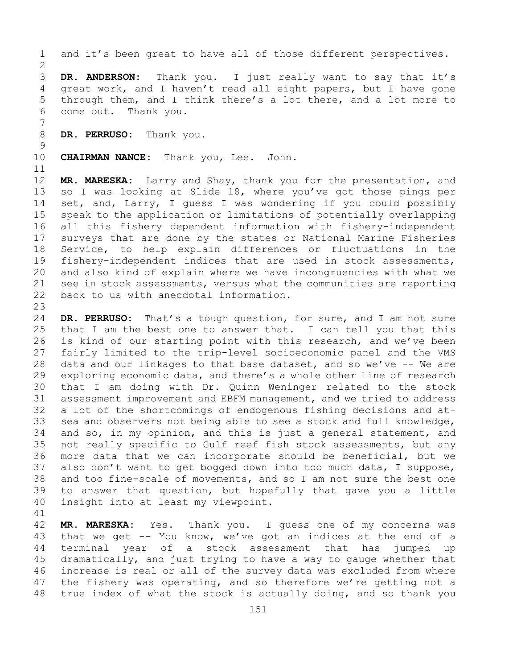- 1 and it's been great to have all of those different perspectives.  $\frac{2}{3}$ 3 **DR. ANDERSON:** Thank you. I just really want to say that it's<br>4 qreat work, and I haven't read all eight papers, but I have gone great work, and I haven't read all eight papers, but I have gone 5 through them, and I think there's a lot there, and a lot more to 6 come out. Thank you. 7
- DR. PERRUSO: Thank you.
- $\frac{9}{10}$ **CHAIRMAN NANCE:** Thank you, Lee. John.

11<br>12 MR. MARESKA: Larry and Shay, thank you for the presentation, and 13 so I was looking at Slide 18, where you've got those pings per 14 set, and, Larry, I guess I was wondering if you could possibly<br>15 speak to the application or limitations of potentially overlapping 15 speak to the application or limitations of potentially overlapping<br>16 all this fishery dependent information with fishery-independent 16 all this fishery dependent information with fishery-independent<br>17 surveys that are done by the states or National Marine Fisheries 17 surveys that are done by the states or National Marine Fisheries<br>18 Service, to help explain differences or fluctuations in the 18 Service, to help explain differences or fluctuations in the<br>19 fisherv-independent indices that are used in stock assessments, 19 fishery-independent indices that are used in stock assessments,<br>20 and also kind of explain where we have incongruencies with what we 20 and also kind of explain where we have incongruencies with what we<br>21 see in stock assessments, versus what the communities are reporting 21 see in stock assessments, versus what the communities are reporting<br>22 back to us with anecdotal information. back to us with anecdotal information.

23 24 **DR. PERRUSO:** That's a tough question, for sure, and I am not sure<br>25 that I am the best one to answer that. I can tell you that this 25 that I am the best one to answer that. I can tell you that this<br>26 is kind of our starting point with this research, and we've been 26 is kind of our starting point with this research, and we've been<br>27 fairly limited to the trip-level socioeconomic panel and the VMS fairly limited to the trip-level socioeconomic panel and the VMS 28 data and our linkages to that base dataset, and so we've  $-$  We are 29 exploring economic data, and there's a whole other line of research 29 exploring economic data, and there's a whole other line of research<br>30 that I am doing with Dr. Ouinn Weninger related to the stock 30 that I am doing with Dr. Quinn Weninger related to the stock<br>31 assessment improvement and EBFM management, and we tried to address 31 assessment improvement and EBFM management, and we tried to address<br>32 a lot of the shortcomings of endogenous fishing decisions and ata lot of the shortcomings of endogenous fishing decisions and at-33 sea and observers not being able to see a stock and full knowledge,<br>34 and so, in my opinion, and this is just a general statement, and 34 and so, in my opinion, and this is just a general statement, and<br>35 not really specific to Gulf reef fish stock assessments, but any 35 not really specific to Gulf reef fish stock assessments, but any<br>36 more data that we can incorporate should be beneficial, but we 36 more data that we can incorporate should be beneficial, but we<br>37 also don't want to get bogged down into too much data, I suppose, also don't want to get bogged down into too much data, I suppose, 38 and too fine-scale of movements, and so I am not sure the best one<br>39 to answer that question, but hopefully that gave you a little 39 to answer that question, but hopefully that gave you a little<br>40 insight into at least my viewpoint. insight into at least my viewpoint.

41<br>42 42 **MR. MARESKA:** Yes. Thank you. I guess one of my concerns was<br>43 that we get -- You know, we've got an indices at the end of a 43 that we get -- You know, we've got an indices at the end of a<br>44 terminal year of a stock assessment that has jumped up terminal year of a stock assessment that has 45 dramatically, and just trying to have a way to gauge whether that 46 increase is real or all of the survey data was excluded from where<br>47 the fishery was operating, and so therefore we're getting not a 47 the fishery was operating, and so therefore we're getting not a<br>48 true index of what the stock is actually doing, and so thank you true index of what the stock is actually doing, and so thank you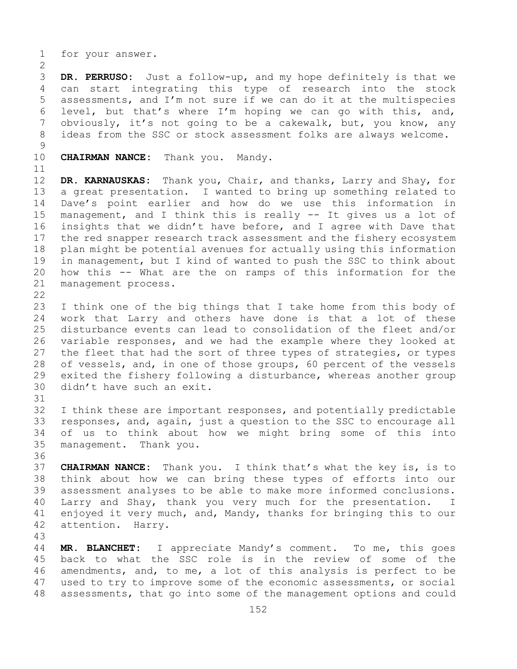1 for your answer.

 $\frac{2}{3}$ 3 **DR. PERRUSO:** Just a follow-up, and my hope definitely is that we can start integrating this type of research into the stock 5 assessments, and I'm not sure if we can do it at the multispecies 6 level, but that's where I'm hoping we can go with this, and,<br>7 obviously, it's not going to be a cakewalk, but, you know, any 7 obviously, it's not going to be a cakewalk, but, you know, any<br>8 ideas from the SSC or stock assessment folks are always welcome. ideas from the SSC or stock assessment folks are always welcome.

- $\frac{9}{10}$ 
	- **CHAIRMAN NANCE:** Thank you. Mandy.
- 

11<br>12 12 **DR. KARNAUSKAS:** Thank you, Chair, and thanks, Larry and Shay, for a great presentation. I wanted to bring up something related to 14 Dave's point earlier and how do we use this information in<br>15 management, and I think this is really -- It gives us a lot of 15 management, and I think this is really -- It gives us a lot of<br>16 insights that we didn't have before, and I agree with Dave that 16 insights that we didn't have before, and I agree with Dave that<br>17 the red snapper research track assessment and the fishery ecosystem 17 the red snapper research track assessment and the fishery ecosystem<br>18 plan might be potential avenues for actually using this information 18 plan might be potential avenues for actually using this information<br>19 in management, but I kind of wanted to push the SSC to think about 19 in management, but I kind of wanted to push the SSC to think about<br>20 how this -- What are the on ramps of this information for the 20 how this -- What are the on ramps of this information for the 21 management process. management process.

 $\begin{array}{c} 22 \\ 23 \end{array}$ 

23 I think one of the big things that I take home from this body of<br>24 work that Larry and others have done is that a lot of these 24 work that Larry and others have done is that a lot of these<br>25 disturbance events can lead to consolidation of the fleet and/or 25 disturbance events can lead to consolidation of the fleet and/or<br>26 variable responses, and we had the example where they looked at 26 variable responses, and we had the example where they looked at<br>27 the fleet that had the sort of three types of strategies, or types the fleet that had the sort of three types of strategies, or types 28 of vessels, and, in one of those groups, 60 percent of the vessels<br>29 exited the fishery following a disturbance, whereas another group 29 exited the fishery following a disturbance, whereas another group<br>30 didn't have such an exit. didn't have such an exit.

31<br>32 I think these are important responses, and potentially predictable 33 responses, and, again, just a question to the SSC to encourage all<br>34 of us to think about how we might bring some of this into 34 of us to think about how we might bring some of this into<br>35 management. Thank you. management. Thank you.

36<br>37 37 **CHAIRMAN NANCE:** Thank you. I think that's what the key is, is to 38 think about how we can bring these types of efforts into our<br>39 assessment analyses to be able to make more informed conclusions. 39 assessment analyses to be able to make more informed conclusions.<br>40 Larry and Shay, thank you very much for the presentation. I 40 Larry and Shay, thank you very much for the presentation. I<br>41 enjoyed it very much, and, Mandy, thanks for bringing this to our 41 enjoyed it very much, and, Mandy, thanks for bringing this to our 42 attention. Harry. attention.

43 MR. BLANCHET: I appreciate Mandy's comment. To me, this goes 45 back to what the SSC role is in the review of some of the 46 amendments, and, to me, a lot of this analysis is perfect to be<br>47 used to try to improve some of the economic assessments, or social 47 used to try to improve some of the economic assessments, or social<br>48 assessments, that go into some of the management options and could assessments, that go into some of the management options and could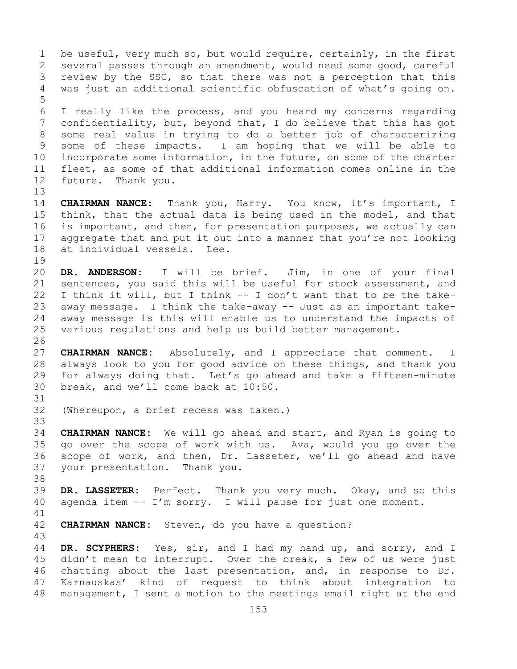153 1 be useful, very much so, but would require, certainly, in the first<br>2 several passes through an amendment, would need some good, careful 2 several passes through an amendment, would need some good, careful<br>3 review by the SSC, so that there was not a perception that this 3 review by the SSC, so that there was not a perception that this<br>4 was just an additional scientific obfuscation of what's going on. was just an additional scientific obfuscation of what's going on. 5 6 I really like the process, and you heard my concerns regarding<br>7 confidentiality, but, bevond that, I do believe that this has got 7 confidentiality, but, beyond that, I do believe that this has got<br>8 some real value in trying to do a better job of characterizing 8 some real value in trying to do a better job of characterizing<br>9 some of these impacts. I am hoping that we will be able to 9 some of these impacts. I am hoping that we will be able to<br>10 incorporate some information, in the future, on some of the charter 10 incorporate some information, in the future, on some of the charter<br>11 fleet, as some of that additional information comes online in the 11 fleet, as some of that additional information comes online in the 12 future. Thank you. Thank you. 13 14 **CHAIRMAN NANCE:** Thank you, Harry. You know, it's important, I<br>15 think, that the actual data is being used in the model, and that 15 think, that the actual data is being used in the model, and that<br>16 is important, and then, for presentation purposes, we actually can 16 is important, and then, for presentation purposes, we actually can<br>17 aggregate that and put it out into a manner that you're not looking 17 aggregate that and put it out into a manner that you're not looking<br>18 at individual vessels. Lee. at individual vessels. Lee.  $\begin{array}{c} 19 \\ 20 \end{array}$ 20 **DR. ANDERSON:** I will be brief. Jim, in one of your final 21 sentences, you said this will be useful for stock assessment, and<br>22 I think it will, but I think -- I don't want that to be the take-22 I think it will, but I think  $--$  I don't want that to be the take-<br>23 away message. I think the take-away -- Just as an important take-23 away message. I think the take-away -- Just as an important take-<br>24 away message is this will enable us to understand the impacts of 24 away message is this will enable us to understand the impacts of<br>25 various requlations and help us build better management. various regulations and help us build better management. 26<br>27 27 **CHAIRMAN NANCE:** Absolutely, and I appreciate that comment. I 28 always look to you for good advice on these things, and thank you<br>29 for always doing that. Let's go ahead and take a fifteen-minute 29 for always doing that. Let's go ahead and take a fifteen-minute<br>30 break, and we'll come back at 10:50. break, and we'll come back at 10:50. 31<br>32 (Whereupon, a brief recess was taken.) 33<br>34 34 **CHAIRMAN NANCE:** We will go ahead and start, and Ryan is going to 35 go over the scope of work with us. Ava, would you go over the<br>36 scope of work, and then, Dr. Lasseter, we'll go ahead and have 36 scope of work, and then, Dr. Lasseter, we'll go ahead and have<br>37 your presentation. Thank you. your presentation. Thank you. 38<br>39 39 **DR. LASSETER:** Perfect. Thank you very much. Okay, and so this<br>40 agenda item -- I'm sorry. I will pause for just one moment. agenda item  $-- I'm$  sorry. I will pause for just one moment. 41<br>42 **CHAIRMAN NANCE:** Steven, do you have a question? 43 DR. SCYPHERS: Yes, sir, and I had my hand up, and sorry, and I 45 didn't mean to interrupt. Over the break, a few of us were just 46 chatting about the last presentation, and, in response to Dr.<br>47 Karnauskas' kind of request to think about integration to 47 Karnauskas' kind of request to think about integration to<br>48 management, I sent a motion to the meetings email right at the end management, I sent a motion to the meetings email right at the end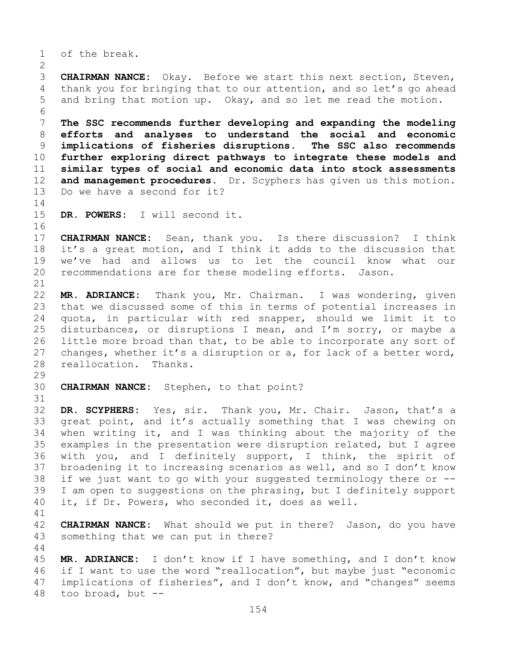1 of the break.

 $\frac{2}{3}$ 3 **CHAIRMAN NANCE:** Okay. Before we start this next section, Steven,<br>4 thank you for bringing that to our attention, and so let's go ahead thank you for bringing that to our attention, and so let's go ahead 5 and bring that motion up. Okay, and so let me read the motion.

6<br>7 **The SSC recommends further developing and expanding the modeling efforts and analyses to understand the social and economic implications of fisheries disruptions.**<br>10 **further exploring direct pathways to in further exploring direct pathways to integrate these models and similar types of social and economic data into stock assessments** 12 **and management procedures.** Dr. Scyphers has given us this motion. and management procedures. Dr. Scyphers has given us this motion. Do we have a second for it?

 $\frac{14}{15}$ DR. POWERS: I will second it.

16<br>17 17 **CHAIRMAN NANCE:** Sean, thank you. Is there discussion? I think<br>18 it's a great motion, and I think it adds to the discussion that 18 it's a great motion, and I think it adds to the discussion that<br>19 we've had and allows us to let the council know what our 19 we've had and allows us to let the council know what our<br>20 recommendations are for these modeling efforts. Jason. recommendations are for these modeling efforts. Jason.

44

21<br>22 22 **MR. ADRIANCE:** Thank you, Mr. Chairman. I was wondering, given 23 that we discussed some of this in terms of potential increases in<br>24 quota, in particular with red snapper, should we limit it to 24 quota, in particular with red snapper, should we limit it to<br>25 disturbances, or disruptions I mean, and I'm sorry, or maybe a 25 disturbances, or disruptions I mean, and I'm sorry, or maybe a<br>26 little more broad than that, to be able to incorporate any sort of 26 little more broad than that, to be able to incorporate any sort of 27 changes, whether it's a disruption or a, for lack of a better word, changes, whether it's a disruption or a, for lack of a better word, 28 reallocation. Thanks.

29<br>30 **CHAIRMAN NANCE:** Stephen, to that point?

31<br>32 DR. SCYPHERS: Yes, sir. Thank you, Mr. Chair. Jason, that's a 33 great point, and it's actually something that I was chewing on<br>34 when writing it, and I was thinking about the majority of the 34 when writing it, and I was thinking about the majority of the<br>35 examples in the presentation were disruption related, but I agree 35 examples in the presentation were disruption related, but I agree<br>36 with you, and I definitely support, I think, the spirit of with you, and I definitely support, I think, the spirit of 37 broadening it to increasing scenarios as well, and so I don't know 38 if we just want to go with your suggested terminology there or  $-$ -<br>39 I am open to suggestions on the phrasing, but I definitely support 39 I am open to suggestions on the phrasing, but I definitely support<br>40 it, if Dr. Powers, who seconded it, does as well. it, if Dr. Powers, who seconded it, does as well.

41<br>42 42 **CHAIRMAN NANCE:** What should we put in there? Jason, do you have 43 something that we can put in there? something that we can put in there?

45 **MR. ADRIANCE:** I don't know if I have something, and I don't know 46 if I want to use the word "reallocation", but maybe just "economic<br>47 implications of fisheries", and I don't know, and "changes" seems 47 implications of fisheries", and I don't know, and "changes" seems  $48$  too broad, but  $$ too broad, but  $--$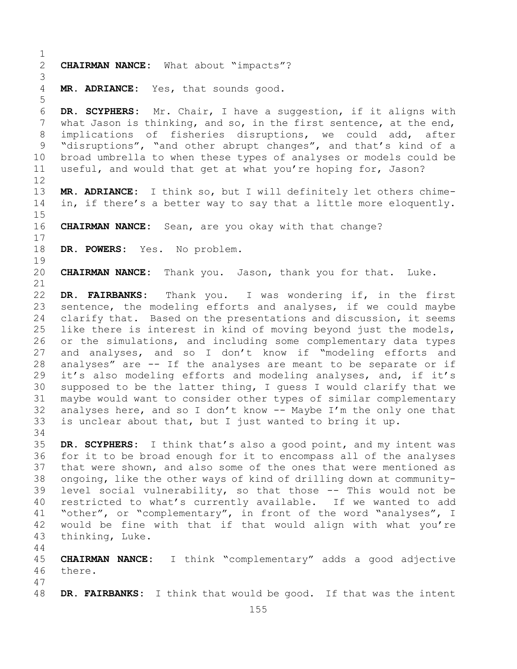```
\frac{1}{2}2 CHAIRMAN NANCE: What about "impacts"?
 3
      MR. ADRIANCE: Yes, that sounds good.
 5
 6 DR. SCYPHERS: Mr. Chair, I have a suggestion, if it aligns with 
 7 what Jason is thinking, and so, in the first sentence, at the end,<br>8 implications of fisheries disruptions, we could add, after
 8 implications of fisheries disruptions, we could add,<br>9 "disruptions", "and other abrupt changes", and that's kind
9 "disruptions", "and other abrupt changes", and that's kind of a<br>10 broad umbrella to when these types of analyses or models could be
10 broad umbrella to when these types of analyses or models could be<br>11 useful, and would that get at what you're hoping for, Jason?
      useful, and would that get at what you're hoping for, Jason?
12<br>13
      MR. ADRIANCE: I think so, but I will definitely let others chime-
14 in, if there's a better way to say that a little more eloquently.
15<br>16CHAIRMAN NANCE: Sean, are you okay with that change?
\begin{array}{c} 17 \\ 18 \end{array}DR. POWERS: Yes. No problem.
19<br>20
      20 CHAIRMAN NANCE: Thank you. Jason, thank you for that. Luke.
21<br>22
22 DR. FAIRBANKS: Thank you. I was wondering if, in the first 
23 sentence, the modeling efforts and analyses, if we could maybe<br>24 clarify that. Based on the presentations and discussion, it seems
24 clarify that. Based on the presentations and discussion, it seems<br>25 like there is interest in kind of moving beyond just the models,
25 like there is interest in kind of moving beyond just the models,<br>26 or the simulations, and including some complementary data types
26 or the simulations, and including some complementary data types<br>27 and analyses, and so I don't know if "modeling efforts and
      and analyses, and so I don't know if "modeling efforts and
28 analyses" are -- If the analyses are meant to be separate or if<br>29 it's also modeling efforts and modeling analyses, and, if it's
29 it's also modeling efforts and modeling analyses, and, if it's<br>30 supposed to be the latter thing, I quess I would clarify that we
30 supposed to be the latter thing, I guess I would clarify that we<br>31 maybe would want to consider other types of similar complementary
31 maybe would want to consider other types of similar complementary<br>32 analyses here, and so I don't know -- Maybe I'm the only one that
      analyses here, and so I don't know -- Maybe I'm the only one that
33 is unclear about that, but I just wanted to bring it up.
34<br>35
35 DR. SCYPHERS: I think that's also a good point, and my intent was 
      for it to be broad enough for it to encompass all of the analyses
37 that were shown, and also some of the ones that were mentioned as 
38 ongoing, like the other ways of kind of drilling down at community-<br>39 level social vulnerability, so that those -- This would not be
39 level social vulnerability, so that those -- This would not be<br>40 restricted to what's currently available. If we wanted to add
40 restricted to what's currently available. If we wanted to add<br>41 "other", or "complementary", in front of the word "analyses", I
41 "other", or "complementary", in front of the word "analyses", I<br>42 would be fine with that if that would align with what you're
42 would be fine with that if that would align with what you're<br>43 thinking, Luke.
      thinking, Luke.
44
45 CHAIRMAN NANCE: I think "complementary" adds a good adjective 
46 there.
```
47 DR. FAIRBANKS: I think that would be good. If that was the intent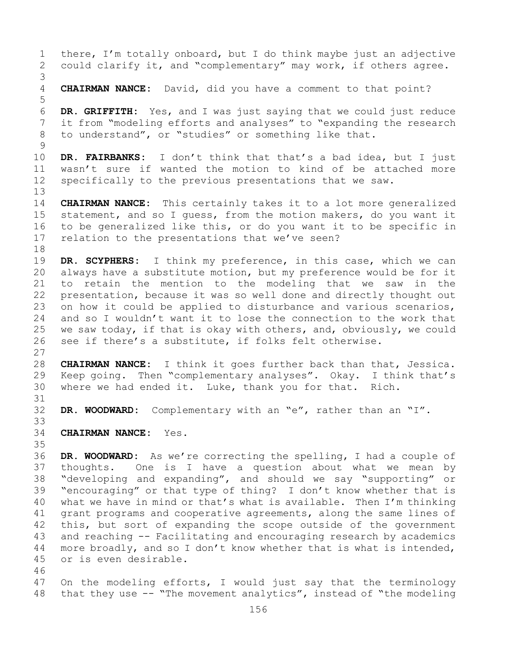1 there, I'm totally onboard, but I do think maybe just an adjective<br>2 could clarify it, and "complementary" may work, if others agree. could clarify it, and "complementary" may work, if others agree. 3 **CHAIRMAN NANCE:** David, did you have a comment to that point? 5 6 **DR. GRIFFITH:** Yes, and I was just saying that we could just reduce 7 it from "modeling efforts and analyses" to "expanding the research<br>8 to understand", or "studies" or something like that. to understand", or "studies" or something like that.  $\frac{9}{10}$ 10 **DR. FAIRBANKS:** I don't think that that's a bad idea, but I just 11 wasn't sure if wanted the motion to kind of be attached more<br>12 specifically to the previous presentations that we saw. specifically to the previous presentations that we saw. 13 14 **CHAIRMAN NANCE:** This certainly takes it to a lot more generalized<br>15 statement, and so I quess, from the motion makers, do you want it 15 statement, and so I guess, from the motion makers, do you want it<br>16 to be generalized like this, or do you want it to be specific in 16 to be generalized like this, or do you want it to be specific in<br>17 relation to the presentations that we've seen? relation to the presentations that we've seen? 18<br>19 19 **DR. SCYPHERS:** I think my preference, in this case, which we can<br>20 always have a substitute motion, but my preference would be for it 20 always have a substitute motion, but my preference would be for it<br>21 to retain the mention to the modeling that we saw in the 21 to retain the mention to the modeling that we saw in the<br>22 presentation, because it was so well done and directly thought out 22 presentation, because it was so well done and directly thought out<br>23 on how it could be applied to disturbance and various scenarios, 23 on how it could be applied to disturbance and various scenarios,<br>24 and so I wouldn't want it to lose the connection to the work that 24 and so I wouldn't want it to lose the connection to the work that<br>25 we saw today, if that is okay with others, and, obviously, we could 25 we saw today, if that is okay with others, and, obviously, we could<br>26 see if there's a substitute, if folks felt otherwise. see if there's a substitute, if folks felt otherwise.  $\frac{27}{28}$ 28 **CHAIRMAN NANCE:** I think it goes further back than that, Jessica.<br>29 Keep going. Then "complementary analyses". Okay. I think that's 29 Keep going. Then "complementary analyses". Okay. I think that's 30 where we had ended it. Luke, thank you for that. Rich. where we had ended it. Luke, thank you for that. Rich. 31<br>32 DR. WOODWARD: Complementary with an "e", rather than an "I". 33<br>34 **CHAIRMAN NANCE:** Yes. 35<br>36 36 **DR. WOODWARD:** As we're correcting the spelling, I had a couple of thoughts. One is I have a question about what we mean by 38 "developing and expanding", and should we say "supporting" or<br>39 "encouraging" or that type of thing? I don't know whether that is 39 "encouraging" or that type of thing? I don't know whether that is<br>40 what we have in mind or that's what is available. Then I'm thinking 40 what we have in mind or that's what is available. Then I'm thinking<br>41 qrant programs and cooperative agreements, along the same lines of 41 grant programs and cooperative agreements, along the same lines of<br>42 this, but sort of expanding the scope outside of the government 42 this, but sort of expanding the scope outside of the government<br>43 and reaching -- Facilitating and encouraging research by academics 43 and reaching -- Facilitating and encouraging research by academics<br>44 more broadly, and so I don't know whether that is what is intended, more broadly, and so I don't know whether that is what is intended, 45 or is even desirable. 46<br>47 47 On the modeling efforts, I would just say that the terminology<br>48 that they use -- "The movement analytics", instead of "the modeling that they use  $--$  "The movement analytics", instead of "the modeling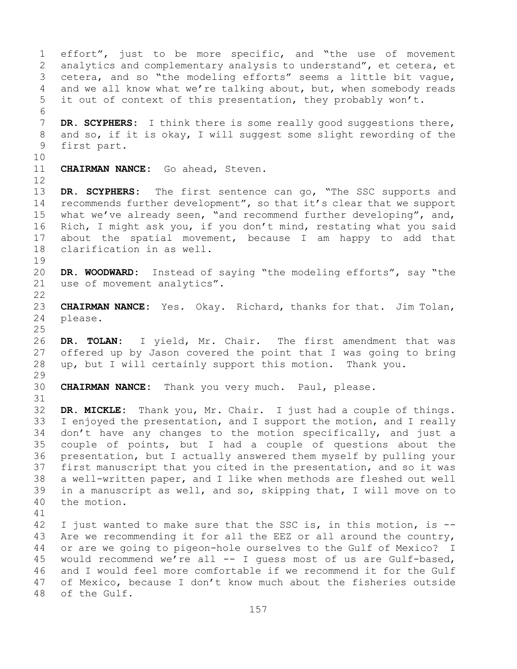1 effort", just to be more specific, and "the use of movement<br>2 analytics and complementary analysis to understand", et cetera, et 2 analytics and complementary analysis to understand", et cetera, et<br>3 cetera, and so "the modeling efforts" seems a little bit vaque, 3 cetera, and so "the modeling efforts" seems a little bit vague,<br>4 and we all know what we're talking about, but, when somebody reads and we all know what we're talking about, but, when somebody reads 5 it out of context of this presentation, they probably won't. 6<br>7 7 **DR. SCYPHERS:** I think there is some really good suggestions there,<br>8 and so, if it is okay, I will suggest some slight rewording of the 8 and so, if it is okay, I will suggest some slight rewording of the<br>9 first part. first part. 10<br>11 CHAIRMAN NANCE: Go ahead, Steven. 12<br>13 DR. SCYPHERS: The first sentence can go, "The SSC supports and 14 recommends further development", so that it's clear that we support<br>15 what we've already seen, "and recommend further developing", and, 15 what we've already seen, "and recommend further developing", and,<br>16 Rich, I might ask you, if you don't mind, restating what you said 16 Rich, I might ask you, if you don't mind, restating what you said<br>17 about the spatial movement, because I am happy to add that 17 about the spatial movement, because I am happy to add that<br>18 clarification in as well. clarification in as well. 19<br>20 20 **DR. WOODWARD:** Instead of saying "the modeling efforts", say "the use of movement analytics".  $\begin{array}{c} 22 \\ 23 \end{array}$ 23 **CHAIRMAN NANCE:** Yes. Okay. Richard, thanks for that. Jim Tolan, 24 please. please. 25 26 DR. TOLAN: I yield, Mr. Chair. The first amendment that was<br>27 offered up by Jason covered the point that I was going to bring offered up by Jason covered the point that I was going to bring 28 up, but I will certainly support this motion. Thank you. 29<br>30 CHAIRMAN NANCE: Thank you very much. Paul, please. 31<br>32 DR. MICKLE: Thank you, Mr. Chair. I just had a couple of things. 33 I enjoyed the presentation, and I support the motion, and I really<br>34 don't have any changes to the motion specifically, and just a 34 don't have any changes to the motion specifically, and just a<br>35 couple of points, but I had a couple of questions about the 35 couple of points, but I had a couple of questions about the<br>36 presentation, but I actually answered them myself by pulling your presentation, but I actually answered them myself by pulling your 37 first manuscript that you cited in the presentation, and so it was 38 a well-written paper, and I like when methods are fleshed out well<br>39 in a manuscript as well, and so, skipping that, I will move on to 39 in a manuscript as well, and so, skipping that, I will move on to 40 the motion. the motion. 41<br>42 42 I just wanted to make sure that the SSC is, in this motion, is  $-$ -<br>43 Are we recommending it for all the EEZ or all around the country, 43 Are we recommending it for all the EEZ or all around the country,<br>44 or are we going to pigeon-hole ourselves to the Gulf of Mexico? I or are we going to pigeon-hole ourselves to the Gulf of Mexico? I 45 would recommend we're all -- I guess most of us are Gulf-based, 46 and I would feel more comfortable if we recommend it for the Gulf<br>47 of Mexico, because I don't know much about the fisheries outside 47 of Mexico, because I don't know much about the fisheries outside<br>48 of the Gulf. of the Gulf.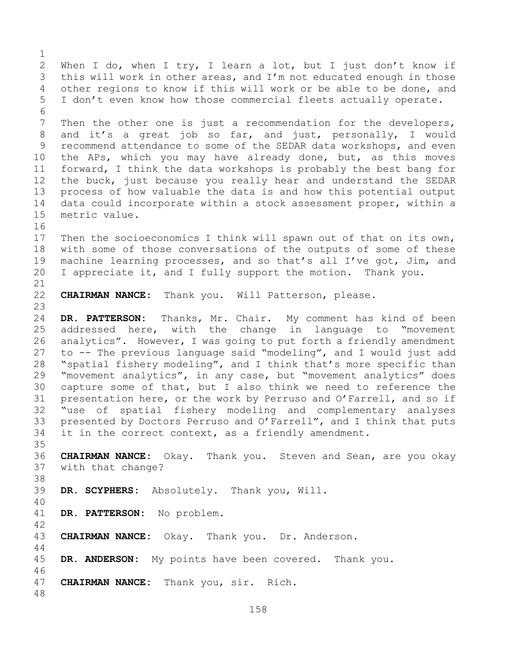158  $\frac{1}{2}$ 2 When I do, when I try, I learn a lot, but I just don't know if<br>3 this will work in other areas, and I'm not educated enough in those 3 this will work in other areas, and I'm not educated enough in those<br>4 other regions to know if this will work or be able to be done, and other regions to know if this will work or be able to be done, and 5 I don't even know how those commercial fleets actually operate. 6<br>7 7 Then the other one is just a recommendation for the developers,<br>8 and it's a great job so far, and just, personally, I would 8 and it's a great job so far, and just, personally, I would<br>9 recommend attendance to some of the SEDAR data workshops, and even 9 recommend attendance to some of the SEDAR data workshops, and even<br>10 the APs, which you may have already done, but, as this moves 10 the APs, which you may have already done, but, as this moves<br>11 forward, I think the data workshops is probably the best bang for 11 forward, I think the data workshops is probably the best bang for<br>12 the buck, just because you really hear and understand the SEDAR the buck, just because you really hear and understand the SEDAR 13 process of how valuable the data is and how this potential output 14 data could incorporate within a stock assessment proper, within a<br>15 metric value. metric value. 16<br>17 17 Then the socioeconomics I think will spawn out of that on its own,<br>18 with some of those conversations of the outputs of some of these 18 with some of those conversations of the outputs of some of these<br>19 machine learning processes, and so that's all I've got, Jim, and 19 machine learning processes, and so that's all I've got, Jim, and<br>20 I appreciate it, and I fully support the motion. Thank you. I appreciate it, and I fully support the motion. Thank you. 21<br>22 CHAIRMAN NANCE: Thank you. Will Patterson, please.  $\frac{23}{24}$ 24 **DR. PATTERSON:** Thanks, Mr. Chair. My comment has kind of been 25 addressed here, with the change in language to "movement<br>26 analytics". However, I was going to put forth a friendly amendment 26 analytics". However, I was going to put forth a friendly amendment<br>27 to -- The previous language said "modeling", and I would just add to -- The previous language said "modeling", and I would just add 28 "spatial fishery modeling", and I think that's more specific than<br>29 "movement analytics", in any case, but "movement analytics" does 29 "movement analytics", in any case, but "movement analytics" does<br>30 capture some of that, but I also think we need to reference the 30 capture some of that, but I also think we need to reference the<br>31 presentation here, or the work by Perruso and O'Farrell, and so if 31 presentation here, or the work by Perruso and O'Farrell, and so if<br>32 "use of spatial fishery modeling and complementary analyses "use of spatial fishery modeling and complementary analyses 33 presented by Doctors Perruso and O'Farrell", and I think that puts<br>34 it in the correct context, as a friendly amendment. it in the correct context, as a friendly amendment. 35<br>36 36 **CHAIRMAN NANCE:** Okay. Thank you. Steven and Sean, are you okay 37 with that change? 38<br>39 DR. SCYPHERS: Absolutely. Thank you, Will. 40 DR. PATTERSON: No problem. 42 CHAIRMAN NANCE: Okay. Thank you. Dr. Anderson. 44 45 **DR. ANDERSON:** My points have been covered. Thank you. 46<br>47 CHAIRMAN NANCE: Thank you, sir. Rich. 48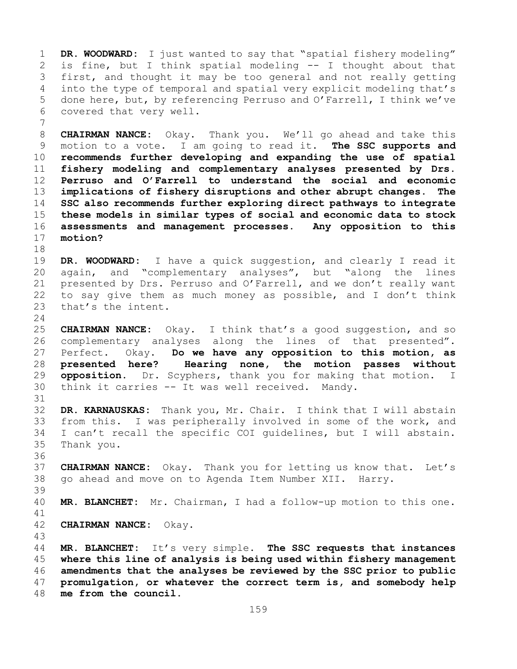1 **DR. WOODWARD:** I just wanted to say that "spatial fishery modeling"<br>2 is fine, but I think spatial modeling -- I thought about that 2 is fine, but I think spatial modeling -- I thought about that<br>3 first, and thought it may be too general and not really getting 3 first, and thought it may be too general and not really getting<br>4 into the type of temporal and spatial very explicit modeling that's into the type of temporal and spatial very explicit modeling that's 5 done here, but, by referencing Perruso and O'Farrell, I think we've 6 covered that very well.

7 **CHAIRMAN NANCE:** Okay. Thank you. We'll go ahead and take this<br>9 motion to a vote. I am going to read it. The SSC supports and 9 motion to a vote. I am going to read it.<br>10 **recommends further developing and expanding recommends further developing and expanding the use of spatial fishery modeling and complementary analyses presented by Drs. Perruso and O'Farrell to understand the social and economic implications of fishery disruptions and other abrupt changes. The SSC also recommends further exploring direct pathways to integrate these models in similar types of social and economic data to stock assessments and management processes. Any opposition to this**  motion?

18<br>19 19 **DR. WOODWARD:** I have a quick suggestion, and clearly I read it and "complementary analyses", but "along the lines 21 presented by Drs. Perruso and O'Farrell, and we don't really want<br>22 to say give them as much money as possible, and I don't think 22 to say give them as much money as possible, and I don't think<br>23 that's the intent. that's the intent.

 $\frac{24}{25}$ 25 **CHAIRMAN NANCE:** Okay. I think that's a good suggestion, and so 26 complementary analyses along the lines of that presented".<br>27 Perfect. Okay. Do we have any opposition to this motion, as Do we have any opposition to this motion, as 28 **presented here? Hearing none, the motion passes without**  29 **opposition.** Dr. Scyphers, thank you for making that motion. I<br>30 think it carries -- It was well received. Mandy. think it carries -- It was well received. Mandy.

31<br>32 32 **DR. KARNAUSKAS:** Thank you, Mr. Chair. I think that I will abstain 33 from this. I was peripherally involved in some of the work, and<br>34 I can't recall the specific COI quidelines, but I will abstain. 34 I can't recall the specific COI guidelines, but I will abstain.<br>35 Thank you. Thank you.

37 **CHAIRMAN NANCE:** Okay. Thank you for letting us know that. Let's 38 go ahead and move on to Agenda Item Number XII. Harry.

39 MR. BLANCHET: Mr. Chairman, I had a follow-up motion to this one.

41<br>42

36

42 **CHAIRMAN NANCE:** Okay.

43 **MR. BLANCHET:** It's very simple. **The SSC requests that instances where this line of analysis is being used within fishery management amendments that the analyses be reviewed by the SSC prior to public promulgation, or whatever the correct term is, and somebody help**  me from the council.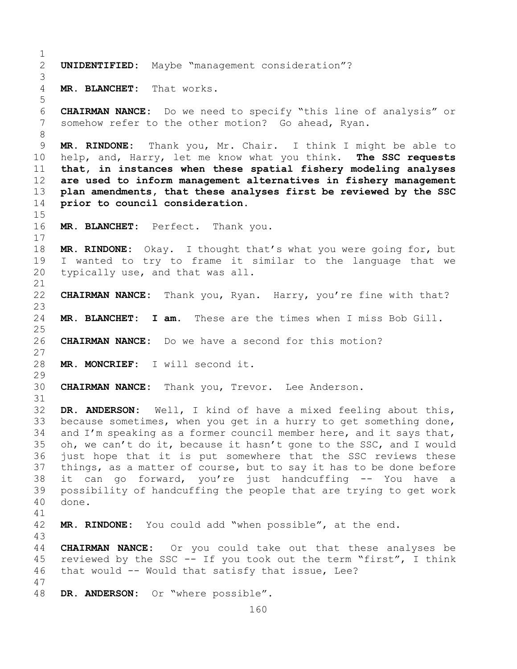$\frac{1}{2}$ 2 **UNIDENTIFIED:** Maybe "management consideration"? 3 MR. BLANCHET: That works. 5 6 **CHAIRMAN NANCE:** Do we need to specify "this line of analysis" or somehow refer to the other motion? Go ahead, Ryan. 8<br>9 9 **MR. RINDONE:** Thank you, Mr. Chair. I think I might be able to<br>10 help, and, Harry, let me know what you think. The SSC requests 10 help, and, Harry, let me know what you think. **The SSC requests**  11 **that, in instances when these spatial fishery modeling analyses**  12 **are used to inform management alternatives in fishery management**  13 **plan amendments, that these analyses first be reviewed by the SSC**  14 **prior to council consideration.**  15<br>16 16 **MR. BLANCHET:** Perfect.Thank you.  $17$ <br> $18$ 18 **MR. RINDONE:** Okay. I thought that's what you were going for, but 19 I wanted to try to frame it similar to the language that we<br>20 typically use, and that was all. typically use, and that was all. 21<br>22 CHAIRMAN NANCE: Thank you, Ryan. Harry, you're fine with that?  $\frac{23}{24}$ MR. BLANCHET: I am. These are the times when I miss Bob Gill.  $\frac{25}{26}$ 26 **CHAIRMAN NANCE:** Do we have a second for this motion? 27 28 **MR. MONCRIEF:** I will second it. 29<br>30 30 **CHAIRMAN NANCE:** Thank you, Trevor. Lee Anderson. 31<br>32 DR. ANDERSON: Well, I kind of have a mixed feeling about this, 33 because sometimes, when you get in a hurry to get something done,<br>34 and I'm speaking as a former council member here, and it says that, 34 and I'm speaking as a former council member here, and it says that,<br>35 oh, we can't do it, because it hasn't gone to the SSC, and I would 35 oh, we can't do it, because it hasn't gone to the SSC, and I would<br>36 iust hope that it is put somewhere that the SSC reviews these just hope that it is put somewhere that the SSC reviews these 37 things, as a matter of course, but to say it has to be done before 38 it can go forward, you're just handcuffing -- You have a<br>39 possibility of handcuffing the people that are trying to get work 39 possibility of handcuffing the people that are trying to get work 40 done. 41<br>42 MR. RINDONE: You could add "when possible", at the end. 43 44 **CHAIRMAN NANCE:** Or you could take out that these analyses be 45 reviewed by the SSC -- If you took out the term "first", I think 46 that would -- Would that satisfy that issue, Lee? 47 DR. ANDERSON: Or "where possible".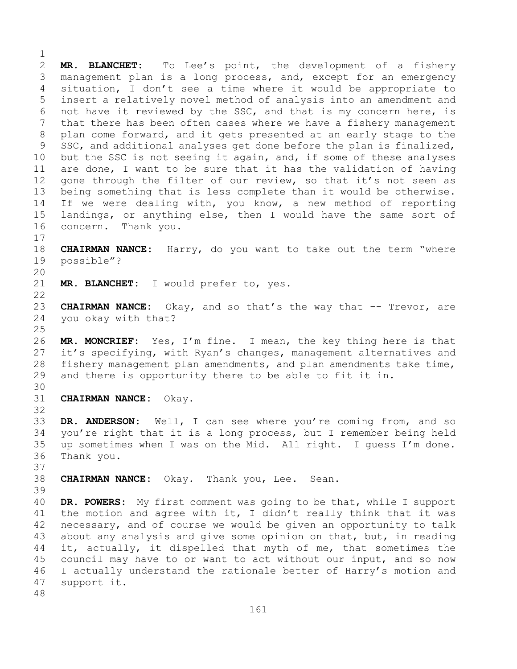$\frac{1}{2}$ 2 **MR. BLANCHET:** To Lee's point, the development of a fishery<br>3 management plan is a long process, and, except for an emergency 3 management plan is a long process, and, except for an emergency<br>4 situation, I don't see a time where it would be appropriate to situation, I don't see a time where it would be appropriate to 5 insert a relatively novel method of analysis into an amendment and 6 not have it reviewed by the SSC, and that is my concern here, is<br>7 that there has been often cases where we have a fisherv management 7 that there has been often cases where we have a fishery management<br>8 plan come forward, and it gets presented at an early stage to the 8 plan come forward, and it gets presented at an early stage to the<br>9 SSC, and additional analyses get done before the plan is finalized, 9 SSC, and additional analyses get done before the plan is finalized,<br>10 but the SSC is not seeing it again, and, if some of these analyses 10 but the SSC is not seeing it again, and, if some of these analyses<br>11 are done, I want to be sure that it has the validation of having 11 are done, I want to be sure that it has the validation of having<br>12 gone through the filter of our review, so that it's not seen as gone through the filter of our review, so that it's not seen as 13 being something that is less complete than it would be otherwise. 14 If we were dealing with, you know, a new method of reporting<br>15 landings, or anvthing else, then I would have the same sort of 15 landings, or anything else, then I would have the same sort of<br>16 concern. Thank you. concern. Thank you.

 $\begin{array}{c} 17 \\ 18 \end{array}$ 18 **CHAIRMAN NANCE:** Harry, do you want to take out the term "where<br>19 possible"? possible"?

20<br>21

MR. BLANCHET: I would prefer to, yes.

 $\begin{array}{c} 22 \\ 23 \end{array}$ 23 **CHAIRMAN NANCE:** Okay, and so that's the way that -- Trevor, are<br>24 vou okay with that? you okay with that?

 $\frac{25}{26}$ 26 **MR. MONCRIEF:** Yes, I'm fine. I mean, the key thing here is that<br>27 it's specifying, with Ryan's changes, management alternatives and it's specifying, with Ryan's changes, management alternatives and 28 fishery management plan amendments, and plan amendments take time,<br>29 and there is opportunity there to be able to fit it in. and there is opportunity there to be able to fit it in.

30<br>31

32

31 **CHAIRMAN NANCE:** Okay.

33 **DR. ANDERSON:** Well, I can see where you're coming from, and so<br>34 you're right that it is a long process, but I remember being held 34 you're right that it is a long process, but I remember being held<br>35 up sometimes when I was on the Mid. All right. I quess I'm done. 35 up sometimes when I was on the Mid. All right. I guess I'm done.<br>36 Thank you. Thank you.

37

38 **CHAIRMAN NANCE:** Okay. Thank you, Lee. Sean.

39

40 **DR. POWERS:** My first comment was going to be that, while I support<br>41 the motion and agree with it, I didn't really think that it was 41 the motion and agree with it, I didn't really think that it was<br>42 necessary, and of course we would be given an opportunity to talk 42 necessary, and of course we would be given an opportunity to talk<br>43 about any analysis and give some opinion on that, but, in reading 43 about any analysis and give some opinion on that, but, in reading<br>44 it, actually, it dispelled that myth of me, that sometimes the it, actually, it dispelled that myth of me, that sometimes the 45 council may have to or want to act without our input, and so now 46 I actually understand the rationale better of Harry's motion and<br>47 support it. support it.

48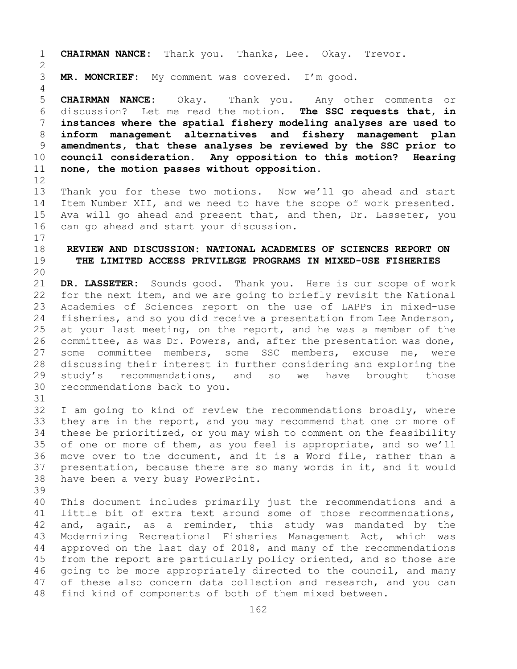1 **CHAIRMAN NANCE:** Thank you. Thanks, Lee. Okay. Trevor.  $\frac{2}{3}$ MR. MONCRIEF: My comment was covered. I'm good. 4 5 **CHAIRMAN NANCE:** Okay. Thank you. Any other comments or 6 discussion? Let me read the motion. **The SSC requests that, in**  7 **instances where the spatial fishery modeling analyses are used to**  8 **inform management alternatives and fishery management plan**  9 **amendments, that these analyses be reviewed by the SSC prior to**  10 **council consideration. Any opposition to this motion?**<br>11 **none, the motion passes without opposition**. none, the motion passes without opposition. 12<br>13 Thank you for these two motions. Now we'll go ahead and start 14 Item Number XII, and we need to have the scope of work presented.<br>15 Ava will go ahead and present that, and then, Dr. Lasseter, vou 15 Ava will go ahead and present that, and then, Dr. Lasseter, you<br>16 can go ahead and start your discussion. can go ahead and start your discussion.  $\frac{17}{18}$ 18 **REVIEW AND DISCUSSION: NATIONAL ACADEMIES OF SCIENCES REPORT ON**  19 **THE LIMITED ACCESS PRIVILEGE PROGRAMS IN MIXED-USE FISHERIES** 20<br>21 21 **DR. LASSETER:** Sounds good. Thank you. Here is our scope of work<br>22 for the next item, and we are going to briefly revisit the National 22 for the next item, and we are going to briefly revisit the National<br>23 Academies of Sciences report on the use of LAPPs in mixed-use 23 Academies of Sciences report on the use of LAPPs in mixed-use<br>24 fisheries, and so vou did receive a presentation from Lee Anderson, 24 fisheries, and so you did receive a presentation from Lee Anderson,<br>25 at your last meeting, on the report, and he was a member of the 25 at your last meeting, on the report, and he was a member of the<br>26 committee, as was Dr. Powers, and, after the presentation was done, 26 committee, as was Dr. Powers, and, after the presentation was done,<br>27 some committee members, some SSC members, excuse me, were 27 some committee members, some SSC members, excuse me, were<br>28 discussing their interest in further considering and exploring the 28 discussing their interest in further considering and exploring the<br>29 study's recommendations, and so we have brought those 29 study's recommendations, and<br>30 recommendations back to you. recommendations back to you. 31<br>32 32 I am going to kind of review the recommendations broadly, where<br>33 they are in the report, and you may recommend that one or more of 33 they are in the report, and you may recommend that one or more of<br>34 these be prioritized, or you may wish to comment on the feasibility 34 these be prioritized, or you may wish to comment on the feasibility<br>35 of one or more of them, as you feel is appropriate, and so we'll 35 of one or more of them, as you feel is appropriate, and so we'll<br>36 move over to the document, and it is a Word file, rather than a 36 move over to the document, and it is a Word file, rather than a<br>37 presentation, because there are so many words in it, and it would presentation, because there are so many words in it, and it would 38 have been a very busy PowerPoint. 39 40 This document includes primarily just the recommendations and a<br>41 little bit of extra text around some of those recommendations. 41 little bit of extra text around some of those recommendations,<br>42 and, again, as a reminder, this study was mandated by the 42 and, again, as a reminder, this study was mandated by the<br>43 Modernizing Recreational Fisheries Management Act, which was 43 Modernizing Recreational Fisheries Management Act, which was<br>44 approved on the last day of 2018, and many of the recommendations approved on the last day of  $2018$ , and many of the recommendations 45 from the report are particularly policy oriented, and so those are 46 going to be more appropriately directed to the council, and many<br>47 of these also concern data collection and research, and you can 47 of these also concern data collection and research, and you can<br>48 find kind of components of both of them mixed between. find kind of components of both of them mixed between.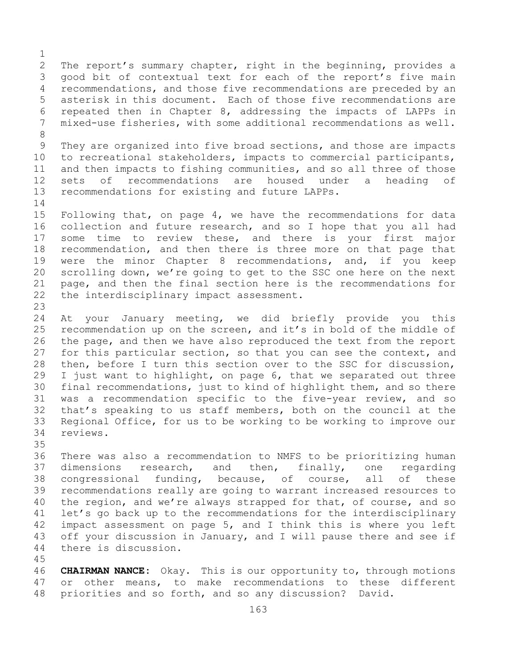$\frac{1}{2}$ 2 The report's summary chapter, right in the beginning, provides a<br>3 qood bit of contextual text for each of the report's five main 3 good bit of contextual text for each of the report's five main<br>4 recommendations, and those five recommendations are preceded by an recommendations, and those five recommendations are preceded by an 5 asterisk in this document. Each of those five recommendations are 6 repeated then in Chapter 8, addressing the impacts of LAPPs in<br>7 mixed-use fisheries, with some additional recommendations as well. mixed-use fisheries, with some additional recommendations as well. 8 9 They are organized into five broad sections, and those are impacts<br>10 to recreational stakeholders, impacts to commercial participants, 10 to recreational stakeholders, impacts to commercial participants,<br>11 and then impacts to fishing communities, and so all three of those 11 and then impacts to fishing communities, and so all three of those<br>12 sets of recommendations are housed under a heading of recommendations are 13 recommendations for existing and future LAPPs.  $\frac{14}{15}$ 15 Following that, on page 4, we have the recommendations for data<br>16 collection and future research, and so I hope that you all had 16 collection and future research, and so I hope that you all had<br>17 some time to review these, and there is your first major 17 some time to review these, and there is your first major<br>18 recommendation, and then there is three more on that page that 18 recommendation, and then there is three more on that page that<br>19 were the minor Chapter 8 recommendations, and, if you keep 19 were the minor Chapter 8 recommendations, and, if you keep<br>20 scrolling down, we're going to get to the SSC one here on the next scrolling down, we're going to get to the SSC one here on the next 21 page, and then the final section here is the recommendations for<br>22 the interdisciplinary impact assessment. the interdisciplinary impact assessment.  $\frac{23}{24}$ 24 At your January meeting, we did briefly provide you this<br>25 recommendation up on the screen, and it's in bold of the middle of 25 recommendation up on the screen, and it's in bold of the middle of<br>26 the page, and then we have also reproduced the text from the report 26 the page, and then we have also reproduced the text from the report<br>27 for this particular section, so that you can see the context, and for this particular section, so that you can see the context, and 28 then, before I turn this section over to the SSC for discussion,<br>29 I just want to highlight, on page 6, that we separated out three 29 I just want to highlight, on page 6, that we separated out three<br>30 final recommendations, just to kind of highlight them, and so there 30 final recommendations, just to kind of highlight them, and so there<br>31 was a recommendation specific to the five-year review, and so 31 was a recommendation specific to the five-year review, and so<br>32 that's speaking to us staff members, both on the council at the that's speaking to us staff members, both on the council at the 33 Regional Office, for us to be working to be working to improve our reviews. reviews. 35<br>36 There was also a recommendation to NMFS to be prioritizing human 37 dimensions research, and then, finally, one regarding 38 congressional funding, because, of course, all of these<br>39 recommendations really are going to warrant increased resources to 39 recommendations really are going to warrant increased resources to<br>40 the region, and we're always strapped for that, of course, and so 40 the region, and we're always strapped for that, of course, and so<br>41 let's go back up to the recommendations for the interdisciplinary

41 let's go back up to the recommendations for the interdisciplinary<br>42 impact assessment on page 5, and I think this is where you left 42 impact assessment on page 5, and I think this is where you left<br>43 off your discussion in January, and I will pause there and see if 43 off your discussion in January, and I will pause there and see if 44 there is discussion.

there is discussion.

45

46 **CHAIRMAN NANCE:** Okay. This is our opportunity to, through motions<br>47 or other means, to make recommendations to these different 47 or other means, to make recommendations to these different<br>48 priorities and so forth, and so any discussion? David. priorities and so forth, and so any discussion?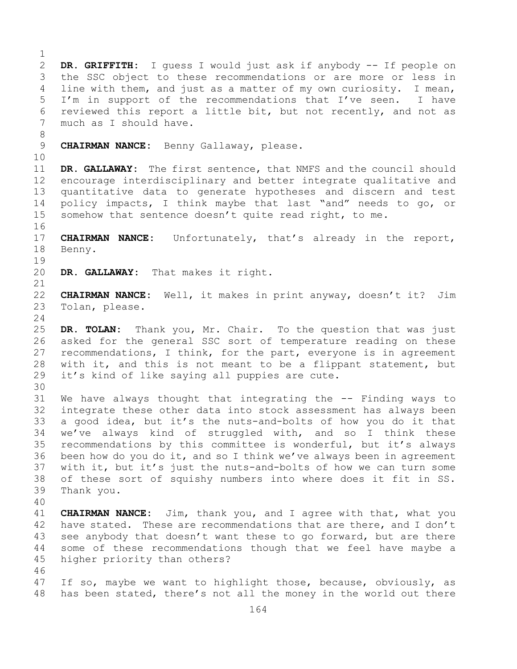$\frac{1}{2}$ 2 **DR. GRIFFITH:** I guess I would just ask if anybody -- If people on 3 the SSC object to these recommendations or are more or less in<br>4 line with them, and just as a matter of my own curiosity. I mean, line with them, and just as a matter of my own curiosity. I mean, 5 I'm in support of the recommendations that I've seen. I have 6 reviewed this report a little bit, but not recently, and not as  $7$  much as I should have. much as I should have. 8<br>9 9 **CHAIRMAN NANCE:** Benny Gallaway, please. 10<br>11 11 **DR. GALLAWAY:** The first sentence, that NMFS and the council should encourage interdisciplinary and better integrate qualitative and 13 quantitative data to generate hypotheses and discern and test 14 policy impacts, I think maybe that last "and" needs to go, or<br>15 somehow that sentence doesn't quite read right, to me. somehow that sentence doesn't quite read right, to me. 16<br>17 17 **CHAIRMAN NANCE:** Unfortunately, that's already in the report,<br>18 Benny. Benny.  $\begin{array}{c} 19 \\ 20 \end{array}$ DR. GALLAWAY: That makes it right. 21<br>22 22 **CHAIRMAN NANCE:** Well, it makes in print anyway, doesn't it? Jim Tolan, please.  $\frac{24}{25}$ DR. TOLAN: Thank you, Mr. Chair. To the question that was just 26 asked for the general SSC sort of temperature reading on these<br>27 recommendations, I think, for the part, everyone is in agreement recommendations, I think, for the part, everyone is in agreement 28 with it, and this is not meant to be a flippant statement, but<br>29 it's kind of like saying all puppies are cute. it's kind of like saying all puppies are cute. 30<br>31 31 We have always thought that integrating the -- Finding ways to<br>32 integrate these other data into stock assessment has always been integrate these other data into stock assessment has always been 33 a good idea, but it's the nuts-and-bolts of how you do it that<br>34 we've always kind of struggled with, and so I think these 34 we've always kind of struggled with, and so I think these<br>35 recommendations by this committee is wonderful, but it's always 35 recommendations by this committee is wonderful, but it's always<br>36 been how do you do it, and so I think we've always been in agreement been how do you do it, and so I think we've always been in agreement 37 with it, but it's just the nuts-and-bolts of how we can turn some 38 of these sort of squishy numbers into where does it fit in SS.<br>39 Thank vou. Thank you. 40 41 **CHAIRMAN NANCE:** Jim, thank you, and I agree with that, what you<br>42 have stated. These are recommendations that are there, and I don't 42 have stated. These are recommendations that are there, and I don't<br>43 see anybody that doesn't want these to go forward, but are there 43 see anybody that doesn't want these to go forward, but are there<br>44 some of these recommendations though that we feel have maybe a some of these recommendations though that we feel have maybe a 45 higher priority than others? 46<br>47 47 If so, maybe we want to highlight those, because, obviously, as<br>48 has been stated, there's not all the money in the world out there has been stated, there's not all the money in the world out there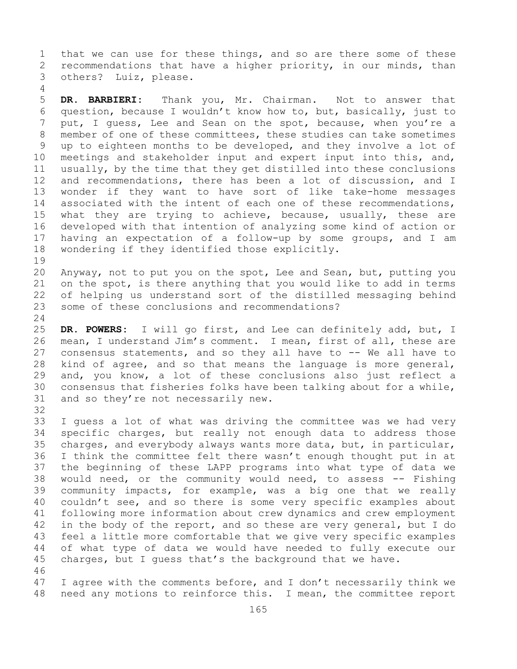1 that we can use for these things, and so are there some of these<br>2 recommendations that have a higher priority, in our minds, than 2 recommendations that have a higher priority, in our minds, than<br>3 others? Luiz, please. Luiz, please.

5 **DR. BARBIERI:** Thank you, Mr. Chairman. Not to answer that 6 question, because I wouldn't know how to, but, basically, just to<br>7 put, I quess, Lee and Sean on the spot, because, when you're a 7 put, I guess, Lee and Sean on the spot, because, when you're a<br>8 member of one of these committees, these studies can take sometimes 8 member of one of these committees, these studies can take sometimes<br>9 up to eighteen months to be developed, and they involve a lot of 9 up to eighteen months to be developed, and they involve a lot of<br>10 meetings and stakeholder input and expert input into this, and, 10 meetings and stakeholder input and expert input into this, and,<br>11 usually, by the time that they get distilled into these conclusions 11 usually, by the time that they get distilled into these conclusions<br>12 and recommendations, there has been a lot of discussion, and I 12 and recommendations, there has been a lot of discussion, and I<br>13 wonder if they want to have sort of like take-home messages wonder if they want to have sort of like take-home messages 14 associated with the intent of each one of these recommendations,<br>15 what they are trving to achieve, because, usually, these are 15 what they are trying to achieve, because, usually, these are<br>16 developed with that intention of analyzing some kind of action or 16 developed with that intention of analyzing some kind of action or<br>17 having an expectation of a follow-up by some groups, and I am 17 having an expectation of a follow-up by some groups, and I am<br>18 wondering if they identified those explicitly. wondering if they identified those explicitly.

19<br>20 20 Anyway, not to put you on the spot, Lee and Sean, but, putting you<br>21 on the spot, is there anything that you would like to add in terms 21 on the spot, is there anything that you would like to add in terms<br>22 of helping us understand sort of the distilled messaging behind 22 of helping us understand sort of the distilled messaging behind<br>23 some of these conclusions and recommendations? some of these conclusions and recommendations?

 $\frac{24}{25}$ 25 DR. POWERS: I will go first, and Lee can definitely add, but, I<br>26 mean, I understand Jim's comment. I mean, first of all, these are 26 mean, I understand Jim's comment. I mean, first of all, these are<br>27 consensus statements, and so they all have to -- We all have to consensus statements, and so they all have to -- We all have to 28 kind of agree, and so that means the language is more general,<br>29 and, you know, a lot of these conclusions also just reflect a 29 and, you know, a lot of these conclusions also just reflect a<br>30 consensus that fisheries folks have been talking about for a while, 30 consensus that fisheries folks have been talking about for a while,<br>31 and so they're not necessarily new. and so they're not necessarily new.

32<br>33

4

33 I guess a lot of what was driving the committee was we had very<br>34 specific charges, but really not enough data to address those 34 specific charges, but really not enough data to address those<br>35 charges, and everybody always wants more data, but, in particular, 35 charges, and everybody always wants more data, but, in particular,<br>36 I think the committee felt there wasn't enough thought put in at 36 I think the committee felt there wasn't enough thought put in at<br>37 the beginning of these LAPP programs into what type of data we 37 the beginning of these LAPP programs into what type of data we<br>38 would need, or the community would need, to assess -- Fishing 38 would need, or the community would need, to assess -- Fishing<br>39 community impacts, for example, was a big one that we really 39 community impacts, for example, was a big one that we really<br>40 couldn't see, and so there is some very specific examples about 40 couldn't see, and so there is some very specific examples about<br>41 following more information about crew dynamics and crew employment 41 following more information about crew dynamics and crew employment<br>42 in the body of the report, and so these are very general, but I do 42 in the body of the report, and so these are very general, but I do<br>43 feel a little more comfortable that we give very specific examples 43 feel a little more comfortable that we give very specific examples<br>44 of what type of data we would have needed to fully execute our of what type of data we would have needed to fully execute our 45 charges, but I guess that's the background that we have.

46<br>47 47 I agree with the comments before, and I don't necessarily think we<br>48 need any motions to reinforce this. I mean, the committee report need any motions to reinforce this. I mean, the committee report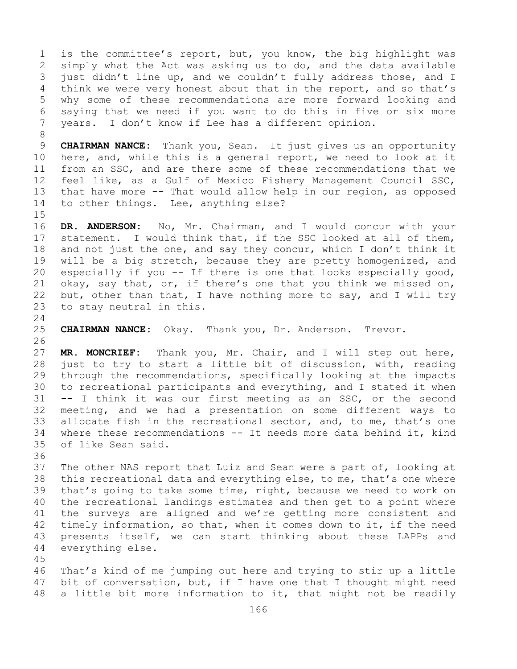1 is the committee's report, but, you know, the big highlight was<br>2 simply what the Act was asking us to do, and the data available 2 simply what the Act was asking us to do, and the data available<br>3 just didn't line up, and we couldn't fully address those, and I 3 just didn't line up, and we couldn't fully address those, and I<br>4 think we were very honest about that in the report, and so that's think we were very honest about that in the report, and so that's 5 why some of these recommendations are more forward looking and 6 saying that we need if you want to do this in five or six more<br>7 vears. I don't know if Lee has a different opinion. years. I don't know if Lee has a different opinion.

8<br>9 9 **CHAIRMAN NANCE:** Thank you, Sean. It just gives us an opportunity<br>10 here, and, while this is a general report, we need to look at it 10 here, and, while this is a general report, we need to look at it<br>11 from an SSC, and are there some of these recommendations that we 11 from an SSC, and are there some of these recommendations that we<br>12 feel like, as a Gulf of Mexico Fishery Management Council SSC, 12 feel like, as a Gulf of Mexico Fishery Management Council SSC,<br>13 that have more -- That would allow help in our region, as opposed that have more -- That would allow help in our region, as opposed 14 to other things. Lee, anything else?

 $15$ <br> $16$ 16 DR. ANDERSON: No, Mr. Chairman, and I would concur with your<br>17 statement. I would think that, if the SSC looked at all of them, 17 statement. I would think that, if the SSC looked at all of them,<br>18 and not just the one, and say they concur, which I don't think it 18 and not just the one, and say they concur, which I don't think it<br>19 will be a big stretch, because they are pretty homogenized, and 19 will be a big stretch, because they are pretty homogenized, and<br>20 especially if you -- If there is one that looks especially good, 20 especially if you -- If there is one that looks especially good,<br>21 okay, say that, or, if there's one that you think we missed on, 21 okay, say that, or, if there's one that you think we missed on,<br>22 but, other than that, I have nothing more to say, and I will try 22 but, other than that, I have nothing more to say, and I will try  $23$  to stay neutral in this. to stay neutral in this.

 $\frac{24}{25}$ 25 **CHAIRMAN NANCE:** Okay. Thank you, Dr. Anderson. Trevor.

26<br>27 MR. MONCRIEF: Thank you, Mr. Chair, and I will step out here, 28 just to try to start a little bit of discussion, with, reading<br>29 through the recommendations, specifically looking at the impacts 29 through the recommendations, specifically looking at the impacts<br>30 to recreational participants and everything, and I stated it when 30 to recreational participants and everything, and I stated it when<br>31 -- I think it was our first meeting as an SSC, or the second  $31$  -- I think it was our first meeting as an SSC, or the second<br>32 meeting, and we had a presentation on some different ways to meeting, and we had a presentation on some different ways to 33 allocate fish in the recreational sector, and, to me, that's one<br>34 where these recommendations -- It needs more data behind it, kind 34 where these recommendations -- It needs more data behind it, kind<br>35 of like Sean said. of like Sean said.

36<br>37

The other NAS report that Luiz and Sean were a part of, looking at 38 this recreational data and everything else, to me, that's one where<br>39 that's going to take some time, right, because we need to work on 39 that's going to take some time, right, because we need to work on<br>40 the recreational landings estimates and then get to a point where 40 the recreational landings estimates and then get to a point where<br>41 the surveys are aligned and we're getting more consistent and 41 the surveys are aligned and we're getting more consistent and<br>42 timely information, so that, when it comes down to it, if the need 42 timely information, so that, when it comes down to it, if the need<br>43 presents itself, we can start thinking about these LAPPs and 43 presents itself, we can start thinking about these LAPPs and<br>44 everything else. everything else.

45

46 That's kind of me jumping out here and trying to stir up a little<br>47 bit of conversation, but, if I have one that I thought might need 47 bit of conversation, but, if I have one that I thought might need<br>48 a little bit more information to it, that might not be readily a little bit more information to it, that might not be readily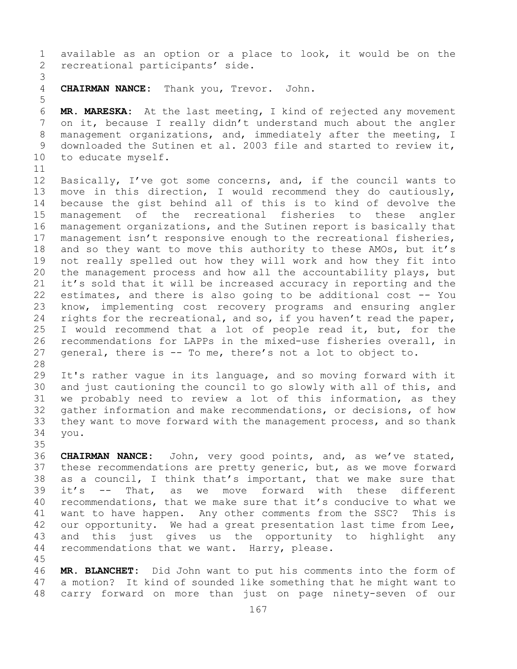1 available as an option or a place to look, it would be on the<br>2 recreational participants' side. recreational participants' side.

3 4 **CHAIRMAN NANCE:** Thank you, Trevor. John.

6 **MR. MARESKA:** At the last meeting, I kind of rejected any movement<br>7 on it, because I really didn't understand much about the angler 7 on it, because I really didn't understand much about the angler<br>8 management organizations, and, immediately after the meeting, I 8 management organizations, and, immediately after the meeting, I<br>9 downloaded the Sutinen et al. 2003 file and started to review it, 9 downloaded the Sutinen et al. 2003 file and started to review it,<br>10 to educate myself. to educate myself.

5

11<br>12 12 Basically, I've got some concerns, and, if the council wants to<br>13 move in this direction, I would recommend they do cautiously, move in this direction, I would recommend they do cautiously, 14 because the gist behind all of this is to kind of devolve the 15 management of the recreational fisheries to these<br>16 managementorganizations, and the Sutinen report is basical 16 management organizations, and the Sutinen report is basically that<br>17 management isn't responsive enough to the recreational fisheries, 17 management isn't responsive enough to the recreational fisheries,<br>18 and so they want to move this authority to these AMOs, but it's 18 and so they want to move this authority to these AMOs, but it's<br>19 not really spelled out how they will work and how they fit into 19 not really spelled out how they will work and how they fit into<br>20 the management process and how all the accountability plays, but 20 the management process and how all the accountability plays, but<br>21 it's sold that it will be increased accuracy in reporting and the 21 it's sold that it will be increased accuracy in reporting and the<br>22 estimates, and there is also going to be additional cost -- You 22 estimates, and there is also going to be additional cost -- You<br>23 know, implementing cost recovery programs and ensuring angler 23 know, implementing cost recovery programs and ensuring angler<br>24 rights for the recreational, and so, if you haven't read the paper, 24 rights for the recreational, and so, if you haven't read the paper,<br>25 I would recommend that a lot of people read it, but, for the 25 I would recommend that a lot of people read it, but, for the<br>26 recommendations for LAPPs in the mixed-use fisheries overall, in 26 recommendations for LAPPs in the mixed-use fisheries overall, in<br>27 general, there is -- To me, there's not a lot to object to. general, there is -- To me, there's not a lot to object to.

28<br>29

45

29 It's rather vague in its language, and so moving forward with it<br>30 and just cautioning the council to go slowly with all of this, and 30 and just cautioning the council to go slowly with all of this, and<br>31 we probably need to review a lot of this information, as they 31 we probably need to review a lot of this information, as they<br>32 qather information and make recommendations, or decisions, of how 32 gather information and make recommendations, or decisions, of how<br>33 they want to move forward with the management process, and so thank 33 they want to move forward with the management process, and so thank<br>34 you. 34 you.

35<br>36 36 **CHAIRMAN NANCE:** John, very good points, and, as we've stated, 37 these recommendations are pretty generic, but, as we move forward 38 as a council, I think that's important, that we make sure that  $39$  it's  $-$  That, as we move forward with these different 39 it's -- That, as we move forward with these different<br>40 recommendations, that we make sure that it's conducive to what we 40 recommendations, that we make sure that it's conducive to what we<br>41 want to have happen. Any other comments from the SSC? This is 41 want to have happen. Any other comments from the SSC?<br>42 our opportunity. We had a great presentation last time fi 42 our opportunity. We had a great presentation last time from Lee,<br>43 and this just gives us the opportunity to highlight any 43 and this just gives us the opportunity to highlight any<br>44 recommendations that we want. Harry, please. recommendations that we want. Harry, please.

46 **MR. BLANCHET:** Did John want to put his comments into the form of 47 a motion? It kind of sounded like something that he might want to 47 a motion? It kind of sounded like something that he might want to<br>48 carry forward on more than just on page ninety-seven of our carry forward on more than just on page ninety-seven of our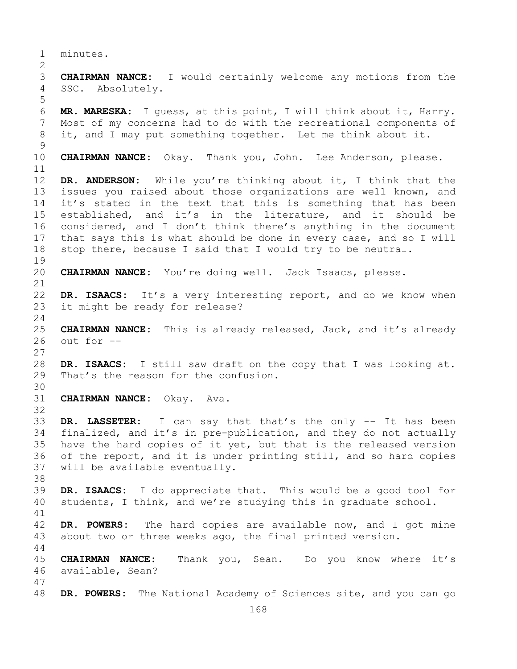1 minutes.  $\frac{2}{3}$ 3 **CHAIRMAN NANCE:** I would certainly welcome any motions from the SSC. Absolutely. 5 6 **MR. MARESKA:** I guess, at this point, I will think about it, Harry. 7 Most of my concerns had to do with the recreational components of<br>8 it, and I may put something together. Let me think about it. it, and I may put something together. Let me think about it.  $\frac{9}{10}$ CHAIRMAN NANCE: Okay. Thank you, John. Lee Anderson, please. 11<br>12 DR. ANDERSON: While you're thinking about it, I think that the 13 issues you raised about those organizations are well known, and 14 it's stated in the text that this is something that has been<br>15 established, and it's in the literature, and it should be 15 established, and it's in the literature, and it should be<br>16 considered, and I don't think there's anything in the document 16 considered, and I don't think there's anything in the document<br>17 that says this is what should be done in every case, and so I will 17 that says this is what should be done in every case, and so I will<br>18 stop there, because I said that I would try to be neutral. stop there, because I said that I would try to be neutral.  $\begin{array}{c} 19 \\ 20 \end{array}$ CHAIRMAN NANCE: You're doing well. Jack Isaacs, please. 21<br>22 22 **DR. ISAACS:** It's a very interesting report, and do we know when<br>23 it might be ready for release? it might be ready for release?  $\frac{24}{25}$ 25 **CHAIRMAN NANCE:** This is already released, Jack, and it's already out for  $--$ 27 28 **DR. ISAACS:** I still saw draft on the copy that I was looking at.<br>29 That's the reason for the confusion. That's the reason for the confusion. 30<br>31 31 **CHAIRMAN NANCE:** Okay. Ava. 32 33 **DR. LASSETER:** I can say that that's the only -- It has been<br>34 finalized, and it's in pre-publication, and they do not actually 34 finalized, and it's in pre-publication, and they do not actually<br>35 have the hard copies of it yet, but that is the released version 35 have the hard copies of it yet, but that is the released version<br>36 of the report, and it is under printing still, and so hard copies 36 of the report, and it is under printing still, and so hard copies<br>37 will be available eventually. will be available eventually. 38<br>39 39 **DR. ISAACS:** I do appreciate that. This would be a good tool for<br>40 students, I think, and we're studying this in graduate school. students, I think, and we're studying this in graduate school. 41<br>42 42 **DR. POWERS:** The hard copies are available now, and I got mine<br>43 about two or three weeks ago, the final printed version. about two or three weeks ago, the final printed version. 44 45 **CHAIRMAN NANCE:** Thank you, Sean. Do you know where it's 46 available, Sean? 47 DR. POWERS: The National Academy of Sciences site, and you can go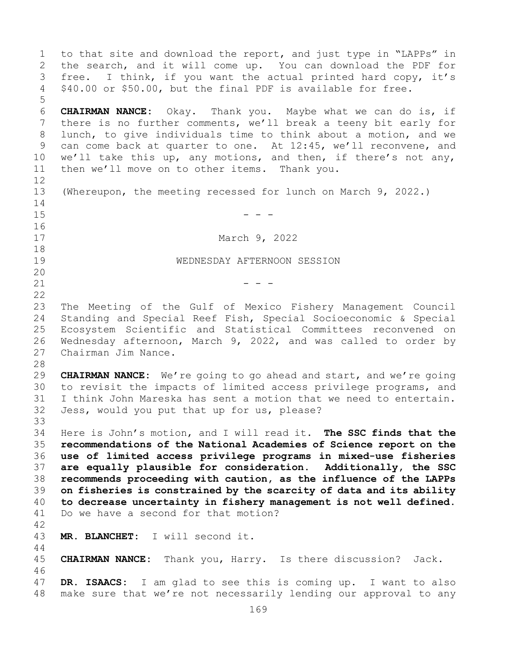1 to that site and download the report, and just type in "LAPPs" in<br>2 the search, and it will come up. You can download the PDF for 2 the search, and it will come up. You can download the PDF for<br>3 free. I think, if you want the actual printed hard copy, it's 3 free. I think, if you want the actual printed hard copy, it's<br>4 \$40.00 or \$50.00, but the final PDF is available for free. \$40.00 or \$50.00, but the final PDF is available for free. 5 6 **CHAIRMAN NANCE:** Okay. Thank you. Maybe what we can do is, if 7 there is no further comments, we'll break a teeny bit early for<br>8 lunch, to qive individuals time to think about a motion, and we 8 lunch, to give individuals time to think about a motion, and we<br>9 can come back at quarter to one. At 12:45, we'll reconvene, and 9 can come back at quarter to one. At 12:45, we'll reconvene, and<br>10 we'll take this up, any motions, and then, if there's not any, 10 we'll take this up, any motions, and then, if there's not any,<br>11 then we'll move on to other items. Thank you. then we'll move on to other items. Thank you. 12 13 (Whereupon, the meeting recessed for lunch on March 9, 2022.)  $\frac{14}{15}$  $15$  - - -16<br>17 March 9, 2022 18<br>19 19 WEDNESDAY AFTERNOON SESSION 20<br>21  $21$  - - - $\begin{array}{c} 22 \\ 23 \end{array}$ 23 The Meeting of the Gulf of Mexico Fishery Management Council<br>24 Standing and Special Reef Fish, Special Socioeconomic & Special 24 Standing and Special Reef Fish, Special Socioeconomic & Special 25 Ecosystem Scientific and Statistical Committees reconvened on<br>26 Wednesdav afternoon, March 9, 2022, and was called to order by 26 Wednesday afternoon, March 9, 2022, and was called to order by<br>27 Chairman Jim Nance. Chairman Jim Nance. 28<br>29 29 **CHAIRMAN NANCE:** We're going to go ahead and start, and we're going 30 to revisit the impacts of limited access privilege programs, and<br>31 I think John Mareska has sent a motion that we need to entertain. 31 I think John Mareska has sent a motion that we need to entertain.<br>32 Jess, would vou put that up for us, please? Jess, would you put that up for us, please? 33<br>34 34 Here is John's motion, and I will read it. **The SSC finds that the**  35 **recommendations of the National Academies of Science report on the**  36 **use of limited access privilege programs in mixed-use fisheries**  37 **are equally plausible for consideration. Additionally, the SSC**  38 **recommends proceeding with caution, as the influence of the LAPPs**  39 **on fisheries is constrained by the scarcity of data and its ability**  40 **to decrease uncertainty in fishery management is not well defined.**<br>41 Do we have a second for that motion? Do we have a second for that motion?  $42$ <br> $43$ MR. BLANCHET: I will second it. 44 45 **CHAIRMAN NANCE:** Thank you, Harry. Is there discussion? Jack. 46<br>47 47 **DR. ISAACS:** I am glad to see this is coming up. I want to also make sure that we're not necessarily lending our approval to any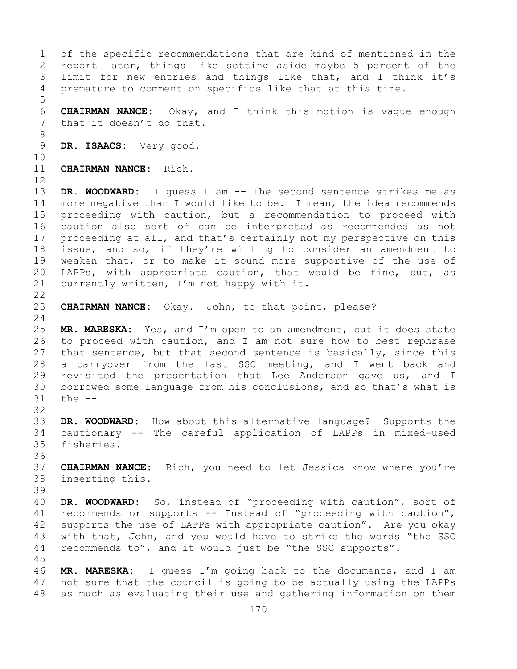1 of the specific recommendations that are kind of mentioned in the<br>2 report later, things like setting aside maybe 5 percent of the 2 report later, things like setting aside maybe 5 percent of the<br>3 limit for new entries and things like that, and I think it's 3 limit for new entries and things like that, and I think it's<br>4 premature to comment on specifics like that at this time. premature to comment on specifics like that at this time. 5 6 **CHAIRMAN NANCE:** Okay, and I think this motion is vague enough that it doesn't do that. 8<br>9 DR. ISAACS: Very good. 10<br>11 **CHAIRMAN NANCE:** Rich. 12 13 **DR. WOODWARD:** I guess I am -- The second sentence strikes me as 14 more negative than I would like to be. I mean, the idea recommends<br>15 proceeding with caution, but a recommendation to proceed with 15 proceeding with caution, but a recommendation to proceed with<br>16 caution also sort of can be interpreted as recommended as not 16 caution also sort of can be interpreted as recommended as not<br>17 proceeding at all, and that's certainly not my perspective on this 17 proceeding at all, and that's certainly not my perspective on this<br>18 issue, and so, if they're willing to consider an amendment to 18 issue, and so, if they're willing to consider an amendment to<br>19 weaken that, or to make it sound more supportive of the use of 19 weaken that, or to make it sound more supportive of the use of<br>20 LAPPs, with appropriate caution, that would be fine, but, as 20 LAPPs, with appropriate caution, that would be fine, but, as<br>21 currently written, I'm not happy with it. currently written, I'm not happy with it.  $\begin{array}{c} 22 \\ 23 \end{array}$ CHAIRMAN NANCE: Okay. John, to that point, please?  $\frac{24}{25}$ 25 **MR. MARESKA:** Yes, and I'm open to an amendment, but it does state<br>26 to proceed with caution, and I am not sure how to best rephrase 26 to proceed with caution, and I am not sure how to best rephrase<br>27 that sentence, but that second sentence is basically, since this that sentence, but that second sentence is basically, since this 28 a carryover from the last SSC meeting, and I went back and<br>29 revisited the presentation that Lee Anderson gave us, and I 29 revisited the presentation that Lee Anderson gave us, and I<br>30 borrowed some language from his conclusions, and so that's what is 30 borrowed some language from his conclusions, and so that's what is 31 the  $-$ the  $--$ 32 33 **DR. WOODWARD:** How about this alternative language? Supports the 34 cautionary -- The careful application of LAPPs in mixed-used fisheries. 36 37 **CHAIRMAN NANCE:** Rich, you need to let Jessica know where you're 38 inserting this. 39 40 **DR. WOODWARD:** So, instead of "proceeding with caution", sort of 41 recommends or supports -- Instead of "proceeding with caution", 41 recommends or supports -- Instead of "proceeding with caution",<br>42 supports the use of LAPPs with appropriate caution". Are you okay 42 supports the use of LAPPs with appropriate caution". Are you okay<br>43 with that, John, and you would have to strike the words "the SSC 43 with that, John, and you would have to strike the words "the SSC<br>44 recommends to", and it would just be "the SSC supports". recommends to", and it would just be "the SSC supports". 45 46 **MR. MARESKA:** I guess I'm going back to the documents, and I am 47 not sure that the council is going to be actually using the LAPPs<br>48 as much as evaluating their use and gathering information on them as much as evaluating their use and gathering information on them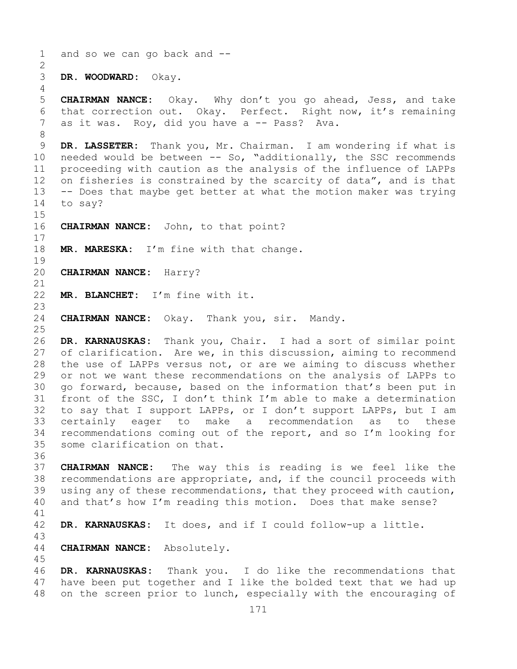```
171
 1 and so we can go back and --
 \frac{2}{3}3 DR. WOODWARD: Okay.
 4
 5 CHAIRMAN NANCE: Okay. Why don't you go ahead, Jess, and take 
 6 that correction out. Okay. Perfect. Right now, it's remaining<br>7 as it was. Rov, did vou have a -- Pass? Ava.
      as it was. Roy, did you have a -- Pass? Ava.
 8<br>9
9 DR. LASSETER: Thank you, Mr. Chairman. I am wondering if what is<br>10 needed would be between -- So, "additionally, the SSC recommends
10 needed would be between -- So, "additionally, the SSC recommends<br>11 proceeding with caution as the analysis of the influence of LAPPs
11 proceeding with caution as the analysis of the influence of LAPPs<br>12 on fisheries is constrained by the scarcity of data", and is that
      on fisheries is constrained by the scarcity of data", and is that
13 -- Does that maybe get better at what the motion maker was trying 
14 to say?
15<br>16CHAIRMAN NANCE: John, to that point?
\frac{17}{18}MR. MARESKA: I'm fine with that change.
\begin{array}{c} 19 \\ 20 \end{array}20 CHAIRMAN NANCE: Harry?
21<br>22
      MR. BLANCHET: I'm fine with it.
23
      CHAIRMAN NANCE: Okay. Thank you, sir. Mandy.
\frac{25}{26}26 DR. KARNAUSKAS: Thank you, Chair. I had a sort of similar point 
      of clarification. Are we, in this discussion, aiming to recommend
28 the use of LAPPs versus not, or are we aiming to discuss whether<br>29 or not we want these recommendations on the analysis of LAPPs to
      or not we want these recommendations on the analysis of LAPPs to
30 go forward, because, based on the information that's been put in<br>31 front of the SSC, I don't think I'm able to make a determination
31 front of the SSC, I don't think I'm able to make a determination<br>32 to sav that I support LAPPs, or I don't support LAPPs, but I am
      to say that I support LAPPs, or I don't support LAPPs, but I am
33 certainly eager to make a recommendation as to these<br>34 recommendations coming out of the report, and so I'm looking for
34 recommendations coming out of the report, and so I'm looking for<br>35 some clarification on that.
      some clarification on that.
36
37 CHAIRMAN NANCE: The way this is reading is we feel like the 
38 recommendations are appropriate, and, if the council proceeds with<br>39 using any of these recommendations, that they proceed with caution,
39 using any of these recommendations, that they proceed with caution,<br>40 and that's how I'm reading this motion. Does that make sense?
      and that's how I'm reading this motion. Does that make sense?
41<br>42
      DR. KARNAUSKAS: It does, and if I could follow-up a little.
43
      CHAIRMAN NANCE: Absolutely.
45
46 DR. KARNAUSKAS: Thank you. I do like the recommendations that 
47 have been put together and I like the bolded text that we had up<br>48 on the screen prior to lunch, especially with the encouraging of
      on the screen prior to lunch, especially with the encouraging of
```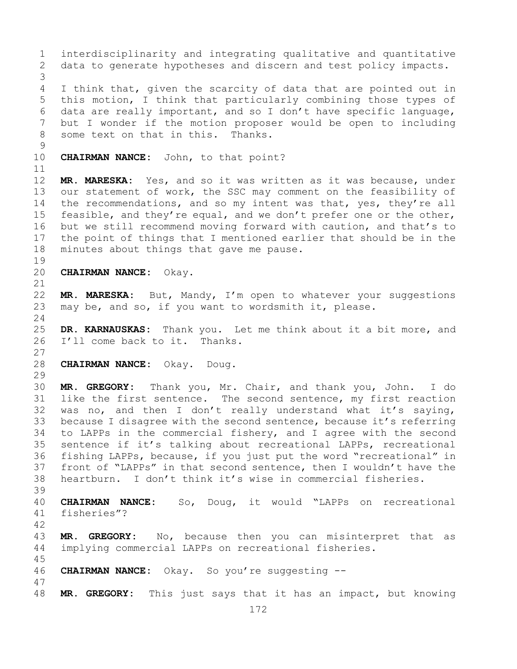172 1 interdisciplinarity and integrating qualitative and quantitative<br>2 data to generate hypotheses and discern and test policy impacts. data to generate hypotheses and discern and test policy impacts. 3 I think that, given the scarcity of data that are pointed out in 5 this motion, I think that particularly combining those types of 6 data are really important, and so I don't have specific language,<br>7 but I wonder if the motion proposer would be open to including 7 but I wonder if the motion proposer would be open to including<br>8 some text on that in this. Thanks. some text on that in this. Thanks.  $\begin{array}{c} 9 \\ 10 \end{array}$ CHAIRMAN NANCE: John, to that point? 11<br>12 MR. MARESKA: Yes, and so it was written as it was because, under 13 our statement of work, the SSC may comment on the feasibility of 14 the recommendations, and so my intent was that, yes, they're all<br>15 feasible, and thev're equal, and we don't prefer one or the other, 15 feasible, and they're equal, and we don't prefer one or the other,<br>16 but we still recommend moving forward with caution, and that's to 16 but we still recommend moving forward with caution, and that's to<br>17 the point of things that I mentioned earlier that should be in the 17 the point of things that I mentioned earlier that should be in the<br>18 minutes about things that gave me pause. minutes about things that gave me pause. 19<br>20 20 **CHAIRMAN NANCE:** Okay. 21<br>22 22 **MR. MARESKA:** But, Mandy, I'm open to whatever your suggestions<br>23 may be, and so, if you want to wordsmith it, please. may be, and so, if you want to wordsmith it, please.  $\frac{24}{25}$ 25 **DR. KARNAUSKAS:** Thank you. Let me think about it a bit more, and 26 I'll come back to it. Thanks. I'll come back to it. Thanks. 27 28 **CHAIRMAN NANCE:** Okay. Doug. 29<br>30 30 **MR. GREGORY:** Thank you, Mr. Chair, and thank you, John. I do 31 like the first sentence. The second sentence, my first reaction<br>32 was no, and then I don't really understand what it's saving, was no, and then I don't really understand what it's saying, 33 because I disagree with the second sentence, because it's referring<br>34 to LAPPs in the commercial fishery, and I agree with the second 34 to LAPPs in the commercial fishery, and I agree with the second<br>35 sentence if it's talking about recreational LAPPs, recreational 35 sentence if it's talking about recreational LAPPs, recreational<br>36 fishing LAPPs, because, if you just put the word "recreational" in 36 fishing LAPPs, because, if you just put the word "recreational" in<br>37 front of "LAPPs" in that second sentence, then I wouldn't have the front of "LAPPs" in that second sentence, then I wouldn't have the 38 heartburn. I don't think it's wise in commercial fisheries. 39 40 **CHAIRMAN NANCE:** So, Doug, it would "LAPPs on recreational fisheries"?  $42$ <br> $43$ 43 **MR. GREGORY:** No, because then you can misinterpret that as<br>44 implying commercial LAPPs on recreational fisheries. implying commercial LAPPs on recreational fisheries. 45 46 **CHAIRMAN NANCE:** Okay. So you're suggesting -- 47 MR. GREGORY: This just says that it has an impact, but knowing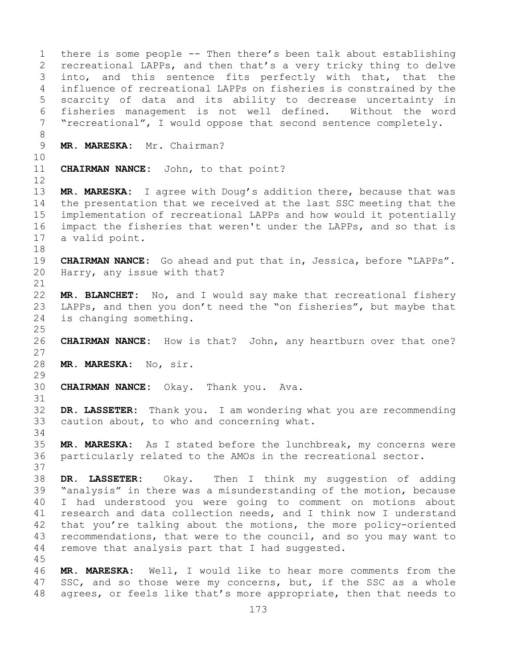1 there is some people -- Then there's been talk about establishing<br>2 recreational LAPPs, and then that's a very tricky thing to delve 2 recreational LAPPs, and then that's a very tricky thing to delve<br>3 into, and this sentence fits perfectly with that, that the 3 into, and this sentence fits perfectly with that, that the<br>4 influence of recreational LAPPs on fisheries is constrained by the influence of recreational LAPPs on fisheries is constrained by the 5 scarcity of data and its ability to decrease uncertainty in 6 fisheries management is not well defined. Without the word<br>7 "recreational", I would oppose that second sentence completely. "recreational", I would oppose that second sentence completely. 8<br>9 MR. MARESKA: Mr. Chairman? 10<br>11 **CHAIRMAN NANCE:** John, to that point? 12 13 **MR. MARESKA:** I agree with Doug's addition there, because that was 14 the presentation that we received at the last SSC meeting that the<br>15 implementation of recreational LAPPs and how would it potentially 15 implementation of recreational LAPPs and how would it potentially<br>16 impact the fisheries that weren't under the LAPPs, and so that is 16 impact the fisheries that weren't under the LAPPs, and so that is 17 a valid point. a valid point. 18<br>19 19 **CHAIRMAN NANCE:** Go ahead and put that in, Jessica, before "LAPPs".<br>20 Harry, any issue with that? Harry, any issue with that? 21<br>22 22 **MR. BLANCHET:** No, and I would say make that recreational fishery<br>23 LAPPs, and then you don't need the "on fisheries", but maybe that 23 LAPPs, and then you don't need the "on fisheries", but maybe that<br>24 is changing something. is changing something.  $\frac{25}{26}$ CHAIRMAN NANCE: How is that? John, any heartburn over that one? 27 28 **MR. MARESKA:** No, sir. 29<br>30 **CHAIRMAN NANCE:** Okay. Thank you. Ava. 31<br>32 DR. LASSETER: Thank you. I am wondering what you are recommending 33 caution about, to who and concerning what. 34<br>35 35 **MR. MARESKA:** As I stated before the lunchbreak, my concerns were particularly related to the AMOs in the recreational sector. 37 38 **DR. LASSETER:** Okay. Then I think my suggestion of adding 39 "analysis" in there was a misunderstanding of the motion, because<br>40 I had understood you were going to comment on motions about 40 I had understood you were going to comment on motions about<br>41 research and data collection needs, and I think now I understand 41 research and data collection needs, and I think now I understand<br>42 that you're talking about the motions, the more policy-oriented 42 that you're talking about the motions, the more policy-oriented<br>43 recommendations, that were to the council, and so you may want to 43 recommendations, that were to the council, and so you may want to 44 remove that analysis part that I had suggested. remove that analysis part that I had suggested. 45 46 **MR. MARESKA:** Well, I would like to hear more comments from the 47 SSC, and so those were my concerns, but, if the SSC as a whole 47 SSC, and so those were my concerns, but, if the SSC as a whole<br>48 agrees, or feels like that's more appropriate, then that needs to agrees, or feels like that's more appropriate, then that needs to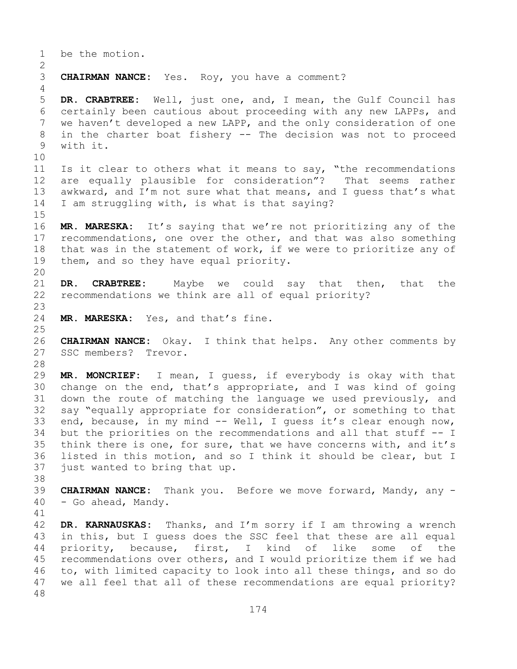1 be the motion.  $\frac{2}{3}$ **CHAIRMAN NANCE:** Yes. Roy, you have a comment? 4 5 **DR. CRABTREE:** Well, just one, and, I mean, the Gulf Council has 6 certainly been cautious about proceeding with any new LAPPs, and<br>7 we haven't developed a new LAPP, and the only consideration of one 7 we haven't developed a new LAPP, and the only consideration of one<br>8 in the charter boat fishery -- The decision was not to proceed 8 in the charter boat fishery -- The decision was not to proceed<br>9 with it. with it. 10<br>11 --<br>11 Is it clear to others what it means to say, "the recommendations<br>12 are equally plausible for consideration"? That seems rather are equally plausible for consideration"? That seems rather 13 awkward, and I'm not sure what that means, and I guess that's what 14 I am struggling with, is what is that saying?  $15$ <br> $16$ 16 **MR. MARESKA:** It's saying that we're not prioritizing any of the<br>17 recommendations, one over the other, and that was also something 17 recommendations, one over the other, and that was also something<br>18 that was in the statement of work, if we were to prioritize any of 18 that was in the statement of work, if we were to prioritize any of<br>19 them, and so they have equal priority. them, and so they have equal priority. 20<br>21 21 **DR. CRABTREE:** Maybe we could say that then, that the<br>22 recommendations we think are all of equal priority? recommendations we think are all of equal priority? 23 MR. MARESKA: Yes, and that's fine.  $\frac{25}{26}$ 26 **CHAIRMAN NANCE:** Okay. I think that helps. Any other comments by<br>27 SSC members? Trevor. SSC members? Trevor. 28<br>29 29 **MR. MONCRIEF:** I mean, I guess, if everybody is okay with that 30 change on the end, that's appropriate, and I was kind of going<br>31 down the route of matching the language we used previously, and 31 down the route of matching the language we used previously, and<br>32 sav "equally appropriate for consideration", or something to that say "equally appropriate for consideration", or something to that 33 end, because, in my mind -- Well, I guess it's clear enough now,<br>34 but the priorities on the recommendations and all that stuff -- I 34 but the priorities on the recommendations and all that stuff  $-$ - I<br>35 think there is one, for sure, that we have concerns with, and it's 35 think there is one, for sure, that we have concerns with, and it's<br>36 listed in this motion, and so I think it should be clear, but I 36 listed in this motion, and so I think it should be clear, but I<br>37 just wanted to bring that up. just wanted to bring that up. 38<br>39

39 **CHAIRMAN NANCE:** Thank you. Before we move forward, Mandy, any - - Go ahead, Mandy.

41<br>42 42 **DR. KARNAUSKAS:** Thanks, and I'm sorry if I am throwing a wrench<br>43 in this, but I quess does the SSC feel that these are all equal 43 in this, but I guess does the SSC feel that these are all equal<br>44 priority, because, first, I kind of like some of the first, I kind of 45 recommendations over others, and I would prioritize them if we had 46 to, with limited capacity to look into all these things, and so do<br>47 we all feel that all of these recommendations are equal priority? we all feel that all of these recommendations are equal priority? 48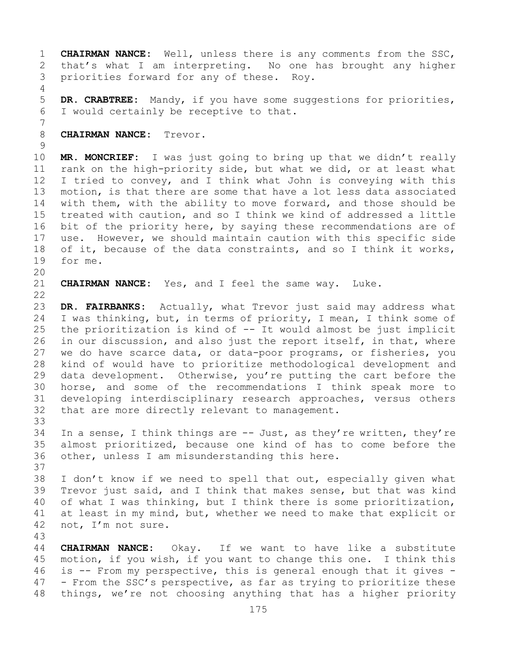1 **CHAIRMAN NANCE:** Well, unless there is any comments from the SSC,<br>2 that's what I am interpreting. No one has brought any higher 2 that's what I am interpreting. No one has brought any higher<br>3 priorities forward for any of these. Roy. priorities forward for any of these. Roy. 4 5 **DR. CRABTREE:** Mandy, if you have some suggestions for priorities, 6 I would certainly be receptive to that. 7 8 **CHAIRMAN NANCE:** Trevor.  $\frac{9}{10}$ 10 **MR. MONCRIEF:** I was just going to bring up that we didn't really 11 rank on the high-priority side, but what we did, or at least what<br>12 I tried to convey, and I think what John is conveying with this I tried to convey, and I think what John is conveying with this 13 motion, is that there are some that have a lot less data associated 14 with them, with the ability to move forward, and those should be<br>15 treated with caution, and so I think we kind of addressed a little 15 treated with caution, and so I think we kind of addressed a little<br>16 bit of the priority here, by saying these recommendations are of 16 bit of the priority here, by saying these recommendations are of<br>17 use. However, we should maintain caution with this specific side 17 use. However, we should maintain caution with this specific side<br>18 of it, because of the data constraints, and so I think it works, 18 of it, because of the data constraints, and so I think it works,<br>19 for me. for me. 20<br>21 CHAIRMAN NANCE: Yes, and I feel the same way. Luke.  $\begin{array}{c} 22 \\ 23 \end{array}$ 23 **DR. FAIRBANKS:** Actually, what Trevor just said may address what<br>24 I was thinking, but, in terms of priority, I mean, I think some of 24 I was thinking, but, in terms of priority, I mean, I think some of  $25$  the prioritization is kind of  $-$  It would almost be just implicit 25 the prioritization is kind of -- It would almost be just implicit<br>26 in our discussion, and also just the report itself, in that, where 26 in our discussion, and also just the report itself, in that, where<br>27 we do have scarce data, or data-poor programs, or fisheries, you we do have scarce data, or data-poor programs, or fisheries, you 28 kind of would have to prioritize methodological development and<br>29 data development. Otherwise, you're putting the cart before the 29 data development. Otherwise, you're putting the cart before the<br>30 horse, and some of the recommendations I think speak more to 30 horse, and some of the recommendations I think speak more to<br>31 developing interdisciplinary research approaches, versus others 31 developing interdisciplinary research approaches, versus others<br>32 that are more directly relevant to management. that are more directly relevant to management. 33<br>34 34 In a sense, I think things are  $-$  Just, as they're written, they're 35 almost prioritized, because one kind of has to come before the 35 almost prioritized, because one kind of has to come before the<br>36 other, unless I am misunderstanding this here. other, unless I am misunderstanding this here. 37 38 I don't know if we need to spell that out, especially given what<br>39 Trevor just said, and I think that makes sense, but that was kind 39 Trevor just said, and I think that makes sense, but that was kind<br>40 of what I was thinking, but I think there is some prioritization, 40 of what I was thinking, but I think there is some prioritization,<br>41 at least in my mind, but, whether we need to make that explicit or 41 at least in my mind, but, whether we need to make that explicit or 42 not, I'm not sure. not, I'm not sure. 43 44 **CHAIRMAN NANCE:** Okay. If we want to have like a substitute 45 motion, if you wish, if you want to change this one. I think this 46 is  $-$  From my perspective, this is general enough that it gives  $-$  47  $-$  From the SSC's perspective, as far as trying to prioritize these

47 - From the SSC's perspective, as far as trying to prioritize these<br>48 things, we're not choosing anything that has a higher priority things, we're not choosing anything that has a higher priority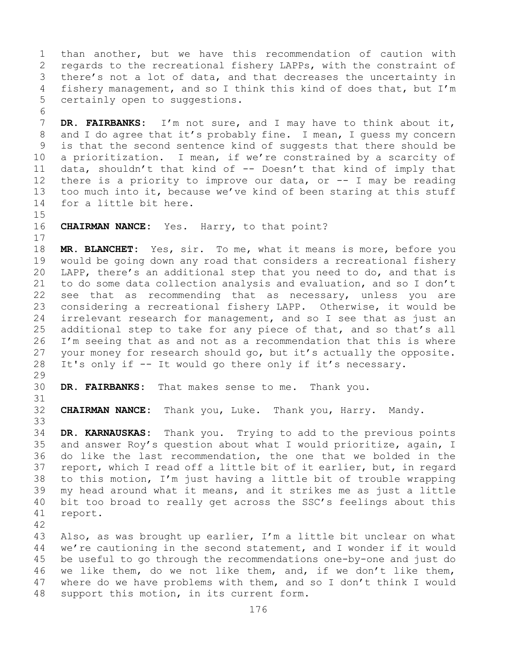1 than another, but we have this recommendation of caution with<br>2 regards to the recreational fishery LAPPs, with the constraint of 2 regards to the recreational fishery LAPPs, with the constraint of<br>3 there's not a lot of data, and that decreases the uncertainty in 3 there's not a lot of data, and that decreases the uncertainty in<br>4 fishery management, and so I think this kind of does that, but I'm fishery management, and so I think this kind of does that, but I'm 5 certainly open to suggestions.

6<br>7 7 **DR. FAIRBANKS:** I'm not sure, and I may have to think about it,<br>8 and I do agree that it's probably fine. I mean, I quess my concern 8 and I do agree that it's probably fine. I mean, I guess my concern<br>9 is that the second sentence kind of suggests that there should be 9 is that the second sentence kind of suggests that there should be<br>10 a prioritization. I mean, if we're constrained by a scarcity of 10 a prioritization. I mean, if we're constrained by a scarcity of<br>11 data, shouldn't that kind of -- Doesn't that kind of imply that 11 data, shouldn't that kind of  $-$  Doesn't that kind of imply that<br>12 there is a priority to improve our data, or  $-$  I may be reading there is a priority to improve our data, or  $-$  I may be reading 13 too much into it, because we've kind of been staring at this stuff 14 for a little bit here.

 $15$ <br> $16$ **CHAIRMAN NANCE:** Yes. Harry, to that point?

18 **MR. BLANCHET:** Yes, sir. To me, what it means is more, before you<br>19 would be going down any road that considers a recreational fishery 19 would be going down any road that considers a recreational fishery<br>20 LAPP, there's an additional step that you need to do, and that is 20 LAPP, there's an additional step that you need to do, and that is<br>21 to do some data collection analysis and evaluation, and so I don't 21 to do some data collection analysis and evaluation, and so I don't<br>22 see that as recommending that as necessary, unless you are 22 see that as recommending that as necessary, unless you are<br>23 considering a recreational fishery LAPP. Otherwise, it would be 23 considering a recreational fishery LAPP. Otherwise, it would be<br>24 irrelevant research for management, and so I see that as just an 24 irrelevant research for management, and so I see that as just an<br>25 additional step to take for any piece of that, and so that's all 25 additional step to take for any piece of that, and so that's all<br>26 I'm seeing that as and not as a recommendation that this is where 26 I'm seeing that as and not as a recommendation that this is where<br>27 your money for research should go, but it's actually the opposite. 27 your money for research should go, but it's actually the opposite.<br>28 It's only if -- It would go there only if it's necessary. It's only if -- It would go there only if it's necessary.

29<br>30 DR. FAIRBANKS: That makes sense to me. Thank you.

31<br>32 32 **CHAIRMAN NANCE:** Thank you, Luke. Thank you, Harry. Mandy.

33<br>34 34 **DR. KARNAUSKAS:** Thank you. Trying to add to the previous points 35 and answer Roy's question about what I would prioritize, again, I<br>36 do like the last recommendation, the one that we bolded in the do like the last recommendation, the one that we bolded in the 37 report, which I read off a little bit of it earlier, but, in regard 38 to this motion, I'm just having a little bit of trouble wrapping<br>39 my head around what it means, and it strikes me as just a little 39 my head around what it means, and it strikes me as just a little<br>40 bit too broad to really get across the SSC's feelings about this 40 bit too broad to really get across the SSC's feelings about this 11 report. report.

 $\begin{array}{c} 17 \\ 18 \end{array}$ 

42 43 Also, as was brought up earlier, I'm a little bit unclear on what<br>44 we're cautioning in the second statement, and I wonder if it would we're cautioning in the second statement, and I wonder if it would 45 be useful to go through the recommendations one-by-one and just do 46 we like them, do we not like them, and, if we don't like them,  $47$  where do we have problems with them, and so I don't think I would 47 where do we have problems with them, and so I don't think I would support this motion, in its current form. support this motion, in its current form.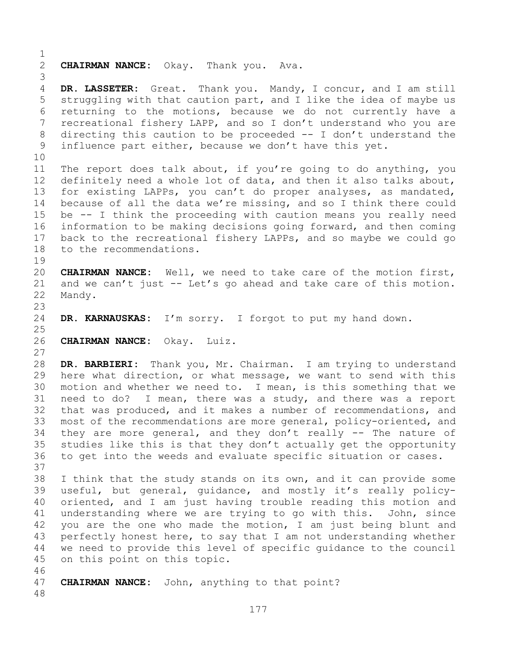$\frac{1}{2}$ 2 **CHAIRMAN NANCE:** Okay. Thank you. Ava. 3 DR. LASSETER: Great. Thank you. Mandy, I concur, and I am still 5 struggling with that caution part, and I like the idea of maybe us 6 returning to the motions, because we do not currently have a<br>7 recreational fisherv LAPP, and so I don't understand who vou are 7 recreational fishery LAPP, and so I don't understand who you are<br>8 directing this caution to be proceeded -- I don't understand the 8 directing this caution to be proceeded  $--$  I don't understand the influence part either, because we don't have this yet. influence part either, because we don't have this yet. 10<br>11 11 The report does talk about, if you're going to do anything, you<br>12 definitely need a whole lot of data, and then it also talks about, definitely need a whole lot of data, and then it also talks about, 13 for existing LAPPs, you can't do proper analyses, as mandated, 14 because of all the data we're missing, and so I think there could<br>15 be -- I think the proceeding with caution means you really need 15 be -- I think the proceeding with caution means you really need<br>16 information to be making decisions going forward, and then coming 16 information to be making decisions going forward, and then coming<br>17 back to the recreational fishery LAPPs, and so maybe we could go 17 back to the recreational fishery LAPPs, and so maybe we could go<br>18 to the recommendations. to the recommendations.  $\begin{array}{c} 19 \\ 20 \end{array}$ CHAIRMAN NANCE: Well, we need to take care of the motion first, 21 and we can't just  $-$  Let's go ahead and take care of this motion.<br>22 Mandy. Mandy. 23 DR. KARNAUSKAS: I'm sorry. I forgot to put my hand down.  $\frac{25}{26}$ 26 **CHAIRMAN NANCE:** Okay. Luiz. 27 28 **DR. BARBIERI:** Thank you, Mr. Chairman. I am trying to understand 29 here what direction, or what message, we want to send with this<br>30 motion and whether we need to. I mean, is this something that we 30 motion and whether we need to. I mean, is this something that we<br>31 need to do? I mean, there was a study, and there was a report 31 need to do? I mean, there was a study, and there was a report<br>32 that was produced, and it makes a number of recommendations, and that was produced, and it makes a number of recommendations, and 33 most of the recommendations are more general, policy-oriented, and<br>34 they are more general, and they don't really -- The nature of 34 they are more general, and they don't really  $-$ - The nature of 35 studies like this is that they don't actually get the opportunity 35 studies like this is that they don't actually get the opportunity<br>36 to get into the weeds and evaluate specific situation or cases. to get into the weeds and evaluate specific situation or cases. 37 38 I think that the study stands on its own, and it can provide some<br>39 useful, but general, quidance, and mostly it's really policy-39 useful, but general, guidance, and mostly it's really policy-<br>40 oriented, and I am just having trouble reading this motion and 40 oriented, and I am just having trouble reading this motion and<br>41 understanding where we are trying to go with this. John, since 41 understanding where we are trying to go with this.<br>42 you are the one who made the motion, I am just bei 42 you are the one who made the motion, I am just being blunt and<br>43 perfectly honest here, to say that I am not understanding whether 43 perfectly honest here, to say that I am not understanding whether<br>44 we need to provide this level of specific quidance to the council we need to provide this level of specific guidance to the council 45 on this point on this topic. 46<br>47 **CHAIRMAN NANCE:** John, anything to that point? 48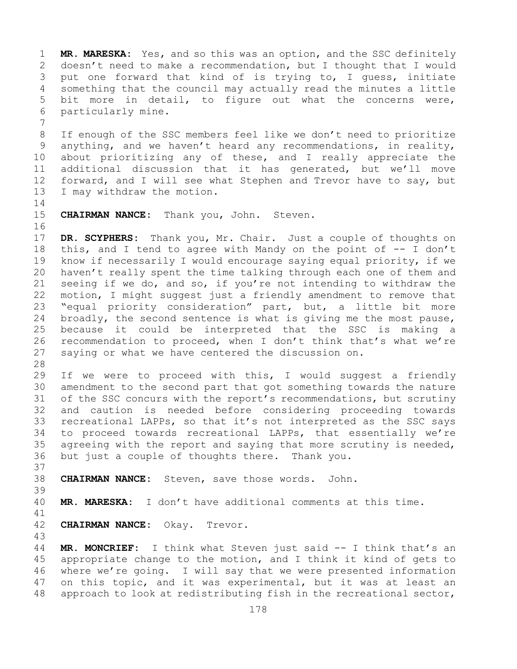1 **MR. MARESKA:** Yes, and so this was an option, and the SSC definitely<br>2 doesn't need to make a recommendation, but I thought that I would 2 doesn't need to make a recommendation, but I thought that I would<br>3 put one forward that kind of is trying to, I quess, initiate 3 put one forward that kind of is trying to, I guess, initiate<br>4 something that the council may actually read the minutes a little something that the council may actually read the minutes a little 5 bit more in detail, to figure out what the concerns were, 6 particularly mine.

7 8 If enough of the SSC members feel like we don't need to prioritize<br>9 anything, and we haven't heard any recommendations, in reality, 9 anything, and we haven't heard any recommendations, in reality,<br>10 about prioritizing any of these, and I really appreciate the 10 about prioritizing any of these, and I really appreciate the<br>11 additional discussion that it has generated, but we'll move 11 additional discussion that it has generated, but we'll move<br>12 forward, and I will see what Stephen and Trevor have to say, but 12 forward, and I will see what Stephen and Trevor have to say, but<br>13 I may withdraw the motion. I may withdraw the motion.

 $\frac{14}{15}$ CHAIRMAN NANCE: Thank you, John. Steven.

16<br>17 17 **DR. SCYPHERS:** Thank you, Mr. Chair. Just a couple of thoughts on<br>18 this, and I tend to agree with Mandy on the point of -- I don't 18 this, and I tend to agree with Mandy on the point of -- I don't<br>19 know if necessarily I would encourage saving equal priority, if we 19 know if necessarily I would encourage saying equal priority, if we<br>20 haven't really spent the time talking through each one of them and 20 haven't really spent the time talking through each one of them and<br>21 seeing if we do, and so, if you're not intending to withdraw the 21 seeing if we do, and so, if you're not intending to withdraw the<br>22 motion, I might suggest just a friendly amendment to remove that 22 motion, I might suggest just a friendly amendment to remove that<br>23 "equal priority consideration" part, but, a little bit more 23 "equal priority consideration" part, but, a little bit more<br>24 broadly, the second sentence is what is giving me the most pause, 24 broadly, the second sentence is what is giving me the most pause,<br>25 because it could be interpreted that the SSC is making a 25 because it could be interpreted that the SSC is making a<br>26 recommendation to proceed, when I don't think that's what we're 26 recommendation to proceed, when I don't think that's what we're<br>27 saving or what we have centered the discussion on. saying or what we have centered the discussion on.

28<br>29

29 If we were to proceed with this, I would suggest a friendly<br>30 amendment to the second part that got something towards the nature 30 amendment to the second part that got something towards the nature<br>31 of the SSC concurs with the report's recommendations, but scrutiny 31 of the SSC concurs with the report's recommendations, but scrutiny<br>32 and caution is needed before considering proceeding towards and caution is needed before considering proceeding towards 33 recreational LAPPs, so that it's not interpreted as the SSC says<br>34 to proceed towards recreational LAPPs, that essentially we're 34 to proceed towards recreational LAPPs, that essentially we're<br>35 agreeing with the report and saving that more scrutiny is needed, 35 agreeing with the report and saying that more scrutiny is needed,<br>36 but just a couple of thoughts there. Thank you. but just a couple of thoughts there. Thank you.

37<br>38

38 **CHAIRMAN NANCE:** Steven, save those words. John.

39

MR. MARESKA: I don't have additional comments at this time.

41<br>42 **CHAIRMAN NANCE:** Okay. Trevor.

43 MR. MONCRIEF: I think what Steven just said -- I think that's an 45 appropriate change to the motion, and I think it kind of gets to 46 where we're going. I will say that we were presented information<br>47 on this topic, and it was experimental, but it was at least an 47 on this topic, and it was experimental, but it was at least an<br>48 approach to look at redistributing fish in the recreational sector, approach to look at redistributing fish in the recreational sector,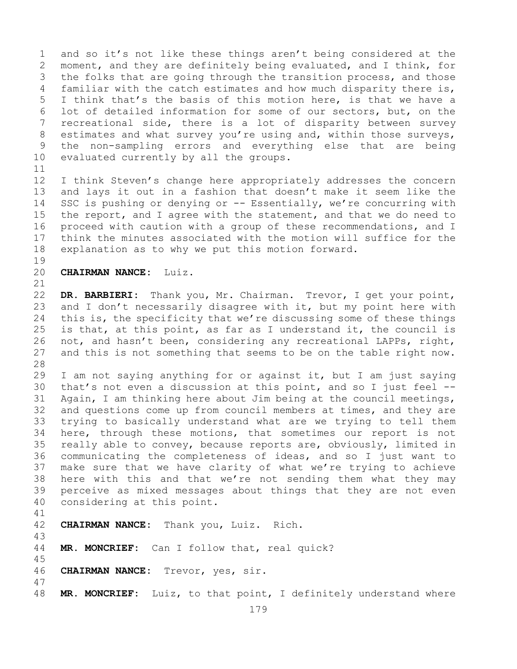1 and so it's not like these things aren't being considered at the<br>2 moment, and they are definitely being evaluated, and I think, for 2 moment, and they are definitely being evaluated, and I think, for<br>3 the folks that are going through the transition process, and those 3 the folks that are going through the transition process, and those<br>4 familiar with the catch estimates and how much disparity there is, familiar with the catch estimates and how much disparity there is, 5 I think that's the basis of this motion here, is that we have a 6 lot of detailed information for some of our sectors, but, on the<br>7 recreational side, there is a lot of disparity between survey 7 recreational side, there is a lot of disparity between survey<br>8 estimates and what survey you're using and, within those surveys, 8 estimates and what survey you're using and, within those surveys,<br>9 the non-sampling errors and everything else that are being 9 the non-sampling errors and everything else that are being<br>10 evaluated currently by all the groups. evaluated currently by all the groups.

11<br>12 I think Steven's change here appropriately addresses the concern 13 and lays it out in a fashion that doesn't make it seem like the 14 SSC is pushing or denying or -- Essentially, we're concurring with<br>15 the report, and I agree with the statement, and that we do need to 15 the report, and I agree with the statement, and that we do need to<br>16 proceed with caution with a group of these recommendations, and I 16 proceed with caution with a group of these recommendations, and I<br>17 think the minutes associated with the motion will suffice for the 17 think the minutes associated with the motion will suffice for the<br>18 explanation as to why we put this motion forward. explanation as to why we put this motion forward.

- $\begin{array}{c} 19 \\ 20 \end{array}$ 
	- 20 **CHAIRMAN NANCE:** Luiz.

21<br>22 22 **DR. BARBIERI:** Thank you, Mr. Chairman. Trevor, I get your point, 23 and I don't necessarily disagree with it, but my point here with<br>24 this is, the specificity that we're discussing some of these things 24 this is, the specificity that we're discussing some of these things<br>25 is that, at this point, as far as I understand it, the council is 25 is that, at this point, as far as I understand it, the council is<br>26 not, and hasn't been, considering any recreational LAPPs, right, 26 not, and hasn't been, considering any recreational LAPPs, right,<br>27 and this is not something that seems to be on the table right now. and this is not something that seems to be on the table right now.

28<br>29 29 I am not saying anything for or against it, but I am just saying<br>30 that's not even a discussion at this point, and so I just feel --30 that's not even a discussion at this point, and so I just feel  $-$ -<br>31 Again, I am thinking here about Jim being at the council meetings, 31 Again, I am thinking here about Jim being at the council meetings,<br>32 and questions come up from council members at times, and they are and questions come up from council members at times, and they are 33 trying to basically understand what are we trying to tell them<br>34 here, through these motions, that sometimes our report is not 34 here, through these motions, that sometimes our report is not<br>35 really able to convey, because reports are, obviously, limited in 35 really able to convey, because reports are, obviously, limited in<br>36 communicating the completeness of ideas, and so I just want to communicating the completeness of ideas, and so I just want to 37 make sure that we have clarity of what we're trying to achieve 38 here with this and that we're not sending them what they may<br>39 perceive as mixed messages about things that they are not even 39 perceive as mixed messages about things that they are not even<br>40 considering at this point. considering at this point.

- 41<br>42 CHAIRMAN NANCE: Thank you, Luiz. Rich. 43 MR. MONCRIEF: Can I follow that, real quick? 45
- 46 **CHAIRMAN NANCE:** Trevor, yes, sir.
- 47 MR. MONCRIEF: Luiz, to that point, I definitely understand where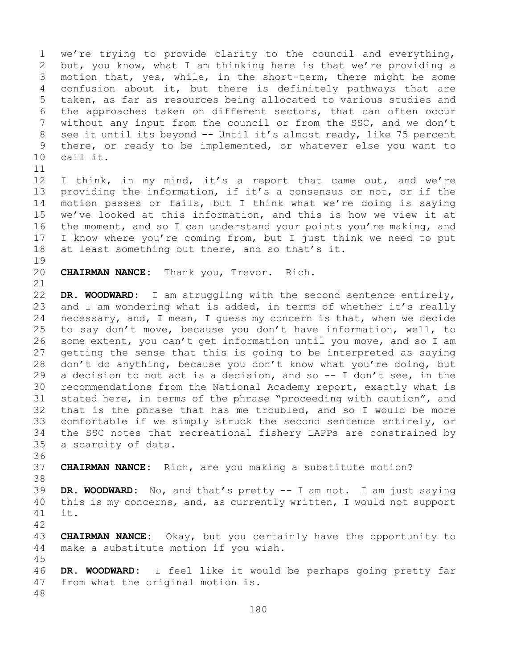1 we're trying to provide clarity to the council and everything,<br>2 but, you know, what I am thinking here is that we're providing a 2 but, you know, what I am thinking here is that we're providing a<br>3 motion that, yes, while, in the short-term, there might be some 3 motion that, yes, while, in the short-term, there might be some<br>4 confusion about it, but there is definitely pathways that are confusion about it, but there is definitely pathways that are 5 taken, as far as resources being allocated to various studies and 6 the approaches taken on different sectors, that can often occur<br>7 without any input from the council or from the SSC, and we don't 7 without any input from the council or from the SSC, and we don't<br>8 see it until its beyond -- Until it's almost ready, like 75 percent 8 see it until its beyond -- Until it's almost ready, like 75 percent<br>9 there, or ready to be implemented, or whatever else you want to 9 there, or ready to be implemented, or whatever else you want to call it. call it.

11<br>12 12 I think, in my mind, it's a report that came out, and we're<br>13 providing the information, if it's a consensus or not, or if the providing the information, if it's a consensus or not, or if the 14 motion passes or fails, but I think what we're doing is saying<br>15 we've looked at this information, and this is how we view it at 15 we've looked at this information, and this is how we view it at<br>16 the moment, and so I can understand your points you're making, and 16 the moment, and so I can understand your points you're making, and<br>17 I know where you're coming from, but I just think we need to put 17 I know where you're coming from, but I just think we need to put<br>18 at least something out there, and so that's it. at least something out there, and so that's it.

19<br>20

45

CHAIRMAN NANCE: Thank you, Trevor. Rich.

21<br>22 22 **DR. WOODWARD:** I am struggling with the second sentence entirely,<br>23 and I am wondering what is added, in terms of whether it's really 23 and I am wondering what is added, in terms of whether it's really<br>24 necessary, and, I mean, I quess my concern is that, when we decide 24 necessary, and, I mean, I guess my concern is that, when we decide<br>25 to say don't move, because you don't have information, well, to 25 to say don't move, because you don't have information, well, to<br>26 some extent, you can't get information until you move, and so I am 26 some extent, you can't get information until you move, and so I am<br>27 qetting the sense that this is going to be interpreted as saying 27 getting the sense that this is going to be interpreted as saying<br>28 don't do anything, because you don't know what you're doing, but 28 don't do anything, because you don't know what you're doing, but<br>29 a decision to not act is a decision, and so -- I don't see, in the 29 a decision to not act is a decision, and so -- I don't see, in the<br>30 recommendations from the National Academy report, exactly what is 30 recommendations from the National Academy report, exactly what is<br>31 stated here, in terms of the phrase "proceeding with caution", and 31 stated here, in terms of the phrase "proceeding with caution", and<br>32 that is the phrase that has me troubled, and so I would be more that is the phrase that has me troubled, and so I would be more 33 comfortable if we simply struck the second sentence entirely, or<br>34 the SSC notes that recreational fishery LAPPs are constrained by 34 the SSC notes that recreational fishery LAPPs are constrained by<br>35 a scarcity of data. a scarcity of data.

36<br>37 CHAIRMAN NANCE: Rich, are you making a substitute motion?

38<br>39 39 **DR. WOODWARD:** No, and that's pretty -- I am not. I am just saying 40 this is my concerns, and, as currently written, I would not support  $11$  it.  $it.$ 

42 43 **CHAIRMAN NANCE:** Okay, but you certainly have the opportunity to 44 make a substitute motion if you wish. make a substitute motion if you wish.

46 **DR. WOODWARD:** I feel like it would be perhaps going pretty far from what the original motion is. 48

180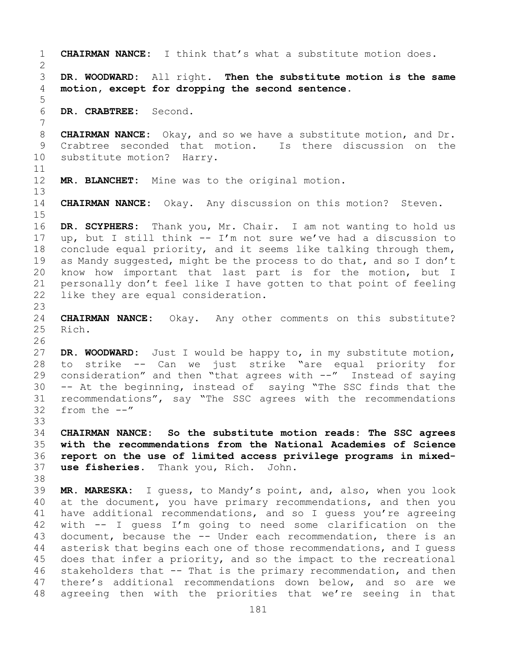1 **CHAIRMAN NANCE:** I think that's what a substitute motion does.  $\frac{2}{3}$ 3 **DR. WOODWARD:** All right. **Then the substitute motion is the same**  4 **motion, except for dropping the second sentence.** 5 6 **DR. CRABTREE:** Second. 7 8 **CHAIRMAN NANCE:** Okay, and so we have a substitute motion, and Dr.<br>9 Crabtree seconded that motion. Is there discussion on the 9 Crabtree seconded that motion. Is there discussion on the 30 substitute motion? Harry. substitute motion? Harry. 11<br>12 MR. BLANCHET: Mine was to the original motion. 13 14 **CHAIRMAN NANCE:** Okay. Any discussion on this motion? Steven.  $15$ <br> $16$ 16 DR. SCYPHERS: Thank you, Mr. Chair. I am not wanting to hold us<br>17 up, but I still think -- I'm not sure we've had a discussion to 17 up, but I still think  $--$  I'm not sure we've had a discussion to  $18$  conclude equal priority, and it seems like talking through them, 18 conclude equal priority, and it seems like talking through them,<br>19 as Mandy suggested, might be the process to do that, and so I don't 19 as Mandy suggested, might be the process to do that, and so I don't<br>20 know how important that last part is for the motion, but I 20 know how important that last part is for the motion, but I<br>21 personally don't feel like I have gotten to that point of feeling 21 personally don't feel like I have gotten to that point of feeling<br>22 like they are equal consideration. like they are equal consideration.  $\frac{23}{24}$ 24 **CHAIRMAN NANCE:** Okay. Any other comments on this substitute? Rich. 26<br>27 DR. WOODWARD: Just I would be happy to, in my substitute motion, 28 to strike -- Can we just strike "are equal priority for<br>29 consideration" and then "that agrees with --" Instead of saying 29 consideration" and then "that agrees with  $--$ " Instead of saying<br>30 -- At the beginning, instead of saying "The SSC finds that the  $30$  -- At the beginning, instead of saying "The SSC finds that the recommendations", say "The SSC agrees with the recommendations 31 recommendations", say "The SSC agrees with the recommendations<br>32 from the --" from the  $--"$ 33<br>34 34 **CHAIRMAN NANCE: So the substitute motion reads: The SSC agrees**  35 **with the recommendations from the National Academies of Science**  36 **report on the use of limited access privilege programs in mixed**use fisheries. Thank you, Rich. John. 38<br>39 39 **MR. MARESKA:** I guess, to Mandy's point, and, also, when you look 40 at the document, you have primary recommendations, and then you<br>41 have additional recommendations, and so I quess vou're agreeing 41 have additional recommendations, and so I guess you're agreeing<br>42 with -- I quess I'm going to need some clarification on the 42 with  $-$  I guess I'm going to need some clarification on the 43 document, because the  $-$ - Under each recommendation, there is an 43 document, because the -- Under each recommendation, there is an<br>44 asterisk that begins each one of those recommendations, and I quess asterisk that begins each one of those recommendations, and I quess 45 does that infer a priority, and so the impact to the recreational 46 stakeholders that -- That is the primary recommendation, and then<br>47 there's additional recommendations down below, and so are we 47 there's additional recommendations down below, and so are we<br>48 agreeing then with the priorities that we're seeing in that agreeing then with the priorities that we're seeing in that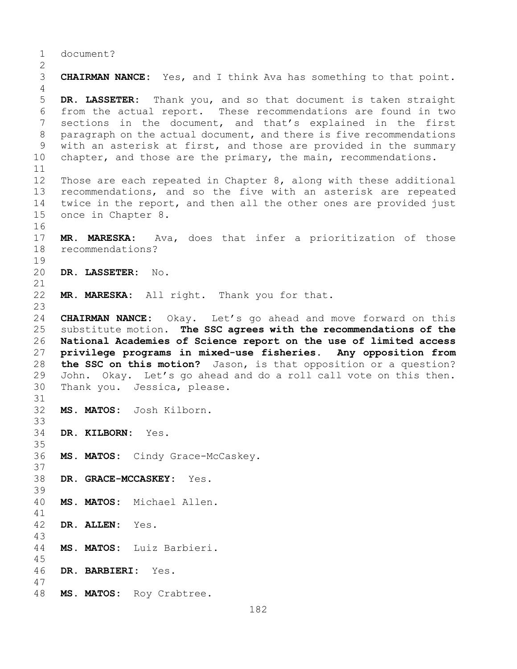1 document?

 $\frac{2}{3}$ 3 **CHAIRMAN NANCE:** Yes, and I think Ava has something to that point. 4 5 **DR. LASSETER:** Thank you, and so that document is taken straight 6 from the actual report. These recommendations are found in two<br>7 sections in the document, and that's explained in the first 7 sections in the document, and that's explained in the first<br>8 paragraph on the actual document, and there is five recommendations 8 paragraph on the actual document, and there is five recommendations<br>9 with an asterisk at first, and those are provided in the summary 9 with an asterisk at first, and those are provided in the summary<br>10 chapter, and those are the primary, the main, recommendations. chapter, and those are the primary, the main, recommendations. 11<br>12 Those are each repeated in Chapter 8, along with these additional 13 recommendations, and so the five with an asterisk are repeated 14 twice in the report, and then all the other ones are provided just<br>15 once in Chapter 8. once in Chapter 8. 16<br>17 17 **MR. MARESKA:** Ava, does that infer a prioritization of those recommendations?  $\begin{array}{c} 19 \\ 20 \end{array}$ 20 **DR. LASSETER:** No. 21<br>22 MR. MARESKA: All right. Thank you for that. 23 24 **CHAIRMAN NANCE:** Okay. Let's go ahead and move forward on this<br>25 substitute motion. The SSC agrees with the recommendations of the 25 substitute motion. **The SSC agrees with the recommendations of the**  26 **National Academies of Science report on the use of limited access**  privilege programs in mixed-use fisheries. 28 **the SSC on this motion?** Jason, is that opposition or a question?<br>29 John. Okay. Let's go ahead and do a roll call vote on this then. 29 John. Okay. Let's go ahead and do a roll call vote on this then.<br>30 Thank vou. Jessica, please. Thank you. Jessica, please. 31<br>32 32 **MS. MATOS:** Josh Kilborn. 33<br>34 34 **DR. KILBORN:** Yes. 35<br>36 MS. MATOS: Cindy Grace-McCaskey. 37 38 **DR. GRACE-MCCASKEY:** Yes. 39 40 **MS. MATOS:** Michael Allen. 41<br>42 42 **DR. ALLEN:** Yes. 43 44 **MS. MATOS:** Luiz Barbieri. 45 46 **DR. BARBIERI:** Yes. 47 MS. MATOS: Roy Crabtree.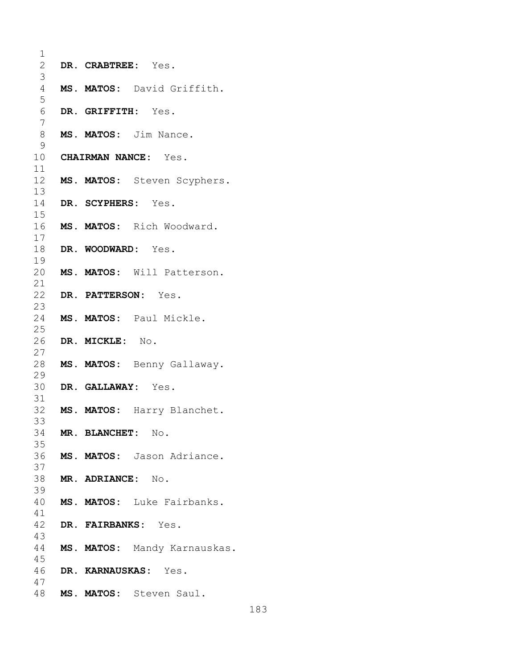| 1               |                                |
|-----------------|--------------------------------|
| $\overline{2}$  | DR. CRABTREE: Yes.             |
| 3               |                                |
| $\overline{4}$  | MS. MATOS: David Griffith.     |
| 5               |                                |
| $\sqrt{6}$<br>7 | DR. GRIFFITH: Yes.             |
| 8               | MS. MATOS: Jim Nance.          |
| 9               |                                |
|                 | 10 CHAIRMAN NANCE: Yes.        |
| 11              |                                |
|                 | 12 MS. MATOS: Steven Scyphers. |
| 13              |                                |
| 14              | DR. SCYPHERS: Yes.             |
| 15              |                                |
|                 | 16 MS. MATOS: Rich Woodward.   |
| 17<br>18        | DR. WOODWARD: Yes.             |
| 19              |                                |
|                 | 20 MS. MATOS: Will Patterson.  |
| 21              |                                |
|                 | 22 DR. PATTERSON: Yes.         |
| 23              |                                |
|                 | 24 MS. MATOS: Paul Mickle.     |
| 25              |                                |
| 26              | DR. MICKLE: No.                |
| 27<br>28        | MS. MATOS: Benny Gallaway.     |
| 29              |                                |
|                 | 30 DR. GALLAWAY: Yes.          |
| 31              |                                |
|                 | 32 MS. MATOS: Harry Blanchet.  |
| 33              |                                |
| 34              | MR. BLANCHET: No.              |
| 35              |                                |
| 37              | 36 MS. MATOS: Jason Adriance.  |
| 38              | MR. ADRIANCE: No.              |
| 39              |                                |
| 40              | MS. MATOS: Luke Fairbanks.     |
| 41              |                                |
|                 | 42 DR. FAIRBANKS: Yes.         |
| 43              |                                |
| 44              | MS. MATOS: Mandy Karnauskas.   |
| 45<br>46        |                                |
| 47              | DR. KARNAUSKAS: Yes.           |
|                 | 48 MS. MATOS: Steven Saul.     |
|                 |                                |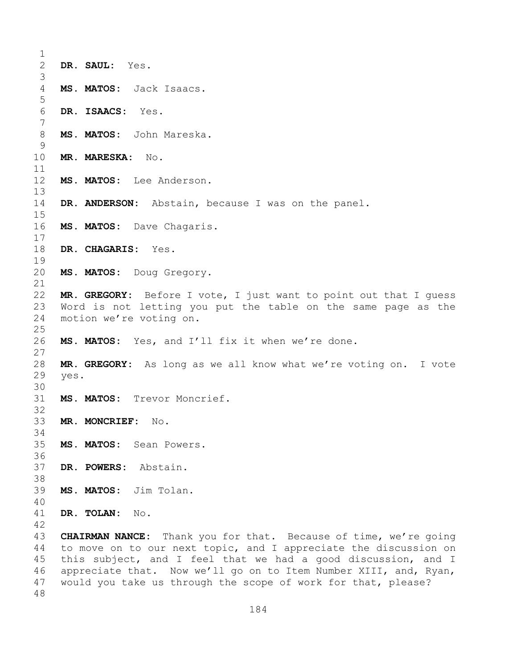| 1                   |      |                                                                         |
|---------------------|------|-------------------------------------------------------------------------|
| $\mathbf{2}$        |      | DR. SAUL: Yes.                                                          |
| 3<br>$\overline{4}$ |      | MS. MATOS: Jack Isaacs.                                                 |
| 5                   |      |                                                                         |
| 6                   |      | DR. ISAACS: Yes.                                                        |
| $7\phantom{.0}$     |      |                                                                         |
| 8<br>9              |      | MS. MATOS: John Mareska.                                                |
| 10<br>11            |      | MR. MARESKA: No.                                                        |
| 12<br>13            |      | MS. MATOS: Lee Anderson.                                                |
| 14<br>15            |      | DR. ANDERSON: Abstain, because I was on the panel.                      |
| 16<br>17            |      | MS. MATOS: Dave Chagaris.                                               |
| 18<br>19            |      | DR. CHAGARIS: Yes.                                                      |
| 20<br>21            |      | MS. MATOS: Doug Gregory.                                                |
| 22                  |      | MR. GREGORY: Before I vote, I just want to point out that I quess       |
| 23                  |      | Word is not letting you put the table on the same page as the           |
| 24                  |      | motion we're voting on.                                                 |
| 25                  |      |                                                                         |
| 26<br>27            |      | MS. MATOS: Yes, and I'll fix it when we're done.                        |
| 28                  |      | MR. GREGORY: As long as we all know what we're voting on. I vote        |
| 29                  | yes. |                                                                         |
| 30<br>31            |      | MS. MATOS: Trevor Moncrief.                                             |
| 32                  |      |                                                                         |
| 33                  |      | MR. MONCRIEF:<br>No.                                                    |
| 34                  |      |                                                                         |
| 35                  |      | MS. MATOS: Sean Powers.                                                 |
| 36<br>37            |      | DR. POWERS: Abstain.                                                    |
| 38                  |      |                                                                         |
| 39                  |      | MS. MATOS: Jim Tolan.                                                   |
| 40                  |      |                                                                         |
| 41                  |      | DR. TOLAN:<br>No.                                                       |
| 42                  |      |                                                                         |
| 43                  |      | <b>CHAIRMAN NANCE:</b> Thank you for that. Because of time, we're going |
| 44                  |      | to move on to our next topic, and I appreciate the discussion on        |
| 45                  |      | this subject, and I feel that we had a good discussion, and I           |
| 46                  |      | appreciate that. Now we'll go on to Item Number XIII, and, Ryan,        |
| 47                  |      | would you take us through the scope of work for that, please?           |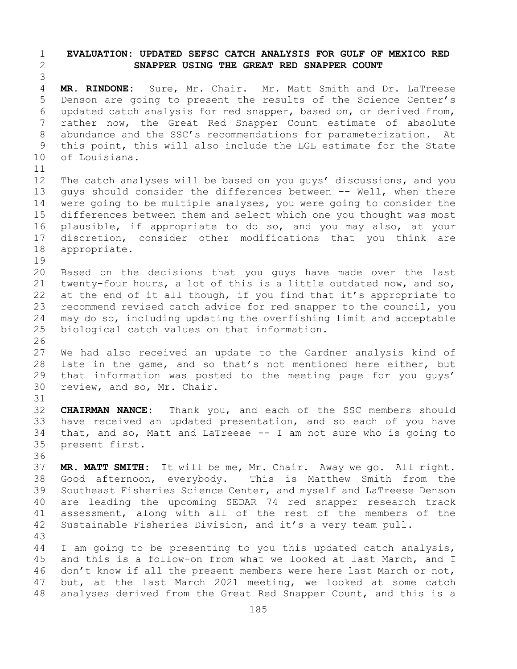## 1 **EVALUATION: UPDATED SEFSC CATCH ANALYSIS FOR GULF OF MEXICO RED**  2 **SNAPPER USING THE GREAT RED SNAPPER COUNT**

3 MR. RINDONE: Sure, Mr. Chair. Mr. Matt Smith and Dr. LaTreese 5 Denson are going to present the results of the Science Center's 6 updated catch analysis for red snapper, based on, or derived from,<br>7 rather now, the Great Red Snapper Count estimate of absolute 7 rather now, the Great Red Snapper Count estimate of absolute<br>8 abundance and the SSC's recommendations for parameterization. At 8 abundance and the SSC's recommendations for parameterization.<br>9 this point, this will also include the LGL estimate for the St 9 this point, this will also include the LGL estimate for the State<br>10 of Louisiana. of Louisiana.

11<br>12 12 The catch analyses will be based on you guys' discussions, and you<br>13 quys should consider the differences between -- Well, when there quys should consider the differences between -- Well, when there 14 were going to be multiple analyses, you were going to consider the<br>15 differences between them and select which one you thought was most 15 differences between them and select which one you thought was most<br>16 plausible, if appropriate to do so, and you may also, at your 16 plausible, if appropriate to do so, and you may also, at your<br>17 discretion, consider other modifications that you think are 17 discretion, consider other modifications that you think are<br>18 appropriate. appropriate.

- 19<br>20 20 Based on the decisions that you guys have made over the last<br>21 twenty-four hours, a lot of this is a little outdated now, and so, 21 twenty-four hours, a lot of this is a little outdated now, and so,<br>22 at the end of it all though, if you find that it's appropriate to 22 at the end of it all though, if you find that it's appropriate to<br>23 recommend revised catch advice for red snapper to the council, you 23 recommend revised catch advice for red snapper to the council, you<br>24 may do so, including updating the overfishing limit and acceptable 24 may do so, including updating the overfishing limit and acceptable<br>25 biological catch values on that information. biological catch values on that information.
- 26<br>27 We had also received an update to the Gardner analysis kind of 28 late in the game, and so that's not mentioned here either, but<br>29 that information was posted to the meeting page for you guys' 29 that information was posted to the meeting page for you guys'<br>30 review, and so, Mr. Chair. review, and so, Mr. Chair.
- 31<br>32 CHAIRMAN NANCE: Thank you, and each of the SSC members should 33 have received an updated presentation, and so each of you have<br>34 that, and so, Matt and LaTreese -- I am not sure who is going to 34 that, and so, Matt and LaTreese -- I am not sure who is going to 35 present first. present first.
- 36<br>37

37 **MR. MATT SMITH:** It will be me, Mr. Chair. Away we go. All right. 38 Good afternoon, everybody. This is Matthew Smith from the<br>39 Southeast Fisheries Science Center, and myself and LaTreese Denson 39 Southeast Fisheries Science Center, and myself and LaTreese Denson<br>40 are leading the upcoming SEDAR 74 red snapper research track 40 are leading the upcoming SEDAR 74 red snapper research track<br>41 assessment, along with all of the rest of the members of the 41 assessment, along with all of the rest of the members of the<br>42 Sustainable Fisheries Division, and it's a very team pull. Sustainable Fisheries Division, and it's a very team pull.

43 I am going to be presenting to you this updated catch analysis, 45 and this is a follow-on from what we looked at last March, and I 46 don't know if all the present members were here last March or not,<br>47 but, at the last March 2021 meeting, we looked at some catch 47 but, at the last March 2021 meeting, we looked at some catch<br>48 analyses derived from the Great Red Snapper Count, and this is a analyses derived from the Great Red Snapper Count, and this is a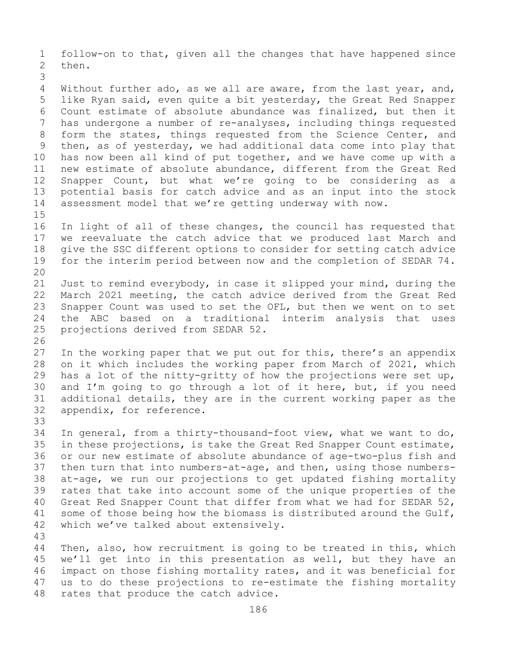1 follow-on to that, given all the changes that have happened since then.

3 Without further ado, as we all are aware, from the last year, and, 5 like Ryan said, even quite a bit yesterday, the Great Red Snapper 6 Count estimate of absolute abundance was finalized, but then it<br>7 has undergone a number of re-analyses, including things reguested 7 has undergone a number of re-analyses, including things requested<br>8 form the states, things requested from the Science Center, and 8 form the states, things requested from the Science Center, and<br>9 then, as of yesterday, we had additional data come into play that 9 then, as of yesterday, we had additional data come into play that<br>10 has now been all kind of put together, and we have come up with a 10 has now been all kind of put together, and we have come up with a<br>11 new estimate of absolute abundance, different from the Great Red 11 new estimate of absolute abundance, different from the Great Red<br>12 Snapper Count, but what we're going to be considering as a 12 Snapper Count, but what we're going to be considering as a<br>13 potential basis for catch advice and as an input into the stock potential basis for catch advice and as an input into the stock 14 assessment model that we're getting underway with now.

 $15$ <br> $16$ 16 In light of all of these changes, the council has requested that<br>17 we reevaluate the catch advice that we produced last March and 17 we reevaluate the catch advice that we produced last March and<br>18 qive the SSC different options to consider for setting catch advice 18 give the SSC different options to consider for setting catch advice<br>19 for the interim period between now and the completion of SEDAR 74. for the interim period between now and the completion of SEDAR 74.

20<br>21 21 Just to remind everybody, in case it slipped your mind, during the<br>22 March 2021 meeting, the catch advice derived from the Great Red 22 March 2021 meeting, the catch advice derived from the Great Red<br>23 Snapper Count was used to set the OFL, but then we went on to set 23 Snapper Count was used to set the OFL, but then we went on to set<br>24 the ABC based on a traditional interim analysis that uses 24 the ABC based on a traditional interim analysis that uses<br>25 projections derived from SEDAR 52. projections derived from SEDAR 52.

26<br>27 27 In the working paper that we put out for this, there's an appendix<br>28 on it which includes the working paper from March of 2021, which 28 on it which includes the working paper from March of 2021, which<br>29 has a lot of the nitty-gritty of how the projections were set up, 29 has a lot of the nitty-gritty of how the projections were set up,<br>30 and I'm going to go through a lot of it here, but, if you need 30 and I'm going to go through a lot of it here, but, if you need<br>31 additional details, they are in the current working paper as the 31 additional details, they are in the current working paper as the 32 appendix, for reference. appendix, for reference.

33<br>34 34 In general, from a thirty-thousand-foot view, what we want to do,<br>35 in these projections, is take the Great Red Snapper Count estimate, 35 in these projections, is take the Great Red Snapper Count estimate,<br>36 or our new estimate of absolute abundance of age-two-plus fish and 36 or our new estimate of absolute abundance of age-two-plus fish and<br>37 then turn that into numbers-at-age, and then, using those numbersthen turn that into numbers-at-age, and then, using those numbers-38 at-age, we run our projections to get updated fishing mortality<br>39 rates that take into account some of the unique properties of the 39 rates that take into account some of the unique properties of the<br>40 Great Red Snapper Count that differ from what we had for SEDAR 52, 40 Great Red Snapper Count that differ from what we had for SEDAR 52,<br>41 some of those being how the biomass is distributed around the Gulf, 41 some of those being how the biomass is distributed around the Gulf,<br>42 which we've talked about extensively. which we've talked about extensively.

43 Then, also, how recruitment is going to be treated in this, which 45 we'll get into in this presentation as well, but they have an 46 impact on those fishing mortality rates, and it was beneficial for<br>47 us to do these projections to re-estimate the fishing mortality 47 us to do these projections to re-estimate the fishing mortality<br>48 rates that produce the catch advice. rates that produce the catch advice.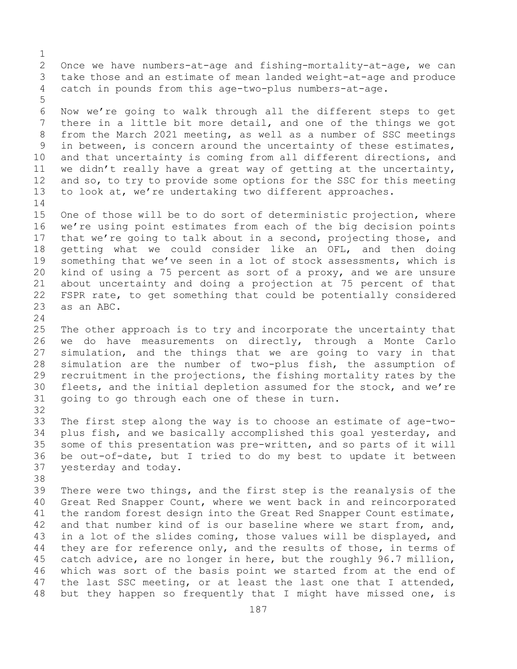$\frac{1}{2}$ 2 Once we have numbers-at-age and fishing-mortality-at-age, we can<br>3 take those and an estimate of mean landed weight-at-age and produce 3 take those and an estimate of mean landed weight-at-age and produce<br>4 catch in pounds from this age-two-plus numbers-at-age. catch in pounds from this age-two-plus numbers-at-age. 5 6 Now we're going to walk through all the different steps to get<br>7 there in a little bit more detail, and one of the things we got 7 there in a little bit more detail, and one of the things we got<br>8 from the March 2021 meeting, as well as a number of SSC meetings 8 from the March 2021 meeting, as well as a number of SSC meetings<br>9 in between, is concern around the uncertainty of these estimates, 9 in between, is concern around the uncertainty of these estimates,<br>10 and that uncertainty is coming from all different directions, and 10 and that uncertainty is coming from all different directions, and<br>11 we didn't really have a great way of getting at the uncertainty. 11 we didn't really have a great way of getting at the uncertainty,<br>12 and so, to try to provide some options for the SSC for this meeting and so, to try to provide some options for the SSC for this meeting 13 to look at, we're undertaking two different approaches.  $\frac{14}{15}$ 15 One of those will be to do sort of deterministic projection, where<br>16 we're using point estimates from each of the big decision points 16 we're using point estimates from each of the big decision points<br>17 that we're going to talk about in a second, projecting those, and 17 that we're going to talk about in a second, projecting those, and<br>18 qetting what we could consider like an OFL, and then doing 18 getting what we could consider like an OFL, and then doing<br>19 something that we've seen in a lot of stock assessments, which is 19 something that we've seen in a lot of stock assessments, which is<br>20 kind of using a 75 percent as sort of a proxy, and we are unsure kind of using a 75 percent as sort of a proxy, and we are unsure 21 about uncertainty and doing a projection at 75 percent of that<br>22 FSPR rate, to get something that could be potentially considered 22 FSPR rate, to get something that could be potentially considered<br>23 as an ABC. as an ABC.  $\frac{24}{25}$ 25 The other approach is to try and incorporate the uncertainty that<br>26 we do have measurements on directly, through a Monte Carlo 26 we do have measurements on directly, through a Monte Carlo<br>27 simulation, and the things that we are going to vary in that simulation, and the things that we are going to vary in that 28 simulation are the number of two-plus fish, the assumption of<br>29 recruitment in the projections, the fishing mortality rates by the 29 recruitment in the projections, the fishing mortality rates by the<br>30 fleets, and the initial depletion assumed for the stock, and we're 30 fleets, and the initial depletion assumed for the stock, and we're<br>31 qoing to go through each one of these in turn. going to go through each one of these in turn. 32<br>33 33 The first step along the way is to choose an estimate of age-two-<br>34 plus fish, and we basically accomplished this goal yesterday, and 34 plus fish, and we basically accomplished this goal yesterday, and<br>35 some of this presentation was pre-written, and so parts of it will 35 some of this presentation was pre-written, and so parts of it will<br>36 be out-of-date, but I tried to do my best to update it between 36 be out-of-date, but I tried to do my best to update it between<br>37 yesterday and today. yesterday and today. 38<br>39 39 There were two things, and the first step is the reanalysis of the<br>40 Great Red Snapper Count, where we went back in and reincorporated 40 Great Red Snapper Count, where we went back in and reincorporated<br>41 the random forest design into the Great Red Snapper Count estimate, 41 the random forest design into the Great Red Snapper Count estimate,<br>42 and that number kind of is our baseline where we start from, and, 42 and that number kind of is our baseline where we start from, and,<br>43 in a lot of the slides coming, those values will be displayed, and 43 in a lot of the slides coming, those values will be displayed, and<br>44 they are for reference only, and the results of those, in terms of they are for reference only, and the results of those, in terms of 45 catch advice, are no longer in here, but the roughly 96.7 million, 46 which was sort of the basis point we started from at the end of<br>47 the last SSC meeting, or at least the last one that I attended, 47 the last SSC meeting, or at least the last one that I attended,<br>48 but they happen so frequently that I might have missed one, is but they happen so frequently that I might have missed one, is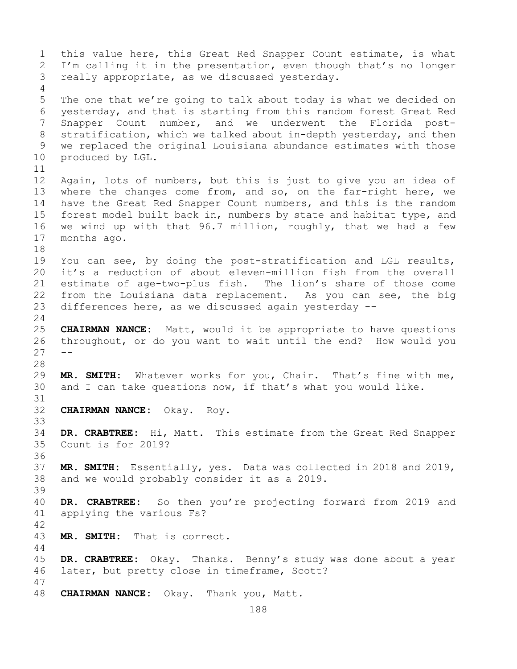1 this value here, this Great Red Snapper Count estimate, is what<br>2 I'm calling it in the presentation, even though that's no longer 2 I'm calling it in the presentation, even though that's no longer<br>3 really appropriate, as we discussed vesterday. really appropriate, as we discussed yesterday. 4 5 The one that we're going to talk about today is what we decided on 6 yesterday, and that is starting from this random forest Great Red<br>7 Snapper Count number, and we underwent the Florida post-7 Snapper Count number, and we underwent the Florida post-<br>8 stratification, which we talked about in-depth yesterday, and then 8 stratification, which we talked about in-depth yesterday, and then<br>9 we replaced the original Louisiana abundance estimates with those 9 we replaced the original Louisiana abundance estimates with those<br>10 produced by LGL. produced by LGL. 11<br>12 Again, lots of numbers, but this is just to give you an idea of 13 where the changes come from, and so, on the far-right here, we 14 have the Great Red Snapper Count numbers, and this is the random<br>15 forest model built back in, numbers by state and habitat type, and 15 forest model built back in, numbers by state and habitat type, and<br>16 we wind up with that 96.7 million, roughly, that we had a few 16 we wind up with that  $96.7$  million, roughly, that we had a few<br>17 months ago. months ago. 18<br>19 19 You can see, by doing the post-stratification and LGL results,<br>20 it's a reduction of about eleven-million fish from the overall it's a reduction of about eleven-million fish from the overall 21 estimate of age-two-plus fish. The lion's share of those come<br>22 from the Louisiana data replacement. As you can see, the big 22 from the Louisiana data replacement. As you can see, the big<br>23 differences here, as we discussed again yesterday -differences here, as we discussed again yesterday  $-$ - $\frac{24}{25}$ 25 **CHAIRMAN NANCE:** Matt, would it be appropriate to have questions 26 throughout, or do you want to wait until the end? How would you  $27$ 28<br>29 29 **MR. SMITH:** Whatever works for you, Chair. That's fine with me, and I can take questions now, if that's what you would like. 31<br>32 32 **CHAIRMAN NANCE:** Okay. Roy. 33<br>34 34 **DR. CRABTREE:** Hi, Matt. This estimate from the Great Red Snapper Count is for 2019? 36 37 **MR. SMITH:** Essentially, yes. Data was collected in 2018 and 2019, 38 and we would probably consider it as a 2019. 39 40 **DR. CRABTREE:** So then you're projecting forward from 2019 and applying the various Fs?  $42$ <br> $43$ MR. SMITH: That is correct. 44 45 **DR. CRABTREE:** Okay. Thanks. Benny's study was done about a year 46 later, but pretty close in timeframe, Scott? 47 48 **CHAIRMAN NANCE:** Okay. Thank you, Matt.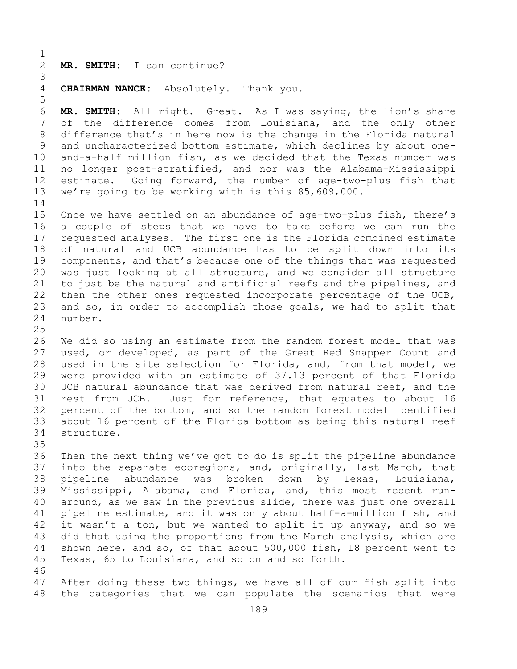$\frac{1}{2}$ 2 **MR. SMITH:** I can continue?

5

3 **CHAIRMAN NANCE:** Absolutely. Thank you.

6 **MR. SMITH:** All right. Great. As I was saying, the lion's share 7 of the difference comes from Louisiana, and the only other<br>8 difference that's in here now is the change in the Florida natural 8 difference that's in here now is the change in the Florida natural<br>9 and uncharacterized bottom estimate, which declines by about one-9 and uncharacterized bottom estimate, which declines by about one-<br>10 and-a-half million fish, as we decided that the Texas number was 10 and-a-half million fish, as we decided that the Texas number was<br>11 no longer post-stratified, and nor was the Alabama-Mississippi 11 no longer post-stratified, and nor was the Alabama-Mississippi<br>12 estimate. Going forward, the number of age-two-plus fish that estimate. Going forward, the number of age-two-plus fish that 13 we're going to be working with is this 85,609,000.

 $\frac{14}{15}$ 15 Once we have settled on an abundance of age-two-plus fish, there's<br>16 a couple of steps that we have to take before we can run the 16 a couple of steps that we have to take before we can run the<br>17 requested analyses. The first one is the Florida combined estimate 17 requested analyses. The first one is the Florida combined estimate<br>18 of natural and UCB abundance has to be split down into its 18 of natural and UCB abundance has to be split down into its<br>19 components, and that's because one of the things that was requested 19 components, and that's because one of the things that was requested<br>20 was just looking at all structure, and we consider all structure 20 was just looking at all structure, and we consider all structure<br>21 to just be the natural and artificial reefs and the pipelines, and 21 to just be the natural and artificial reefs and the pipelines, and<br>22 then the other ones requested incorporate percentage of the UCB, 22 then the other ones requested incorporate percentage of the UCB,<br>23 and so, in order to accomplish those goals, we had to split that 23 and so, in order to accomplish those goals, we had to split that<br>24 number. number.

 $\frac{25}{26}$ 26 We did so using an estimate from the random forest model that was<br>27 used, or developed, as part of the Great Red Snapper Count and used, or developed, as part of the Great Red Snapper Count and 28 used in the site selection for Florida, and, from that model, we<br>29 were provided with an estimate of 37.13 percent of that Florida 29 were provided with an estimate of 37.13 percent of that Florida<br>30 UCB natural abundance that was derived from natural reef, and the 30 UCB natural abundance that was derived from natural reef, and the<br>31 rest from UCB. Just for reference, that equates to about 16 31 rest from UCB. Just for reference, that equates to about 16<br>32 percent of the bottom, and so the random forest model identified 32 percent of the bottom, and so the random forest model identified<br>33 about 16 percent of the Florida bottom as being this natural reef 33 about 16 percent of the Florida bottom as being this natural reef structure.

35<br>36 36 Then the next thing we've got to do is split the pipeline abundance<br>37 into the separate ecoregions, and, originally, last March, that into the separate ecoregions, and, originally, last March, that 38 pipeline abundance was broken down by Texas, Louisiana,<br>39 Mississippi, Alabama, and Florida, and, this most recent run-39 Mississippi, Alabama, and Florida, and, this most recent run-<br>40 around, as we saw in the previous slide, there was just one overall 40 around, as we saw in the previous slide, there was just one overall<br>41 pipeline estimate, and it was only about half-a-million fish, and 41 pipeline estimate, and it was only about half-a-million fish, and<br>42 it wasn't a ton, but we wanted to split it up anyway, and so we 42 it wasn't a ton, but we wanted to split it up anyway, and so we<br>43 did that using the proportions from the March analysis, which are 43 did that using the proportions from the March analysis, which are<br>44 shown here, and so, of that about 500,000 fish, 18 percent went to shown here, and so, of that about  $500,000$  fish, 18 percent went to 45 Texas, 65 to Louisiana, and so on and so forth.

46<br>47 47 After doing these two things, we have all of our fish split into<br>48 the categories that we can populate the scenarios that were the categories that we can populate the scenarios that were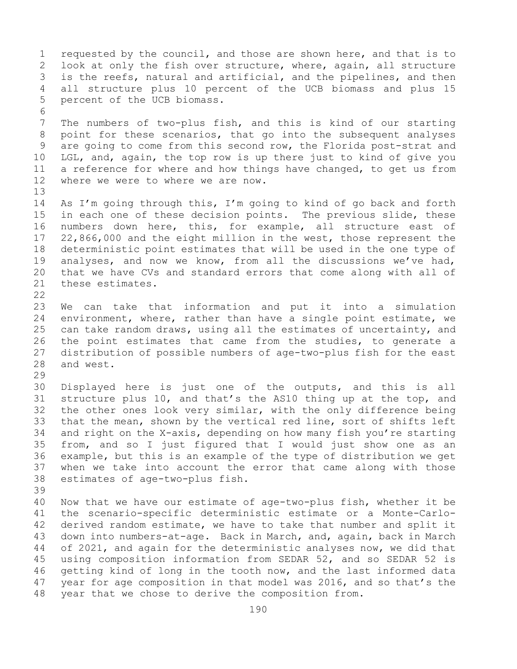1 requested by the council, and those are shown here, and that is to<br>2 look at only the fish over structure, where, again, all structure 2 look at only the fish over structure, where, again, all structure<br>3 is the reefs, natural and artificial, and the pipelines, and then 3 is the reefs, natural and artificial, and the pipelines, and then<br>4 all structure plus 10 percent of the UCB biomass and plus 15 all structure plus 10 percent of the UCB biomass and plus 15 5 percent of the UCB biomass. 6<br>7 7 The numbers of two-plus fish, and this is kind of our starting<br>8 point for these scenarios, that go into the subsequent analyses 8 point for these scenarios, that go into the subsequent analyses<br>9 are going to come from this second row, the Florida post-strat and 9 are going to come from this second row, the Florida post-strat and<br>10 LGL, and, again, the top row is up there just to kind of give you 10 LGL, and, again, the top row is up there just to kind of give you<br>11 a reference for where and how things have changed, to get us from 11 a reference for where and how things have changed, to get us from<br>12 where we were to where we are now. where we were to where we are now. 13 14 As I'm going through this, I'm going to kind of go back and forth<br>15 in each one of these decision points. The previous slide, these 15 in each one of these decision points. The previous slide, these<br>16 numbers down here, this, for example, all structure east of 16 numbers down here, this, for example, all structure east of<br>17 22,866,000 and the eight million in the west, those represent the 17 22,866,000 and the eight million in the west, those represent the<br>18 deterministic point estimates that will be used in the one type of 18 deterministic point estimates that will be used in the one type of<br>19 analyses, and now we know, from all the discussions we've had, 19 analyses, and now we know, from all the discussions we've had,<br>20 that we have CVs and standard errors that come along with all of 20 that we have CVs and standard errors that come along with all of 21 these estimates. these estimates.  $\begin{array}{c} 22 \\ 23 \end{array}$ 23 We can take that information and put it into a simulation<br>24 environment, where, rather than have a single point estimate, we 24 environment, where, rather than have a single point estimate, we<br>25 can take random draws, using all the estimates of uncertainty, and 25 can take random draws, using all the estimates of uncertainty, and<br>26 the point estimates that came from the studies, to generate a 26 the point estimates that came from the studies, to generate a<br>27 distribution of possible numbers of age-two-plus fish for the east 27 distribution of possible numbers of age-two-plus fish for the east and west. 29<br>30 30 Displayed here is just one of the outputs, and this is all<br>31 structure plus 10, and that's the AS10 thing up at the top, and 31 structure plus 10, and that's the AS10 thing up at the top, and<br>32 the other ones look very similar, with the only difference being 32 the other ones look very similar, with the only difference being<br>33 that the mean, shown by the vertical red line, sort of shifts left 33 that the mean, shown by the vertical red line, sort of shifts left<br>34 and right on the X-axis, depending on how many fish you're starting 34 and right on the X-axis, depending on how many fish you're starting<br>35 from, and so I just figured that I would just show one as an 35 from, and so I just figured that I would just show one as an<br>36 example, but this is an example of the type of distribution we get 36 example, but this is an example of the type of distribution we get<br>37 when we take into account the error that came along with those when we take into account the error that came along with those 38 estimates of age-two-plus fish. 39 40 Now that we have our estimate of age-two-plus fish, whether it be<br>41 the scenario-specific deterministic estimate or a Monte-Carlo-41 the scenario-specific deterministic estimate or a Monte-Carlo-<br>42 derived random estimate, we have to take that number and split it 42 derived random estimate, we have to take that number and split it<br>43 down into numbers-at-age. Back in March, and, again, back in March 43 down into numbers-at-age. Back in March, and, again, back in March<br>44 of 2021, and again for the deterministic analyses now, we did that of 2021, and again for the deterministic analyses now, we did that 45 using composition information from SEDAR 52, and so SEDAR 52 is 46 getting kind of long in the tooth now, and the last informed data<br>47 year for age composition in that model was 2016, and so that's the 47 year for age composition in that model was 2016, and so that's the 48 year that we chose to derive the composition from. year that we chose to derive the composition from.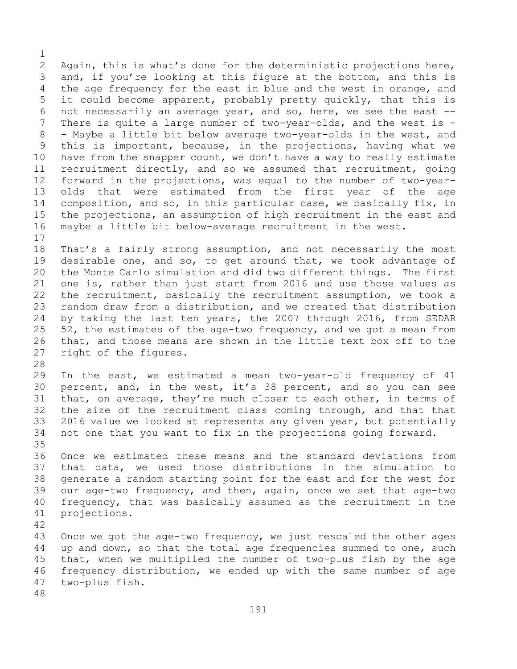$\frac{1}{2}$ 2 Again, this is what's done for the deterministic projections here,<br>3 and, if you're looking at this figure at the bottom, and this is 3 and, if you're looking at this figure at the bottom, and this is<br>4 the age frequency for the east in blue and the west in orange, and the age frequency for the east in blue and the west in orange, and 5 it could become apparent, probably pretty quickly, that this is 6 not necessarily an average year, and so, here, we see the east  $-$ -<br>7 There is quite a large number of two-vear-olds, and the west is -7 There is quite a large number of two-year-olds, and the west is -<br>8 - Maybe a little bit below average two-year-olds in the west, and 8 - Maybe a little bit below average two-year-olds in the west, and<br>9 this is important, because, in the projections, having what we 9 this is important, because, in the projections, having what we<br>10 have from the snapper count, we don't have a way to really estimate 10 have from the snapper count, we don't have a way to really estimate<br>11 recruitment directly, and so we assumed that recruitment, going 11 recruitment directly, and so we assumed that recruitment, going<br>12 forward in the projections, was equal to the number of two-yearforward in the projections, was equal to the number of two-year-13 olds that were estimated from the first year of the age 14 composition, and so, in this particular case, we basically fix, in<br>15 the projections, an assumption of high recruitment in the east and 15 the projections, an assumption of high recruitment in the east and<br>16 maybe a little bit below-average recruitment in the west. maybe a little bit below-average recruitment in the west.

 $\begin{array}{c} 17 \\ 18 \end{array}$ 18 That's a fairly strong assumption, and not necessarily the most<br>19 desirable one, and so, to get around that, we took advantage of 19 desirable one, and so, to get around that, we took advantage of<br>20 the Monte Carlo simulation and did two different things. The first the Monte Carlo simulation and did two different things. The first 21 one is, rather than just start from 2016 and use those values as<br>22 the recruitment, basically the recruitment assumption, we took a 22 the recruitment, basically the recruitment assumption, we took a<br>23 random draw from a distribution, and we created that distribution 23 random draw from a distribution, and we created that distribution<br>24 by taking the last ten years, the 2007 through 2016, from SEDAR 24 by taking the last ten years, the 2007 through 2016, from SEDAR<br>25 52, the estimates of the age-two frequency, and we got a mean from 25 52, the estimates of the age-two frequency, and we got a mean from<br>26 that, and those means are shown in the little text box off to the 26 that, and those means are shown in the little text box off to the 27 right of the figures. right of the figures.

28<br>29

In the east, we estimated a mean two-year-old frequency of 41 30 percent, and, in the west, it's 38 percent, and so you can see<br>31 that, on average, they're much closer to each other, in terms of 31 that, on average, they're much closer to each other, in terms of<br>32 the size of the recruitment class coming through, and that that the size of the recruitment class coming through, and that that 33 2016 value we looked at represents any given year, but potentially<br>34 not one that you want to fix in the projections going forward. not one that you want to fix in the projections going forward.

35<br>36 Once we estimated these means and the standard deviations from 37 that data, we used those distributions in the simulation to 38 generate a random starting point for the east and for the west for<br>39 our age-two frequency, and then, again, once we set that age-two 39 our age-two frequency, and then, again, once we set that age-two<br>40 frequency, that was basically assumed as the recruitment in the 40 frequency, that was basically assumed as the recruitment in the 41 projections. projections.

42 43 Once we got the age-two frequency, we just rescaled the other ages<br>44 up and down, so that the total age frequencies summed to one, such up and down, so that the total age frequencies summed to one, such 45 that, when we multiplied the number of two-plus fish by the age 46 frequency distribution, we ended up with the same number of age<br>47 two-plus fish. two-plus fish.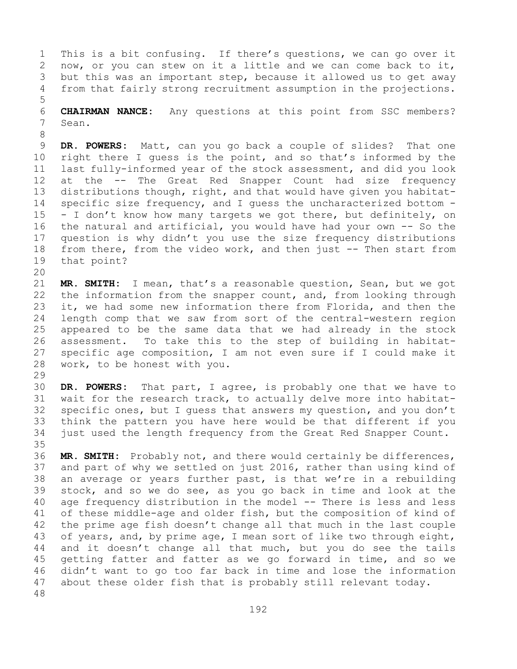1 This is a bit confusing. If there's questions, we can go over it<br>2 now, or you can stew on it a little and we can come back to it, 2 now, or you can stew on it a little and we can come back to it,<br>3 but this was an important step, because it allowed us to get away 3 but this was an important step, because it allowed us to get away<br>4 from that fairly strong recruitment assumption in the projections. from that fairly strong recruitment assumption in the projections.

6 **CHAIRMAN NANCE:** Any questions at this point from SSC members?<br>7 Sean. Sean.

8 9 **DR. POWERS:** Matt, can you go back a couple of slides? That one<br>10 right there I quess is the point, and so that's informed by the 10 right there I guess is the point, and so that's informed by the<br>11 last fullv-informed vear of the stock assessment, and did you look 11 last fully-informed year of the stock assessment, and did you look<br>12 at the -- The Great Red Snapper Count had size frequency 12 at the -- The Great Red Snapper Count had size frequency<br>13 distributions though, right, and that would have given you habitatdistributions though, right, and that would have given you habitat-14 specific size frequency, and I guess the uncharacterized bottom -<br>15 - I don't know how many targets we got there, but definitely, on 15 - I don't know how many targets we got there, but definitely, on<br>16 the natural and artificial, you would have had your own -- So the 16 the natural and artificial, you would have had your own -- So the<br>17 question is why didn't you use the size frequency distributions 17 question is why didn't you use the size frequency distributions<br>18 from there, from the video work, and then just -- Then start from 18 from there, from the video work, and then just -- Then start from<br>19 that point? that point?

5

20<br>21 21 **MR. SMITH:** I mean, that's a reasonable question, Sean, but we got 22 the information from the snapper count, and, from looking through<br>23 it, we had some new information there from Florida, and then the 23 it, we had some new information there from Florida, and then the<br>24 length comp that we saw from sort of the central-western region 24 length comp that we saw from sort of the central-western region<br>25 appeared to be the same data that we had already in the stock 25 appeared to be the same data that we had already in the stock<br>26 assessment. To take this to the step of building in habitat-26 assessment. To take this to the step of building in habitat-<br>27 specific age composition, I am not even sure if I could make it 27 specific age composition, I am not even sure if I could make it  $28$  work, to be honest with you. work, to be honest with you.

29<br>30 30 **DR. POWERS:** That part, I agree, is probably one that we have to 31 wait for the research track, to actually delve more into habitat-<br>32 specific ones, but I quess that answers my question, and you don't 32 specific ones, but I guess that answers my question, and you don't<br>33 think the pattern you have here would be that different if you 33 think the pattern you have here would be that different if you<br>34 just used the length frequency from the Great Red Snapper Count. just used the length frequency from the Great Red Snapper Count.

35<br>36 36 MR. SMITH: Probably not, and there would certainly be differences,<br>37 and part of why we settled on just 2016, rather than using kind of and part of why we settled on just 2016, rather than using kind of 38 an average or years further past, is that we're in a rebuilding<br>39 stock, and so we do see, as you go back in time and look at the 39 stock, and so we do see, as you go back in time and look at the  $40$  age frequency distribution in the model  $-$  There is less and less 40 age frequency distribution in the model -- There is less and less<br>41 of these middle-age and older fish, but the composition of kind of 41 of these middle-age and older fish, but the composition of kind of<br>42 the prime age fish doesn't change all that much in the last couple 42 the prime age fish doesn't change all that much in the last couple<br>43 of years, and, by prime age, I mean sort of like two through eight, 43 of years, and, by prime age, I mean sort of like two through eight,<br>44 and it doesn't change all that much, but you do see the tails and it doesn't change all that much, but you do see the tails 45 getting fatter and fatter as we go forward in time, and so we 46 didn't want to go too far back in time and lose the information<br>47 about these older fish that is probably still relevant today. about these older fish that is probably still relevant today. 48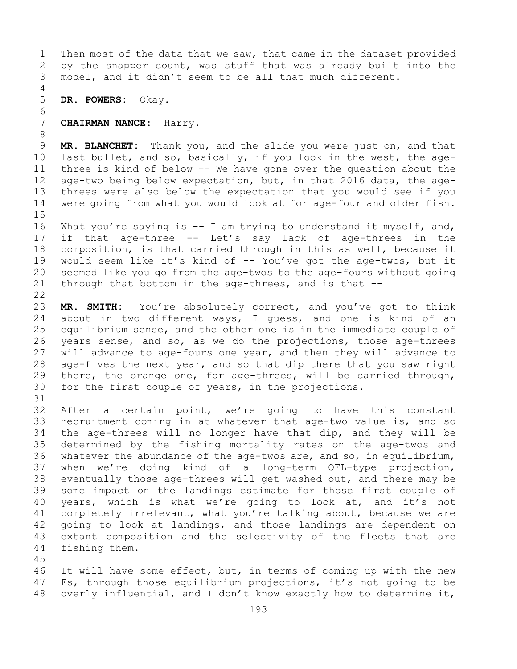1 Then most of the data that we saw, that came in the dataset provided<br>2 by the snapper count, was stuff that was already built into the 2 by the snapper count, was stuff that was already built into the<br>3 model, and it didn't seem to be all that much different. model, and it didn't seem to be all that much different.

4 5 **DR. POWERS:** Okay.

## 6<br>7 7 **CHAIRMAN NANCE:** Harry.

8<br>9 9 **MR. BLANCHET:** Thank you, and the slide you were just on, and that<br>10 last bullet, and so, basically, if you look in the west, the age-10 last bullet, and so, basically, if you look in the west, the age-<br>11 three is kind of below -- We have gone over the question about the 11 three is kind of below -- We have gone over the question about the<br>12 age-two being below expectation, but, in that 2016 data, the age-12 age-two being below expectation, but, in that 2016 data, the age-<br>13 threes were also below the expectation that you would see if you threes were also below the expectation that you would see if you 14 were going from what you would look at for age-four and older fish.

 $15$ <br> $16$ 16 What you're saying is -- I am trying to understand it myself, and,<br>17 if that age-three -- Let's say lack of age-threes in the 17 if that age-three -- Let's say lack of age-threes in the<br>18 composition, is that carried through in this as well, because it 18 composition, is that carried through in this as well, because it<br>19 would seem like it's kind of -- You've got the age-twos, but it 19 would seem like it's kind of -- You've got the age-twos, but it<br>20 seemed like you go from the age-twos to the age-fours without going 20 seemed like you go from the age-twos to the age-fours without going<br>21 through that bottom in the age-threes, and is that  $-$ through that bottom in the age-threes, and is that  $-$ -

 $\begin{array}{c} 22 \\ 23 \end{array}$ 23 MR. SMITH: You're absolutely correct, and you've got to think<br>24 about in two different ways, I quess, and one is kind of an 24 about in two different ways, I guess, and one is kind of an<br>25 equilibrium sense, and the other one is in the immediate couple of 25 equilibrium sense, and the other one is in the immediate couple of<br>26 years sense, and so, as we do the projections, those age-threes 26 years sense, and so, as we do the projections, those age-threes<br>27 will advance to age-fours one year, and then they will advance to 27 will advance to age-fours one year, and then they will advance to<br>28 age-fives the next year, and so that dip there that you saw right 28 age-fives the next year, and so that dip there that you saw right<br>29 there, the orange one, for age-threes, will be carried through, 29 there, the orange one, for age-threes, will be carried through,<br>30 for the first couple of years, in the projections. for the first couple of years, in the projections.

31<br>32

After a certain point, we're going to have this constant 33 recruitment coming in at whatever that age-two value is, and so<br>34 the age-threes will no longer have that dip, and they will be 34 the age-threes will no longer have that dip, and they will be<br>35 determined by the fishing mortality rates on the age-twos and 35 determined by the fishing mortality rates on the age-twos and<br>36 whatever the abundance of the age-twos are, and so, in equilibrium, 36 whatever the abundance of the age-twos are, and so, in equilibrium,<br>37 when we're doing kind of a long-term OFL-type projection, when we're doing kind of a long-term OFL-type projection, 38 eventually those age-threes will get washed out, and there may be<br>39 some impact on the landings estimate for those first couple of 39 some impact on the landings estimate for those first couple of<br>40 years, which is what we're going to look at, and it's not 40 years, which is what we're going to look at, and it's not<br>41 completely irrelevant, what you're talking about, because we are 41 completely irrelevant, what you're talking about, because we are<br>42 qoing to look at landings, and those landings are dependent on 42 going to look at landings, and those landings are dependent on<br>43 extant composition and the selectivity of the fleets that are 43 extant composition and the selectivity of the fleets that are<br>44 fishing them. fishing them.

45

46 It will have some effect, but, in terms of coming up with the new<br>47 Fs, through those equilibrium projections, it's not going to be 47 Fs, through those equilibrium projections, it's not going to be<br>48 overly influential, and I don't know exactly how to determine it, overly influential, and I don't know exactly how to determine it,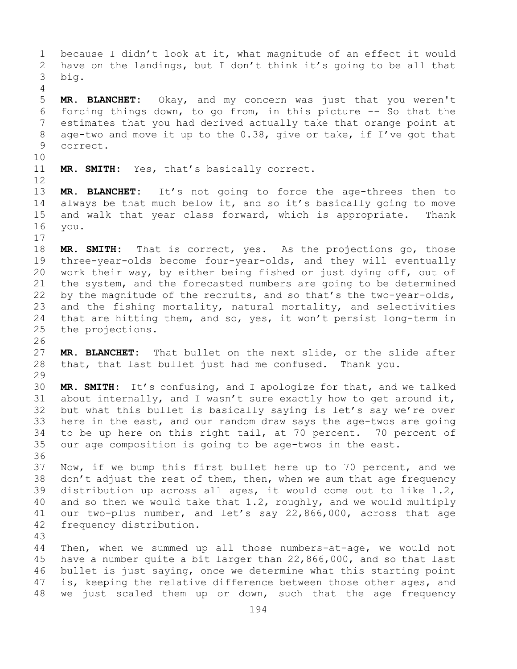1 because I didn't look at it, what magnitude of an effect it would<br>2 have on the landings, but I don't think it's going to be all that 2 have on the landings, but I don't think it's going to be all that<br>3 big. big. 4 5 **MR. BLANCHET:** Okay, and my concern was just that you weren't 6 forcing things down, to go from, in this picture  $-$ - So that the  $7$  estimates that you had derived actually take that orange point at 7 estimates that you had derived actually take that orange point at<br>8 age-two and move it up to the 0.38, give or take, if I've got that 8 age-two and move it up to the 0.38, give or take, if I've got that<br>9 correct. correct. 10<br>11 MR. SMITH: Yes, that's basically correct. 12 13 **MR. BLANCHET:** It's not going to force the age-threes then to 14 always be that much below it, and so it's basically going to move<br>15 and walk that vear class forward, which is appropriate. Thank 15 and walk that year class forward, which is appropriate. Thank<br>16 you. you.  $\begin{array}{c} 17 \\ 18 \end{array}$ 18 **MR. SMITH:** That is correct, yes. As the projections go, those<br>19 three-vear-olds become four-vear-olds, and they will eventually 19 three-year-olds become four-year-olds, and they will eventually<br>20 work their way, by either being fished or just dying off, out of 20 work their way, by either being fished or just dying off, out of<br>21 the system, and the forecasted numbers are going to be determined 21 the system, and the forecasted numbers are going to be determined<br>22 by the magnitude of the recruits, and so that's the two-year-olds, 22 by the magnitude of the recruits, and so that's the two-year-olds,<br>23 and the fishing mortality, natural mortality, and selectivities 23 and the fishing mortality, natural mortality, and selectivities<br>24 that are hitting them, and so, yes, it won't persist long-term in 24 that are hitting them, and so, yes, it won't persist long-term in<br>25 the projections. the projections. 26<br>27 MR. BLANCHET: That bullet on the next slide, or the slide after 28 that, that last bullet just had me confused. Thank you. 29<br>30 30 **MR. SMITH:** It's confusing, and I apologize for that, and we talked 31 about internally, and I wasn't sure exactly how to get around it,<br>32 but what this bullet is basically saving is let's sav we're over but what this bullet is basically saying is let's say we're over 33 here in the east, and our random draw says the age-twos are going<br>34 to be up here on this right tail, at 70 percent. 70 percent of 34 to be up here on this right tail, at 70 percent. 70 percent of<br>35 our age composition is going to be age-twos in the east. our age composition is going to be age-twos in the east. 36<br>37 Now, if we bump this first bullet here up to 70 percent, and we 38 don't adjust the rest of them, then, when we sum that age frequency<br>39 distribution up across all ages, it would come out to like 1.2, 39 distribution up across all ages, it would come out to like  $1.2$ ,  $40$  and so then we would take that  $1.2$ , roughly, and we would multiply 40 and so then we would take that  $1.2$ , roughly, and we would multiply 41 our two-plus number, and let's say  $22,866,000$ , across that age 41 our two-plus number, and let's say 22,866,000, across that age 42 frequency distribution. frequency distribution. 43 Then, when we summed up all those numbers-at-age, we would not 45 have a number quite a bit larger than 22,866,000, and so that last 46 bullet is just saying, once we determine what this starting point<br>47 is, keeping the relative difference between those other ages, and 47 is, keeping the relative difference between those other ages, and<br>48 we just scaled them up or down, such that the age frequency we just scaled them up or down, such that the age frequency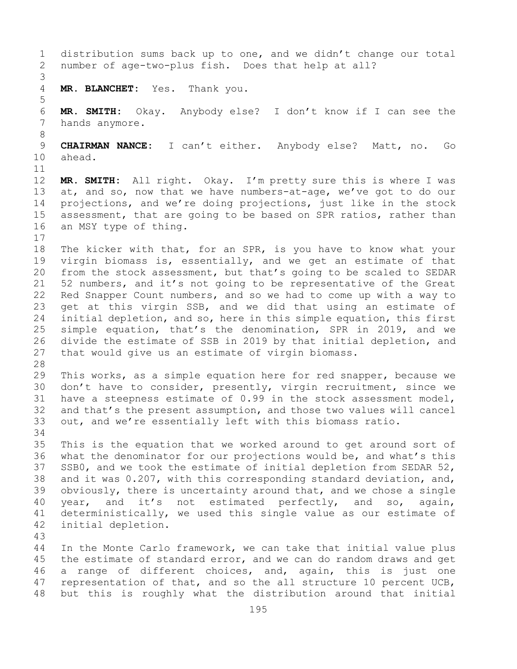1 distribution sums back up to one, and we didn't change our total<br>2 number of age-two-plus fish. Does that help at all? number of age-two-plus fish. Does that help at all? 3 MR. BLANCHET: Yes. Thank you. 5 6 **MR. SMITH:** Okay. Anybody else? I don't know if I can see the hands anymore. 8 9 **CHAIRMAN NANCE:** I can't either. Anybody else? Matt, no. Go ahead. 11<br>12 12 **MR. SMITH:** All right. Okay. I'm pretty sure this is where I was<br>13 at, and so, now that we have numbers-at-age, we've got to do our at, and so, now that we have numbers-at-age, we've got to do our 14 projections, and we're doing projections, just like in the stock<br>15 assessment, that are going to be based on SPR ratios, rather than 15 assessment, that are going to be based on SPR ratios, rather than<br>16 an MSY type of thing. an MSY type of thing.  $\begin{array}{c} 17 \\ 18 \end{array}$ 18 The kicker with that, for an SPR, is you have to know what your<br>19 virgin biomass is, essentially, and we get an estimate of that 19 virgin biomass is, essentially, and we get an estimate of that<br>20 from the stock assessment, but that's going to be scaled to SEDAR 20 from the stock assessment, but that's going to be scaled to SEDAR<br>21 52 numbers, and it's not going to be representative of the Great 21 52 numbers, and it's not going to be representative of the Great<br>22 Red Snapper Count numbers, and so we had to come up with a way to 22 Red Snapper Count numbers, and so we had to come up with a way to<br>23 qet at this virgin SSB, and we did that using an estimate of 23 get at this virgin SSB, and we did that using an estimate of<br>24 initial depletion, and so, here in this simple equation, this first 24 initial depletion, and so, here in this simple equation, this first<br>25 simple equation, that's the denomination, SPR in 2019, and we 25 simple equation, that's the denomination, SPR in 2019, and we<br>26 divide the estimate of SSB in 2019 by that initial depletion, and 26 divide the estimate of SSB in 2019 by that initial depletion, and<br>27 that would give us an estimate of virgin biomass. that would give us an estimate of virgin biomass. 28<br>29 29 This works, as a simple equation here for red snapper, because we<br>30 don't have to consider, presently, virgin recruitment, since we 30 don't have to consider, presently, virgin recruitment, since we<br>31 have a steepness estimate of 0.99 in the stock assessment model, 31 have a steepness estimate of 0.99 in the stock assessment model,<br>32 and that's the present assumption, and those two values will cancel and that's the present assumption, and those two values will cancel 33 out, and we're essentially left with this biomass ratio. 34<br>35 35 This is the equation that we worked around to get around sort of<br>36 what the denominator for our projections would be, and what's this 36 what the denominator for our projections would be, and what's this<br>37 SSB0, and we took the estimate of initial depletion from SEDAR 52, SSB0, and we took the estimate of initial depletion from SEDAR 52, 38 and it was 0.207, with this corresponding standard deviation, and,<br>39 obviously, there is uncertainty around that, and we chose a single 39 obviously, there is uncertainty around that, and we chose a single<br>40 year, and it's not estimated perfectly, and so, again, 40 year, and it's not estimated perfectly, and so, again,<br>41 deterministically, we used this single value as our estimate of 41 deterministically, we used this single value as our estimate of<br>42 initial depletion. initial depletion. 43 In the Monte Carlo framework, we can take that initial value plus 45 the estimate of standard error, and we can do random draws and get 46 a range of different choices, and, again, this is just one<br>47 representation of that, and so the all structure 10 percent UCB, 47 representation of that, and so the all structure 10 percent UCB,<br>48 but this is roughly what the distribution around that initial but this is roughly what the distribution around that initial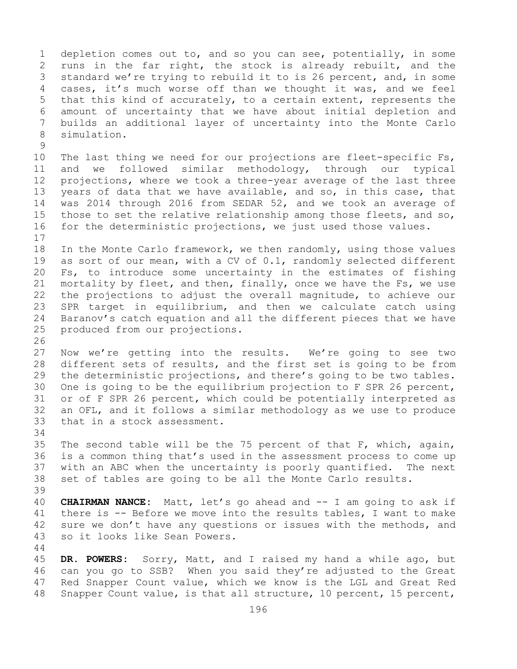1 depletion comes out to, and so you can see, potentially, in some<br>2 runs in the far right, the stock is already rebuilt, and the 2 runs in the far right, the stock is already rebuilt, and the<br>3 standard we're trying to rebuild it to is 26 percent, and, in some 3 standard we're trying to rebuild it to is 26 percent, and, in some<br>4 cases, it's much worse off than we thought it was, and we feel cases, it's much worse off than we thought it was, and we feel 5 that this kind of accurately, to a certain extent, represents the 6 amount of uncertainty that we have about initial depletion and 7 builds an additional layer of uncertainty into the Monte Carlo simulation.

 $\begin{array}{c} 9 \\ 10 \end{array}$ 10 The last thing we need for our projections are fleet-specific Fs,<br>11 and we followed similar methodology, through our typical 11 and we followed similar methodology, through our<br>12 projections, where we took a three-year average of the la 12 projections, where we took a three-year average of the last three<br>13 years of data that we have available, and so, in this case, that years of data that we have available, and so, in this case, that 14 was 2014 through 2016 from SEDAR 52, and we took an average of<br>15 those to set the relative relationship among those fleets, and so, 15 those to set the relative relationship among those fleets, and so,<br>16 for the deterministic projections, we just used those values. for the deterministic projections, we just used those values.

 $\begin{array}{c} 17 \\ 18 \end{array}$ 18 In the Monte Carlo framework, we then randomly, using those values<br>19 as sort of our mean, with a CV of 0.1, randomly selected different 19 as sort of our mean, with a CV of 0.1, randomly selected different<br>20 Fs, to introduce some uncertainty in the estimates of fishing 20 Fs, to introduce some uncertainty in the estimates of fishing<br>21 mortality by fleet, and then, finally, once we have the Fs, we use 21 mortality by fleet, and then, finally, once we have the Fs, we use<br>22 the projections to adjust the overall magnitude, to achieve our 22 the projections to adjust the overall magnitude, to achieve our<br>23 SPR target in equilibrium, and then we calculate catch using 23 SPR target in equilibrium, and then we calculate catch using<br>24 Baranov's catch equation and all the different pieces that we have 24 Baranov's catch equation and all the different pieces that we have<br>25 produced from our projections. produced from our projections.

26<br>27 Now we're getting into the results. We're going to see two 28 different sets of results, and the first set is going to be from<br>29 the deterministic projections, and there's going to be two tables. 29 the deterministic projections, and there's going to be two tables.<br>30 One is going to be the equilibrium projection to F SPR 26 percent, 30 One is going to be the equilibrium projection to F SPR 26 percent,<br>31 or of F SPR 26 percent, which could be potentially interpreted as 31 or of F SPR 26 percent, which could be potentially interpreted as<br>32 an OFL, and it follows a similar methodology as we use to produce an OFL, and it follows a similar methodology as we use to produce 33 that in a stock assessment.

34<br>35 35 The second table will be the 75 percent of that F, which, again,<br>36 is a common thing that's used in the assessment process to come up 36 is a common thing that's used in the assessment process to come up<br>37 with an ABC when the uncertainty is poorly quantified. The next with an ABC when the uncertainty is poorly quantified. The next 38 set of tables are going to be all the Monte Carlo results.

39 40 **CHAIRMAN NANCE:** Matt, let's go ahead and -- I am going to ask if<br>41 there is -- Before we move into the results tables, I want to make 41 there is -- Before we move into the results tables, I want to make<br>42 sure we don't have any questions or issues with the methods, and 42 sure we don't have any questions or issues with the methods, and 43 so it looks like Sean Powers. so it looks like Sean Powers.

45 **DR. POWERS:** Sorry, Matt, and I raised my hand a while ago, but 46 can you go to SSB? When you said they're adjusted to the Great<br>47 Red Snapper Count value, which we know is the LGL and Great Red 47 Red Snapper Count value, which we know is the LGL and Great Red<br>48 Snapper Count value, is that all structure, 10 percent, 15 percent, Snapper Count value, is that all structure, 10 percent, 15 percent,

44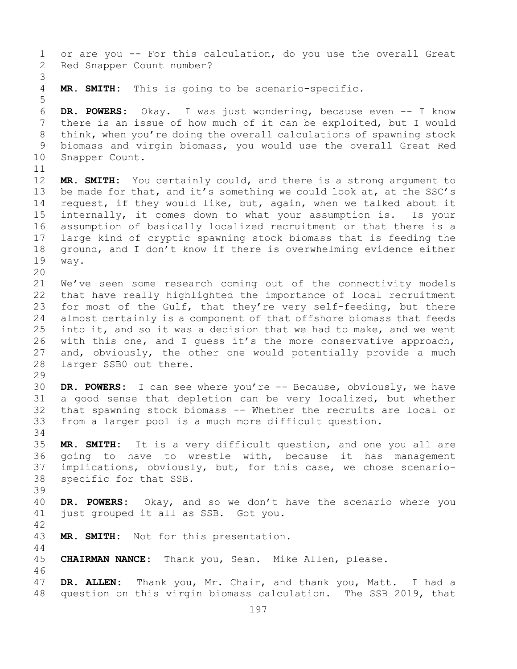1 or are you -- For this calculation, do you use the overall Great<br>2 Red Snapper Count number? Red Snapper Count number? 3 MR. SMITH: This is going to be scenario-specific. 5 6 **DR. POWERS:** Okay. I was just wondering, because even -- I know 7 there is an issue of how much of it can be exploited, but I would<br>8 think, when you're doing the overall calculations of spawning stock 8 think, when you're doing the overall calculations of spawning stock<br>9 biomass and virgin biomass, you would use the overall Great Red 9 biomass and virgin biomass, you would use the overall Great Red<br>10 Snapper Count. Snapper Count. 11<br>12 MR. SMITH: You certainly could, and there is a strong argument to 13 be made for that, and it's something we could look at, at the SSC's 14 request, if they would like, but, again, when we talked about it<br>15 internally, it comes down to what your assumption is. Is your 15 internally, it comes down to what your assumption is.<br>16 assumption of basically localized recruitment or that th 16 assumption of basically localized recruitment or that there is a<br>17 large kind of cryptic spawning stock biomass that is feeding the 17 large kind of cryptic spawning stock biomass that is feeding the<br>18 qround, and I don't know if there is overwhelming evidence either 18 ground, and I don't know if there is overwhelming evidence either<br>19 way. way. 20<br>21 21 We've seen some research coming out of the connectivity models<br>22 that have really highlighted the importance of local recruitment 22 that have really highlighted the importance of local recruitment<br>23 for most of the Gulf, that they're very self-feeding, but there 23 for most of the Gulf, that they're very self-feeding, but there<br>24 almost certainly is a component of that offshore biomass that feeds 24 almost certainly is a component of that offshore biomass that feeds<br>25 into it, and so it was a decision that we had to make, and we went 25 into it, and so it was a decision that we had to make, and we went<br>26 with this one, and I quess it's the more conservative approach, 26 with this one, and I guess it's the more conservative approach,<br>27 and, obviously, the other one would potentially provide a much 27 and, obviously, the other one would potentially provide a much<br>28 larger SSB0 out there. larger SSB0 out there. 29<br>30 30 **DR. POWERS:** I can see where you're -- Because, obviously, we have 31 a good sense that depletion can be very localized, but whether<br>32 that spawning stock biomass -- Whether the recruits are local or that spawning stock biomass -- Whether the recruits are local or 33 from a larger pool is a much more difficult question. 34<br>35 35 **MR. SMITH:** It is a very difficult question, and one you all are going to have to wrestle with, because it has management 37 implications, obviously, but, for this case, we chose scenario-38 specific for that SSB. 39 40 **DR. POWERS:** Okay, and so we don't have the scenario where you just grouped it all as SSB. Got you.  $42$ <br> $43$ MR. SMITH: Not for this presentation. 44 45 **CHAIRMAN NANCE:** Thank you, Sean. Mike Allen, please. 46<br>47 47 **DR. ALLEN:** Thank you, Mr. Chair, and thank you, Matt. I had a question on this virgin biomass calculation. The SSB 2019, that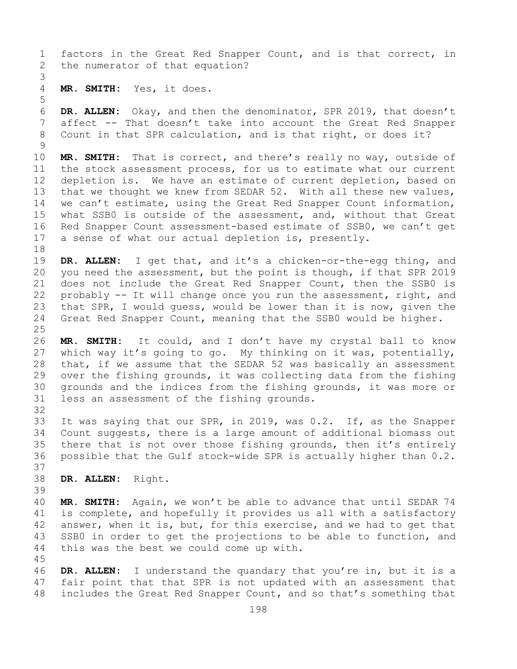1 factors in the Great Red Snapper Count, and is that correct, in<br>2 the numerator of that equation? the numerator of that equation?

3 MR. SMITH: Yes, it does.

5

32

45

6 **DR. ALLEN:** Okay, and then the denominator, SPR 2019, that doesn't 7 affect -- That doesn't take into account the Great Red Snapper<br>8 Count in that SPR calculation, and is that right, or does it? Count in that SPR calculation, and is that right, or does it?

 $\begin{array}{c} 9 \\ 10 \end{array}$ 10 **MR. SMITH:** That is correct, and there's really no way, outside of 11 the stock assessment process, for us to estimate what our current<br>12 depletion is. We have an estimate of current depletion, based on depletion is. We have an estimate of current depletion, based on 13 that we thought we knew from SEDAR 52. With all these new values, 14 we can't estimate, using the Great Red Snapper Count information,<br>15 what SSB0 is outside of the assessment, and, without that Great 15 what SSB0 is outside of the assessment, and, without that Great<br>16 Red Snapper Count assessment-based estimate of SSB0, we can't get 16 Red Snapper Count assessment-based estimate of SSB0, we can't get<br>17 a sense of what our actual depletion is, presently. a sense of what our actual depletion is, presently.

18<br>19 19 **DR. ALLEN:** I get that, and it's a chicken-or-the-egg thing, and<br>20 vou need the assessment, but the point is though, if that SPR 2019 20 you need the assessment, but the point is though, if that SPR 2019<br>21 does not include the Great Red Snapper Count, then the SSB0 is 21 does not include the Great Red Snapper Count, then the SSB0 is<br>22 probably -- It will change once you run the assessment, right, and 22 probably -- It will change once you run the assessment, right, and<br>23 that SPR, I would quess, would be lower than it is now, given the 23 that SPR, I would guess, would be lower than it is now, given the<br>24 Great Red Snapper Count, meaning that the SSB0 would be higher. Great Red Snapper Count, meaning that the SSB0 would be higher.

 $\frac{25}{26}$ 26 **MR. SMITH:** It could, and I don't have my crystal ball to know which way it's going to go. My thinking on it was, potentially, 28 that, if we assume that the SEDAR 52 was basically an assessment<br>29 over the fishing grounds, it was collecting data from the fishing 29 over the fishing grounds, it was collecting data from the fishing<br>30 qrounds and the indices from the fishing grounds, it was more or 30 grounds and the indices from the fishing grounds, it was more or<br>31 less an assessment of the fishing grounds. less an assessment of the fishing grounds.

33 It was saying that our SPR, in 2019, was 0.2. If, as the Snapper<br>34 Count suggests, there is a large amount of additional biomass out 34 Count suggests, there is a large amount of additional biomass out<br>35 there that is not over those fishing grounds, then it's entirely 35 there that is not over those fishing grounds, then it's entirely<br>36 possible that the Gulf stock-wide SPR is actually higher than 0.2. possible that the Gulf stock-wide SPR is actually higher than 0.2. 37

38 **DR. ALLEN:** Right.

39 40 **MR. SMITH:** Again, we won't be able to advance that until SEDAR 74<br>41 is complete, and hopefully it provides us all with a satisfactory 41 is complete, and hopefully it provides us all with a satisfactory<br>42 answer, when it is, but, for this exercise, and we had to get that 42 answer, when it is, but, for this exercise, and we had to get that<br>43 SSB0 in order to get the projections to be able to function, and 43 SSB0 in order to get the projections to be able to function, and<br>44 this was the best we could come up with. this was the best we could come up with.

46 **DR. ALLEN:** I understand the quandary that you're in, but it is a<br>47 fair point that that SPR is not updated with an assessment that 47 fair point that that SPR is not updated with an assessment that<br>48 includes the Great Red Snapper Count, and so that's something that includes the Great Red Snapper Count, and so that's something that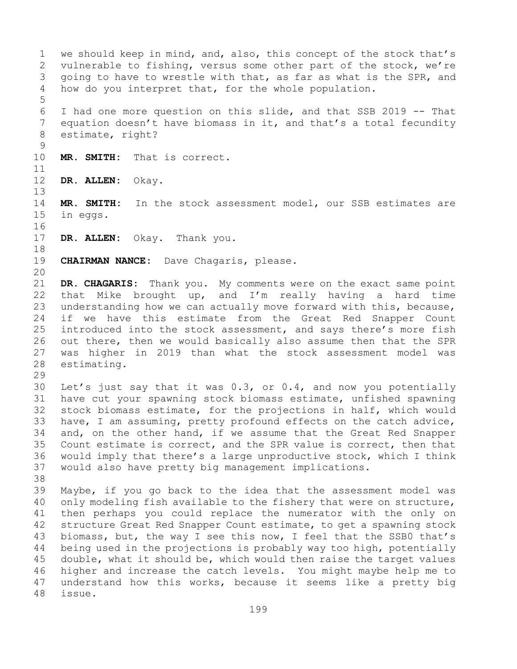1 we should keep in mind, and, also, this concept of the stock that's<br>2 vulnerable to fishing, versus some other part of the stock, we're 2 vulnerable to fishing, versus some other part of the stock, we're<br>3 qoing to have to wrestle with that, as far as what is the SPR, and 3 going to have to wrestle with that, as far as what is the SPR, and<br>4 how do you interpret that, for the whole population. how do you interpret that, for the whole population. 5 6 I had one more question on this slide, and that SSB 2019 -- That 7 equation doesn't have biomass in it, and that's a total fecundity<br>8 estimate, right? estimate, right?  $\frac{9}{10}$ MR. SMITH: That is correct.  $\begin{array}{c} 11 \\ 12 \end{array}$ DR. ALLEN: Okay. 13 14 **MR. SMITH:** In the stock assessment model, our SSB estimates are<br>15 in eqqs. in eggs. 16<br>17 DR. ALLEN: Okay. Thank you. 18<br>19 **CHAIRMAN NANCE:** Dave Chagaris, please. 20 21 **DR. CHAGARIS:** Thank you. My comments were on the exact same point<br>22 that Mike brought up, and I'm really having a hard time 22 that Mike brought up, and I'm really having a hard time<br>23 understanding how we can actually move forward with this, because, 23 understanding how we can actually move forward with this, because,<br>24 if we have this estimate from the Great Red Snapper Count 24 if we have this estimate from the Great Red Snapper Count<br>25 introduced into the stock assessment, and says there's more fish 25 introduced into the stock assessment, and says there's more fish<br>26 out there, then we would basically also assume then that the SPR 26 out there, then we would basically also assume then that the SPR<br>27 was higher in 2019 than what the stock assessment model was 27 was higher in 2019 than what the stock assessment model was estimating. 29<br>30 30 Let's just say that it was 0.3, or 0.4, and now you potentially<br>31 have cut your spawning stock biomass estimate, unfished spawning 31 have cut your spawning stock biomass estimate, unfished spawning<br>32 stock biomass estimate, for the projections in half, which would stock biomass estimate, for the projections in half, which would 33 have, I am assuming, pretty profound effects on the catch advice,<br>34 and, on the other hand, if we assume that the Great Red Snapper 34 and, on the other hand, if we assume that the Great Red Snapper<br>35 Count estimate is correct, and the SPR value is correct, then that 35 Count estimate is correct, and the SPR value is correct, then that<br>36 would imply that there's a large unproductive stock, which I think 36 would imply that there's a large unproductive stock, which I think<br>37 would also have pretty big management implications. would also have pretty big management implications. 38<br>39 39 Maybe, if you go back to the idea that the assessment model was<br>40 only modeling fish available to the fishery that were on structure, 40 only modeling fish available to the fishery that were on structure,<br>41 then perhaps you could replace the numerator with the only on 41 then perhaps you could replace the numerator with the only on<br>42 structure Great Red Snapper Count estimate, to get a spawning stock 42 structure Great Red Snapper Count estimate, to get a spawning stock<br>43 biomass, but, the way I see this now, I feel that the SSB0 that's 43 biomass, but, the way I see this now, I feel that the SSB0 that's<br>44 being used in the projections is probably way too high, potentially being used in the projections is probably way too high, potentially 45 double, what it should be, which would then raise the target values 46 higher and increase the catch levels. You might maybe help me to<br>47 understand how this works, because it seems like a pretty big 47 understand how this works, because it seems like a pretty big<br>48 issue. issue.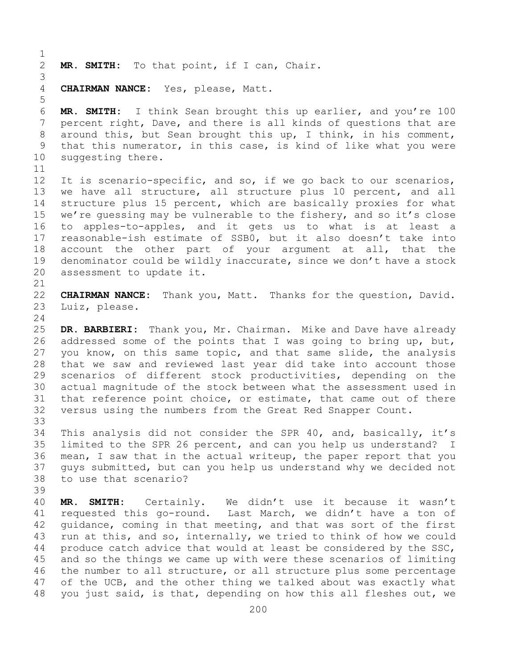$\frac{1}{2}$ MR. SMITH: To that point, if I can, Chair.

3 4 **CHAIRMAN NANCE:** Yes, please, Matt.

6 **MR. SMITH:** I think Sean brought this up earlier, and you're 100 7 percent right, Dave, and there is all kinds of questions that are<br>8 around this, but Sean brought this up, I think, in his comment, 8 around this, but Sean brought this up, I think, in his comment,<br>9 that this numerator, in this case, is kind of like what you were 9 that this numerator, in this case, is kind of like what you were<br>10 suggesting there. suggesting there.

5

11<br>12 It is scenario-specific, and so, if we go back to our scenarios, 13 we have all structure, all structure plus 10 percent, and all 14 structure plus 15 percent, which are basically proxies for what<br>15 we're quessing may be vulnerable to the fishery, and so it's close 15 we're guessing may be vulnerable to the fishery, and so it's close<br>16 to apples-to-apples, and it gets us to what is at least a 16 to apples-to-apples, and it gets us to what is at least a<br>17 reasonable-ish estimate of SSBO, but it also doesn't take into 17 reasonable-ish estimate of SSB0, but it also doesn't take into<br>18 account the other part of your arqument at all, that the 18 account the other part of your argument at all, that the<br>19 denominator could be wildly inaccurate, since we don't have a stock 19 denominator could be wildly inaccurate, since we don't have a stock<br>20 assessment to update it. assessment to update it.

21<br>22 22 **CHAIRMAN NANCE:** Thank you, Matt. Thanks for the question, David.<br>23 Luiz, please. Luiz, please.

 $\frac{24}{25}$ 25 **DR. BARBIERI:** Thank you, Mr. Chairman. Mike and Dave have already 26 addressed some of the points that I was going to bring up, but,<br>27 you know, on this same topic, and that same slide, the analysis you know, on this same topic, and that same slide, the analysis 28 that we saw and reviewed last year did take into account those<br>29 scenarios of different stock productivities, depending on the 29 scenarios of different stock productivities, depending on the<br>30 actual magnitude of the stock between what the assessment used in 30 actual magnitude of the stock between what the assessment used in<br>31 that reference point choice, or estimate, that came out of there 31 that reference point choice, or estimate, that came out of there<br>32 versus using the numbers from the Great Red Snapper Count. versus using the numbers from the Great Red Snapper Count.

33<br>34 34 This analysis did not consider the SPR 40, and, basically, it's<br>35 limited to the SPR 26 percent, and can you help us understand? I 35 limited to the SPR 26 percent, and can you help us understand? I<br>36 mean, I saw that in the actual writeup, the paper report that you 36 mean, I saw that in the actual writeup, the paper report that you<br>37 quys submitted, but can you help us understand why we decided not guys submitted, but can you help us understand why we decided not 38 to use that scenario?

39 40 **MR. SMITH:** Certainly. We didn't use it because it wasn't 41 requested this go-round. Last March, we didn't have a ton of<br>42 quidance, coming in that meeting, and that was sort of the first 42 guidance, coming in that meeting, and that was sort of the first<br>43 run at this, and so, internally, we tried to think of how we could 43 run at this, and so, internally, we tried to think of how we could<br>44 produce catch advice that would at least be considered by the SSC, produce catch advice that would at least be considered by the SSC, 45 and so the things we came up with were these scenarios of limiting 46 the number to all structure, or all structure plus some percentage<br>47 of the UCB, and the other thing we talked about was exactly what 47 of the UCB, and the other thing we talked about was exactly what<br>48 you just said, is that, depending on how this all fleshes out, we you just said, is that, depending on how this all fleshes out, we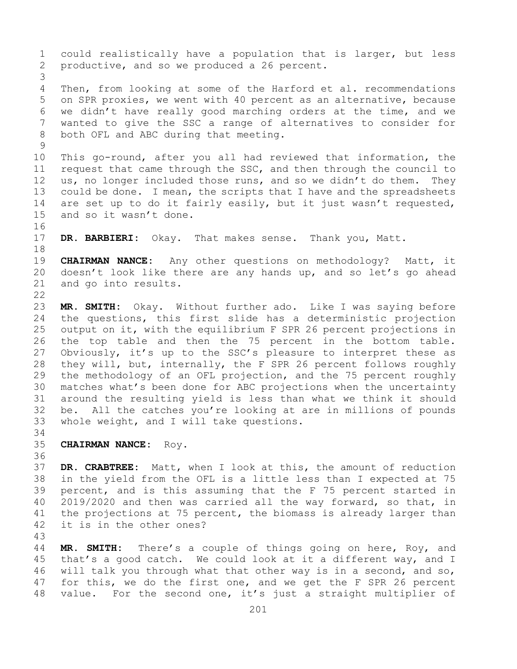1 could realistically have a population that is larger, but less<br>2 productive, and so we produced a 26 percent. productive, and so we produced a 26 percent. 3 Then, from looking at some of the Harford et al. recommendations 5 on SPR proxies, we went with 40 percent as an alternative, because 6 we didn't have really good marching orders at the time, and we<br>7 wanted to give the SSC a range of alternatives to consider for 7 wanted to give the SSC a range of alternatives to consider for<br>8 both OFL and ABC during that meeting. both OFL and ABC during that meeting.  $\begin{array}{c} 9 \\ 10 \end{array}$ 10 This go-round, after you all had reviewed that information, the<br>11 request that came through the SSC, and then through the council to 11 request that came through the SSC, and then through the council to<br>12 us, no longer included those runs, and so we didn't do them. They 12 us, no longer included those runs, and so we didn't do them. They<br>13 could be done. I mean, the scripts that I have and the spreadsheets could be done. I mean, the scripts that I have and the spreadsheets 14 are set up to do it fairly easily, but it just wasn't requested,<br>15 and so it wasn't done. and so it wasn't done. 16<br>17 DR. BARBIERI: Okay. That makes sense. Thank you, Matt. 18<br>19 19 **CHAIRMAN NANCE:** Any other questions on methodology? Matt, it<br>20 doesn't look like there are any hands up, and so let's go ahead 20 doesn't look like there are any hands up, and so let's go ahead<br>21 and go into results. and go into results.  $\begin{array}{c} 22 \\ 23 \end{array}$ 23 **MR. SMITH:** Okay. Without further ado. Like I was saying before 24 the questions, this first slide has a deterministic projection<br>25 output on it, with the equilibrium F SPR 26 percent projections in 25 output on it, with the equilibrium F SPR 26 percent projections in<br>26 the top table and then the 75 percent in the bottom table. 26 the top table and then the 75 percent in the bottom table.<br>27 Obviously, it's up to the SSC's pleasure to interpret these as Obviously, it's up to the SSC's pleasure to interpret these as 28 they will, but, internally, the F SPR 26 percent follows roughly<br>29 the methodology of an OFL projection, and the 75 percent roughly 29 the methodology of an OFL projection, and the 75 percent roughly<br>30 matches what's been done for ABC projections when the uncertainty 30 matches what's been done for ABC projections when the uncertainty<br>31 around the resulting yield is less than what we think it should 31 around the resulting yield is less than what we think it should<br>32 be. All the catches you're looking at are in millions of pounds be. All the catches you're looking at are in millions of pounds 33 whole weight, and I will take questions. 34<br>35 35 **CHAIRMAN NANCE:** Roy. 36<br>37 DR. CRABTREE: Matt, when I look at this, the amount of reduction 38 in the yield from the OFL is a little less than I expected at 75<br>39 percent, and is this assuming that the F 75 percent started in 39 percent, and is this assuming that the F 75 percent started in<br>40 2019/2020 and then was carried all the way forward, so that, in 40 2019/2020 and then was carried all the way forward, so that, in<br>41 the projections at 75 percent, the biomass is already larger than 41 the projections at 75 percent, the biomass is already larger than<br>42 it is in the other ones?

it is in the other ones?

43 MR. SMITH: There's a couple of things going on here, Roy, and 45 that's a good catch. We could look at it a different way, and I 46 will talk you through what that other way is in a second, and so,<br>47 for this, we do the first one, and we get the F SPR 26 percent 47 for this, we do the first one, and we get the F SPR 26 percent<br>48 value. For the second one, it's just a straight multiplier of value. For the second one, it's just a straight multiplier of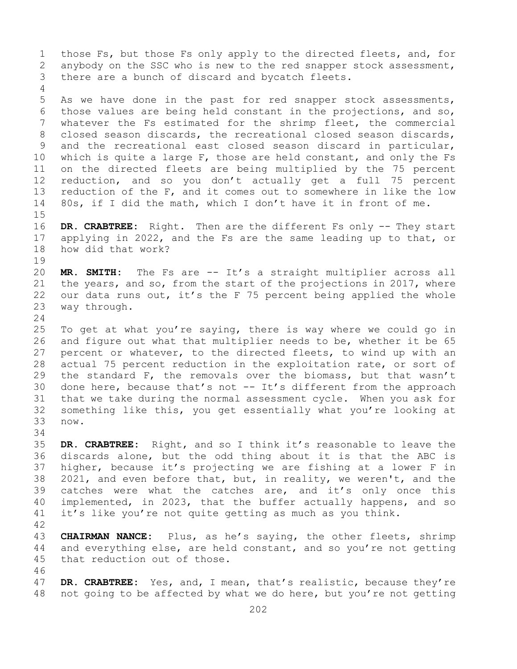1 those Fs, but those Fs only apply to the directed fleets, and, for<br>2 anybody on the SSC who is new to the red snapper stock assessment, 2 anybody on the SSC who is new to the red snapper stock assessment,<br>3 there are a bunch of discard and bycatch fleets. there are a bunch of discard and bycatch fleets. 4 5 As we have done in the past for red snapper stock assessments, 6 those values are being held constant in the projections, and so,<br>7 whatever the Fs estimated for the shrimp fleet, the commercial 7 whatever the Fs estimated for the shrimp fleet, the commercial<br>8 closed season discards, the recreational closed season discards, 8 closed season discards, the recreational closed season discards,<br>9 and the recreational east closed season discard in particular, 9 and the recreational east closed season discard in particular,<br>10 which is quite a large F, those are held constant, and only the Fs 10 which is quite a large F, those are held constant, and only the Fs<br>11 on the directed fleets are being multiplied by the 75 percent 11 on the directed fleets are being multiplied by the 75 percent<br>12 reduction, and so you don't actually get a full 75 percent reduction, and so you don't actually get a full 75 percent 13 reduction of the F, and it comes out to somewhere in like the low 14 80s, if I did the math, which I don't have it in front of me.  $15$ <br> $16$ 16 **DR. CRABTREE:** Right. Then are the different Fs only -- They start<br>17 applying in 2022, and the Fs are the same leading up to that, or 17 applying in 2022, and the Fs are the same leading up to that, or 18 how did that work? how did that work?  $\begin{array}{c} 19 \\ 20 \end{array}$ MR. SMITH: The Fs are -- It's a straight multiplier across all 21 the years, and so, from the start of the projections in 2017, where<br>22 our data runs out, it's the F 75 percent being applied the whole 22 our data runs out, it's the F 75 percent being applied the whole<br>23 way through. way through.  $\frac{24}{25}$ 25 To get at what you're saying, there is way where we could go in<br>26 and figure out what that multiplier needs to be, whether it be 65 26 and figure out what that multiplier needs to be, whether it be 65<br>27 percent or whatever, to the directed fleets, to wind up with an percent or whatever, to the directed fleets, to wind up with an 28 actual 75 percent reduction in the exploitation rate, or sort of<br>29 the standard F, the removals over the biomass, but that wasn't 29 the standard F, the removals over the biomass, but that wasn't<br>30 done here, because that's not -- It's different from the approach 30 done here, because that's not  $-$  It's different from the approach 31 that we take during the normal assessment cycle. When you ask for 31 that we take during the normal assessment cycle. When you ask for<br>32 something like this, vou get essentially what you're looking at 32 something like this, you get essentially what you're looking at now. 34<br>35

35 **DR. CRABTREE:** Right, and so I think it's reasonable to leave the discards alone, but the odd thing about it is that the ABC is 37 higher, because it's projecting we are fishing at a lower F in 38 2021, and even before that, but, in reality, we weren't, and the 39 catches were what the catches are, and it's only once this 39 catches were what the catches are, and it's only once this<br>40 implemented, in 2023, that the buffer actually happens, and so 40 implemented, in 2023, that the buffer actually happens, and so  $41$  it's like you're not quite getting as much as you think. it's like you're not quite getting as much as you think.

42

43 **CHAIRMAN NANCE:** Plus, as he's saying, the other fleets, shrimp<br>44 and everything else, are held constant, and so you're not getting and everything else, are held constant, and so you're not getting 45 that reduction out of those.

46<br>47 47 **DR. CRABTREE:** Yes, and, I mean, that's realistic, because they're<br>48 not going to be affected by what we do here, but you're not getting not going to be affected by what we do here, but you're not getting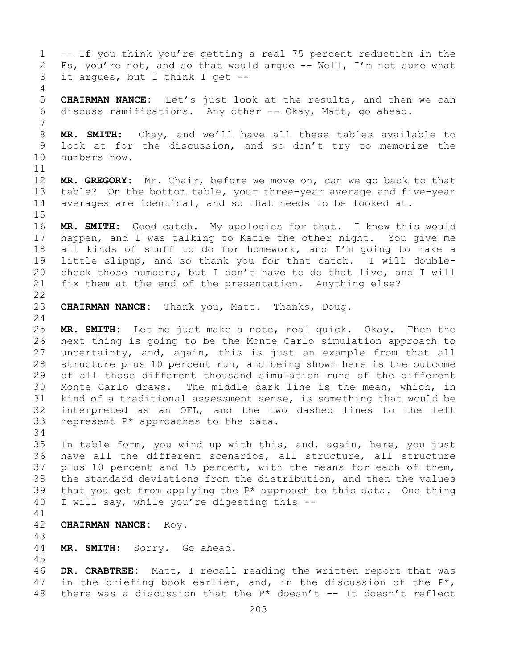1 -- If you think you're getting a real 75 percent reduction in the<br>2 Fs, you're not, and so that would argue -- Well, I'm not sure what 2 Fs, you're not, and so that would argue  $--$  Well, I'm not sure what<br>3 it argues, but I think I get  $-$ it argues, but I think I get  $-$ -4 5 **CHAIRMAN NANCE:** Let's just look at the results, and then we can 6 discuss ramifications. Any other -- Okay, Matt, go ahead. 7 8 **MR. SMITH:** Okay, and we'll have all these tables available to<br>9 look at for the discussion, and so don't try to memorize the 9 look at for the discussion, and so don't try to memorize the 10 numbers now. numbers now.  $\begin{array}{c} 11 \\ 12 \end{array}$ MR. GREGORY: Mr. Chair, before we move on, can we go back to that 13 table? On the bottom table, your three-year average and five-year 14 averages are identical, and so that needs to be looked at.  $15$ <br> $16$ 16 **MR. SMITH:** Good catch. My apologies for that. I knew this would<br>17 happen, and I was talking to Katie the other night. You give me 17 happen, and I was talking to Katie the other night. You give me<br>18 all kinds of stuff to do for homework, and I'm going to make a 18 all kinds of stuff to do for homework, and I'm going to make a<br>19 little slipup, and so thank you for that catch. I will double-19 little slipup, and so thank you for that catch. I will double-<br>20 check those numbers, but I don't have to do that live, and I will check those numbers, but I don't have to do that live, and I will 21 fix them at the end of the presentation. Anything else?  $\begin{array}{c} 22 \\ 23 \end{array}$ CHAIRMAN NANCE: Thank you, Matt. Thanks, Doug.  $\frac{24}{25}$ MR. SMITH: Let me just make a note, real quick. Okay. Then the 26 next thing is going to be the Monte Carlo simulation approach to<br>27 uncertainty, and, again, this is just an example from that all uncertainty, and, again, this is just an example from that all 28 structure plus 10 percent run, and being shown here is the outcome<br>29 of all those different thousand simulation runs of the different 29 of all those different thousand simulation runs of the different<br>30 Monte Carlo draws. The middle dark line is the mean, which, in 30 Monte Carlo draws. The middle dark line is the mean, which, in<br>31 kind of a traditional assessment sense, is something that would be 31 kind of a traditional assessment sense, is something that would be<br>32 interpreted as an OFL, and the two dashed lines to the left interpreted as an OFL, and the two dashed lines to the left 33 represent P\* approaches to the data. 34<br>35 35 In table form, you wind up with this, and, again, here, you just<br>36 have all the different scenarios, all structure, all structure have all the different scenarios, all structure, all structure 37 plus 10 percent and 15 percent, with the means for each of them, 38 the standard deviations from the distribution, and then the values<br>39 that you get from applying the  $P^*$  approach to this data. One thing 39 that you get from applying the  $P^*$  approach to this data. One thing 40 I will say, while you're digesting this  $-$ I will say, while you're digesting this --41<br>42 42 **CHAIRMAN NANCE:** Roy. 43 MR. SMITH: Sorry. Go ahead. 45 46 **DR. CRABTREE:** Matt, I recall reading the written report that was<br>47 in the briefing book earlier, and, in the discussion of the P<sup>\*</sup>, 47 in the briefing book earlier, and, in the discussion of the  $P^*$ , 48 there was a discussion that the  $P^*$  doesn't -- It doesn't reflect there was a discussion that the P\* doesn't  $--$  It doesn't reflect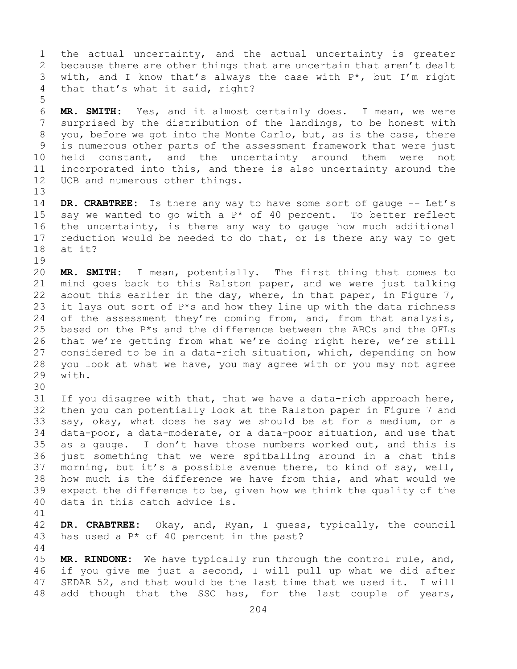1 the actual uncertainty, and the actual uncertainty is greater<br>2 because there are other things that are uncertain that aren't dealt 2 because there are other things that are uncertain that aren't dealt<br>3 with, and I know that's always the case with P\*, but I'm right 3 with, and I know that's always the case with  $P^*$ , but I'm right that that's what it said, right? that that's what it said, right?

6 **MR. SMITH:** Yes, and it almost certainly does. I mean, we were 7 surprised by the distribution of the landings, to be honest with<br>8 you, before we got into the Monte Carlo, but, as is the case, there 8 you, before we got into the Monte Carlo, but, as is the case, there<br>9 is numerous other parts of the assessment framework that were just 9 is numerous other parts of the assessment framework that were just<br>10 held constant, and the uncertainty around them were not 10 held constant, and the uncertainty around them were not<br>11 incorporated into this, and there is also uncertainty around the 11 incorporated into this, and there is also uncertainty around the<br>12 UCB and numerous other things. UCB and numerous other things.

14 **DR. CRABTREE:** Is there any way to have some sort of gauge -- Let's<br>15 sav we wanted to go with a P\* of 40 percent. To better reflect 15 say we wanted to go with a  $P^*$  of 40 percent. To better reflect<br>16 the uncertainty, is there any way to gauge how much additional 16 the uncertainty, is there any way to gauge how much additional<br>17 reduction would be needed to do that, or is there any way to get 17 reduction would be needed to do that, or is there any way to get<br>18 at it? at it?

19<br>20 20 **MR. SMITH:** I mean, potentially. The first thing that comes to 21 mind goes back to this Ralston paper, and we were just talking<br>22 about this earlier in the day, where, in that paper, in Fiqure 7, 22 about this earlier in the day, where, in that paper, in Figure 7,  $\frac{1}{2}$  it lays out sort of P\*s and how they line up with the data richness 23 it lays out sort of  $P^*s$  and how they line up with the data richness<br>24 of the assessment thev're coming from, and, from that analysis, 24 of the assessment they're coming from, and, from that analysis,  $25$  based on the  $P*$ s and the difference between the ABCs and the OFLs 25 based on the  $P*$ s and the difference between the ABCs and the OFLs<br>26 that we're getting from what we're doing right here, we're still 26 that we're getting from what we're doing right here, we're still<br>27 considered to be in a data-rich situation, which, depending on how considered to be in a data-rich situation, which, depending on how 28 you look at what we have, you may agree with or you may not agree with.

30<br>31

44

5

13

31 If you disagree with that, that we have a data-rich approach here,<br>32 then you can potentially look at the Ralston paper in Figure 7 and 32 then you can potentially look at the Ralston paper in Figure 7 and<br>33 say, okay, what does he say we should be at for a medium, or a 33 say, okay, what does he say we should be at for a medium, or a<br>34 data-poor, a data-moderate, or a data-poor situation, and use that 34 data-poor, a data-moderate, or a data-poor situation, and use that<br>35 as a gauge. I don't have those numbers worked out, and this is 35 as a gauge. I don't have those numbers worked out, and this is<br>36 just something that we were spitballing around in a chat this just something that we were spitballing around in a chat this 37 morning, but it's a possible avenue there, to kind of say, well, 38 how much is the difference we have from this, and what would we<br>39 expect the difference to be, given how we think the quality of the 39 expect the difference to be, given how we think the quality of the 40 data in this catch advice is. data in this catch advice is.

41<br>42 42 **DR. CRABTREE:** Okay, and, Ryan, I guess, typically, the council 43 has used a P<sup>\*</sup> of 40 percent in the past? has used a  $P^*$  of 40 percent in the past?

45 **MR. RINDONE:** We have typically run through the control rule, and, 46 if you give me just a second, I will pull up what we did after<br>47 SEDAR 52, and that would be the last time that we used it. I will 47 SEDAR 52, and that would be the last time that we used it. I will<br>48 add though that the SSC has, for the last couple of years, add though that the SSC has, for the last couple of years,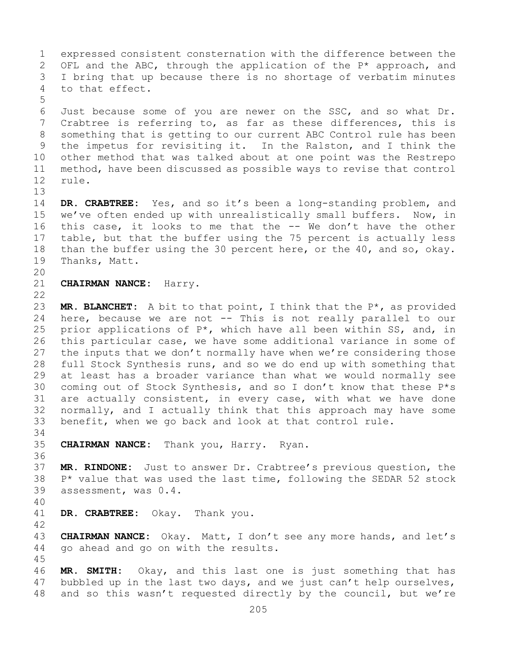1 expressed consistent consternation with the difference between the<br>2 OFL and the ABC, through the application of the P\* approach, and 2 OFL and the ABC, through the application of the P\* approach, and<br>3 I bring that up because there is no shortage of verbatim minutes 3 I bring that up because there is no shortage of verbatim minutes<br>4 to that effect. to that effect. 5 6 Just because some of you are newer on the SSC, and so what Dr.<br>7 Crabtree is referring to, as far as these differences, this is 7 Crabtree is referring to, as far as these differences, this is<br>8 something that is getting to our current ABC Control rule has been 8 something that is getting to our current ABC Control rule has been<br>9 the impetus for revisiting it. In the Ralston, and I think the 9 the impetus for revisiting it. In the Ralston, and I think the<br>10 other method that was talked about at one point was the Restrepo 10 other method that was talked about at one point was the Restrepo<br>11 method, have been discussed as possible ways to revise that control 11 method, have been discussed as possible ways to revise that control rule. 13 14 **DR. CRABTREE:** Yes, and so it's been a long-standing problem, and 15 we've often ended up with unrealistically small buffers. Now, in<br>16 this case, it looks to me that the -- We don't have the other 16 this case, it looks to me that the -- We don't have the other<br>17 table, but that the buffer using the 75 percent is actually less 17 table, but that the buffer using the 75 percent is actually less<br>18 than the buffer using the 30 percent here, or the 40, and so, okay. 18 than the buffer using the 30 percent here, or the 40, and so, okay.<br>19 Thanks, Matt. Thanks, Matt. 20<br>21 21 **CHAIRMAN NANCE:** Harry.  $\begin{array}{c} 22 \\ 23 \end{array}$ 23 **MR. BLANCHET:** A bit to that point, I think that the P<sup>\*</sup>, as provided<br>24 here, because we are not -- This is not really parallel to our 24 here, because we are not  $--$  This is not really parallel to our<br>25 prior applications of P\*, which have all been within SS, and, in 25 prior applications of  $P^*$ , which have all been within SS, and, in<br>26 this particular case, we have some additional variance in some of 26 this particular case, we have some additional variance in some of<br>27 the inputs that we don't normally have when we're considering those the inputs that we don't normally have when we're considering those 28 full Stock Synthesis runs, and so we do end up with something that<br>29 at least has a broader variance than what we would normally see 29 at least has a broader variance than what we would normally see<br>30 coming out of Stock Synthesis, and so I don't know that these P\*s 30 coming out of Stock Synthesis, and so I don't know that these  $P*$ s<br>31 are actually consistent, in every case, with what we have done 31 are actually consistent, in every case, with what we have done<br>32 normally, and I actually think that this approach may have some 32 normally, and I actually think that this approach may have some<br>33 benefit, when we go back and look at that control rule. benefit, when we go back and look at that control rule. 34<br>35 35 **CHAIRMAN NANCE:** Thank you, Harry. Ryan. 36 37 **MR. RINDONE:** Just to answer Dr. Crabtree's previous question, the  $38$  P\* value that was used the last time, following the SEDAR 52 stock<br>39 assessment, was 0.4. assessment, was  $0.4$ . 40 DR. CRABTREE: Okay. Thank you. 42 43 **CHAIRMAN NANCE:** Okay. Matt, I don't see any more hands, and let's go ahead and go on with the results. 45 46 **MR. SMITH:** Okay, and this last one is just something that has<br>47 bubbled up in the last two days, and we just can't help ourselves, 47 bubbled up in the last two days, and we just can't help ourselves,<br>48 and so this wasn't requested directly by the council, but we're and so this wasn't requested directly by the council, but we're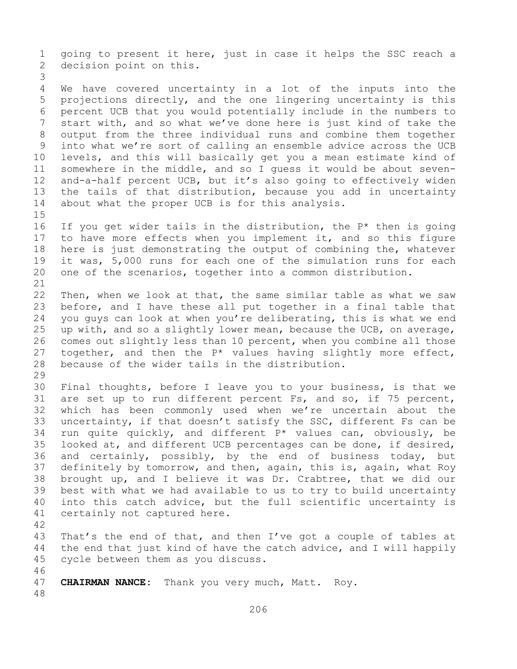1 going to present it here, just in case it helps the SSC reach a<br>2 decision point on this. decision point on this.

3 We have covered uncertainty in a lot of the inputs into the 5 projections directly, and the one lingering uncertainty is this 6 percent UCB that you would potentially include in the numbers to<br>7 start with, and so what we've done here is just kind of take the 7 start with, and so what we've done here is just kind of take the<br>8 output from the three individual runs and combine them together 8 output from the three individual runs and combine them together<br>9 into what we're sort of calling an ensemble advice across the UCB 9 into what we're sort of calling an ensemble advice across the UCB<br>10 levels, and this will basically get you a mean estimate kind of 10 levels, and this will basically get you a mean estimate kind of<br>11 somewhere in the middle, and so I quess it would be about seven-11 somewhere in the middle, and so I guess it would be about seven-<br>12 and-a-half percent UCB, but it's also going to effectively widen 12 and-a-half percent UCB, but it's also going to effectively widen<br>13 the tails of that distribution, because you add in uncertainty the tails of that distribution, because you add in uncertainty 14 about what the proper UCB is for this analysis.

 $15$ <br> $16$ 16 If you get wider tails in the distribution, the  $P^*$  then is going<br>17 to have more effects when you implement it, and so this figure 17 to have more effects when you implement it, and so this figure<br>18 here is just demonstrating the output of combining the, whatever 18 here is just demonstrating the output of combining the, whatever<br>19 it was, 5,000 runs for each one of the simulation runs for each 19 it was, 5,000 runs for each one of the simulation runs for each<br>20 one of the scenarios, together into a common distribution. one of the scenarios, together into a common distribution.

21<br>22 22 Then, when we look at that, the same similar table as what we saw<br>23 before, and I have these all put together in a final table that 23 before, and I have these all put together in a final table that<br>24 you quys can look at when you're deliberating, this is what we end 24 you guys can look at when you're deliberating, this is what we end<br>25 up with, and so a slightly lower mean, because the UCB, on average, 25 up with, and so a slightly lower mean, because the UCB, on average,<br>26 comes out slightly less than 10 percent, when you combine all those 26 comes out slightly less than 10 percent, when you combine all those<br>27 together, and then the P\* values having slightly more effect, together, and then the  $P^*$  values having slightly more effect, 28 because of the wider tails in the distribution.

29<br>30

30 Final thoughts, before I leave you to your business, is that we<br>31 are set up to run different percent Fs, and so, if 75 percent, 31 are set up to run different percent Fs, and so, if 75 percent,<br>32 which has been commonly used when we're uncertain about the which has been commonly used when we're uncertain about the 33 uncertainty, if that doesn't satisfy the SSC, different Fs can be<br>34 run quite quickly, and different  $P^*$  values can, obviously, be 34 run quite quickly, and different  $P^*$  values can, obviously, be 35 looked at, and different UCB percentages can be done, if desired, 35 looked at, and different UCB percentages can be done, if desired,<br>36 and certainly, possibly, by the end of business today, but 36 and certainly, possibly, by the end of business today, but<br>37 definitely by tomorrow, and then, again, this is, again, what Roy definitely by tomorrow, and then, again, this is, again, what Roy 38 brought up, and I believe it was Dr. Crabtree, that we did our<br>39 best with what we had available to us to try to build uncertainty 39 best with what we had available to us to try to build uncertainty<br>40 into this catch advice, but the full scientific uncertainty is 40 into this catch advice, but the full scientific uncertainty is  $41$  certainly not captured here. certainly not captured here.

42

43 That's the end of that, and then I've got a couple of tables at<br>44 the end that just kind of have the catch advice, and I will happily the end that just kind of have the catch advice, and I will happily 45 cycle between them as you discuss.

46<br>47 CHAIRMAN NANCE: Thank you very much, Matt. Roy.

48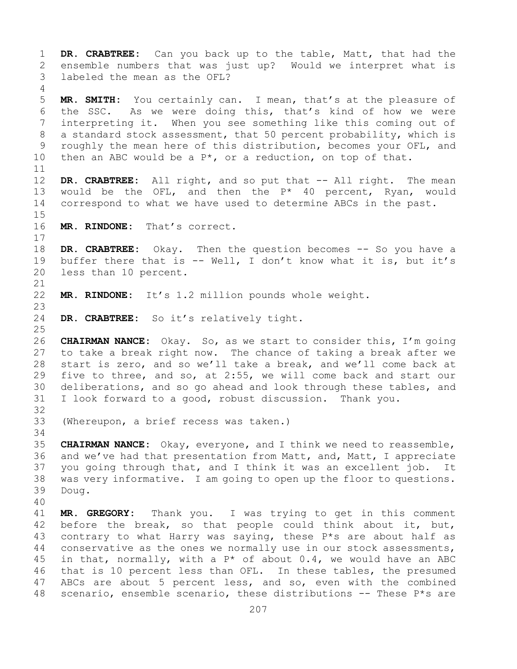1 **DR. CRABTREE:** Can you back up to the table, Matt, that had the 2 ensemble numbers that was just up? Would we interpret what is labeled the mean as the OFL? 4 5 **MR. SMITH:** You certainly can. I mean, that's at the pleasure of 6 the SSC. As we were doing this, that's kind of how we were<br>7 interpreting it. When you see something like this coming out of 7 interpreting it. When you see something like this coming out of<br>8 a standard stock assessment, that 50 percent probability, which is 8 a standard stock assessment, that 50 percent probability, which is<br>9 roughly the mean here of this distribution, becomes your OFL, and 9 roughly the mean here of this distribution, becomes your OFL, and<br>10 then an ABC would be a  $P^*$ , or a reduction, on top of that. then an ABC would be a  $P^*$ , or a reduction, on top of that. 11<br>12 DR. CRABTREE: All right, and so put that -- All right. The mean 13 would be the OFL, and then the P\* 40 percent, Ryan, would 14 correspond to what we have used to determine ABCs in the past.  $15$ <br> $16$ MR. RINDONE: That's correct.  $\begin{array}{c} 17 \\ 18 \end{array}$ 18 **DR. CRABTREE:** Okay. Then the question becomes -- So you have a<br>19 buffer there that is -- Well, I don't know what it is, but it's 19 buffer there that is  $--$  Well, I don't know what it is, but it's 20 less than 10 percent. less than 10 percent. 21<br>22 MR. RINDONE: It's 1.2 million pounds whole weight. 23 DR. CRABTREE: So it's relatively tight.  $\frac{25}{26}$ 26 **CHAIRMAN NANCE:** Okay. So, as we start to consider this, I'm going to take a break right now. The chance of taking a break after we 28 start is zero, and so we'll take a break, and we'll come back at<br>29 five to three, and so, at 2:55, we will come back and start our 29 five to three, and so, at 2:55, we will come back and start our<br>30 deliberations, and so go ahead and look through these tables, and 30 deliberations, and so go ahead and look through these tables, and<br>31 I look forward to a good, robust discussion. Thank you. I look forward to a good, robust discussion. Thank you. 32 33 (Whereupon, a brief recess was taken.) 34<br>35 35 **CHAIRMAN NANCE:** Okay, everyone, and I think we need to reassemble,<br>36 and we've had that presentation from Matt, and, Matt, I appreciate 36 and we've had that presentation from Matt, and, Matt, I appreciate<br>37 you going through that, and I think it was an excellent job. It you going through that, and I think it was an excellent job. It 38 was very informative. I am going to open up the floor to questions.<br>39 Doug. Doug. 40 41 **MR. GREGORY:** Thank you. I was trying to get in this comment<br>42 before the break, so that people could think about it, but, 42 before the break, so that people could think about it, but,  $43$  contrary to what Harry was saying, these P\*s are about half as 43 contrary to what Harry was saying, these  $P*$ s are about half as  $44$  conservative as the ones we normally use in our stock assessments, conservative as the ones we normally use in our stock assessments, 45 in that, normally, with a  $P^*$  of about 0.4, we would have an ABC 46 that is 10 percent less than OFL. In these tables, the presumed<br>47 ABCs are about 5 percent less, and so, even with the combined 47 ABCs are about 5 percent less, and so, even with the combined<br>48 scenario, ensemble scenario, these distributions -- These P\*s are scenario, ensemble scenario, these distributions  $-$ - These P\*s are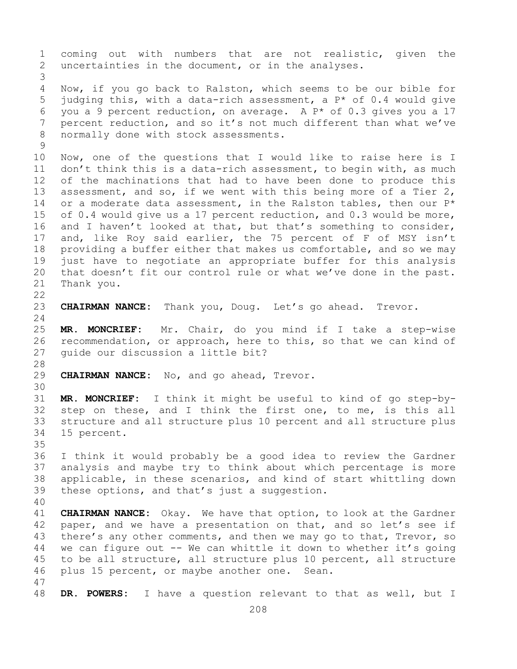1 coming out with numbers that are not realistic, given the<br>2 uncertainties in the document, or in the analyses. uncertainties in the document, or in the analyses. 3 Now, if you go back to Ralston, which seems to be our bible for 5 judging this, with a data-rich assessment, a P\* of 0.4 would give 6 you a 9 percent reduction, on average. A  $P^*$  of 0.3 gives you a 17<br>7 percent reduction, and so it's not much different than what we've 7 percent reduction, and so it's not much different than what we've<br>8 normally done with stock assessments. normally done with stock assessments.  $\begin{array}{c} 9 \\ 10 \end{array}$ 10 Now, one of the questions that I would like to raise here is I<br>11 don't think this is a data-rich assessment, to begin with, as much 11 don't think this is a data-rich assessment, to begin with, as much<br>12 of the machinations that had to have been done to produce this of the machinations that had to have been done to produce this 13 assessment, and so, if we went with this being more of a Tier 2, 14 or a moderate data assessment, in the Ralston tables, then our  $P^*$ <br>15 of 0.4 would give us a 17 percent reduction, and 0.3 would be more, 15 of 0.4 would give us a 17 percent reduction, and 0.3 would be more,<br>16 and I haven't looked at that, but that's something to consider, 16 and I haven't looked at that, but that's something to consider,<br>17 and, like Roy said earlier, the 75 percent of F of MSY isn't 17 and, like Roy said earlier, the 75 percent of F of MSY isn't<br>18 providing a buffer either that makes us comfortable, and so we may 18 providing a buffer either that makes us comfortable, and so we may<br>19 just have to negotiate an appropriate buffer for this analysis 19 just have to negotiate an appropriate buffer for this analysis<br>20 that doesn't fit our control rule or what we've done in the past. 20 that doesn't fit our control rule or what we've done in the past.<br>21 Thank you. Thank you.  $\begin{array}{c} 22 \\ 23 \end{array}$ CHAIRMAN NANCE: Thank you, Doug. Let's go ahead. Trevor.  $\frac{24}{25}$ 25 **MR. MONCRIEF:** Mr. Chair, do you mind if I take a step-wise 26 recommendation, or approach, here to this, so that we can kind of<br>27 quide our discussion a little bit? quide our discussion a little bit? 28<br>29 CHAIRMAN NANCE: No, and go ahead, Trevor. 30<br>31 31 **MR. MONCRIEF:** I think it might be useful to kind of go step-bystep on these, and I think the first one, to me, is this all 33 structure and all structure plus 10 percent and all structure plus<br>34 15 percent. 15 percent. 35<br>36 I think it would probably be a good idea to review the Gardner 37 analysis and maybe try to think about which percentage is more 38 applicable, in these scenarios, and kind of start whittling down<br>39 these options, and that's just a suggestion. these options, and that's just a suggestion. 40 41 **CHAIRMAN NANCE:** Okay. We have that option, to look at the Gardner<br>42 paper, and we have a presentation on that, and so let's see if 42 paper, and we have a presentation on that, and so let's see if<br>43 there's any other comments, and then we may go to that, Trevor, so 43 there's any other comments, and then we may go to that, Trevor, so<br>44 we can figure out -- We can whittle it down to whether it's going we can figure out  $-$ - We can whittle it down to whether it's going 45 to be all structure, all structure plus 10 percent, all structure 46 plus 15 percent, or maybe another one. Sean. 47 DR. POWERS: I have a question relevant to that as well, but I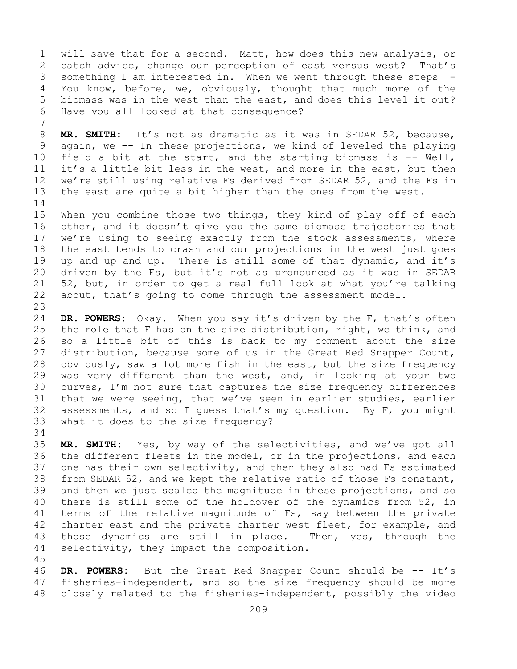1 will save that for a second. Matt, how does this new analysis, or<br>2 catch advice, change our perception of east versus west? That's 2 catch advice, change our perception of east versus west?<br>3 something I am interested in. When we went through these st 3 something I am interested in. When we went through these steps -<br>4 You know, before, we, obviously, thought that much more of the You know, before, we, obviously, thought that much more of the 5 biomass was in the west than the east, and does this level it out? 6 Have you all looked at that consequence?

7 8 **MR. SMITH:** It's not as dramatic as it was in SEDAR 52, because,<br>9 again, we -- In these projections, we kind of leveled the playing 9 again, we -- In these projections, we kind of leveled the playing<br>10 field a bit at the start, and the starting biomass is -- Well, 10 field a bit at the start, and the starting biomass is -- Well,<br>11 it's a little bit less in the west, and more in the east, but then 11 it's a little bit less in the west, and more in the east, but then<br>12 we're still using relative Fs derived from SEDAR 52, and the Fs in we're still using relative Fs derived from SEDAR 52, and the Fs in 13 the east are quite a bit higher than the ones from the west.

 $\frac{14}{15}$ 15 When you combine those two things, they kind of play off of each<br>16 other, and it doesn't give you the same biomass trajectories that 16 other, and it doesn't give you the same biomass trajectories that<br>17 we're using to seeing exactly from the stock assessments, where 17 we're using to seeing exactly from the stock assessments, where<br>18 the east tends to crash and our projections in the west just goes 18 the east tends to crash and our projections in the west just goes<br>19 up and up and up. There is still some of that dynamic, and it's 19 up and up and up. There is still some of that dynamic, and it's<br>20 driven by the Fs, but it's not as pronounced as it was in SEDAR 20 driven by the Fs, but it's not as pronounced as it was in SEDAR<br>21 52, but, in order to get a real full look at what you're talking 21 52, but, in order to get a real full look at what you're talking<br>22 about, that's going to come through the assessment model. about, that's going to come through the assessment model.

23 24 **DR. POWERS:** Okay. When you say it's driven by the F, that's often<br>25 the role that F has on the size distribution, right, we think, and 25 the role that F has on the size distribution, right, we think, and<br>26 so a little bit of this is back to my comment about the size 26 so a little bit of this is back to my comment about the size<br>27 distribution, because some of us in the Great Red Snapper Count, distribution, because some of us in the Great Red Snapper Count, 28 obviously, saw a lot more fish in the east, but the size frequency<br>29 was very different than the west, and, in looking at your two 29 was very different than the west, and, in looking at your two<br>30 curves, I'm not sure that captures the size frequency differences 30 curves, I'm not sure that captures the size frequency differences<br>31 that we were seeing, that we've seen in earlier studies, earlier 31 that we were seeing, that we've seen in earlier studies, earlier<br>32 assessments, and so I quess that's my question. By F, you might assessments, and so I guess that's my question. By F, you might 33 what it does to the size frequency?

34<br>35 35 **MR. SMITH:** Yes, by way of the selectivities, and we've got all 36 the different fleets in the model, or in the projections, and each<br>37 one has their own selectivity, and then they also had Fs estimated one has their own selectivity, and then they also had Fs estimated 38 from SEDAR 52, and we kept the relative ratio of those Fs constant,<br>39 and then we just scaled the magnitude in these projections, and so 39 and then we just scaled the magnitude in these projections, and so<br>40 there is still some of the holdover of the dynamics from 52, in 40 there is still some of the holdover of the dynamics from 52, in<br>41 terms of the relative magnitude of Fs, say between the private 41 terms of the relative magnitude of Fs, say between the private<br>42 charter east and the private charter west fleet, for example, and 42 charter east and the private charter west fleet, for example, and<br>43 those dynamics are still in place. Then, yes, through the 43 those dynamics are still in place.<br>44 selectivity, they impact the compositi selectivity, they impact the composition.

46 **DR. POWERS:** But the Great Red Snapper Count should be -- It's 47 fisheries-independent, and so the size frequency should be more 47 fisheries-independent, and so the size frequency should be more<br>48 closely related to the fisheries-independent, possibly the video closely related to the fisheries-independent, possibly the video

45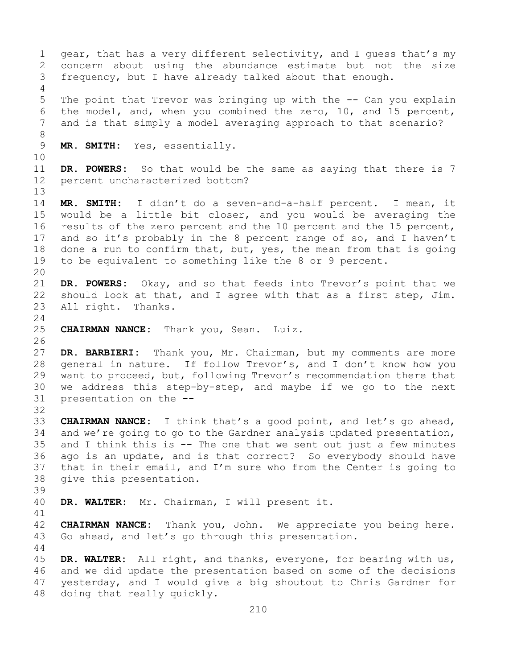1 gear, that has a very different selectivity, and I guess that's my<br>2 concern about using the abundance estimate but not the size 2 concern about using the abundance estimate but not the size<br>3 frequency, but I have already talked about that enough. frequency, but I have already talked about that enough. 4 5 The point that Trevor was bringing up with the -- Can you explain 6 the model, and, when you combined the zero, 10, and 15 percent,<br>7 and is that simply a model averaging approach to that scenario? and is that simply a model averaging approach to that scenario? 8 MR. SMITH: Yes, essentially. 10<br>11 11 **DR. POWERS:** So that would be the same as saying that there is 7<br>12 percent uncharacterized bottom? percent uncharacterized bottom? 13 14 **MR. SMITH:** I didn't do a seven-and-a-half percent. I mean, it 15 would be a little bit closer, and you would be averaging the<br>16 results of the zero percent and the 10 percent and the 15 percent, 16 results of the zero percent and the 10 percent and the 15 percent,<br>17 and so it's probably in the 8 percent range of so, and I haven't 17 and so it's probably in the 8 percent range of so, and I haven't<br>18 done a run to confirm that, but, yes, the mean from that is going 18 done a run to confirm that, but, yes, the mean from that is going<br>19 to be equivalent to something like the 8 or 9 percent. to be equivalent to something like the 8 or 9 percent. 20<br>21 21 **DR. POWERS:** Okay, and so that feeds into Trevor's point that we<br>22 should look at that, and I agree with that as a first step, Jim. 22 should look at that, and I agree with that as a first step, Jim.<br>23 All right. Thanks. All right.  $\frac{24}{25}$ **CHAIRMAN NANCE:** Thank you, Sean. Luiz. 26<br>27 DR. BARBIERI: Thank you, Mr. Chairman, but my comments are more 28 general in nature. If follow Trevor's, and I don't know how you<br>29 want to proceed, but, following Trevor's recommendation there that 29 want to proceed, but, following Trevor's recommendation there that<br>30 we address this step-by-step, and maybe if we go to the next 30 we address this step-by-step, and maybe if we go to the next  $31$  presentation on the  $$ presentation on the --32 33 **CHAIRMAN NANCE:** I think that's a good point, and let's go ahead,<br>34 and we're going to go to the Gardner analysis updated presentation, 34 and we're going to go to the Gardner analysis updated presentation,<br>35 and I think this is -- The one that we sent out just a few minutes 35 and I think this is  $-$  The one that we sent out just a few minutes 36 ago is an update, and is that correct? So everybody should have ago is an update, and is that correct? So everybody should have 37 that in their email, and I'm sure who from the Center is going to 38 give this presentation. 39 DR. WALTER: Mr. Chairman, I will present it. 41<br>42 42 **CHAIRMAN NANCE:** Thank you, John. We appreciate you being here.<br>43 Go ahead, and let's go through this presentation. Go ahead, and let's go through this presentation. 44 45 **DR. WALTER:** All right, and thanks, everyone, for bearing with us, 46 and we did update the presentation based on some of the decisions<br>47 yesterday, and I would give a big shoutout to Chris Gardner for 47 yesterday, and I would give a big shoutout to Chris Gardner for<br>48 doing that really quickly. doing that really quickly.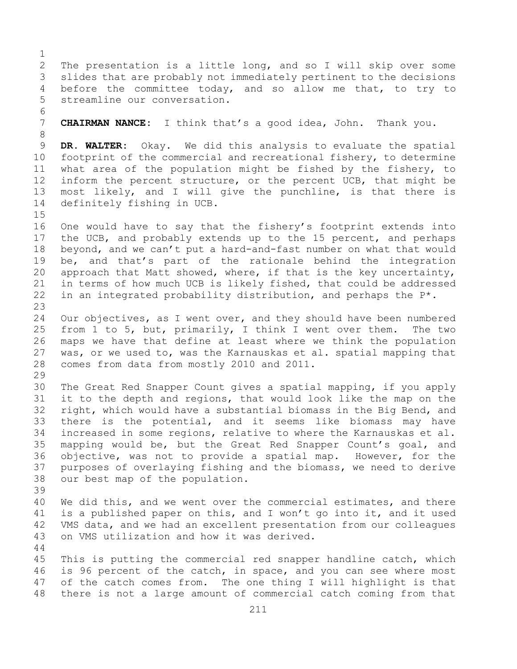$\frac{1}{2}$ 2 The presentation is a little long, and so I will skip over some<br>3 slides that are probably not immediately pertinent to the decisions 3 slides that are probably not immediately pertinent to the decisions<br>4 before the committee today, and so allow me that, to try to before the committee today, and so allow me that, to try to 5 streamline our conversation.

6<br>7 7 **CHAIRMAN NANCE:** I think that's a good idea, John. Thank you.

8 9 **DR. WALTER:** Okay. We did this analysis to evaluate the spatial<br>10 footprint of the commercial and recreational fishery, to determine 10 footprint of the commercial and recreational fishery, to determine<br>11 what area of the population might be fished by the fishery, to 11 what area of the population might be fished by the fishery, to<br>12 inform the percent structure, or the percent UCB, that might be inform the percent structure, or the percent UCB, that might be 13 most likely, and I will give the punchline, is that there is 14 definitely fishing in UCB.

 $15$ <br> $16$ 16 One would have to say that the fishery's footprint extends into<br>17 the UCB, and probably extends up to the 15 percent, and perhaps 17 the UCB, and probably extends up to the 15 percent, and perhaps<br>18 beyond, and we can't put a hard-and-fast number on what that would 18 beyond, and we can't put a hard-and-fast number on what that would<br>19 be, and that's part of the rationale behind the integration 19 be, and that's part of the rationale behind the integration<br>20 approach that Matt showed, where, if that is the key uncertainty, 20 approach that Matt showed, where, if that is the key uncertainty,<br>21 in terms of how much UCB is likely fished, that could be addressed 21 in terms of how much UCB is likely fished, that could be addressed  $22$  in an integrated probability distribution, and perhaps the  $P^*$ . in an integrated probability distribution, and perhaps the  $P^*$ .

23 24 Our objectives, as I went over, and they should have been numbered<br>25 from 1 to 5, but, primarily, I think I went over them. The two 25 from 1 to 5, but, primarily, I think I went over them.<br>26 maps we have that define at least where we think the p 26 maps we have that define at least where we think the population<br>27 was, or we used to, was the Karnauskas et al. spatial mapping that was, or we used to, was the Karnauskas et al. spatial mapping that 28 comes from data from mostly 2010 and 2011.

29<br>30 30 The Great Red Snapper Count gives a spatial mapping, if you apply<br>31 it to the depth and regions, that would look like the map on the 31 it to the depth and regions, that would look like the map on the<br>32 right, which would have a substantial biomass in the Big Bend, and right, which would have a substantial biomass in the Big Bend, and 33 there is the potential, and it seems like biomass may have<br>34 increased in some regions, relative to where the Karnauskas et al. 34 increased in some regions, relative to where the Karnauskas et al.<br>35 mapping would be, but the Great Red Snapper Count's goal, and 35 mapping would be, but the Great Red Snapper Count's goal, and<br>36 objective, was not to provide a spatial map. However, for the 36 objective, was not to provide a spatial map. However, for the<br>37 purposes of overlaying fishing and the biomass, we need to derive purposes of overlaying fishing and the biomass, we need to derive 38 our best map of the population.

39 40 We did this, and we went over the commercial estimates, and there<br>41 is a published paper on this, and I won't go into it, and it used 41 is a published paper on this, and I won't go into it, and it used<br>42 VMS data, and we had an excellent presentation from our colleagues 42 VMS data, and we had an excellent presentation from our colleagues<br>43 on VMS utilization and how it was derived. on VMS utilization and how it was derived.

44

45 This is putting the commercial red snapper handline catch, which 46 is 96 percent of the catch, in space, and you can see where most<br>47 of the catch comes from. The one thing I will highlight is that 47 of the catch comes from. The one thing I will highlight is that<br>48 there is not a large amount of commercial catch coming from that there is not a large amount of commercial catch coming from that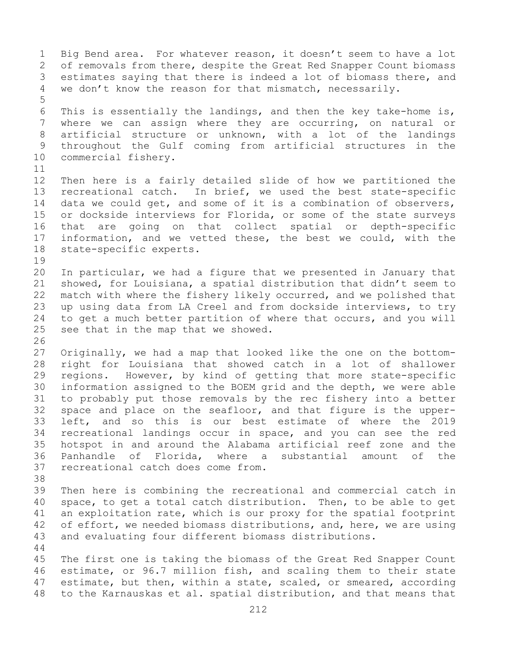1 Big Bend area. For whatever reason, it doesn't seem to have a lot<br>2 of removals from there, despite the Great Red Snapper Count biomass 2 of removals from there, despite the Great Red Snapper Count biomass<br>3 estimates saving that there is indeed a lot of biomass there, and 3 estimates saying that there is indeed a lot of biomass there, and<br>4 we don't know the reason for that mismatch, necessarily. we don't know the reason for that mismatch, necessarily. 5 6 This is essentially the landings, and then the key take-home is,<br>7 where we can assign where they are occurring, on natural or 7 where we can assign where they are occurring, on natural or<br>8 artificial structure or unknown, with a lot of the landings 8 artificial structure or unknown, with a lot of the landings<br>9 throughout the Gulf coming from artificial structures in the 9 throughout the Gulf coming from artificial structures in the 10 commercial fishery. commercial fishery. 11<br>12 12 Then here is a fairly detailed slide of how we partitioned the<br>13 recreational catch. In brief, we used the best state-specific recreational catch. In brief, we used the best state-specific 14 data we could get, and some of it is a combination of observers,<br>15 or dockside interviews for Florida, or some of the state survevs 15 or dockside interviews for Florida, or some of the state surveys<br>16 that are going on that collect spatial or depth-specific 16 that are going on that collect spatial or depth-specific<br>17 information, and we vetted these, the best we could, with the 17 information, and we vetted these, the best we could, with the 18 state-specific experts. state-specific experts. 19<br>20 20 In particular, we had a figure that we presented in January that<br>21 showed, for Louisiana, a spatial distribution that didn't seem to 21 showed, for Louisiana, a spatial distribution that didn't seem to<br>22 match with where the fishery likely occurred, and we polished that 22 match with where the fishery likely occurred, and we polished that<br>23 up using data from LA Creel and from dockside interviews, to try 23 up using data from LA Creel and from dockside interviews, to try<br>24 to get a much better partition of where that occurs, and you will 24 to get a much better partition of where that occurs, and you will<br>25 see that in the map that we showed. see that in the map that we showed. 26<br>27 Originally, we had a map that looked like the one on the bottom-28 right for Louisiana that showed catch in a lot of shallower<br>29 regions. However, by kind of getting that more state-specific 29 regions. However, by kind of getting that more state-specific<br>30 information assigned to the BOEM grid and the depth, we were able 30 information assigned to the BOEM grid and the depth, we were able<br>31 to probably put those removals by the rec fishery into a better 31 to probably put those removals by the rec fishery into a better<br>32 space and place on the seafloor, and that figure is the upper-32 space and place on the seafloor, and that figure is the upper-<br>33 left, and so this is our best estimate of where the 2019 33 left, and so this is our best estimate of where the 2019<br>34 recreational landings occur in space, and you can see the red 34 recreational landings occur in space, and you can see the red<br>35 hotspot in and around the Alabama artificial reef zone and the 35 hotspot in and around the Alabama artificial reef zone and the<br>36 Panhandle of Florida, where a substantial amount of the 36 Panhandle of Florida,<br>37 recreational catch does recreational catch does come from. 38<br>39 39 Then here is combining the recreational and commercial catch in<br>40 space, to get a total catch distribution. Then, to be able to get 40 space, to get a total catch distribution. Then, to be able to get<br>41 an exploitation rate, which is our proxy for the spatial footprint 41 an exploitation rate, which is our proxy for the spatial footprint<br>42 of effort, we needed biomass distributions, and, here, we are using 42 of effort, we needed biomass distributions, and, here, we are using<br>43 and evaluating four different biomass distributions. and evaluating four different biomass distributions. 44 45 The first one is taking the biomass of the Great Red Snapper Count 46 estimate, or 96.7 million fish, and scaling them to their state<br>47 estimate, but then, within a state, scaled, or smeared, according 47 estimate, but then, within a state, scaled, or smeared, according<br>48 to the Karnauskas et al. spatial distribution, and that means that to the Karnauskas et al. spatial distribution, and that means that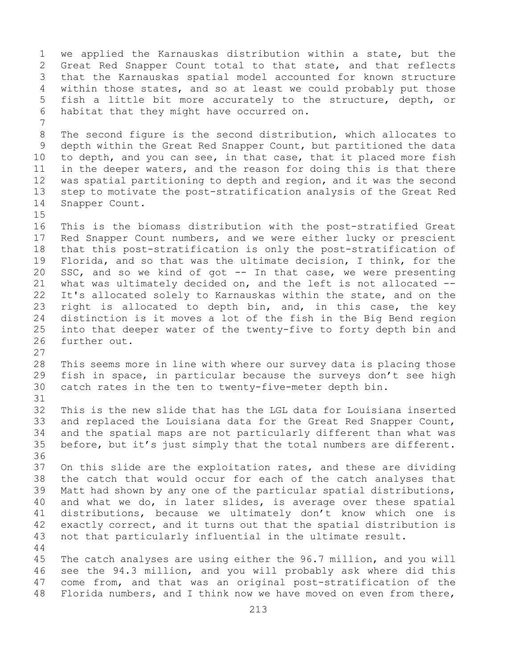1 we applied the Karnauskas distribution within a state, but the<br>2 Great Red Snapper Count total to that state, and that reflects 2 Great Red Snapper Count total to that state, and that reflects<br>3 that the Karnauskas spatial model accounted for known structure 3 that the Karnauskas spatial model accounted for known structure<br>4 within those states, and so at least we could probably put those within those states, and so at least we could probably put those 5 fish a little bit more accurately to the structure, depth, or 6 habitat that they might have occurred on. 7 8 The second figure is the second distribution, which allocates to<br>9 depth within the Great Red Snapper Count, but partitioned the data 9 depth within the Great Red Snapper Count, but partitioned the data<br>10 to depth, and you can see, in that case, that it placed more fish 10 to depth, and you can see, in that case, that it placed more fish<br>11 in the deeper waters, and the reason for doing this is that there 11 in the deeper waters, and the reason for doing this is that there<br>12 was spatial partitioning to depth and region, and it was the second 12 was spatial partitioning to depth and region, and it was the second<br>13 step to motivate the post-stratification analysis of the Great Red step to motivate the post-stratification analysis of the Great Red 14 Snapper Count.  $15$ <br> $16$ 16 This is the biomass distribution with the post-stratified Great<br>17 Red Snapper Count numbers, and we were either lucky or prescient 17 Red Snapper Count numbers, and we were either lucky or prescient<br>18 that this post-stratification is only the post-stratification of 18 that this post-stratification is only the post-stratification of<br>19 Florida, and so that was the ultimate decision, I think, for the 19 Florida, and so that was the ultimate decision, I think, for the<br>20 SSC, and so we kind of got -- In that case, we were presenting SSC, and so we kind of got  $-$  In that case, we were presenting 21 what was ultimately decided on, and the left is not allocated --<br>22 It's allocated solely to Karnauskas within the state, and on the 22 It's allocated solely to Karnauskas within the state, and on the<br>23 right is allocated to depth bin, and, in this case, the key 23 right is allocated to depth bin, and, in this case, the key<br>24 distinction is it moves a lot of the fish in the Big Bend region 24 distinction is it moves a lot of the fish in the Big Bend region<br>25 into that deeper water of the twenty-five to forty depth bin and 25 into that deeper water of the twenty-five to forty depth bin and<br>26 further out. further out. 27 28 This seems more in line with where our survey data is placing those<br>29 fish in space, in particular because the surveys don't see high 29 fish in space, in particular because the surveys don't see high<br>30 catch rates in the ten to twenty-five-meter depth bin. catch rates in the ten to twenty-five-meter depth bin. 31<br>32 This is the new slide that has the LGL data for Louisiana inserted 33 and replaced the Louisiana data for the Great Red Snapper Count,<br>34 and the spatial maps are not particularly different than what was 34 and the spatial maps are not particularly different than what was<br>35 before, but it's just simply that the total numbers are different. before, but it's just simply that the total numbers are different. 36<br>37 On this slide are the exploitation rates, and these are dividing 38 the catch that would occur for each of the catch analyses that<br>39 Matt had shown by any one of the particular spatial distributions, 39 Matt had shown by any one of the particular spatial distributions,<br>40 and what we do, in later slides, is average over these spatial 40 and what we do, in later slides, is average over these spatial<br>41 distributions, because we ultimately don't know which one is 41 distributions, because we ultimately don't know which one is<br>42 exactly correct, and it turns out that the spatial distribution is 42 exactly correct, and it turns out that the spatial distribution is<br>43 not that particularly influential in the ultimate result. not that particularly influential in the ultimate result. 44 45 The catch analyses are using either the 96.7 million, and you will 46 see the 94.3 million, and you will probably ask where did this<br>47 come from, and that was an original post-stratification of the 47 come from, and that was an original post-stratification of the<br>48 Florida numbers, and I think now we have moved on even from there, Florida numbers, and I think now we have moved on even from there,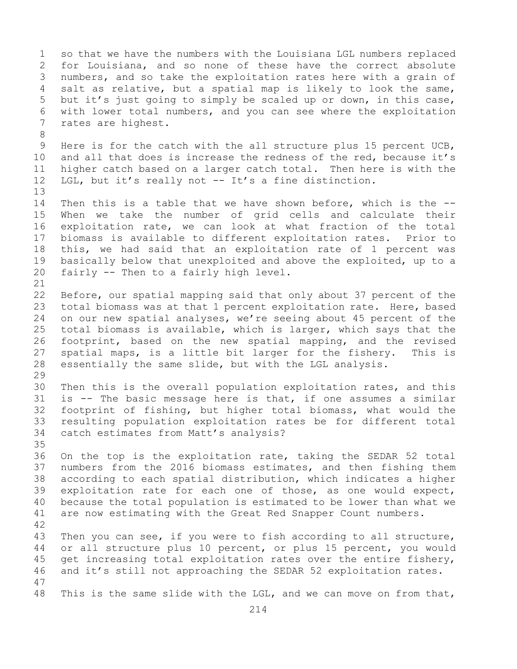1 so that we have the numbers with the Louisiana LGL numbers replaced<br>2 for Louisiana, and so none of these have the correct absolute 2 for Louisiana, and so none of these have the correct absolute<br>3 numbers, and so take the exploitation rates here with a grain of 3 numbers, and so take the exploitation rates here with a grain of<br>4 salt as relative, but a spatial map is likely to look the same, salt as relative, but a spatial map is likely to look the same, 5 but it's just going to simply be scaled up or down, in this case, 6 with lower total numbers, and you can see where the exploitation<br>7 rates are highest. rates are highest. 8<br>9 9 Here is for the catch with the all structure plus 15 percent UCB,<br>10 and all that does is increase the redness of the red, because it's 10 and all that does is increase the redness of the red, because it's<br>11 higher catch based on a larger catch total. Then here is with the 11 higher catch based on a larger catch total. Then here is with the<br>12 LGL, but it's really not -- It's a fine distinction. LGL, but it's really not  $-$ - It's a fine distinction. 13 14 Then this is a table that we have shown before, which is the --<br>15 When we take the number of grid cells and calculate their 15 When we take the number of grid cells and calculate their<br>16 exploitation rate, we can look at what fraction of the total 16 exploitation rate, we can look at what fraction of the total<br>17 biomass is available to different exploitation rates. Prior to 17 biomass is available to different exploitation rates.<br>18 this, we had said that an exploitation rate of 1 per 18 this, we had said that an exploitation rate of 1 percent was<br>19 basically below that unexploited and above the exploited, up to a 19 basically below that unexploited and above the exploited, up to a<br>20 fairly -- Then to a fairly high level. fairly  $-$ - Then to a fairly high level. 21<br>22 22 Before, our spatial mapping said that only about 37 percent of the<br>23 total biomass was at that 1 percent exploitation rate. Here, based 23 total biomass was at that 1 percent exploitation rate. Here, based<br>24 on our new spatial analyses, we're seeing about 45 percent of the 24 on our new spatial analyses, we're seeing about 45 percent of the<br>25 total biomass is available, which is larger, which says that the 25 total biomass is available, which is larger, which says that the<br>26 footprint, based on the new spatial mapping, and the revised 26 footprint, based on the new spatial mapping, and the revised<br>27 spatial maps, is a little bit larger for the fishery. This is spatial maps, is a little bit larger for the fishery. 28 essentially the same slide, but with the LGL analysis. 29<br>30 30 Then this is the overall population exploitation rates, and this<br>31 is -- The basic message here is that, if one assumes a similar 31 is -- The basic message here is that, if one assumes a similar<br>32 footprint of fishing, but higher total biomass, what would the 32 footprint of fishing, but higher total biomass, what would the<br>33 resulting population exploitation rates be for different total 33 resulting population exploitation rates be for different total<br>34 catch estimates from Matt's analysis? catch estimates from Matt's analysis? 35<br>36 36 On the top is the exploitation rate, taking the SEDAR 52 total<br>37 numbers from the 2016 biomass estimates, and then fishing them numbers from the 2016 biomass estimates, and then fishing them 38 according to each spatial distribution, which indicates a higher<br>39 exploitation rate for each one of those, as one would expect, 39 exploitation rate for each one of those, as one would expect,<br>40 because the total population is estimated to be lower than what we 40 because the total population is estimated to be lower than what we<br>41 are now estimating with the Great Red Snapper Count numbers. are now estimating with the Great Red Snapper Count numbers. 42 43 Then you can see, if you were to fish according to all structure,<br>44 or all structure plus 10 percent, or plus 15 percent, you would or all structure plus 10 percent, or plus 15 percent, you would 45 get increasing total exploitation rates over the entire fishery, 46 and it's still not approaching the SEDAR 52 exploitation rates. 47 This is the same slide with the LGL, and we can move on from that,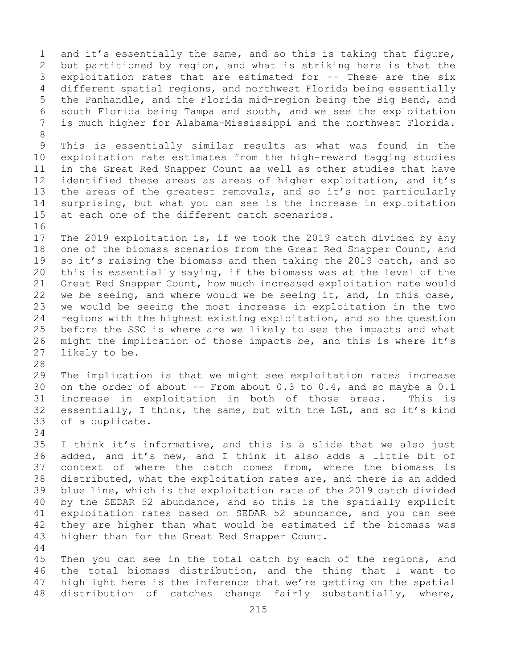1 and it's essentially the same, and so this is taking that figure,<br>2 but partitioned by region, and what is striking here is that the 2 but partitioned by region, and what is striking here is that the<br>3 exploitation rates that are estimated for -- These are the six 3 exploitation rates that are estimated for -- These are the six<br>4 different spatial regions, and northwest Florida being essentially different spatial regions, and northwest Florida being essentially 5 the Panhandle, and the Florida mid-region being the Big Bend, and 6 south Florida being Tampa and south, and we see the exploitation<br>7 is much higher for Alabama-Mississippi and the northwest Florida. is much higher for Alabama-Mississippi and the northwest Florida. 8 9 This is essentially similar results as what was found in the<br>10 exploitation rate estimates from the high-reward tagging studies 10 exploitation rate estimates from the high-reward tagging studies<br>11 in the Great Red Snapper Count as well as other studies that have 11 in the Great Red Snapper Count as well as other studies that have<br>12 identified these areas as areas of higher exploitation, and it's 12 identified these areas as areas of higher exploitation, and it's<br>13 the areas of the greatest removals, and so it's not particularly the areas of the greatest removals, and so it's not particularly 14 surprising, but what you can see is the increase in exploitation<br>15 at each one of the different catch scenarios. at each one of the different catch scenarios. 16<br>17 17 The 2019 exploitation is, if we took the 2019 catch divided by any<br>18 one of the biomass scenarios from the Great Red Snapper Count, and 18 one of the biomass scenarios from the Great Red Snapper Count, and<br>19 so it's raising the biomass and then taking the 2019 catch, and so 19 so it's raising the biomass and then taking the 2019 catch, and so<br>20 this is essentially saving, if the biomass was at the level of the 20 this is essentially saying, if the biomass was at the level of the<br>21 Great Red Snapper Count, how much increased exploitation rate would 21 Great Red Snapper Count, how much increased exploitation rate would<br>22 we be seeing, and where would we be seeing it, and, in this case, 22 we be seeing, and where would we be seeing it, and, in this case,<br>23 we would be seeing the most increase in exploitation in the two 23 we would be seeing the most increase in exploitation in the two<br>24 regions with the highest existing exploitation, and so the question 24 regions with the highest existing exploitation, and so the question<br>25 before the SSC is where are we likely to see the impacts and what 25 before the SSC is where are we likely to see the impacts and what<br>26 might the implication of those impacts be, and this is where it's 26 might the implication of those impacts be, and this is where it's<br>27 likely to be. likely to be. 28<br>29 29 The implication is that we might see exploitation rates increase<br>30 on the order of about -- From about 0.3 to 0.4, and so maybe a 0.1 30 on the order of about -- From about 0.3 to 0.4, and so maybe a 0.1<br>31 increase in exploitation in both of those areas. This is 31 increase in exploitation in both of those areas.<br>32 essentially, I think, the same, but with the LGL, and s essentially, I think, the same, but with the LGL, and so it's kind 33 of a duplicate. 34<br>35 35 I think it's informative, and this is a slide that we also just<br>36 added, and it's new, and I think it also adds a little bit of 36 added, and it's new, and I think it also adds a little bit of<br>37 context of where the catch comes from, where the biomass is context of where the catch comes from, where the biomass is 38 distributed, what the exploitation rates are, and there is an added<br>39 blue line, which is the exploitation rate of the 2019 catch divided 39 blue line, which is the exploitation rate of the 2019 catch divided<br>40 by the SEDAR 52 abundance, and so this is the spatially explicit 40 by the SEDAR 52 abundance, and so this is the spatially explicit<br>41 exploitation rates based on SEDAR 52 abundance, and you can see 41 exploitation rates based on SEDAR 52 abundance, and you can see<br>42 they are higher than what would be estimated if the biomass was 42 they are higher than what would be estimated if the biomass was<br>43 higher than for the Great Red Snapper Count. higher than for the Great Red Snapper Count. 44 45 Then you can see in the total catch by each of the regions, and 46 the total biomass distribution, and the thing that I want to<br>47 highlight here is the inference that we're getting on the spatial 47 highlight here is the inference that we're getting on the spatial<br>48 distribution of catches change fairly substantially, where, distribution of catches change fairly substantially, where,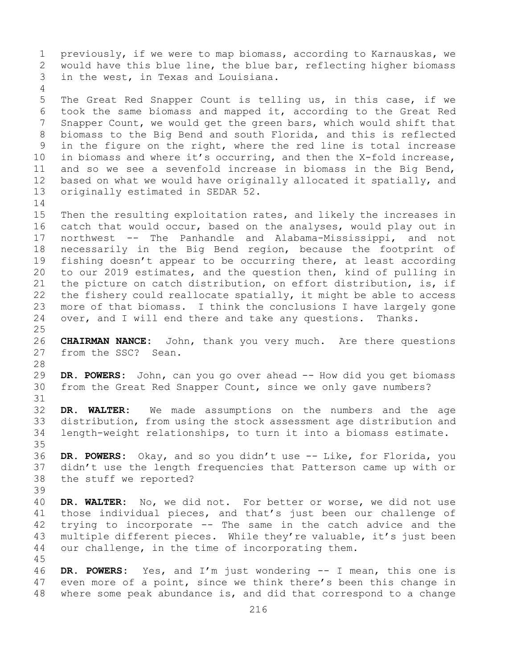1 previously, if we were to map biomass, according to Karnauskas, we<br>2 would have this blue line, the blue bar, reflecting higher biomass 2 would have this blue line, the blue bar, reflecting higher biomass<br>3 in the west, in Texas and Louisiana. in the west, in Texas and Louisiana. 4 5 The Great Red Snapper Count is telling us, in this case, if we 6 took the same biomass and mapped it, according to the Great Red 7 Snapper Count, we would get the green bars, which would shift that<br>8 biomass to the Big Bend and south Florida, and this is reflected 8 biomass to the Big Bend and south Florida, and this is reflected<br>9 in the figure on the right, where the red line is total increase 9 in the figure on the right, where the red line is total increase<br>10 in biomass and where it's occurring, and then the X-fold increase, 10 in biomass and where it's occurring, and then the X-fold increase,<br>11 and so we see a sevenfold increase in biomass in the Big Bend, 11 and so we see a sevenfold increase in biomass in the Big Bend,<br>12 based on what we would have originally allocated it spatially, and 12 based on what we would have originally allocated it spatially, and<br>13 originally estimated in SEDAR 52. originally estimated in SEDAR 52.  $\frac{14}{15}$ 15 Then the resulting exploitation rates, and likely the increases in<br>16 catch that would occur, based on the analyses, would play out in 16 catch that would occur, based on the analyses, would play out in<br>17 northwest -- The Panhandle and Alabama-Mississippi, and not 17 northwest -- The Panhandle and Alabama-Mississippi, and not<br>18 necessarily in the Big Bend region, because the footprint of 18 necessarily in the Big Bend region, because the footprint of<br>19 fishing doesn't appear to be occurring there, at least according 19 fishing doesn't appear to be occurring there, at least according<br>20 to our 2019 estimates, and the question then, kind of pulling in 20 to our 2019 estimates, and the question then, kind of pulling in<br>21 the picture on catch distribution, on effort distribution, is, if 21 the picture on catch distribution, on effort distribution, is, if<br>22 the fishery could reallocate spatially, it might be able to access 22 the fishery could reallocate spatially, it might be able to access<br>23 more of that biomass. I think the conclusions I have largely gone 23 more of that biomass. I think the conclusions I have largely gone<br>24 over, and I will end there and take any questions. Thanks. over, and I will end there and take any questions.  $\frac{25}{26}$ 26 **CHAIRMAN NANCE:** John, thank you very much. Are there questions from the SSC? Sean. from the SSC? Sean. 28<br>29 29 **DR. POWERS:** John, can you go over ahead -- How did you get biomass<br>30 from the Great Red Snapper Count, since we only gave numbers? from the Great Red Snapper Count, since we only gave numbers? 31<br>32 DR. WALTER: We made assumptions on the numbers and the age 33 distribution, from using the stock assessment age distribution and<br>34 Iength-weight relationships, to turn it into a biomass estimate. length-weight relationships, to turn it into a biomass estimate. 35<br>36 DR. POWERS: Okay, and so you didn't use -- Like, for Florida, you 37 didn't use the length frequencies that Patterson came up with or 38 the stuff we reported? 39 40 **DR. WALTER:** No, we did not. For better or worse, we did not use<br>41 those individual pieces, and that's just been our challenge of 41 those individual pieces, and that's just been our challenge of<br>42 trying to incorporate -- The same in the catch advice and the 42 trying to incorporate -- The same in the catch advice and the<br>43 multiple different pieces. While they're valuable, it's just been 43 multiple different pieces. While they're valuable, it's just been<br>44 our challenge, in the time of incorporating them. our challenge, in the time of incorporating them. 45 46 **DR. POWERS:** Yes, and I'm just wondering -- I mean, this one is 47 even more of a point, since we think there's been this change in 47 even more of a point, since we think there's been this change in<br>48 where some peak abundance is, and did that correspond to a change where some peak abundance is, and did that correspond to a change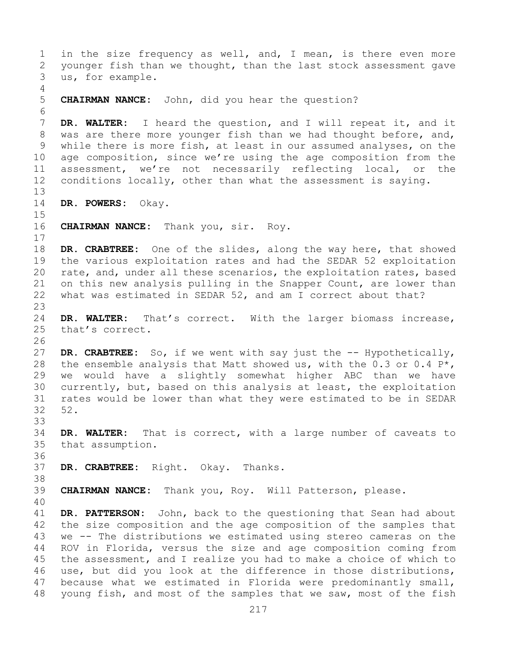1 in the size frequency as well, and, I mean, is there even more<br>2 younger fish than we thought, than the last stock assessment gave 2 younger fish than we thought, than the last stock assessment gave<br>3 us, for example. us, for example. 4 5 **CHAIRMAN NANCE:** John, did you hear the question? 6<br>7 7 **DR. WALTER:** I heard the question, and I will repeat it, and it 8 was are there more younger fish than we had thought before, and, 8 was are there more younger fish than we had thought before, and,<br>9 while there is more fish, at least in our assumed analyses, on the 9 while there is more fish, at least in our assumed analyses, on the<br>10 age composition, since we're using the age composition from the 10 age composition, since we're using the age composition from the<br>11 assessment, we're not necessarily reflecting local, or the 11 assessment, we're not necessarily reflecting local, or the<br>12 conditions locally, other than what the assessment is saving. conditions locally, other than what the assessment is saying. 13 14 **DR. POWERS:** Okay. 15<br>16 16 **CHAIRMAN NANCE:** Thank you, sir. Roy.  $\begin{array}{c} 17 \\ 18 \end{array}$ 18 **DR. CRABTREE:** One of the slides, along the way here, that showed<br>19 the various exploitation rates and had the SEDAR 52 exploitation 19 the various exploitation rates and had the SEDAR 52 exploitation<br>20 rate, and, under all these scenarios, the exploitation rates, based rate, and, under all these scenarios, the exploitation rates, based 21 on this new analysis pulling in the Snapper Count, are lower than<br>22 what was estimated in SEDAR 52, and am I correct about that? what was estimated in SEDAR 52, and am I correct about that? 23 24 **DR. WALTER:** That's correct. With the larger biomass increase,<br>25 that's correct. that's correct. 26<br>27 DR. CRABTREE: So, if we went with say just the -- Hypothetically, 28 the ensemble analysis that Matt showed us, with the  $0.3$  or  $0.4$  P<sup>\*</sup>,<br>29 we would have a slightly somewhat higher ABC than we have 29 we would have a slightly somewhat higher ABC than we have<br>30 currently, but, based on this analysis at least, the exploitation 30 currently, but, based on this analysis at least, the exploitation<br>31 rates would be lower than what they were estimated to be in SEDAR 31 rates would be lower than what they were estimated to be in SEDAR<br>32 52. 32 52. 33<br>34 34 **DR. WALTER:** That is correct, with a large number of caveats to that assumption. 36<br>37 DR. CRABTREE: Right. Okay. Thanks. 38<br>39 39 **CHAIRMAN NANCE:** Thank you, Roy. Will Patterson, please. 40 41 **DR. PATTERSON:** John, back to the questioning that Sean had about<br>42 the size composition and the age composition of the samples that 42 the size composition and the age composition of the samples that<br>43 we -- The distributions we estimated using stereo cameras on the 43 we -- The distributions we estimated using stereo cameras on the<br>44 ROV in Florida, versus the size and age composition coming from ROV in Florida, versus the size and age composition coming from 45 the assessment, and I realize you had to make a choice of which to 46 use, but did you look at the difference in those distributions,<br>47 because what we estimated in Florida were predominantly small, 47 because what we estimated in Florida were predominantly small,<br>48 young fish, and most of the samples that we saw, most of the fish young fish, and most of the samples that we saw, most of the fish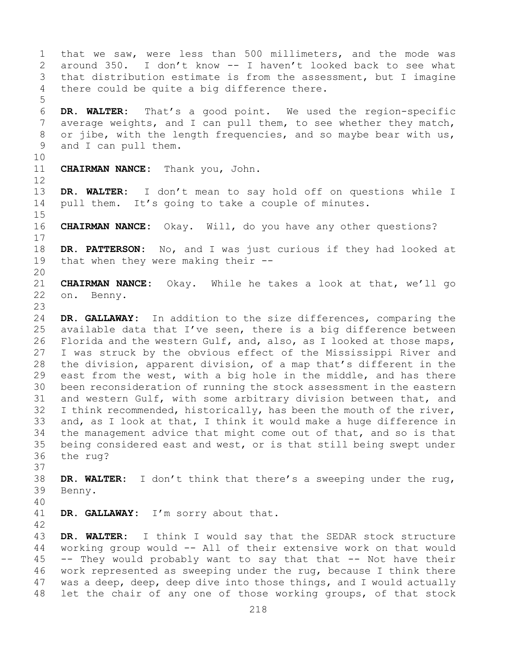1 that we saw, were less than 500 millimeters, and the mode was<br>2 around 350. I don't know -- I haven't looked back to see what 2 around 350. I don't know -- I haven't looked back to see what<br>3 that distribution estimate is from the assessment, but I imagine 3 that distribution estimate is from the assessment, but I imagine<br>4 there could be quite a big difference there. there could be quite a big difference there. 5 6 **DR. WALTER:** That's a good point. We used the region-specific 7 average weights, and I can pull them, to see whether they match,<br>8 or jibe, with the length frequencies, and so maybe bear with us, 8 or jibe, with the length frequencies, and so maybe bear with us,<br>9 and I can pull them. and I can pull them. 10<br>11 CHAIRMAN NANCE: Thank you, John. 12 13 **DR. WALTER:** I don't mean to say hold off on questions while I 14 pull them. It's going to take a couple of minutes. 15<br>16 **CHAIRMAN NANCE:** Okay. Will, do you have any other questions?  $\begin{array}{c} 17 \\ 18 \end{array}$ 18 **DR. PATTERSON:** No, and I was just curious if they had looked at 19 that when they were making their -that when they were making their  $-$ -20<br>21 21 **CHAIRMAN NANCE:** Okay. While he takes a look at that, we'll go on. Benny. 23 24 **DR. GALLAWAY:** In addition to the size differences, comparing the<br>25 available data that I've seen, there is a big difference between 25 available data that I've seen, there is a big difference between<br>26 Florida and the western Gulf, and, also, as I looked at those maps, 26 Florida and the western Gulf, and, also, as I looked at those maps,<br>27 I was struck by the obvious effect of the Mississippi River and I was struck by the obvious effect of the Mississippi River and 28 the division, apparent division, of a map that's different in the<br>29 east from the west, with a big hole in the middle, and has there 29 east from the west, with a big hole in the middle, and has there<br>30 been reconsideration of running the stock assessment in the eastern 30 been reconsideration of running the stock assessment in the eastern<br>31 and western Gulf, with some arbitrary division between that, and 31 and western Gulf, with some arbitrary division between that, and<br>32 I think recommended, historically, has been the mouth of the river, I think recommended, historically, has been the mouth of the river, 33 and, as I look at that, I think it would make a huge difference in<br>34 the management advice that might come out of that, and so is that 34 the management advice that might come out of that, and so is that<br>35 being considered east and west, or is that still being swept under 35 being considered east and west, or is that still being swept under<br>36 the rug? the rug? 37 38 **DR. WALTER:** I don't think that there's a sweeping under the rug, Benny. 40 DR. GALLAWAY: I'm sorry about that.  $\frac{42}{43}$ 43 **DR. WALTER:** I think I would say that the SEDAR stock structure working group would -- All of their extensive work on that would 45 -- They would probably want to say that that -- Not have their 46 work represented as sweeping under the rug, because I think there<br>47 was a deep, deep, deep dive into those things, and I would actually

47 was a deep, deep, deep dive into those things, and I would actually<br>48 let the chair of any one of those working groups, of that stock let the chair of any one of those working groups, of that stock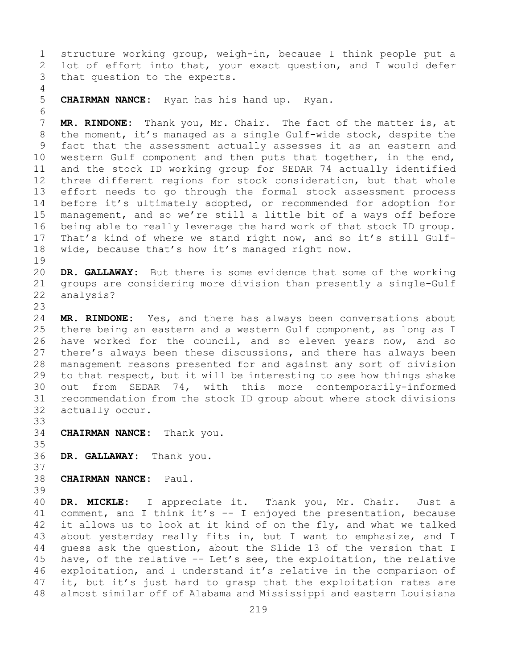1 structure working group, weigh-in, because I think people put a<br>2 lot of effort into that, your exact question, and I would defer 2 lot of effort into that, your exact question, and I would defer<br>3 that question to the experts. that question to the experts.

4<br>5 5 **CHAIRMAN NANCE:** Ryan has his hand up. Ryan.

6<br>7 7 **MR. RINDONE:** Thank you, Mr. Chair. The fact of the matter is, at<br>8 the moment, it's managed as a single Gulf-wide stock, despite the 8 the moment, it's managed as a single Gulf-wide stock, despite the<br>9 fact that the assessment actually assesses it as an eastern and 9 fact that the assessment actually assesses it as an eastern and<br>10 western Gulf component and then puts that together, in the end, 10 western Gulf component and then puts that together, in the end,<br>11 and the stock ID working group for SEDAR 74 actually identified 11 and the stock ID working group for SEDAR 74 actually identified<br>12 three different regions for stock consideration, but that whole three different regions for stock consideration, but that whole 13 effort needs to go through the formal stock assessment process 14 before it's ultimately adopted, or recommended for adoption for<br>15 management, and so we're still a little bit of a ways off before 15 management, and so we're still a little bit of a ways off before<br>16 being able to really leverage the hard work of that stock ID group. 16 being able to really leverage the hard work of that stock ID group.<br>17 That's kind of where we stand right now, and so it's still Gulf-17 That's kind of where we stand right now, and so it's still Gulf-<br>18 wide, because that's how it's managed right now. wide, because that's how it's managed right now.

 $\begin{array}{c} 19 \\ 20 \end{array}$ 20 **DR. GALLAWAY:** But there is some evidence that some of the working<br>21 qroups are considering more division than presently a single-Gulf 21 groups are considering more division than presently a single-Gulf<br>22 analysis? analysis?

23 24 **MR. RINDONE:** Yes, and there has always been conversations about<br>25 there being an eastern and a western Gulf component, as long as I 25 there being an eastern and a western Gulf component, as long as I<br>26 have worked for the council, and so eleven vears now, and so 26 have worked for the council, and so eleven years now, and so<br>27 there's always been these discussions, and there has always been there's always been these discussions, and there has always been 28 management reasons presented for and against any sort of division<br>29 to that respect, but it will be interesting to see how things shake 29 to that respect, but it will be interesting to see how things shake<br>30 out from SEDAR 74, with this more contemporarily-informed 30 out from SEDAR 74, with this more contemporarily-informed<br>31 recommendation from the stock ID group about where stock divisions 31 recommendation from the stock ID group about where stock divisions<br>32 actually occur. actually occur.

33<br>34 **CHAIRMAN NANCE:** Thank you.

35<br>36 DR. GALLAWAY: Thank you.

37

38 **CHAIRMAN NANCE:** Paul.

39

40 **DR. MICKLE:** I appreciate it. Thank you, Mr. Chair. Just a<br>41 comment, and I think it's -- I enjoyed the presentation, because 41 comment, and I think it's  $-$  I enjoyed the presentation, because<br>42 it allows us to look at it kind of on the fly, and what we talked 42 it allows us to look at it kind of on the fly, and what we talked<br>43 about vesterday really fits in, but I want to emphasize, and I 43 about yesterday really fits in, but I want to emphasize, and I<br>44 quess ask the question, about the Slide 13 of the version that I guess ask the question, about the Slide 13 of the version that I 45 have, of the relative -- Let's see, the exploitation, the relative 46 exploitation, and I understand it's relative in the comparison of<br>47 it, but it's just hard to grasp that the exploitation rates are 47 it, but it's just hard to grasp that the exploitation rates are<br>48 almost similar off of Alabama and Mississippi and eastern Louisiana almost similar off of Alabama and Mississippi and eastern Louisiana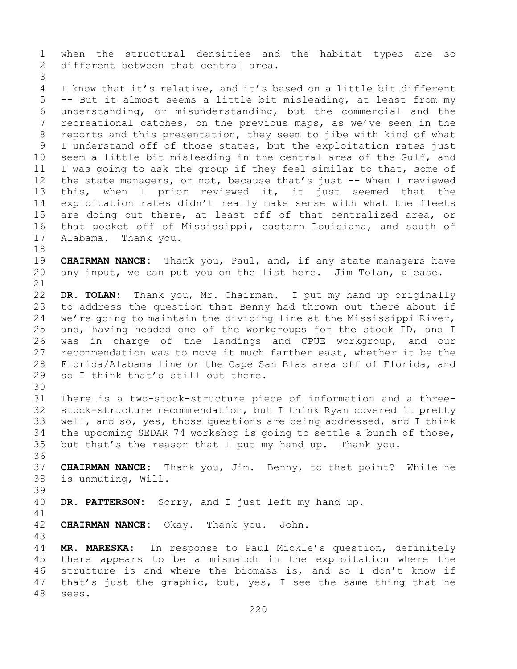1 when the structural densities and the habitat types are so<br>2 different between that central area. different between that central area. 3

I know that it's relative, and it's based on a little bit different 5 -- But it almost seems a little bit misleading, at least from my 6 understanding, or misunderstanding, but the commercial and the<br>7 recreational catches, on the previous maps, as we've seen in the 7 recreational catches, on the previous maps, as we've seen in the<br>8 reports and this presentation, they seem to jibe with kind of what 8 reports and this presentation, they seem to jibe with kind of what<br>9 I understand off of those states, but the exploitation rates just 9 I understand off of those states, but the exploitation rates just<br>10 seem a little bit misleading in the central area of the Gulf, and 10 seem a little bit misleading in the central area of the Gulf, and<br>11 I was going to ask the group if they feel similar to that, some of 11 I was going to ask the group if they feel similar to that, some of<br>12 the state managers, or not, because that's just -- When I reviewed the state managers, or not, because that's just -- When I reviewed 13 this, when I prior reviewed it, it just seemed that the 14 exploitation rates didn't really make sense with what the fleets<br>15 are doing out there, at least off of that centralized area, or 15 are doing out there, at least off of that centralized area, or<br>16 that pocket off of Mississippi, eastern Louisiana, and south of 16 that pocket off of Mississippi, eastern Louisiana, and south of<br>17 Alabama. Thank you. Alabama. Thank you.

18<br>19 19 **CHAIRMAN NANCE:** Thank you, Paul, and, if any state managers have any input, we can put you on the list here. Jim Tolan, please.

21<br>22 22 **DR. TOLAN:** Thank you, Mr. Chairman. I put my hand up originally 23 to address the question that Benny had thrown out there about if<br>24 we're going to maintain the dividing line at the Mississippi River. 24 we're going to maintain the dividing line at the Mississippi River,<br>25 and, having headed one of the workgroups for the stock ID, and I 25 and, having headed one of the workgroups for the stock ID, and I<br>26 was in charge of the landings and CPUE workgroup, and our 26 was in charge of the landings and CPUE workgroup, and our<br>27 recommendation was to move it much farther east, whether it be the recommendation was to move it much farther east, whether it be the 28 Florida/Alabama line or the Cape San Blas area off of Florida, and<br>29 so I think that's still out there. so I think that's still out there.

- 30<br>31 31 There is a two-stock-structure piece of information and a three-<br>32 stock-structure recommendation, but I think Rvan covered it pretty stock-structure recommendation, but I think Ryan covered it pretty 33 well, and so, yes, those questions are being addressed, and I think<br>34 the upcoming SEDAR 74 workshop is going to settle a bunch of those, 34 the upcoming SEDAR 74 workshop is going to settle a bunch of those,<br>35 but that's the reason that I put my hand up. Thank you. but that's the reason that I put my hand up. Thank you.
- 36<br>37 37 **CHAIRMAN NANCE:** Thank you, Jim. Benny, to that point? While he 38 is unmuting, Will.
- 39
- DR. PATTERSON: Sorry, and I just left my hand up.
- 41<br>42 **CHAIRMAN NANCE:** Okay. Thank you. John.

43 MR. MARESKA: In response to Paul Mickle's question, definitely 45 there appears to be a mismatch in the exploitation where the 46 structure is and where the biomass is, and so I don't know if<br>47 that's just the graphic, but, yes, I see the same thing that he 47 that's just the graphic, but, yes, I see the same thing that he sees. sees.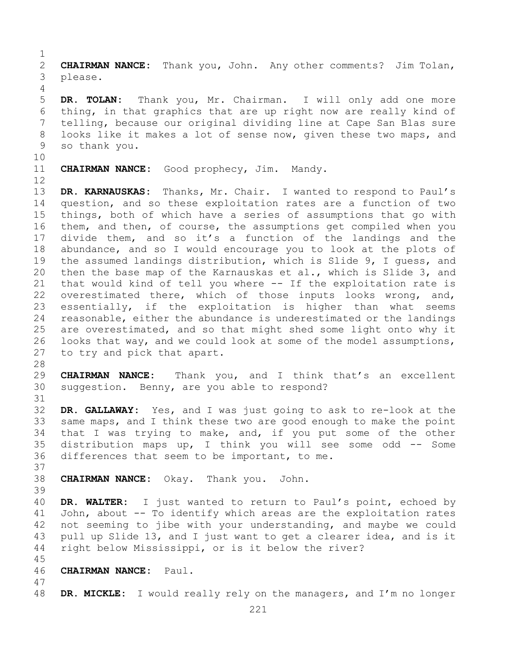$\frac{1}{2}$ 2 **CHAIRMAN NANCE:** Thank you, John. Any other comments? Jim Tolan,<br>3 please. please.

5 **DR. TOLAN:** Thank you, Mr. Chairman. I will only add one more 6 thing, in that graphics that are up right now are really kind of 7 telling, because our original dividing line at Cape San Blas sure<br>8 looks like it makes a lot of sense now, given these two maps, and 8 looks like it makes a lot of sense now, given these two maps, and<br>9 so thank you. so thank you.

10<br>11

4

**CHAIRMAN NANCE:** Good prophecy, Jim. Mandy.

12<br>13

DR. KARNAUSKAS: Thanks, Mr. Chair. I wanted to respond to Paul's 14 question, and so these exploitation rates are a function of two 15 things, both of which have a series of assumptions that go with<br>16 them, and then, of course, the assumptions get compiled when you 16 them, and then, of course, the assumptions get compiled when you<br>17 divide them, and so it's a function of the landings and the 17 divide them, and so it's a function of the landings and the<br>18 abundance, and so I would encourage you to look at the plots of 18 abundance, and so I would encourage you to look at the plots of<br>19 the assumed landings distribution, which is Slide 9, I quess, and 19 the assumed landings distribution, which is Slide 9, I guess, and<br>20 then the base map of the Karnauskas et al., which is Slide 3, and 20 then the base map of the Karnauskas et al., which is Slide 3, and<br>21 that would kind of tell you where -- If the exploitation rate is 21 that would kind of tell you where -- If the exploitation rate is<br>22 overestimated there, which of those inputs looks wrong, and, 22 overestimated there, which of those inputs looks wrong, and,<br>23 essentially, if the exploitation is higher than what seems 23 essentially, if the exploitation is higher than what seems<br>24 reasonable, either the abundance is underestimated or the landings 24 reasonable, either the abundance is underestimated or the landings<br>25 are overestimated, and so that might shed some light onto why it 25 are overestimated, and so that might shed some light onto why it<br>26 looks that way, and we could look at some of the model assumptions, 26 looks that way, and we could look at some of the model assumptions,<br>27 to try and pick that apart. to try and pick that apart.

28<br>29

29 **CHAIRMAN NANCE:** Thank you, and I think that's an excellent<br>30 suggestion. Benny, are you able to respond? suggestion. Benny, are you able to respond?

31<br>32 DR. GALLAWAY: Yes, and I was just going to ask to re-look at the 33 same maps, and I think these two are good enough to make the point<br>34 that I was trying to make, and, if you put some of the other 34 that I was trying to make, and, if you put some of the other<br>35 distribution maps up, I think you will see some odd -- Some 35 distribution maps up, I think you will see some odd -- Some<br>36 differences that seem to be important, to me. differences that seem to be important, to me.

37

38 **CHAIRMAN NANCE:** Okay. Thank you. John.

39

40 **DR. WALTER:** I just wanted to return to Paul's point, echoed by 41 John, about -- To identify which areas are the exploitation rates<br>42 not seeming to jibe with your understanding, and maybe we could 42 not seeming to jibe with your understanding, and maybe we could<br>43 pull up Slide 13, and I just want to get a clearer idea, and is it 43 pull up Slide 13, and I just want to get a clearer idea, and is it<br>44 right below Mississippi, or is it below the river? right below Mississippi, or is it below the river?

- 45<br>46
- 46 **CHAIRMAN NANCE:** Paul.
- 47 DR. MICKLE: I would really rely on the managers, and I'm no longer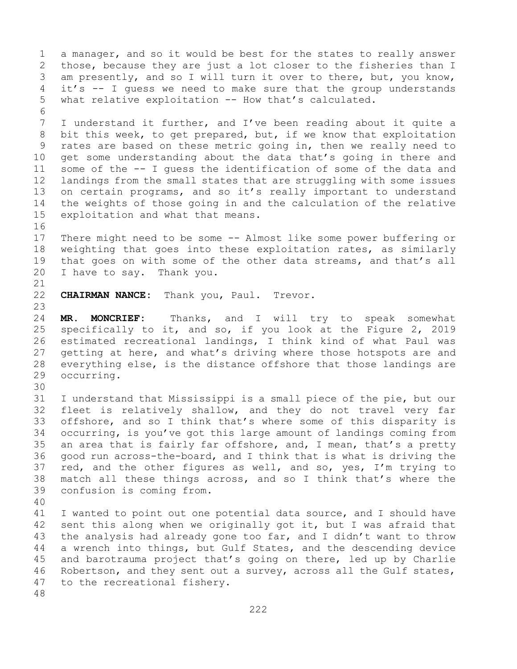1 a manager, and so it would be best for the states to really answer<br>2 those, because they are just a lot closer to the fisheries than I 2 those, because they are just a lot closer to the fisheries than I<br>3 am presently, and so I will turn it over to there, but, you know, 3 am presently, and so I will turn it over to there, but, you know,<br>4 it's -- I quess we need to make sure that the group understands it's -- I quess we need to make sure that the group understands 5 what relative exploitation -- How that's calculated. 6<br>7 7 I understand it further, and I've been reading about it quite a<br>8 bit this week, to get prepared, but, if we know that exploitation 8 bit this week, to get prepared, but, if we know that exploitation<br>9 rates are based on these metric going in, then we really need to 9 rates are based on these metric going in, then we really need to<br>10 get some understanding about the data that's going in there and 10 get some understanding about the data that's going in there and<br>11 some of the -- I quess the identification of some of the data and 11 some of the -- I guess the identification of some of the data and<br>12 landings from the small states that are struggling with some issues 12 landings from the small states that are struggling with some issues<br>13 on certain programs, and so it's really important to understand on certain programs, and so it's really important to understand 14 the weights of those going in and the calculation of the relative<br>15 exploitation and what that means. exploitation and what that means. 16<br>17 17 There might need to be some -- Almost like some power buffering or<br>18 weighting that goes into these exploitation rates, as similarly 18 weighting that goes into these exploitation rates, as similarly<br>19 that goes on with some of the other data streams, and that's all 19 that goes on with some of the other data streams, and that's all<br>20 I have to sav. Thank you. I have to say. Thank you. 21<br>22 CHAIRMAN NANCE: Thank you, Paul. Trevor. 23 24 **MR. MONCRIEF:** Thanks, and I will try to speak somewhat<br>25 specifically to it, and so, if you look at the Figure 2, 2019 25 specifically to it, and so, if you look at the Figure 2, 2019<br>26 estimated recreational landings, I think kind of what Paul was 26 estimated recreational landings, I think kind of what Paul was<br>27 qetting at here, and what's driving where those hotspots are and getting at here, and what's driving where those hotspots are and 28 everything else, is the distance offshore that those landings are<br>29 occurring. occurring. 30<br>31 31 I understand that Mississippi is a small piece of the pie, but our<br>32 fleet is relatively shallow, and they do not travel very far fleet is relatively shallow, and they do not travel very far 33 offshore, and so I think that's where some of this disparity is<br>34 occurring, is you've got this large amount of landings coming from 34 occurring, is you've got this large amount of landings coming from<br>35 an area that is fairly far offshore, and, I mean, that's a pretty 35 an area that is fairly far offshore, and, I mean, that's a pretty<br>36 qood run across-the-board, and I think that is what is driving the good run across-the-board, and I think that is what is driving the 37 red, and the other figures as well, and so, yes, I'm trying to 38 match all these things across, and so I think that's where the confusion is coming from. confusion is coming from. 40 41 I wanted to point out one potential data source, and I should have<br>42 sent this along when we originally got it, but I was afraid that 42 sent this along when we originally got it, but I was afraid that<br>43 the analysis had already gone too far, and I didn't want to throw 43 the analysis had already gone too far, and I didn't want to throw<br>44 a wrench into things, but Gulf States, and the descending device a wrench into things, but Gulf States, and the descending device 45 and barotrauma project that's going on there, led up by Charlie 46 Robertson, and they sent out a survey, across all the Gulf states,<br>47 to the recreational fisherv. to the recreational fishery. 48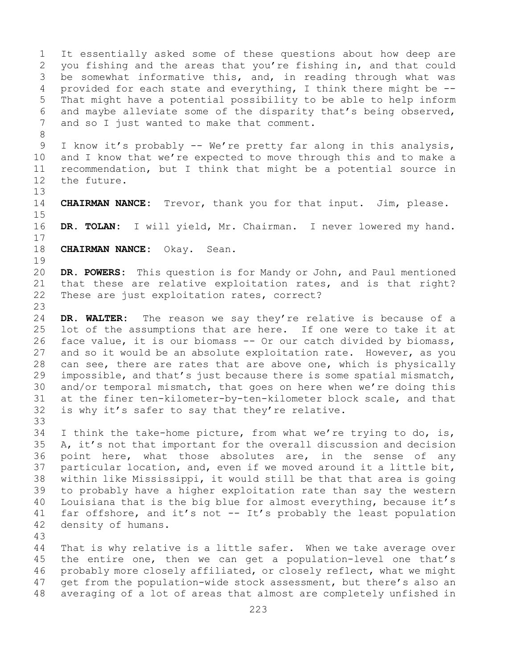1 It essentially asked some of these questions about how deep are<br>2 you fishing and the areas that you're fishing in, and that could 2 you fishing and the areas that you're fishing in, and that could<br>3 be somewhat informative this, and, in reading through what was 3 be somewhat informative this, and, in reading through what was<br>4 provided for each state and everything, I think there might be -provided for each state and everything, I think there might be  $-$ -5 That might have a potential possibility to be able to help inform 6 and maybe alleviate some of the disparity that's being observed,<br>7 and so I just wanted to make that comment. and so I just wanted to make that comment. 8<br>9 9 I know it's probably -- We're pretty far along in this analysis,<br>10 and I know that we're expected to move through this and to make a 10 and I know that we're expected to move through this and to make a<br>11 recommendation, but I think that might be a potential source in 11 recommendation, but I think that might be a potential source in<br>12 the future. the future. 13 14 **CHAIRMAN NANCE:** Trevor, thank you for that input. Jim, please.  $15$ <br> $16$ DR. TOLAN: I will yield, Mr. Chairman. I never lowered my hand.  $\begin{array}{c} 17 \\ 18 \end{array}$ 18 **CHAIRMAN NANCE:** Okay. Sean.  $\begin{array}{c} 19 \\ 20 \end{array}$ 20 **DR. POWERS:** This question is for Mandy or John, and Paul mentioned 21 that these are relative exploitation rates, and is that right?<br>22 These are just exploitation rates, correct? These are just exploitation rates, correct? 23 24 **DR. WALTER:** The reason we say they're relative is because of a<br>25 lot of the assumptions that are here. If one were to take it at 25 lot of the assumptions that are here. If one were to take it at<br>26 face value, it is our biomass -- Or our catch divided by biomass, 26 face value, it is our biomass -- Or our catch divided by biomass,<br>27 and so it would be an absolute exploitation rate. However, as vou and so it would be an absolute exploitation rate. However, as you 28 can see, there are rates that are above one, which is physically<br>29 impossible, and that's just because there is some spatial mismatch, 29 impossible, and that's just because there is some spatial mismatch,<br>30 and/or temporal mismatch, that goes on here when we're doing this 30 and/or temporal mismatch, that goes on here when we're doing this<br>31 at the finer ten-kilometer-by-ten-kilometer block scale, and that 31 at the finer ten-kilometer-by-ten-kilometer block scale, and that<br>32 is why it's safer to say that they're relative. is why it's safer to say that they're relative. 33<br>34 34 I think the take-home picture, from what we're trying to do, is,  $\overline{35}$  A, it's not that important for the overall discussion and decision 35 A, it's not that important for the overall discussion and decision<br>36 point here, what those absolutes are, in the sense of any point here, what those absolutes are, in the sense of any 37 particular location, and, even if we moved around it a little bit, 38 within like Mississippi, it would still be that that area is going<br>39 to probably have a higher exploitation rate than say the western 39 to probably have a higher exploitation rate than say the western<br>40 Louisiana that is the big blue for almost everything, because it's 40 Louisiana that is the big blue for almost everything, because it's  $41$  far offshore, and it's not  $- - It's$  probably the least population 41 far offshore, and it's not -- It's probably the least population<br>42 density of humans. density of humans. 43 That is why relative is a little safer. When we take average over 45 the entire one, then we can get a population-level one that's 46 probably more closely affiliated, or closely reflect, what we might<br>47 qet from the population-wide stock assessment, but there's also an 47 get from the population-wide stock assessment, but there's also an<br>48 averaging of a lot of areas that almost are completely unfished in averaging of a lot of areas that almost are completely unfished in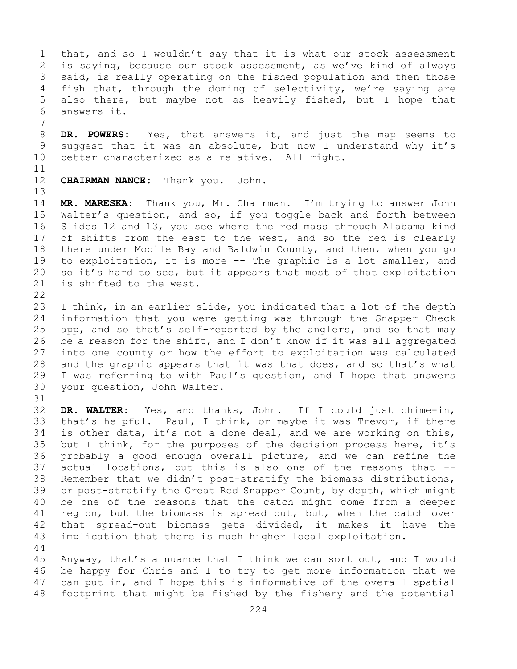1 that, and so I wouldn't say that it is what our stock assessment<br>2 is saying, because our stock assessment, as we've kind of always 2 is saying, because our stock assessment, as we've kind of always<br>3 said, is really operating on the fished population and then those 3 said, is really operating on the fished population and then those<br>4 fish that, through the doming of selectivity, we're saying are 4 fish that, through the doming of selectivity, we're saying are<br>5 also there, but maybe not as heavily fished, but I hope that also there, but maybe not as heavily fished, but I hope that 6 answers it.

7 8 **DR. POWERS:** Yes, that answers it, and just the map seems to<br>9 suggest that it was an absolute, but now I understand why it's 9 suggest that it was an absolute, but now I understand why it's<br>10 better characterized as a relative. All right. better characterized as a relative. All right.

11<br>12

13

**CHAIRMAN NANCE:** Thank you. John.

14 **MR. MARESKA:** Thank you, Mr. Chairman. I'm trying to answer John 15 Walter's question, and so, if you toggle back and forth between<br>16 Slides 12 and 13, you see where the red mass through Alabama kind 16 Slides 12 and 13, you see where the red mass through Alabama kind<br>17 of shifts from the east to the west, and so the red is clearly 17 of shifts from the east to the west, and so the red is clearly<br>18 there under Mobile Bay and Baldwin County, and then, when you go 18 there under Mobile Bay and Baldwin County, and then, when you go<br>19 to exploitation, it is more -- The graphic is a lot smaller, and 19 to exploitation, it is more -- The graphic is a lot smaller, and<br>20 so it's hard to see, but it appears that most of that exploitation 20 so it's hard to see, but it appears that most of that exploitation<br>21 is shifted to the west. is shifted to the west.

 $\begin{array}{c} 22 \\ 23 \end{array}$ 23 I think, in an earlier slide, you indicated that a lot of the depth<br>24 information that you were getting was through the Snapper Check 24 information that you were getting was through the Snapper Check<br>25 app, and so that's self-reported by the anglers, and so that may 25 app, and so that's self-reported by the anglers, and so that may<br>26 be a reason for the shift, and I don't know if it was all aggregated 26 be a reason for the shift, and I don't know if it was all aggregated<br>27 into one county or how the effort to exploitation was calculated into one county or how the effort to exploitation was calculated 28 and the graphic appears that it was that does, and so that's what<br>29 I was referring to with Paul's question, and I hope that answers 29 I was referring to with Paul's question, and I hope that answers<br>30 your question, John Walter. your question, John Walter.

31<br>32

DR. WALTER: Yes, and thanks, John. If I could just chime-in, 33 that's helpful. Paul, I think, or maybe it was Trevor, if there<br>34 is other data, it's not a done deal, and we are working on this, 34 is other data, it's not a done deal, and we are working on this,<br>35 but I think, for the purposes of the decision process here, it's 35 but I think, for the purposes of the decision process here, it's<br>36 probably a good enough overall picture, and we can refine the 36 probably a good enough overall picture, and we can refine the<br>37 actual locations, but this is also one of the reasons that --37 actual locations, but this is also one of the reasons that  $-$ -<br>38 Remember that we didn't post-stratify the biomass distributions, 38 Remember that we didn't post-stratify the biomass distributions,<br>39 or post-stratify the Great Red Snapper Count, by depth, which might 39 or post-stratify the Great Red Snapper Count, by depth, which might<br>40 be one of the reasons that the catch might come from a deeper 40 be one of the reasons that the catch might come from a deeper<br>41 region, but the biomass is spread out, but, when the catch over 41 region, but the biomass is spread out, but, when the catch over<br>42 that spread-out biomass gets divided, it makes it have the 42 that spread-out biomass gets divided, it makes it have the<br>43 implication that there is much higher local exploitation. implication that there is much higher local exploitation. 44

45 Anyway, that's a nuance that I think we can sort out, and I would 46 be happy for Chris and I to try to get more information that we<br>47 can put in, and I hope this is informative of the overall spatial 47 can put in, and I hope this is informative of the overall spatial<br>48 footprint that might be fished by the fishery and the potential footprint that might be fished by the fishery and the potential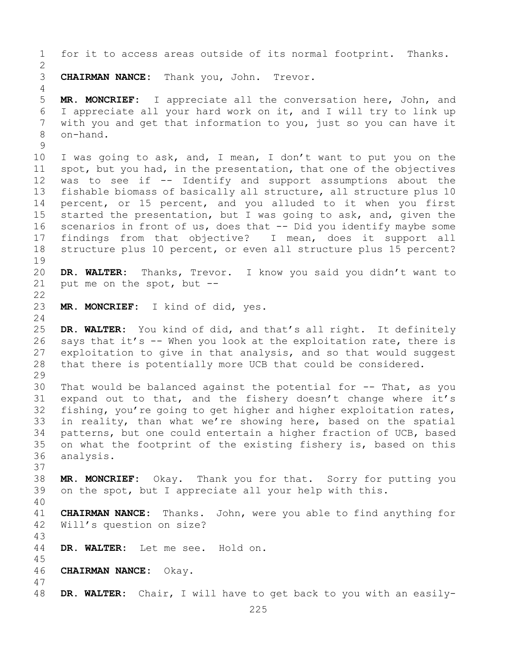1 for it to access areas outside of its normal footprint. Thanks.  $\frac{2}{3}$ 3 **CHAIRMAN NANCE:** Thank you, John. Trevor. 4 5 **MR. MONCRIEF:** I appreciate all the conversation here, John, and 6 I appreciate all your hard work on it, and I will try to link up 7 with you and get that information to you, just so you can have it 8 on-hand.  $\begin{array}{c} 9 \\ 10 \end{array}$ 10 I was going to ask, and, I mean, I don't want to put you on the<br>11 spot, but you had, in the presentation, that one of the objectives 11 spot, but you had, in the presentation, that one of the objectives<br>12 was to see if -- Identify and support assumptions about the 12 was to see if -- Identify and support assumptions about the<br>13 fishable biomass of basically all structure, all structure plus 10 fishable biomass of basically all structure, all structure plus 10 14 percent, or 15 percent, and you alluded to it when you first<br>15 started the presentation, but I was going to ask, and, given the 15 started the presentation, but I was going to ask, and, given the<br>16 scenarios in front of us, does that -- Did you identify maybe some 16 scenarios in front of us, does that -- Did you identify maybe some<br>17 findings from that objective? I mean, does it support all 17 findings from that objective? I mean, does it support all<br>18 structure plus 10 percent, or even all structure plus 15 percent? structure plus 10 percent, or even all structure plus 15 percent? 19<br>20 20 **DR. WALTER:** Thanks, Trevor. I know you said you didn't want to put me on the spot, but  $-$ - $\begin{array}{c} 22 \\ 23 \end{array}$ MR. MONCRIEF: I kind of did, yes.  $\frac{24}{25}$ 25 **DR. WALTER:** You kind of did, and that's all right. It definitely<br>26 says that it's -- When you look at the exploitation rate, there is 26 says that it's -- When you look at the exploitation rate, there is<br>27 exploitation to give in that analysis, and so that would suggest exploitation to give in that analysis, and so that would suggest 28 that there is potentially more UCB that could be considered. 29<br>30 30 That would be balanced against the potential for  $-$ - That, as you<br>31 expand out to that, and the fishery doesn't change where it's 31 expand out to that, and the fishery doesn't change where it's<br>32 fishing, you're going to get higher and higher exploitation rates, fishing, you're going to get higher and higher exploitation rates, 33 in reality, than what we're showing here, based on the spatial<br>34 patterns, but one could entertain a higher fraction of UCB, based 34 patterns, but one could entertain a higher fraction of UCB, based<br>35 on what the footprint of the existing fishery is, based on this 35 on what the footprint of the existing fishery is, based on this 36 analysis. analysis. 37 38 **MR. MONCRIEF:** Okay. Thank you for that. Sorry for putting you on the spot, but I appreciate all your help with this. 40 41 **CHAIRMAN NANCE:** Thanks. John, were you able to find anything for Will's question on size? 43 DR. WALTER: Let me see. Hold on. 45 46 **CHAIRMAN NANCE:** Okay. 47 DR. WALTER: Chair, I will have to get back to you with an easily-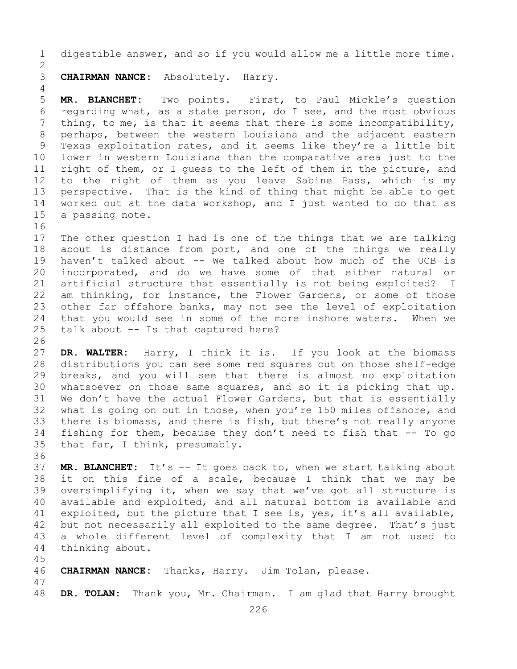1 digestible answer, and so if you would allow me a little more time.  $\frac{2}{3}$ 3 **CHAIRMAN NANCE:** Absolutely. Harry. 4 5 **MR. BLANCHET:** Two points. First, to Paul Mickle's question 6 regarding what, as a state person, do I see, and the most obvious<br>7 thing, to me, is that it seems that there is some incompatibility, 7 thing, to me, is that it seems that there is some incompatibility,<br>8 perhaps, between the western Louisiana and the adjacent eastern 8 perhaps, between the western Louisiana and the adjacent eastern<br>9 Texas exploitation rates, and it seems like they're a little bit 9 Texas exploitation rates, and it seems like they're a little bit<br>10 lower in western Louisiana than the comparative area just to the 10 lower in western Louisiana than the comparative area just to the<br>11 right of them, or I quess to the left of them in the picture, and 11 right of them, or I guess to the left of them in the picture, and<br>12 to the right of them as you leave Sabine Pass, which is my 12 to the right of them as you leave Sabine Pass, which is my<br>13 perspective. That is the kind of thing that might be able to get perspective. That is the kind of thing that might be able to get 14 worked out at the data workshop, and I just wanted to do that as 15 a passing note. a passing note. 16<br>17 17 The other question I had is one of the things that we are talking<br>18 about is distance from port, and one of the things we really 18 about is distance from port, and one of the things we really<br>19 haven't talked about -- We talked about how much of the UCB is 19 haven't talked about -- We talked about how much of the UCB is<br>20 incorporated, and do we have some of that either natural or 20 incorporated, and do we have some of that either natural or<br>21 artificial structure that essentially is not being exploited? I 21 artificial structure that essentially is not being exploited? I<br>22 am thinking, for instance, the Flower Gardens, or some of those 22 am thinking, for instance, the Flower Gardens, or some of those<br>23 other far offshore banks, may not see the level of exploitation 23 other far offshore banks, may not see the level of exploitation<br>24 that you would see in some of the more inshore waters. When we 24 that you would see in some of the more inshore waters.<br>25 talk about  $-$  Is that captured here? talk about  $--$  Is that captured here? 26<br>27 DR. WALTER: Harry, I think it is. If you look at the biomass 28 distributions you can see some red squares out on those shelf-edge<br>29 breaks, and you will see that there is almost no exploitation 29 breaks, and you will see that there is almost no exploitation<br>30 whatsoever on those same squares, and so it is picking that up. 30 whatsoever on those same squares, and so it is picking that up.<br>31 We don't have the actual Flower Gardens, but that is essentially 31 We don't have the actual Flower Gardens, but that is essentially<br>32 what is going on out in those, when you're 150 miles offshore, and what is going on out in those, when you're 150 miles offshore, and 33 there is biomass, and there is fish, but there's not really anyone<br>34 fishing for them, because they don't need to fish that -- To go 34 fishing for them, because they don't need to fish that  $-$ - To go 35 that far, I think, presumably. that far, I think, presumably. 36<br>37 37 **MR. BLANCHET:** It's -- It goes back to, when we start talking about

38 it on this fine of a scale, because I think that we may be<br>39 oversimplifying it, when we say that we've got all structure is 39 oversimplifying it, when we say that we've got all structure is<br>40 available and exploited, and all natural bottom is available and 40 available and exploited, and all natural bottom is available and<br>41 exploited, but the picture that I see is, yes, it's all available, 41 exploited, but the picture that I see is, yes, it's all available,<br>42 but not necessarily all exploited to the same degree. That's just 42 but not necessarily all exploited to the same degree. That's just<br>43 a whole different level of complexity that I am not used to 43 a whole different level of complexity that I am not used to 44 thinking about. thinking about.

45<br>46 46 **CHAIRMAN NANCE:** Thanks, Harry. Jim Tolan, please.

47 DR. TOLAN: Thank you, Mr. Chairman. I am glad that Harry brought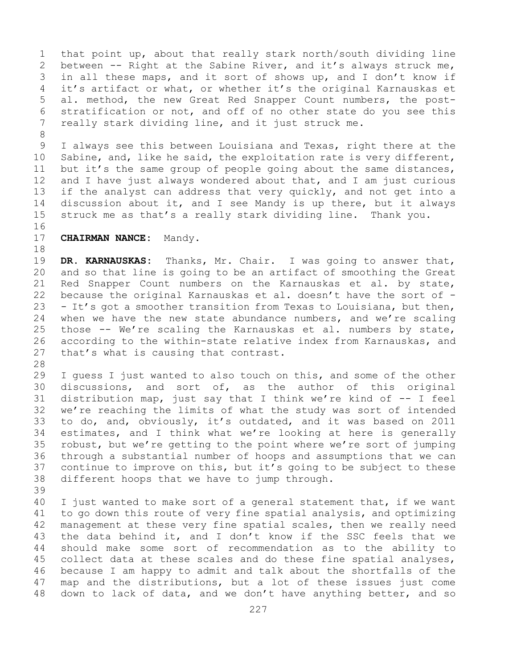1 that point up, about that really stark north/south dividing line<br>2 between -- Right at the Sabine River, and it's always struck me, 2 between -- Right at the Sabine River, and it's always struck me,<br>3 in all these maps, and it sort of shows up, and I don't know if 3 in all these maps, and it sort of shows up, and I don't know if<br>4 it's artifact or what, or whether it's the original Karnauskas et it's artifact or what, or whether it's the original Karnauskas et 5 al. method, the new Great Red Snapper Count numbers, the post-6 stratification or not, and off of no other state do you see this<br>7 really stark dividing line, and it just struck me. really stark dividing line, and it just struck me.

8<br>9 9 I always see this between Louisiana and Texas, right there at the<br>10 Sabine, and, like he said, the exploitation rate is very different, 10 Sabine, and, like he said, the exploitation rate is very different,<br>11 but it's the same group of people going about the same distances, 11 but it's the same group of people going about the same distances,<br>12 and I have just always wondered about that, and I am just curious 12 and I have just always wondered about that, and I am just curious<br>13 if the analyst can address that very quickly, and not get into a if the analyst can address that very quickly, and not get into a 14 discussion about it, and I see Mandy is up there, but it always<br>15 struck me as that's a really stark dividing line. Thank you. struck me as that's a really stark dividing line. Thank you.

## 16<br>17

**CHAIRMAN NANCE:** Mandy.

18<br>19 19 **DR. KARNAUSKAS:** Thanks, Mr. Chair. I was going to answer that,<br>20 and so that line is going to be an artifact of smoothing the Great 20 and so that line is going to be an artifact of smoothing the Great<br>21 Red Snapper Count numbers on the Karnauskas et al. by state, 21 Red Snapper Count numbers on the Karnauskas et al. by state,<br>22 because the original Karnauskas et al. doesn't have the sort of -22 because the original Karnauskas et al. doesn't have the sort of  $-$  23  $-$  It's got a smoother transition from Texas to Louisiana, but then, 23 - It's got a smoother transition from Texas to Louisiana, but then,<br>24 when we have the new state abundance numbers, and we're scaling 24 when we have the new state abundance numbers, and we're scaling<br>25 those -- We're scaling the Karnauskas et al. numbers by state, 25 those -- We're scaling the Karnauskas et al. numbers by state,<br>26 according to the within-state relative index from Karnauskas, and 26 according to the within-state relative index from Karnauskas, and<br>27 that's what is causing that contrast. that's what is causing that contrast.

28<br>29

29 I guess I just wanted to also touch on this, and some of the other<br>30 discussions, and sort of, as the author of this original 30 discussions, and sort of, as the author of this original<br>31 distribution map, just say that I think we're kind of  $-$ - I feel 31 distribution map, just say that I think we're kind of  $-$ - I feel<br>32 we're reaching the limits of what the study was sort of intended we're reaching the limits of what the study was sort of intended 33 to do, and, obviously, it's outdated, and it was based on 2011<br>34 estimates, and I think what we're looking at here is generally 34 estimates, and I think what we're looking at here is generally<br>35 robust, but we're getting to the point where we're sort of jumping 35 robust, but we're getting to the point where we're sort of jumping<br>36 through a substantial number of hoops and assumptions that we can 36 through a substantial number of hoops and assumptions that we can<br>37 continue to improve on this, but it's going to be subject to these continue to improve on this, but it's going to be subject to these 38 different hoops that we have to jump through.

39

40 I just wanted to make sort of a general statement that, if we want<br>41 to go down this route of very fine spatial analysis, and optimizing 41 to go down this route of very fine spatial analysis, and optimizing<br>42 management at these very fine spatial scales, then we really need 42 management at these very fine spatial scales, then we really need<br>43 the data behind it, and I don't know if the SSC feels that we 43 the data behind it, and I don't know if the SSC feels that we<br>44 should make some sort of recommendation as to the ability to should make some sort of recommendation as to the ability to 45 collect data at these scales and do these fine spatial analyses, 46 because I am happy to admit and talk about the shortfalls of the<br>47 map and the distributions, but a lot of these issues just come 47 map and the distributions, but a lot of these issues just come<br>48 down to lack of data, and we don't have anything better, and so down to lack of data, and we don't have anything better, and so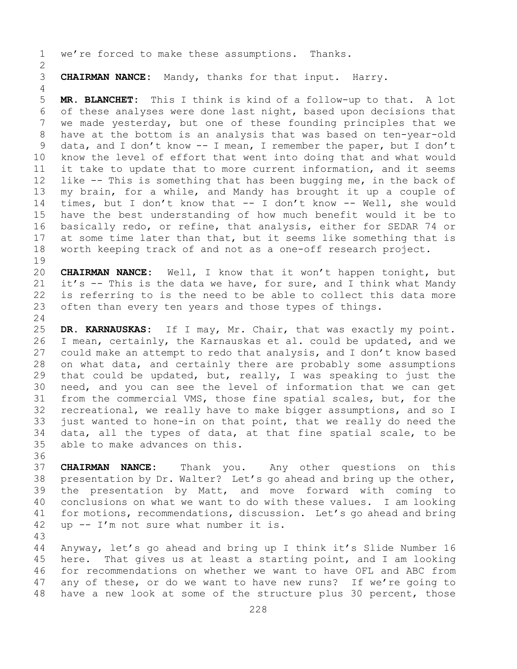1 we're forced to make these assumptions. Thanks.

 $\frac{2}{3}$ 3 **CHAIRMAN NANCE:** Mandy, thanks for that input. Harry.

5 **MR. BLANCHET:** This I think is kind of a follow-up to that. A lot 6 of these analyses were done last night, based upon decisions that<br>7 we made vesterdav, but one of these founding principles that we 7 we made yesterday, but one of these founding principles that we<br>8 have at the bottom is an analysis that was based on ten-year-old 8 have at the bottom is an analysis that was based on ten-year-old<br>9 data, and I don't know -- I mean, I remember the paper, but I don't 9 data, and I don't know -- I mean, I remember the paper, but I don't<br>10 know the level of effort that went into doing that and what would 10 know the level of effort that went into doing that and what would<br>11 it take to update that to more current information, and it seems 11 it take to update that to more current information, and it seems<br>12 like -- This is something that has been bugging me, in the back of like  $-$ - This is something that has been bugging me, in the back of 13 my brain, for a while, and Mandy has brought it up a couple of 14 times, but I don't know that -- I don't know -- Well, she would<br>15 have the best understanding of how much benefit would it be to 15 have the best understanding of how much benefit would it be to<br>16 basically redo, or refine, that analysis, either for SEDAR 74 or 16 basically redo, or refine, that analysis, either for SEDAR 74 or<br>17 at some time later than that, but it seems like something that is 17 at some time later than that, but it seems like something that is<br>18 worth keeping track of and not as a one-off research project. worth keeping track of and not as a one-off research project.

 $\begin{array}{c} 19 \\ 20 \end{array}$ 20 **CHAIRMAN NANCE:** Well, I know that it won't happen tonight, but<br>21 it's -- This is the data we have, for sure, and I think what Mandy 21 it's -- This is the data we have, for sure, and I think what Mandy<br>22 is referring to is the need to be able to collect this data more 22 is referring to is the need to be able to collect this data more<br>23 often than every ten years and those types of things. often than every ten years and those types of things.

 $\frac{24}{25}$ 25 **DR. KARNAUSKAS:** If I may, Mr. Chair, that was exactly my point. 26 I mean, certainly, the Karnauskas et al. could be updated, and we<br>27 could make an attempt to redo that analysis, and I don't know based 27 could make an attempt to redo that analysis, and I don't know based<br>28 on what data, and certainly there are probably some assumptions 28 on what data, and certainly there are probably some assumptions<br>29 that could be updated, but, really, I was speaking to just the 29 that could be updated, but, really, I was speaking to just the<br>30 need, and you can see the level of information that we can get 30 need, and you can see the level of information that we can get<br>31 from the commercial VMS, those fine spatial scales, but, for the 31 from the commercial VMS, those fine spatial scales, but, for the<br>32 recreational, we really have to make bigger assumptions, and so I recreational, we really have to make bigger assumptions, and so I 33 just wanted to hone-in on that point, that we really do need the<br>34 data, all the types of data, at that fine spatial scale, to be 34 data, all the types of data, at that fine spatial scale, to be 35 able to make advances on this. able to make advances on this.

36<br>37 37 **CHAIRMAN NANCE:** Thank you. Any other questions on this 38 presentation by Dr. Walter? Let's go ahead and bring up the other,<br>39 the presentation by Matt, and move forward with coming to 39 the presentation by Matt, and move forward with coming to<br>40 conclusions on what we want to do with these values. I am looking 40 conclusions on what we want to do with these values. I am looking<br>41 for motions, recommendations, discussion. Let's go ahead and bring 41 for motions, recommendations, discussion. Let's go ahead and bring<br>42 up -- I'm not sure what number it is. up  $-$  I'm not sure what number it is.

43

4

Anyway, let's go ahead and bring up I think it's Slide Number 16 45 here. That gives us at least a starting point, and I am looking 46 for recommendations on whether we want to have OFL and ABC from<br>47 any of these, or do we want to have new runs? If we're going to 47 any of these, or do we want to have new runs? If we're going to 48 have a new look at some of the structure plus 30 percent, those have a new look at some of the structure plus 30 percent, those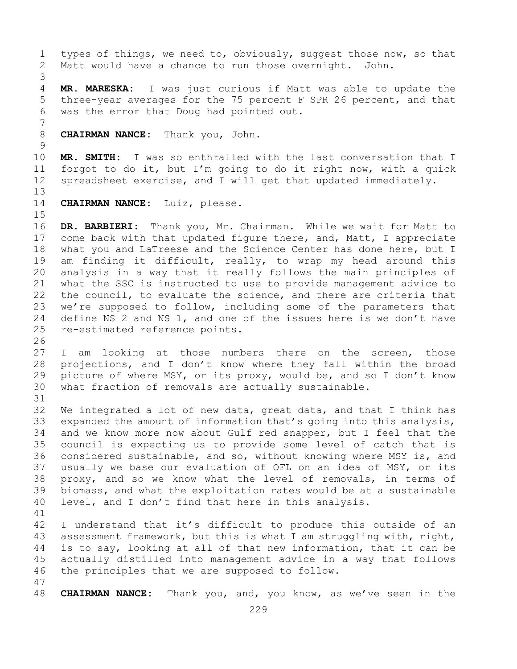1 types of things, we need to, obviously, suggest those now, so that<br>2 Matt would have a chance to run those overnight. John. Matt would have a chance to run those overnight. John.

3 MR. MARESKA: I was just curious if Matt was able to update the 5 three-year averages for the 75 percent F SPR 26 percent, and that 6 was the error that Doug had pointed out.

7 8 **CHAIRMAN NANCE:** Thank you, John.

 $\frac{9}{10}$ 10 **MR. SMITH:** I was so enthralled with the last conversation that I<br>11 forgot to do it, but I'm going to do it right now, with a guick 11 forgot to do it, but I'm going to do it right now, with a quick<br>12 spreadsheet exercise, and I will get that updated immediately. spreadsheet exercise, and I will get that updated immediately.

13

14 **CHAIRMAN NANCE:** Luiz, please.

15<br>16 16 DR. BARBIERI: Thank you, Mr. Chairman. While we wait for Matt to<br>17 come back with that updated fiqure there, and, Matt, I appreciate 17 come back with that updated figure there, and, Matt, I appreciate<br>18 what you and LaTreese and the Science Center has done here, but I 18 what you and LaTreese and the Science Center has done here, but I<br>19 am finding it difficult, really, to wrap my head around this 19 am finding it difficult, really, to wrap my head around this<br>20 analysis in a way that it really follows the main principles of analysis in a way that it really follows the main principles of 21 what the SSC is instructed to use to provide management advice to<br>22 the council, to evaluate the science, and there are criteria that 22 the council, to evaluate the science, and there are criteria that<br>23 we're supposed to follow, including some of the parameters that 23 we're supposed to follow, including some of the parameters that<br>24 define NS 2 and NS 1, and one of the issues here is we don't have 24 define NS 2 and NS 1, and one of the issues here is we don't have<br>25 re-estimated reference points. re-estimated reference points.

26<br>27 I am looking at those numbers there on the screen, those 28 projections, and I don't know where they fall within the broad<br>29 picture of where MSY, or its proxy, would be, and so I don't know 29 picture of where MSY, or its proxy, would be, and so I don't know<br>30 what fraction of removals are actually sustainable. what fraction of removals are actually sustainable.

31<br>32 We integrated a lot of new data, great data, and that I think has 33 expanded the amount of information that's going into this analysis,<br>34 and we know more now about Gulf red snapper, but I feel that the 34 and we know more now about Gulf red snapper, but I feel that the<br>35 council is expecting us to provide some level of catch that is 35 council is expecting us to provide some level of catch that is<br>36 considered sustainable, and so, without knowing where MSY is, and considered sustainable, and so, without knowing where MSY is, and 37 usually we base our evaluation of OFL on an idea of MSY, or its 38 proxy, and so we know what the level of removals, in terms of<br>39 biomass, and what the exploitation rates would be at a sustainable 39 biomass, and what the exploitation rates would be at a sustainable<br>40 level, and I don't find that here in this analysis. level, and I don't find that here in this analysis.

41<br>42 42 I understand that it's difficult to produce this outside of an<br>43 assessment framework, but this is what I am struggling with, right, 43 assessment framework, but this is what I am struggling with, right,<br>44 is to say, looking at all of that new information, that it can be is to say, looking at all of that new information, that it can be 45 actually distilled into management advice in a way that follows 46 the principles that we are supposed to follow.

47 48 **CHAIRMAN NANCE:** Thank you, and, you know, as we've seen in the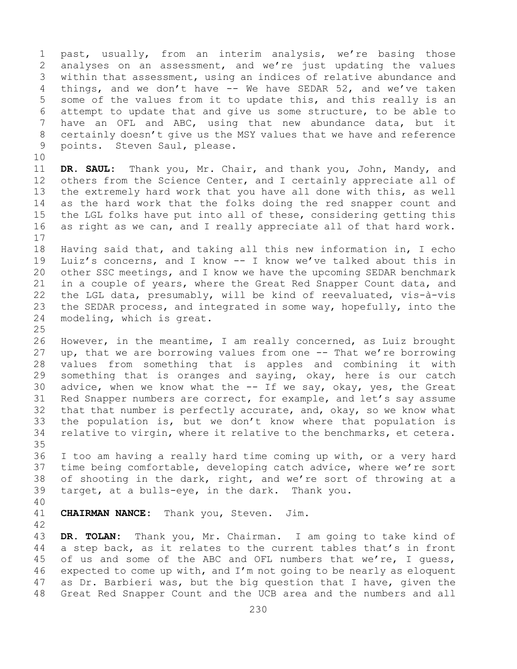1 past, usually, from an interim analysis, we're basing those<br>2 analyses on an assessment, and we're just updating the values 2 analyses on an assessment, and we're just updating the values<br>3 within that assessment, using an indices of relative abundance and 3 within that assessment, using an indices of relative abundance and<br>4 things, and we don't have -- We have SEDAR 52, and we've taken things, and we don't have  $-$  We have SEDAR 52, and we've taken 5 some of the values from it to update this, and this really is an 6 attempt to update that and give us some structure, to be able to<br>7 have an OFL and ABC, using that new abundance data, but it 7 have an OFL and ABC, using that new abundance data, but it<br>8 certainly doesn't give us the MSY values that we have and reference 8 certainly doesn't give us the MSY values that we have and reference<br>9 points. Steven Saul, please. points. Steven Saul, please. 10<br>11 11 **DR. SAUL:** Thank you, Mr. Chair, and thank you, John, Mandy, and<br>12 others from the Science Center, and I certainly appreciate all of others from the Science Center, and I certainly appreciate all of 13 the extremely hard work that you have all done with this, as well 14 as the hard work that the folks doing the red snapper count and<br>15 the LGL folks have put into all of these, considering getting this 15 the LGL folks have put into all of these, considering getting this<br>16 as right as we can, and I really appreciate all of that hard work. as right as we can, and I really appreciate all of that hard work.  $\begin{array}{c} 17 \\ 18 \end{array}$ 18 Having said that, and taking all this new information in, I echo<br>19 Luiz's concerns, and I know -- I know we've talked about this in 19 Luiz's concerns, and I know -- I know we've talked about this in<br>20 other SSC meetings, and I know we have the upcoming SEDAR benchmark 20 other SSC meetings, and I know we have the upcoming SEDAR benchmark<br>21 in a couple of years, where the Great Red Snapper Count data, and 21 in a couple of years, where the Great Red Snapper Count data, and<br>22 the LGL data, presumably, will be kind of reevaluated, vis-à-vis 22 the LGL data, presumably, will be kind of reevaluated, vis-à-vis<br>23 the SEDAR process, and integrated in some way, hopefully, into the 23 the SEDAR process, and integrated in some way, hopefully, into the 24 modeling, which is great. modeling, which is great.  $\frac{25}{26}$ 26 However, in the meantime, I am really concerned, as Luiz brought<br>27 up, that we are borrowing values from one -- That we're borrowing up, that we are borrowing values from one -- That we're borrowing 28 values from something that is apples and combining it with<br>29 something that is oranges and saying, okay, here is our catch 29 something that is oranges and saying, okay, here is our catch<br>30 advice, when we know what the -- If we say, okay, yes, the Great 30 advice, when we know what the -- If we say, okay, yes, the Great<br>31 Red Snapper numbers are correct, for example, and let's say assume 31 Red Snapper numbers are correct, for example, and let's say assume<br>32 that that number is perfectly accurate, and, okay, so we know what that that number is perfectly accurate, and, okay, so we know what 33 the population is, but we don't know where that population is<br>34 relative to virgin, where it relative to the benchmarks, et cetera. relative to virgin, where it relative to the benchmarks, et cetera. 35<br>36 I too am having a really hard time coming up with, or a very hard 37 time being comfortable, developing catch advice, where we're sort 38 of shooting in the dark, right, and we're sort of throwing at a<br>39 target, at a bulls-eye, in the dark. Thank you. target, at a bulls-eye, in the dark. Thank you. 40 CHAIRMAN NANCE: Thank you, Steven. Jim.

42 43 **DR. TOLAN:** Thank you, Mr. Chairman. I am going to take kind of a step back, as it relates to the current tables that's in front 45 of us and some of the ABC and OFL numbers that we're, I guess, 46 expected to come up with, and  $I'm$  not going to be nearly as eloquent  $47$  as Dr. Barbieri was, but the big question that I have, given the 47 as Dr. Barbieri was, but the big question that I have, given the<br>48 Great Red Snapper Count and the UCB area and the numbers and all Great Red Snapper Count and the UCB area and the numbers and all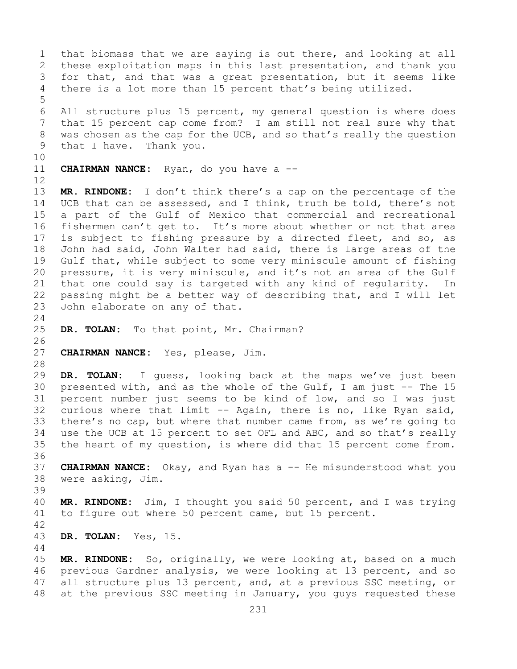1 that biomass that we are saying is out there, and looking at all<br>2 these exploitation maps in this last presentation, and thank you 2 these exploitation maps in this last presentation, and thank you<br>3 for that, and that was a great presentation, but it seems like 3 for that, and that was a great presentation, but it seems like<br>4 there is a lot more than 15 percent that's being utilized. there is a lot more than 15 percent that's being utilized. 5 6 All structure plus 15 percent, my general question is where does<br>7 that 15 percent cap come from? I am still not real sure why that 7 that 15 percent cap come from? I am still not real sure why that<br>8 was chosen as the cap for the UCB, and so that's really the question 8 was chosen as the cap for the UCB, and so that's really the question<br>9 that I have. Thank you. that I have. Thank you. 10<br>11 **CHAIRMAN NANCE:** Ryan, do you have a --12<br>13 MR. RINDONE: I don't think there's a cap on the percentage of the 14 UCB that can be assessed, and I think, truth be told, there's not<br>15 a part of the Gulf of Mexico that commercial and recreational 15 a part of the Gulf of Mexico that commercial and recreational<br>16 fishermen can't get to. It's more about whether or not that area 16 fishermen can't get to. It's more about whether or not that area<br>17 is subject to fishing pressure by a directed fleet, and so, as 17 is subject to fishing pressure by a directed fleet, and so, as<br>18 John had said, John Walter had said, there is large areas of the 18 John had said, John Walter had said, there is large areas of the<br>19 Gulf that, while subject to some very miniscule amount of fishing 19 Gulf that, while subject to some very miniscule amount of fishing<br>20 pressure, it is very miniscule, and it's not an area of the Gulf 20 pressure, it is very miniscule, and it's not an area of the Gulf<br>21 that one could say is targeted with any kind of regularity. In 21 that one could say is targeted with any kind of regularity. In<br>22 passing might be a better way of describing that, and I will let 22 passing might be a better way of describing that, and I will let<br>23 John elaborate on any of that. John elaborate on any of that.  $\frac{24}{25}$ DR. TOLAN: To that point, Mr. Chairman? 26<br>27 CHAIRMAN NANCE: Yes, please, Jim. 28<br>29 29 **DR. TOLAN:** I guess, looking back at the maps we've just been 30 presented with, and as the whole of the Gulf, I am just -- The 15<br>31 percent number just seems to be kind of low, and so I was just 31 percent number just seems to be kind of low, and so I was just<br>32 curious where that limit -- Again, there is no, like Ryan said, curious where that limit -- Again, there is no, like Ryan said, 33 there's no cap, but where that number came from, as we're going to<br>34 use the UCB at 15 percent to set OFL and ABC, and so that's really 34 use the UCB at 15 percent to set OFL and ABC, and so that's really<br>35 the heart of my question, is where did that 15 percent come from. the heart of my question, is where did that 15 percent come from. 36<br>37 **CHAIRMAN NANCE:** Okay, and Ryan has a -- He misunderstood what you 38 were asking, Jim. 39 40 **MR. RINDONE:** Jim, I thought you said 50 percent, and I was trying to figure out where 50 percent came, but 15 percent.  $42$ <br> $43$ 43 **DR. TOLAN:** Yes, 15. 44 45 **MR. RINDONE:** So, originally, we were looking at, based on a much 46 previous Gardner analysis, we were looking at 13 percent, and so<br>47 all structure plus 13 percent, and, at a previous SSC meeting, or 47 all structure plus 13 percent, and, at a previous SSC meeting, or<br>48 at the previous SSC meeting in January, you quys requested these at the previous SSC meeting in January, you guys requested these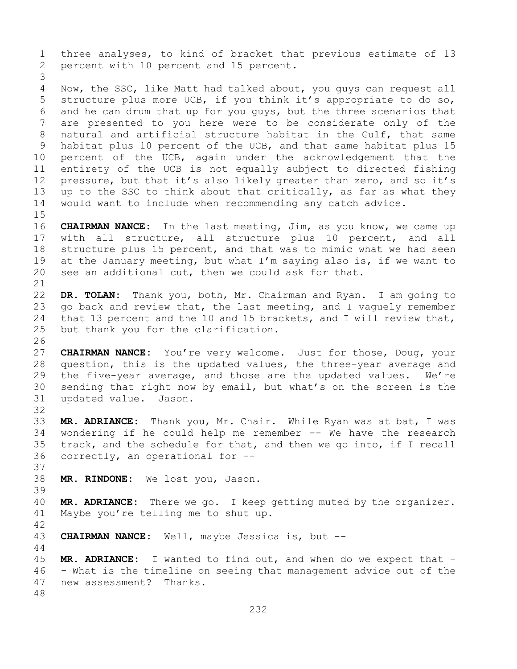1 three analyses, to kind of bracket that previous estimate of 13<br>2 percent with 10 percent and 15 percent. percent with 10 percent and 15 percent. 3 Now, the SSC, like Matt had talked about, you guys can request all 5 structure plus more UCB, if you think it's appropriate to do so, 6 and he can drum that up for you guys, but the three scenarios that<br>7 are presented to vou here were to be considerate only of the 7 are presented to you here were to be considerate only of the<br>8 natural and artificial structure habitat in the Gulf, that same 8 natural and artificial structure habitat in the Gulf, that same<br>9 habitat plus 10 percent of the UCB, and that same habitat plus 15 9 habitat plus 10 percent of the UCB, and that same habitat plus 15<br>10 percent of the UCB, again under the acknowledgement that the 10 percent of the UCB, again under the acknowledgement that the<br>11 entirety of the UCB is not equally subject to directed fishing 11 entirety of the UCB is not equally subject to directed fishing<br>12 pressure, but that it's also likely greater than zero, and so it's pressure, but that it's also likely greater than zero, and so it's 13 up to the SSC to think about that critically, as far as what they 14 would want to include when recommending any catch advice. 15<br>16 16 **CHAIRMAN NANCE:** In the last meeting, Jim, as you know, we came up<br>17 with all structure, all structure plus 10 percent, and all 17 with all structure, all structure plus 10 percent, and all<br>18 structure plus 15 percent, and that was to mimic what we had seen 18 structure plus 15 percent, and that was to mimic what we had seen<br>19 at the January meeting, but what I'm saying also is, if we want to 19 at the January meeting, but what I'm saying also is, if we want to 20 see an additional cut, then we could ask for that. see an additional cut, then we could ask for that. 21<br>22 22 **DR. TOLAN:** Thank you, both, Mr. Chairman and Ryan. I am going to 23 go back and review that, the last meeting, and I vaguely remember<br>24 that 13 percent and the 10 and 15 brackets, and I will review that, 24 that 13 percent and the 10 and 15 brackets, and I will review that,<br>25 but thank you for the clarification. but thank you for the clarification. 26<br>27 CHAIRMAN NANCE: You're very welcome. Just for those, Doug, your 28 question, this is the updated values, the three-year average and<br>29 the five-year average, and those are the updated values. We're 29 the five-year average, and those are the updated values. We're<br>30 sending that right now by email, but what's on the screen is the 30 sending that right now by email, but what's on the screen is the 31 updated value. Jason. updated value. Jason. 32<br>33 33 **MR. ADRIANCE:** Thank you, Mr. Chair. While Ryan was at bat, I was 34 wondering if he could help me remember -- We have the research<br>35 track, and the schedule for that, and then we go into, if I recall 35 track, and the schedule for that, and then we go into, if I recall  $36$  correctly, an operational for  $$ correctly, an operational for  $-$ -37 38 **MR. RINDONE:** We lost you, Jason. 39 40 **MR. ADRIANCE:** There we go. I keep getting muted by the organizer.<br>41 Maybe you're telling me to shut up. Maybe you're telling me to shut up. 42 **CHAIRMAN NANCE:** Well, maybe Jessica is, but --44 45 **MR. ADRIANCE:** I wanted to find out, and when do we expect that - 46 - What is the timeline on seeing that management advice out of the 47 new assessment? Thanks. new assessment? Thanks. 48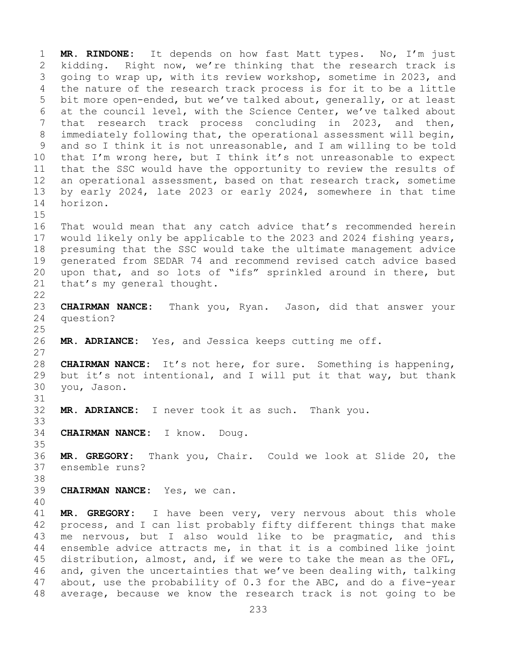1 **MR. RINDONE:** It depends on how fast Matt types. No, I'm just 2 kidding. Right now, we're thinking that the research track is<br>3 qoing to wrap up, with its review workshop, sometime in 2023, and 3 going to wrap up, with its review workshop, sometime in 2023, and<br>4 the nature of the research track process is for it to be a little the nature of the research track process is for it to be a little 5 bit more open-ended, but we've talked about, generally, or at least 6 at the council level, with the Science Center, we've talked about<br>7 that research track process concluding in 2023, and then, 7 that research track process concluding in 2023, and then,<br>8 immediately following that, the operational assessment will begin, 8 immediately following that, the operational assessment will begin,<br>9 and so I think it is not unreasonable, and I am willing to be told 9 and so I think it is not unreasonable, and I am willing to be told<br>10 that I'm wrong here, but I think it's not unreasonable to expect 10 that I'm wrong here, but I think it's not unreasonable to expect<br>11 that the SSC would have the opportunity to review the results of 11 that the SSC would have the opportunity to review the results of<br>12 an operational assessment, based on that research track, sometime 12 an operational assessment, based on that research track, sometime<br>13 by early 2024, late 2023 or early 2024, somewhere in that time by early 2024, late 2023 or early 2024, somewhere in that time 14 horizon.  $15$ <br> $16$ 16 That would mean that any catch advice that's recommended herein<br>17 would likely only be applicable to the 2023 and 2024 fishing years, 17 would likely only be applicable to the 2023 and 2024 fishing years,<br>18 presuming that the SSC would take the ultimate management advice 18 presuming that the SSC would take the ultimate management advice<br>19 qenerated from SEDAR 74 and recommend revised catch advice based 19 generated from SEDAR 74 and recommend revised catch advice based<br>20 upon that, and so lots of "ifs" sprinkled around in there, but 20 upon that, and so lots of "ifs" sprinkled around in there, but<br>21 that's my general thought. that's my general thought.  $\begin{array}{c} 22 \\ 23 \end{array}$ 23 **CHAIRMAN NANCE:** Thank you, Ryan. Jason, did that answer your question?  $\frac{25}{26}$ MR. ADRIANCE: Yes, and Jessica keeps cutting me off.  $\frac{27}{28}$ 28 **CHAIRMAN NANCE:** It's not here, for sure. Something is happening,<br>29 but it's not intentional, and I will put it that way, but thank 29 but it's not intentional, and I will put it that way, but thank<br>30 you, Jason. 30 you, Jason. 31<br>32 MR. ADRIANCE: I never took it as such. Thank you. 33<br>34 34 **CHAIRMAN NANCE:** I know. Doug. 35<br>36 36 **MR. GREGORY:** Thank you, Chair. Could we look at Slide 20, the ensemble runs? 38<br>39 CHAIRMAN NANCE: Yes, we can. 40 41 **MR. GREGORY:** I have been very, very nervous about this whole<br>42 process, and I can list probably fifty different things that make 42 process, and I can list probably fifty different things that make<br>43 me nervous, but I also would like to be pragmatic, and this 43 me nervous, but I also would like to be pragmatic, and this<br>44 ensemble advice attracts me, in that it is a combined like joint ensemble advice attracts me, in that it is a combined like joint 45 distribution, almost, and, if we were to take the mean as the OFL, 46 and, given the uncertainties that we've been dealing with, talking<br>47 about, use the probability of 0.3 for the ABC, and do a five-year 47 about, use the probability of 0.3 for the ABC, and do a five-year<br>48 average, because we know the research track is not going to be average, because we know the research track is not going to be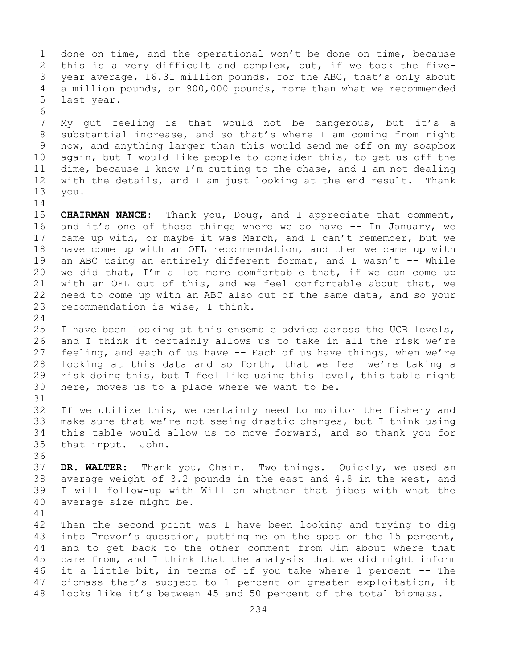1 done on time, and the operational won't be done on time, because<br>2 this is a very difficult and complex, but, if we took the five-2 this is a very difficult and complex, but, if we took the five-<br>3 vear average, 16.31 million pounds, for the ABC, that's only about 3 year average, 16.31 million pounds, for the ABC, that's only about<br>4 a million pounds, or 900,000 pounds, more than what we recommended a million pounds, or 900,000 pounds, more than what we recommended 5 last year. 6<br>7 7 My gut feeling is that would not be dangerous, but it's a<br>8 substantial increase, and so that's where I am coming from right 8 substantial increase, and so that's where I am coming from right<br>9 now, and anything larger than this would send me off on my soapbox 9 now, and anything larger than this would send me off on my soapbox<br>10 again, but I would like people to consider this, to get us off the 10 again, but I would like people to consider this, to get us off the<br>11 dime, because I know I'm cutting to the chase, and I am not dealing 11 dime, because I know I'm cutting to the chase, and I am not dealing<br>12 with the details, and I am just looking at the end result. Thank 12 with the details, and I am just looking at the end result.<br>13 you. 13 you.  $\frac{14}{15}$ 15 **CHAIRMAN NANCE:** Thank you, Doug, and I appreciate that comment,<br>16 and it's one of those things where we do have -- In January, we 16 and it's one of those things where we do have -- In January, we<br>17 came up with, or maybe it was March, and I can't remember, but we 17 came up with, or maybe it was March, and I can't remember, but we<br>18 have come up with an OFL recommendation, and then we came up with 18 have come up with an OFL recommendation, and then we came up with<br>19 an ABC using an entirely different format, and I wasn't -- While 19 an ABC using an entirely different format, and I wasn't -- While<br>20 we did that, I'm a lot more comfortable that, if we can come up 20 we did that, I'm a lot more comfortable that, if we can come up<br>21 with an OFL out of this, and we feel comfortable about that, we 21 with an OFL out of this, and we feel comfortable about that, we<br>22 need to come up with an ABC also out of the same data, and so your 22 need to come up with an ABC also out of the same data, and so your<br>23 recommendation is wise, I think. recommendation is wise, I think.  $\frac{24}{25}$ 25 I have been looking at this ensemble advice across the UCB levels,<br>26 and I think it certainly allows us to take in all the risk we're 26 and I think it certainly allows us to take in all the risk we're<br>27 feeling, and each of us have -- Each of us have things, when we're 27 feeling, and each of us have -- Each of us have things, when we're<br>28 looking at this data and so forth, that we feel we're taking a 28 looking at this data and so forth, that we feel we're taking a<br>29 risk doing this, but I feel like using this level, this table right 29 risk doing this, but I feel like using this level, this table right<br>30 here, moves us to a place where we want to be. here, moves us to a place where we want to be. 31<br>32 If we utilize this, we certainly need to monitor the fishery and 33 make sure that we're not seeing drastic changes, but I think using<br>34 this table would allow us to move forward, and so thank you for 34 this table would allow us to move forward, and so thank you for<br>35 that input. John. that input. John. 36<br>37 DR. WALTER: Thank you, Chair. Two things. Quickly, we used an 38 average weight of 3.2 pounds in the east and 4.8 in the west, and<br>39 I will follow-up with Will on whether that jibes with what the 39 I will follow-up with Will on whether that jibes with what the average size might be. 41<br>42 42 Then the second point was I have been looking and trying to dig<br>43 into Trevor's question, putting me on the spot on the 15 percent, 43 into Trevor's question, putting me on the spot on the 15 percent,<br>44 and to get back to the other comment from Jim about where that and to get back to the other comment from Jim about where that 45 came from, and I think that the analysis that we did might inform

46 it a little bit, in terms of if you take where 1 percent -- The<br>47 biomass that's subject to 1 percent or greater exploitation, it 47 biomass that's subject to 1 percent or greater exploitation, it<br>48 looks like it's between 45 and 50 percent of the total biomass. looks like it's between 45 and 50 percent of the total biomass.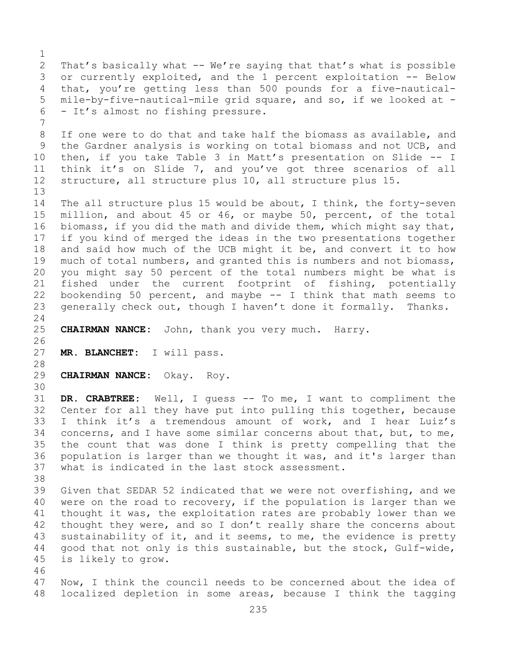$\frac{1}{2}$ 2 That's basically what -- We're saying that that's what is possible<br>3 or currently exploited, and the 1 percent exploitation -- Below 3 or currently exploited, and the 1 percent exploitation -- Below<br>4 that, you're getting less than 500 pounds for a five-nautical-4 that, you're getting less than 500 pounds for a five-nautical-<br>5 mile-by-five-nautical-mile grid square, and so, if we looked at mile-by-five-nautical-mile grid square, and so, if we looked at -6 - It's almost no fishing pressure. 7 8 If one were to do that and take half the biomass as available, and<br>9 the Gardner analysis is working on total biomass and not UCB, and 9 the Gardner analysis is working on total biomass and not UCB, and<br>10 then, if you take Table 3 in Matt's presentation on Slide -- I 10 then, if you take Table 3 in Matt's presentation on Slide -- I<br>11 think it's on Slide 7, and you've got three scenarios of all 11 think it's on Slide 7, and you've got three scenarios of all<br>12 structure, all structure plus 10, all structure plus 15. structure, all structure plus 10, all structure plus 15. 13 14 The all structure plus 15 would be about, I think, the forty-seven<br>15 million, and about 45 or 46, or mavbe 50, percent, of the total 15 million, and about 45 or 46, or maybe 50, percent, of the total<br>16 biomass, if you did the math and divide them, which might say that, 16 biomass, if you did the math and divide them, which might say that,<br>17 if you kind of merged the ideas in the two presentations together 17 if you kind of merged the ideas in the two presentations together<br>18 and said how much of the UCB might it be, and convert it to how 18 and said how much of the UCB might it be, and convert it to how<br>19 much of total numbers, and granted this is numbers and not biomass, 19 much of total numbers, and granted this is numbers and not biomass,<br>20 vou might say 50 percent of the total numbers might be what is 20 you might say 50 percent of the total numbers might be what is<br>21 fished under the current footprint of fishing, potentially 21 fished under the current footprint of fishing, potentially<br>22 bookending 50 percent, and maybe -- I think that math seems to 22 bookending 50 percent, and maybe -- I think that math seems to<br>23 qenerally check out, though I haven't done it formally. Thanks. generally check out, though I haven't done it formally.  $\frac{24}{25}$ CHAIRMAN NANCE: John, thank you very much. Harry. 26<br>27 MR. BLANCHET: I will pass. 28<br>29 29 **CHAIRMAN NANCE:** Okay. Roy. 30<br>31 31 **DR. CRABTREE:** Well, I guess -- To me, I want to compliment the Center for all they have put into pulling this together, because 33 I think it's a tremendous amount of work, and I hear Luiz's<br>34 concerns, and I have some similar concerns about that, but, to me, 34 concerns, and I have some similar concerns about that, but, to me,<br>35 the count that was done I think is pretty compelling that the 35 the count that was done I think is pretty compelling that the<br>36 population is larger than we thought it was, and it's larger than 36 population is larger than we thought it was, and it's larger than<br>37 what is indicated in the last stock assessment. what is indicated in the last stock assessment. 38<br>39 39 Given that SEDAR 52 indicated that we were not overfishing, and we<br>40 were on the road to recovery, if the population is larger than we 40 were on the road to recovery, if the population is larger than we<br>41 thought it was, the exploitation rates are probably lower than we 41 thought it was, the exploitation rates are probably lower than we<br>42 thought they were, and so I don't really share the concerns about 42 thought they were, and so I don't really share the concerns about<br>43 sustainability of it, and it seems, to me, the evidence is pretty 43 sustainability of it, and it seems, to me, the evidence is pretty<br>44 qood that not only is this sustainable, but the stock, Gulf-wide, 44 good that not only is this sustainable, but the stock, Gulf-wide, 45 is likely to grow. 46<br>47 47 Now, I think the council needs to be concerned about the idea of<br>48 localized depletion in some areas, because I think the tagging localized depletion in some areas, because I think the tagging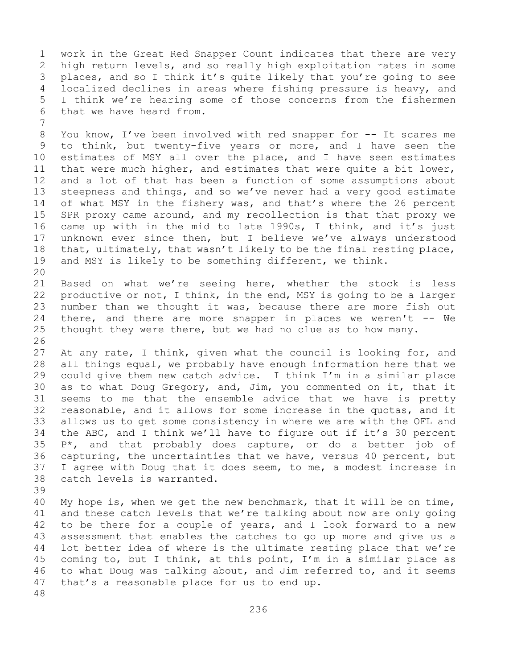1 work in the Great Red Snapper Count indicates that there are very<br>2 high return levels, and so really high exploitation rates in some 2 high return levels, and so really high exploitation rates in some<br>3 places, and so I think it's quite likely that you're going to see 3 places, and so I think it's quite likely that you're going to see<br>4 localized declines in areas where fishing pressure is heavy, and localized declines in areas where fishing pressure is heavy, and 5 I think we're hearing some of those concerns from the fishermen 6 that we have heard from.

7 8 You know, I've been involved with red snapper for -- It scares me<br>9 to think, but twenty-five years or more, and I have seen the 9 to think, but twenty-five years or more, and I have seen the<br>10 estimates of MSY all over the place, and I have seen estimates 10 estimates of MSY all over the place, and I have seen estimates<br>11 that were much higher, and estimates that were guite a bit lower. 11 that were much higher, and estimates that were quite a bit lower,<br>12 and a lot of that has been a function of some assumptions about and a lot of that has been a function of some assumptions about 13 steepness and things, and so we've never had a very good estimate 14 of what MSY in the fishery was, and that's where the 26 percent<br>15 SPR proxy came around, and my recollection is that that proxy we 15 SPR proxy came around, and my recollection is that that proxy we<br>16 came up with in the mid to late 1990s, I think, and it's just 16 came up with in the mid to late 1990s, I think, and it's just<br>17 unknown ever since then, but I believe we've always understood 17 unknown ever since then, but I believe we've always understood<br>18 that, ultimately, that wasn't likely to be the final resting place, 18 that, ultimately, that wasn't likely to be the final resting place,<br>19 and MSY is likely to be something different, we think. and MSY is likely to be something different, we think.

20<br>21 21 Based on what we're seeing here, whether the stock is less<br>22 productive or not, I think, in the end, MSY is going to be a larger 22 productive or not, I think, in the end, MSY is going to be a larger<br>23 number than we thought it was, because there are more fish out 23 number than we thought it was, because there are more fish out<br>24 there, and there are more snapper in places we weren't -- We 24 there, and there are more snapper in places we weren't -- We<br>25 thought they were there, but we had no clue as to how many. thought they were there, but we had no clue as to how many.

26<br>27 At any rate, I think, given what the council is looking for, and 28 all things equal, we probably have enough information here that we<br>29 could give them new catch advice. I think I'm in a similar place 29 could give them new catch advice. I think  $I'm$  in a similar place<br>30 as to what Doug Gregory, and, Jim, you commented on it, that it 30 as to what Doug Gregory, and, Jim, you commented on it, that it<br>31 seems to me that the ensemble advice that we have is pretty 31 seems to me that the ensemble advice that we have is pretty<br>32 reasonable, and it allows for some increase in the quotas, and it reasonable, and it allows for some increase in the quotas, and it 33 allows us to get some consistency in where we are with the OFL and<br>34 the ABC, and I think we'll have to figure out if it's 30 percent 34 the ABC, and I think we'll have to figure out if it's 30 percent<br>35  $P^*$ , and that probably does capture, or do a better job of  $35$  P\*, and that probably does capture, or do a better job of 36 capturing, the uncertainties that we have, versus 40 percent, but 36 capturing, the uncertainties that we have, versus 40 percent, but<br>37 I agree with Doug that it does seem, to me, a modest increase in I agree with Doug that it does seem, to me, a modest increase in 38 catch levels is warranted.

39

40 My hope is, when we get the new benchmark, that it will be on time,<br>41 and these catch levels that we're talking about now are only going 41 and these catch levels that we're talking about now are only going<br>42 to be there for a couple of years, and I look forward to a new 42 to be there for a couple of years, and I look forward to a new<br>43 assessment that enables the catches to go up more and give us a 43 assessment that enables the catches to go up more and give us a<br>44 lot better idea of where is the ultimate resting place that we're lot better idea of where is the ultimate resting place that we're 45 coming to, but I think, at this point, I'm in a similar place as 46 to what Doug was talking about, and Jim referred to, and it seems<br>47 that's a reasonable place for us to end up. that's a reasonable place for us to end up.

48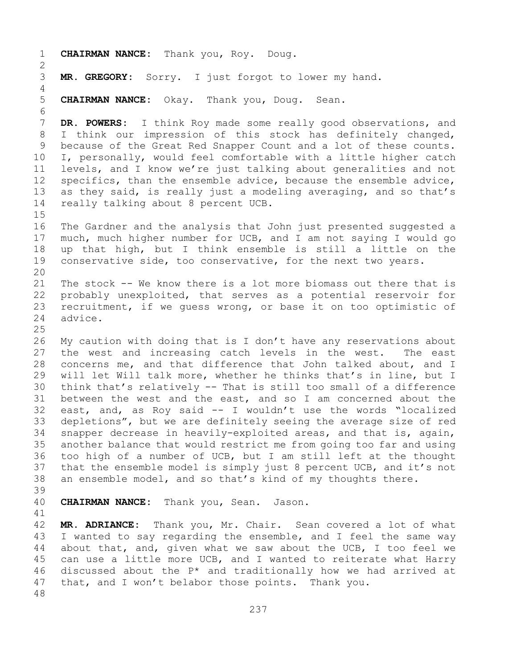1 **CHAIRMAN NANCE:** Thank you, Roy. Doug.  $\frac{2}{3}$ MR. GREGORY: Sorry. I just forgot to lower my hand. 4 5 **CHAIRMAN NANCE:** Okay. Thank you, Doug. Sean. 6<br>7 7 **DR. POWERS:** I think Roy made some really good observations, and<br>8 I think our impression of this stock has definitely changed, 8 I think our impression of this stock has definitely changed,<br>9 because of the Great Red Snapper Count and a lot of these counts. 9 because of the Great Red Snapper Count and a lot of these counts.<br>10 I, personally, would feel comfortable with a little higher catch 10 I, personally, would feel comfortable with a little higher catch<br>11 levels, and I know we're just talking about generalities and not 11 levels, and I know we're just talking about generalities and not<br>12 specifics, than the ensemble advice, because the ensemble advice, 12 specifics, than the ensemble advice, because the ensemble advice,<br>13 as they said, is really just a modeling averaging, and so that's as they said, is really just a modeling averaging, and so that's 14 really talking about 8 percent UCB. 15<br>16 16 The Gardner and the analysis that John just presented suggested a<br>17 much, much higher number for UCB, and I am not saying I would go 17 much, much higher number for UCB, and I am not saying I would go<br>18 up that high, but I think ensemble is still a little on the 18 up that high, but I think ensemble is still a little on the<br>19 conservative side, too conservative, for the next two years. conservative side, too conservative, for the next two years. 20<br>21 21 The stock -- We know there is a lot more biomass out there that is<br>22 probably unexploited, that serves as a potential reservoir for 22 probably unexploited, that serves as a potential reservoir for<br>23 recruitment, if we quess wrong, or base it on too optimistic of 23 recruitment, if we guess wrong, or base it on too optimistic of<br>24 advice. advice.  $\frac{25}{26}$ 26 My caution with doing that is I don't have any reservations about<br>27 the west and increasing catch levels in the west. The east the west and increasing catch levels in the west. 28 concerns me, and that difference that John talked about, and I<br>29 will let Will talk more, whether he thinks that's in line, but I 29 will let Will talk more, whether he thinks that's in line, but I<br>30 think that's relatively -- That is still too small of a difference 30 think that's relatively -- That is still too small of a difference<br>31 between the west and the east, and so I am concerned about the 31 between the west and the east, and so I am concerned about the<br>32 east, and, as Rov said -- I wouldn't use the words "localized east, and, as Roy said -- I wouldn't use the words "localized 33 depletions", but we are definitely seeing the average size of red<br>34 snapper decrease in heavily-exploited areas, and that is, again, 34 snapper decrease in heavily-exploited areas, and that is, again,<br>35 another balance that would restrict me from going too far and using 35 another balance that would restrict me from going too far and using<br>36 too high of a number of UCB, but I am still left at the thought 36 too high of a number of UCB, but I am still left at the thought<br>37 that the ensemble model is simply just 8 percent UCB, and it's not 37 that the ensemble model is simply just 8 percent UCB, and it's not<br>38 an ensemble model, and so that's kind of my thoughts there. an ensemble model, and so that's kind of my thoughts there. 39 40 **CHAIRMAN NANCE:** Thank you, Sean. Jason. 41<br>42 42 **MR. ADRIANCE:** Thank you, Mr. Chair. Sean covered a lot of what<br>43 I wanted to say regarding the ensemble, and I feel the same way 43 I wanted to say regarding the ensemble, and I feel the same way<br>44 about that, and, given what we saw about the UCB, I too feel we about that, and, given what we saw about the UCB, I too feel we 45 can use a little more UCB, and I wanted to reiterate what Harry 46 discussed about the  $P^*$  and traditionally how we had arrived at  $47$  that, and I won't belabor those points. Thank you. that, and I won't belabor those points. Thank you. 48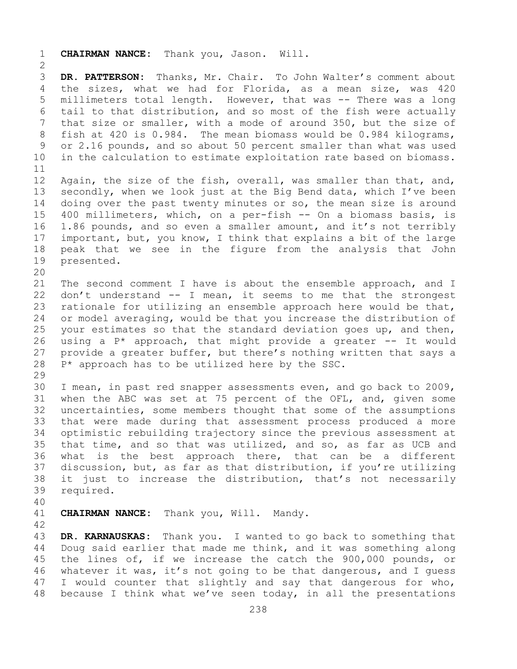1 **CHAIRMAN NANCE:** Thank you, Jason. Will.  $\frac{2}{3}$ 3 **DR. PATTERSON:** Thanks, Mr. Chair. To John Walter's comment about the sizes, what we had for Florida, as a mean size, was 420 5 millimeters total length. However, that was -- There was a long 6 tail to that distribution, and so most of the fish were actually<br>7 that size or smaller, with a mode of around 350, but the size of 7 that size or smaller, with a mode of around 350, but the size of<br>8 fish at 420 is 0.984. The mean biomass would be 0.984 kilograms, 8 fish at 420 is 0.984. The mean biomass would be 0.984 kilograms,<br>9 or 2.16 pounds, and so about 50 percent smaller than what was used 9 or 2.16 pounds, and so about 50 percent smaller than what was used<br>10 in the calculation to estimate exploitation rate based on biomass. in the calculation to estimate exploitation rate based on biomass. 11<br>12 12 Again, the size of the fish, overall, was smaller than that, and,<br>13 secondly, when we look just at the Big Bend data, which I've been secondly, when we look just at the Big Bend data, which I've been 14 doing over the past twenty minutes or so, the mean size is around<br>15 400 millimeters, which, on a per-fish -- On a biomass basis, is 15 400 millimeters, which, on a per-fish -- On a biomass basis, is<br>16 1.86 pounds, and so even a smaller amount, and it's not terribly 16 1.86 pounds, and so even a smaller amount, and it's not terribly<br>17 important, but, you know, I think that explains a bit of the large 17 important, but, you know, I think that explains a bit of the large<br>18 peak that we see in the figure from the analysis that John 18 peak that we see in the figure from the analysis that John<br>19 presented. presented. 20<br>21 21 The second comment I have is about the ensemble approach, and I<br>22 don't understand  $--$  I mean, it seems to me that the strongest 22 don't understand -- I mean, it seems to me that the strongest<br>23 rationale for utilizing an ensemble approach here would be that, 23 rationale for utilizing an ensemble approach here would be that,<br>24 or model averaging, would be that you increase the distribution of 24 or model averaging, would be that you increase the distribution of<br>25 your estimates so that the standard deviation goes up, and then, 25 your estimates so that the standard deviation goes up, and then,<br>26 using a P\* approach, that might provide a greater -- It would 26 using a  $P^*$  approach, that might provide a greater  $-$ - It would 27 provide a greater buffer, but there's nothing written that says a 27 provide a greater buffer, but there's nothing written that says a  $28$  P<sup>\*</sup> approach has to be utilized here by the SSC.  $P^*$  approach has to be utilized here by the SSC. 29<br>30 30 I mean, in past red snapper assessments even, and go back to 2009,<br>31 when the ABC was set at 75 percent of the OFL, and, given some 31 when the ABC was set at 75 percent of the OFL, and, given some<br>32 uncertainties, some members thought that some of the assumptions uncertainties, some members thought that some of the assumptions 33 that were made during that assessment process produced a more 34 optimistic rebuilding trajectory since the previous assessment at<br>35 that time, and so that was utilized, and so, as far as UCB and 35 that time, and so that was utilized, and so, as far as UCB and<br>36 what is the best approach there, that can be a different what is the best approach there, that can be a different 37 discussion, but, as far as that distribution, if you're utilizing 38 it just to increase the distribution, that's not necessarily<br>39 required. required. 40 CHAIRMAN NANCE: Thank you, Will. Mandy. 42 43 **DR. KARNAUSKAS:** Thank you. I wanted to go back to something that Doug said earlier that made me think, and it was something along 45 the lines of, if we increase the catch the 900,000 pounds, or 46 whatever it was, it's not going to be that dangerous, and I guess<br>47 I would counter that slightly and say that dangerous for who,

47 I would counter that slightly and say that dangerous for who,<br>48 because I think what we've seen today, in all the presentations because I think what we've seen today, in all the presentations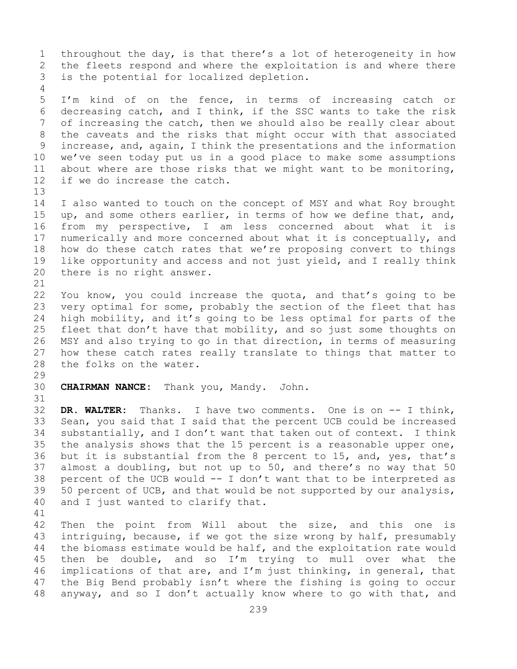1 throughout the day, is that there's a lot of heterogeneity in how<br>2 the fleets respond and where the exploitation is and where there 2 the fleets respond and where the exploitation is and where there<br>3 is the potential for localized depletion. is the potential for localized depletion.

5 I'm kind of on the fence, in terms of increasing catch or 6 decreasing catch, and I think, if the SSC wants to take the risk<br>7 of increasing the catch, then we should also be really clear about 7 of increasing the catch, then we should also be really clear about<br>8 the caveats and the risks that might occur with that associated 8 the caveats and the risks that might occur with that associated<br>9 increase, and, again, I think the presentations and the information 9 increase, and, again, I think the presentations and the information<br>10 we've seen today put us in a good place to make some assumptions 10 we've seen today put us in a good place to make some assumptions<br>11 about where are those risks that we might want to be monitoring. 11 about where are those risks that we might want to be monitoring,<br>12 if we do increase the catch. if we do increase the catch.

14 I also wanted to touch on the concept of MSY and what Roy brought<br>15 up, and some others earlier, in terms of how we define that, and, 15 up, and some others earlier, in terms of how we define that, and,<br>16 from my perspective, I am less concerned about what it is 16 from my perspective, I am less concerned about what it is<br>17 numerically and more concerned about what it is conceptually, and 17 numerically and more concerned about what it is conceptually, and<br>18 how do these catch rates that we're proposing convert to things 18 how do these catch rates that we're proposing convert to things<br>19 like opportunity and access and not just yield, and I really think 19 like opportunity and access and not just yield, and I really think<br>20 there is no right answer. there is no right answer.

21<br>22 22 You know, you could increase the quota, and that's going to be<br>23 very optimal for some, probably the section of the fleet that has 23 very optimal for some, probably the section of the fleet that has<br>24 high mobility, and it's going to be less optimal for parts of the 24 high mobility, and it's going to be less optimal for parts of the<br>25 fleet that don't have that mobility, and so just some thoughts on 25 fleet that don't have that mobility, and so just some thoughts on<br>26 MSY and also trying to go in that direction, in terms of measuring 26 MSY and also trying to go in that direction, in terms of measuring<br>27 how these catch rates really translate to things that matter to how these catch rates really translate to things that matter to 28 the folks on the water.

29<br>30

4

13

30 **CHAIRMAN NANCE:** Thank you, Mandy. John.

31<br>32 32 **DR. WALTER:** Thanks. I have two comments. One is on -- I think, 33 Sean, you said that I said that the percent UCB could be increased<br>34 substantially, and I don't want that taken out of context. I think 34 substantially, and I don't want that taken out of context. I think<br>35 the analysis shows that the 15 percent is a reasonable upper one, 35 the analysis shows that the 15 percent is a reasonable upper one,<br>36 but it is substantial from the 8 percent to 15, and, yes, that's 36 but it is substantial from the 8 percent to 15, and, yes, that's<br>37 almost a doubling, but not up to 50, and there's no way that 50 37 almost a doubling, but not up to 50, and there's no way that 50 percent of the UCB would  $-$  I don't want that to be interpreted as 38 percent of the UCB would  $--$  I don't want that to be interpreted as 39 50 percent of UCB, and that would be not supported by our analysis, 39 50 percent of UCB, and that would be not supported by our analysis,<br>40 and I just wanted to clarify that. and I just wanted to clarify that.

41<br>42

42 Then the point from Will about the size, and this one is<br>43 intriguing, because, if we got the size wrong by half, presumably 43 intriguing, because, if we got the size wrong by half, presumably<br>44 the biomass estimate would be half, and the exploitation rate would the biomass estimate would be half, and the exploitation rate would 45 then be double, and so I'm trying to mull over what the 46 implications of that are, and  $I'm$  just thinking, in general, that  $47$  the Big Bend probably isn't where the fishing is going to occur 47 the Big Bend probably isn't where the fishing is going to occur<br>48 anyway, and so I don't actually know where to go with that, and anyway, and so I don't actually know where to go with that, and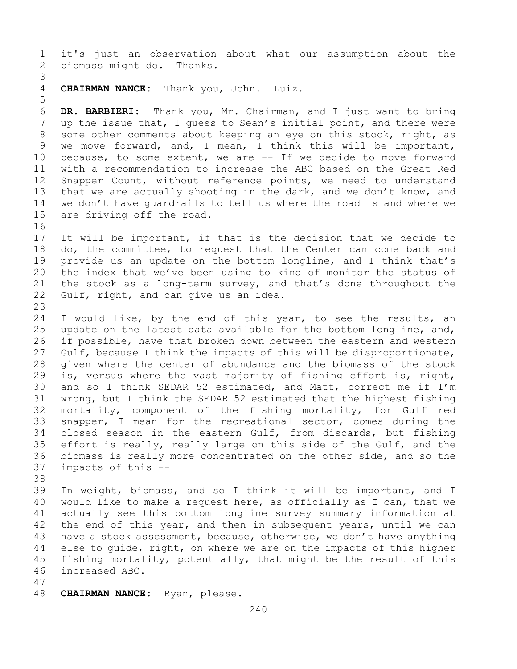1 it's just an observation about what our assumption about the biomass might do. Thanks. biomass might do. Thanks.

3 4 **CHAIRMAN NANCE:** Thank you, John. Luiz.

6 **DR. BARBIERI:** Thank you, Mr. Chairman, and I just want to bring 7 up the issue that, I guess to Sean's initial point, and there were<br>8 some other comments about keeping an eye on this stock, right, as 8 some other comments about keeping an eye on this stock, right, as<br>9 we move forward, and, I mean, I think this will be important, 9 we move forward, and, I mean, I think this will be important,<br>10 because, to some extent, we are -- If we decide to move forward 10 because, to some extent, we are -- If we decide to move forward<br>11 with a recommendation to increase the ABC based on the Great Red 11 with a recommendation to increase the ABC based on the Great Red<br>12 Snapper Count, without reference points, we need to understand 12 Snapper Count, without reference points, we need to understand<br>13 that we are actually shooting in the dark, and we don't know, and that we are actually shooting in the dark, and we don't know, and 14 we don't have guardrails to tell us where the road is and where we<br>15 are driving off the road. are driving off the road.

16<br>17 17 It will be important, if that is the decision that we decide to<br>18 do, the committee, to request that the Center can come back and 18 do, the committee, to request that the Center can come back and<br>19 provide us an update on the bottom longline, and I think that's 19 provide us an update on the bottom longline, and I think that's<br>20 the index that we've been using to kind of monitor the status of 20 the index that we've been using to kind of monitor the status of<br>21 the stock as a long-term survey, and that's done throughout the 21 the stock as a long-term survey, and that's done throughout the  $22$  Gulf, right, and can give us an idea. Gulf, right, and can give us an idea.

23 24 I would like, by the end of this year, to see the results, an<br>25 update on the latest data available for the bottom longline, and, 25 update on the latest data available for the bottom longline, and,<br>26 if possible, have that broken down between the eastern and western 26 if possible, have that broken down between the eastern and western<br>27 Gulf, because I think the impacts of this will be disproportionate, 27 Gulf, because I think the impacts of this will be disproportionate,<br>28 qiven where the center of abundance and the biomass of the stock 28 given where the center of abundance and the biomass of the stock<br>29 is, versus where the vast majority of fishing effort is, right, 29 is, versus where the vast majority of fishing effort is, right,<br>30 and so I think SEDAR 52 estimated, and Matt, correct me if I'm 30 and so I think SEDAR 52 estimated, and Matt, correct me if I'm<br>31 wrong, but I think the SEDAR 52 estimated that the highest fishing 31 wrong, but I think the SEDAR 52 estimated that the highest fishing<br>32 mortality, component of the fishing mortality, for Gulf red mortality, component of the fishing mortality, for Gulf red 33 snapper, I mean for the recreational sector, comes during the<br>34 closed season in the eastern Gulf, from discards, but fishing 34 closed season in the eastern Gulf, from discards, but fishing<br>35 effort is really, really large on this side of the Gulf, and the 35 effort is really, really large on this side of the Gulf, and the<br>36 biomass is really more concentrated on the other side, and so the 36 biomass is really more concentrated on the other side, and so the impacts of this -impacts of this --

38<br>39

5

39 In weight, biomass, and so I think it will be important, and I<br>40 would like to make a request here, as officially as I can, that we 40 would like to make a request here, as officially as I can, that we<br>41 actually see this bottom longline survey summary information at 41 actually see this bottom longline survey summary information at<br>42 the end of this year, and then in subsequent years, until we can 42 the end of this year, and then in subsequent years, until we can<br>43 have a stock assessment, because, otherwise, we don't have anything 43 have a stock assessment, because, otherwise, we don't have anything<br>44 else to quide, right, on where we are on the impacts of this higher else to quide, right, on where we are on the impacts of this higher 45 fishing mortality, potentially, that might be the result of this 46 increased ABC.

- 47
- 48 **CHAIRMAN NANCE:** Ryan, please.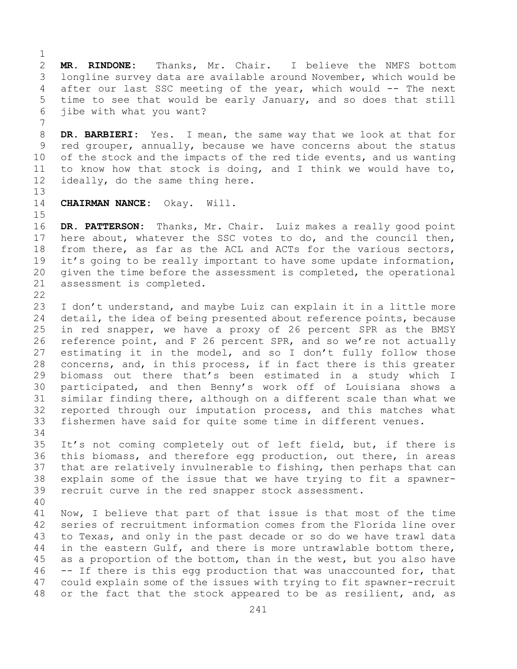$\frac{1}{2}$ 2 **MR. RINDONE:** Thanks, Mr. Chair. I believe the NMFS bottom<br>3 longline survey data are available around November, which would be 3 longline survey data are available around November, which would be<br>4 after our last SSC meeting of the year, which would -- The next after our last SSC meeting of the year, which would -- The next 5 time to see that would be early January, and so does that still 6 jibe with what you want?

7 8 **DR. BARBIERI:** Yes. I mean, the same way that we look at that for<br>9 red grouper, annually, because we have concerns about the status 9 red grouper, annually, because we have concerns about the status<br>10 of the stock and the impacts of the red tide events, and us wanting 10 of the stock and the impacts of the red tide events, and us wanting<br>11 to know how that stock is doing, and I think we would have to, 11 to know how that stock is doing, and I think we would have to,  $12$  ideally, do the same thing here. ideally, do the same thing here.

13

14 **CHAIRMAN NANCE:** Okay. Will.

 $15$ <br> $16$ 16 **DR. PATTERSON:** Thanks, Mr. Chair. Luiz makes a really good point<br>17 here about, whatever the SSC votes to do, and the council then, 17 here about, whatever the SSC votes to do, and the council then,<br>18 from there, as far as the ACL and ACTs for the various sectors, 18 from there, as far as the ACL and ACTs for the various sectors,<br>19 it's going to be really important to have some update information, 19 it's going to be really important to have some update information,<br>20 qiven the time before the assessment is completed, the operational 20 given the time before the assessment is completed, the operational assessment is completed. assessment is completed.

 $\begin{array}{c} 22 \\ 23 \end{array}$ 

23 I don't understand, and maybe Luiz can explain it in a little more<br>24 detail, the idea of being presented about reference points, because 24 detail, the idea of being presented about reference points, because<br>25 in red snapper, we have a proxy of 26 percent SPR as the BMSY 25 in red snapper, we have a proxy of 26 percent SPR as the BMSY<br>26 reference point, and F 26 percent SPR, and so we're not actually 26 reference point, and F 26 percent SPR, and so we're not actually<br>27 estimating it in the model, and so I don't fully follow those estimating it in the model, and so I don't fully follow those 28 concerns, and, in this process, if in fact there is this greater<br>29 biomass out there that's been estimated in a study which I biomass out there that's been estimated in a study which I 30 participated, and then Benny's work off of Louisiana shows a<br>31 similar finding there, although on a different scale than what we 31 similar finding there, although on a different scale than what we<br>32 reported through our imputation process, and this matches what reported through our imputation process, and this matches what 33 fishermen have said for quite some time in different venues.

34<br>35 35 It's not coming completely out of left field, but, if there is<br>36 this biomass, and therefore egg production, out there, in areas 36 this biomass, and therefore egg production, out there, in areas<br>37 that are relatively invulnerable to fishing, then perhaps that can that are relatively invulnerable to fishing, then perhaps that can 38 explain some of the issue that we have trying to fit a spawner-<br>39 recruit curve in the red snapper stock assessment. recruit curve in the red snapper stock assessment.

40 41 Now, I believe that part of that issue is that most of the time<br>42 series of recruitment information comes from the Florida line over 42 series of recruitment information comes from the Florida line over<br>43 to Texas, and only in the past decade or so do we have trawl data 43 to Texas, and only in the past decade or so do we have trawl data<br>44 in the eastern Gulf, and there is more untrawlable bottom there, in the eastern Gulf, and there is more untrawlable bottom there, 45 as a proportion of the bottom, than in the west, but you also have 46 -- If there is this egg production that was unaccounted for, that<br>47 could explain some of the issues with trying to fit spawner-recruit 47 could explain some of the issues with trying to fit spawner-recruit<br>48 or the fact that the stock appeared to be as resilient, and, as or the fact that the stock appeared to be as resilient, and, as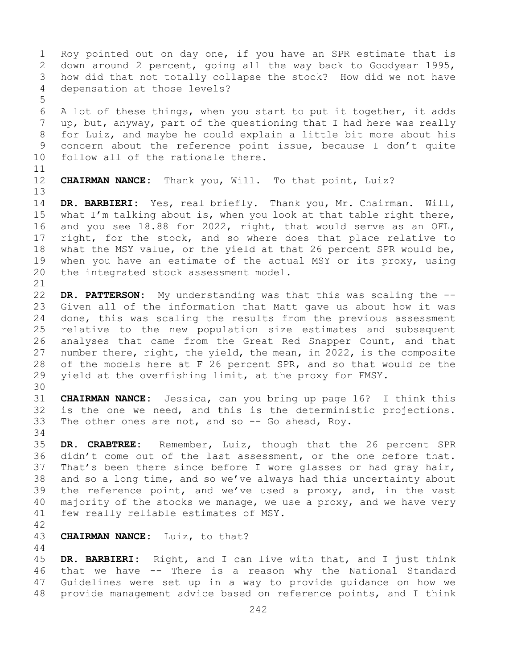1 Roy pointed out on day one, if you have an SPR estimate that is<br>2 down around 2 percent, going all the way back to Goodyear 1995, 2 down around 2 percent, going all the way back to Goodyear 1995,<br>3 how did that not totally collapse the stock? How did we not have 3 how did that not totally collapse the stock? How did we not have depensation at those levels? 5 6 A lot of these things, when you start to put it together, it adds<br>7 up, but, anyway, part of the questioning that I had here was really 7 up, but, anyway, part of the questioning that I had here was really<br>8 for Luiz, and maybe he could explain a little bit more about his 8 for Luiz, and maybe he could explain a little bit more about his<br>9 concern about the reference point issue, because I don't quite 9 concern about the reference point issue, because I don't quite<br>10 follow all of the rationale there. follow all of the rationale there. 11<br>12 CHAIRMAN NANCE: Thank you, Will. To that point, Luiz? 13 14 **DR. BARBIERI:** Yes, real briefly. Thank you, Mr. Chairman. Will, 15 what I'm talking about is, when you look at that table right there,<br>16 and you see 18.88 for 2022, right, that would serve as an OFL, 16 and you see 18.88 for 2022, right, that would serve as an OFL,<br>17 right, for the stock, and so where does that place relative to 17 right, for the stock, and so where does that place relative to<br>18 what the MSY value, or the yield at that 26 percent SPR would be, 18 what the MSY value, or the yield at that 26 percent SPR would be,<br>19 when you have an estimate of the actual MSY or its proxy, using 19 when you have an estimate of the actual MSY or its proxy, using<br>20 the integrated stock assessment model. the integrated stock assessment model. 21<br>22 22 **DR. PATTERSON:** My understanding was that this was scaling the -- 23 Given all of the information that Matt gave us about how it was<br>24 done, this was scaling the results from the previous assessment 24 done, this was scaling the results from the previous assessment<br>25 relative to the new population size estimates and subsequent 25 relative to the new population size estimates and subsequent<br>26 analyses that came from the Great Red Snapper Count, and that 26 analyses that came from the Great Red Snapper Count, and that<br>27 number there, right, the yield, the mean, in 2022, is the composite number there, right, the yield, the mean, in 2022, is the composite 28 of the models here at F 26 percent SPR, and so that would be the  $29$  yield at the overfishing limit, at the proxy for FMSY. yield at the overfishing limit, at the proxy for FMSY. 30<br>31 31 **CHAIRMAN NANCE:** Jessica, can you bring up page 16? I think this is the one we need, and this is the deterministic projections. 33 The other ones are not, and so -- Go ahead, Roy. 34<br>35 35 **DR. CRABTREE:** Remember, Luiz, though that the 26 percent SPR 36 didn't come out of the last assessment, or the one before that.<br>37 That's been there since before I wore glasses or had gray hair, That's been there since before I wore glasses or had gray hair, 38 and so a long time, and so we've always had this uncertainty about<br>39 the reference point, and we've used a proxy, and, in the vast 39 the reference point, and we've used a proxy, and, in the vast  $40$  majority of the stocks we manage, we use a proxy, and we have very 40 majority of the stocks we manage, we use a proxy, and we have very<br>41 few really reliable estimates of MSY. few really reliable estimates of MSY. 42 CHAIRMAN NANCE: Luiz, to that? 44 45 **DR. BARBIERI:** Right, and I can live with that, and I just think 46 that we have -- There is a reason why the National Standard<br>47 Guidelines were set up in a way to provide quidance on how we 47 Guidelines were set up in a way to provide guidance on how we<br>48 provide management advice based on reference points, and I think

242 provide management advice based on reference points, and I think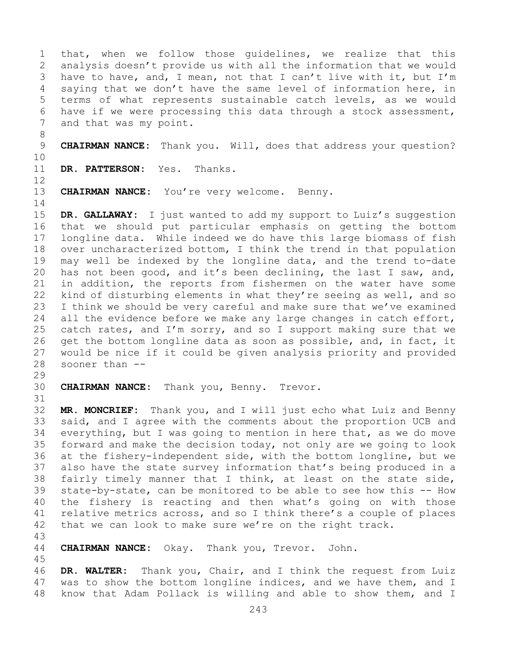1 that, when we follow those guidelines, we realize that this<br>2 analysis doesn't provide us with all the information that we would 2 analysis doesn't provide us with all the information that we would<br>3 have to have, and, I mean, not that I can't live with it, but I'm 3 have to have, and, I mean, not that I can't live with it, but I'm<br>4 saving that we don't have the same level of information here, in saying that we don't have the same level of information here, in 5 terms of what represents sustainable catch levels, as we would 6 have if we were processing this data through a stock assessment,<br>7 and that was my point. and that was my point.

8 9 **CHAIRMAN NANCE:** Thank you. Will, does that address your question?

10<br>11

DR. PATTERSON: Yes. Thanks.

12

13 **CHAIRMAN NANCE:** You're very welcome. Benny.

 $\frac{14}{15}$ 15 **DR. GALLAWAY:** I just wanted to add my support to Luiz's suggestion<br>16 that we should put particular emphasis on getting the bottom 16 that we should put particular emphasis on getting the bottom<br>17 longline data. While indeed we do have this large biomass of fish 17 longline data. While indeed we do have this large biomass of fish<br>18 over uncharacterized bottom, I think the trend in that population 18 over uncharacterized bottom, I think the trend in that population<br>19 may well be indexed by the longline data, and the trend to-date 19 may well be indexed by the longline data, and the trend to-date<br>20 has not been good, and it's been declining, the last I saw, and, has not been good, and it's been declining, the last I saw, and, 21 in addition, the reports from fishermen on the water have some<br>22 kind of disturbing elements in what they're seeing as well, and so 22 kind of disturbing elements in what they're seeing as well, and so<br>23 I think we should be very careful and make sure that we've examined 23 I think we should be very careful and make sure that we've examined<br>24 all the evidence before we make any large changes in catch effort, 24 all the evidence before we make any large changes in catch effort,<br>25 catch rates, and I'm sorry, and so I support making sure that we 25 catch rates, and I'm sorry, and so I support making sure that we<br>26 qet the bottom longline data as soon as possible, and, in fact, it 26 get the bottom longline data as soon as possible, and, in fact, it<br>27 would be nice if it could be given analysis priority and provided 27 would be nice if it could be given analysis priority and provided sooner than  $--$ 

29<br>30

CHAIRMAN NANCE: Thank you, Benny. Trevor.

31<br>32 MR. MONCRIEF: Thank you, and I will just echo what Luiz and Benny 33 said, and I agree with the comments about the proportion UCB and<br>34 everything, but I was going to mention in here that, as we do move 34 everything, but I was going to mention in here that, as we do move<br>35 forward and make the decision today, not only are we going to look 35 forward and make the decision today, not only are we going to look<br>36 at the fishery-independent side, with the bottom longline, but we at the fishery-independent side, with the bottom longline, but we 37 also have the state survey information that's being produced in a 38 fairly timely manner that I think, at least on the state side,<br>39 state-by-state, can be monitored to be able to see how this -- How 39 state-by-state, can be monitored to be able to see how this -- How<br>40 the fishery is reacting and then what's going on with those 40 the fishery is reacting and then what's going on with those<br>41 relative metrics across, and so I think there's a couple of places 41 relative metrics across, and so I think there's a couple of places<br>42 that we can look to make sure we're on the right track. that we can look to make sure we're on the right track.

43

45

CHAIRMAN NANCE: Okay. Thank you, Trevor. John.

46 **DR. WALTER:** Thank you, Chair, and I think the request from Luiz 47 was to show the bottom longline indices, and we have them, and I<br>48 know that Adam Pollack is willing and able to show them, and I know that Adam Pollack is willing and able to show them, and I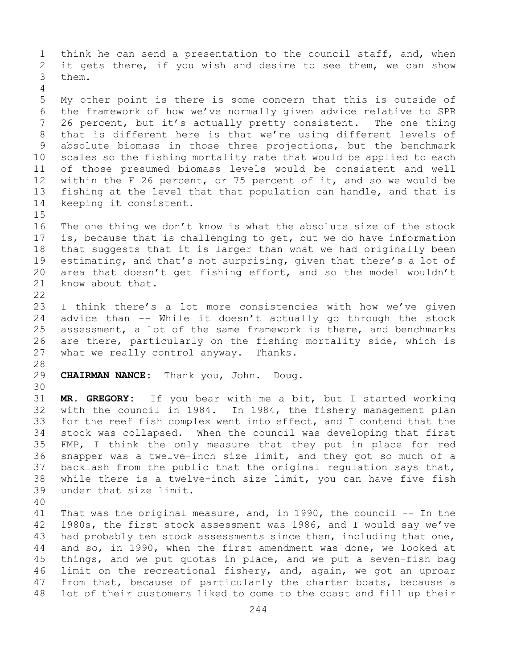1 think he can send a presentation to the council staff, and, when<br>2 it gets there, if you wish and desire to see them, we can show 2 it gets there, if you wish and desire to see them, we can show<br>3 them. them. 4 5 My other point is there is some concern that this is outside of 6 the framework of how we've normally given advice relative to SPR<br>7 26 percent, but it's actually pretty consistent. The one thing 7 26 percent, but it's actually pretty consistent. The one thing<br>8 that is different here is that we're using different levels of 8 that is different here is that we're using different levels of<br>9 absolute biomass in those three projections, but the benchmark 9 absolute biomass in those three projections, but the benchmark<br>10 scales so the fishing mortality rate that would be applied to each 10 scales so the fishing mortality rate that would be applied to each<br>11 of those presumed biomass levels would be consistent and well 11 of those presumed biomass levels would be consistent and well<br>12 within the F 26 percent, or 75 percent of it, and so we would be 12 within the F 26 percent, or 75 percent of it, and so we would be<br>13 fishing at the level that that population can handle, and that is fishing at the level that that population can handle, and that is 14 keeping it consistent.  $15$ <br> $16$ 16 The one thing we don't know is what the absolute size of the stock<br>17 is, because that is challenging to get, but we do have information 17 is, because that is challenging to get, but we do have information<br>18 that suggests that it is larger than what we had originally been 18 that suggests that it is larger than what we had originally been<br>19 estimating, and that's not surprising, given that there's a lot of 19 estimating, and that's not surprising, given that there's a lot of<br>20 area that doesn't get fishing effort, and so the model wouldn't 20 area that doesn't get fishing effort, and so the model wouldn't<br>21 know about that. know about that.  $\begin{array}{c} 22 \\ 23 \end{array}$ 23 I think there's a lot more consistencies with how we've given<br>24 advice than -- While it doesn't actually go through the stock 24 advice than -- While it doesn't actually go through the stock<br>25 assessment, a lot of the same framework is there, and benchmarks 25 assessment, a lot of the same framework is there, and benchmarks<br>26 are there, particularly on the fishing mortality side, which is 26 are there, particularly on the fishing mortality side, which is<br>27 what we really control anyway. Thanks. what we really control anyway. Thanks. 28<br>29 29 **CHAIRMAN NANCE:** Thank you, John. Doug. 30<br>31 31 **MR. GREGORY:** If you bear with me a bit, but I started working with the council in 1984. In 1984, the fishery management plan 33 for the reef fish complex went into effect, and I contend that the<br>34 stock was collapsed. When the council was developing that first 34 stock was collapsed. When the council was developing that first<br>35 FMP, I think the only measure that they put in place for red 35 FMP, I think the only measure that they put in place for red<br>36 snapper was a twelve-inch size limit, and they got so much of a 36 snapper was a twelve-inch size limit, and they got so much of a<br>37 backlash from the public that the original regulation says that, backlash from the public that the original regulation says that, 38 while there is a twelve-inch size limit, you can have five fish<br>39 under that size limit. under that size limit. 40 41 That was the original measure, and, in 1990, the council -- In the 42 1980s, the first stock assessment was 1986, and I would say we've 42 1980s, the first stock assessment was 1986, and I would say we've<br>43 had probably ten stock assessments since then, including that one, 43 had probably ten stock assessments since then, including that one,<br>44 and so, in 1990, when the first amendment was done, we looked at and so, in 1990, when the first amendment was done, we looked at 45 things, and we put quotas in place, and we put a seven-fish bag 46 limit on the recreational fishery, and, again, we got an uproar<br>47 from that, because of particularly the charter boats, because a 47 from that, because of particularly the charter boats, because a<br>48 lot of their customers liked to come to the coast and fill up their lot of their customers liked to come to the coast and fill up their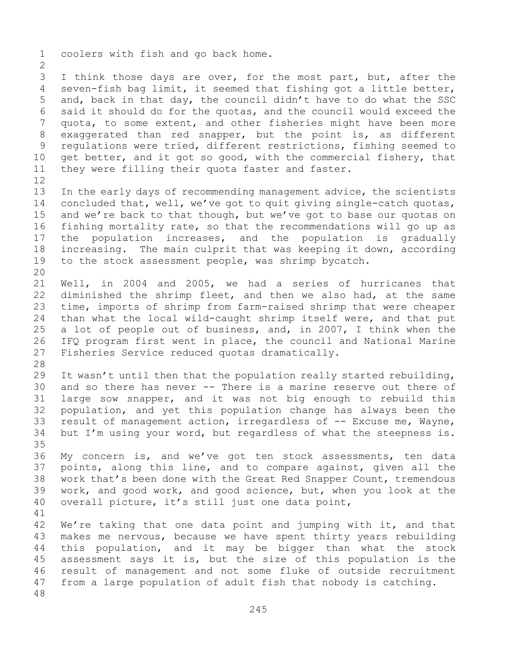1 coolers with fish and go back home.  $\frac{2}{3}$ 3 I think those days are over, for the most part, but, after the<br>4 seven-fish bag limit, it seemed that fishing got a little better, seven-fish bag limit, it seemed that fishing got a little better, 5 and, back in that day, the council didn't have to do what the SSC 6 said it should do for the quotas, and the council would exceed the<br>7 quota, to some extent, and other fisheries might have been more 7 quota, to some extent, and other fisheries might have been more<br>8 exaggerated than red snapper, but the point is, as different 8 exaggerated than red snapper, but the point is, as different<br>9 requlations were tried, different restrictions, fishing seemed to 9 regulations were tried, different restrictions, fishing seemed to<br>10 get better, and it got so good, with the commercial fishery, that 10 get better, and it got so good, with the commercial fishery, that<br>11 thev were filling their quota faster and faster. they were filling their quota faster and faster. 12<br>13 In the early days of recommending management advice, the scientists 14 concluded that, well, we've got to quit giving single-catch quotas,<br>15 and we're back to that though, but we've got to base our quotas on 15 and we're back to that though, but we've got to base our quotas on<br>16 fishing mortality rate, so that the recommendations will go up as 16 fishing mortality rate, so that the recommendations will go up as<br>17 the population increases, and the population is gradually 17 the population increases, and the population is gradually<br>18 increasing. The main culprit that was keeping it down, according 18 increasing. The main culprit that was keeping it down, according<br>19 to the stock assessment people, was shrimp bycatch. to the stock assessment people, was shrimp bycatch. 20<br>21 21 Well, in 2004 and 2005, we had a series of hurricanes that<br>22 diminished the shrimp fleet, and then we also had, at the same 22 diminished the shrimp fleet, and then we also had, at the same<br>23 time, imports of shrimp from farm-raised shrimp that were cheaper 23 time, imports of shrimp from farm-raised shrimp that were cheaper<br>24 than what the local wild-caught shrimp itself were, and that put 24 than what the local wild-caught shrimp itself were, and that put<br>25 a lot of people out of business, and, in 2007, I think when the 25 a lot of people out of business, and, in 2007, I think when the<br>26 IFQ program first went in place, the council and National Marine 26 IFQ program first went in place, the council and National Marine<br>27 Fisheries Service reduced quotas dramatically. Fisheries Service reduced quotas dramatically. 28<br>29 29 It wasn't until then that the population really started rebuilding,  $30$  and so there has never  $-$ - There is a marine reserve out there of 30 and so there has never -- There is a marine reserve out there of<br>31 large sow snapper, and it was not big enough to rebuild this 31 large sow snapper, and it was not big enough to rebuild this<br>32 population, and vet this population change has always been the population, and yet this population change has always been the 33 result of management action, irregardless of -- Excuse me, Wayne,<br>34 but I'm using your word, but regardless of what the steepness is. but I'm using your word, but regardless of what the steepness is. 35<br>36 36 My concern is, and we've got ten stock assessments, ten data<br>37 points, along this line, and to compare against, given all the points, along this line, and to compare against, given all the 38 work that's been done with the Great Red Snapper Count, tremendous<br>39 work, and good work, and good science, but, when you look at the 39 work, and good work, and good science, but, when you look at the 40 overall picture, it's still just one data point, overall picture, it's still just one data point, 41<br>42 42 We're taking that one data point and jumping with it, and that<br>43 makes me nervous, because we have spent thirty years rebuilding 43 makes me nervous, because we have spent thirty years rebuilding<br>44 this population, and it may be bigger than what the stock this population, and it may be bigger than what the stock 45 assessment says it is, but the size of this population is the 46 result of management and not some fluke of outside recruitment<br>47 from a large population of adult fish that nobody is catching. from a large population of adult fish that nobody is catching. 48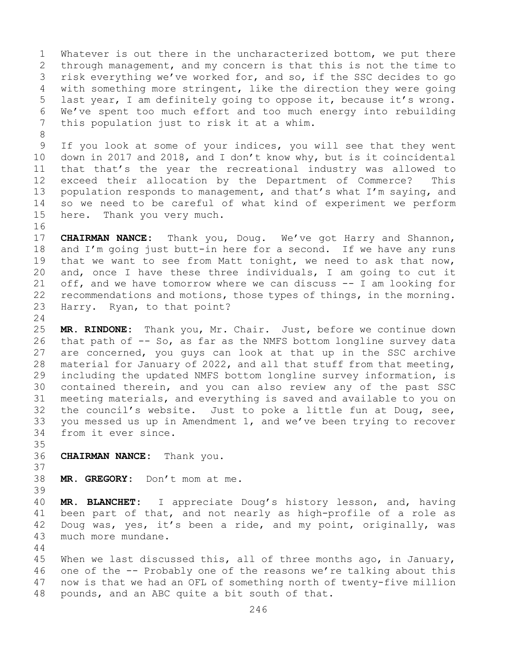1 Whatever is out there in the uncharacterized bottom, we put there<br>2 through management, and my concern is that this is not the time to 2 through management, and my concern is that this is not the time to<br>3 risk everything we've worked for, and so, if the SSC decides to go 3 risk everything we've worked for, and so, if the SSC decides to go<br>4 with something more stringent, like the direction they were going with something more stringent, like the direction they were going 5 last year, I am definitely going to oppose it, because it's wrong. 6 We've spent too much effort and too much energy into rebuilding<br>7 this population just to risk it at a whim. this population just to risk it at a whim.

8<br>9 9 If you look at some of your indices, you will see that they went<br>10 down in 2017 and 2018, and I don't know why, but is it coincidental 10 down in 2017 and 2018, and I don't know why, but is it coincidental<br>11 that that's the year the recreational industry was allowed to 11 that that's the year the recreational industry was allowed to<br>12 exceed their allocation by the Department of Commerce? This exceed their allocation by the Department of Commerce? This 13 population responds to management, and that's what I'm saying, and 14 so we need to be careful of what kind of experiment we perform<br>15 here. Thank you very much. Thank you very much.

16<br>17 17 **CHAIRMAN NANCE:** Thank you, Doug. We've got Harry and Shannon,<br>18 and I'm going just butt-in here for a second. If we have any runs 18 and I'm going just butt-in here for a second. If we have any runs<br>19 that we want to see from Matt tonight, we need to ask that now, 19 that we want to see from Matt tonight, we need to ask that now,<br>20 and, once I have these three individuals, I am going to cut it and, once I have these three individuals, I am going to cut it 21 off, and we have tomorrow where we can discuss -- I am looking for<br>22 recommendations and motions, those types of things, in the morning. 22 recommendations and motions, those types of things, in the morning.<br>23 Harry. Ryan, to that point? Harry. Ryan, to that point?

 $\frac{24}{25}$ 25 **MR. RINDONE:** Thank you, Mr. Chair. Just, before we continue down 26 that path of -- So, as far as the NMFS bottom longline survey data<br>27 are concerned, you quys can look at that up in the SSC archive are concerned, you guys can look at that up in the SSC archive 28 material for January of 2022, and all that stuff from that meeting,<br>29 including the updated NMFS bottom longline survey information, is 29 including the updated NMFS bottom longline survey information, is<br>30 contained therein, and you can also review any of the past SSC 30 contained therein, and you can also review any of the past SSC<br>31 meeting materials, and everything is saved and available to you on 31 meeting materials, and everything is saved and available to you on<br>32 the council's website. Just to poke a little fun at Doug, see, the council's website. Just to poke a little fun at Doug, see, 33 you messed us up in Amendment 1, and we've been trying to recover<br>34 from it ever since. from it ever since.

- 35<br>36 **CHAIRMAN NANCE:** Thank you.
- 37

38 **MR. GREGORY:** Don't mom at me.

39 40 **MR. BLANCHET:** I appreciate Doug's history lesson, and, having 41 been part of that, and not nearly as high-profile of a role as<br>42 Doug was, yes, it's been a ride, and my point, originally, was 42 Doug was, yes, it's been a ride, and my point, originally, was<br>43 much more mundane. much more mundane.

44

45 When we last discussed this, all of three months ago, in January, 46 one of the -- Probably one of the reasons we're talking about this<br>47 now is that we had an OFL of something north of twenty-five million 47 now is that we had an OFL of something north of twenty-five million<br>48 pounds, and an ABC quite a bit south of that. pounds, and an ABC quite a bit south of that.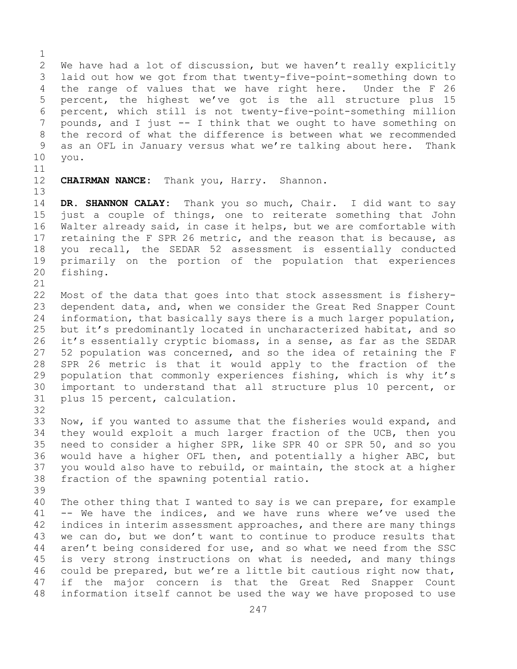$\frac{1}{2}$ 2 We have had a lot of discussion, but we haven't really explicitly<br>3 laid out how we got from that twenty-five-point-something down to 3 laid out how we got from that twenty-five-point-something down to<br>4 the range of values that we have right here. Under the F 26 the range of values that we have right here. 5 percent, the highest we've got is the all structure plus 15 6 percent, which still is not twenty-five-point-something million<br>7 pounds, and I just -- I think that we ought to have something on 7 pounds, and I just -- I think that we ought to have something on<br>8 the record of what the difference is between what we recommended 8 the record of what the difference is between what we recommended<br>9 as an OFL in January versus what we're talking about here. Thank 9 as an OFL in January versus what we're talking about here.<br>10 you. 10 you.

 $\begin{array}{c} 11 \\ 12 \end{array}$ 

13

**CHAIRMAN NANCE:** Thank you, Harry. Shannon.

14 **DR. SHANNON CALAY:** Thank you so much, Chair. I did want to say 15 just a couple of things, one to reiterate something that John<br>16 Walter already said, in case it helps, but we are comfortable with 16 Walter already said, in case it helps, but we are comfortable with<br>17 retaining the F SPR 26 metric, and the reason that is because, as 17 retaining the F SPR 26 metric, and the reason that is because, as<br>18 vou recall, the SEDAR 52 assessment is essentially conducted 18 you recall, the SEDAR 52 assessment is essentially conducted<br>19 primarily on the portion of the population that experiences 19 primarily on the portion of the population that experiences<br>20 fishing. fishing.

21<br>22

22 Most of the data that goes into that stock assessment is fishery-<br>23 dependent data, and, when we consider the Great Red Snapper Count 23 dependent data, and, when we consider the Great Red Snapper Count<br>24 information, that basically savs there is a much larger population, 24 information, that basically says there is a much larger population,<br>25 but it's predominantly located in uncharacterized habitat, and so 25 but it's predominantly located in uncharacterized habitat, and so<br>26 it's essentially cryptic biomass, in a sense, as far as the SEDAR 26 it's essentially cryptic biomass, in a sense, as far as the SEDAR<br>27 52 population was concerned, and so the idea of retaining the F 52 population was concerned, and so the idea of retaining the F 28 SPR 26 metric is that it would apply to the fraction of the<br>29 population that commonly experiences fishing, which is why it's 29 population that commonly experiences fishing, which is why it's<br>30 important to understand that all structure plus 10 percent, or 30 important to understand that all structure plus 10 percent, or<br>31 plus 15 percent, calculation. plus 15 percent, calculation. 32

- 33 Now, if you wanted to assume that the fisheries would expand, and<br>34 they would exploit a much larger fraction of the UCB, then you 34 they would exploit a much larger fraction of the UCB, then you<br>35 need to consider a higher SPR, like SPR 40 or SPR 50, and so you 35 need to consider a higher SPR, like SPR 40 or SPR 50, and so you<br>36 would have a higher OFL then, and potentially a higher ABC, but 36 would have a higher OFL then, and potentially a higher ABC, but<br>37 you would also have to rebuild, or maintain, the stock at a higher you would also have to rebuild, or maintain, the stock at a higher 38 fraction of the spawning potential ratio.
- 39

40 The other thing that I wanted to say is we can prepare, for example<br>41 -- We have the indices, and we have runs where we've used the 41 -- We have the indices, and we have runs where we've used the<br>42 indices in interim assessment approaches, and there are many things 42 indices in interim assessment approaches, and there are many things<br>43 we can do, but we don't want to continue to produce results that 43 we can do, but we don't want to continue to produce results that<br>44 aren't being considered for use, and so what we need from the SSC aren't being considered for use, and so what we need from the SSC 45 is very strong instructions on what is needed, and many things 46 could be prepared, but we're a little bit cautious right now that,<br>47 if the major concern is that the Great Red Snapper Count 47 if the major concern is that the Great Red Snapper Count<br>48 information itself cannot be used the way we have proposed to use information itself cannot be used the way we have proposed to use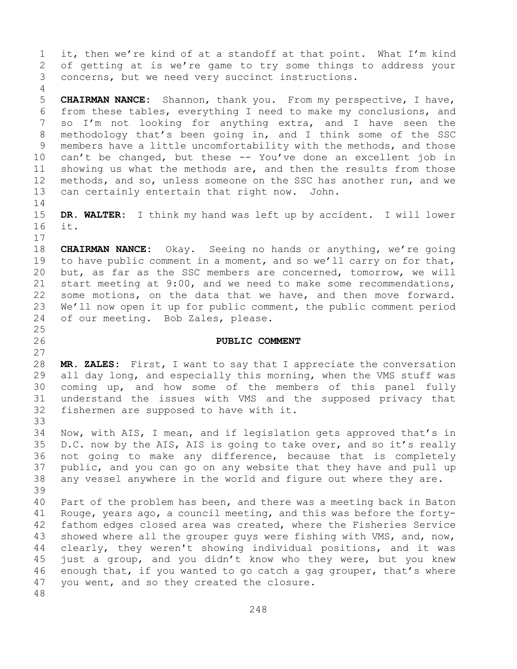1 it, then we're kind of at a standoff at that point. What I'm kind<br>2 of getting at is we're game to try some things to address your 2 of getting at is we're game to try some things to address your<br>3 concerns, but we need very succinct instructions. concerns, but we need very succinct instructions.

5 **CHAIRMAN NANCE:** Shannon, thank you. From my perspective, I have, 6 from these tables, everything I need to make my conclusions, and<br>7 so I'm not looking for anything extra, and I have seen the 7 so I'm not looking for anything extra, and I have seen the<br>8 methodology that's been going in, and I think some of the SSC 8 methodology that's been going in, and I think some of the SSC<br>9 members have a little uncomfortability with the methods, and those 9 members have a little uncomfortability with the methods, and those<br>10 can't be changed, but these -- You've done an excellent job in 10 can't be changed, but these -- You've done an excellent job in<br>11 showing us what the methods are, and then the results from those 11 showing us what the methods are, and then the results from those<br>12 methods, and so, unless someone on the SSC has another run, and we 12 methods, and so, unless someone on the SSC has another run, and we<br>13 can certainly entertain that right now. John. can certainly entertain that right now. John.

 $\frac{14}{15}$ 15 **DR. WALTER:** I think my hand was left up by accident. I will lower it.

 $17$ <br> $18$ 18 **CHAIRMAN NANCE:** Okay. Seeing no hands or anything, we're going<br>19 to have public comment in a moment, and so we'll carry on for that, 19 to have public comment in a moment, and so we'll carry on for that,<br>20 but, as far as the SSC members are concerned, tomorrow, we will 20 but, as far as the SSC members are concerned, tomorrow, we will<br>21 start meeting at 9:00, and we need to make some recommendations, 21 start meeting at 9:00, and we need to make some recommendations,<br>22 some motions, on the data that we have, and then move forward. 22 some motions, on the data that we have, and then move forward.<br>23 We'll now open it up for public comment, the public comment period 23 We'll now open it up for public comment, the public comment period<br>24 of our meeting. Bob Zales, please. of our meeting. Bob Zales, please.

## 26 **PUBLIC COMMENT**

28 **MR. ZALES:** First, I want to say that I appreciate the conversation<br>29 all day long, and especially this morning, when the VMS stuff was 29 all day long, and especially this morning, when the VMS stuff was<br>30 coming up, and how some of the members of this panel fully 30 coming up, and how some of the members of this panel fully<br>31 understand the issues with VMS and the supposed privacy that 31 understand the issues with VMS and the supposed privacy that<br>32 fishermen are supposed to have with it. fishermen are supposed to have with it.

33<br>34 34 Now, with AIS, I mean, and if legislation gets approved that's in<br>35 D.C. now by the AIS, AIS is going to take over, and so it's really 35 D.C. now by the AIS, AIS is going to take over, and so it's really<br>36 not going to make any difference, because that is completely 36 not going to make any difference, because that is completely<br>37 public, and you can go on any website that they have and pull up public, and you can go on any website that they have and pull up 38 any vessel anywhere in the world and figure out where they are.

39 40 Part of the problem has been, and there was a meeting back in Baton<br>41 Rouge, years ago, a council meeting, and this was before the forty-41 Rouge, years ago, a council meeting, and this was before the forty-<br>42 fathom edges closed area was created, where the Fisheries Service 42 fathom edges closed area was created, where the Fisheries Service<br>43 showed where all the grouper guys were fishing with VMS, and, now, 43 showed where all the grouper guys were fishing with VMS, and, now,<br>44 clearly, they weren't showing individual positions, and it was clearly, they weren't showing individual positions, and it was 45 just a group, and you didn't know who they were, but you knew 46 enough that, if you wanted to go catch a gag grouper, that's where<br>47 vou went, and so thev created the closure. you went, and so they created the closure.

48

4

 $\frac{25}{26}$ 

27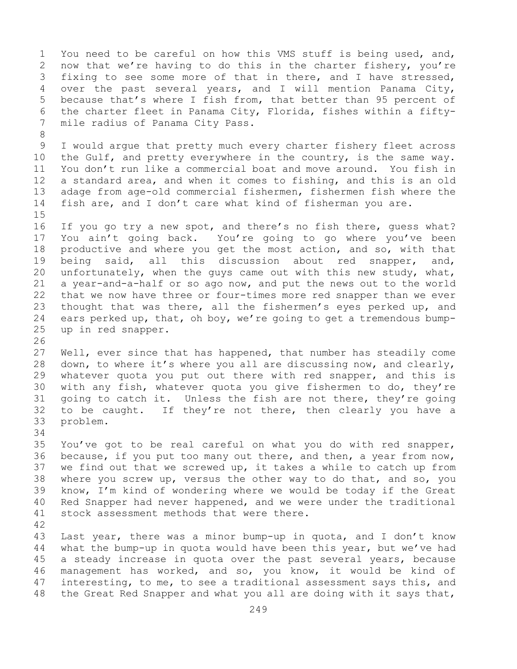1 You need to be careful on how this VMS stuff is being used, and,<br>2 now that we're having to do this in the charter fishery, you're 2 now that we're having to do this in the charter fishery, you're<br>3 fixing to see some more of that in there, and I have stressed, 3 fixing to see some more of that in there, and I have stressed,<br>4 over the past several vears, and I will mention Panama City, over the past several years, and I will mention Panama City, 5 because that's where I fish from, that better than 95 percent of 6 the charter fleet in Panama City, Florida, fishes within a fiftymile radius of Panama City Pass. 8 9 I would argue that pretty much every charter fishery fleet across<br>10 the Gulf, and pretty everywhere in the country, is the same way. 10 the Gulf, and pretty everywhere in the country, is the same way.<br>11 You don't run like a commercial boat and move around. You fish in 11 You don't run like a commercial boat and move around. You fish in<br>12 a standard area, and when it comes to fishing, and this is an old a standard area, and when it comes to fishing, and this is an old 13 adage from age-old commercial fishermen, fishermen fish where the 14 fish are, and I don't care what kind of fisherman you are.  $15$ <br> $16$ 16 If you go try a new spot, and there's no fish there, guess what?<br>17 You ain't going back. You're going to go where you've been 17 You ain't going back. You're going to go where you've been<br>18 productive and where you get the most action, and so, with that 18 productive and where you get the most action, and so, with that<br>19 being said, all this discussion about red snapper, and, 19 being said, all this discussion about red snapper, and,<br>20 unfortunately, when the quys came out with this new study, what, unfortunately, when the guys came out with this new study, what, 21 a year-and-a-half or so ago now, and put the news out to the world<br>22 that we now have three or four-times more red snapper than we ever 22 that we now have three or four-times more red snapper than we ever<br>23 thought that was there, all the fishermen's eyes perked up, and 23 thought that was there, all the fishermen's eyes perked up, and<br>24 ears perked up, that, oh boy, we're going to get a tremendous bump-24 ears perked up, that, oh boy, we're going to get a tremendous bump-<br>25 up in red snapper. up in red snapper. 26<br>27 Well, ever since that has happened, that number has steadily come 28 down, to where it's where you all are discussing now, and clearly,<br>29 whatever quota you put out there with red snapper, and this is 29 whatever quota you put out there with red snapper, and this is<br>30 with any fish, whatever quota you give fishermen to do, they're 30 with any fish, whatever quota you give fishermen to do, they're<br>31 qoing to catch it. Unless the fish are not there, they're going 31 going to catch it. Unless the fish are not there, they're going<br>32 to be caught. If they're not there, then clearly you have a to be caught. If they're not there, then clearly you have a 33 problem. 34<br>35 35 You've got to be real careful on what you do with red snapper,<br>36 because, if you put too many out there, and then, a year from now, because, if you put too many out there, and then, a year from now, 37 we find out that we screwed up, it takes a while to catch up from 38 where you screw up, versus the other way to do that, and so, you<br>39 know, I'm kind of wondering where we would be today if the Great 39 know, I'm kind of wondering where we would be today if the Great<br>40 Red Snapper had never happened, and we were under the traditional 40 Red Snapper had never happened, and we were under the traditional<br>41 stock assessment methods that were there. stock assessment methods that were there. 42 43 Last year, there was a minor bump-up in quota, and I don't know<br>44 what the bump-up in quota would have been this year, but we've had what the bump-up in quota would have been this year, but we've had 45 a steady increase in quota over the past several years, because 46 management has worked, and so, you know, it would be kind of<br>47 interesting, to me, to see a traditional assessment says this, and 47 interesting, to me, to see a traditional assessment says this, and<br>48 the Great Red Snapper and what you all are doing with it says that, the Great Red Snapper and what you all are doing with it says that,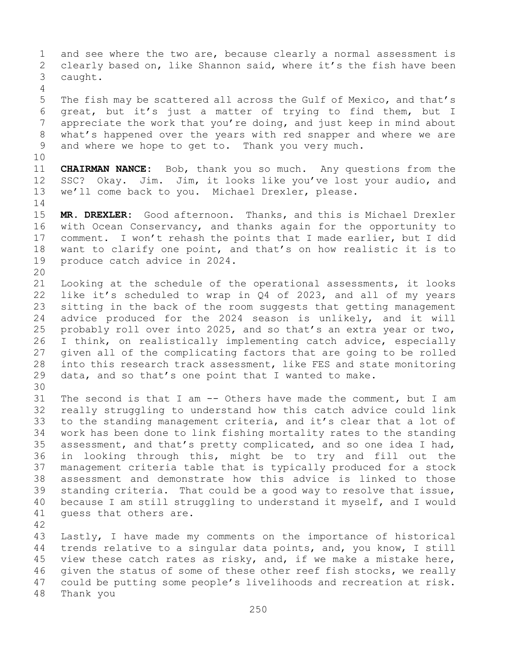1 and see where the two are, because clearly a normal assessment is<br>2 clearly based on, like Shannon said, where it's the fish have been 2 clearly based on, like Shannon said, where it's the fish have been<br>3 caught. caught. 4 5 The fish may be scattered all across the Gulf of Mexico, and that's 6 great, but it's just a matter of trying to find them, but I<br>7 appreciate the work that you're doing, and just keep in mind about 7 appreciate the work that you're doing, and just keep in mind about<br>8 what's happened over the years with red snapper and where we are 8 what's happened over the years with red snapper and where we are<br>9 and where we hope to get to. Thank you very much. and where we hope to get to. Thank you very much. 10<br>11 11 **CHAIRMAN NANCE:** Bob, thank you so much. Any questions from the 12 SSC? Okay. Jim. Jim, it looks like you've lost your audio, and SSC? Okay. Jim. Jim, it looks like you've lost your audio, and 13 we'll come back to you. Michael Drexler, please.  $\frac{14}{15}$ 15 **MR. DREXLER:** Good afternoon. Thanks, and this is Michael Drexler<br>16 with Ocean Conservancy, and thanks again for the opportunity to 16 with Ocean Conservancy, and thanks again for the opportunity to<br>17 comment. I won't rehash the points that I made earlier, but I did 17 comment. I won't rehash the points that I made earlier, but I did<br>18 want to clarify one point, and that's on how realistic it is to 18 want to clarify one point, and that's on how realistic it is to<br>19 produce catch advice in 2024. produce catch advice in 2024. 20<br>21 21 Looking at the schedule of the operational assessments, it looks<br>22 like it's scheduled to wrap in Q4 of 2023, and all of my years 22 like it's scheduled to wrap in  $Q4$  of 2023, and all of my years<br>23 sitting in the back of the room suggests that getting management 23 sitting in the back of the room suggests that getting management<br>24 advice produced for the 2024 season is unlikely, and it will 24 advice produced for the 2024 season is unlikely, and it will<br>25 probably roll over into 2025, and so that's an extra year or two, 25 probably roll over into 2025, and so that's an extra year or two,<br>26 I think, on realistically implementing catch advice, especially 26 I think, on realistically implementing catch advice, especially<br>27 qiven all of the complicating factors that are going to be rolled 27 given all of the complicating factors that are going to be rolled<br>28 into this research track assessment, like FES and state monitoring 28 into this research track assessment, like FES and state monitoring<br>29 data, and so that's one point that I wanted to make. data, and so that's one point that I wanted to make. 30<br>31 31 The second is that I am -- Others have made the comment, but I am<br>32 really struggling to understand how this catch advice could link really struggling to understand how this catch advice could link 33 to the standing management criteria, and it's clear that a lot of<br>34 work has been done to link fishing mortality rates to the standing 34 work has been done to link fishing mortality rates to the standing<br>35 assessment, and that's pretty complicated, and so one idea I had, 35 assessment, and that's pretty complicated, and so one idea I had,<br>36 in looking through this, might be to try and fill out the 36 in looking through this, might be to try and fill out the<br>37 management criteria table that is typically produced for a stock management criteria table that is typically produced for a stock 38 assessment and demonstrate how this advice is linked to those<br>39 standing criteria. That could be a good way to resolve that issue, 39 standing criteria. That could be a good way to resolve that issue,<br>40 because I am still struggling to understand it myself, and I would 40 because I am still struggling to understand it myself, and I would<br>41 quess that others are. quess that others are. 42 43 Lastly, I have made my comments on the importance of historical<br>44 trends relative to a singular data points, and, you know, I still trends relative to a singular data points, and, you know, I still 45 view these catch rates as risky, and, if we make a mistake here, 46 given the status of some of these other reef fish stocks, we really<br>47 could be putting some people's livelihoods and recreation at risk. 47 could be putting some people's livelihoods and recreation at risk.<br>48 Thank you Thank you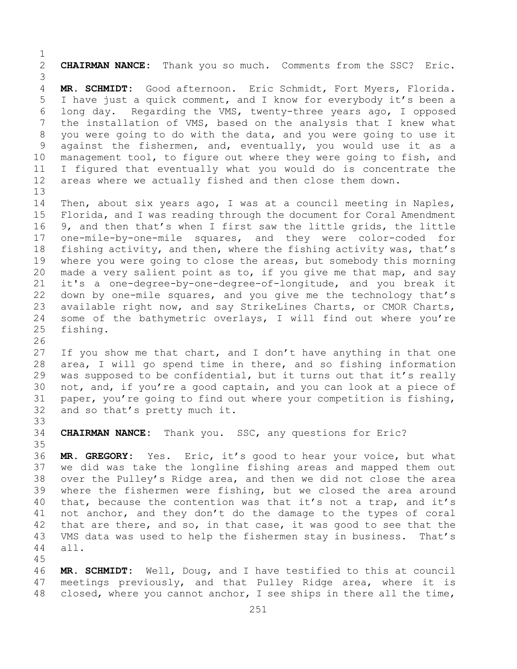$\frac{1}{2}$ 2 **CHAIRMAN NANCE:** Thank you so much. Comments from the SSC? Eric. 3 MR. SCHMIDT: Good afternoon. Eric Schmidt, Fort Myers, Florida. 5 I have just a quick comment, and I know for everybody it's been a 6 long day. Regarding the VMS, twenty-three years ago, I opposed<br>7 the installation of VMS, based on the analysis that I knew what 7 the installation of VMS, based on the analysis that I knew what<br>8 you were going to do with the data, and you were going to use it 8 you were going to do with the data, and you were going to use it<br>9 against the fishermen, and, eventually, you would use it as a 9 against the fishermen, and, eventually, you would use it as a<br>10 management tool, to figure out where they were going to fish, and 10 management tool, to figure out where they were going to fish, and<br>11 I figured that eventually what you would do is concentrate the 11 I figured that eventually what you would do is concentrate the<br>12 areas where we actually fished and then close them down. areas where we actually fished and then close them down. 13

14 Then, about six years ago, I was at a council meeting in Naples,<br>15 Florida, and I was reading through the document for Coral Amendment 15 Florida, and I was reading through the document for Coral Amendment<br>16 9, and then that's when I first saw the little grids, the little 16 9, and then that's when I first saw the little grids, the little<br>17 one-mile-by-one-mile squares, and they were color-coded for 17 one-mile-by-one-mile squares, and they were color-coded for<br>18 fishing activity, and then, where the fishing activity was, that's 18 fishing activity, and then, where the fishing activity was, that's<br>19 where you were going to close the areas, but somebody this morning 19 where you were going to close the areas, but somebody this morning<br>20 made a very salient point as to, if you give me that map, and say 20 made a very salient point as to, if you give me that map, and say<br>21 it's a one-degree-by-one-degree-of-longitude, and you break it 21 it's a one-degree-by-one-degree-of-longitude, and you break it<br>22 down by one-mile squares, and you give me the technology that's 22 down by one-mile squares, and you give me the technology that's<br>23 available right now, and say StrikeLines Charts, or CMOR Charts, 23 available right now, and say StrikeLines Charts, or CMOR Charts,<br>24 some of the bathymetric overlays, I will find out where you're 24 some of the bathymetric overlays, I will find out where you're<br>25 fishing. fishing.

26<br>27 If you show me that chart, and I don't have anything in that one 28 area, I will go spend time in there, and so fishing information<br>29 was supposed to be confidential, but it turns out that it's really 29 was supposed to be confidential, but it turns out that it's really<br>30 not, and, if you're a good captain, and you can look at a piece of 30 not, and, if you're a good captain, and you can look at a piece of<br>31 paper, you're going to find out where your competition is fishing, 31 paper, you're going to find out where your competition is fishing,<br>32 and so that's pretty much it. and so that's pretty much it.

33<br>34 CHAIRMAN NANCE: Thank you. SSC, any questions for Eric?

45

35<br>36 MR. GREGORY: Yes. Eric, it's good to hear your voice, but what 37 we did was take the longline fishing areas and mapped them out 38 over the Pulley's Ridge area, and then we did not close the area<br>39 where the fishermen were fishing, but we closed the area around 39 where the fishermen were fishing, but we closed the area around<br>40 that, because the contention was that it's not a trap, and it's 40 that, because the contention was that it's not a trap, and it's<br>41 not anchor, and they don't do the damage to the types of coral 41 not anchor, and they don't do the damage to the types of coral<br>42 that are there, and so, in that case, it was good to see that the 42 that are there, and so, in that case, it was good to see that the<br>43 VMS data was used to help the fishermen stay in business. That's 43 VMS data was used to help the fishermen stay in business.<br>44 all. all.

46 **MR. SCHMIDT:** Well, Doug, and I have testified to this at council 47 meetings previously, and that Pulley Ridge area, where it is<br>48 closed, where you cannot anchor, I see ships in there all the time, closed, where you cannot anchor, I see ships in there all the time,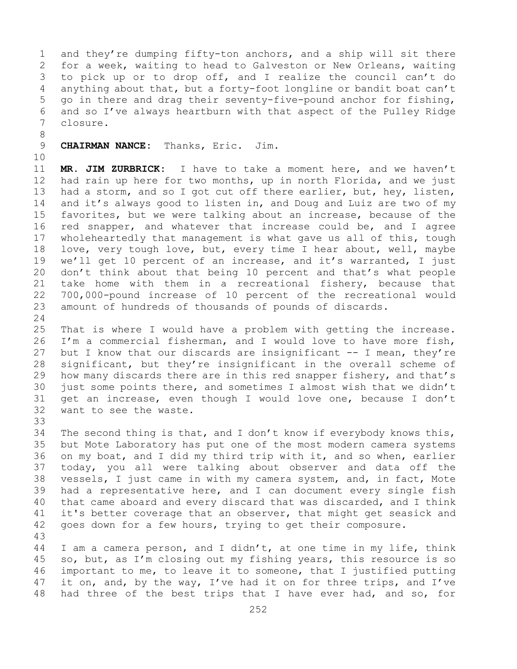1 and they're dumping fifty-ton anchors, and a ship will sit there<br>2 for a week, waiting to head to Galveston or New Orleans, waiting 2 for a week, waiting to head to Galveston or New Orleans, waiting<br>3 to pick up or to drop off, and I realize the council can't do 3 to pick up or to drop off, and I realize the council can't do<br>4 anything about that, but a forty-foot longline or bandit boat can't anything about that, but a forty-foot longline or bandit boat can't 5 go in there and drag their seventy-five-pound anchor for fishing, 6 and so I've always heartburn with that aspect of the Pulley Ridge closure.

8 9 **CHAIRMAN NANCE:** Thanks, Eric. Jim.

10<br>11

11 **MR. JIM ZURBRICK:** I have to take a moment here, and we haven't had rain up here for two months, up in north Florida, and we just 13 had a storm, and so I got cut off there earlier, but, hey, listen, 14 and it's always good to listen in, and Doug and Luiz are two of my<br>15 favorites, but we were talking about an increase, because of the 15 favorites, but we were talking about an increase, because of the<br>16 red snapper, and whatever that increase could be, and I agree 16 red snapper, and whatever that increase could be, and I agree<br>17 wholeheartedly that management is what gave us all of this, tough 17 wholeheartedly that management is what gave us all of this, tough<br>18 love, very tough love, but, every time I hear about, well, maybe 18 love, very tough love, but, every time I hear about, well, maybe<br>19 we'll get 10 percent of an increase, and it's warranted, I just 19 we'll get 10 percent of an increase, and it's warranted, I just<br>20 don't think about that being 10 percent and that's what people 20 don't think about that being 10 percent and that's what people 21 take home with them in a recreational fishery, because that<br>22 700,000-pound increase of 10 percent of the recreational would 22 700,000-pound increase of 10 percent of the recreational would<br>23 amount of hundreds of thousands of pounds of discards. amount of hundreds of thousands of pounds of discards.

 $\frac{24}{25}$ 25 That is where I would have a problem with getting the increase.<br>26 I'm a commercial fisherman, and I would love to have more fish, 26 I'm a commercial fisherman, and I would love to have more fish,<br>27 but I know that our discards are insignificant -- I mean, they're but I know that our discards are insignificant  $-$ - I mean, they're 28 significant, but they're insignificant in the overall scheme of<br>29 how many discards there are in this red snapper fishery, and that's 29 how many discards there are in this red snapper fishery, and that's<br>30 just some points there, and sometimes I almost wish that we didn't 30 just some points there, and sometimes I almost wish that we didn't<br>31 qet an increase, even though I would love one, because I don't 31 get an increase, even though I would love one, because I don't 32 want to see the waste. want to see the waste.

33<br>34 34 The second thing is that, and I don't know if everybody knows this,<br>35 but Mote Laboratory has put one of the most modern camera systems 35 but Mote Laboratory has put one of the most modern camera systems<br>36 on my boat, and I did my third trip with it, and so when, earlier 36 on my boat, and I did my third trip with it, and so when, earlier<br>37 today, you all were talking about observer and data off the today, you all were talking about observer and data off the 38 vessels, I just came in with my camera system, and, in fact, Mote<br>39 had a representative here, and I can document every single fish 39 had a representative here, and I can document every single fish<br>40 that came aboard and every discard that was discarded, and I think 40 that came aboard and every discard that was discarded, and I think<br>41 it's better coverage that an observer, that might get seasick and 41 it's better coverage that an observer, that might get seasick and<br>42 qoes down for a few hours, trying to get their composure. goes down for a few hours, trying to get their composure.

43 I am a camera person, and I didn't, at one time in my life, think 45 so, but, as I'm closing out my fishing years, this resource is so 46 important to me, to leave it to someone, that I justified putting<br>47 it on, and, by the way, I've had it on for three trips, and I've 47 it on, and, by the way, I've had it on for three trips, and I've<br>48 had three of the best trips that I have ever had, and so, for had three of the best trips that I have ever had, and so, for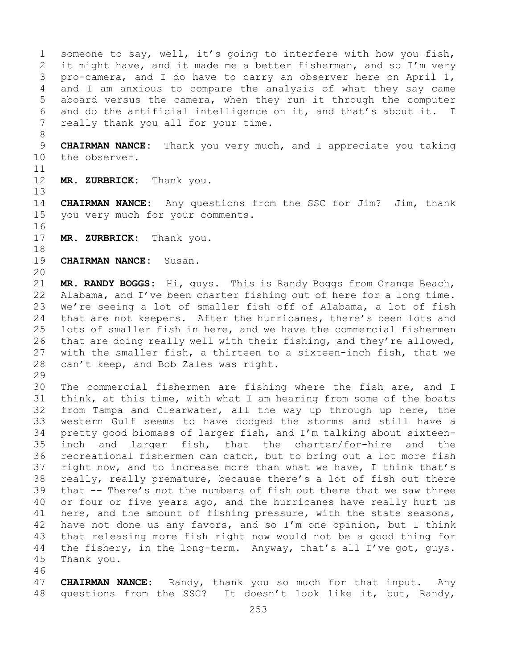1 someone to say, well, it's going to interfere with how you fish,<br>2 it might have, and it made me a better fisherman, and so I'm very 2 it might have, and it made me a better fisherman, and so I'm very<br>3 pro-camera, and I do have to carry an observer here on April 1, 3 pro-camera, and I do have to carry an observer here on April 1,<br>4 and I am anxious to compare the analysis of what they say came and I am anxious to compare the analysis of what they say came 5 aboard versus the camera, when they run it through the computer 6 and do the artificial intelligence on it, and that's about it. I<br>7 really thank you all for your time. really thank you all for your time.

8 9 **CHAIRMAN NANCE:** Thank you very much, and I appreciate you taking<br>10 the observer. the observer.

 $\begin{array}{c} 11 \\ 12 \end{array}$ 

MR. ZURBRICK: Thank you.

14 **CHAIRMAN NANCE:** Any questions from the SSC for Jim? Jim, thank<br>15 vou very much for vour comments. you very much for your comments.

- 16<br>17 MR. ZURBRICK: Thank you.
- 18<br>19 **CHAIRMAN NANCE:** Susan.
- 20

13

21 **MR. RANDY BOGGS:** Hi, guys. This is Randy Boggs from Orange Beach,<br>22 Alabama, and I've been charter fishing out of here for a long time. 22 Alabama, and I've been charter fishing out of here for a long time.<br>23 We're seeing a lot of smaller fish off of Alabama, a lot of fish 23 We're seeing a lot of smaller fish off of Alabama, a lot of fish<br>24 that are not keepers. After the hurricanes, there's been lots and 24 that are not keepers. After the hurricanes, there's been lots and<br>25 lots of smaller fish in here, and we have the commercial fishermen lots of smaller fish in here, and we have the commercial fishermen 26 that are doing really well with their fishing, and they're allowed,<br>27 with the smaller fish, a thirteen to a sixteen-inch fish, that we with the smaller fish, a thirteen to a sixteen-inch fish, that we 28 can't keep, and Bob Zales was right.

29<br>30 30 The commercial fishermen are fishing where the fish are, and I<br>31 think, at this time, with what I am hearing from some of the boats 31 think, at this time, with what I am hearing from some of the boats<br>32 from Tampa and Clearwater, all the way up through up here, the from Tampa and Clearwater, all the way up through up here, the 33 western Gulf seems to have dodged the storms and still have a<br>34 pretty good biomass of larger fish, and I'm talking about sixteen-34 pretty good biomass of larger fish, and I'm talking about sixteen-<br>35 inch and larger fish, that the charter/for-hire and the 35 inch and larger fish, that the charter/for-hire and the<br>36 recreational fishermen can catch, but to bring out a lot more fish recreational fishermen can catch, but to bring out a lot more fish 37 right now, and to increase more than what we have, I think that's 38 really, really premature, because there's a lot of fish out there<br>39 that -- There's not the numbers of fish out there that we saw three 39 that -- There's not the numbers of fish out there that we saw three<br>40 or four or five years ago, and the hurricanes have really hurt us 40 or four or five years ago, and the hurricanes have really hurt us<br>41 here, and the amount of fishing pressure, with the state seasons, 41 here, and the amount of fishing pressure, with the state seasons,<br>42 have not done us any favors, and so I'm one opinion, but I think 42 have not done us any favors, and so I'm one opinion, but I think<br>43 that releasing more fish right now would not be a good thing for 43 that releasing more fish right now would not be a good thing for<br>44 the fishery, in the long-term. Anyway, that's all I've got, guys. the fishery, in the long-term. Anyway, that's all I've got, guys. 45 Thank you.

46<br>47

47 **CHAIRMAN NANCE:** Randy, thank you so much for that input. Any<br>48 questions from the SSC? It doesn't look like it, but, Randy, questions from the SSC? It doesn't look like it, but, Randy,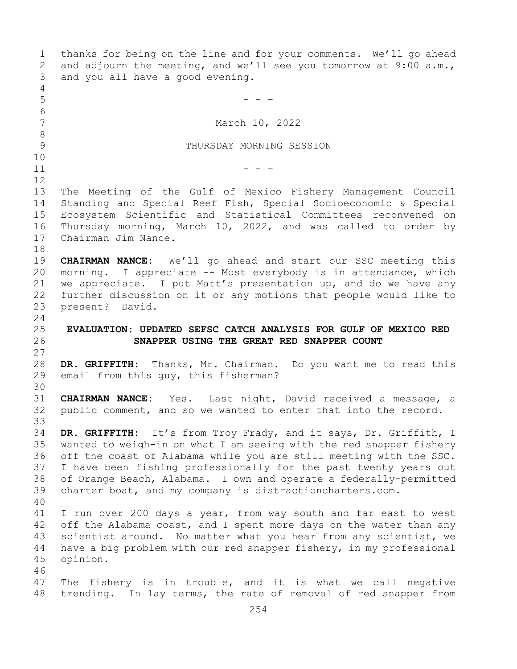1 thanks for being on the line and for your comments. We'll go ahead<br>2 and adjourn the meeting, and we'll see you tomorrow at 9:00 a.m., 2 and adjourn the meeting, and we'll see you tomorrow at 9:00 a.m.,<br>3 and you all have a good evening. and you all have a good evening. 4<br>5  $5$  - - -6<br>7 March 10, 2022 8<br>9 THURSDAY MORNING SESSION 10<br>11  $11$  - - -12<br>13 The Meeting of the Gulf of Mexico Fishery Management Council 14 Standing and Special Reef Fish, Special Socioeconomic & Special 15 Ecosystem Scientific and Statistical Committees reconvened on<br>16 Thursday morning, March 10, 2022, and was called to order by 16 Thursday morning, March 10, 2022, and was called to order by<br>17 Chairman Jim Nance. Chairman Jim Nance. 18<br>19 19 **CHAIRMAN NANCE:** We'll go ahead and start our SSC meeting this<br>20 morning. I appreciate -- Most everybody is in attendance, which morning. I appreciate -- Most everybody is in attendance, which 21 we appreciate. I put Matt's presentation up, and do we have any<br>22 further discussion on it or any motions that people would like to 22 further discussion on it or any motions that people would like to<br>23 present? David. present? David.  $\frac{24}{25}$ 25 **EVALUATION: UPDATED SEFSC CATCH ANALYSIS FOR GULF OF MEXICO RED**  26 **SNAPPER USING THE GREAT RED SNAPPER COUNT** 27 28 **DR. GRIFFITH:** Thanks, Mr. Chairman. Do you want me to read this email from this guy, this fisherman? 30<br>31 31 **CHAIRMAN NANCE:** Yes. Last night, David received a message, a public comment, and so we wanted to enter that into the record. 33<br>34 34 **DR. GRIFFITH:** It's from Troy Frady, and it says, Dr. Griffith, I 35 wanted to weigh-in on what I am seeing with the red snapper fishery<br>36 off the coast of Alabama while you are still meeting with the SSC. off the coast of Alabama while you are still meeting with the SSC. 37 I have been fishing professionally for the past twenty years out 38 of Orange Beach, Alabama. I own and operate a federally-permitted<br>39 charter boat, and my company is distractioncharters.com. charter boat, and my company is distractioncharters.com. 40 41 I run over 200 days a year, from way south and far east to west<br>42 off the Alabama coast, and I spent more days on the water than any 42 off the Alabama coast, and I spent more days on the water than any<br>43 scientist around. No matter what you hear from any scientist, we 43 scientist around. No matter what you hear from any scientist, we<br>44 have a big problem with our red snapper fishery, in my professional have a big problem with our red snapper fishery, in my professional 45 opinion. 46<br>47 47 The fishery is in trouble, and it is what we call negative<br>48 trending. In lay terms, the rate of removal of red snapper from trending. In lay terms, the rate of removal of red snapper from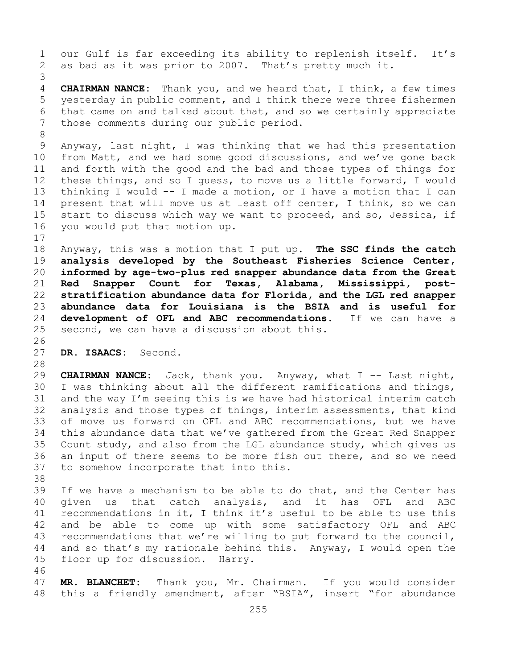1 our Gulf is far exceeding its ability to replenish itself. It's<br>2 as bad as it was prior to 2007. That's pretty much it. as bad as it was prior to 2007. That's pretty much it. 3 CHAIRMAN NANCE: Thank you, and we heard that, I think, a few times 5 yesterday in public comment, and I think there were three fishermen 6 that came on and talked about that, and so we certainly appreciate<br>7 those comments during our public period. those comments during our public period. 8<br>9 9 Anyway, last night, I was thinking that we had this presentation<br>10 from Matt, and we had some good discussions, and we've gone back 10 from Matt, and we had some good discussions, and we've gone back<br>11 and forth with the good and the bad and those types of things for 11 and forth with the good and the bad and those types of things for<br>12 these things, and so I quess, to move us a little forward, I would these things, and so I guess, to move us a little forward, I would 13 thinking I would -- I made a motion, or I have a motion that I can 14 present that will move us at least off center, I think, so we can<br>15 start to discuss which wav we want to proceed, and so, Jessica, if 15 start to discuss which way we want to proceed, and so, Jessica, if<br>16 you would put that motion up. you would put that motion up.  $\begin{array}{c} 17 \\ 18 \end{array}$ 18 Anyway, this was a motion that I put up. **The SSC finds the catch**  19 **analysis developed by the Southeast Fisheries Science Center,**  20 **informed by age-two-plus red snapper abundance data from the Great**  21 **Red Snapper Count for Texas, Alabama, Mississippi, post-**22 **stratification abundance data for Florida, and the LGL red snapper**  23 **abundance data for Louisiana is the BSIA and is useful for**  24 **development of OFL and ABC recommendations.**<br>25 second, we can have a discussion about this. second, we can have a discussion about this. 26<br>27 DR. ISAACS: Second. 28<br>29 29 **CHAIRMAN NANCE:** Jack, thank you. Anyway, what I -- Last night,<br>30 I was thinking about all the different ramifications and things, 30 I was thinking about all the different ramifications and things,<br>31 and the way I'm seeing this is we have had historical interim catch 31 and the way I'm seeing this is we have had historical interim catch<br>32 analysis and those types of things, interim assessments, that kind analysis and those types of things, interim assessments, that kind 33 of move us forward on OFL and ABC recommendations, but we have<br>34 this abundance data that we've gathered from the Great Red Snapper 34 this abundance data that we've gathered from the Great Red Snapper<br>35 Count study, and also from the LGL abundance study, which gives us 35 Count study, and also from the LGL abundance study, which gives us<br>36 an input of there seems to be more fish out there, and so we need 36 an input of there seems to be more fish out there, and so we need<br>37 to somehow incorporate that into this. to somehow incorporate that into this. 38<br>39 39 If we have a mechanism to be able to do that, and the Center has<br>40 qiven us that catch analysis, and it has OFL and ABC 40 given us that catch analysis, and it has OFL and ABC<br>41 recommendations in it, I think it's useful to be able to use this 41 recommendations in it, I think it's useful to be able to use this<br>42 and be able to come up with some satisfactory OFL and ABC 42 and be able to come up with some satisfactory OFL and ABC<br>43 recommendations that we're willing to put forward to the council, 43 recommendations that we're willing to put forward to the council,<br>44 and so that's my rationale behind this. Anyway, I would open the and so that's my rationale behind this. Anyway, I would open the 45 floor up for discussion. Harry.

46<br>47 47 **MR. BLANCHET:** Thank you, Mr. Chairman. If you would consider this a friendly amendment, after "BSIA", insert "for abundance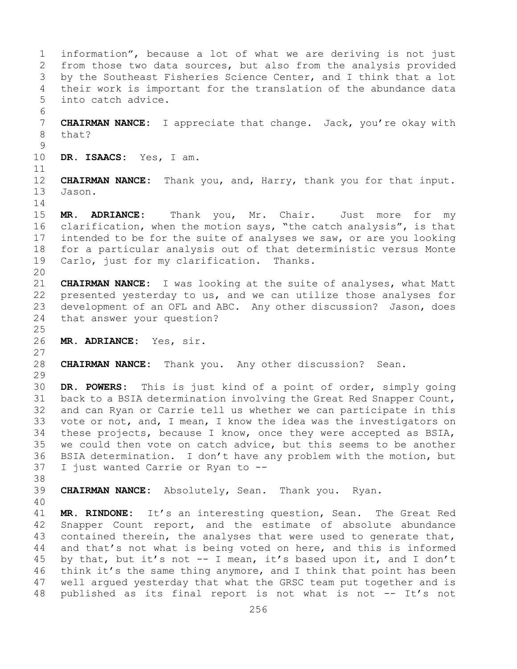1 information", because a lot of what we are deriving is not just<br>2 from those two data sources, but also from the analysis provided 2 from those two data sources, but also from the analysis provided<br>3 by the Southeast Fisheries Science Center, and I think that a lot 3 by the Southeast Fisheries Science Center, and I think that a lot<br>4 their work is important for the translation of the abundance data their work is important for the translation of the abundance data 5 into catch advice. 6<br>7 7 **CHAIRMAN NANCE:** I appreciate that change. Jack, you're okay with that?  $\frac{9}{10}$ DR. ISAACS: Yes, I am. 11<br>12 12 **CHAIRMAN NANCE:** Thank you, and, Harry, thank you for that input. Jason.  $\frac{14}{15}$ 15 **MR. ADRIANCE:** Thank you, Mr. Chair. Just more for my<br>16 clarification, when the motion says, "the catch analysis", is that 16 clarification, when the motion says, "the catch analysis", is that<br>17 intended to be for the suite of analyses we saw, or are you looking 17 intended to be for the suite of analyses we saw, or are you looking<br>18 for a particular analysis out of that deterministic versus Monte 18 for a particular analysis out of that deterministic versus Monte<br>19 Carlo, just for my clarification. Thanks. Carlo, just for my clarification. 20<br>21 21 **CHAIRMAN NANCE:** I was looking at the suite of analyses, what Matt 22 presented yesterday to us, and we can utilize those analyses for<br>23 development of an OFL and ABC. Any other discussion? Jason, does 23 development of an OFL and ABC. Any other discussion? Jason, does<br>24 that answer your question? that answer your question?  $\frac{25}{26}$ 26 **MR. ADRIANCE:** Yes, sir.  $\frac{27}{28}$ 28 **CHAIRMAN NANCE:** Thank you. Any other discussion? Sean. 29<br>30 30 **DR. POWERS:** This is just kind of a point of order, simply going 31 back to a BSIA determination involving the Great Red Snapper Count,<br>32 and can Rvan or Carrie tell us whether we can participate in this and can Ryan or Carrie tell us whether we can participate in this 33 vote or not, and, I mean, I know the idea was the investigators on<br>34 these projects, because I know, once they were accepted as BSIA, 34 these projects, because I know, once they were accepted as BSIA,<br>35 we could then vote on catch advice, but this seems to be another 35 we could then vote on catch advice, but this seems to be another<br>36 BSIA determination. I don't have any problem with the motion, but 36 BSIA determination. I don't have any problem with the motion, but<br>37 I just wanted Carrie or Ryan to  $-$ I just wanted Carrie or Ryan to --38<br>39 39 **CHAIRMAN NANCE:** Absolutely, Sean. Thank you. Ryan. 40 41 **MR. RINDONE:** It's an interesting question, Sean. The Great Red 42 Snapper Count report, and the estimate of absolute abundance<br>43 contained therein, the analyses that were used to generate that, 43 contained therein, the analyses that were used to generate that,<br>44 and that's not what is being voted on here, and this is informed and that's not what is being voted on here, and this is informed 45 by that, but it's not -- I mean, it's based upon it, and I don't 46 think it's the same thing anymore, and I think that point has been<br>47 well arqued vesterday that what the GRSC team put together and is 47 well argued yesterday that what the GRSC team put together and is<br>48 published as its final report is not what is not -- It's not published as its final report is not what is not -- It's not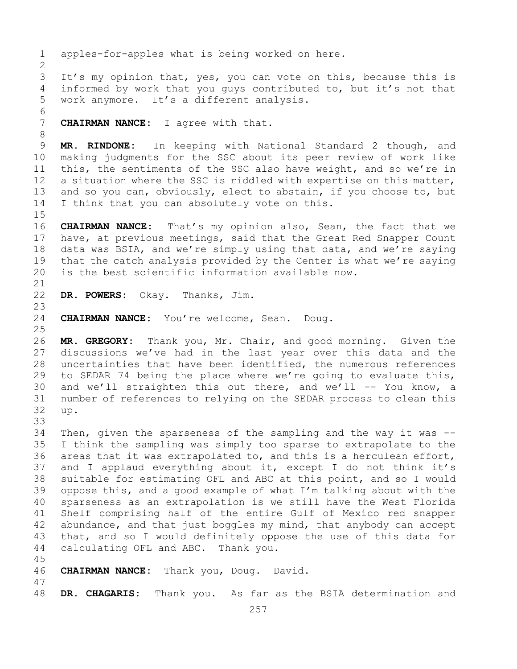257 1 apples-for-apples what is being worked on here.  $\frac{2}{3}$ 3 It's my opinion that, yes, you can vote on this, because this is<br>4 informed by work that you quys contributed to, but it's not that informed by work that you guys contributed to, but it's not that 5 work anymore. It's a different analysis. 6<br>7 CHAIRMAN NANCE: I agree with that. 8 9 **MR. RINDONE:** In keeping with National Standard 2 though, and<br>10 making judgments for the SSC about its peer review of work like 10 making judgments for the SSC about its peer review of work like<br>11 this, the sentiments of the SSC also have weight, and so we're in 11 this, the sentiments of the SSC also have weight, and so we're in<br>12 a situation where the SSC is riddled with expertise on this matter, a situation where the SSC is riddled with expertise on this matter, 13 and so you can, obviously, elect to abstain, if you choose to, but 14 I think that you can absolutely vote on this. 15<br>16 16 **CHAIRMAN NANCE:** That's my opinion also, Sean, the fact that we<br>17 have, at previous meetings, said that the Great Red Snapper Count 17 have, at previous meetings, said that the Great Red Snapper Count<br>18 data was BSIA, and we're simply using that data, and we're saying 18 data was BSIA, and we're simply using that data, and we're saying<br>19 that the catch analysis provided by the Center is what we're saying 19 that the catch analysis provided by the Center is what we're saying<br>20 is the best scientific information available now. is the best scientific information available now. 21<br>22 DR. POWERS: Okay. Thanks, Jim. 23 CHAIRMAN NANCE: You're welcome, Sean. Doug.  $\frac{25}{26}$ 26 **MR. GREGORY:** Thank you, Mr. Chair, and good morning. Given the discussions we've had in the last year over this data and the 28 uncertainties that have been identified, the numerous references<br>29 to SEDAR 74 being the place where we're going to evaluate this, 29 to SEDAR 74 being the place where we're going to evaluate this,<br>30 and we'll straighten this out there, and we'll -- You know, a 30 and we'll straighten this out there, and we'll  $--$  You know, a<br>31 number of references to relying on the SEDAR process to clean this 31 number of references to relying on the SEDAR process to clean this<br>32 up. 32 up. 33<br>34 34 Then, given the sparseness of the sampling and the way it was  $-$ -<br>35 I think the sampling was simply too sparse to extrapolate to the 35 I think the sampling was simply too sparse to extrapolate to the<br>36 areas that it was extrapolated to, and this is a herculean effort, areas that it was extrapolated to, and this is a herculean effort, 37 and I applaud everything about it, except I do not think it's 38 suitable for estimating OFL and ABC at this point, and so I would<br>39 oppose this, and a good example of what I'm talking about with the 39 oppose this, and a good example of what I'm talking about with the<br>40 sparseness as an extrapolation is we still have the West Florida 40 sparseness as an extrapolation is we still have the West Florida<br>41 Shelf comprising half of the entire Gulf of Mexico red snapper 41 Shelf comprising half of the entire Gulf of Mexico red snapper<br>42 abundance, and that just boggles my mind, that anybody can accept 42 abundance, and that just boggles my mind, that anybody can accept<br>43 that, and so I would definitely oppose the use of this data for 43 that, and so I would definitely oppose the use of this data for<br>44 calculating OFL and ABC. Thank you. calculating OFL and ABC. Thank you. 45 46 **CHAIRMAN NANCE:** Thank you, Doug. David. 47 DR. CHAGARIS: Thank you. As far as the BSIA determination and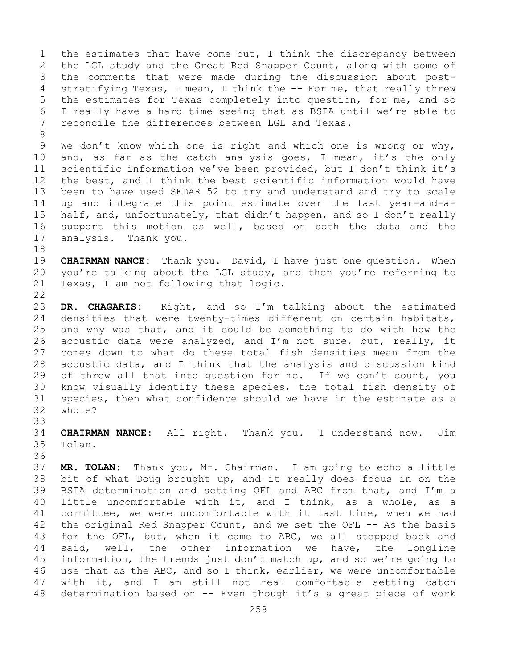1 the estimates that have come out, I think the discrepancy between<br>2 the LGL study and the Great Red Snapper Count, along with some of 2 the LGL study and the Great Red Snapper Count, along with some of<br>3 the comments that were made during the discussion about post-3 the comments that were made during the discussion about post-<br>4 stratifying Texas, I mean, I think the -- For me, that really threw stratifying Texas, I mean, I think the -- For me, that really threw 5 the estimates for Texas completely into question, for me, and so 6 I really have a hard time seeing that as BSIA until we're able to<br>7 reconcile the differences between LGL and Texas. 7 reconcile the differences between LGL and Texas.

8 9 We don't know which one is right and which one is wrong or why,<br>10 and, as far as the catch analysis goes, I mean, it's the only 10 and, as far as the catch analysis goes, I mean, it's the only<br>11 scientific information we've been provided, but I don't think it's 11 scientific information we've been provided, but I don't think it's<br>12 the best, and I think the best scientific information would have the best, and I think the best scientific information would have 13 been to have used SEDAR 52 to try and understand and try to scale 14 up and integrate this point estimate over the last year-and-a-<br>15 half, and, unfortunatelv, that didn't happen, and so I don't really 15 half, and, unfortunately, that didn't happen, and so I don't really<br>16 support this motion as well, based on both the data and the 16 support this motion as well, based on both the data and the 17 analysis. Thank you. analysis. Thank you.

18<br>19 19 **CHAIRMAN NANCE:** Thank you. David, I have just one question. When<br>20 vou're talking about the LGL study, and then you're referring to 20 you're talking about the LGL study, and then you're referring to<br>21 Texas, I am not following that logic. Texas, I am not following that logic.

 $\begin{array}{c} 22 \\ 23 \end{array}$ 23 DR. CHAGARIS: Right, and so I'm talking about the estimated<br>24 densities that were twenty-times different on certain habitats, 24 densities that were twenty-times different on certain habitats,<br>25 and why was that, and it could be something to do with how the 25 and why was that, and it could be something to do with how the  $26$  acoustic data were analyzed, and I'm not sure, but, really, it 26 acoustic data were analyzed, and I'm not sure, but, really, it<br>27 comes down to what do these total fish densities mean from the comes down to what do these total fish densities mean from the 28 acoustic data, and I think that the analysis and discussion kind<br>29 of threw all that into question for me. If we can't count, you 29 of threw all that into question for me. If we can't count, you<br>30 know visually identify these species, the total fish density of 30 know visually identify these species, the total fish density of<br>31 species, then what confidence should we have in the estimate as a 31 species, then what confidence should we have in the estimate as a 32 whole? whole?

33<br>34 34 **CHAIRMAN NANCE:** All right. Thank you. I understand now. Jim Tolan.

36<br>37

MR. TOLAN: Thank you, Mr. Chairman. I am going to echo a little 38 bit of what Doug brought up, and it really does focus in on the<br>39 BSIA determination and setting OFL and ABC from that, and I'm a 39 BSIA determination and setting OFL and ABC from that, and I'm a<br>40 little uncomfortable with it, and I think, as a whole, as a 40 little uncomfortable with it, and I think, as a whole, as a<br>41 committee, we were uncomfortable with it last time, when we had 41 committee, we were uncomfortable with it last time, when we had<br>42 the original Red Snapper Count, and we set the OFL -- As the basis 42 the original Red Snapper Count, and we set the OFL -- As the basis<br>43 for the OFL, but, when it came to ABC, we all stepped back and 43 for the OFL, but, when it came to ABC, we all stepped back and<br>44 said, well, the other information we have, the longline well, the other information we have, the longline 45 information, the trends just don't match up, and so we're going to 46 use that as the ABC, and so I think, earlier, we were uncomfortable<br>47 with it, and I am still not real comfortable setting catch 47 with it, and I am still not real comfortable setting catch<br>48 determination based on -- Even though it's a great piece of work determination based on -- Even though it's a great piece of work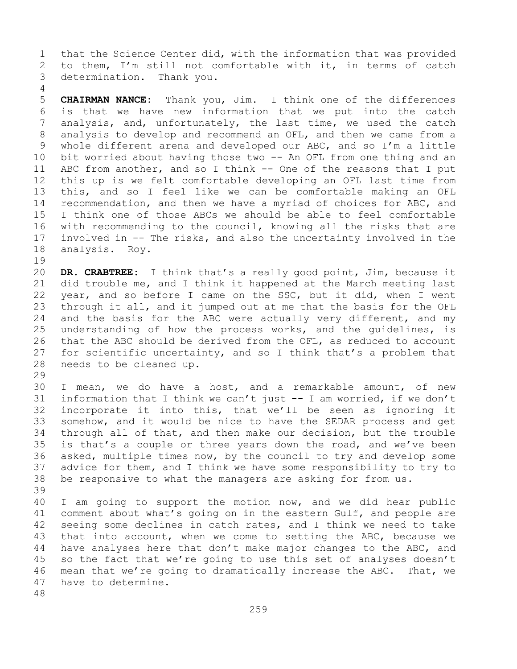1 that the Science Center did, with the information that was provided<br>2 to them, I'm still not comfortable with it, in terms of catch 2 to them, I'm still not comfortable with it, in terms of catch<br>3 determination. Thank you. determination. Thank you.

5 **CHAIRMAN NANCE:** Thank you, Jim. I think one of the differences 6 is that we have new information that we put into the catch<br>7 analysis, and, unfortunately, the last time, we used the catch 7 analysis, and, unfortunately, the last time, we used the catch<br>8 analysis to develop and recommend an OFL, and then we came from a 8 analysis to develop and recommend an OFL, and then we came from a<br>9 whole different arena and developed our ABC, and so I'm a little 9 whole different arena and developed our ABC, and so I'm a little<br>10 bit worried about having those two -- An OFL from one thing and an 10 bit worried about having those two -- An OFL from one thing and an<br>11 ABC from another, and so I think -- One of the reasons that I put 11 ABC from another, and so I think -- One of the reasons that I put<br>12 this up is we felt comfortable developing an OFL last time from this up is we felt comfortable developing an OFL last time from 13 this, and so I feel like we can be comfortable making an OFL 14 recommendation, and then we have a myriad of choices for ABC, and<br>15 I think one of those ABCs we should be able to feel comfortable 15 I think one of those ABCs we should be able to feel comfortable<br>16 with recommending to the council, knowing all the risks that are 16 with recommending to the council, knowing all the risks that are<br>17 involved in -- The risks, and also the uncertainty involved in the 17 involved in  $-$ - The risks, and also the uncertainty involved in the analysis. Roy. analysis. Roy.

19<br>20 20 **DR. CRABTREE:** I think that's a really good point, Jim, because it 21 did trouble me, and I think it happened at the March meeting last<br>22 year, and so before I came on the SSC, but it did, when I went 22 year, and so before I came on the SSC, but it did, when I went<br>23 through it all, and it jumped out at me that the basis for the OFL 23 through it all, and it jumped out at me that the basis for the OFL<br>24 and the basis for the ABC were actually very different, and my 24 and the basis for the ABC were actually very different, and my<br>25 understanding of how the process works, and the quidelines, is 25 understanding of how the process works, and the guidelines,<br>26 that the ABC should be derived from the OFL, as reduced to accou 26 that the ABC should be derived from the OFL, as reduced to account<br>27 for scientific uncertainty, and so I think that's a problem that for scientific uncertainty, and so I think that's a problem that 28 needs to be cleaned up.

29<br>30

4

30 I mean, we do have a host, and a remarkable amount, of new<br>31 information that I think we can't just -- I am worried, if we don't 31 information that I think we can't just  $-$  I am worried, if we don't<br>32 incorporate it into this, that we'll be seen as ignoring it incorporate it into this, that we'll be seen as ignoring it 33 somehow, and it would be nice to have the SEDAR process and get<br>34 through all of that, and then make our decision, but the trouble 34 through all of that, and then make our decision, but the trouble<br>35 is that's a couple or three years down the road, and we've been 35 is that's a couple or three years down the road, and we've been<br>36 asked, multiple times now, by the council to try and develop some asked, multiple times now, by the council to try and develop some 37 advice for them, and I think we have some responsibility to try to 38 be responsive to what the managers are asking for from us.

39 40 I am going to support the motion now, and we did hear public<br>41 comment about what's going on in the eastern Gulf, and people are 41 comment about what's going on in the eastern Gulf, and people are<br>42 seeing some declines in catch rates, and I think we need to take 42 seeing some declines in catch rates, and I think we need to take<br>43 that into account, when we come to setting the ABC, because we 43 that into account, when we come to setting the ABC, because we<br>44 have analyses here that don't make major changes to the ABC, and have analyses here that don't make major changes to the ABC, and 45 so the fact that we're going to use this set of analyses doesn't 46 mean that we're going to dramatically increase the ABC. That, we<br>47 have to determine. have to determine.

48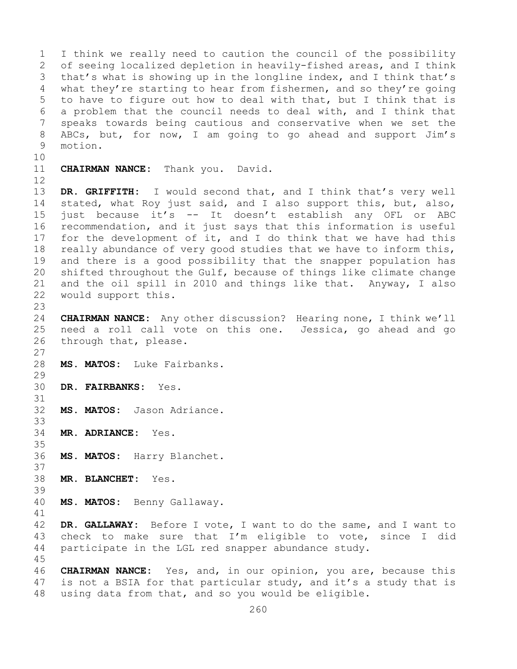1 I think we really need to caution the council of the possibility<br>2 of seeing localized depletion in heavily-fished areas, and I think 2 of seeing localized depletion in heavily-fished areas, and I think<br>3 that's what is showing up in the longline index, and I think that's 3 that's what is showing up in the longline index, and I think that's<br>4 what they're starting to hear from fishermen, and so they're going what they're starting to hear from fishermen, and so they're going 5 to have to figure out how to deal with that, but I think that is 6 a problem that the council needs to deal with, and I think that<br>7 speaks towards being cautious and conservative when we set the 7 speaks towards being cautious and conservative when we set the<br>8 ABCs, but, for now, I am going to go ahead and support Jim's 8 ABCs, but, for now, I am going to go ahead and support Jim's motion. motion.

- 10<br>11
	- **CHAIRMAN NANCE:** Thank you. David.
- 12

37

45

13 **DR. GRIFFITH:** I would second that, and I think that's very well 14 stated, what Roy just said, and I also support this, but, also,<br>15 iust because it's -- It doesn't establish any OFL or ABC 15 just because it's -- It doesn't establish any OFL or ABC<br>16 recommendation, and it just says that this information is useful 16 recommendation, and it just says that this information is useful<br>17 for the development of it, and I do think that we have had this 17 for the development of it, and I do think that we have had this<br>18 really abundance of very good studies that we have to inform this, 18 really abundance of very good studies that we have to inform this,<br>19 and there is a good possibility that the snapper population has 19 and there is a good possibility that the snapper population has<br>20 shifted throughout the Gulf, because of things like climate change shifted throughout the Gulf, because of things like climate change 21 and the oil spill in 2010 and things like that. Anyway, I also<br>22 would support this. would support this.

 $\frac{23}{24}$ 24 **CHAIRMAN NANCE:** Any other discussion? Hearing none, I think we'll 25 need a roll call vote on this one. Jessica, go ahead and go 26 through that, please. through that, please.

- $\frac{27}{28}$ MS. MATOS: Luke Fairbanks.
- 29<br>30 30 **DR. FAIRBANKS:** Yes.
- 31<br>32 MS. MATOS: Jason Adriance.
- 33<br>34 34 **MR. ADRIANCE:** Yes.
- 35<br>36 MS. MATOS: Harry Blanchet.
- 38 **MR. BLANCHET:** Yes.
- 39 40 **MS. MATOS:** Benny Gallaway.

41<br>42 42 **DR. GALLAWAY:** Before I vote, I want to do the same, and I want to 43 check to make sure that  $I'm$  eligible to vote, since I did<br>44 participate in the LGL red snapper abundance study. participate in the LGL red snapper abundance study.

46 **CHAIRMAN NANCE:** Yes, and, in our opinion, you are, because this<br>47 is not a BSIA for that particular study, and it's a study that is 47 is not a BSIA for that particular study, and it's a study that is  $48$  using data from that, and so you would be eligible. using data from that, and so you would be eligible.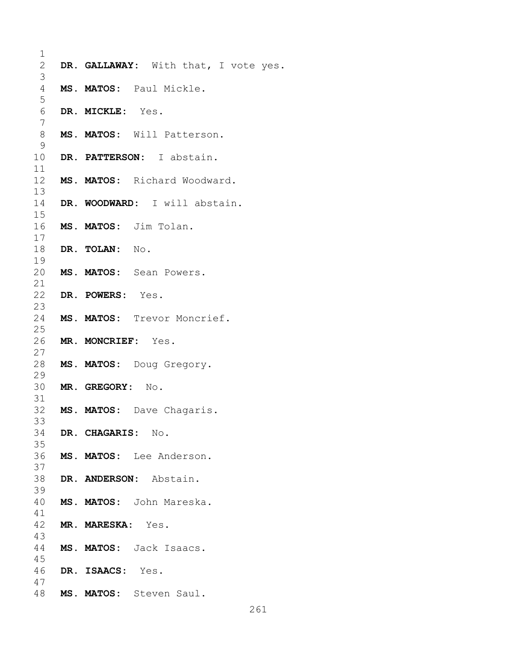| 1            |                                      |
|--------------|--------------------------------------|
| $\mathbf{2}$ | DR. GALLAWAY: With that, I vote yes. |
| 3            |                                      |
| 4<br>5       | MS. MATOS: Paul Mickle.              |
| 6            | DR. MICKLE: Yes.                     |
| 7<br>8       | MS. MATOS: Will Patterson.           |
| 9            |                                      |
| 10<br>11     | DR. PATTERSON: I abstain.            |
| 12<br>13     | MS. MATOS: Richard Woodward.         |
| 14<br>15     | DR. WOODWARD: I will abstain.        |
| 16<br>17     | MS. MATOS: Jim Tolan.                |
| 18<br>19     | DR. TOLAN: No.                       |
| 20<br>21     | MS. MATOS: Sean Powers.              |
| 22<br>23     | DR. POWERS: Yes.                     |
| 24<br>25     | MS. MATOS: Trevor Moncrief.          |
| 26<br>27     | MR. MONCRIEF: Yes.                   |
| 28<br>29     | MS. MATOS: Doug Gregory.             |
| 30<br>31     | MR. GREGORY: No.                     |
| 32<br>33     | MS. MATOS: Dave Chagaris.            |
| 34<br>35     | DR. CHAGARIS: No.                    |
| 36<br>37     | MS. MATOS: Lee Anderson.             |
| 38<br>39     | DR. ANDERSON: Abstain.               |
| 40<br>41     | MS. MATOS: John Mareska.             |
| 42<br>43     | <b>MR. MARESKA:</b> Yes.             |
| 44<br>45     | MS. MATOS: Jack Isaacs.              |
| 46<br>47     | DR. ISAACS: Yes.                     |
| 48           | MS. MATOS: Steven Saul.              |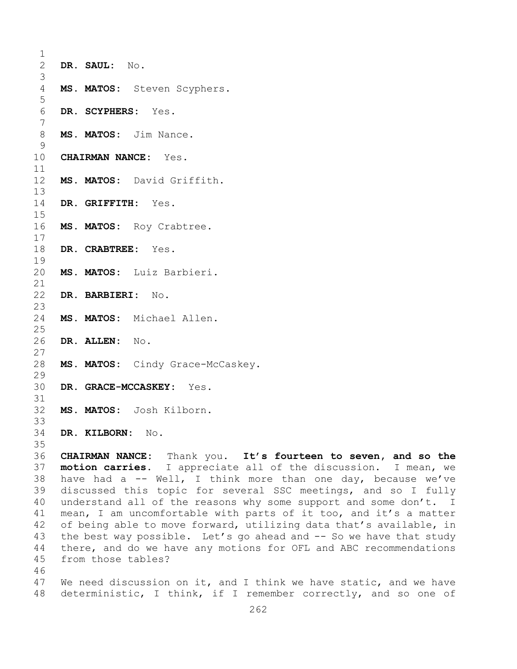| 1              |                                                                    |  |  |  |
|----------------|--------------------------------------------------------------------|--|--|--|
| $\mathbf{2}$   | DR. SAUL: No.                                                      |  |  |  |
| 3              |                                                                    |  |  |  |
| $\overline{4}$ | MS. MATOS: Steven Scyphers.                                        |  |  |  |
| 5              |                                                                    |  |  |  |
| $\sqrt{6}$     | DR. SCYPHERS: Yes.                                                 |  |  |  |
| $\overline{7}$ |                                                                    |  |  |  |
| $8\,$          | MS. MATOS: Jim Nance.                                              |  |  |  |
| $\mathcal{G}$  |                                                                    |  |  |  |
| 10             | CHAIRMAN NANCE: Yes.                                               |  |  |  |
| 11             |                                                                    |  |  |  |
| 12             | MS. MATOS: David Griffith.                                         |  |  |  |
| 13             |                                                                    |  |  |  |
| 14             | DR. GRIFFITH: Yes.                                                 |  |  |  |
| 15             |                                                                    |  |  |  |
| 16<br>17       | MS. MATOS: Roy Crabtree.                                           |  |  |  |
| 18             | DR. CRABTREE: Yes.                                                 |  |  |  |
| 19             |                                                                    |  |  |  |
| 20             | MS. MATOS: Luiz Barbieri.                                          |  |  |  |
| 21             |                                                                    |  |  |  |
| 22             | DR. BARBIERI: No.                                                  |  |  |  |
| 23             |                                                                    |  |  |  |
| 24             | MS. MATOS: Michael Allen.                                          |  |  |  |
| 25             |                                                                    |  |  |  |
| 26             | DR. ALLEN: No.                                                     |  |  |  |
| 27             |                                                                    |  |  |  |
| 28             | MS. MATOS: Cindy Grace-McCaskey.                                   |  |  |  |
| 29             |                                                                    |  |  |  |
| 30             | DR. GRACE-MCCASKEY: Yes.                                           |  |  |  |
| 31             |                                                                    |  |  |  |
| 32             | MS. MATOS: Josh Kilborn.                                           |  |  |  |
| 33             |                                                                    |  |  |  |
| 34             | DR. KILBORN: No.                                                   |  |  |  |
| 35<br>36       | CHAIRMAN NANCE: Thank you. It's fourteen to seven, and so the      |  |  |  |
| 37             | motion carries. I appreciate all of the discussion. I mean, we     |  |  |  |
| 38             | have had a -- Well, I think more than one day, because we've       |  |  |  |
| 39             | discussed this topic for several SSC meetings, and so I fully      |  |  |  |
| 40             | understand all of the reasons why some support and some don't. I   |  |  |  |
| 41             | mean, I am uncomfortable with parts of it too, and it's a matter   |  |  |  |
| 42             | of being able to move forward, utilizing data that's available, in |  |  |  |
| 43             | the best way possible. Let's go ahead and -- So we have that study |  |  |  |
| 44             | there, and do we have any motions for OFL and ABC recommendations  |  |  |  |
| 45             | from those tables?                                                 |  |  |  |

46<br>47 47 We need discussion on it, and I think we have static, and we have<br>48 deterministic, I think, if I remember correctly, and so one of deterministic, I think, if I remember correctly, and so one of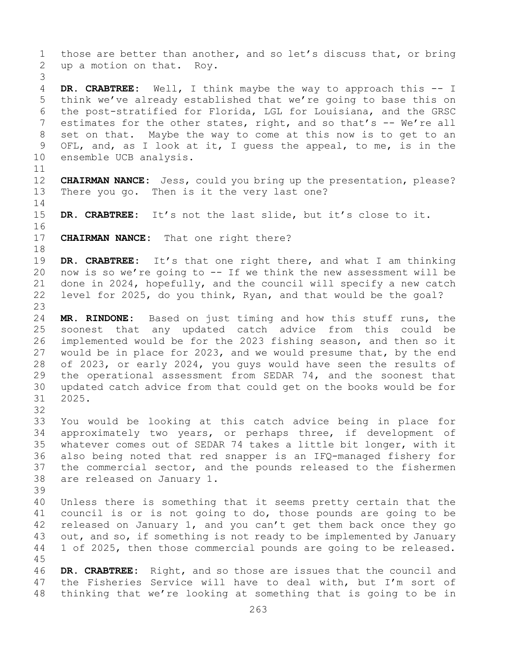1 those are better than another, and so let's discuss that, or bring<br>2 up a motion on that. Roy. up a motion on that. Roy. 3 DR. CRABTREE: Well, I think maybe the way to approach this -- I 5 think we've already established that we're going to base this on 6 the post-stratified for Florida, LGL for Louisiana, and the GRSC<br>7 estimates for the other states, right, and so that's -- We're all 7 estimates for the other states, right, and so that's -- We're all<br>8 set on that. Maybe the way to come at this now is to get to an 8 set on that. Maybe the way to come at this now is to get to an<br>9 OFL, and, as I look at it, I quess the appeal, to me, is in the 9 OFL, and, as I look at it, I guess the appeal, to me, is in the 10 ensemble UCB analysis. ensemble UCB analysis. 11<br>12 12 **CHAIRMAN NANCE:** Jess, could you bring up the presentation, please? There you go. Then is it the very last one?  $\frac{14}{15}$ DR. CRABTREE: It's not the last slide, but it's close to it. 16<br>17 **CHAIRMAN NANCE:** That one right there? 18<br>19 19 **DR. CRABTREE:** It's that one right there, and what I am thinking<br>20 now is so we're going to -- If we think the new assessment will be 20 now is so we're going to  $--$  If we think the new assessment will be 21 done in 2024, hopefully, and the council will specify a new catch 21 done in 2024, hopefully, and the council will specify a new catch<br>22 level for 2025, do you think, Ryan, and that would be the goal? level for 2025, do you think, Ryan, and that would be the goal? 23 24 **MR. RINDONE:** Based on just timing and how this stuff runs, the 25 soonest that any updated catch advice from this could be<br>26 implemented would be for the 2023 fishing season, and then so it 26 implemented would be for the 2023 fishing season, and then so it<br>27 would be in place for 2023, and we would presume that, by the end would be in place for 2023, and we would presume that, by the end 28 of 2023, or early 2024, you guys would have seen the results of<br>29 the operational assessment from SEDAR 74, and the soonest that 29 the operational assessment from SEDAR 74, and the soonest that<br>30 updated catch advice from that could get on the books would be for 30 updated catch advice from that could get on the books would be for 31 2025. 32<br>33 33 You would be looking at this catch advice being in place for<br>34 approximately two years, or perhaps three, if development of 34 approximately two years, or perhaps three, if development of<br>35 whatever comes out of SEDAR 74 takes a little bit longer, with it 35 whatever comes out of SEDAR 74 takes a little bit longer, with it<br>36 also being noted that red snapper is an IFQ-managed fishery for 36 also being noted that red snapper is an IFQ-managed fishery for<br>37 the commercial sector, and the pounds released to the fishermen the commercial sector, and the pounds released to the fishermen 38 are released on January 1. 39 40 Unless there is something that it seems pretty certain that the<br>41 council is or is not going to do, those pounds are going to be 41 council is or is not going to do, those pounds are going to be<br>42 released on January 1, and you can't get them back once they go 42 released on January 1, and you can't get them back once they go<br>43 out, and so, if something is not ready to be implemented by January 43 out, and so, if something is not ready to be implemented by January<br>44 1 of 2025, then those commercial pounds are going to be released. 1 of 2025, then those commercial pounds are going to be released. 45 46 **DR. CRABTREE:** Right, and so those are issues that the council and<br>47 the Fisheries Service will have to deal with, but I'm sort of 47 the Fisheries Service will have to deal with, but I'm sort of<br>48 thinking that we're looking at something that is going to be in thinking that we're looking at something that is going to be in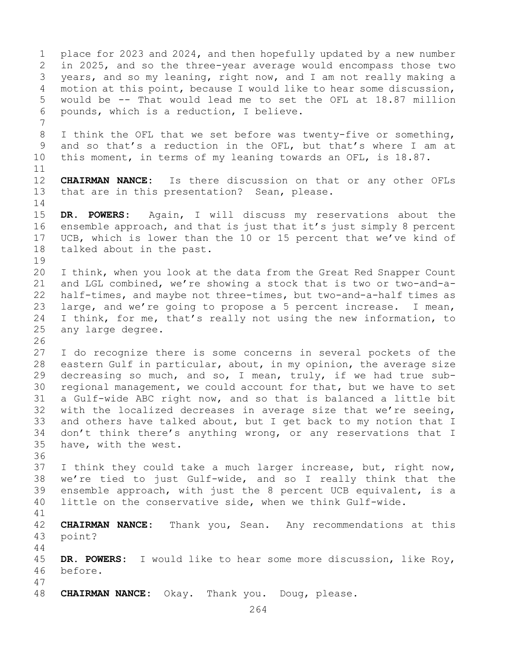1 place for 2023 and 2024, and then hopefully updated by a new number<br>2 in 2025, and so the three-year average would encompass those two 2 in 2025, and so the three-year average would encompass those two<br>3 vears, and so my leaning, right now, and I am not really making a 3 years, and so my leaning, right now, and I am not really making a<br>4 motion at this point, because I would like to hear some discussion, motion at this point, because I would like to hear some discussion, 5 would be -- That would lead me to set the OFL at 18.87 million 6 pounds, which is a reduction, I believe. 7 8 I think the OFL that we set before was twenty-five or something,<br>9 and so that's a reduction in the OFL, but that's where I am at 9 and so that's a reduction in the OFL, but that's where I am at<br>10 this moment, in terms of my leaning towards an OFL, is 18.87. this moment, in terms of my leaning towards an OFL, is 18.87.  $\begin{array}{c} 11 \\ 12 \end{array}$ **CHAIRMAN NANCE:** Is there discussion on that or any other OFLs 13 that are in this presentation? Sean, please.  $\frac{14}{15}$ 15 **DR. POWERS:** Again, I will discuss my reservations about the<br>16 ensemble approach, and that is just that it's just simply 8 percent 16 ensemble approach, and that is just that it's just simply 8 percent<br>17 UCB, which is lower than the 10 or 15 percent that we've kind of 17 UCB, which is lower than the 10 or 15 percent that we've kind of talked about in the past. talked about in the past.  $\begin{array}{c} 19 \\ 20 \end{array}$ 20 I think, when you look at the data from the Great Red Snapper Count<br>21 and LGL combined, we're showing a stock that is two or two-and-a-21 and LGL combined, we're showing a stock that is two or two-and-a-<br>22 half-times, and maybe not three-times, but two-and-a-half times as 22 half-times, and maybe not three-times, but two-and-a-half times as<br>23 large, and we're going to propose a 5 percent increase. I mean, 23 large, and we're going to propose a 5 percent increase. I mean,<br>24 I think, for me, that's really not using the new information, to 24 I think, for me, that's really not using the new information, to<br>25 any large degree. any large degree. 26<br>27 I do recognize there is some concerns in several pockets of the 28 eastern Gulf in particular, about, in my opinion, the average size<br>29 decreasing so much, and so, I mean, truly, if we had true sub-29 decreasing so much, and so, I mean, truly, if we had true sub-<br>30 regional management, we could account for that, but we have to set 30 regional management, we could account for that, but we have to set<br>31 a Gulf-wide ABC right now, and so that is balanced a little bit 31 a Gulf-wide ABC right now, and so that is balanced a little bit<br>32 with the localized decreases in average size that we're seeing, with the localized decreases in average size that we're seeing, 33 and others have talked about, but I get back to my notion that I<br>34 don't think there's anything wrong, or any reservations that I 34 don't think there's anything wrong, or any reservations that I<br>35 have, with the west. have, with the west. 36 37 I think they could take a much larger increase, but, right now, 38 we're tied to just Gulf-wide, and so I really think that the<br>39 ensemble approach, with just the 8 percent UCB equivalent, is a 39 ensemble approach, with just the 8 percent UCB equivalent, is a<br>40 little on the conservative side, when we think Gulf-wide. little on the conservative side, when we think Gulf-wide. 41<br>42 42 **CHAIRMAN NANCE:** Thank you, Sean. Any recommendations at this point? 44 45 **DR. POWERS:** I would like to hear some more discussion, like Roy, 46 before. 47 CHAIRMAN NANCE: Okay. Thank you. Doug, please.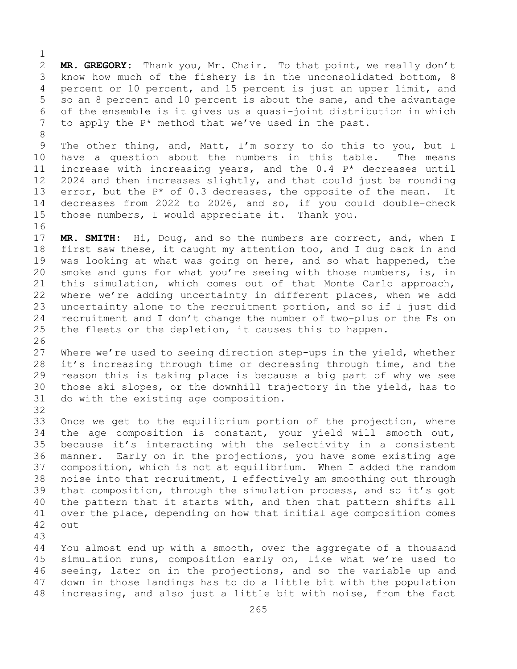$\frac{1}{2}$ 2 **MR. GREGORY:** Thank you, Mr. Chair. To that point, we really don't<br>3 know how much of the fishery is in the unconsolidated bottom, 8 3 know how much of the fishery is in the unconsolidated bottom, 8<br>4 percent or 10 percent, and 15 percent is just an upper limit, and percent or 10 percent, and 15 percent is just an upper limit, and 5 so an 8 percent and 10 percent is about the same, and the advantage 6 of the ensemble is it gives us a quasi-joint distribution in which<br>7 to apply the  $P^*$  method that we've used in the past. to apply the  $P^*$  method that we've used in the past.

8 9 The other thing, and, Matt, I'm sorry to do this to you, but I<br>10 have a question about the numbers in this table. The means 10 have a question about the numbers in this table.<br>11 increase with increasing vears, and the 0.4  $P^*$  deci 11 increase with increasing years, and the  $0.4$  P\* decreases until  $12$  2024 and then increases slightly, and that could just be rounding  $2024$  and then increases slightly, and that could just be rounding 13 error, but the  $P*$  of 0.3 decreases, the opposite of the mean. It 14 decreases from 2022 to 2026, and so, if you could double-check<br>15 those numbers, I would appreciate it. Thank you. those numbers, I would appreciate it. Thank you.

16<br>17 17 **MR. SMITH:** Hi, Doug, and so the numbers are correct, and, when I<br>18 first saw these, it caught my attention too, and I dug back in and 18 first saw these, it caught my attention too, and I dug back in and<br>19 was looking at what was going on here, and so what happened, the 19 was looking at what was going on here, and so what happened, the<br>20 smoke and guns for what you're seeing with those numbers, is, in smoke and guns for what you're seeing with those numbers, is, in 21 this simulation, which comes out of that Monte Carlo approach,<br>22 where we're adding uncertainty in different places, when we add 22 where we're adding uncertainty in different places, when we add<br>23 uncertainty alone to the recruitment portion, and so if I just did 23 uncertainty alone to the recruitment portion, and so if I just did<br>24 recruitment and I don't change the number of two-plus or the Fs on 24 recruitment and I don't change the number of two-plus or the Fs on<br>25 the fleets or the depletion, it causes this to happen. the fleets or the depletion, it causes this to happen.

26<br>27 Where we're used to seeing direction step-ups in the yield, whether 28 it's increasing through time or decreasing through time, and the<br>29 reason this is taking place is because a big part of why we see reason this is taking place is because a big part of why we see 30 those ski slopes, or the downhill trajectory in the yield, has to<br>31 do with the existing age composition. do with the existing age composition.

33 Once we get to the equilibrium portion of the projection, where<br>34 the age composition is constant, your yield will smooth out, 34 the age composition is constant, your yield will smooth out,<br>35 because it's interacting with the selectivity in a consistent 35 because it's interacting with the selectivity in a consistent<br>36 manner. Early on in the projections, you have some existing age Early on in the projections, you have some existing age 37 composition, which is not at equilibrium. When I added the random 38 noise into that recruitment, I effectively am smoothing out through<br>39 that composition, through the simulation process, and so it's got 39 that composition, through the simulation process, and so it's got<br>40 the pattern that it starts with, and then that pattern shifts all 40 the pattern that it starts with, and then that pattern shifts all<br>41 over the place, depending on how that initial age composition comes 41 over the place, depending on how that initial age composition comes<br>42 out out

43

32

You almost end up with a smooth, over the aggregate of a thousand 45 simulation runs, composition early on, like what we're used to 46 seeing, later on in the projections, and so the variable up and<br>47 down in those landings has to do a little bit with the population 47 down in those landings has to do a little bit with the population<br>48 increasing, and also just a little bit with noise, from the fact increasing, and also just a little bit with noise, from the fact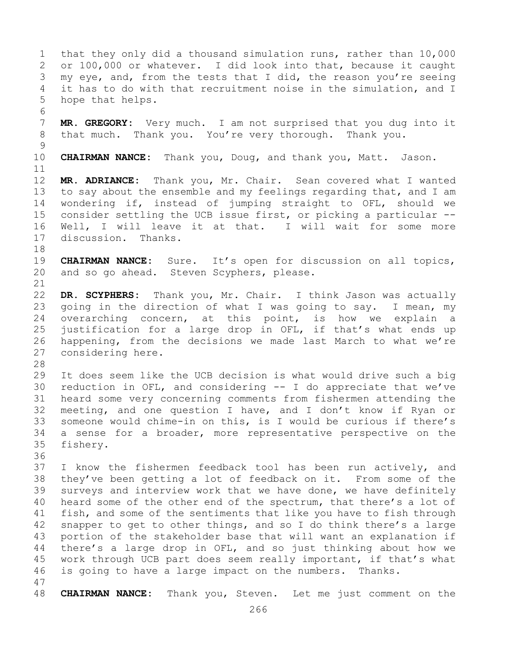1 that they only did a thousand simulation runs, rather than 10,000<br>2 or 100,000 or whatever. I did look into that, because it caught 2 or 100,000 or whatever. I did look into that, because it caught<br>3 my eve, and, from the tests that I did, the reason you're seeing 3 my eye, and, from the tests that I did, the reason you're seeing<br>4 it has to do with that recruitment noise in the simulation, and I it has to do with that recruitment noise in the simulation, and I 5 hope that helps. 6<br>7 7 **MR. GREGORY:** Very much. I am not surprised that you dug into it<br>8 that much. Thank you. You're very thorough. Thank you. that much. Thank you. You're very thorough.  $\frac{9}{10}$ 10 **CHAIRMAN NANCE:** Thank you, Doug, and thank you, Matt. Jason. 11<br>12 MR. ADRIANCE: Thank you, Mr. Chair. Sean covered what I wanted 13 to say about the ensemble and my feelings regarding that, and I am 14 wondering if, instead of jumping straight to OFL, should we<br>15 consider settling the UCB issue first, or picking a particular --15 consider settling the UCB issue first, or picking a particular --<br>16 Well, I will leave it at that. I will wait for some more 16 Well, I will leave it at that. I will wait for some more<br>17 discussion. Thanks. discussion. Thanks. 18<br>19 19 **CHAIRMAN NANCE:** Sure. It's open for discussion on all topics,<br>20 and so go ahead. Steven Scyphers, please. and so go ahead. Steven Scyphers, please. 21<br>22 22 **DR. SCYPHERS:** Thank you, Mr. Chair. I think Jason was actually 23 going in the direction of what I was going to say. I mean, my<br>24 overarching concern, at this point, is how we explain a 24 overarching concern, at this point, is how we explain a<br>25 justification for a large drop in OFL, if that's what ends up 25 justification for a large drop in OFL, if that's what ends up<br>26 happening, from the decisions we made last March to what we're 26 happening, from the decisions we made last March to what we're<br>27 considering here. considering here. 28<br>29 29 It does seem like the UCB decision is what would drive such a big<br>30 reduction in OFL, and considering -- I do appreciate that we've 30 reduction in OFL, and considering -- I do appreciate that we've<br>31 heard some very concerning comments from fishermen attending the 31 heard some very concerning comments from fishermen attending the<br>32 meeting, and one question I have, and I don't know if Rvan or meeting, and one question I have, and I don't know if Ryan or 33 someone would chime-in on this, is I would be curious if there's<br>34 a sense for a broader, more representative perspective on the 34 a sense for a broader, more representative perspective on the 35 fishery. fishery. 36<br>37 I know the fishermen feedback tool has been run actively, and 38 they've been getting a lot of feedback on it. From some of the<br>39 surveys and interview work that we have done, we have definitely 39 surveys and interview work that we have done, we have definitely<br>40 heard some of the other end of the spectrum, that there's a lot of 40 heard some of the other end of the spectrum, that there's a lot of 41 fish, and some of the sentiments that like you have to fish through 41 fish, and some of the sentiments that like you have to fish through<br>42 snapper to get to other things, and so I do think there's a large 42 snapper to get to other things, and so I do think there's a large<br>43 portion of the stakeholder base that will want an explanation if 43 portion of the stakeholder base that will want an explanation if<br>44 there's a large drop in OFL, and so just thinking about how we there's a large drop in OFL, and so just thinking about how we 45 work through UCB part does seem really important, if that's what 46 is going to have a large impact on the numbers. Thanks. 47 48 **CHAIRMAN NANCE:** Thank you, Steven. Let me just comment on the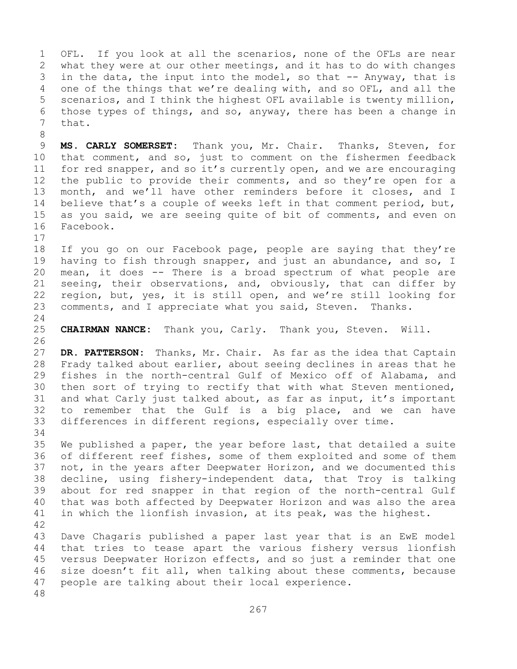1 OFL. If you look at all the scenarios, none of the OFLs are near<br>2 what they were at our other meetings, and it has to do with changes 2 what they were at our other meetings, and it has to do with changes<br>3 in the data, the input into the model, so that -- Anyway, that is 3 in the data, the input into the model, so that -- Anyway, that is<br>4 one of the things that we're dealing with, and so OFL, and all the one of the things that we're dealing with, and so OFL, and all the 5 scenarios, and I think the highest OFL available is twenty million, 6 those types of things, and so, anyway, there has been a change in that. 8 9 **MS. CARLY SOMERSET:** Thank you, Mr. Chair. Thanks, Steven, for<br>10 that comment, and so, just to comment on the fishermen feedback 10 that comment, and so, just to comment on the fishermen feedback<br>11 for red snapper, and so it's currently open, and we are encouraging 11 for red snapper, and so it's currently open, and we are encouraging<br>12 the public to provide their comments, and so they're open for a the public to provide their comments, and so they're open for a 13 month, and we'll have other reminders before it closes, and I 14 believe that's a couple of weeks left in that comment period, but,<br>15 as vou said, we are seeing quite of bit of comments, and even on 15 as you said, we are seeing quite of bit of comments, and even on<br>16 Facebook. Facebook.  $\begin{array}{c} 17 \\ 18 \end{array}$ 18 If you go on our Facebook page, people are saying that they're<br>19 having to fish through snapper, and just an abundance, and so, I 19 having to fish through snapper, and just an abundance, and so, I<br>20 mean, it does -- There is a broad spectrum of what people are 20 mean, it does -- There is a broad spectrum of what people are<br>21 seeing, their observations, and, obviously, that can differ by 21 seeing, their observations, and, obviously, that can differ by<br>22 region, but, yes, it is still open, and we're still looking for 22 region, but, yes, it is still open, and we're still looking for<br>23 comments, and I appreciate what you said, Steven. Thanks. comments, and I appreciate what you said, Steven.  $\frac{24}{25}$ 25 **CHAIRMAN NANCE:** Thank you, Carly. Thank you, Steven. Will. 26<br>27 DR. PATTERSON: Thanks, Mr. Chair. As far as the idea that Captain

28 Frady talked about earlier, about seeing declines in areas that he<br>29 fishes in the north-central Gulf of Mexico off of Alabama, and fishes in the north-central Gulf of Mexico off of Alabama, and 30 then sort of trying to rectify that with what Steven mentioned,<br>31 and what Carly just talked about, as far as input, it's important 31 and what Carly just talked about, as far as input, it's important<br>32 to remember that the Gulf is a big place, and we can have to remember that the Gulf is a big place, and we can have 33 differences in different regions, especially over time.

34<br>35 35 We published a paper, the year before last, that detailed a suite<br>36 of different reef fishes, some of them exploited and some of them of different reef fishes, some of them exploited and some of them 37 not, in the years after Deepwater Horizon, and we documented this 38 decline, using fishery-independent data, that Troy is talking<br>39 about for red snapper in that region of the north-central Gulf 39 about for red snapper in that region of the north-central Gulf<br>40 that was both affected by Deepwater Horizon and was also the area 40 that was both affected by Deepwater Horizon and was also the area<br>41 in which the lionfish invasion, at its peak, was the highest. in which the lionfish invasion, at its peak, was the highest.

42 43 Dave Chagaris published a paper last year that is an EwE model<br>44 that tries to tease apart the various fishery versus lionfish that tries to tease apart the various fishery versus lionfish 45 versus Deepwater Horizon effects, and so just a reminder that one 46 size doesn't fit all, when talking about these comments, because<br>47 people are talking about their local experience. people are talking about their local experience. 48

267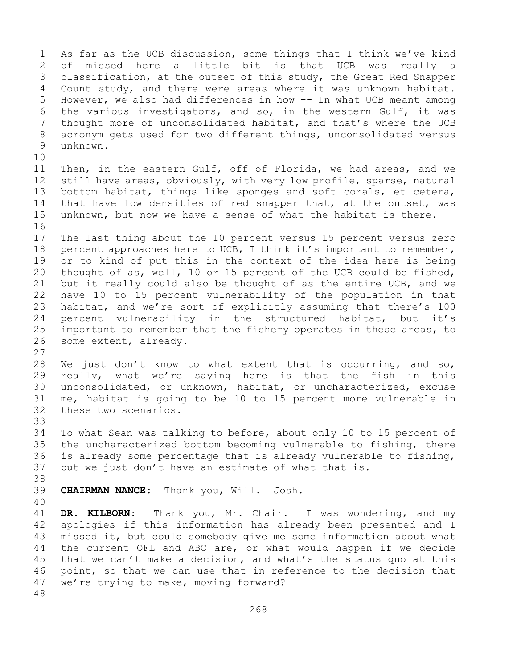1 As far as the UCB discussion, some things that I think we've kind<br>2 of missed here a little bit is that UCB was really a 2 of missed here a little bit is that UCB was really a<br>3 classification, at the outset of this study, the Great Red Snapper 3 classification, at the outset of this study, the Great Red Snapper<br>4 Count study, and there were areas where it was unknown habitat. Count study, and there were areas where it was unknown habitat. 5 However, we also had differences in how -- In what UCB meant among 6 the various investigators, and so, in the western Gulf, it was<br>7 thought more of unconsolidated habitat, and that's where the UCB 7 thought more of unconsolidated habitat, and that's where the UCB<br>8 acronym gets used for two different things, unconsolidated versus 8 acronym gets used for two different things, unconsolidated versus<br>9 unknown. unknown. 10<br>11 11 Then, in the eastern Gulf, off of Florida, we had areas, and we<br>12 still have areas, obviously, with very low profile, sparse, natural still have areas, obviously, with very low profile, sparse, natural 13 bottom habitat, things like sponges and soft corals, et cetera, 14 that have low densities of red snapper that, at the outset, was<br>15 unknown, but now we have a sense of what the habitat is there. unknown, but now we have a sense of what the habitat is there. 16<br>17 17 The last thing about the 10 percent versus 15 percent versus zero<br>18 percent approaches here to UCB, I think it's important to remember, 18 percent approaches here to UCB, I think it's important to remember,<br>19 or to kind of put this in the context of the idea here is being 19 or to kind of put this in the context of the idea here is being<br>20 thought of as, well, 10 or 15 percent of the UCB could be fished, 20 thought of as, well, 10 or 15 percent of the UCB could be fished,<br>21 but it really could also be thought of as the entire UCB, and we 21 but it really could also be thought of as the entire UCB, and we<br>22 have 10 to 15 percent vulnerability of the population in that 22 have 10 to 15 percent vulnerability of the population in that<br>23 habitat, and we're sort of explicitly assuming that there's 100 23 habitat, and we're sort of explicitly assuming that there's 100<br>24 percent vulnerability in the structured habitat, but it's 24 percent vulnerability in the structured habitat, but it's<br>25 important to remember that the fishery operates in these areas, to 25 important to remember that the fishery operates in these areas, to<br>26 some extent, already. some extent, already.  $\frac{27}{28}$ 28 We just don't know to what extent that is occurring, and so,<br>29 really, what we're saying here is that the fish in this 29 really, what we're saying here is that the fish in this<br>30 unconsolidated, or unknown, habitat, or uncharacterized, excuse 30 unconsolidated, or unknown, habitat, or uncharacterized, excuse<br>31 me, habitat is going to be 10 to 15 percent more vulnerable in 31 me, habitat is going to be 10 to 15 percent more vulnerable in these two scenarios. 33<br>34 34 To what Sean was talking to before, about only 10 to 15 percent of<br>35 the uncharacterized bottom becoming vulnerable to fishing, there 35 the uncharacterized bottom becoming vulnerable to fishing, there<br>36 is already some percentage that is already vulnerable to fishing, is already some percentage that is already vulnerable to fishing, 37 but we just don't have an estimate of what that is. 38<br>39 39 **CHAIRMAN NANCE:** Thank you, Will. Josh. 40 41 **DR. KILBORN:** Thank you, Mr. Chair. I was wondering, and my<br>42 apologies if this information has already been presented and I 42 apologies if this information has already been presented and I<br>43 missed it, but could somebody give me some information about what 43 missed it, but could somebody give me some information about what<br>44 the current OFL and ABC are, or what would happen if we decide the current OFL and ABC are, or what would happen if we decide 45 that we can't make a decision, and what's the status quo at this 46 point, so that we can use that in reference to the decision that<br>47 we're trving to make, moving forward? we're trying to make, moving forward? 48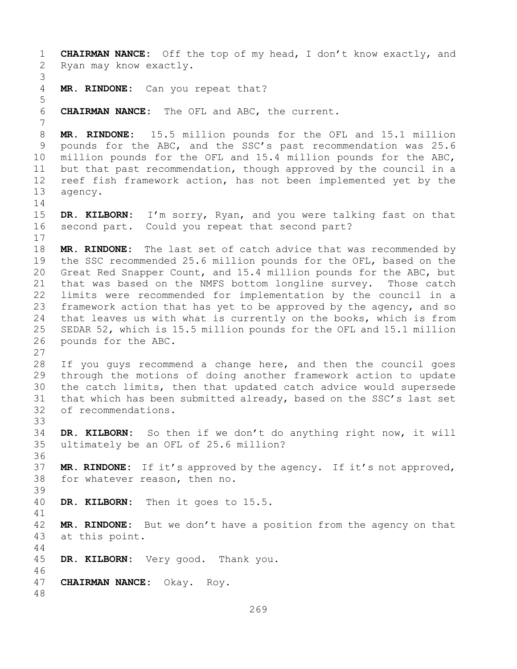1 **CHAIRMAN NANCE:** Off the top of my head, I don't know exactly, and Ryan may know exactly. 3 MR. RINDONE: Can you repeat that? 5 6 **CHAIRMAN NANCE:** The OFL and ABC, the current. 7 8 **MR. RINDONE:** 15.5 million pounds for the OFL and 15.1 million<br>9 pounds for the ABC, and the SSC's past recommendation was 25.6 9 pounds for the ABC, and the SSC's past recommendation was 25.6<br>10 million pounds for the OFL and 15.4 million pounds for the ABC, 10 million pounds for the OFL and 15.4 million pounds for the ABC,<br>11 but that past recommendation, though approved by the council in a 11 but that past recommendation, though approved by the council in a<br>12 reef fish framework action, has not been implemented yet by the 12 reef fish framework action, has not been implemented yet by the<br>13 agency. agency.  $\frac{14}{15}$ 15 **DR. KILBORN:** I'm sorry, Ryan, and you were talking fast on that<br>16 second part. Could you repeat that second part? second part. Could you repeat that second part?  $\begin{array}{c} 17 \\ 18 \end{array}$ 18 **MR. RINDONE:** The last set of catch advice that was recommended by<br>19 the SSC recommended 25.6 million pounds for the OFL, based on the 19 the SSC recommended 25.6 million pounds for the OFL, based on the<br>20 Great Red Snapper Count, and 15.4 million pounds for the ABC, but 20 Great Red Snapper Count, and 15.4 million pounds for the ABC, but<br>21 that was based on the NMFS bottom longline survey. Those catch 21 that was based on the NMFS bottom longline survey. Those catch<br>22 limits were recommended for implementation by the council in a 22 limits were recommended for implementation by the council in a<br>23 framework action that has yet to be approved by the agency, and so 23 framework action that has yet to be approved by the agency, and so<br>24 that leaves us with what is currently on the books, which is from 24 that leaves us with what is currently on the books, which is from<br>25 SEDAR 52, which is 15.5 million pounds for the OFL and 15.1 million 25 SEDAR 52, which is 15.5 million pounds for the OFL and 15.1 million<br>26 pounds for the ABC. pounds for the ABC.  $\frac{27}{28}$ 28 If you guys recommend a change here, and then the council goes<br>29 through the motions of doing another framework action to update 29 through the motions of doing another framework action to update<br>30 the catch limits, then that updated catch advice would supersede 30 the catch limits, then that updated catch advice would supersede<br>31 that which has been submitted already, based on the SSC's last set 31 that which has been submitted already, based on the SSC's last set<br>32 of recommendations. of recommendations. 33<br>34 34 **DR. KILBORN:** So then if we don't do anything right now, it will ultimately be an OFL of 25.6 million? 36<br>37 MR. RINDONE: If it's approved by the agency. If it's not approved, 38 for whatever reason, then no. 39 DR. KILBORN: Then it goes to 15.5. 41<br>42 42 **MR. RINDONE:** But we don't have a position from the agency on that 43 at this point. at this point. 44 45 **DR. KILBORN:** Very good. Thank you. 46<br>47 47 **CHAIRMAN NANCE:** Okay. Roy. 48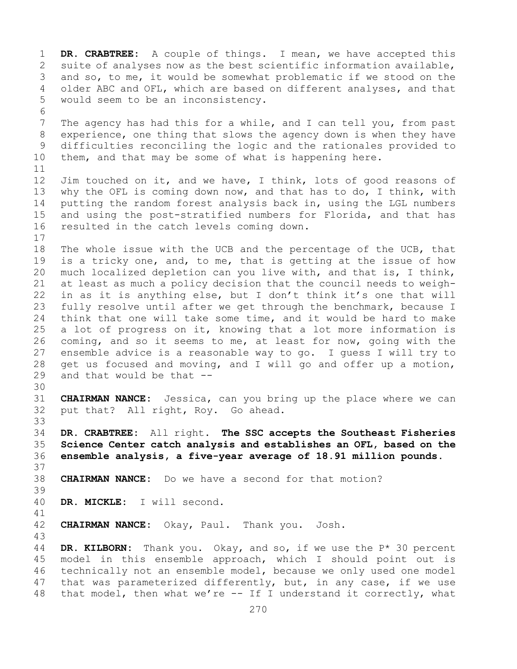1 **DR. CRABTREE:** A couple of things. I mean, we have accepted this 2 suite of analyses now as the best scientific information available,<br>3 and so, to me, it would be somewhat problematic if we stood on the 3 and so, to me, it would be somewhat problematic if we stood on the<br>4 older ABC and OFL, which are based on different analyses, and that older ABC and OFL, which are based on different analyses, and that 5 would seem to be an inconsistency. 6<br>7 7 The agency has had this for a while, and I can tell you, from past<br>8 experience, one thing that slows the agency down is when they have 8 experience, one thing that slows the agency down is when they have<br>9 difficulties reconciling the logic and the rationales provided to 9 difficulties reconciling the logic and the rationales provided to<br>10 them, and that may be some of what is happening here. them, and that may be some of what is happening here. 11<br>12 12 Jim touched on it, and we have, I think, lots of good reasons of<br>13 why the OFL is coming down now, and that has to do, I think, with why the OFL is coming down now, and that has to do, I think, with 14 putting the random forest analysis back in, using the LGL numbers<br>15 and using the post-stratified numbers for Florida, and that has 15 and using the post-stratified numbers for Florida, and that has<br>16 resulted in the catch levels coming down. resulted in the catch levels coming down.  $\begin{array}{c} 17 \\ 18 \end{array}$ 18 The whole issue with the UCB and the percentage of the UCB, that<br>19 is a tricky one, and, to me, that is getting at the issue of how 19 is a tricky one, and, to me, that is getting at the issue of how<br>20 much localized depletion can you live with, and that is, I think, 20 much localized depletion can you live with, and that is, I think,<br>21 at least as much a policy decision that the council needs to weigh-21 at least as much a policy decision that the council needs to weigh-<br>22 in as it is anything else, but I don't think it's one that will 22 in as it is anything else, but I don't think it's one that will<br>23 fully resolve until after we get through the benchmark, because I 23 fully resolve until after we get through the benchmark, because I<br>24 think that one will take some time, and it would be hard to make 24 think that one will take some time, and it would be hard to make<br>25 a lot of progress on it, knowing that a lot more information is 25 a lot of progress on it, knowing that a lot more information is<br>26 coming, and so it seems to me, at least for now, going with the 26 coming, and so it seems to me, at least for now, going with the<br>27 ensemble advice is a reasonable way to go. I quess I will try to 27 ensemble advice is a reasonable way to go. I guess I will try to 28 qet us focused and moving, and I will go and offer up a motion, 28 get us focused and moving, and I will go and offer up a motion,  $29$  and that would be that  $$ and that would be that  $-$ -30<br>31 31 **CHAIRMAN NANCE:** Jessica, can you bring up the place where we can put that? All right, Roy. Go ahead. 33<br>34 34 **DR. CRABTREE:** All right. **The SSC accepts the Southeast Fisheries**  35 **Science Center catch analysis and establishes an OFL, based on the**  36 **ensemble analysis, a five-year average of 18.91 million pounds.** 37 38 **CHAIRMAN NANCE:** Do we have a second for that motion? 39 DR. MICKLE: I will second. 41<br>42 **CHAIRMAN NANCE:** Okay, Paul. Thank you. Josh. 43 DR. KILBORN: Thank you. Okay, and so, if we use the P<sup>\*</sup> 30 percent 45 model in this ensemble approach, which I should point out is 46 technically not an ensemble model, because we only used one model<br>47 that was parameterized differently, but, in any case, if we use 47 that was parameterized differently, but, in any case, if we use<br>48 that model, then what we're  $-$  If I understand it correctly, what that model, then what we're  $--$  If I understand it correctly, what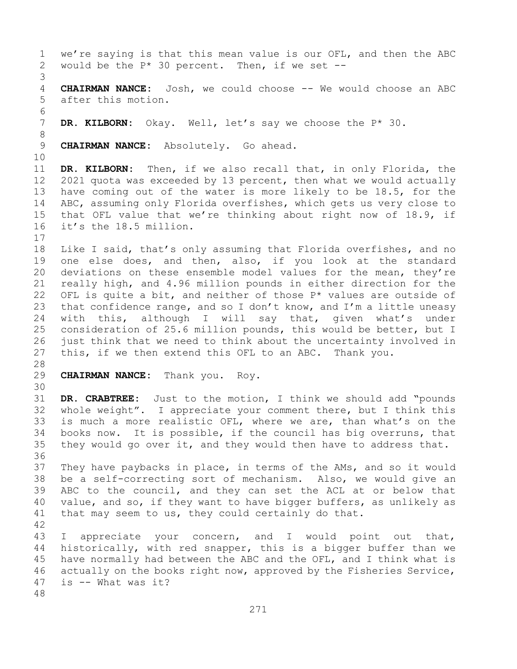1 we're saying is that this mean value is our OFL, and then the ABC<br>2 would be the  $P* 30$  percent. Then, if we set  $-$ would be the  $P*$  30 percent. Then, if we set --3 **CHAIRMAN NANCE:** Josh, we could choose -- We would choose an ABC 5 after this motion. 6<br>7 DR. KILBORN: Okay. Well, let's say we choose the P\* 30. 8 9 **CHAIRMAN NANCE:** Absolutely. Go ahead. 10<br>11 11 **DR. KILBORN:** Then, if we also recall that, in only Florida, the<br>12 2021 quota was exceeded by 13 percent, then what we would actually 12 2021 quota was exceeded by 13 percent, then what we would actually 13 have coming out of the water is more likely to be 18.5, for the 14 ABC, assuming only Florida overfishes, which gets us very close to<br>15 that OFL value that we're thinking about right now of 18.9, if 15 that OFL value that we're thinking about right now of 18.9, if<br>16 it's the 18.5 million. it's the 18.5 million.  $\begin{array}{c} 17 \\ 18 \end{array}$ 18 Like I said, that's only assuming that Florida overfishes, and no<br>19 one else does, and then, also, if you look at the standard 19 one else does, and then, also, if you look at the standard<br>20 deviations on these ensemble model values for the mean, thev're 20 deviations on these ensemble model values for the mean, they're<br>21 really high, and 4.96 million pounds in either direction for the 21 really high, and 4.96 million pounds in either direction for the<br>22 OFL is quite a bit, and neither of those  $P^*$  values are outside of 22 OFL is quite a bit, and neither of those  $P^*$  values are outside of 23 that confidence range, and so I don't know, and I'm a little uneasy 23 that confidence range, and so I don't know, and I'm a little uneasy<br>24 with this, although I will say that, given what's under 24 with this, although I will say that, given what's under<br>25 consideration of 25.6 million pounds, this would be better, but I 25 consideration of 25.6 million pounds, this would be better, but I<br>26 iust think that we need to think about the uncertainty involved in 26 just think that we need to think about the uncertainty involved in<br>27 this, if we then extend this OFL to an ABC. Thank you. this, if we then extend this OFL to an ABC. Thank you. 28<br>29 29 **CHAIRMAN NANCE:** Thank you. Roy. 30<br>31 31 **DR. CRABTREE:** Just to the motion, I think we should add "pounds<br>32 whole weight". I appreciate your comment there, but I think this whole weight". I appreciate your comment there, but I think this 33 is much a more realistic OFL, where we are, than what's on the<br>34 books now. It is possible, if the council has big overruns, that 34 books now. It is possible, if the council has big overruns, that<br>35 they would go over it, and they would then have to address that. they would go over it, and they would then have to address that. 36<br>37 They have paybacks in place, in terms of the AMs, and so it would 38 be a self-correcting sort of mechanism. Also, we would give an<br>39 ABC to the council, and they can set the ACL at or below that 39 ABC to the council, and they can set the ACL at or below that<br>40 value, and so, if they want to have bigger buffers, as unlikely as 40 value, and so, if they want to have bigger buffers, as unlikely as 41 that may seem to us, they could certainly do that. that may seem to us, they could certainly do that. 42 43 I appreciate your concern, and I would point out that,<br>44 historically, with red snapper, this is a bigger buffer than we historically, with red snapper, this is a bigger buffer than we 45 have normally had between the ABC and the OFL, and I think what is 46 actually on the books right now, approved by the Fisheries Service,<br>47 is -- What was it? is  $-$  What was it? 48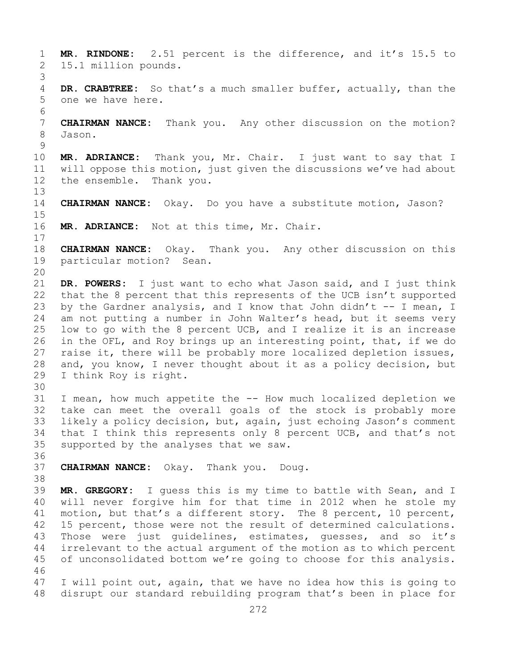1 **MR. RINDONE:** 2.51 percent is the difference, and it's 15.5 to 2 15.1 million pounds. 3 DR. CRABTREE: So that's a much smaller buffer, actually, than the 5 one we have here. 6<br>7 7 **CHAIRMAN NANCE:** Thank you. Any other discussion on the motion? 8 Jason.  $\frac{9}{10}$ 10 **MR. ADRIANCE:** Thank you, Mr. Chair. I just want to say that I 11 will oppose this motion, just given the discussions we've had about<br>12 the ensemble. Thank you. the ensemble. Thank you. 13 14 **CHAIRMAN NANCE:** Okay. Do you have a substitute motion, Jason?  $15$ <br> $16$ MR. ADRIANCE: Not at this time, Mr. Chair.  $\begin{array}{c} 17 \\ 18 \end{array}$ 18 **CHAIRMAN NANCE:** Okay. Thank you. Any other discussion on this particular motion? Sean. 20<br>21 21 **DR. POWERS:** I just want to echo what Jason said, and I just think<br>22 that the 8 percent that this represents of the UCB isn't supported 22 that the 8 percent that this represents of the UCB isn't supported<br>23 by the Gardner analysis, and I know that John didn't -- I mean, I 23 by the Gardner analysis, and I know that John didn't  $-$  I mean, I<br>24 am not putting a number in John Walter's head, but it seems very 24 am not putting a number in John Walter's head, but it seems very<br>25 low to go with the 8 percent UCB, and I realize it is an increase 25 low to go with the 8 percent UCB, and I realize it is an increase<br>26 in the OFL, and Roy brings up an interesting point, that, if we do 26 in the OFL, and Roy brings up an interesting point, that, if we do<br>27 raise it, there will be probably more localized depletion issues, 27 raise it, there will be probably more localized depletion issues,<br>28 and, you know, I never thought about it as a policy decision, but 28 and, you know, I never thought about it as a policy decision, but<br>29 I think Roy is right. I think Roy is right. 30<br>31 31 I mean, how much appetite the -- How much localized depletion we<br>32 take can meet the overall goals of the stock is probably more take can meet the overall goals of the stock is probably more 33 likely a policy decision, but, again, just echoing Jason's comment<br>34 that I think this represents only 8 percent UCB, and that's not 34 that I think this represents only 8 percent UCB, and that's not<br>35 supported by the analyses that we saw. supported by the analyses that we saw. 36<br>37 37 **CHAIRMAN NANCE:** Okay. Thank you. Doug. 38<br>39 39 **MR. GREGORY:** I guess this is my time to battle with Sean, and I 40 will never forgive him for that time in 2012 when he stole my<br>41 motion, but that's a different story. The 8 percent, 10 percent, 41 motion, but that's a different story. The 8 percent, 10 percent,<br>42 15 percent, those were not the result of determined calculations. 42 15 percent, those were not the result of determined calculations.<br>43 Those were just quidelines, estimates, quesses, and so it's 43 Those were just guidelines, estimates, guesses, and so it's<br>44 irrelevant to the actual argument of the motion as to which percent irrelevant to the actual argument of the motion as to which percent 45 of unconsolidated bottom we're going to choose for this analysis. 46<br>47 47 I will point out, again, that we have no idea how this is going to<br>48 disrupt our standard rebuilding program that's been in place for disrupt our standard rebuilding program that's been in place for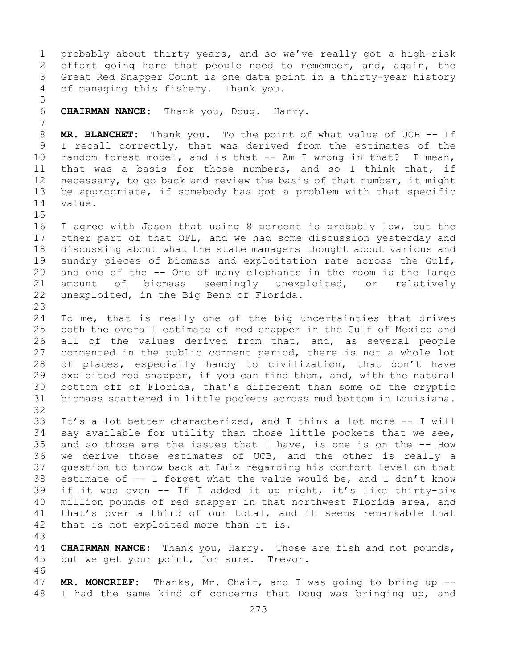1 probably about thirty years, and so we've really got a high-risk<br>2 effort going here that people need to remember, and, again, the 2 effort going here that people need to remember, and, again, the<br>3 Great Red Snapper Count is one data point in a thirty-year history 3 Great Red Snapper Count is one data point in a thirty-year history<br>4 of managing this fishery. Thank you. of managing this fishery. Thank you. 5 6 **CHAIRMAN NANCE:** Thank you, Doug. Harry. 7 8 **MR. BLANCHET:** Thank you. To the point of what value of UCB -- If<br>9 I recall correctly, that was derived from the estimates of the 9 I recall correctly, that was derived from the estimates of the<br>10 random forest model, and is that -- Am I wrong in that? I mean, 10 random forest model, and is that -- Am I wrong in that? I mean,<br>11 that was a basis for those numbers, and so I think that, if 11 that was a basis for those numbers, and so I think that, if<br>12 necessary, to go back and review the basis of that number, it might necessary, to go back and review the basis of that number, it might 13 be appropriate, if somebody has got a problem with that specific 14 value.  $15$ <br> $16$ 16 I agree with Jason that using 8 percent is probably low, but the<br>17 other part of that OFL, and we had some discussion yesterday and 17 other part of that OFL, and we had some discussion yesterday and<br>18 discussing about what the state managers thought about various and 18 discussing about what the state managers thought about various and<br>19 sundry pieces of biomass and exploitation rate across the Gulf, 19 sundry pieces of biomass and exploitation rate across the Gulf,<br>20 and one of the -- One of many elephants in the room is the large 20 and one of the -- One of many elephants in the room is the large<br>21 amount of biomass seemingly unexploited, or relatively 21 amount of biomass seemingly unexploited, or relatively<br>22 unexploited, in the Big Bend of Florida. unexploited, in the Big Bend of Florida. 23 24 To me, that is really one of the big uncertainties that drives<br>25 both the overall estimate of red snapper in the Gulf of Mexico and 25 both the overall estimate of red snapper in the Gulf of Mexico and<br>26 all of the values derived from that, and, as several people 26 all of the values derived from that, and, as several people<br>27 commented in the public comment period, there is not a whole lot commented in the public comment period, there is not a whole lot 28 of places, especially handy to civilization, that don't have<br>29 exploited red snapper, if you can find them, and, with the natural 29 exploited red snapper, if you can find them, and, with the natural<br>30 bottom off of Florida, that's different than some of the cryptic 30 bottom off of Florida, that's different than some of the cryptic<br>31 biomass scattered in little pockets across mud bottom in Louisiana. biomass scattered in little pockets across mud bottom in Louisiana. 32 33 It's a lot better characterized, and I think a lot more -- I will<br>34 say available for utility than those little pockets that we see, 34 say available for utility than those little pockets that we see,<br>35 and so those are the issues that I have, is one is on the -- How 35 and so those are the issues that I have, is one is on the  $-$ - How<br>36 we derive those estimates of UCB, and the other is really a we derive those estimates of UCB, and the other is really a 37 question to throw back at Luiz regarding his comfort level on that 38 estimate of  $-$  I forget what the value would be, and I don't know<br>39 if it was even  $-$  If I added it up right, it's like thirty-six 39 if it was even -- If I added it up right, it's like thirty-six<br>40 million pounds of red snapper in that northwest Florida area, and 40 million pounds of red snapper in that northwest Florida area, and<br>41 that's over a third of our total, and it seems remarkable that 41 that's over a third of our total, and it seems remarkable that<br>42 that is not exploited more than it is. that is not exploited more than it is. 43 **CHAIRMAN NANCE:** Thank you, Harry. Those are fish and not pounds, 45 but we get your point, for sure. Trevor. 46<br>47 47 **MR. MONCRIEF:** Thanks, Mr. Chair, and I was going to bring up --<br>48 I had the same kind of concerns that Doug was bringing up, and I had the same kind of concerns that Doug was bringing up, and

273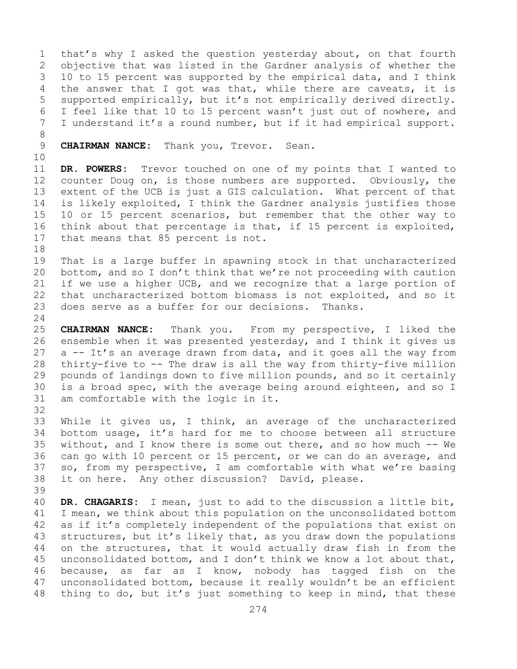1 that's why I asked the question yesterday about, on that fourth<br>2 objective that was listed in the Gardner analysis of whether the 2 objective that was listed in the Gardner analysis of whether the<br>3 10 to 15 percent was supported by the empirical data, and I think 3 10 to 15 percent was supported by the empirical data, and I think<br>4 the answer that I got was that, while there are caveats, it is the answer that I got was that, while there are caveats, it is 5 supported empirically, but it's not empirically derived directly. 6 I feel like that 10 to 15 percent wasn't just out of nowhere, and<br>7 I understand it's a round number, but if it had empirical support. I understand it's a round number, but if it had empirical support.

- 8<br>9 9 **CHAIRMAN NANCE:** Thank you, Trevor. Sean.
- 10<br>11

11 **DR. POWERS:** Trevor touched on one of my points that I wanted to 12 counter Doug on, is those numbers are supported. Obviously, the counter Doug on, is those numbers are supported. Obviously, the 13 extent of the UCB is just a GIS calculation. What percent of that 14 is likely exploited, I think the Gardner analysis justifies those<br>15 10 or 15 percent scenarios, but remember that the other way to 15 10 or 15 percent scenarios, but remember that the other way to<br>16 think about that percentage is that, if 15 percent is exploited, 16 think about that percentage is that, if 15 percent is exploited,<br>17 that means that 85 percent is not. that means that 85 percent is not.

18<br>19 19 That is a large buffer in spawning stock in that uncharacterized<br>20 bottom, and so I don't think that we're not proceeding with caution bottom, and so I don't think that we're not proceeding with caution 21 if we use a higher UCB, and we recognize that a large portion of<br>22 that uncharacterized bottom biomass is not exploited, and so it 22 that uncharacterized bottom biomass is not exploited, and so it<br>23 does serve as a buffer for our decisions. Thanks. does serve as a buffer for our decisions.

 $\frac{24}{25}$ 25 **CHAIRMAN NANCE:** Thank you. From my perspective, I liked the 26 ensemble when it was presented yesterday, and I think it gives us<br>27 a -- It's an average drawn from data, and it goes all the way from a -- It's an average drawn from data, and it goes all the way from 28 thirty-five to -- The draw is all the way from thirty-five million<br>29 pounds of landings down to five million pounds, and so it certainly 29 pounds of landings down to five million pounds, and so it certainly<br>30 is a broad spec, with the average being around eighteen, and so I 30 is a broad spec, with the average being around eighteen, and so I<br>31 am comfortable with the logic in it. am comfortable with the logic in it.

32

33 While it gives us, I think, an average of the uncharacterized<br>34 bottom usage, it's hard for me to choose between all structure 34 bottom usage, it's hard for me to choose between all structure<br>35 without, and I know there is some out there, and so how much -- We 35 without, and I know there is some out there, and so how much -- We<br>36 can go with 10 percent or 15 percent, or we can do an average, and can go with 10 percent or 15 percent, or we can do an average, and 37 so, from my perspective, I am comfortable with what we're basing 38 it on here. Any other discussion? David, please.

39 40 **DR. CHAGARIS:** I mean, just to add to the discussion a little bit, 41 I mean, we think about this population on the unconsolidated bottom<br>42 as if it's completely independent of the populations that exist on 42 as if it's completely independent of the populations that exist on<br>43 structures, but it's likely that, as you draw down the populations 43 structures, but it's likely that, as you draw down the populations<br>44 on the structures, that it would actually draw fish in from the on the structures, that it would actually draw fish in from the 45 unconsolidated bottom, and I don't think we know a lot about that, 46 because, as far as I know, nobody has tagged fish on the<br>47 unconsolidated bottom, because it really wouldn't be an efficient 47 unconsolidated bottom, because it really wouldn't be an efficient<br>48 thing to do, but it's just something to keep in mind, that these thing to do, but it's just something to keep in mind, that these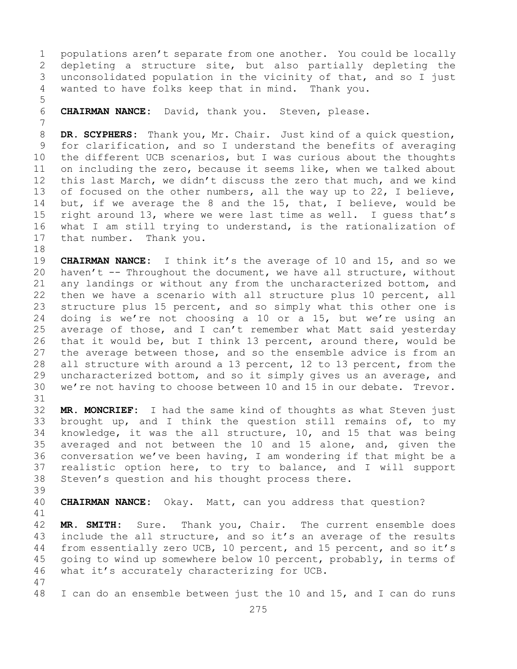1 populations aren't separate from one another. You could be locally<br>2 depleting a structure site, but also partially depleting the 2 depleting a structure site, but also partially depleting the<br>3 unconsolidated population in the vicinity of that, and so I just 3 unconsolidated population in the vicinity of that, and so I just<br>4 wanted to have folks keep that in mind. Thank you. wanted to have folks keep that in mind. Thank you.

5

6 **CHAIRMAN NANCE:** David, thank you. Steven, please.

7 8 **DR. SCYPHERS:** Thank you, Mr. Chair. Just kind of a quick question,<br>9 for clarification, and so I understand the benefits of averaging 9 for clarification, and so I understand the benefits of averaging<br>10 the different UCB scenarios, but I was curious about the thoughts 10 the different UCB scenarios, but I was curious about the thoughts<br>11 on including the zero, because it seems like, when we talked about 11 on including the zero, because it seems like, when we talked about<br>12 this last March, we didn't discuss the zero that much, and we kind this last March, we didn't discuss the zero that much, and we kind 13 of focused on the other numbers, all the way up to 22, I believe, 14 but, if we average the 8 and the 15, that, I believe, would be<br>15 right around 13, where we were last time as well. I quess that's 15 right around 13, where we were last time as well. I guess that's<br>16 what I am still trying to understand, is the rationalization of 16 what I am still trying to understand, is the rationalization of<br>17 that number. Thank you. that number. Thank you.

18<br>19 19 **CHAIRMAN NANCE:** I think it's the average of 10 and 15, and so we<br>20 haven't -- Throughout the document, we have all structure, without haven't  $-$ - Throughout the document, we have all structure, without 21 any landings or without any from the uncharacterized bottom, and<br>22 then we have a scenario with all structure plus 10 percent, all 22 then we have a scenario with all structure plus 10 percent, all<br>23 structure plus 15 percent, and so simply what this other one is 23 structure plus 15 percent, and so simply what this other one is<br>24 doing is we're not choosing a 10 or a 15, but we're using an 24 doing is we're not choosing a 10 or a 15, but we're using an<br>25 average of those, and I can't remember what Matt said yesterday 25 average of those, and I can't remember what Matt said yesterday<br>26 that it would be, but I think 13 percent, around there, would be 26 that it would be, but I think 13 percent, around there, would be<br>27 the average between those, and so the ensemble advice is from an the average between those, and so the ensemble advice is from an 28 all structure with around a 13 percent, 12 to 13 percent, from the<br>29 uncharacterized bottom, and so it simply gives us an average, and 29 uncharacterized bottom, and so it simply gives us an average, and<br>30 we're not having to choose between 10 and 15 in our debate. Trevor. we're not having to choose between 10 and 15 in our debate. Trevor.

31<br>32 MR. MONCRIEF: I had the same kind of thoughts as what Steven just 33 brought up, and I think the question still remains of, to my<br>34 knowledge, it was the all structure, 10, and 15 that was being 34 knowledge, it was the all structure, 10, and 15 that was being<br>35 averaged and not between the 10 and 15 alone, and, given the 35 averaged and not between the 10 and 15 alone, and, given the<br>36 conversation we've been having, I am wondering if that might be a conversation we've been having, I am wondering if that might be a 37 realistic option here, to try to balance, and I will support 38 Steven's question and his thought process there.

39

**CHAIRMAN NANCE:** Okay. Matt, can you address that question?

41<br>42 42 **MR. SMITH:** Sure. Thank you, Chair. The current ensemble does<br>43 include the all structure, and so it's an average of the results 43 include the all structure, and so it's an average of the results<br>44 from essentially zero UCB, 10 percent, and 15 percent, and so it's from essentially zero UCB, 10 percent, and 15 percent, and so it's 45 going to wind up somewhere below 10 percent, probably, in terms of 46 what it's accurately characterizing for UCB.

47 I can do an ensemble between just the 10 and 15, and I can do runs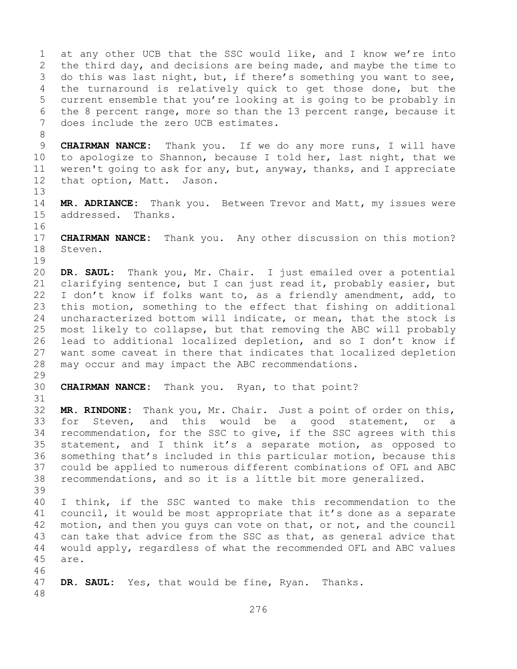1 at any other UCB that the SSC would like, and I know we're into<br>2 the third day, and decisions are being made, and maybe the time to 2 the third day, and decisions are being made, and maybe the time to<br>3 do this was last night, but, if there's something you want to see, 3 do this was last night, but, if there's something you want to see,<br>4 the turnaround is relatively quick to get those done, but the the turnaround is relatively quick to get those done, but the 5 current ensemble that you're looking at is going to be probably in 6 the 8 percent range, more so than the 13 percent range, because it<br>7 does include the zero UCB estimates. does include the zero UCB estimates. 8<br>9 9 **CHAIRMAN NANCE:** Thank you. If we do any more runs, I will have<br>10 to apologize to Shannon, because I told her, last night, that we 10 to apologize to Shannon, because I told her, last night, that we<br>11 weren't going to ask for any, but, anyway, thanks, and I appreciate 11 weren't going to ask for any, but, anyway, thanks, and I appreciate<br>12 that option, Matt. Jason. that option, Matt. Jason. 13 14 **MR. ADRIANCE:** Thank you. Between Trevor and Matt, my issues were addressed. Thanks. 16<br>17 17 **CHAIRMAN NANCE:** Thank you. Any other discussion on this motion?<br>18 Steven. Steven.  $\begin{array}{c} 19 \\ 20 \end{array}$ 20 **DR. SAUL:** Thank you, Mr. Chair. I just emailed over a potential 21 clarifying sentence, but I can just read it, probably easier, but<br>22 I don't know if folks want to, as a friendly amendment, add, to 22 I don't know if folks want to, as a friendly amendment, add, to<br>23 this motion, something to the effect that fishing on additional 23 this motion, something to the effect that fishing on additional<br>24 uncharacterized bottom will indicate, or mean, that the stock is 24 uncharacterized bottom will indicate, or mean, that the stock is<br>25 most likely to collapse, but that removing the ABC will probably 25 most likely to collapse, but that removing the ABC will probably<br>26 lead to additional localized depletion, and so I don't know if 26 lead to additional localized depletion, and so I don't know if<br>27 want some caveat in there that indicates that localized depletion want some caveat in there that indicates that localized depletion 28 may occur and may impact the ABC recommendations. 29<br>30 **CHAIRMAN NANCE:** Thank you. Ryan, to that point? 31<br>32 MR. RINDONE: Thank you, Mr. Chair. Just a point of order on this, 33 for Steven, and this would be a good statement, or a<br>34 recommendation, for the SSC to give, if the SSC agrees with this 34 recommendation, for the SSC to give, if the SSC agrees with this<br>35 statement, and I think it's a separate motion, as opposed to 35 statement, and I think it's a separate motion, as opposed to<br>36 something that's included in this particular motion, because this something that's included in this particular motion, because this 37 could be applied to numerous different combinations of OFL and ABC 38 recommendations, and so it is a little bit more generalized. 39 40 I think, if the SSC wanted to make this recommendation to the<br>41 council, it would be most appropriate that it's done as a separate 41 council, it would be most appropriate that it's done as a separate<br>42 motion, and then you quys can vote on that, or not, and the council 42 motion, and then you guys can vote on that, or not, and the council<br>43 can take that advice from the SSC as that, as general advice that 43 can take that advice from the SSC as that, as general advice that<br>44 would apply, regardless of what the recommended OFL and ABC values 44 would apply, regardless of what the recommended OFL and ABC values 45 are. 46<br>47 DR. SAUL: Yes, that would be fine, Ryan. Thanks. 48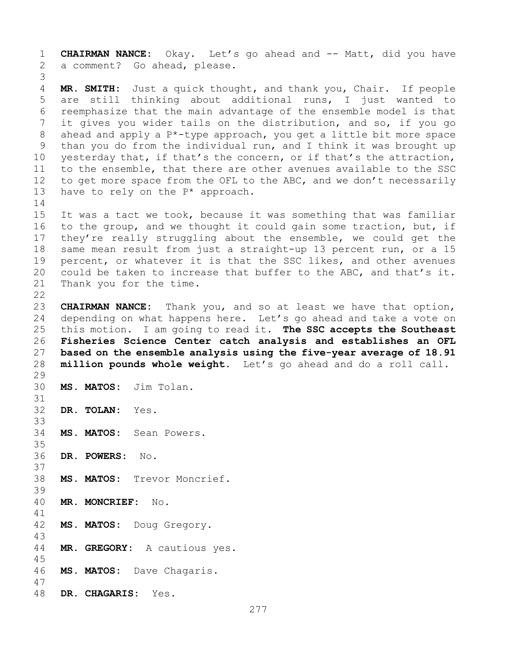1 **CHAIRMAN NANCE:** Okay. Let's go ahead and -- Matt, did you have a comment? Go ahead, please. 3 MR. SMITH: Just a quick thought, and thank you, Chair. If people 5 are still thinking about additional runs, I just wanted to 6 reemphasize that the main advantage of the ensemble model is that<br>7 it gives you wider tails on the distribution, and so, if you go 7 it gives you wider tails on the distribution, and so, if you go<br>8 ahead and apply a P\*-type approach, you get a little bit more space 8 ahead and apply a  $P^*$ -type approach, you get a little bit more space<br>9 than you do from the individual run, and I think it was brought up 9 than you do from the individual run, and I think it was brought up<br>10 vesterday that, if that's the concern, or if that's the attraction, 10 yesterday that, if that's the concern, or if that's the attraction,<br>11 to the ensemble, that there are other avenues available to the SSC 11 to the ensemble, that there are other avenues available to the SSC<br>12 to get more space from the OFL to the ABC, and we don't necessarily 12 to get more space from the OFL to the ABC, and we don't necessarily<br>13 have to rely on the  $P^*$  approach. have to rely on the  $P^*$  approach.  $\frac{14}{15}$ 15 It was a tact we took, because it was something that was familiar<br>16 to the group, and we thought it could gain some traction, but, if 16 to the group, and we thought it could gain some traction, but, if<br>17 they're really struggling about the ensemble, we could get the 17 they're really struggling about the ensemble, we could get the<br>18 same mean result from just a straight-up 13 percent run, or a 15 18 same mean result from just a straight-up 13 percent run, or a 15<br>19 percent, or whatever it is that the SSC likes, and other avenues 19 percent, or whatever it is that the SSC likes, and other avenues<br>20 could be taken to increase that buffer to the ABC, and that's it. 20 could be taken to increase that buffer to the ABC, and that's it.<br>21 Thank you for the time. Thank you for the time.  $\begin{array}{c} 22 \\ 23 \end{array}$ 23 **CHAIRMAN NANCE:** Thank you, and so at least we have that option,<br>24 depending on what happens here. Let's go ahead and take a vote on 24 depending on what happens here. Let's go ahead and take a vote on<br>25 this motion. I am going to read it. The SSC accepts the Southeast 25 this motion. I am going to read it. **The SSC accepts the Southeast**  26 **Fisheries Science Center catch analysis and establishes an OFL**  27 **based on the ensemble analysis using the five-year average of 18.91**  28 **million pounds whole weight.** Let's go ahead and do a roll call. 29<br>30 MS. MATOS: Jim Tolan. 31<br>32 DR. TOLAN: Yes. 33<br>34 MS. MATOS: Sean Powers. 35<br>36 36 **DR. POWERS:** No. 37 38 **MS. MATOS:** Trevor Moncrief. 39 40 **MR. MONCRIEF:** No. 41<br>42 MS. MATOS: Doug Gregory. 43 MR. GREGORY: A cautious yes. 45 46 **MS. MATOS:** Dave Chagaris. 47 48 **DR. CHAGARIS:** Yes.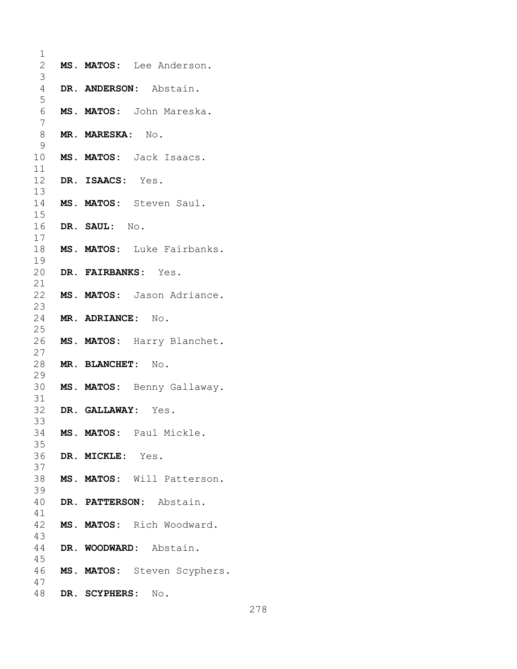| 1              |                              |
|----------------|------------------------------|
| 2              | MS. MATOS: Lee Anderson.     |
| 3              |                              |
| $\overline{4}$ | DR. ANDERSON: Abstain.       |
| 5              |                              |
| 6              | MS. MATOS: John Mareska.     |
| 7              |                              |
| 8              | MR. MARESKA: No.             |
| 9              |                              |
| 10<br>11       | MS. MATOS: Jack Isaacs.      |
| 12             | DR. ISAACS: Yes.             |
| 13             |                              |
| 14             | MS. MATOS: Steven Saul.      |
| 15             |                              |
| 16             | DR. SAUL: No.                |
| 17             |                              |
| 18             | MS. MATOS: Luke Fairbanks.   |
| 19             |                              |
| 20<br>21       | DR. FAIRBANKS: Yes.          |
| 22             | MS. MATOS: Jason Adriance.   |
| 23             |                              |
| 24             | MR. ADRIANCE: No.            |
| 25             |                              |
| 26             | MS. MATOS: Harry Blanchet.   |
| 27             |                              |
| 28             | MR. BLANCHET: No.            |
| 29             |                              |
| 30             | MS. MATOS: Benny Gallaway.   |
| 31<br>32       |                              |
| 33             | DR. GALLAWAY: Yes.           |
| 34             | MS. MATOS: Paul Mickle.      |
| 35             |                              |
| 36             | DR. MICKLE: Yes.             |
| 37             |                              |
| 38             | MS. MATOS: Will Patterson.   |
| 39             |                              |
| 40             | DR. PATTERSON: Abstain.      |
| 41             |                              |
| 43             | 42 MS. MATOS: Rich Woodward. |
| 44             | DR. WOODWARD: Abstain.       |
| 45             |                              |
| 46             | MS. MATOS: Steven Scyphers.  |
| 47             |                              |
| 48             | DR. SCYPHERS: No.            |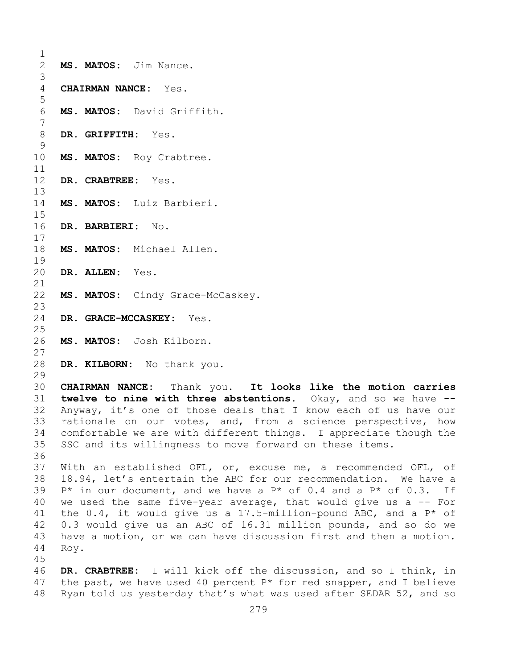$\frac{1}{2}$ MS. MATOS: Jim Nance. 3 4 **CHAIRMAN NANCE:** Yes. 5 6 **MS. MATOS:** David Griffith. 7 8 **DR. GRIFFITH:** Yes.  $\frac{9}{10}$ MS. MATOS: Roy Crabtree.  $\begin{array}{c} 11 \\ 12 \end{array}$ 12 **DR. CRABTREE:** Yes. 13 14 **MS. MATOS:** Luiz Barbieri.  $15$ <br> $16$ 16 **DR. BARBIERI:** No.  $\begin{array}{c} 17 \\ 18 \end{array}$ MS. MATOS: Michael Allen.  $\begin{array}{c} 19 \\ 20 \end{array}$ DR. ALLEN: Yes. 21<br>22 MS. MATOS: Cindy Grace-McCaskey.  $\frac{23}{24}$ 24 **DR. GRACE-MCCASKEY:** Yes.  $\frac{25}{26}$ 26 **MS. MATOS:** Josh Kilborn. 27 28 **DR. KILBORN:** No thank you. 29<br>30 30 **CHAIRMAN NANCE:** Thank you. **It looks like the motion carries**  31 **twelve to nine with three abstentions.** Okay, and so we have -- Anyway, it's one of those deals that I know each of us have our 33 rationale on our votes, and, from a science perspective, how<br>34 comfortable we are with different things. I appreciate though the 34 comfortable we are with different things. I appreciate though the<br>35 SSC and its willingness to move forward on these items. SSC and its willingness to move forward on these items. 36 37 With an established OFL, or, excuse me, a recommended OFL, of 38 18.94, let's entertain the ABC for our recommendation. We have a<br>39 P\* in our document, and we have a P\* of 0.4 and a P\* of 0.3. If 39 P\* in our document, and we have a P\* of 0.4 and a P\* of 0.3. If  $40$  we used the same five-year average, that would give us a -- For 40 we used the same five-year average, that would give us a  $-$  For<br>41 the 0.4, it would give us a 17.5-million-pound ABC, and a P\* of 41 the 0.4, it would give us a 17.5-million-pound ABC, and a  $P^*$  of 42 0.3 would give us an ABC of 16.31 million pounds, and so do we 42 0.3 would give us an ABC of 16.31 million pounds, and so do we<br>43 have a motion, or we can have discussion first and then a motion. 43 have a motion, or we can have discussion first and then a motion.<br>44 Rov. Roy. 45 46 **DR. CRABTREE:** I will kick off the discussion, and so I think, in<br>47 the past, we have used 40 percent P\* for red snapper, and I believe 47 the past, we have used 40 percent  $P*$  for red snapper, and I believe 48 Ryan told us yesterday that's what was used after SEDAR 52, and so Ryan told us yesterday that's what was used after SEDAR 52, and so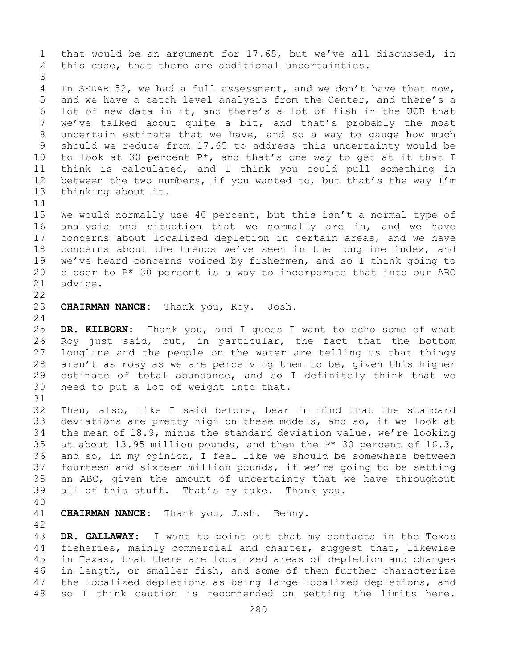1 that would be an argument for 17.65, but we've all discussed, in<br>2 this case, that there are additional uncertainties. this case, that there are additional uncertainties. 3 In SEDAR 52, we had a full assessment, and we don't have that now, 5 and we have a catch level analysis from the Center, and there's a 6 lot of new data in it, and there's a lot of fish in the UCB that<br>7 we've talked about quite a bit, and that's probably the most 7 we've talked about quite a bit, and that's probably the most<br>8 uncertain estimate that we have, and so a way to qauqe how much 8 uncertain estimate that we have, and so a way to gauge how much<br>9 should we reduce from 17.65 to address this uncertainty would be 9 should we reduce from 17.65 to address this uncertainty would be  $10$  to look at 30 percent  $P^*$ , and that's one way to get at it that I 10 to look at 30 percent  $P^*$ , and that's one way to get at it that I<br>11 think is calculated, and I think you could pull something in 11 think is calculated, and I think you could pull something in<br>12 between the two numbers, if you wanted to, but that's the way I'm 12 between the two numbers, if you wanted to, but that's the way  $I'm$ <br>13 thinking about it. thinking about it.  $\frac{14}{15}$ 15 We would normally use 40 percent, but this isn't a normal type of<br>16 analysis and situation that we normally are in, and we have 16 analysis and situation that we normally are in, and we have<br>17 concerns about localized depletion in certain areas, and we have 17 concerns about localized depletion in certain areas, and we have<br>18 concerns about the trends we've seen in the longline index, and 18 concerns about the trends we've seen in the longline index, and<br>19 we've heard concerns voiced by fishermen, and so I think going to 19 we've heard concerns voiced by fishermen, and so I think going to  $20$  closer to  $P^*$  30 percent is a way to incorporate that into our ABC 20 closer to  $P*$  30 percent is a way to incorporate that into our ABC advice. advice.  $\begin{array}{c} 22 \\ 23 \end{array}$ 23 **CHAIRMAN NANCE:** Thank you, Roy. Josh.  $\frac{24}{25}$ 25 **DR. KILBORN:** Thank you, and I guess I want to echo some of what 26 Roy just said, but, in particular, the fact that the bottom<br>27 longline and the people on the water are telling us that things longline and the people on the water are telling us that things 28 aren't as rosy as we are perceiving them to be, given this higher<br>29 estimate of total abundance, and so I definitely think that we 29 estimate of total abundance, and so I definitely think that we<br>30 need to put a lot of weight into that. need to put a lot of weight into that. 31<br>32 Then, also, like I said before, bear in mind that the standard 33 deviations are pretty high on these models, and so, if we look at<br>34 the mean of 18.9, minus the standard deviation value, we're looking 34 the mean of 18.9, minus the standard deviation value, we're looking<br>35 at about 13.95 million pounds, and then the  $P^*$  30 percent of 16.3, 35 at about 13.95 million pounds, and then the  $P*$  30 percent of 16.3,<br>36 and so, in my opinion, I feel like we should be somewhere between 36 and so, in my opinion, I feel like we should be somewhere between<br>37 fourteen and sixteen million pounds, if we're going to be setting fourteen and sixteen million pounds, if we're going to be setting 38 an ABC, given the amount of uncertainty that we have throughout<br>39 all of this stuff. That's my take. Thank you. all of this stuff. That's my take. Thank you. 40 41 **CHAIRMAN NANCE:** Thank you, Josh. Benny. 42 43 **DR. GALLAWAY:** I want to point out that my contacts in the Texas<br>44 fisheries, mainly commercial and charter, suggest that, likewise fisheries, mainly commercial and charter, suggest that, likewise 45 in Texas, that there are localized areas of depletion and changes 46 in length, or smaller fish, and some of them further characterize<br>47 the localized depletions as being large localized depletions, and 47 the localized depletions as being large localized depletions, and<br>48 so I think caution is recommended on setting the limits here. so I think caution is recommended on setting the limits here.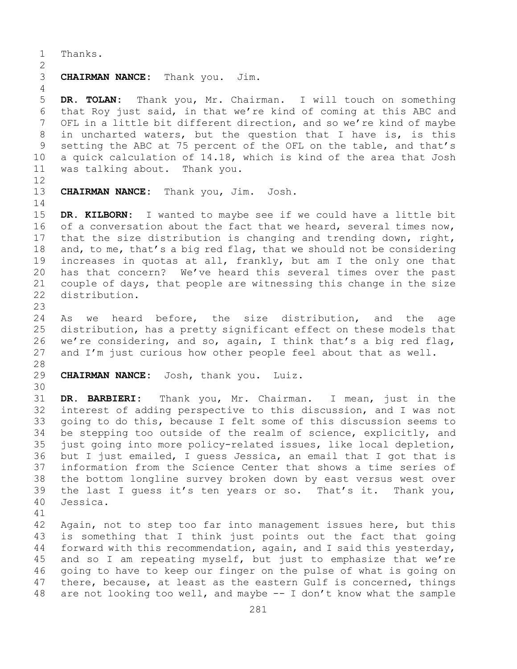1 Thanks.

## $\frac{2}{3}$ **CHAIRMAN NANCE:** Thank you. Jim.

5 **DR. TOLAN:** Thank you, Mr. Chairman. I will touch on something 6 that Roy just said, in that we're kind of coming at this ABC and<br>7 OFL in a little bit different direction, and so we're kind of mavbe 7 OFL in a little bit different direction, and so we're kind of maybe<br>8 in uncharted waters, but the question that I have is, is this 8 in uncharted waters, but the question that I have is, is this<br>9 setting the ABC at 75 percent of the OFL on the table, and that's 9 setting the ABC at 75 percent of the OFL on the table, and that's<br>10 a quick calculation of 14.18, which is kind of the area that Josh 10 a quick calculation of 14.18, which is kind of the area that Josh<br>11 was talking about. Thank you. was talking about.

12<br>13

4

CHAIRMAN NANCE: Thank you, Jim. Josh.

 $\frac{14}{15}$ 15 **DR. KILBORN:** I wanted to maybe see if we could have a little bit 16 of a conversation about the fact that we heard, several times now, 16 of a conversation about the fact that we heard, several times now,<br>17 that the size distribution is changing and trending down, right, 17 that the size distribution is changing and trending down, right,<br>18 and, to me, that's a big red flag, that we should not be considering 18 and, to me, that's a big red flag, that we should not be considering<br>19 increases in quotas at all, frankly, but am I the only one that 19 increases in quotas at all, frankly, but am I the only one that<br>20 has that concern? We've heard this several times over the past 20 has that concern? We've heard this several times over the past<br>21 couple of days, that people are witnessing this change in the size 21 couple of days, that people are witnessing this change in the size distribution.

23 24 As we heard before, the size distribution, and the age<br>25 distribution, has a pretty significant effect on these models that 25 distribution, has a pretty significant effect on these models that<br>26 we're considering, and so, again, I think that's a big red flag, 26 we're considering, and so, again, I think that's a big red flag,<br>27 and I'm just curious how other people feel about that as well. and I'm just curious how other people feel about that as well.

## 28<br>29 **CHAIRMAN NANCE:** Josh, thank you. Luiz.

30<br>31

31 **DR. BARBIERI:** Thank you, Mr. Chairman. I mean, just in the interest of adding perspective to this discussion, and I was not 33 going to do this, because I felt some of this discussion seems to<br>34 be stepping too outside of the realm of science, explicitly, and 34 be stepping too outside of the realm of science, explicitly, and<br>35 just going into more policy-related issues, like local depletion, 35 just going into more policy-related issues, like local depletion,<br>36 but I just emailed, I quess Jessica, an email that I got that is 36 but I just emailed, I guess Jessica, an email that I got that is<br>37 information from the Science Center that shows a time series of 37 information from the Science Center that shows a time series of<br>38 the bottom longline survey broken down by east versus west over 38 the bottom longline survey broken down by east versus west over<br>39 the last I quess it's ten years or so. That's it. Thank you, 39 the last I guess it's ten years or so. That's it. Thank you,<br>40 Jessica. Jessica.

41<br>42

42 Again, not to step too far into management issues here, but this<br>43 is something that I think just points out the fact that going 43 is something that I think just points out the fact that going<br>44 forward with this recommendation, again, and I said this vesterday, forward with this recommendation, again, and I said this yesterday, 45 and so I am repeating myself, but just to emphasize that we're 46 going to have to keep our finger on the pulse of what is going on<br>47 there, because, at least as the eastern Gulf is concerned, things 47 there, because, at least as the eastern Gulf is concerned, things<br>48 are not looking too well, and maybe -- I don't know what the sample are not looking too well, and maybe  $-$  I don't know what the sample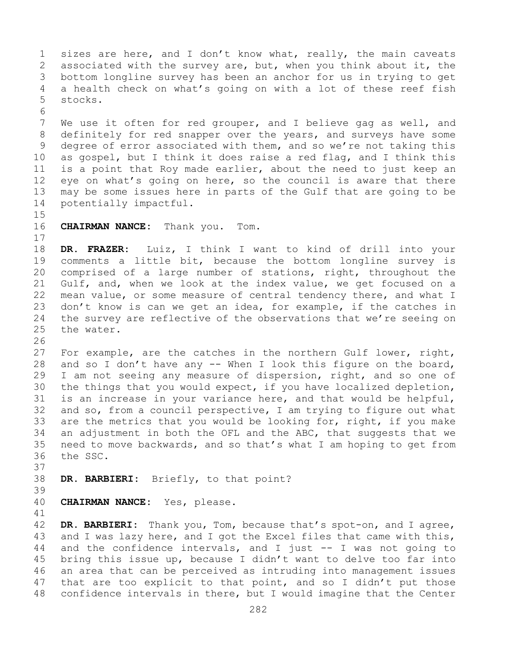1 sizes are here, and I don't know what, really, the main caveats<br>2 associated with the survey are, but, when you think about it, the 2 associated with the survey are, but, when you think about it, the<br>3 bottom longline survey has been an anchor for us in trying to get 3 bottom longline survey has been an anchor for us in trying to get<br>4 a health check on what's going on with a lot of these reef fish a health check on what's going on with a lot of these reef fish 5 stocks. 6<br>7 7 We use it often for red grouper, and I believe gag as well, and<br>8 definitely for red snapper over the years, and surveys have some 8 definitely for red snapper over the years, and surveys have some<br>9 degree of error associated with them, and so we're not taking this 9 degree of error associated with them, and so we're not taking this<br>10 as gospel, but I think it does raise a red flag, and I think this 10 as gospel, but I think it does raise a red flag, and I think this<br>11 is a point that Roy made earlier, about the need to just keep an 11 is a point that Roy made earlier, about the need to just keep an<br>12 eve on what's going on here, so the council is aware that there 12 eye on what's going on here, so the council is aware that there<br>13 may be some issues here in parts of the Gulf that are going to be may be some issues here in parts of the Gulf that are going to be 14 potentially impactful.  $15$ <br> $16$ **CHAIRMAN NANCE:** Thank you. Tom.  $\begin{array}{c} 17 \\ 18 \end{array}$ 18 **DR. FRAZER:** Luiz, I think I want to kind of drill into your 19 comments a little bit, because the bottom longline survey is<br>20 comprised of a large number of stations, right, throughout the 20 comprised of a large number of stations, right, throughout the<br>21 Gulf, and, when we look at the index value, we get focused on a 21 Gulf, and, when we look at the index value, we get focused on a<br>22 mean value, or some measure of central tendency there, and what I 22 mean value, or some measure of central tendency there, and what I<br>23 don't know is can we get an idea, for example, if the catches in 23 don't know is can we get an idea, for example, if the catches in<br>24 the survey are reflective of the observations that we're seeing on 24 the survey are reflective of the observations that we're seeing on<br>25 the water. the water. 26<br>27 For example, are the catches in the northern Gulf lower, right, 28 and so I don't have any -- When I look this figure on the board,<br>29 I am not seeing any measure of dispersion, right, and so one of 29 I am not seeing any measure of dispersion, right, and so one of<br>30 the things that you would expect, if you have localized depletion, 30 the things that you would expect, if you have localized depletion,<br>31 is an increase in your variance here, and that would be helpful, 31 is an increase in your variance here, and that would be helpful,<br>32 and so, from a council perspective, I am trving to figure out what and so, from a council perspective, I am trying to figure out what 33 are the metrics that you would be looking for, right, if you make<br>34 an adjustment in both the OFL and the ABC, that suggests that we 34 an adjustment in both the OFL and the ABC, that suggests that we<br>35 need to move backwards, and so that's what I am hoping to get from 35 need to move backwards, and so that's what I am hoping to get from<br>36 the SSC. the SSC. 37 38 **DR. BARBIERI:** Briefly, to that point? 39 CHAIRMAN NANCE: Yes, please.

41<br>42 42 DR. BARBIERI: Thank you, Tom, because that's spot-on, and I agree,<br>43 and I was lazy here, and I got the Excel files that came with this, 43 and I was lazy here, and I got the Excel files that came with this,<br>44 and the confidence intervals, and I just -- I was not going to and the confidence intervals, and I just  $-$ - I was not going to 45 bring this issue up, because I didn't want to delve too far into 46 an area that can be perceived as intruding into management issues<br>47 that are too explicit to that point, and so I didn't put those 47 that are too explicit to that point, and so I didn't put those<br>48 confidence intervals in there, but I would imagine that the Center confidence intervals in there, but I would imagine that the Center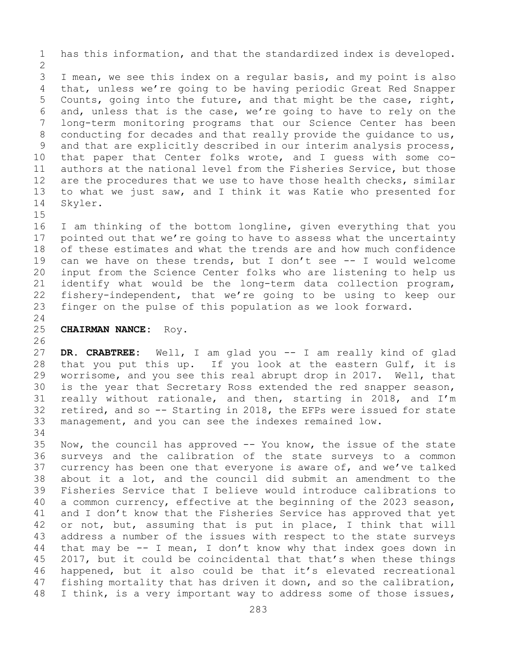1 has this information, and that the standardized index is developed.

 $\frac{2}{3}$ 3 I mean, we see this index on a regular basis, and my point is also<br>4 that, unless we're going to be having periodic Great Red Snapper that, unless we're going to be having periodic Great Red Snapper 5 Counts, going into the future, and that might be the case, right, 6 and, unless that is the case, we're going to have to rely on the 7 long-term monitoring programs that our Science Center has been<br>8 conducting for decades and that really provide the quidance to us, 8 conducting for decades and that really provide the guidance to us,<br>9 and that are explicitly described in our interim analysis process, 9 and that are explicitly described in our interim analysis process,<br>10 that paper that Center folks wrote, and I quess with some co-10 that paper that Center folks wrote, and I guess with some co-<br>11 authors at the national level from the Fisheries Service, but those 11 authors at the national level from the Fisheries Service, but those<br>12 are the procedures that we use to have those health checks, similar 12 are the procedures that we use to have those health checks, similar<br>13 to what we just saw, and I think it was Katie who presented for to what we just saw, and I think it was Katie who presented for 14 Skyler.

 $15$ <br> $16$ 16 I am thinking of the bottom longline, given everything that you<br>17 pointed out that we're going to have to assess what the uncertainty 17 pointed out that we're going to have to assess what the uncertainty<br>18 of these estimates and what the trends are and how much confidence 18 of these estimates and what the trends are and how much confidence<br>19 can we have on these trends, but I don't see -- I would welcome 19 can we have on these trends, but I don't see -- I would welcome<br>20 input from the Science Center folks who are listening to help us 20 input from the Science Center folks who are listening to help us<br>21 identify what would be the long-term data collection program, 21 identify what would be the long-term data collection program,<br>22 fishery-independent, that we're going to be using to keep our 22 fishery-independent, that we're going to be using to keep our<br>23 finger on the pulse of this population as we look forward. finger on the pulse of this population as we look forward.

# $\frac{24}{25}$

## 25 **CHAIRMAN NANCE:** Roy.

26<br>27 DR. CRABTREE: Well, I am glad you -- I am really kind of glad 28 that you put this up. If you look at the eastern Gulf, it is<br>29 worrisome, and you see this real abrupt drop in 2017. Well, that 29 worrisome, and you see this real abrupt drop in 2017. Well, that<br>30 is the year that Secretary Ross extended the red snapper season, 30 is the year that Secretary Ross extended the red snapper season,<br>31 really without rationale, and then, starting in 2018, and I'm 31 really without rationale, and then, starting in 2018, and I'm<br>32 retired, and so -- Starting in 2018, the EFPs were issued for state 32 retired, and so  $-$ - Starting in 2018, the EFPs were issued for state 33 management, and you can see the indexes remained low. management, and you can see the indexes remained low.

34<br>35 35 Now, the council has approved -- You know, the issue of the state<br>36 surveys and the calibration of the state surveys to a common 36 surveys and the calibration of the state surveys to a common<br>37 currency has been one that everyone is aware of, and we've talked currency has been one that everyone is aware of, and we've talked 38 about it a lot, and the council did submit an amendment to the<br>39 Fisheries Service that I believe would introduce calibrations to 39 Fisheries Service that I believe would introduce calibrations to<br>40 a common currency, effective at the beginning of the 2023 season, 40 a common currency, effective at the beginning of the 2023 season,<br>41 and I don't know that the Fisheries Service has approved that yet 41 and I don't know that the Fisheries Service has approved that yet<br>42 or not, but, assuming that is put in place, I think that will 42 or not, but, assuming that is put in place, I think that will<br>43 address a number of the issues with respect to the state surveys 43 address a number of the issues with respect to the state surveys<br>44 that may be -- I mean, I don't know why that index goes down in that may be  $-$  I mean, I don't know why that index goes down in 45 2017, but it could be coincidental that that's when these things 46 happened, but it also could be that it's elevated recreational<br>47 fishing mortality that has driven it down, and so the calibration, 47 fishing mortality that has driven it down, and so the calibration,<br>48 I think, is a very important way to address some of those issues, I think, is a very important way to address some of those issues,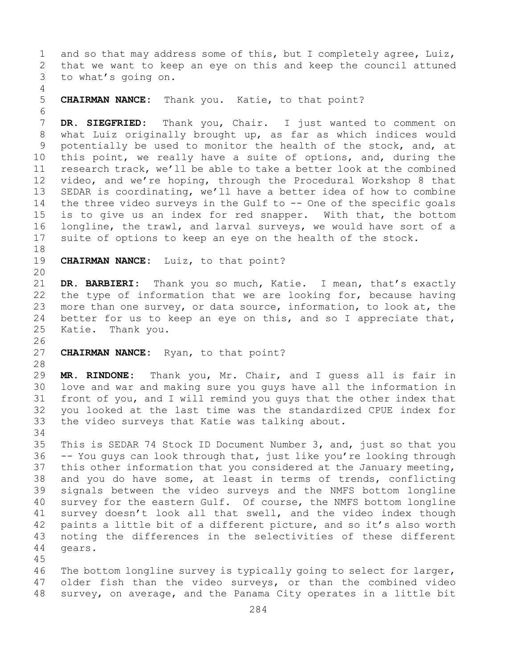1 and so that may address some of this, but I completely agree, Luiz,<br>2 that we want to keep an eye on this and keep the council attuned 2 that we want to keep an eye on this and keep the council attuned<br>3 to what's going on. to what's going on. 4

### 5 **CHAIRMAN NANCE:** Thank you. Katie, to that point?

6<br>7 7 **DR. SIEGFRIED:** Thank you, Chair. I just wanted to comment on<br>8 what Luiz originally brought up, as far as which indices would 8 what Luiz originally brought up, as far as which indices would<br>9 potentially be used to monitor the health of the stock, and, at 9 potentially be used to monitor the health of the stock, and, at<br>10 this point, we really have a suite of options, and, during the 10 this point, we really have a suite of options, and, during the<br>11 research track, we'll be able to take a better look at the combined 11 research track, we'll be able to take a better look at the combined<br>12 video, and we're hoping, through the Procedural Workshop 8 that 12 video, and we're hoping, through the Procedural Workshop 8 that<br>13 SEDAR is coordinating, we'll have a better idea of how to combine SEDAR is coordinating, we'll have a better idea of how to combine 14 the three video surveys in the Gulf to -- One of the specific goals<br>15 is to give us an index for red snapper. With that, the bottom 15 is to give us an index for red snapper. With that, the bottom<br>16 longline, the trawl, and larval surveys, we would have sort of a 16 longline, the trawl, and larval surveys, we would have sort of a<br>17 suite of options to keep an eye on the health of the stock. suite of options to keep an eye on the health of the stock.

18<br>19 CHAIRMAN NANCE: Luiz, to that point?

20

21 **DR. BARBIERI:** Thank you so much, Katie. I mean, that's exactly 22 the type of information that we are looking for, because having<br>23 more than one survey, or data source, information, to look at, the 23 more than one survey, or data source, information, to look at, the<br>24 better for us to keep an eye on this, and so I appreciate that, 24 better for us to keep an eye on this, and so I appreciate that,<br>25 Katie. Thank you. Thank you.

26<br>27 CHAIRMAN NANCE: Ryan, to that point?

28<br>29

29 **MR. RINDONE:** Thank you, Mr. Chair, and I guess all is fair in 30 love and war and making sure you guys have all the information in<br>31 front of you, and I will remind you guys that the other index that 31 front of you, and I will remind you guys that the other index that<br>32 vou looked at the last time was the standardized CPUE index for you looked at the last time was the standardized CPUE index for 33 the video surveys that Katie was talking about.

34<br>35 35 This is SEDAR 74 Stock ID Document Number 3, and, just so that you<br>36 -- You quys can look through that, just like you're looking through -- You guys can look through that, just like you're looking through 37 this other information that you considered at the January meeting, 38 and you do have some, at least in terms of trends, conflicting<br>39 signals between the video surveys and the NMFS bottom longline 39 signals between the video surveys and the NMFS bottom longline<br>40 survey for the eastern Gulf. Of course, the NMFS bottom longline 40 survey for the eastern Gulf. Of course, the NMFS bottom longline<br>41 survey doesn't look all that swell, and the video index though 41 survey doesn't look all that swell, and the video index though<br>42 paints a little bit of a different picture, and so it's also worth 42 paints a little bit of a different picture, and so it's also worth<br>43 noting the differences in the selectivities of these different 43 noting the differences in the selectivities of these different<br>44 qears. gears.

45

46 The bottom longline survey is typically going to select for larger,<br>47 older fish than the video surveys, or than the combined video 47 older fish than the video surveys, or than the combined video<br>48 survey, on average, and the Panama City operates in a little bit survey, on average, and the Panama City operates in a little bit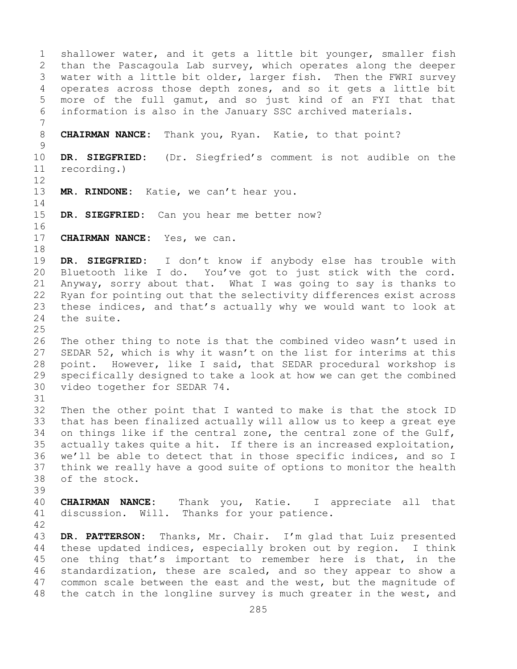1 shallower water, and it gets a little bit younger, smaller fish<br>2 than the Pascagoula Lab survey, which operates along the deeper 2 than the Pascagoula Lab survey, which operates along the deeper<br>3 water with a little bit older, larger fish. Then the FWRI survey 3 water with a little bit older, larger fish. Then the FWRI survey<br>4 operates across those depth zones, and so it gets a little bit operates across those depth zones, and so it gets a little bit 5 more of the full gamut, and so just kind of an FYI that that 6 information is also in the January SSC archived materials. 7 8 **CHAIRMAN NANCE:** Thank you, Ryan. Katie, to that point?  $\frac{9}{10}$ 10 **DR. SIEGFRIED:** (Dr. Siegfried's comment is not audible on the recording.) 12 13 **MR. RINDONE:** Katie, we can't hear you.  $\frac{14}{15}$ DR. SIEGFRIED: Can you hear me better now? 16<br>17 CHAIRMAN NANCE: Yes, we can. 18<br>19 19 **DR. SIEGFRIED:** I don't know if anybody else has trouble with<br>20 Bluetooth like I do. You've got to just stick with the cord. Bluetooth like I do. You've got to just stick with the cord. 21 Anyway, sorry about that. What I was going to say is thanks to<br>22 Ryan for pointing out that the selectivity differences exist across 22 Ryan for pointing out that the selectivity differences exist across<br>23 these indices, and that's actually why we would want to look at 23 these indices, and that's actually why we would want to look at 24 the suite. the suite.  $\frac{25}{26}$ 26 The other thing to note is that the combined video wasn't used in<br>27 SEDAR 52, which is why it wasn't on the list for interims at this SEDAR 52, which is why it wasn't on the list for interims at this 28 point. However, like I said, that SEDAR procedural workshop is<br>29 specifically designed to take a look at how we can get the combined 29 specifically designed to take a look at how we can get the combined<br>30 video together for SEDAR 74. video together for SEDAR 74. 31<br>32 Then the other point that I wanted to make is that the stock ID 33 that has been finalized actually will allow us to keep a great eye<br>34 on things like if the central zone, the central zone of the Gulf, 34 on things like if the central zone, the central zone of the Gulf,<br>35 actually takes quite a hit. If there is an increased exploitation, 35 actually takes quite a hit. If there is an increased exploitation,<br>36 we'll be able to detect that in those specific indices, and so I we'll be able to detect that in those specific indices, and so I 37 think we really have a good suite of options to monitor the health 38 of the stock. 39 40 **CHAIRMAN NANCE:** Thank you, Katie. I appreciate all that discussion. Will. Thanks for your patience. 42 43 DR. PATTERSON: Thanks, Mr. Chair. I'm glad that Luiz presented<br>44 these updated indices, especially broken out by region. I think these updated indices, especially broken out by region. 45 one thing that's important to remember here is that, in the 46 standardization, these are scaled, and so they appear to show a<br>47 common scale between the east and the west, but the magnitude of 47 common scale between the east and the west, but the magnitude of<br>48 the catch in the longline survey is much greater in the west, and the catch in the longline survey is much greater in the west, and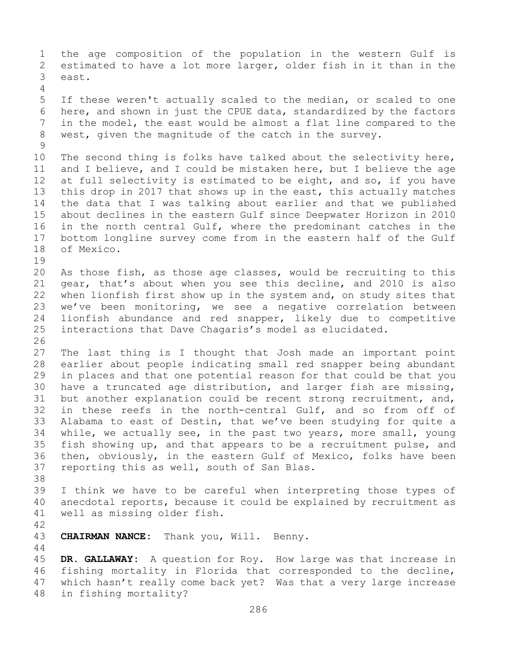1 the age composition of the population in the western Gulf is<br>2 estimated to have a lot more larger, older fish in it than in the 2 estimated to have a lot more larger, older fish in it than in the<br>3 east. east. 4 5 If these weren't actually scaled to the median, or scaled to one 6 here, and shown in just the CPUE data, standardized by the factors<br>7 in the model, the east would be almost a flat line compared to the 7 in the model, the east would be almost a flat line compared to the<br>8 west, given the magnitude of the catch in the survey. west, given the magnitude of the catch in the survey.  $\frac{9}{10}$ 10 The second thing is folks have talked about the selectivity here,<br>11 and I believe, and I could be mistaken here, but I believe the age 11 and I believe, and I could be mistaken here, but I believe the age<br>12 at full selectivity is estimated to be eight, and so, if you have 12 at full selectivity is estimated to be eight, and so, if you have<br>13 this drop in 2017 that shows up in the east, this actually matches this drop in 2017 that shows up in the east, this actually matches 14 the data that I was talking about earlier and that we published<br>15 about declines in the eastern Gulf since Deepwater Horizon in 2010 15 about declines in the eastern Gulf since Deepwater Horizon in 2010<br>16 in the north central Gulf, where the predominant catches in the 16 in the north central Gulf, where the predominant catches in the<br>17 bottom longline survey come from in the eastern half of the Gulf 17 bottom longline survey come from in the eastern half of the Gulf<br>18 of Mexico. of Mexico. 19<br>20 20 As those fish, as those age classes, would be recruiting to this<br>21 qear, that's about when you see this decline, and 2010 is also 21 gear, that's about when you see this decline, and 2010 is also<br>22 when lionfish first show up in the system and, on study sites that 22 when lionfish first show up in the system and, on study sites that<br>23 we've been monitoring, we see a negative correlation between 23 we've been monitoring, we see a negative correlation between<br>24 lionfish abundance and red snapper, likely due to competitive 24 lionfish abundance and red snapper, likely due to competitive<br>25 interactions that Dave Chagaris's model as elucidated. interactions that Dave Chagaris's model as elucidated. 26<br>27 The last thing is I thought that Josh made an important point 28 earlier about people indicating small red snapper being abundant<br>29 in places and that one potential reason for that could be that you 29 in places and that one potential reason for that could be that you<br>30 have a truncated age distribution, and larger fish are missing, 30 have a truncated age distribution, and larger fish are missing,<br>31 but another explanation could be recent strong recruitment, and, 31 but another explanation could be recent strong recruitment, and,<br>32 in these reefs in the north-central Gulf, and so from off of in these reefs in the north-central Gulf, and so from off of 33 Alabama to east of Destin, that we've been studying for quite a<br>34 while, we actually see, in the past two years, more small, young 34 while, we actually see, in the past two years, more small, young<br>35 fish showing up, and that appears to be a recruitment pulse, and 35 fish showing up, and that appears to be a recruitment pulse, and<br>36 then, obviously, in the eastern Gulf of Mexico, folks have been 36 then, obviously, in the eastern Gulf of Mexico, folks have been<br>37 reporting this as well, south of San Blas. reporting this as well, south of San Blas. 38<br>39 39 I think we have to be careful when interpreting those types of<br>40 anecdotal reports, because it could be explained by recruitment as 40 anecdotal reports, because it could be explained by recruitment as 41 well as missing older fish. well as missing older fish. 42 CHAIRMAN NANCE: Thank you, Will. Benny. 44 45 **DR. GALLAWAY:** A question for Roy. How large was that increase in 46 fishing mortality in Florida that corresponded to the decline,<br>47 which hasn't really come back yet? Was that a very large increase 47 which hasn't really come back yet? Was that a very large increase<br>48 in fishing mortality? in fishing mortality?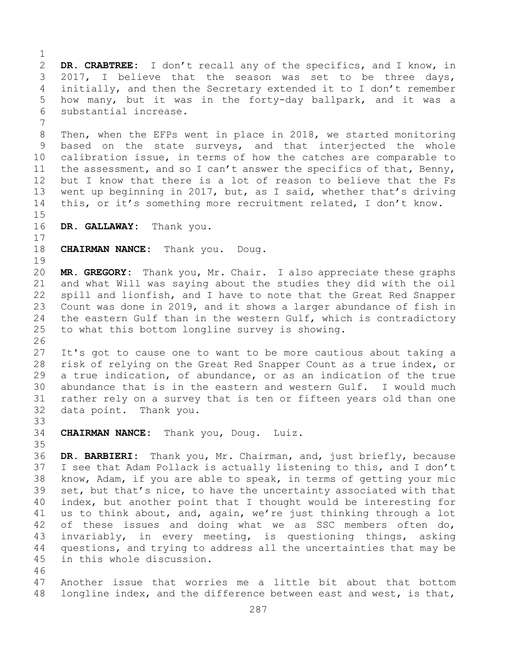$\frac{1}{2}$ 2 **DR. CRABTREE:** I don't recall any of the specifics, and I know, in<br>3 2017, I believe that the season was set to be three days, 3 2017, I believe that the season was set to be three days,<br>4 initially, and then the Secretary extended it to I don't remember initially, and then the Secretary extended it to I don't remember 5 how many, but it was in the forty-day ballpark, and it was a 6 substantial increase. 7 8 Then, when the EFPs went in place in 2018, we started monitoring<br>9 based on the state surveys, and that interjected the whole 9 based on the state surveys, and that interjected the whole<br>10 calibration issue, in terms of how the catches are comparable to 10 calibration issue, in terms of how the catches are comparable to<br>11 the assessment, and so I can't answer the specifics of that, Benny, 11 the assessment, and so I can't answer the specifics of that, Benny,<br>12 but I know that there is a lot of reason to believe that the Fs but I know that there is a lot of reason to believe that the Fs 13 went up beginning in 2017, but, as I said, whether that's driving 14 this, or it's something more recruitment related, I don't know.  $15$ <br> $16$ DR. GALLAWAY: Thank you.  $\begin{array}{c} 17 \\ 18 \end{array}$ **CHAIRMAN NANCE:** Thank you. Doug.  $\begin{array}{c} 19 \\ 20 \end{array}$ MR. GREGORY: Thank you, Mr. Chair. I also appreciate these graphs 21 and what Will was saying about the studies they did with the oil<br>22 spill and lionfish, and I have to note that the Great Red Snapper 22 spill and lionfish, and I have to note that the Great Red Snapper<br>23 Count was done in 2019, and it shows a larger abundance of fish in 23 Count was done in 2019, and it shows a larger abundance of fish in<br>24 the eastern Gulf than in the western Gulf, which is contradictory 24 the eastern Gulf than in the western Gulf, which is contradictory<br>25 to what this bottom longline survey is showing. to what this bottom longline survey is showing. 26<br>27 It's got to cause one to want to be more cautious about taking a 28 risk of relying on the Great Red Snapper Count as a true index, or<br>29 a true indication, of abundance, or as an indication of the true 29 a true indication, of abundance, or as an indication of the true<br>30 abundance that is in the eastern and western Gulf. I would much 30 abundance that is in the eastern and western Gulf. I would much<br>31 rather rely on a survey that is ten or fifteen years old than one 31 rather rely on a survey that is ten or fifteen years old than one<br>32 data point. Thank you. data point. Thank you. 33<br>34 **CHAIRMAN NANCE:** Thank you, Doug. Luiz. 35<br>36 DR. BARBIERI: Thank you, Mr. Chairman, and, just briefly, because 37 I see that Adam Pollack is actually listening to this, and I don't 38 know, Adam, if you are able to speak, in terms of getting your mic<br>39 set, but that's nice, to have the uncertainty associated with that 39 set, but that's nice, to have the uncertainty associated with that<br>40 index, but another point that I thought would be interesting for 40 index, but another point that I thought would be interesting for<br>41 us to think about, and, again, we're just thinking through a lot 41 us to think about, and, again, we're just thinking through a lot<br>42 of these issues and doing what we as SSC members often do, 42 of these issues and doing what we as SSC members often do,<br>43 invariably, in every meeting, is questioning things, asking 43 invariably, in every meeting, is questioning things, asking<br>44 questions, and trying to address all the uncertainties that may be questions, and trying to address all the uncertainties that may be 45 in this whole discussion. 46<br>47 47 Another issue that worries me a little bit about that bottom<br>48 longline index, and the difference between east and west, is that, longline index, and the difference between east and west, is that,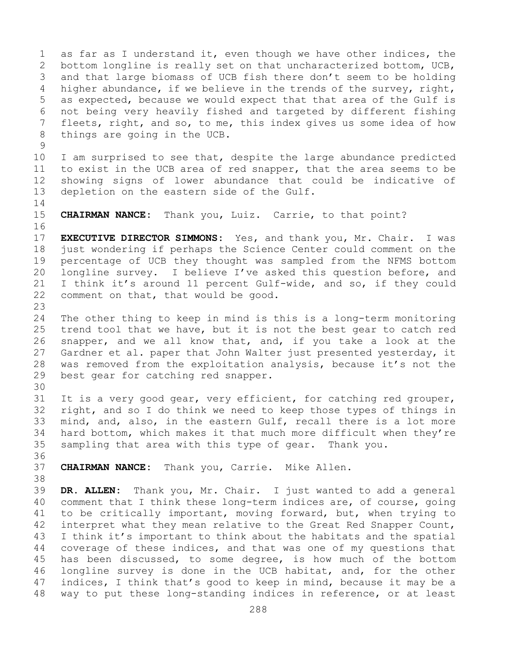1 as far as I understand it, even though we have other indices, the<br>2 bottom longline is really set on that uncharacterized bottom, UCB, 2 bottom longline is really set on that uncharacterized bottom, UCB,<br>3 and that large biomass of UCB fish there don't seem to be holding 3 and that large biomass of UCB fish there don't seem to be holding<br>4 higher abundance, if we believe in the trends of the survey, right, higher abundance, if we believe in the trends of the survey, right, 5 as expected, because we would expect that that area of the Gulf is 6 not being very heavily fished and targeted by different fishing<br>7 fleets, right, and so, to me, this index gives us some idea of how 7 fleets, right, and so, to me, this index gives us some idea of how<br>8 things are going in the UCB. things are going in the UCB.

 $\frac{9}{10}$ 10 I am surprised to see that, despite the large abundance predicted<br>11 to exist in the UCB area of red snapper, that the area seems to be 11 to exist in the UCB area of red snapper, that the area seems to be<br>12 showing signs of lower abundance that could be indicative of 12 showing signs of lower abundance that could be indicative of<br>13 depletion on the eastern side of the Gulf. depletion on the eastern side of the Gulf.

 $\frac{14}{15}$ 

CHAIRMAN NANCE: Thank you, Luiz. Carrie, to that point?

16<br>17 17 **EXECUTIVE DIRECTOR SIMMONS:** Yes, and thank you, Mr. Chair. I was 18 just wondering if perhaps the Science Center could comment on the<br>19 percentage of UCB they thought was sampled from the NFMS bottom 19 percentage of UCB they thought was sampled from the NFMS bottom<br>20 longline survey. I believe I've asked this question before, and 20 longline survey. I believe I've asked this question before, and<br>21 I think it's around 11 percent Gulf-wide, and so, if they could 21 I think it's around 11 percent Gulf-wide, and so, if they could<br>22 comment on that, that would be good. comment on that, that would be good.

23 24 The other thing to keep in mind is this is a long-term monitoring<br>25 trend tool that we have, but it is not the best gear to catch red 25 trend tool that we have, but it is not the best gear to catch red<br>26 snapper, and we all know that, and, if you take a look at the 26 snapper, and we all know that, and, if you take a look at the<br>27 Gardner et al. paper that John Walter just presented vesterday, it Gardner et al. paper that John Walter just presented yesterday, it 28 was removed from the exploitation analysis, because it's not the<br>29 best gear for catching red snapper. best gear for catching red snapper.

30<br>31

31 It is a very good gear, very efficient, for catching red grouper,<br>32 right, and so I do think we need to keep those types of things in right, and so I do think we need to keep those types of things in 33 mind, and, also, in the eastern Gulf, recall there is a lot more<br>34 hard bottom, which makes it that much more difficult when they're 34 hard bottom, which makes it that much more difficult when they're<br>35 sampling that area with this type of gear. Thank you. sampling that area with this type of gear. Thank you.

36<br>37

CHAIRMAN NANCE: Thank you, Carrie. Mike Allen.

38<br>39 39 **DR. ALLEN:** Thank you, Mr. Chair. I just wanted to add a general 40 comment that I think these long-term indices are, of course, going<br>41 to be critically important, moving forward, but, when trying to 41 to be critically important, moving forward, but, when trying to<br>42 interpret what they mean relative to the Great Red Snapper Count, 42 interpret what they mean relative to the Great Red Snapper Count,<br>43 I think it's important to think about the habitats and the spatial 43 I think it's important to think about the habitats and the spatial<br>44 coverage of these indices, and that was one of my questions that coverage of these indices, and that was one of my questions that 45 has been discussed, to some degree, is how much of the bottom 46 longline survey is done in the UCB habitat, and, for the other<br>47 indices, I think that's good to keep in mind, because it may be a 47 indices, I think that's good to keep in mind, because it may be a<br>48 way to put these long-standing indices in reference, or at least way to put these long-standing indices in reference, or at least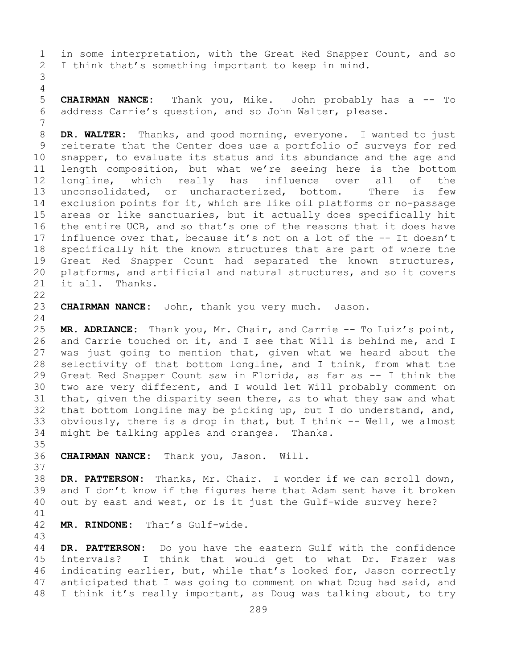1 in some interpretation, with the Great Red Snapper Count, and so<br>2 I think that's something important to keep in mind. I think that's something important to keep in mind. 3

4<br>5 5 **CHAIRMAN NANCE:** Thank you, Mike. John probably has a -- To 6 address Carrie's question, and so John Walter, please.

7 8 **DR. WALTER:** Thanks, and good morning, everyone. I wanted to just<br>9 reiterate that the Center does use a portfolio of surveys for red 9 reiterate that the Center does use a portfolio of surveys for red<br>10 snapper, to evaluate its status and its abundance and the age and 10 snapper, to evaluate its status and its abundance and the age and<br>11 length composition, but what we're seeing here is the bottom 11 length composition, but what we're seeing here is the bottom<br>12 longline, which really has influence over all of the 12 longline, which really has influence over all of the<br>13 unconsolidated, or uncharacterized, bottom. There is few unconsolidated, or uncharacterized, bottom. There is few 14 exclusion points for it, which are like oil platforms or no-passage<br>15 areas or like sanctuaries, but it actually does specifically hit 15 areas or like sanctuaries, but it actually does specifically hit<br>16 the entire UCB, and so that's one of the reasons that it does have 16 the entire UCB, and so that's one of the reasons that it does have<br>17 influence over that, because it's not on a lot of the -- It doesn't 17 influence over that, because it's not on a lot of the -- It doesn't<br>18 specifically hit the known structures that are part of where the 18 specifically hit the known structures that are part of where the<br>19 Great Red Snapper Count had separated the known structures, 19 Great Red Snapper Count had separated the known structures,<br>20 platforms, and artificial and natural structures, and so it covers 20 platforms, and artificial and natural structures, and so it covers<br>21 it all. Thanks. it all.

 $\begin{array}{c} 22 \\ 23 \end{array}$ 

CHAIRMAN NANCE: John, thank you very much. Jason.

 $\frac{24}{25}$ 25 **MR. ADRIANCE:** Thank you, Mr. Chair, and Carrie -- To Luiz's point, 26 and Carrie touched on it, and I see that Will is behind me, and I<br>27 was just going to mention that, given what we heard about the was just going to mention that, given what we heard about the 28 selectivity of that bottom longline, and I think, from what the<br>29 Great Red Snapper Count saw in Florida, as far as -- I think the 29 Great Red Snapper Count saw in Florida, as far as -- I think the<br>30 two are very different, and I would let Will probably comment on 30 two are very different, and I would let Will probably comment on<br>31 that, given the disparity seen there, as to what they saw and what 31 that, given the disparity seen there, as to what they saw and what<br>32 that bottom longline may be picking up, but I do understand, and, 32 that bottom longline may be picking up, but I do understand, and,  $33$  obviously, there is a drop in that, but I think  $-$  Well, we almost 33 obviously, there is a drop in that, but I think  $--$  Well, we almost 34 might be talking apples and oranges. Thanks. might be talking apples and oranges. Thanks.

35<br>36 36 **CHAIRMAN NANCE:** Thank you, Jason. Will.

38 DR. PATTERSON: Thanks, Mr. Chair. I wonder if we can scroll down,<br>39 and I don't know if the figures here that Adam sent have it broken 39 and I don't know if the figures here that Adam sent have it broken<br>40 out by east and west, or is it just the Gulf-wide survey here? out by east and west, or is it just the Gulf-wide survey here?

41<br>42

37

MR. RINDONE: That's Gulf-wide.

43 DR. PATTERSON: Do you have the eastern Gulf with the confidence 45 intervals? I think that would get to what Dr. Frazer was 46 indicating earlier, but, while that's looked for, Jason correctly<br>47 anticipated that I was going to comment on what Doug had said, and 47 anticipated that I was going to comment on what Doug had said, and<br>48 I think it's really important, as Doug was talking about, to try I think it's really important, as Doug was talking about, to try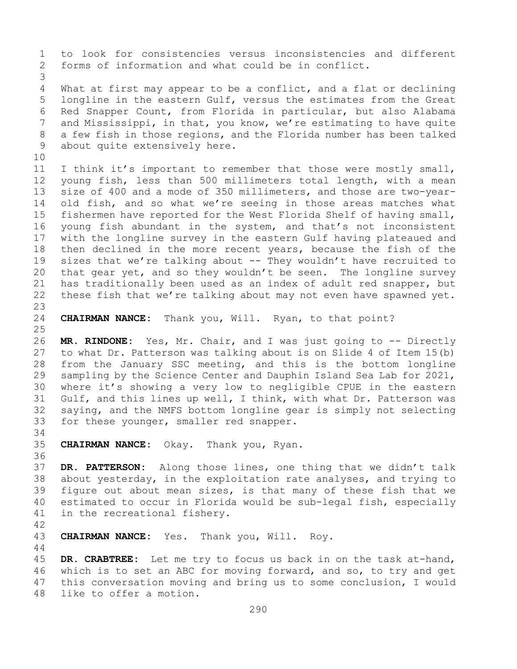1 to look for consistencies versus inconsistencies and different<br>2 forms of information and what could be in conflict. forms of information and what could be in conflict.

3 What at first may appear to be a conflict, and a flat or declining 5 longline in the eastern Gulf, versus the estimates from the Great 6 Red Snapper Count, from Florida in particular, but also Alabama<br>7 and Mississippi, in that, vou know, we're estimating to have quite 7 and Mississippi, in that, you know, we're estimating to have quite<br>8 a few fish in those regions, and the Florida number has been talked 8 a few fish in those regions, and the Florida number has been talked<br>9 about quite extensively here. about quite extensively here.

10<br>11 11 I think it's important to remember that those were mostly small,<br>12 voung fish, less than 500 millimeters total length, with a mean 12 young fish, less than 500 millimeters total length, with a mean<br>13 size of 400 and a mode of 350 millimeters, and those are two-vearsize of 400 and a mode of 350 millimeters, and those are two-year-14 old fish, and so what we're seeing in those areas matches what<br>15 fishermen have reported for the West Florida Shelf of having small, 15 fishermen have reported for the West Florida Shelf of having small,<br>16 young fish abundant in the system, and that's not inconsistent 16 young fish abundant in the system, and that's not inconsistent<br>17 with the longline survey in the eastern Gulf having plateaued and 17 with the longline survey in the eastern Gulf having plateaued and<br>18 then declined in the more recent years, because the fish of the 18 then declined in the more recent years, because the fish of the<br>19 sizes that we're talking about -- They wouldn't have recruited to 19 sizes that we're talking about -- They wouldn't have recruited to<br>20 that gear yet, and so they wouldn't be seen. The longline survey that gear yet, and so they wouldn't be seen. The longline survey 21 has traditionally been used as an index of adult red snapper, but<br>22 these fish that we're talking about may not even have spawned yet. these fish that we're talking about may not even have spawned yet.

23

24 **CHAIRMAN NANCE:** Thank you, Will. Ryan, to that point?

 $\frac{25}{26}$ 26 **MR. RINDONE:** Yes, Mr. Chair, and I was just going to -- Directly to what Dr. Patterson was talking about is on Slide 4 of Item 15(b) 28 from the January SSC meeting, and this is the bottom longline<br>29 sampling by the Science Center and Dauphin Island Sea Lab for 2021, sampling by the Science Center and Dauphin Island Sea Lab for 2021, 30 where it's showing a very low to negligible CPUE in the eastern<br>31 Gulf, and this lines up well, I think, with what Dr. Patterson was 31 Gulf, and this lines up well, I think, with what Dr. Patterson was<br>32 saving, and the NMFS bottom longline gear is simply not selecting saying, and the NMFS bottom longline gear is simply not selecting 33 for these younger, smaller red snapper.

## 34<br>35 35 **CHAIRMAN NANCE:** Okay. Thank you, Ryan.

36<br>37 DR. PATTERSON: Along those lines, one thing that we didn't talk 38 about yesterday, in the exploitation rate analyses, and trying to<br>39 figure out about mean sizes, is that many of these fish that we 39 figure out about mean sizes, is that many of these fish that we<br>40 estimated to occur in Florida would be sub-legal fish, especially 40 estimated to occur in Florida would be sub-legal fish, especially<br>41 in the recreational fisherv. in the recreational fishery.

42

44

CHAIRMAN NANCE: Yes. Thank you, Will. Roy.

45 **DR. CRABTREE:** Let me try to focus us back in on the task at-hand, 46 which is to set an ABC for moving forward, and so, to try and get<br>47 this conversation moving and bring us to some conclusion, I would 47 this conversation moving and bring us to some conclusion, I would<br>48 like to offer a motion. like to offer a motion.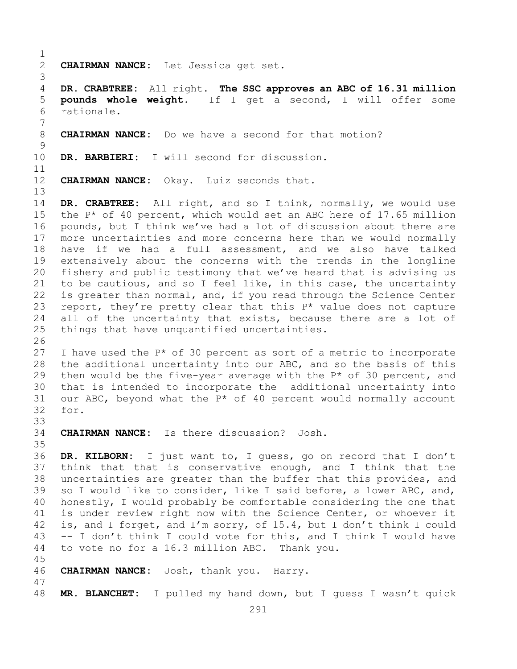```
\frac{1}{2}2 CHAIRMAN NANCE: Let Jessica get set.
 3
       4 DR. CRABTREE: All right. The SSC approves an ABC of 16.31 million 
 5 pounds whole weight. If I get a second, I will offer some 
 6 rationale.
 7
       8 CHAIRMAN NANCE: Do we have a second for that motion?
\frac{9}{10}DR. BARBIERI: I will second for discussion.
11<br>12
       CHAIRMAN NANCE: Okay. Luiz seconds that.
\begin{array}{c} 13 \\ 14 \end{array}14 DR. CRABTREE: All right, and so I think, normally, we would use<br>15 the P* of 40 percent, which would set an ABC here of 17.65 million
15 the P* of 40 percent, which would set an ABC here of 17.65 million<br>16 pounds, but I think we've had a lot of discussion about there are
16 pounds, but I think we've had a lot of discussion about there are<br>17 more uncertainties and more concerns here than we would normally
17 more uncertainties and more concerns here than we would normally<br>18 have if we had a full assessment, and we also have talked
18 have if we had a full assessment, and we also have talked<br>19 extensively about the concerns with the trends in the longline
19 extensively about the concerns with the trends in the longline<br>20 fisherv and public testimony that we've heard that is advising us
       fishery and public testimony that we've heard that is advising us
21 to be cautious, and so I feel like, in this case, the uncertainty<br>22 is greater than normal, and, if you read through the Science Center
22 is greater than normal, and, if you read through the Science Center<br>23 report, they're pretty clear that this P^* value does not capture
23 report, they're pretty clear that this P^* value does not capture<br>24 all of the uncertainty that exists, because there are a lot of
24 all of the uncertainty that exists, because there are a lot of<br>25 things that have unguantified uncertainties.
       things that have unquantified uncertainties.
26<br>27
       I have used the P* of 30 percent as sort of a metric to incorporate
28 the additional uncertainty into our ABC, and so the basis of this<br>29 then would be the five-year average with the P* of 30 percent, and
29 then would be the five-year average with the P* of 30 percent, and<br>30 that is intended to incorporate the additional uncertainty into
30 that is intended to incorporate the additional uncertainty into<br>31 our ABC, beyond what the P^* of 40 percent would normally account
31 our ABC, beyond what the P* of 40 percent would normally account 32 for.
       for.
33<br>34
       CHAIRMAN NANCE: Is there discussion? Josh.
35<br>36
       36 DR. KILBORN: I just want to, I guess, go on record that I don't 
37 think that that is conservative enough, and I think that the 
38 uncertainties are greater than the buffer that this provides, and<br>39 so I would like to consider, like I said before, a lower ABC, and,
39 so I would like to consider, like I said before, a lower ABC, and,<br>40 honestly, I would probably be comfortable considering the one that
40 honestly, I would probably be comfortable considering the one that<br>41 is under review right now with the Science Center, or whoever it
41 is under review right now with the Science Center, or whoever it<br>42 is, and I forget, and I'm sorry, of 15.4, but I don't think I could
42 is, and I forget, and I'm sorry, of 15.4, but I don't think I could<br>43 -- I don't think I could vote for this, and I think I would have
43 -- I don't think I could vote for this, and I think I would have 44 to vote no for a 16.3 million ABC. Thank you.
       to vote no for a 16.3 million ABC. Thank you.
45
46 CHAIRMAN NANCE: Josh, thank you. Harry.
47
       48 MR. BLANCHET: I pulled my hand down, but I guess I wasn't quick
```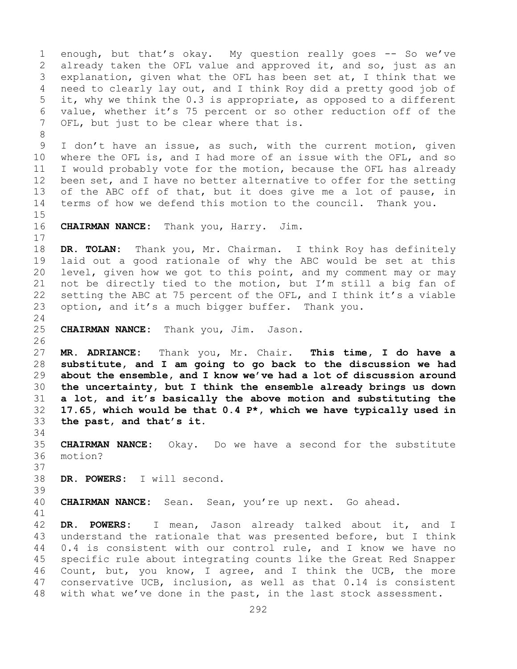1 enough, but that's okay. My question really goes -- So we've<br>2 already taken the OFL value and approved it, and so, just as an 2 already taken the OFL value and approved it, and so, just as an<br>3 explanation, given what the OFL has been set at, I think that we 3 explanation, given what the OFL has been set at, I think that we<br>4 need to clearly lay out, and I think Roy did a pretty good job of need to clearly lay out, and I think Roy did a pretty good job of 5 it, why we think the 0.3 is appropriate, as opposed to a different 6 value, whether it's 75 percent or so other reduction off of the OFL, but just to be clear where that is. 8<br>9 9 I don't have an issue, as such, with the current motion, given<br>10 where the OFL is, and I had more of an issue with the OFL, and so 10 where the OFL is, and I had more of an issue with the OFL, and so<br>11 I would probably yote for the motion, because the OFL has already 11 I would probably vote for the motion, because the OFL has already<br>12 been set, and I have no better alternative to offer for the setting been set, and I have no better alternative to offer for the setting 13 of the ABC off of that, but it does give me a lot of pause, in 14 terms of how we defend this motion to the council. Thank you.  $15$ <br> $16$ **CHAIRMAN NANCE:** Thank you, Harry. Jim.  $\begin{array}{c} 17 \\ 18 \end{array}$ 18 **DR. TOLAN:** Thank you, Mr. Chairman. I think Roy has definitely 19 laid out a good rationale of why the ABC would be set at this<br>20 level, given how we got to this point, and my comment may or may level, given how we got to this point, and my comment may or may 21 not be directly tied to the motion, but I'm still a big fan of<br>22 setting the ABC at 75 percent of the OFL, and I think it's a viable 22 setting the ABC at 75 percent of the OFL, and I think it's a viable<br>23 option, and it's a much bigger buffer. Thank you. option, and it's a much bigger buffer. Thank you.  $\frac{24}{25}$ 25 **CHAIRMAN NANCE:** Thank you, Jim. Jason. 26<br>27 27 **MR. ADRIANCE:** Thank you, Mr. Chair. **This time, I do have a**  28 **substitute, and I am going to go back to the discussion we had**  29 **about the ensemble, and I know we've had a lot of discussion around**  30 **the uncertainty, but I think the ensemble already brings us down**  31 **a lot, and it's basically the above motion and substituting the**  32 **17.65, which would be that 0.4 P\*, which we have typically used in**  33 **the past, and that's it.** 34<br>35 35 **CHAIRMAN NANCE:** Okay. Do we have a second for the substitute motion? 37 38 **DR. POWERS:** I will second. 39 40 **CHAIRMAN NANCE:** Sean. Sean, you're up next. Go ahead. 41<br>42 42 **DR. POWERS:** I mean, Jason already talked about it, and I 43 understand the rationale that was presented before, but I think<br>44 0.4 is consistent with our control rule, and I know we have no 0.4 is consistent with our control rule, and I know we have no 45 specific rule about integrating counts like the Great Red Snapper 46 Count, but, you know, I agree, and I think the UCB, the more<br>47 conservative UCB, inclusion, as well as that 0.14 is consistent 47 conservative UCB, inclusion, as well as that 0.14 is consistent<br>48 with what we've done in the past, in the last stock assessment. with what we've done in the past, in the last stock assessment.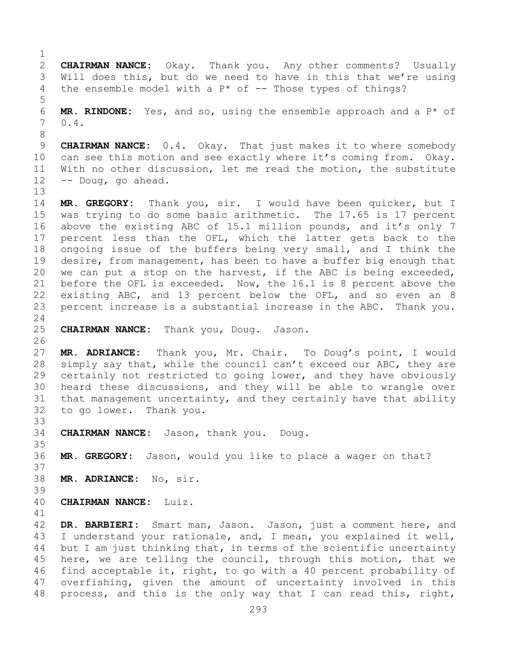$\frac{1}{2}$ 2 **CHAIRMAN NANCE:** Okay. Thank you. Any other comments? Usually<br>3 Will does this, but do we need to have in this that we're using 3 Will does this, but do we need to have in this that we're using<br>4 the ensemble model with a  $P^*$  of -- Those types of things? the ensemble model with a  $P*$  of -- Those types of things? 5 6 **MR. RINDONE:** Yes, and so, using the ensemble approach and a  $P^*$  of  $7 \t0.4$ .  $0.4.$ 8 9 **CHAIRMAN NANCE:** 0.4. Okay. That just makes it to where somebody<br>10 can see this motion and see exactly where it's coming from. Okay. 10 can see this motion and see exactly where it's coming from. Okay.<br>11 With no other discussion, let me read the motion, the substitute 11 With no other discussion, let me read the motion, the substitute  $-2$  -- Doug, go ahead. -- Doug, go ahead. 13 14 **MR. GREGORY:** Thank you, sir. I would have been quicker, but I 15 was trying to do some basic arithmetic. The 17.65 is 17 percent<br>16 above the existing ABC of 15.1 million pounds, and it's only 7 16 above the existing ABC of 15.1 million pounds, and it's only 7<br>17 percent less than the OFL, which the latter gets back to the 17 percent less than the OFL, which the latter gets back to the<br>18 ongoing issue of the buffers being very small, and I think the 18 ongoing issue of the buffers being very small, and I think the<br>19 desire, from management, has been to have a buffer big enough that 19 desire, from management, has been to have a buffer big enough that<br>20 we can put a stop on the harvest, if the ABC is being exceeded, we can put a stop on the harvest, if the ABC is being exceeded, 21 before the OFL is exceeded. Now, the 16.1 is 8 percent above the<br>22 existing ABC, and 13 percent below the OFL, and so even an 8 22 existing ABC, and 13 percent below the OFL, and so even an 8<br>23 percent increase is a substantial increase in the ABC. Thank you. percent increase is a substantial increase in the ABC. Thank you.  $\frac{24}{25}$ 25 **CHAIRMAN NANCE:** Thank you, Doug. Jason. 26<br>27 MR. ADRIANCE: Thank you, Mr. Chair. To Doug's point, I would 28 simply say that, while the council can't exceed our ABC, they are<br>29 certainly not restricted to going lower, and they have obviously certainly not restricted to going lower, and they have obviously 30 heard these discussions, and they will be able to wrangle over<br>31 that management uncertainty, and they certainly have that ability 31 that management uncertainty, and they certainly have that ability<br>32 to go lower. Thank you. to go lower. Thank you. 33<br>34 34 **CHAIRMAN NANCE:** Jason, thank you. Doug. 35<br>36 MR. GREGORY: Jason, would you like to place a wager on that? 37 38 **MR. ADRIANCE:** No, sir. 39 40 **CHAIRMAN NANCE:** Luiz. 41<br>42 42 DR. BARBIERI: Smart man, Jason. Jason, just a comment here, and<br>43 I understand your rationale, and, I mean, you explained it well, 43 I understand your rationale, and, I mean, you explained it well,<br>44 but I am just thinking that, in terms of the scientific uncertainty but I am just thinking that, in terms of the scientific uncertainty 45 here, we are telling the council, through this motion, that we 46 find acceptable it, right, to go with a 40 percent probability of<br>47 overfishing, given the amount of uncertainty involved in this 47 overfishing, given the amount of uncertainty involved in this<br>48 process, and this is the only way that I can read this, right, process, and this is the only way that I can read this, right,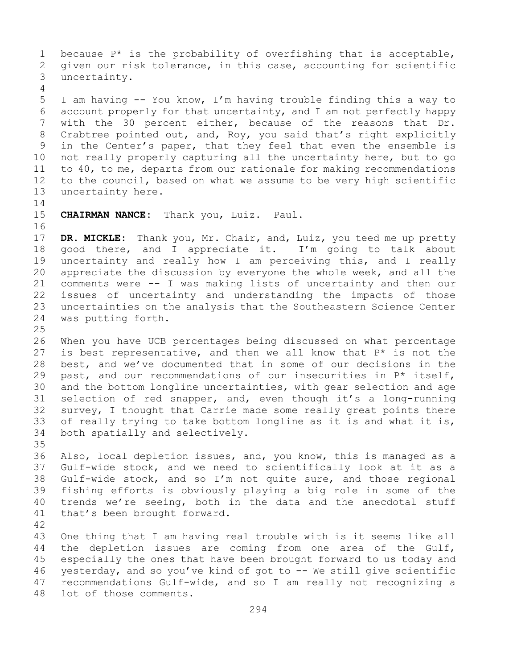1 because  $P^*$  is the probability of overfishing that is acceptable,<br>2 qiven our risk tolerance, in this case, accounting for scientific 2 given our risk tolerance, in this case, accounting for scientific<br>3 uncertainty. uncertainty. 4 5 I am having -- You know, I'm having trouble finding this a way to 6 account properly for that uncertainty, and I am not perfectly happy<br>7 with the 30 percent either, because of the reasons that Dr. 7 with the 30 percent either, because of the reasons that Dr.<br>8 Crabtree pointed out, and, Roy, you said that's right explicitly 8 Crabtree pointed out, and, Roy, you said that's right explicitly<br>9 in the Center's paper, that they feel that even the ensemble is 9 in the Center's paper, that they feel that even the ensemble is<br>10 not really properly capturing all the uncertainty here, but to go 10 not really properly capturing all the uncertainty here, but to go<br>11 to 40, to me, departs from our rationale for making recommendations 11 to 40, to me, departs from our rationale for making recommendations<br>12 to the council, based on what we assume to be very high scientific 12 to the council, based on what we assume to be very high scientific<br>13 uncertainty here. uncertainty here.  $\frac{14}{15}$ CHAIRMAN NANCE: Thank you, Luiz. Paul. 16<br>17 17 **DR. MICKLE:** Thank you, Mr. Chair, and, Luiz, you teed me up pretty<br>18 good there, and I appreciate it. I'm going to talk about 18 good there, and I appreciate it.<br>19 uncertainty and really how I am pe 19 uncertainty and really how I am perceiving this, and I really<br>20 appreciate the discussion by evervone the whole week, and all the 20 appreciate the discussion by everyone the whole week, and all the<br>21 comments were -- I was making lists of uncertainty and then our 21 comments were -- I was making lists of uncertainty and then our<br>22 issues of uncertainty and understanding the impacts of those 22 issues of uncertainty and understanding the impacts of those<br>23 uncertainties on the analysis that the Southeastern Science Center

23 uncertainties on the analysis that the Southeastern Science Center<br>24 was putting forth.

was putting forth.

 $\frac{25}{26}$ 26 When you have UCB percentages being discussed on what percentage  $27$  is best representative, and then we all know that  $P^*$  is not the 27 is best representative, and then we all know that  $P^*$  is not the 28 best, and we've documented that in some of our decisions in the 28 best, and we've documented that in some of our decisions in the  $29$  past, and our recommendations of our insecurities in  $P^*$  itself, 29 past, and our recommendations of our insecurities in  $P^*$  itself,<br>30 and the bottom longline uncertainties, with gear selection and age 30 and the bottom longline uncertainties, with gear selection and age<br>31 selection of red snapper, and, even though it's a long-running 31 selection of red snapper, and, even though it's a long-running<br>32 survey, I thought that Carrie made some really great points there 32 survey, I thought that Carrie made some really great points there<br>33 of really trying to take bottom longline as it is and what it is, 33 of really trying to take bottom longline as it is and what it is,<br>34 both spatially and selectively. both spatially and selectively.

35<br>36 36 Also, local depletion issues, and, you know, this is managed as a<br>37 Gulf-wide stock, and we need to scientifically look at it as a Gulf-wide stock, and we need to scientifically look at it as a 38 Gulf-wide stock, and so I'm not quite sure, and those regional<br>39 fishing efforts is obviously playing a big role in some of the 39 fishing efforts is obviously playing a big role in some of the<br>40 trends we're seeing, both in the data and the anecdotal stuff 40 trends we're seeing, both in the data and the anecdotal stuff<br>41 that's been brought forward. that's been brought forward.

42 43 One thing that I am having real trouble with is it seems like all<br>44 the depletion issues are coming from one area of the Gulf, the depletion issues are coming from one area of the Gulf, 45 especially the ones that have been brought forward to us today and 46 yesterday, and so you've kind of got to -- We still give scientific<br>47 recommendations Gulf-wide, and so I am really not recognizing a 47 recommendations Gulf-wide, and so I am really not recognizing a<br>48 lot of those comments. lot of those comments.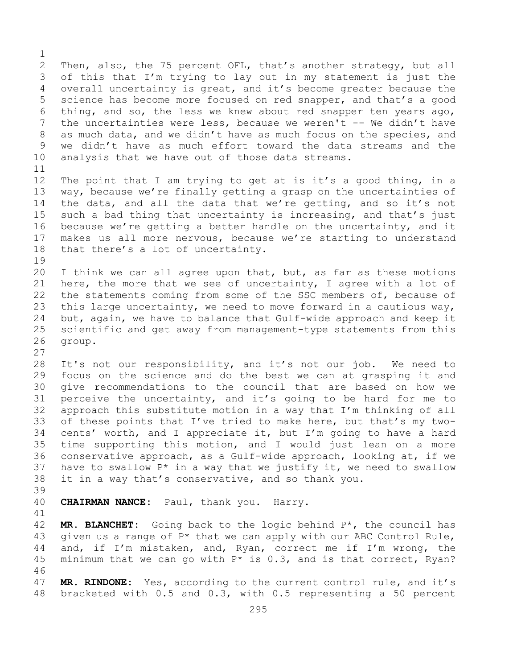$\frac{1}{2}$ 2 Then, also, the 75 percent OFL, that's another strategy, but all<br>3 of this that I'm trying to lay out in my statement is just the 3 of this that I'm trying to lay out in my statement is just the<br>4 overall uncertainty is great, and it's become greater because the overall uncertainty is great, and it's become greater because the 5 science has become more focused on red snapper, and that's a good 6 thing, and so, the less we knew about red snapper ten years ago,  $\overline{a}$  the uncertainties were less, because we weren't -- We didn't have 7 the uncertainties were less, because we weren't -- We didn't have<br>8 as much data, and we didn't have as much focus on the species, and 8 as much data, and we didn't have as much focus on the species, and<br>9 we didn't have as much effort toward the data streams and the 9 we didn't have as much effort toward the data streams and the<br>10 analysis that we have out of those data streams. analysis that we have out of those data streams.

 $\begin{array}{c} 11 \\ 12 \end{array}$ The point that I am trying to get at is it's a good thing, in a 13 way, because we're finally getting a grasp on the uncertainties of 14 the data, and all the data that we're getting, and so it's not<br>15 such a bad thing that uncertainty is increasing, and that's just 15 such a bad thing that uncertainty is increasing, and that's just<br>16 because we're getting a better handle on the uncertainty, and it 16 because we're getting a better handle on the uncertainty, and it<br>17 makes us all more nervous, because we're starting to understand 17 makes us all more nervous, because we're starting to understand<br>18 that there's a lot of uncertainty. that there's a lot of uncertainty.

19<br>20 I think we can all agree upon that, but, as far as these motions 21 here, the more that we see of uncertainty, I agree with a lot of<br>22 the statements coming from some of the SSC members of, because of 22 the statements coming from some of the SSC members of, because of<br>23 this large uncertainty, we need to move forward in a cautious way, 23 this large uncertainty, we need to move forward in a cautious way,<br>24 but, again, we have to balance that Gulf-wide approach and keep it 24 but, again, we have to balance that Gulf-wide approach and keep it<br>25 scientific and get away from management-type statements from this 25 scientific and get away from management-type statements from this<br>26 group. group.

28 It's not our responsibility, and it's not our job. We need to<br>29 focus on the science and do the best we can at grasping it and 29 focus on the science and do the best we can at grasping it and<br>30 qive recommendations to the council that are based on how we 30 give recommendations to the council that are based on how we<br>31 perceive the uncertainty, and it's going to be hard for me to 31 perceive the uncertainty, and it's going to be hard for me to<br>32 approach this substitute motion in a way that I'm thinking of all approach this substitute motion in a way that I'm thinking of all 33 of these points that I've tried to make here, but that's my two-<br>34 cents' worth, and I appreciate it, but I'm going to have a hard 34 cents' worth, and I appreciate it, but I'm going to have a hard<br>35 time supporting this motion, and I would just lean on a more 35 time supporting this motion, and I would just lean on a more<br>36 conservative approach, as a Gulf-wide approach, looking at, if we conservative approach, as a Gulf-wide approach, looking at, if we 37 have to swallow  $P^*$  in a way that we justify it, we need to swallow 38 it in a way that's conservative, and so thank you.

39

27

CHAIRMAN NANCE: Paul, thank you. Harry.

41<br>42 42 **MR. BLANCHET:** Going back to the logic behind P<sup>\*</sup>, the council has<br>43 qiven us a range of P<sup>\*</sup> that we can apply with our ABC Control Rule, 43 given us a range of  $P^*$  that we can apply with our ABC Control Rule,<br>44 and, if I'm mistaken, and, Ryan, correct me if I'm wrong, the and, if I'm mistaken, and, Ryan, correct me if I'm wrong, the 45 minimum that we can go with  $P*$  is 0.3, and is that correct, Ryan?

46<br>47 47 **MR. RINDONE:** Yes, according to the current control rule, and it's 48 bracketed with 0.5 and 0.3, with 0.5 representing a 50 percent 48 bracketed with 0.5 and 0.3, with 0.5 representing a 50 percent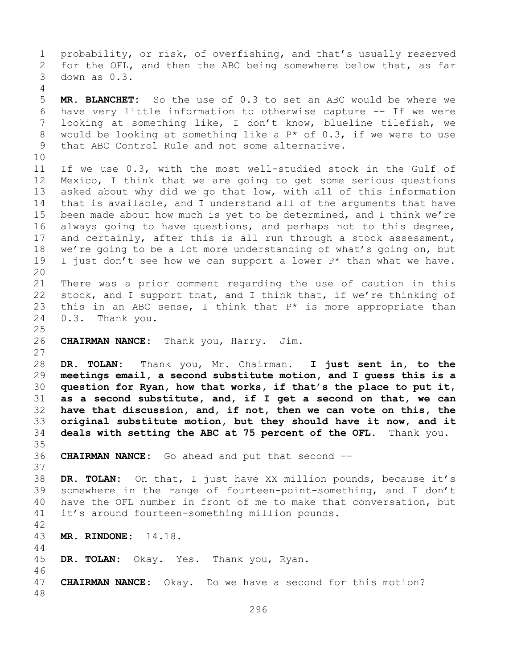1 probability, or risk, of overfishing, and that's usually reserved<br>2 for the OFL, and then the ABC being somewhere below that, as far 2 for the OFL, and then the ABC being somewhere below that, as far<br>3 down as 0.3. down as  $0.3$ . 4 5 **MR. BLANCHET:** So the use of 0.3 to set an ABC would be where we 6 have very little information to otherwise capture -- If we were 7 looking at something like, I don't know, blueline tilefish, we<br>8 would be looking at something like a  $P^*$  of 0.3, if we were to use 8 would be looking at something like a  $P^*$  of 0.3, if we were to use<br>9 that ABC Control Rule and not some alternative. that ABC Control Rule and not some alternative. 10<br>11 11 If we use 0.3, with the most well-studied stock in the Gulf of<br>12 Mexico, I think that we are going to get some serious questions Mexico, I think that we are going to get some serious questions 13 asked about why did we go that low, with all of this information 14 that is available, and I understand all of the arguments that have<br>15 been made about how much is vet to be determined, and I think we're 15 been made about how much is yet to be determined, and I think we're<br>16 always going to have questions, and perhaps not to this degree, 16 always going to have questions, and perhaps not to this degree,<br>17 and certainly, after this is all run through a stock assessment, 17 and certainly, after this is all run through a stock assessment,<br>18 we're going to be a lot more understanding of what's going on, but 18 we're going to be a lot more understanding of what's going on, but<br>19 I just don't see how we can support a lower  $P^*$  than what we have. I just don't see how we can support a lower  $P*$  than what we have. 20<br>21 21 There was a prior comment regarding the use of caution in this<br>22 stock, and I support that, and I think that, if we're thinking of 22 stock, and I support that, and I think that, if we're thinking of  $23$  this in an ABC sense, I think that  $P^*$  is more appropriate than 23 this in an ABC sense, I think that  $P^*$  is more appropriate than 24 0.3. Thank you. 0.3. Thank you.  $\frac{25}{26}$ 26 **CHAIRMAN NANCE:** Thank you, Harry. Jim. 27 28 **DR. TOLAN:** Thank you, Mr. Chairman. **I just sent in, to the**  29 **meetings email, a second substitute motion, and I guess this is a**  30 **question for Ryan, how that works, if that's the place to put it,**  31 **as a second substitute, and, if I get a second on that, we can**  have that discussion, and, if not, then we can vote on this, the 33 **original substitute motion, but they should have it now, and it**  34 **deals with setting the ABC at 75 percent of the OFL.** Thank you. 35<br>36 **CHAIRMAN NANCE:** Go ahead and put that second --37 38 **DR. TOLAN:** On that, I just have XX million pounds, because it's 39 somewhere in the range of fourteen-point-something, and I don't<br>40 have the OFL number in front of me to make that conversation, but 40 have the OFL number in front of me to make that conversation, but<br>41 it's around fourteen-something million pounds. it's around fourteen-something million pounds.  $\frac{42}{43}$ 43 **MR. RINDONE:** 14.18. 44 45 **DR. TOLAN:** Okay. Yes. Thank you, Ryan. 46<br>47 **CHAIRMAN NANCE:** Okay. Do we have a second for this motion? 48

296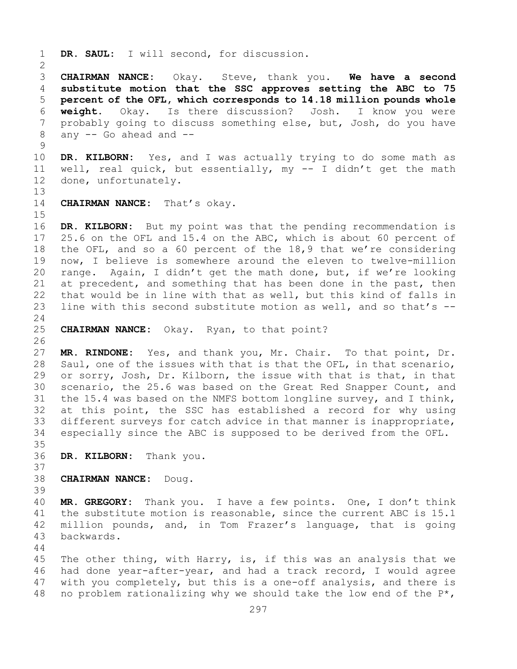1 **DR. SAUL:** I will second, for discussion.

 $\frac{2}{3}$ 3 **CHAIRMAN NANCE:** Okay. Steve, thank you. **We have a second**  4 **substitute motion that the SSC approves setting the ABC to 75**  5 **percent of the OFL, which corresponds to 14.18 million pounds whole**  6 **weight.** Okay. Is there discussion? Josh. I know you were 7 probably going to discuss something else, but, Josh, do you have<br>8 any -- Go ahead and -any  $-$  Go ahead and  $-$ 

 $\begin{array}{c} 9 \\ 10 \end{array}$ 10 **DR. KILBORN:** Yes, and I was actually trying to do some math as<br>11 well, real quick, but essentially, my -- I didn't get the math 11 well, real quick, but essentially, my -- I didn't get the math<br>12 done, unfortunately. done, unfortunately.

13

14 **CHAIRMAN NANCE:** That's okay.

 $15$ <br> $16$ 

16 **DR. KILBORN:** But my point was that the pending recommendation is 17 25.6 on the OFL and 15.4 on the ABC, which is about 60 percent of 17 25.6 on the OFL and 15.4 on the ABC, which is about 60 percent of<br>18 the OFL, and so a 60 percent of the 18,9 that we're considering 18 the OFL, and so a 60 percent of the 18,9 that we're considering<br>19 now, I believe is somewhere around the eleven to twelve-million 19 now, I believe is somewhere around the eleven to twelve-million<br>20 range. Again, I didn't get the math done, but, if we're looking range. Again, I didn't get the math done, but, if we're looking 21 at precedent, and something that has been done in the past, then<br>22 that would be in line with that as well, but this kind of falls in 22 that would be in line with that as well, but this kind of falls in<br>23 line with this second substitute motion as well, and so that's -line with this second substitute motion as well, and so that's  $-$ -

 $\frac{24}{25}$ 25 **CHAIRMAN NANCE:** Okay. Ryan, to that point?

 $\frac{26}{27}$ MR. RINDONE: Yes, and thank you, Mr. Chair. To that point, Dr. 28 Saul, one of the issues with that is that the OFL, in that scenario,<br>29 or sorry, Josh, Dr. Kilborn, the issue with that is that, in that 29 or sorry, Josh, Dr. Kilborn, the issue with that is that, in that<br>30 scenario, the 25.6 was based on the Great Red Snapper Count, and 30 scenario, the 25.6 was based on the Great Red Snapper Count, and<br>31 the 15.4 was based on the NMFS bottom longline survey, and I think, 31 the 15.4 was based on the NMFS bottom longline survey, and I think,<br>32 at this point, the SSC has established a record for why using at this point, the SSC has established a record for why using 33 different surveys for catch advice in that manner is inappropriate,<br>34 especially since the ABC is supposed to be derived from the OFL. especially since the ABC is supposed to be derived from the OFL.

- 35<br>36 DR. KILBORN: Thank you.
- 37

- 38 **CHAIRMAN NANCE:** Doug.
- 39

40 **MR. GREGORY:** Thank you. I have a few points. One, I don't think 41 the substitute motion is reasonable, since the current ABC is 15.1<br>42 million pounds, and, in Tom Frazer's language, that is going 42 million pounds, and, in Tom Frazer's language, that is going<br>43 backwards. backwards.

44

45 The other thing, with Harry, is, if this was an analysis that we 46 had done year-after-year, and had a track record, I would agree<br>47 with you completely, but this is a one-off analysis, and there is 47 with you completely, but this is a one-off analysis, and there is  $48$  no problem rationalizing why we should take the low end of the  $P^*$ , no problem rationalizing why we should take the low end of the  $P^{\star}$ ,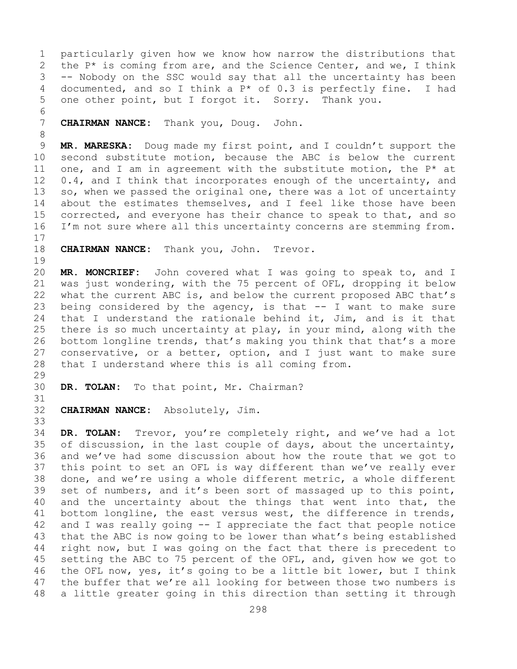1 particularly given how we know how narrow the distributions that<br>2 the P\* is coming from are, and the Science Center, and we, I think 2 the  $P^*$  is coming from are, and the Science Center, and we, I think<br>3 -- Nobody on the SSC would say that all the uncertainty has been  $3$  -- Nobody on the SSC would say that all the uncertainty has been<br>4 documented, and so I think a  $P^*$  of 0.3 is perfectly fine. I had documented, and so I think a  $P*$  of 0.3 is perfectly fine. I had 5 one other point, but I forgot it. Sorry. Thank you.

6<br>7 7 **CHAIRMAN NANCE:** Thank you, Doug. John.

8 9 **MR. MARESKA:** Doug made my first point, and I couldn't support the<br>10 second substitute motion, because the ABC is below the current 10 second substitute motion, because the ABC is below the current<br>11 one, and I am in agreement with the substitute motion, the  $P^*$  at 11 one, and I am in agreement with the substitute motion, the  $P^*$  at 12 0.4, and I think that incorporates enough of the uncertainty, and  $0.4$ , and I think that incorporates enough of the uncertainty, and 13 so, when we passed the original one, there was a lot of uncertainty 14 about the estimates themselves, and I feel like those have been<br>15 corrected, and evervone has their chance to speak to that, and so 15 corrected, and everyone has their chance to speak to that, and so<br>16 I'm not sure where all this uncertainty concerns are stemming from. I'm not sure where all this uncertainty concerns are stemming from.

 $\begin{array}{c} 17 \\ 18 \end{array}$ 

CHAIRMAN NANCE: Thank you, John. Trevor.

 $\begin{array}{c} 19 \\ 20 \end{array}$ 20 **MR. MONCRIEF:** John covered what I was going to speak to, and I<br>21 was just wondering, with the 75 percent of OFL, dropping it below 21 was just wondering, with the 75 percent of OFL, dropping it below<br>22 what the current ABC is, and below the current proposed ABC that's 22 what the current ABC is, and below the current proposed ABC that's<br>23 being considered by the agency, is that -- I want to make sure 23 being considered by the agency, is that  $--$  I want to make sure<br>24 that I understand the rationale behind it, Jim, and is it that 24 that I understand the rationale behind it, Jim, and is it that<br>25 there is so much uncertainty at play, in your mind, along with the there is so much uncertainty at play, in your mind, along with the 26 bottom longline trends, that's making you think that that's a more<br>27 conservative, or a better, option, and I just want to make sure conservative, or a better, option, and I just want to make sure 28 that I understand where this is all coming from.

29<br>30

DR. TOLAN: To that point, Mr. Chairman?

31<br>32 CHAIRMAN NANCE: Absolutely, Jim.

33<br>34 34 **DR. TOLAN:** Trevor, you're completely right, and we've had a lot 35 of discussion, in the last couple of days, about the uncertainty, 35 of discussion, in the last couple of days, about the uncertainty,<br>36 and we've had some discussion about how the route that we got to and we've had some discussion about how the route that we got to 37 this point to set an OFL is way different than we've really ever 38 done, and we're using a whole different metric, a whole different<br>39 set of numbers, and it's been sort of massaged up to this point, 39 set of numbers, and it's been sort of massaged up to this point,<br>40 and the uncertainty about the things that went into that, the 40 and the uncertainty about the things that went into that, the 41 bottom longline, the east versus west, the difference in trends, 41 bottom longline, the east versus west, the difference in trends,<br>42 and I was really going -- I appreciate the fact that people notice 42 and I was really going  $-$  I appreciate the fact that people notice<br>43 that the ABC is now going to be lower than what's being established 43 that the ABC is now going to be lower than what's being established<br>44 right now, but I was going on the fact that there is precedent to right now, but I was going on the fact that there is precedent to 45 setting the ABC to 75 percent of the OFL, and, given how we got to 46 the OFL now, yes, it's going to be a little bit lower, but I think<br>47 the buffer that we're all looking for between those two numbers is 47 the buffer that we're all looking for between those two numbers is<br>48 a little greater going in this direction than setting it through a little greater going in this direction than setting it through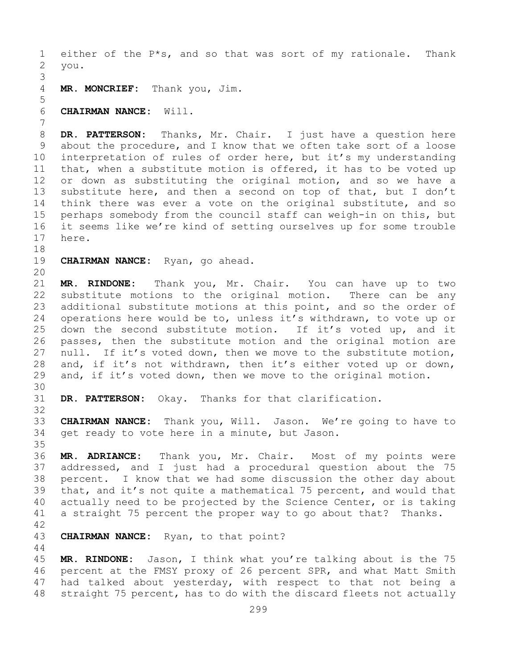1 either of the  $P*$ s, and so that was sort of my rationale. Thank<br>2 you. 2 you.

3 MR. MONCRIEF: Thank you, Jim.

6 **CHAIRMAN NANCE:** Will.

7 8 **DR. PATTERSON:** Thanks, Mr. Chair. I just have a question here<br>9 about the procedure, and I know that we often take sort of a loose 9 about the procedure, and I know that we often take sort of a loose<br>10 interpretation of rules of order here, but it's my understanding 10 interpretation of rules of order here, but it's my understanding<br>11 that, when a substitute motion is offered, it has to be voted up 11 that, when a substitute motion is offered, it has to be voted up<br>12 or down as substituting the original motion, and so we have a or down as substituting the original motion, and so we have a 13 substitute here, and then a second on top of that, but I don't 14 think there was ever a vote on the original substitute, and so<br>15 perhaps somebody from the council staff can weigh-in on this, but 15 perhaps somebody from the council staff can weigh-in on this, but<br>16 it seems like we're kind of setting ourselves up for some trouble 16 it seems like we're kind of setting ourselves up for some trouble<br>17 here. here.

- 18<br>19 CHAIRMAN NANCE: Ryan, go ahead.
- 20

5

21 **MR. RINDONE:** Thank you, Mr. Chair. You can have up to two 22 substitute motions to the original motion.<br>23 additional substitute motions at this point, a 23 additional substitute motions at this point, and so the order of<br>24 operations here would be to, unless it's withdrawn, to vote up or 24 operations here would be to, unless it's withdrawn, to vote up or<br>25 down the second substitute motion. If it's voted up, and it 25 down the second substitute motion. If it's voted up, and it<br>26 passes, then the substitute motion and the original motion are 26 passes, then the substitute motion and the original motion are<br>27 null. If it's voted down, then we move to the substitute motion, null. If it's voted down, then we move to the substitute motion, 28 and, if it's not withdrawn, then it's either voted up or down,<br>29 and, if it's voted down, then we move to the original motion. and, if it's voted down, then we move to the original motion.

30<br>31 32

DR. PATTERSON: Okay. Thanks for that clarification.

33 **CHAIRMAN NANCE:** Thank you, Will. Jason. We're going to have to get ready to vote here in a minute, but Jason.

35<br>36 36 **MR. ADRIANCE:** Thank you, Mr. Chair. Most of my points were addressed, and I just had a procedural question about the 75 38 percent. I know that we had some discussion the other day about<br>39 that, and it's not quite a mathematical 75 percent, and would that 39 that, and it's not quite a mathematical 75 percent, and would that<br>40 actually need to be projected by the Science Center, or is taking 40 actually need to be projected by the Science Center, or is taking<br>41 a straight 75 percent the proper way to go about that? Thanks. a straight 75 percent the proper way to go about that? Thanks.

 $42$ <br> $43$ 

44

CHAIRMAN NANCE: Ryan, to that point?

45 **MR. RINDONE:** Jason, I think what you're talking about is the 75 46 percent at the FMSY proxy of 26 percent SPR, and what Matt Smith<br>47 had talked about yesterday, with respect to that not being a 47 had talked about yesterday, with respect to that not being a<br>48 straight 75 percent, has to do with the discard fleets not actually straight 75 percent, has to do with the discard fleets not actually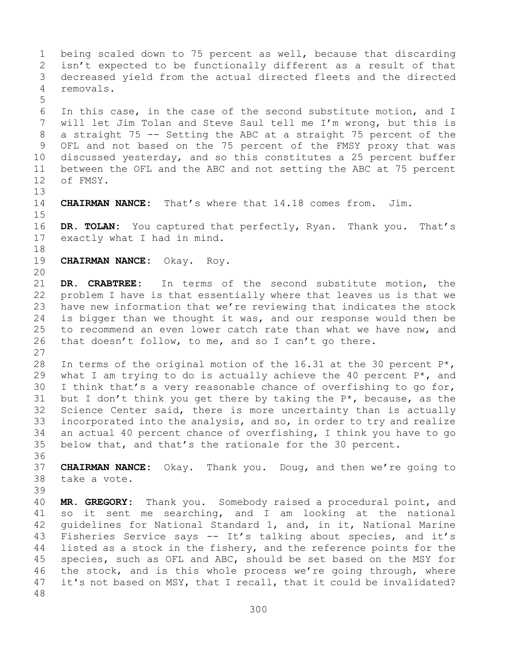1 being scaled down to 75 percent as well, because that discarding<br>2 isn't expected to be functionally different as a result of that 2 isn't expected to be functionally different as a result of that<br>3 decreased vield from the actual directed fleets and the directed 3 decreased yield from the actual directed fleets and the directed 4 removals. 5 6 In this case, in the case of the second substitute motion, and I 7 will let Jim Tolan and Steve Saul tell me I'm wrong, but this is<br>8 a straight 75 -- Setting the ABC at a straight 75 percent of the 8 a straight 75 -- Setting the ABC at a straight 75 percent of the<br>9 OFL and not based on the 75 percent of the FMSY proxy that was 9 OFL and not based on the 75 percent of the FMSY proxy that was<br>10 discussed vesterday, and so this constitutes a 25 percent buffer 10 discussed yesterday, and so this constitutes a 25 percent buffer<br>11 between the OFL and the ABC and not setting the ABC at 75 percent 11 between the OFL and the ABC and not setting the ABC at 75 percent<br>12 of FMSY. of FMSY. 13 14 **CHAIRMAN NANCE:** That's where that 14.18 comes from. Jim.  $15$ <br> $16$ 16 **DR. TOLAN:** You captured that perfectly, Ryan. Thank you. That's exactly what I had in mind. exactly what I had in mind. 18<br>19 19 **CHAIRMAN NANCE:** Okay. Roy. 20<br>21 21 **DR. CRABTREE:** In terms of the second substitute motion, the<br>22 problem I have is that essentially where that leaves us is that we 22 problem I have is that essentially where that leaves us is that we<br>23 have new information that we're reviewing that indicates the stock 23 have new information that we're reviewing that indicates the stock<br>24 is bigger than we thought it was, and our response would then be 24 is bigger than we thought it was, and our response would then be<br>25 to recommend an even lower catch rate than what we have now, and 25 to recommend an even lower catch rate than what we have now, and  $26$  that doesn't follow, to me, and so I can't go there. that doesn't follow, to me, and so I can't go there. 27 28 In terms of the original motion of the 16.31 at the 30 percent  $P^*$ ,<br>29 what I am trying to do is actually achieve the 40 percent  $P^*$ , and 29 what I am trying to do is actually achieve the 40 percent  $P^*$ , and 30 I think that's a very reasonable chance of overfishing to go for, 30 I think that's a very reasonable chance of overfishing to go for,<br>31 but I don't think you get there by taking the  $P^*$ , because, as the 31 but I don't think you get there by taking the  $P^*$ , because, as the 32 Science Center said, there is more uncertainty than is actually Science Center said, there is more uncertainty than is actually 33 incorporated into the analysis, and so, in order to try and realize<br>34 an actual 40 percent chance of overfishing, I think you have to go 34 an actual 40 percent chance of overfishing, I think you have to go<br>35 below that, and that's the rationale for the 30 percent. below that, and that's the rationale for the 30 percent. 36<br>37 37 **CHAIRMAN NANCE:** Okay. Thank you. Doug, and then we're going to 38 take a vote. 39 40 **MR. GREGORY:** Thank you. Somebody raised a procedural point, and<br>41 so it sent me searching, and I am looking at the national 41 so it sent me searching, and I am looking at the national<br>42 quidelines for National Standard 1, and, in it, National Marine 42 guidelines for National Standard 1, and, in it, National Marine<br>43 Fisheries Service says -- It's talking about species, and it's 43 Fisheries Service says -- It's talking about species, and it's<br>44 listed as a stock in the fishery, and the reference points for the listed as a stock in the fishery, and the reference points for the 45 species, such as OFL and ABC, should be set based on the MSY for 46 the stock, and is this whole process we're going through, where<br>47 it's not based on MSY, that I recall, that it could be invalidated? it's not based on MSY, that I recall, that it could be invalidated? 48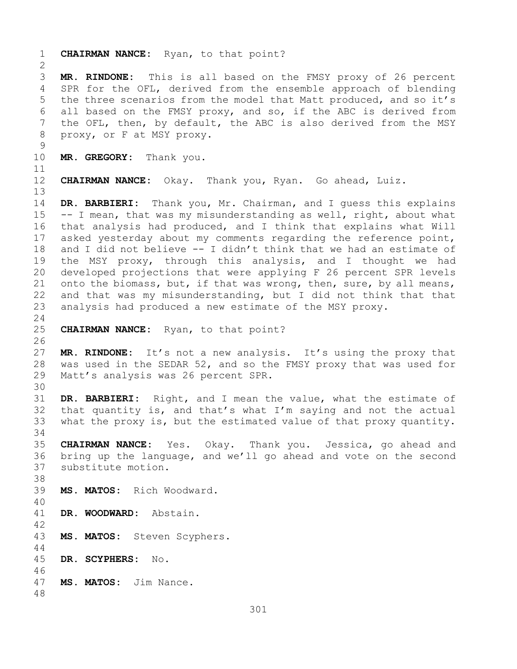1 **CHAIRMAN NANCE:** Ryan, to that point?  $\frac{2}{3}$ 3 **MR. RINDONE:** This is all based on the FMSY proxy of 26 percent SPR for the OFL, derived from the ensemble approach of blending 5 the three scenarios from the model that Matt produced, and so it's 6 all based on the FMSY proxy, and so, if the ABC is derived from<br>7 the OFL, then, by default, the ABC is also derived from the MSY 7 the OFL, then, by default, the ABC is also derived from the MSY<br>8 proxy, or F at MSY proxy. proxy, or F at MSY proxy.  $\begin{array}{c} 9 \\ 10 \end{array}$ MR. GREGORY: Thank you. 11<br>12 **CHAIRMAN NANCE:** Okay. Thank you, Ryan. Go ahead, Luiz. 13 14 **DR. BARBIERI:** Thank you, Mr. Chairman, and I guess this explains<br>15 -- I mean, that was my misunderstanding as well, right, about what 15 -- I mean, that was my misunderstanding as well, right, about what<br>16 that analysis had produced, and I think that explains what Will 16 that analysis had produced, and I think that explains what Will<br>17 asked yesterday about my comments regarding the reference point, 17 asked yesterday about my comments regarding the reference point,<br>18 and I did not believe -- I didn't think that we had an estimate of 18 and I did not believe -- I didn't think that we had an estimate of<br>19 the MSY proxy, through this analysis, and I thought we had 19 the MSY proxy, through this analysis, and I thought we had<br>20 developed projections that were applying F 26 percent SPR levels developed projections that were applying F 26 percent SPR levels 21 onto the biomass, but, if that was wrong, then, sure, by all means,<br>22 and that was my misunderstanding, but I did not think that that 22 and that was my misunderstanding, but I did not think that that<br>23 analysis had produced a new estimate of the MSY proxy. analysis had produced a new estimate of the MSY proxy.  $\frac{24}{25}$ 25 **CHAIRMAN NANCE:** Ryan, to that point? 26<br>27 MR. RINDONE: It's not a new analysis. It's using the proxy that 28 was used in the SEDAR 52, and so the FMSY proxy that was used for<br>29 Matt's analysis was 26 percent SPR. Matt's analysis was 26 percent SPR. 30<br>31 31 **DR. BARBIERI:** Right, and I mean the value, what the estimate of that quantity is, and that's what  $I'm$  saying and not the actual 33 what the proxy is, but the estimated value of that proxy quantity. 34<br>35 35 **CHAIRMAN NANCE:** Yes. Okay. Thank you. Jessica, go ahead and bring up the language, and we'll go ahead and vote on the second 37 substitute motion. 38<br>39 MS. MATOS: Rich Woodward. 40 DR. WOODWARD: Abstain. 42 MS. MATOS: Steven Scyphers. 44 45 **DR. SCYPHERS:** No. 46<br>47 47 **MS. MATOS:** Jim Nance. 48

301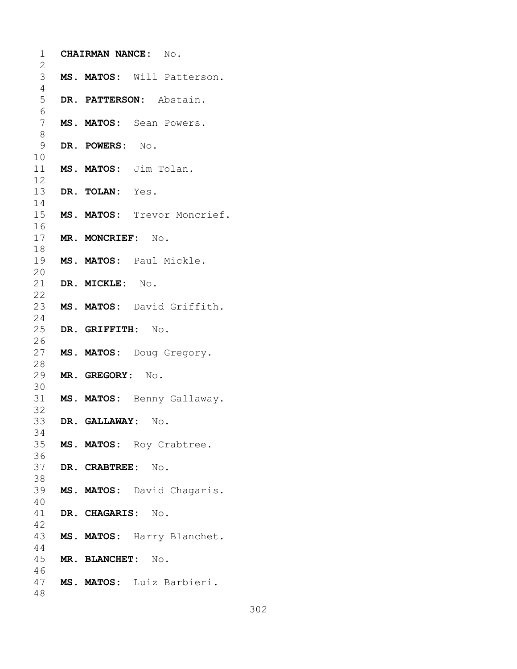| 1                   |                      | CHAIRMAN NANCE: No.         |
|---------------------|----------------------|-----------------------------|
| 2                   |                      |                             |
| 3<br>$\overline{4}$ |                      | MS. MATOS: Will Patterson.  |
| 5                   |                      | DR. PATTERSON: Abstain.     |
| 6                   |                      |                             |
| $\overline{7}$      |                      | MS. MATOS: Sean Powers.     |
| 8                   |                      |                             |
| 9                   | DR. POWERS: No.      |                             |
| 10                  |                      |                             |
| 11                  |                      | MS. MATOS: Jim Tolan.       |
| 12                  |                      |                             |
| 13                  | DR. TOLAN: Yes.      |                             |
| 14                  |                      |                             |
| 15                  |                      | MS. MATOS: Trevor Moncrief. |
| 16                  |                      |                             |
| 17                  | MR. MONCRIEF: No.    |                             |
| 18                  |                      |                             |
| 19                  |                      | MS. MATOS: Paul Mickle.     |
| 20                  |                      |                             |
| 21<br>22            | DR. MICKLE: No.      |                             |
| 23                  |                      | MS. MATOS: David Griffith.  |
| 24                  |                      |                             |
| 25                  | DR. GRIFFITH: No.    |                             |
| 26                  |                      |                             |
| 27                  |                      | MS. MATOS: Doug Gregory.    |
| 28                  |                      |                             |
| 29                  | MR. GREGORY: No.     |                             |
| 30                  |                      |                             |
| 31                  |                      | MS. MATOS: Benny Gallaway.  |
| 32                  |                      |                             |
|                     | 33 DR. GALLAWAY: No. |                             |
| 34                  |                      |                             |
| 35                  |                      | MS. MATOS: Roy Crabtree.    |
| 36<br>37            | DR. CRABTREE: No.    |                             |
| 38                  |                      |                             |
| 39                  |                      | MS. MATOS: David Chagaris.  |
| 40                  |                      |                             |
| 41                  | DR. CHAGARIS: No.    |                             |
| 42                  |                      |                             |
| 43                  |                      | MS. MATOS: Harry Blanchet.  |
| 44                  |                      |                             |
|                     | 45 MR. BLANCHET: No. |                             |
| 46                  |                      |                             |
| 47                  |                      | MS. MATOS: Luiz Barbieri.   |
| 48                  |                      |                             |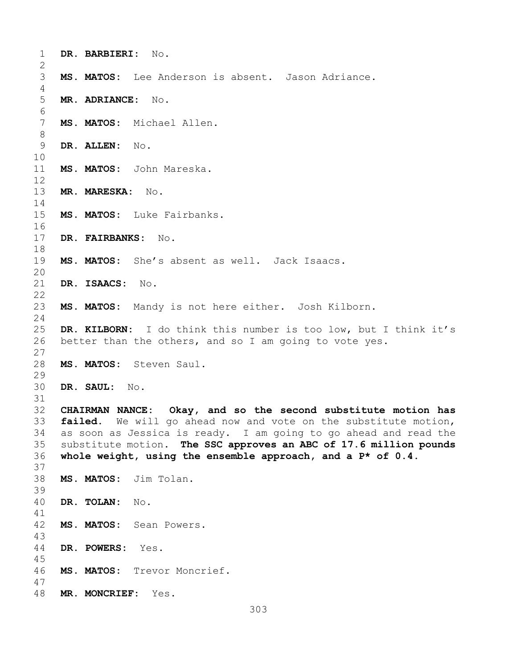| 1              | DR. BARBIERI: No.                                                 |
|----------------|-------------------------------------------------------------------|
| 2              |                                                                   |
| 3              | MS. MATOS: Lee Anderson is absent. Jason Adriance.                |
| 4              |                                                                   |
| 5              | MR. ADRIANCE: No.                                                 |
| 6              |                                                                   |
| $\overline{7}$ | MS. MATOS: Michael Allen.                                         |
| $8\,$          |                                                                   |
| 9              | DR. ALLEN: No.                                                    |
| 10             |                                                                   |
| 11             | MS. MATOS: John Mareska.                                          |
| 12             |                                                                   |
| 13             | MR. MARESKA: No.                                                  |
| 14             |                                                                   |
| 15             | MS. MATOS: Luke Fairbanks.                                        |
| 16             |                                                                   |
| 17             | DR. FAIRBANKS: No.                                                |
| 18             |                                                                   |
| 19             | MS. MATOS: She's absent as well. Jack Isaacs.                     |
| 20             |                                                                   |
| 21             | DR. ISAACS:<br>$\mathbb N\circ$ .                                 |
| 22             |                                                                   |
| 23             | MS. MATOS: Mandy is not here either. Josh Kilborn.                |
| 24             |                                                                   |
| 25             | DR. KILBORN: I do think this number is too low, but I think it's  |
| 26             | better than the others, and so I am going to vote yes.            |
| 27             |                                                                   |
| 28             | MS. MATOS: Steven Saul.                                           |
| 29             |                                                                   |
| 30             | DR. SAUL: No.                                                     |
| 31             |                                                                   |
| 32             | CHAIRMAN NANCE: Okay, and so the second substitute motion has     |
| 33             | failed. We will go ahead now and vote on the substitute motion,   |
| 34             | as soon as Jessica is ready. I am going to go ahead and read the  |
| 35             | substitute motion. The SSC approves an ABC of 17.6 million pounds |
| 36             | whole weight, using the ensemble approach, and a $P*$ of 0.4.     |
| 37             |                                                                   |
| 38             | MS. MATOS: Jim Tolan.                                             |
| 39             |                                                                   |
| 40             | DR. TOLAN:<br>No.                                                 |
| 41             |                                                                   |
| 42             | MS. MATOS: Sean Powers.                                           |
| 43             |                                                                   |
| 44             | DR. POWERS:<br>Yes.                                               |
| 45             |                                                                   |
| 46             | MS. MATOS: Trevor Moncrief.                                       |
| 47             |                                                                   |
| 48             | MR. MONCRIEF:<br>Yes.                                             |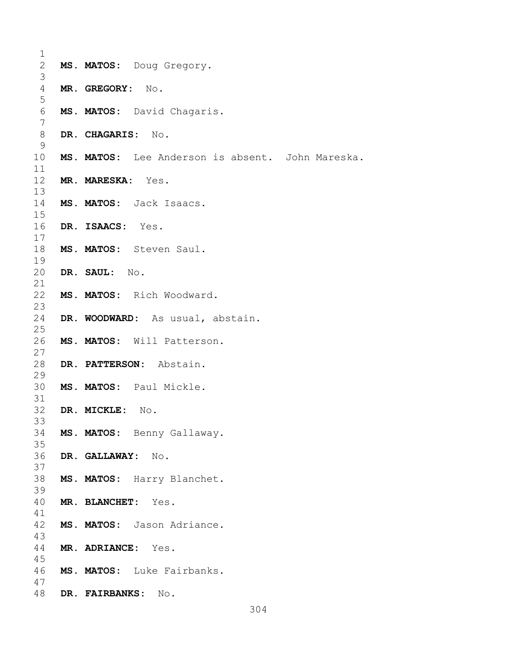| 1               |                    |                                                  |
|-----------------|--------------------|--------------------------------------------------|
| $\overline{2}$  |                    | MS. MATOS: Doug Gregory.                         |
| 3<br>4          | MR. GREGORY: No.   |                                                  |
| 5               |                    |                                                  |
| 6               |                    | MS. MATOS: David Chagaris.                       |
| 7               |                    |                                                  |
| $8\,$<br>9      | DR. CHAGARIS: No.  |                                                  |
| 10              |                    | MS. MATOS: Lee Anderson is absent. John Mareska. |
| 11              |                    |                                                  |
| 12 <sup>°</sup> | MR. MARESKA: Yes.  |                                                  |
| 13              |                    | MS. MATOS: Jack Isaacs.                          |
| 14<br>15        |                    |                                                  |
| 16              | DR. ISAACS: Yes.   |                                                  |
| 17              |                    |                                                  |
| 18              |                    | MS. MATOS: Steven Saul.                          |
| 19<br>20        | DR. SAUL: No.      |                                                  |
| 21              |                    |                                                  |
| 22              |                    | MS. MATOS: Rich Woodward.                        |
| 23              |                    |                                                  |
| 24<br>25        |                    | DR. WOODWARD: As usual, abstain.                 |
| 26              |                    | MS. MATOS: Will Patterson.                       |
| 27              |                    |                                                  |
| 28              |                    | DR. PATTERSON: Abstain.                          |
| 29<br>30        |                    | MS. MATOS: Paul Mickle.                          |
| 31              |                    |                                                  |
| 32              | DR. MICKLE:        | No.                                              |
| 33              |                    |                                                  |
| 34<br>35        |                    | MS. MATOS: Benny Gallaway.                       |
| 36              | DR. GALLAWAY: No.  |                                                  |
| 37              |                    |                                                  |
| 38              |                    | MS. MATOS: Harry Blanchet.                       |
| 39<br>40        | MR. BLANCHET: Yes. |                                                  |
| 41              |                    |                                                  |
| 42              |                    | MS. MATOS: Jason Adriance.                       |
| 43              |                    |                                                  |
| 44<br>45        | MR. ADRIANCE: Yes. |                                                  |
| 46              |                    | MS. MATOS: Luke Fairbanks.                       |
| 47              |                    |                                                  |
| 48              | DR. FAIRBANKS:     | No.                                              |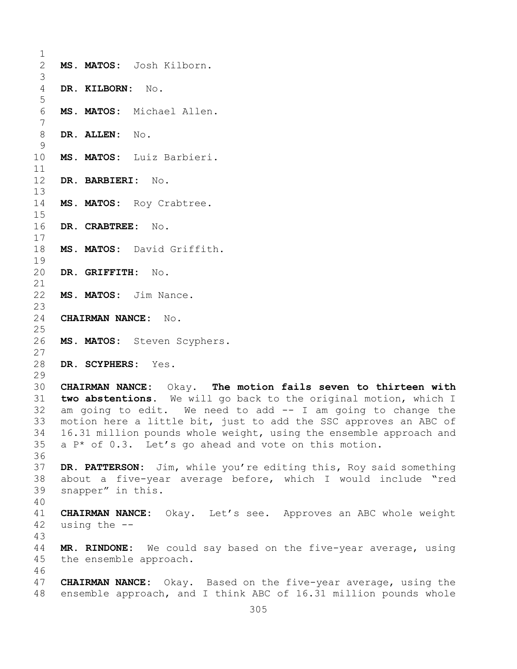$\frac{1}{2}$ 2 **MS. MATOS:** Josh Kilborn. 3 4 **DR. KILBORN:** No. 5 6 **MS. MATOS:** Michael Allen. 7 8 **DR. ALLEN:** No.  $\frac{9}{10}$ MS. MATOS: Luiz Barbieri.  $\begin{array}{c} 11 \\ 12 \end{array}$ 12 **DR. BARBIERI:** No. 13 14 MS. MATOS: Roy Crabtree. 15<br>16 16 **DR. CRABTREE:** No.  $\frac{17}{18}$ MS. MATOS: David Griffith.  $\begin{array}{c} 19 \\ 20 \end{array}$ 20 **DR. GRIFFITH:** No. 21<br>22 MS. MATOS: Jim Nance.  $\frac{23}{24}$ 24 **CHAIRMAN NANCE:** No.  $\frac{25}{26}$ MS. MATOS: Steven Scyphers.  $\frac{27}{28}$ 28 **DR. SCYPHERS:** Yes. 29<br>30 30 **CHAIRMAN NANCE:** Okay. **The motion fails seven to thirteen with**  31 **two abstentions.** We will go back to the original motion, which I am going to edit. We need to add  $-$  I am going to change the 33 motion here a little bit, just to add the SSC approves an ABC of<br>34 16.31 million pounds whole weight, using the ensemble approach and 34 16.31 million pounds whole weight, using the ensemble approach and<br>35 a P\* of 0.3. Let's go ahead and vote on this motion.  $a P*$  of 0.3. Let's go ahead and vote on this motion. 36 37 **DR. PATTERSON:** Jim, while you're editing this, Roy said something 38 about a five-year average before, which I would include "red<br>39 snapper" in this. snapper" in this. 40 41 **CHAIRMAN NANCE:** Okay. Let's see. Approves an ABC whole weight using the  $-$ -43 MR. RINDONE: We could say based on the five-year average, using 45 the ensemble approach. 46<br>47 47 **CHAIRMAN NANCE:** Okay. Based on the five-year average, using the ensemble approach, and I think ABC of 16.31 million pounds whole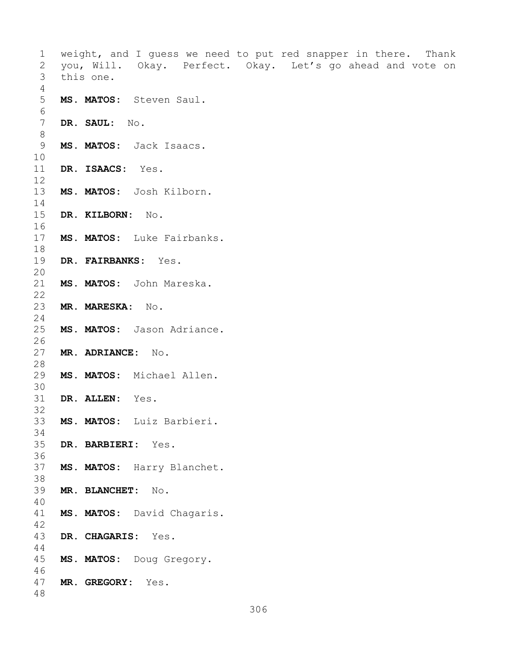1 weight, and I guess we need to put red snapper in there. Thank<br>2 you, Will. Okay. Perfect. Okay. Let's go ahead and vote on 2 you, Will. Okay. Perfect. Okay. Let's go ahead and vote on this one. 4 5 **MS. MATOS:** Steven Saul. 6<br>7 DR. SAUL: No. 8 9 **MS. MATOS:** Jack Isaacs. 10<br>11 DR. ISAACS: Yes. 12 13 **MS. MATOS:** Josh Kilborn.  $\frac{14}{15}$ 15 **DR. KILBORN:** No. 16<br>17 MS. MATOS: Luke Fairbanks. 18<br>19 DR. FAIRBANKS: Yes. 20<br>21 MS. MATOS: John Mareska.  $\begin{array}{c} 22 \\ 23 \end{array}$ 23 **MR. MARESKA:** No.  $\frac{24}{25}$ MS. MATOS: Jason Adriance.  $\frac{26}{27}$ 27 **MR. ADRIANCE:** No. 28<br>29 MS. MATOS: Michael Allen. 30<br>31 DR. ALLEN: Yes. 32<br>33 33 **MS. MATOS:** Luiz Barbieri. 34<br>35 35 **DR. BARBIERI:** Yes. 36<br>37 MS. MATOS: Harry Blanchet. 38<br>39 39 **MR. BLANCHET:** No. 40 MS. MATOS: David Chagaris.  $42$ <br> $43$ 43 **DR. CHAGARIS:** Yes. 44 45 **MS. MATOS:** Doug Gregory. 46<br>47 47 **MR. GREGORY:** Yes. 48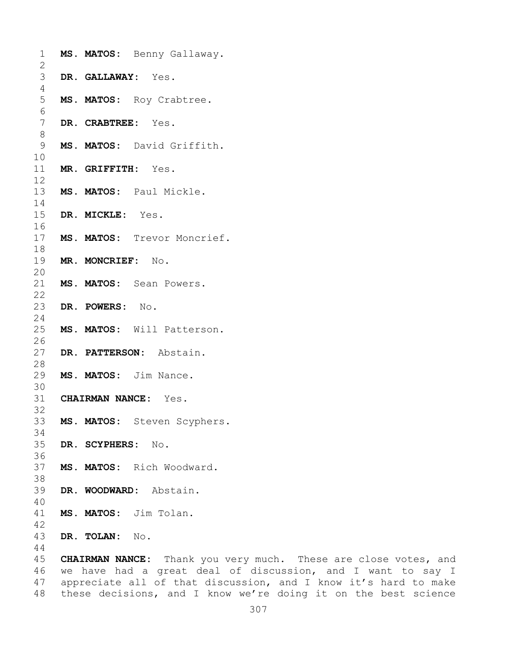| 1<br>2         | MS. MATOS: Benny Gallaway.                                 |
|----------------|------------------------------------------------------------|
| 3<br>4         | DR. GALLAWAY: Yes.                                         |
| 5<br>6         | MS. MATOS: Roy Crabtree.                                   |
| 7<br>$8\,$     | DR. CRABTREE: Yes.                                         |
| 9              | MS. MATOS: David Griffith.                                 |
| 10<br>11<br>12 | MR. GRIFFITH: Yes.                                         |
| 13<br>14       | MS. MATOS: Paul Mickle.                                    |
| 15<br>16       | DR. MICKLE: Yes.                                           |
| 17<br>18       | MS. MATOS: Trevor Moncrief.                                |
| 19<br>20       | MR. MONCRIEF: No.                                          |
| 21<br>22       | MS. MATOS: Sean Powers.                                    |
| 23<br>24       | DR. POWERS: No.                                            |
| 25<br>26       | MS. MATOS: Will Patterson.                                 |
| 27<br>28       | DR. PATTERSON: Abstain.                                    |
| 29<br>30       | MS. MATOS: Jim Nance.                                      |
| 31<br>32       | <b>CHAIRMAN NANCE:</b> Yes.                                |
| 33<br>34       | MS. MATOS: Steven Scyphers.                                |
| 35<br>36       | DR. SCYPHERS: No.                                          |
| 37<br>38       | MS. MATOS: Rich Woodward.                                  |
| 39<br>40       | DR. WOODWARD: Abstain.                                     |
| 41<br>42       | MS. MATOS: Jim Tolan.                                      |
| 43<br>44       | DR. TOLAN: No.                                             |
| 45             | <b>CHAIRMAN NANCE:</b> Thank you very much. These are clos |
|                | 46 we have had a great deal of discussion, and I wa        |

ose votes<mark>,</mark> and<br>ant to say I we have had a great deal of discussion, and I want to say I appreciate all of that discussion, and I know it's hard to make these decisions, and I know we're doing it on the best science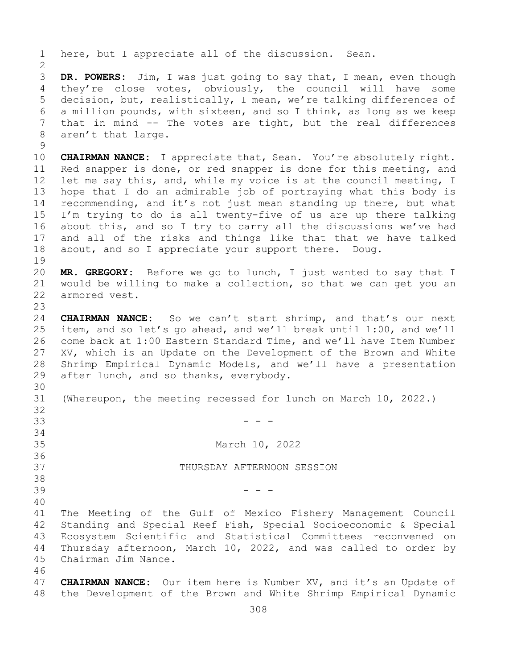1 here, but I appreciate all of the discussion. Sean.  $\frac{2}{3}$ 3 **DR. POWERS:** Jim, I was just going to say that, I mean, even though they're close votes, obviously, the council will have some 5 decision, but, realistically, I mean, we're talking differences of 6 a million pounds, with sixteen, and so I think, as long as we keep<br>7 that in mind -- The votes are tight, but the real differences 7 that in mind  $-$  The votes are tight, but the real differences aren't that large. aren't that large.  $\begin{array}{c} 9 \\ 10 \end{array}$ 10 **CHAIRMAN NANCE:** I appreciate that, Sean. You're absolutely right.<br>11 Red snapper is done, or red snapper is done for this meeting, and 11 Red snapper is done, or red snapper is done for this meeting, and<br>12 let me say this, and, while my voice is at the council meeting, I let me say this, and, while my voice is at the council meeting, I 13 hope that I do an admirable job of portraying what this body is 14 recommending, and it's not just mean standing up there, but what<br>15 I'm trving to do is all twentv-five of us are up there talking 15 I'm trying to do is all twenty-five of us are up there talking<br>16 about this, and so I try to carry all the discussions we've had 16 about this, and so I try to carry all the discussions we've had<br>17 and all of the risks and things like that that we have talked 17 and all of the risks and things like that that we have talked<br>18 about, and so I appreciate your support there. Doug. about, and so I appreciate your support there. Doug.  $\begin{array}{c} 19 \\ 20 \end{array}$ 20 **MR. GREGORY:** Before we go to lunch, I just wanted to say that I 21 would be willing to make a collection, so that we can get you an armored vest.  $\frac{23}{24}$ 24 **CHAIRMAN NANCE:** So we can't start shrimp, and that's our next<br>25 item, and so let's go ahead, and we'll break until 1:00, and we'll 25 item, and so let's go ahead, and we'll break until 1:00, and we'll<br>26 come back at 1:00 Eastern Standard Time, and we'll have Item Number 26 come back at 1:00 Eastern Standard Time, and we'll have Item Number<br>27 XV, which is an Update on the Development of the Brown and White XV, which is an Update on the Development of the Brown and White 28 Shrimp Empirical Dynamic Models, and we'll have a presentation<br>29 after lunch, and so thanks, everybody. after lunch, and so thanks, everybody. 30<br>31 (Whereupon, the meeting recessed for lunch on March 10, 2022.) 32<br>33 33 - - - 34<br>35 March 10, 2022 36<br>37 THURSDAY AFTERNOON SESSION 38<br>39  $39$  - - -40 41 The Meeting of the Gulf of Mexico Fishery Management Council<br>42 Standing and Special Reef Fish, Special Socioeconomic & Special 42 Standing and Special Reef Fish, Special Socioeconomic & Special<br>43 Ecosystem Scientific and Statistical Committees reconvened on 43 Ecosystem Scientific and Statistical Committees reconvened on<br>44 Thursday afternoon, March 10, 2022, and was called to order by Thursday afternoon, March 10, 2022, and was called to order by 45 Chairman Jim Nance. 46<br>47 47 **CHAIRMAN NANCE:** Our item here is Number XV, and it's an Update of 48 the Development of the Brown and White Shrimp Empirical Dynamic the Development of the Brown and White Shrimp Empirical Dynamic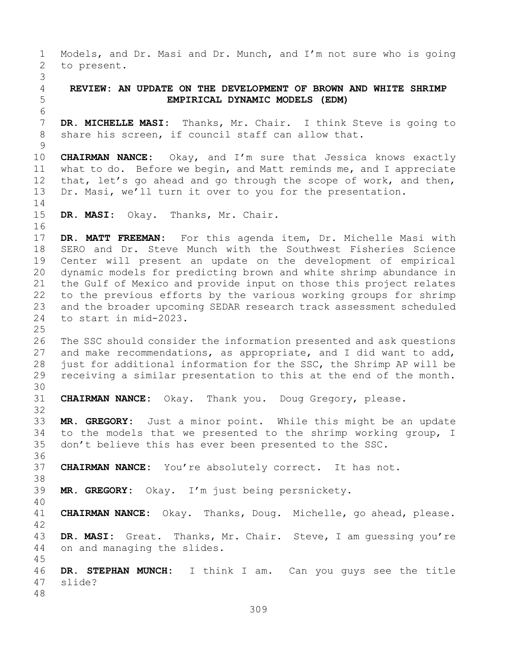1 Models, and Dr. Masi and Dr. Munch, and I'm not sure who is going<br>2 to present. to present. 3 4 **REVIEW: AN UPDATE ON THE DEVELOPMENT OF BROWN AND WHITE SHRIMP**  5 **EMPIRICAL DYNAMIC MODELS (EDM)** 6<br>7 7 **DR. MICHELLE MASI:** Thanks, Mr. Chair. I think Steve is going to share his screen, if council staff can allow that. share his screen, if council staff can allow that.  $\begin{array}{c} 9 \\ 10 \end{array}$ 10 **CHAIRMAN NANCE:** Okay, and I'm sure that Jessica knows exactly<br>11 what to do. Before we begin, and Matt reminds me, and I appreciate 11 what to do. Before we begin, and Matt reminds me, and I appreciate<br>12 that, let's go ahead and go through the scope of work, and then, that, let's go ahead and go through the scope of work, and then, 13 Dr. Masi, we'll turn it over to you for the presentation.  $\frac{14}{15}$ DR. MASI: Okay. Thanks, Mr. Chair. 16<br>17 17 **DR. MATT FREEMAN:** For this agenda item, Dr. Michelle Masi with 18 SERO and Dr. Steve Munch with the Southwest Fisheries Science<br>19 Center will present an update on the development of empirical 19 Center will present an update on the development of empirical<br>20 dynamic models for predicting brown and white shrimp abundance in 20 dynamic models for predicting brown and white shrimp abundance in<br>21 the Gulf of Mexico and provide input on those this project relates 21 the Gulf of Mexico and provide input on those this project relates<br>22 to the previous efforts by the various working groups for shrimp 22 to the previous efforts by the various working groups for shrimp<br>23 and the broader upcoming SEDAR research track assessment scheduled 23 and the broader upcoming SEDAR research track assessment scheduled<br>24 to start in mid-2023. to start in mid-2023.  $\frac{25}{26}$ 26 The SSC should consider the information presented and ask questions<br>27 and make recommendations, as appropriate, and I did want to add, and make recommendations, as appropriate, and I did want to add, 28 just for additional information for the SSC, the Shrimp AP will be<br>29 receiving a similar presentation to this at the end of the month. receiving a similar presentation to this at the end of the month. 30<br>31 31 **CHAIRMAN NANCE:** Okay. Thank you. Doug Gregory, please. 32 33 **MR. GREGORY:** Just a minor point. While this might be an update 34 to the models that we presented to the shrimp working group, I<br>35 don't believe this has ever been presented to the SSC. don't believe this has ever been presented to the SSC. 36<br>37 37 **CHAIRMAN NANCE:** You're absolutely correct. It has not. 38<br>39 MR. GREGORY: Okay. I'm just being persnickety. 40 41 **CHAIRMAN NANCE:** Okay. Thanks, Doug. Michelle, go ahead, please.  $\frac{42}{43}$ 43 **DR. MASI:** Great. Thanks, Mr. Chair. Steve, I am guessing you're on and managing the slides. 45 46 **DR. STEPHAN MUNCH:** I think I am. Can you guys see the title slide? 48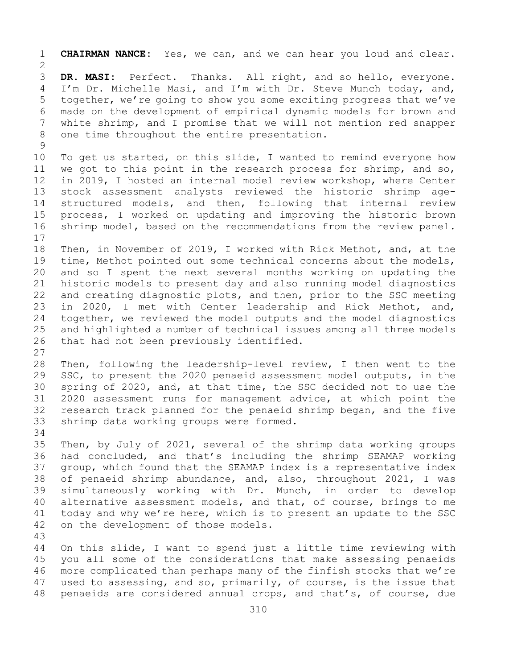1 **CHAIRMAN NANCE:** Yes, we can, and we can hear you loud and clear.  $\frac{2}{3}$ 3 **DR. MASI:** Perfect. Thanks. All right, and so hello, everyone.<br>4 I'm Dr. Michelle Masi, and I'm with Dr. Steve Munch today, and, I'm Dr. Michelle Masi, and I'm with Dr. Steve Munch today, and, 5 together, we're going to show you some exciting progress that we've 6 made on the development of empirical dynamic models for brown and<br>7 white shrimp, and I promise that we will not mention red snapper 7 white shrimp, and I promise that we will not mention red snapper<br>8 one time throughout the entire presentation. one time throughout the entire presentation.  $\begin{array}{c} 9 \\ 10 \end{array}$ 10 To get us started, on this slide, I wanted to remind everyone how<br>11 we got to this point in the research process for shrimp, and so, 11 we got to this point in the research process for shrimp, and so,<br>12 in 2019, I hosted an internal model review workshop, where Center 12 in 2019, I hosted an internal model review workshop, where Center<br>13 stock assessment analysts reviewed the historic shrimp agestock assessment analysts reviewed the historic shrimp age-14 structured models, and then, following that internal review<br>15 process, I worked on updating and improving the historic brown 15 process, I worked on updating and improving the historic brown<br>16 shrimp model, based on the recommendations from the review panel. shrimp model, based on the recommendations from the review panel.  $\begin{array}{c} 17 \\ 18 \end{array}$ 18 Then, in November of 2019, I worked with Rick Methot, and, at the<br>19 time, Methot pointed out some technical concerns about the models, 19 time, Methot pointed out some technical concerns about the models,<br>20 and so I spent the next several months working on updating the 20 and so I spent the next several months working on updating the<br>21 historic models to present day and also running model diagnostics 21 historic models to present day and also running model diagnostics<br>22 and creating diagnostic plots, and then, prior to the SSC meeting 22 and creating diagnostic plots, and then, prior to the SSC meeting<br>23 in 2020, I met with Center leadership and Rick Methot, and, 23 in 2020, I met with Center leadership and Rick Methot, and,<br>24 together, we reviewed the model outputs and the model diagnostics 24 together, we reviewed the model outputs and the model diagnostics<br>25 and highlighted a number of technical issues among all three models 25 and highlighted a number of technical issues among all three models<br>26 that had not been previously identified. that had not been previously identified.  $\frac{27}{28}$ 28 Then, following the leadership-level review, I then went to the<br>29 SSC, to present the 2020 penaeid assessment model outputs, in the 29 SSC, to present the 2020 penaeid assessment model outputs, in the<br>30 spring of 2020, and, at that time, the SSC decided not to use the 30 spring of 2020, and, at that time, the SSC decided not to use the<br>31 2020 assessment runs for management advice, at which point the 31 2020 assessment runs for management advice, at which point the<br>32 research track planned for the penaeid shrimp began, and the five 32 research track planned for the penaeid shrimp began, and the five<br>33 shrimp data working groups were formed. shrimp data working groups were formed. 34<br>35 35 Then, by July of 2021, several of the shrimp data working groups<br>36 had concluded, and that's including the shrimp SEAMAP working 36 had concluded, and that's including the shrimp SEAMAP working<br>37 qroup, which found that the SEAMAP index is a representative index group, which found that the SEAMAP index is a representative index 38 of penaeid shrimp abundance, and, also, throughout 2021, I was<br>39 simultaneously working with Dr. Munch, in order to develop 39 simultaneously working with Dr. Munch, in order to develop<br>40 alternative assessment models, and that, of course, brings to me 40 alternative assessment models, and that, of course, brings to me<br>41 today and why we're here, which is to present an update to the SSC 41 today and why we're here, which is to present an update to the SSC<br>42 on the development of those models. on the development of those models. 43 On this slide, I want to spend just a little time reviewing with 45 you all some of the considerations that make assessing penaeids 46 more complicated than perhaps many of the finfish stocks that we're<br>47 used to assessing, and so, primarily, of course, is the issue that 47 used to assessing, and so, primarily, of course, is the issue that<br>48 penaeids are considered annual crops, and that's, of course, due penaeids are considered annual crops, and that's, of course, due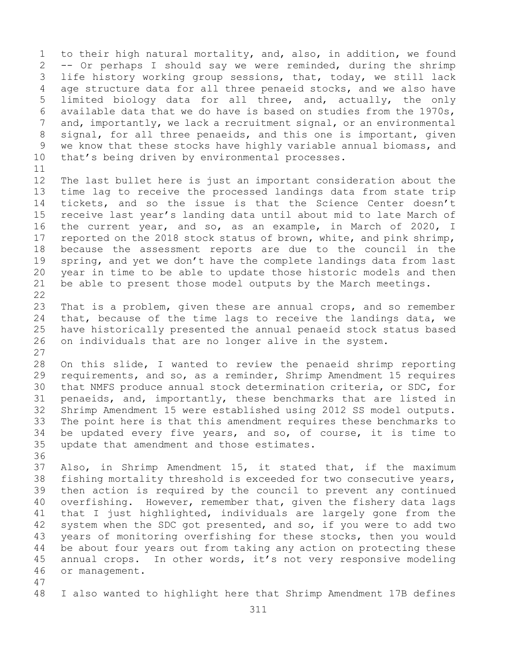1 to their high natural mortality, and, also, in addition, we found<br>2 -- Or perhaps I should say we were reminded, during the shrimp 2 -- Or perhaps I should say we were reminded, during the shrimp<br>3 life history working group sessions, that, today, we still lack 3 life history working group sessions, that, today, we still lack<br>4 age structure data for all three penaeid stocks, and we also have age structure data for all three penaeid stocks, and we also have 5 limited biology data for all three, and, actually, the only 6 available data that we do have is based on studies from the 1970s,<br>7 and, importantly, we lack a recruitment signal, or an environmental 7 and, importantly, we lack a recruitment signal, or an environmental<br>8 signal, for all three penaeids, and this one is important, given 8 signal, for all three penaeids, and this one is important, given<br>9 we know that these stocks have highly variable annual biomass, and 9 we know that these stocks have highly variable annual biomass, and<br>10 that's being driven by environmental processes. that's being driven by environmental processes.

11<br>12 12 The last bullet here is just an important consideration about the<br>13 time lag to receive the processed landings data from state trip time lag to receive the processed landings data from state trip 14 tickets, and so the issue is that the Science Center doesn't<br>15 receive last vear's landing data until about mid to late March of 15 receive last year's landing data until about mid to late March of<br>16 the current year, and so, as an example, in March of 2020, I 16 the current year, and so, as an example, in March of 2020, I<br>17 reported on the 2018 stock status of brown, white, and pink shrimp, 17 reported on the 2018 stock status of brown, white, and pink shrimp,<br>18 because the assessment reports are due to the council in the 18 because the assessment reports are due to the council in the<br>19 spring, and yet we don't have the complete landings data from last 19 spring, and yet we don't have the complete landings data from last<br>20 year in time to be able to update those historic models and then 20 year in time to be able to update those historic models and then<br>21 be able to present those model outputs by the March meetings. be able to present those model outputs by the March meetings.

 $\begin{array}{c} 22 \\ 23 \end{array}$ 23 That is a problem, given these are annual crops, and so remember<br>24 that, because of the time lags to receive the landings data, we 24 that, because of the time lags to receive the landings data, we<br>25 have historically presented the annual penaeid stock status based 25 have historically presented the annual penaeid stock status based<br>26 on individuals that are no longer alive in the system. on individuals that are no longer alive in the system.

 $\frac{27}{28}$ 28 On this slide, I wanted to review the penaeid shrimp reporting<br>29 requirements, and so, as a reminder, Shrimp Amendment 15 requires 29 requirements, and so, as a reminder, Shrimp Amendment 15 requires<br>30 that NMFS produce annual stock determination criteria, or SDC, for 30 that NMFS produce annual stock determination criteria, or SDC, for<br>31 penaeids, and, importantly, these benchmarks that are listed in 31 penaeids, and, importantly, these benchmarks that are listed in<br>32 Shrimp Amendment 15 were established using 2012 SS model outputs. 32 Shrimp Amendment 15 were established using 2012 SS model outputs.<br>33 The point here is that this amendment requires these benchmarks to 33 The point here is that this amendment requires these benchmarks to<br>34 be updated every five years, and so, of course, it is time to 34 be updated every five years, and so, of course, it is time to<br>35 update that amendment and those estimates. update that amendment and those estimates.

36<br>37

Also, in Shrimp Amendment 15, it stated that, if the maximum 38 fishing mortality threshold is exceeded for two consecutive years,<br>39 then action is required by the council to prevent any continued 39 then action is required by the council to prevent any continued<br>40 overfishing. However, remember that, given the fishery data lags 40 overfishing. However, remember that, given the fishery data lags<br>41 that I just highlighted, individuals are largely gone from the 41 that I just highlighted, individuals are largely gone from the<br>42 system when the SDC got presented, and so, if you were to add two 42 system when the SDC got presented, and so, if you were to add two<br>43 vears of monitoring overfishing for these stocks, then you would 43 years of monitoring overfishing for these stocks, then you would<br>44 be about four vears out from taking any action on protecting these be about four years out from taking any action on protecting these 45 annual crops. In other words, it's not very responsive modeling 46 or management.

47

I also wanted to highlight here that Shrimp Amendment 17B defines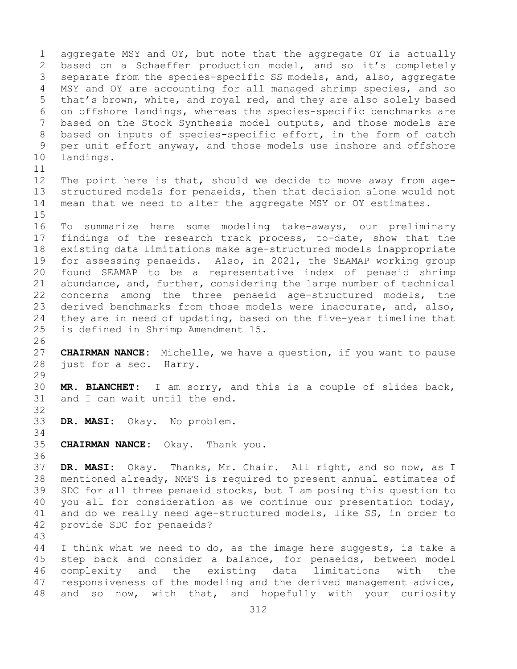1 aggregate MSY and OY, but note that the aggregate OY is actually<br>2 based on a Schaeffer production model, and so it's completely 2 based on a Schaeffer production model, and so it's completely<br>3 separate from the species-specific SS models, and, also, aggregate 3 separate from the species-specific SS models, and, also, aggregate<br>4 MSY and OY are accounting for all managed shrimp species, and so MSY and OY are accounting for all managed shrimp species, and so 5 that's brown, white, and royal red, and they are also solely based 6 on offshore landings, whereas the species-specific benchmarks are<br>7 based on the Stock Synthesis model outputs, and those models are 7 based on the Stock Synthesis model outputs, and those models are<br>8 based on inputs of species-specific effort, in the form of catch 8 based on inputs of species-specific effort, in the form of catch<br>9 per unit effort anyway, and those models use inshore and offshore 9 per unit effort anyway, and those models use inshore and offshore<br>10 landings. landings. 11<br>12 12 The point here is that, should we decide to move away from age-<br>13 structured models for penaeids, then that decision alone would not structured models for penaeids, then that decision alone would not 14 mean that we need to alter the aggregate MSY or OY estimates. 15<br>16 16 To summarize here some modeling take-aways, our preliminary<br>17 findings of the research track process, to-date, show that the 17 findings of the research track process, to-date, show that the<br>18 existing data limitations make age-structured models inappropriate 18 existing data limitations make age-structured models inappropriate<br>19 for assessing penaeids. Also, in 2021, the SEAMAP working group 19 for assessing penaeids. Also, in 2021, the SEAMAP working group<br>20 found SEAMAP to be a representative index of penaeid shrimp found SEAMAP to be a representative index of penaeid shrimp 21 abundance, and, further, considering the large number of technical<br>22 concerns among the three penaeid age-structured models, the 22 concerns among the three penaeid age-structured models, the<br>23 derived benchmarks from those models were inaccurate, and, also, 23 derived benchmarks from those models were inaccurate, and, also,<br>24 they are in need of updating, based on the five-year timeline that 24 they are in need of updating, based on the five-year timeline that<br>25 is defined in Shrimp Amendment 15. is defined in Shrimp Amendment 15. 26<br>27 CHAIRMAN NANCE: Michelle, we have a question, if you want to pause 28 just for a sec. Harry. 29<br>30 30 **MR. BLANCHET:** I am sorry, and this is a couple of slides back, and I can wait until the end. 32 33 **DR. MASI:** Okay. No problem. 34<br>35 35 **CHAIRMAN NANCE:** Okay. Thank you. 36 37 **DR. MASI:** Okay. Thanks, Mr. Chair. All right, and so now, as I 38 mentioned already, NMFS is required to present annual estimates of<br>39 SDC for all three penaeid stocks, but I am posing this question to 39 SDC for all three penaeid stocks, but I am posing this question to<br>40 you all for consideration as we continue our presentation today, 40 you all for consideration as we continue our presentation today,<br>41 and do we really need age-structured models, like SS, in order to 41 and do we really need age-structured models, like SS, in order to 42 provide SDC for penaeids? provide SDC for penaeids? 43 I think what we need to do, as the image here suggests, is take a 45 step back and consider a balance, for penaeids, between model 46 complexity and the existing data limitations with the<br>47 responsiveness of the modeling and the derived management advice, 47 responsiveness of the modeling and the derived management advice,<br>48 and so now, with that, and hopefully with your curiosity and so now, with that, and hopefully with your curiosity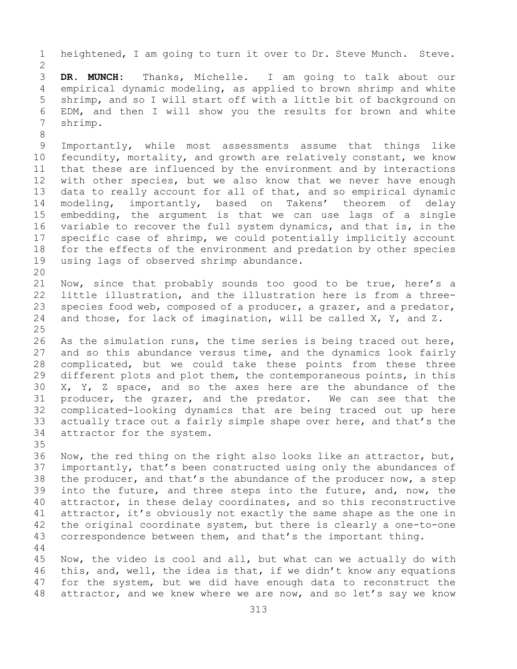1 heightened, I am going to turn it over to Dr. Steve Munch. Steve.  $\frac{2}{3}$ 3 **DR. MUNCH:** Thanks, Michelle. I am going to talk about our empirical dynamic modeling, as applied to brown shrimp and white 5 shrimp, and so I will start off with a little bit of background on 6 EDM, and then I will show you the results for brown and white shrimp. 8<br>9 9 Importantly, while most assessments assume that things like<br>10 fecundity, mortality, and growth are relatively constant, we know 10 fecundity, mortality, and growth are relatively constant, we know<br>11 that these are influenced by the environment and by interactions 11 that these are influenced by the environment and by interactions<br>12 with other species, but we also know that we never have enough 12 with other species, but we also know that we never have enough<br>13 data to really account for all of that, and so empirical dynamic data to really account for all of that, and so empirical dynamic 14 modeling, importantly, based on Takens' theorem of delay<br>15 embedding, the argument is that we can use lags of a single 15 embedding, the argument is that we can use lags of a single<br>16 variable to recover the full system dynamics, and that is, in the 16 variable to recover the full system dynamics, and that is, in the<br>17 specific case of shrimp, we could potentially implicitly account 17 specific case of shrimp, we could potentially implicitly account<br>18 for the effects of the environment and predation by other species 18 for the effects of the environment and predation by other species<br>19 using lags of observed shrimp abundance. using lags of observed shrimp abundance. 20<br>21 21 Now, since that probably sounds too good to be true, here's a<br>22 little illustration, and the illustration here is from a three-22 little illustration, and the illustration here is from a three-<br>23 species food web, composed of a producer, a grazer, and a predator, 23 species food web, composed of a producer, a grazer, and a predator,<br>24 and those, for lack of imagination, will be called X, Y, and Z. and those, for lack of imagination, will be called  $X$ ,  $Y$ , and  $Z$ .  $\frac{25}{26}$ 26 As the simulation runs, the time series is being traced out here,<br>27 and so this abundance versus time, and the dynamics look fairly 27 and so this abundance versus time, and the dynamics look fairly<br>28 complicated, but we could take these points from these three 28 complicated, but we could take these points from these three<br>29 different plots and plot them, the contemporaneous points, in this 29 different plots and plot them, the contemporaneous points, in this<br>30 X, Y, Z space, and so the axes here are the abundance of the 30 X, Y, Z space, and so the axes here are the abundance of the 31 producer, the grazer, and the predator. We can see that the 31 producer, the grazer, and the predator.<br>32 complicated-looking dynamics that are bein 32 complicated-looking dynamics that are being traced out up here<br>33 actually trace out a fairly simple shape over here, and that's the 33 actually trace out a fairly simple shape over here, and that's the attractor for the system. attractor for the system. 35<br>36 36 Now, the red thing on the right also looks like an attractor, but,<br>37 importantly, that's been constructed using only the abundances of 37 importantly, that's been constructed using only the abundances of the producer, and that's the abundance of the producer a step 38 the producer, and that's the abundance of the producer now, a step<br>39 into the future, and three steps into the future, and, now, the 39 into the future, and three steps into the future, and, now, the<br>40 attractor, in these delay coordinates, and so this reconstructive 40 attractor, in these delay coordinates, and so this reconstructive<br>41 attractor, it's obviously not exactly the same shape as the one in 41 attractor, it's obviously not exactly the same shape as the one in<br>42 the original coordinate system, but there is clearly a one-to-one 42 the original coordinate system, but there is clearly a one-to-one<br>43 correspondence between them, and that's the important thing. correspondence between them, and that's the important thing. 44 45 Now, the video is cool and all, but what can we actually do with 46 this, and, well, the idea is that, if we didn't know any equations<br>47 for the system, but we did have enough data to reconstruct the 47 for the system, but we did have enough data to reconstruct the<br>48 attractor, and we knew where we are now, and so let's say we know attractor, and we knew where we are now, and so let's say we know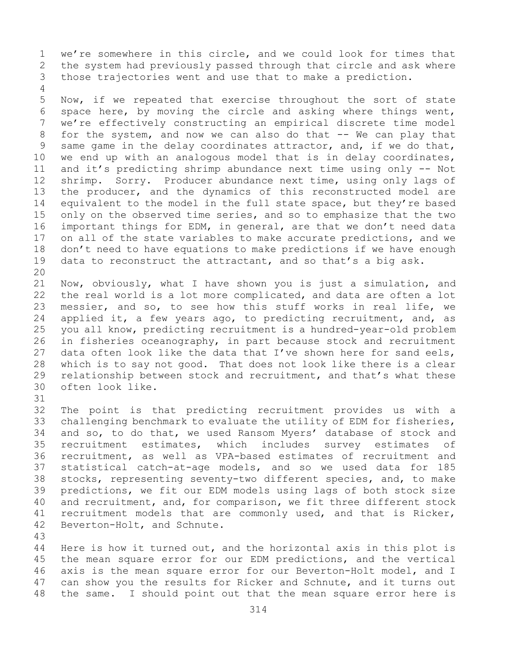1 we're somewhere in this circle, and we could look for times that<br>2 the system had previously passed through that circle and ask where 2 the system had previously passed through that circle and ask where<br>3 those trajectories went and use that to make a prediction. those trajectories went and use that to make a prediction.

5 Now, if we repeated that exercise throughout the sort of state 6 space here, by moving the circle and asking where things went,<br>7 we're effectivelv constructing an empirical discrete time model 7 we're effectively constructing an empirical discrete time model<br>8 for the system, and now we can also do that -- We can play that 8 for the system, and now we can also do that -- We can play that<br>9 same game in the delay coordinates attractor, and, if we do that, 9 same game in the delay coordinates attractor, and, if we do that,<br>10 we end up with an analogous model that is in delay coordinates, 10 we end up with an analogous model that is in delay coordinates,<br>11 and it's predicting shrimp abundance next time using only -- Not 11 and it's predicting shrimp abundance next time using only -- Not<br>12 shrimp. Sorry. Producer abundance next time, using only lags of 12 shrimp. Sorry. Producer abundance next time, using only lags of<br>13 the producer, and the dynamics of this reconstructed model are the producer, and the dynamics of this reconstructed model are 14 equivalent to the model in the full state space, but they're based<br>15 only on the observed time series, and so to emphasize that the two 15 only on the observed time series, and so to emphasize that the two<br>16 important things for EDM, in general, are that we don't need data 16 important things for EDM, in general, are that we don't need data<br>17 on all of the state variables to make accurate predictions, and we 17 on all of the state variables to make accurate predictions, and we<br>18 don't need to have equations to make predictions if we have enough 18 don't need to have equations to make predictions if we have enough<br>19 data to reconstruct the attractant, and so that's a big ask. data to reconstruct the attractant, and so that's a big ask.

20<br>21 21 Now, obviously, what I have shown you is just a simulation, and<br>22 the real world is a lot more complicated, and data are often a lot 22 the real world is a lot more complicated, and data are often a lot<br>23 messier, and so, to see how this stuff works in real life, we 23 messier, and so, to see how this stuff works in real life, we<br>24 applied it, a few years ago, to predicting recruitment, and, as 24 applied it, a few years ago, to predicting recruitment, and, as<br>25 you all know, predicting recruitment is a hundred-year-old problem 25 you all know, predicting recruitment is a hundred-year-old problem<br>26 in fisheries oceanography, in part because stock and recruitment 26 in fisheries oceanography, in part because stock and recruitment<br>27 data often look like the data that I've shown here for sand eels, data often look like the data that I've shown here for sand eels, 28 which is to say not good. That does not look like there is a clear<br>29 relationship between stock and recruitment, and that's what these 29 relationship between stock and recruitment, and that's what these<br>30 often look like. often look like.

31<br>32 32 The point is that predicting recruitment provides us with a<br>33 challenging benchmark to evaluate the utility of EDM for fisheries, 33 challenging benchmark to evaluate the utility of EDM for fisheries,<br>34 and so, to do that, we used Ransom Myers' database of stock and 34 and so, to do that, we used Ransom Myers' database of stock and<br>35 recruitment estimates, which includes survey estimates of 35 recruitment estimates, which includes survey estimates of<br>36 recruitment, as well as VPA-based estimates of recruitment and 36 recruitment, as well as VPA-based estimates of recruitment and<br>37 statistical catch-at-age models, and so we used data for 185 statistical catch-at-age models, and so we used data for 185 38 stocks, representing seventy-two different species, and, to make<br>39 predictions, we fit our EDM models using lags of both stock size 39 predictions, we fit our EDM models using lags of both stock size<br>40 and recruitment, and, for comparison, we fit three different stock 40 and recruitment, and, for comparison, we fit three different stock<br>41 recruitment models that are commonly used, and that is Ricker, 41 recruitment models that are commonly used, and that is Ricker,<br>42 Beverton-Holt, and Schnute. Beverton-Holt, and Schnute.

43

4

Here is how it turned out, and the horizontal axis in this plot is 45 the mean square error for our EDM predictions, and the vertical 46 axis is the mean square error for our Beverton-Holt model, and I<br>47 can show you the results for Ricker and Schnute, and it turns out 47 can show you the results for Ricker and Schnute, and it turns out<br>48 the same. I should point out that the mean square error here is the same. I should point out that the mean square error here is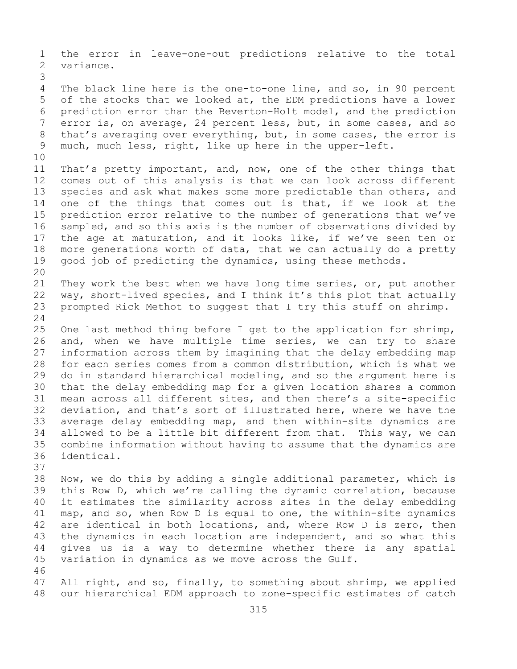1 the error in leave-one-out predictions relative to the total variance. 3 The black line here is the one-to-one line, and so, in 90 percent 5 of the stocks that we looked at, the EDM predictions have a lower 6 prediction error than the Beverton-Holt model, and the prediction 7 error is, on average, 24 percent less, but, in some cases, and so<br>8 that's averaging over everything, but, in some cases, the error is 8 that's averaging over everything, but, in some cases, the error is<br>9 much, much less, right, like up here in the upper-left. much, much less, right, like up here in the upper-left. 10<br>11 11 That's pretty important, and, now, one of the other things that<br>12 comes out of this analysis is that we can look across different comes out of this analysis is that we can look across different 13 species and ask what makes some more predictable than others, and 14 one of the things that comes out is that, if we look at the<br>15 prediction error relative to the number of generations that we've 15 prediction error relative to the number of generations that we've<br>16 sampled, and so this axis is the number of observations divided by 16 sampled, and so this axis is the number of observations divided by<br>17 the age at maturation, and it looks like, if we've seen ten or 17 the age at maturation, and it looks like, if we've seen ten or<br>18 more generations worth of data, that we can actually do a pretty 18 more generations worth of data, that we can actually do a pretty<br>19 qood job of predicting the dynamics, using these methods. good job of predicting the dynamics, using these methods. 20<br>21 21 They work the best when we have long time series, or, put another<br>22 way, short-lived species, and I think it's this plot that actually 22 way, short-lived species, and I think it's this plot that actually<br>23 prompted Rick Methot to suggest that I try this stuff on shrimp. prompted Rick Methot to suggest that I try this stuff on shrimp.  $\frac{24}{25}$ 25 One last method thing before I get to the application for shrimp,<br>26 and, when we have multiple time series, we can try to share 26 and, when we have multiple time series, we can try to share<br>27 information across them by imagining that the delay embedding map information across them by imagining that the delay embedding map 28 for each series comes from a common distribution, which is what we<br>29 do in standard hierarchical modeling, and so the argument here is 29 do in standard hierarchical modeling, and so the argument here is<br>30 that the delay embedding map for a given location shares a common 30 that the delay embedding map for a given location shares a common<br>31 mean across all different sites, and then there's a site-specific 31 mean across all different sites, and then there's a site-specific<br>32 deviation, and that's sort of illustrated here, where we have the deviation, and that's sort of illustrated here, where we have the 33 average delay embedding map, and then within-site dynamics are<br>34 allowed to be a little bit different from that. This way, we can 34 allowed to be a little bit different from that. This way, we can<br>35 combine information without having to assume that the dynamics are 35 combine information without having to assume that the dynamics are identical. 37 38 Now, we do this by adding a single additional parameter, which is<br>39 this Row D, which we're calling the dynamic correlation, because 39 this Row D, which we're calling the dynamic correlation, because<br>40 it estimates the similarity across sites in the delay embedding 40 it estimates the similarity across sites in the delay embedding<br>41 map, and so, when Row D is equal to one, the within-site dynamics 41 map, and so, when Row D is equal to one, the within-site dynamics<br>42 are identical in both locations, and, where Row D is zero, then 42 are identical in both locations, and, where Row D is zero, then<br>43 the dynamics in each location are independent, and so what this 43 the dynamics in each location are independent, and so what this<br>44 qives us is a way to determine whether there is any spatial gives us is a way to determine whether there is any spatial 45 variation in dynamics as we move across the Gulf. 46<br>47 47 All right, and so, finally, to something about shrimp, we applied<br>48 our hierarchical EDM approach to zone-specific estimates of catch our hierarchical EDM approach to zone-specific estimates of catch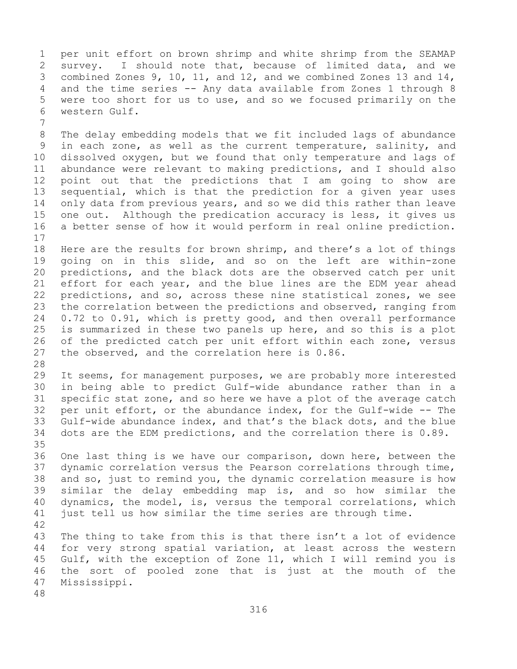1 per unit effort on brown shrimp and white shrimp from the SEAMAP<br>2 survey. I should note that, because of limited data, and we 2 survey. I should note that, because of limited data, and we<br>3 combined Zones 9, 10, 11, and 12, and we combined Zones 13 and 14, 3 combined Zones 9, 10, 11, and 12, and we combined Zones 13 and 14,<br>4 and the time series -- Any data available from Zones 1 through 8 4 and the time series -- Any data available from Zones 1 through 8<br>5 were too short for us to use, and so we focused primarily on the were too short for us to use, and so we focused primarily on the 6 western Gulf.

7 8 The delay embedding models that we fit included lags of abundance<br>9 in each zone, as well as the current temperature, salinity, and 9 in each zone, as well as the current temperature, salinity, and<br>10 dissolved oxygen, but we found that only temperature and lags of 10 dissolved oxygen, but we found that only temperature and lags of<br>11 abundance were relevant to making predictions, and I should also 11 abundance were relevant to making predictions, and I should also<br>12 point out that the predictions that I am going to show are point out that the predictions that I am going to show are 13 sequential, which is that the prediction for a given year uses 14 only data from previous years, and so we did this rather than leave<br>15 one out. Although the predication accuracy is less, it gives us 15 one out. Although the predication accuracy is less, it gives us<br>16 a better sense of how it would perform in real online prediction. a better sense of how it would perform in real online prediction.

 $\begin{array}{c} 17 \\ 18 \end{array}$ 18 Here are the results for brown shrimp, and there's a lot of things<br>19 qoing on in this slide, and so on the left are within-zone 19 going on in this slide, and so on the left are within-zone<br>20 predictions, and the black dots are the observed catch per unit 20 predictions, and the black dots are the observed catch per unit<br>21 effort for each year, and the blue lines are the EDM year ahead 21 effort for each year, and the blue lines are the EDM year ahead<br>22 predictions, and so, across these nine statistical zones, we see 22 predictions, and so, across these nine statistical zones, we see<br>23 the correlation between the predictions and observed, ranging from 23 the correlation between the predictions and observed, ranging from<br>24 0.72 to 0.91, which is pretty good, and then overall performance 24 0.72 to 0.91, which is pretty good, and then overall performance<br>25 is summarized in these two panels up here, and so this is a plot 25 is summarized in these two panels up here, and so this is a plot<br>26 of the predicted catch per unit effort within each zone, versus 26 of the predicted catch per unit effort within each zone, versus<br>27 the observed, and the correlation here is 0.86. the observed, and the correlation here is 0.86.

28<br>29

29 It seems, for management purposes, we are probably more interested<br>30 in being able to predict Gulf-wide abundance rather than in a 30 in being able to predict Gulf-wide abundance rather than in a<br>31 specific stat zone, and so here we have a plot of the average catch 31 specific stat zone, and so here we have a plot of the average catch<br>32 per unit effort, or the abundance index, for the Gulf-wide -- The per unit effort, or the abundance index, for the Gulf-wide -- The 33 Gulf-wide abundance index, and that's the black dots, and the blue<br>34 dots are the EDM predictions, and the correlation there is 0.89. dots are the EDM predictions, and the correlation there is 0.89.

35<br>36 One last thing is we have our comparison, down here, between the 37 dynamic correlation versus the Pearson correlations through time, 38 and so, just to remind you, the dynamic correlation measure is how<br>39 similar the delay embedding map is, and so how similar the 39 similar the delay embedding map is, and so how similar the<br>40 dynamics, the model, is, versus the temporal correlations, which 40 dynamics, the model, is, versus the temporal correlations, which<br>41 just tell us how similar the time series are through time. just tell us how similar the time series are through time.

 $42$ <br> $43$ 43 The thing to take from this is that there isn't a lot of evidence<br>44 for very strong spatial variation, at least across the western for very strong spatial variation, at least across the western 45 Gulf, with the exception of Zone 11, which I will remind you is 46 the sort of pooled zone that is just at the mouth of the 47 Mississippi. Mississippi.

48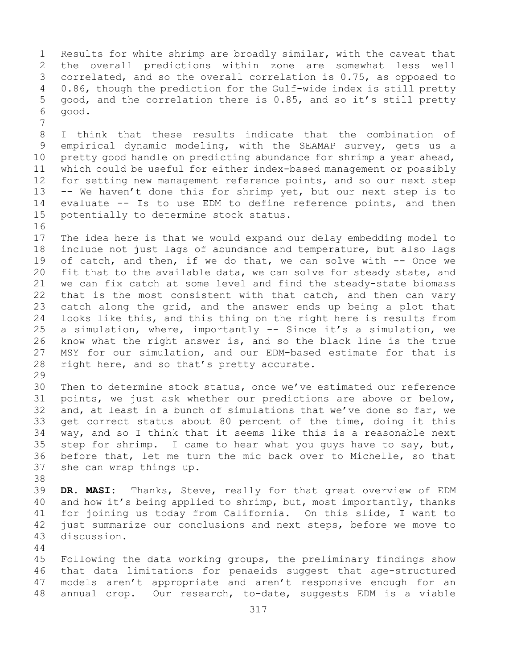1 Results for white shrimp are broadly similar, with the caveat that<br>2 the overall predictions within zone are somewhat less well 2 the overall predictions within zone are somewhat less well<br>3 correlated, and so the overall correlation is 0.75, as opposed to 3 correlated, and so the overall correlation is 0.75, as opposed to<br>4 0.86, though the prediction for the Gulf-wide index is still pretty 0.86, though the prediction for the Gulf-wide index is still pretty 5 good, and the correlation there is 0.85, and so it's still pretty 6 good.

7 8 I think that these results indicate that the combination of<br>9 empirical dynamic modeling, with the SEAMAP survey, gets us a 9 empirical dynamic modeling, with the SEAMAP survey, gets us a<br>10 pretty good handle on predicting abundance for shrimp a year ahead, 10 pretty good handle on predicting abundance for shrimp a year ahead,<br>11 which could be useful for either index-based management or possibly 11 which could be useful for either index-based management or possibly<br>12 for setting new management reference points, and so our next step for setting new management reference points, and so our next step 13 -- We haven't done this for shrimp yet, but our next step is to 14 evaluate -- Is to use EDM to define reference points, and then<br>15 potentially to determine stock status. potentially to determine stock status.

16<br>17 17 The idea here is that we would expand our delay embedding model to<br>18 include not just lags of abundance and temperature, but also lags 18 include not just lags of abundance and temperature, but also lags<br>19 of catch, and then, if we do that, we can solve with -- Once we 19 of catch, and then, if we do that, we can solve with  $-$  Once we<br>20 fit that to the available data, we can solve for steady state, and 20 fit that to the available data, we can solve for steady state, and<br>21 we can fix catch at some level and find the steady-state biomass 21 we can fix catch at some level and find the steady-state biomass<br>22 that is the most consistent with that catch, and then can vary 22 that is the most consistent with that catch, and then can vary<br>23 catch along the grid, and the answer ends up being a plot that 23 catch along the grid, and the answer ends up being a plot that<br>24 looks like this, and this thing on the right here is results from 24 looks like this, and this thing on the right here is results from<br>25 a simulation, where, importantly -- Since it's a simulation, we 25 a simulation, where, importantly  $-$  Since it's a simulation, we<br>26 know what the right answer is, and so the black line is the true 26 know what the right answer is, and so the black line is the true<br>27 MSY for our simulation, and our EDM-based estimate for that is MSY for our simulation, and our EDM-based estimate for that is 28 right here, and so that's pretty accurate.

29<br>30 30 Then to determine stock status, once we've estimated our reference<br>31 points, we just ask whether our predictions are above or below, 31 points, we just ask whether our predictions are above or below,<br>32 and, at least in a bunch of simulations that we've done so far, we and, at least in a bunch of simulations that we've done so far, we 33 get correct status about 80 percent of the time, doing it this<br>34 way, and so I think that it seems like this is a reasonable next 34 way, and so I think that it seems like this is a reasonable next<br>35 step for shrimp. I came to hear what you quys have to say, but, 35 step for shrimp. I came to hear what you guys have to say, but,<br>36 before that, let me turn the mic back over to Michelle, so that 36 before that, let me turn the mic back over to Michelle, so that<br>37 she can wrap things up. she can wrap things up.

38<br>39 39 **DR. MASI:** Thanks, Steve, really for that great overview of EDM<br>40 and how it's being applied to shrimp, but, most importantly, thanks 40 and how it's being applied to shrimp, but, most importantly, thanks<br>41 for joining us today from California. On this slide, I want to 41 for joining us today from California. On this slide, I want to<br>42 just summarize our conclusions and next steps, before we move to 42 just summarize our conclusions and next steps, before we move to 43 discussion. discussion.

44

45 Following the data working groups, the preliminary findings show 46 that data limitations for penaeids suggest that age-structured<br>47 models aren't appropriate and aren't responsive enough for an 47 models aren't appropriate and aren't responsive enough for an<br>48 annual crop. Our research, to-date, suggests EDM is a viable annual crop. Our research, to-date, suggests EDM is a viable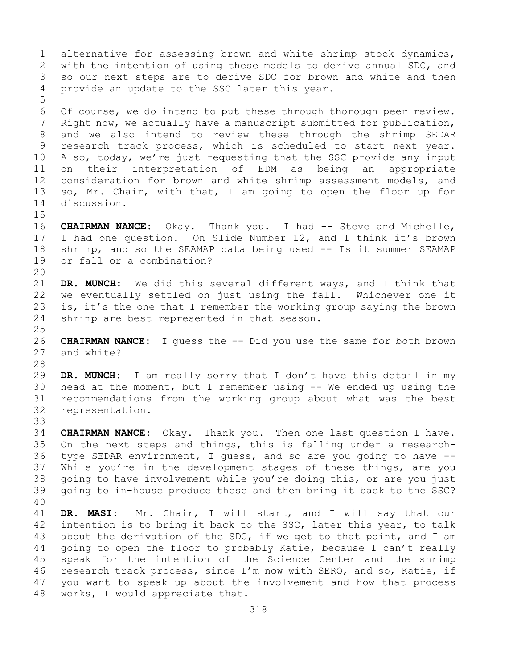1 alternative for assessing brown and white shrimp stock dynamics,<br>2 with the intention of using these models to derive annual SDC, and 2 with the intention of using these models to derive annual SDC, and<br>3 so our next steps are to derive SDC for brown and white and then 3 so our next steps are to derive SDC for brown and white and then<br>4 provide an update to the SSC later this year. provide an update to the SSC later this year. 5 6 Of course, we do intend to put these through thorough peer review.<br>7 Right now, we actually have a manuscript submitted for publication, 7 Right now, we actually have a manuscript submitted for publication,<br>8 and we also intend to review these through the shrimp SEDAR 8 and we also intend to review these through the shrimp SEDAR<br>9 research track process, which is scheduled to start next year. 9 research track process, which is scheduled to start next year.<br>10 Also, today, we're just requesting that the SSC provide any input 10 Also, today, we're just requesting that the SSC provide any input<br>11 on their interpretation of EDM as being an appropriate 11 on their interpretation of EDM as being an appropriate<br>12 consideration for brown and white shrimp assessment models, and 12 consideration for brown and white shrimp assessment models, and<br>13 so, Mr. Chair, with that, I am going to open the floor up for so, Mr. Chair, with that, I am going to open the floor up for 14 discussion.  $15$ <br> $16$ 16 **CHAIRMAN NANCE:** Okay. Thank you. I had -- Steve and Michelle,<br>17 I had one question. On Slide Number 12, and I think it's brown 17 I had one question. On Slide Number 12, and I think it's brown<br>18 shrimp, and so the SEAMAP data being used -- Is it summer SEAMAP 18 shrimp, and so the SEAMAP data being used -- Is it summer SEAMAP<br>19 or fall or a combination? or fall or a combination? 20<br>21 21 **DR. MUNCH:** We did this several different ways, and I think that 22 we eventually settled on just using the fall. Whichever one it<br>23 is, it's the one that I remember the working group saying the brown 23 is, it's the one that I remember the working group saying the brown<br>24 shrimp are best represented in that season. shrimp are best represented in that season.  $\frac{25}{26}$ 26 **CHAIRMAN NANCE:** I guess the -- Did you use the same for both brown and white? 28<br>29 29 **DR. MUNCH:** I am really sorry that I don't have this detail in my 30 head at the moment, but I remember using -- We ended up using the<br>31 recommendations from the working group about what was the best 31 recommendations from the working group about what was the best

representation.

33<br>34 34 **CHAIRMAN NANCE:** Okay. Thank you. Then one last question I have. 35 On the next steps and things, this is falling under a research-<br>36 type SEDAR environment, I quess, and so are you going to have --36 type SEDAR environment, I guess, and so are you going to have --<br>37 While you're in the development stages of these things, are you While you're in the development stages of these things, are you 38 going to have involvement while you're doing this, or are you just<br>39 qoing to in-house produce these and then bring it back to the SSC? 39 going to in-house produce these and then bring it back to the SSC?

40 41 **DR. MASI:** Mr. Chair, I will start, and I will say that our 42 intention is to bring it back to the SSC, later this year, to talk<br>43 about the derivation of the SDC, if we get to that point, and I am 43 about the derivation of the SDC, if we get to that point, and I am<br>44 qoing to open the floor to probably Katie, because I can't really going to open the floor to probably Katie, because I can't really 45 speak for the intention of the Science Center and the shrimp 46 research track process, since I'm now with SERO, and so, Katie, if<br>47 vou want to speak up about the involvement and how that process 47 you want to speak up about the involvement and how that process<br>48 works, I would appreciate that. works, I would appreciate that.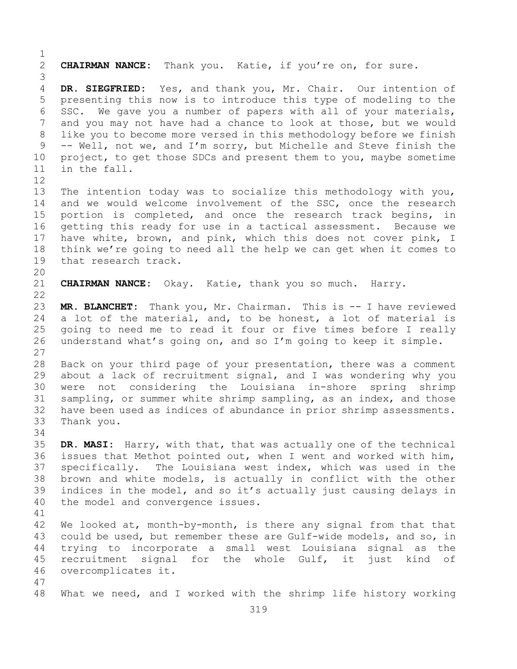$\frac{1}{2}$ 2 **CHAIRMAN NANCE:** Thank you. Katie, if you're on, for sure. 3 DR. SIEGFRIED: Yes, and thank you, Mr. Chair. Our intention of 5 presenting this now is to introduce this type of modeling to the 6 SSC. We gave you a number of papers with all of your materials,<br>7 and you may not have had a chance to look at those, but we would 7 and you may not have had a chance to look at those, but we would<br>8 like you to become more versed in this methodology before we finish 8 like you to become more versed in this methodology before we finish<br>9 -- Well, not we, and I'm sorry, but Michelle and Steve finish the 9 -- Well, not we, and I'm sorry, but Michelle and Steve finish the<br>10 project, to get those SDCs and present them to you, maybe sometime 10 project, to get those SDCs and present them to you, maybe sometime<br>11 in the fall. in the fall. 12<br>13 The intention today was to socialize this methodology with you, 14 and we would welcome involvement of the SSC, once the research<br>15 portion is completed, and once the research track begins, in 15 portion is completed, and once the research track begins, in<br>16 qetting this ready for use in a tactical assessment. Because we 16 getting this ready for use in a tactical assessment. Because we<br>17 have white, brown, and pink, which this does not cover pink, I 17 have white, brown, and pink, which this does not cover pink, I<br>18 think we're going to need all the help we can get when it comes to 18 think we're going to need all the help we can get when it comes to<br>19 that research track. that research track. 20<br>21 21 **CHAIRMAN NANCE:** Okay. Katie, thank you so much. Harry.  $\begin{array}{c} 22 \\ 23 \end{array}$ 23 **MR. BLANCHET:** Thank you, Mr. Chairman. This is -- I have reviewed 24 a lot of the material, and, to be honest, a lot of material is<br>25 qoing to need me to read it four or five times before I really 25 going to need me to read it four or five times before I really<br>26 understand what's going on, and so I'm going to keep it simple. understand what's going on, and so I'm going to keep it simple. 27 28 Back on your third page of your presentation, there was a comment<br>29 about a lack of recruitment signal, and I was wondering why you 29 about a lack of recruitment signal, and I was wondering why you<br>30 were not considering the Louisiana in-shore spring shrimp 30 were not considering the Louisiana in-shore spring shrimp<br>31 sampling, or summer white shrimp sampling, as an index, and those 31 sampling, or summer white shrimp sampling, as an index, and those<br>32 have been used as indices of abundance in prior shrimp assessments. have been used as indices of abundance in prior shrimp assessments. 33 Thank you. 34<br>35 35 **DR. MASI:** Harry, with that, that was actually one of the technical issues that Methot pointed out, when I went and worked with him, 37 specifically. The Louisiana west index, which was used in the 38 brown and white models, is actually in conflict with the other<br>39 indices in the model, and so it's actually just causing delays in 39 indices in the model, and so it's actually just causing delays in<br>40 the model and convergence issues. the model and convergence issues. 41<br>42 42 We looked at, month-by-month, is there any signal from that that<br>43 could be used, but remember these are Gulf-wide models, and so, in 43 could be used, but remember these are Gulf-wide models, and so, in<br>44 trying to incorporate a small west Louisiana signal as the trying to incorporate a small west Louisiana signal as the 45 recruitment signal for the whole Gulf, it just kind of 46 overcomplicates it. 47 What we need, and I worked with the shrimp life history working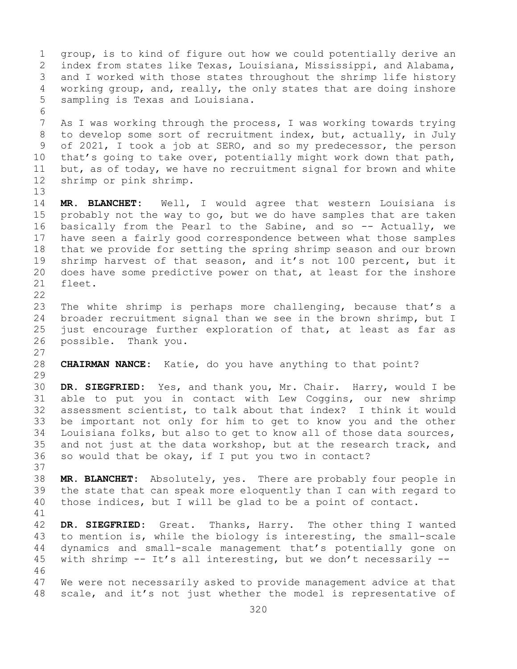1 group, is to kind of figure out how we could potentially derive an<br>2 index from states like Texas, Louisiana, Mississippi, and Alabama, 2 index from states like Texas, Louisiana, Mississippi, and Alabama,<br>3 and I worked with those states throughout the shrimp life history 3 and I worked with those states throughout the shrimp life history<br>4 working group, and, really, the only states that are doing inshore working group, and, really, the only states that are doing inshore 5 sampling is Texas and Louisiana. 6<br>7 7 As I was working through the process, I was working towards trying<br>8 to develop some sort of recruitment index, but, actually, in July 8 to develop some sort of recruitment index, but, actually, in July<br>9 of 2021, I took a job at SERO, and so my predecessor, the person 9 of 2021, I took a job at SERO, and so my predecessor, the person<br>10 that's going to take over, potentially might work down that path, 10 that's going to take over, potentially might work down that path,<br>11 but, as of today, we have no recruitment signal for brown and white 11 but, as of today, we have no recruitment signal for brown and white<br>12 shrimp or pink shrimp. shrimp or pink shrimp. 13 14 **MR. BLANCHET:** Well, I would agree that western Louisiana is 15 probably not the way to go, but we do have samples that are taken<br>16 basically from the Pearl to the Sabine, and so -- Actually, we 16 basically from the Pearl to the Sabine, and so -- Actually, we<br>17 have seen a fairly good correspondence between what those samples 17 have seen a fairly good correspondence between what those samples<br>18 that we provide for setting the spring shrimp season and our brown 18 that we provide for setting the spring shrimp season and our brown<br>19 shrimp harvest of that season, and it's not 100 percent, but it 19 shrimp harvest of that season, and it's not 100 percent, but it<br>20 does have some predictive power on that, at least for the inshore 20 does have some predictive power on that, at least for the inshore 21 fleet. fleet.  $\begin{array}{c} 22 \\ 23 \end{array}$ 23 The white shrimp is perhaps more challenging, because that's a<br>24 broader recruitment signal than we see in the brown shrimp, but I 24 broader recruitment signal than we see in the brown shrimp, but I<br>25 just encourage further exploration of that, at least as far as 25 just encourage further exploration of that, at least as far as far as<br>26 possible. Thank you. possible. Thank you.  $\frac{27}{28}$ **CHAIRMAN NANCE:** Katie, do you have anything to that point? 29<br>30 30 **DR. SIEGFRIED:** Yes, and thank you, Mr. Chair. Harry, would I be 31 able to put you in contact with Lew Coggins, our new shrimp<br>32 assessment scientist, to talk about that index? I think it would assessment scientist, to talk about that index? I think it would 33 be important not only for him to get to know you and the other<br>34 Iouisiana folks, but also to get to know all of those data sources, 34 Louisiana folks, but also to get to know all of those data sources,<br>35 and not just at the data workshop, but at the research track, and 35 and not just at the data workshop, but at the research track, and<br>36 so would that be okay, if I put you two in contact? so would that be okay, if I put you two in contact? 37 38 **MR. BLANCHET:** Absolutely, yes. There are probably four people in 39 the state that can speak more eloquently than I can with regard to<br>40 those indices, but I will be glad to be a point of contact. those indices, but I will be glad to be a point of contact. 41<br>42 42 **DR. SIEGFRIED:** Great. Thanks, Harry. The other thing I wanted<br>43 to mention is, while the biology is interesting, the small-scale 43 to mention is, while the biology is interesting, the small-scale<br>44 dynamics and small-scale management that's potentially gone on 44 dynamics and small-scale management that's potentially gone on 45 with shrimp -- It's all interesting, but we don't necessarily -- 46<br>47 47 We were not necessarily asked to provide management advice at that<br>48 scale, and it's not just whether the model is representative of scale, and it's not just whether the model is representative of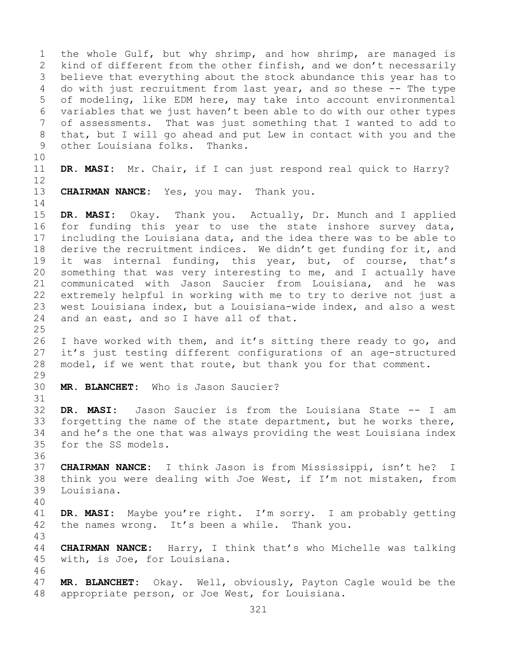1 the whole Gulf, but why shrimp, and how shrimp, are managed is<br>2 kind of different from the other finfish, and we don't necessarily 2 kind of different from the other finfish, and we don't necessarily<br>3 believe that everything about the stock abundance this year has to 3 believe that everything about the stock abundance this year has to<br>4 do with just recruitment from last year, and so these -- The type 4 do with just recruitment from last year, and so these -- The type 5 of modeling, like EDM here, may take into account environmental 6 variables that we just haven't been able to do with our other types<br>7 of assessments. That was just something that I wanted to add to 7 of assessments. That was just something that I wanted to add to<br>8 that, but I will go ahead and put Lew in contact with you and the 8 that, but I will go ahead and put Lew in contact with you and the<br>9 other Louisiana folks. Thanks. other Louisiana folks. Thanks. 10<br>11 DR. MASI: Mr. Chair, if I can just respond real quick to Harry? 12 13 **CHAIRMAN NANCE:** Yes, you may. Thank you.  $\frac{14}{15}$ 15 **DR. MASI:** Okay. Thank you. Actually, Dr. Munch and I applied 16 for funding this year to use the state inshore survey data,<br>17 including the Louisiana data, and the idea there was to be able to 17 including the Louisiana data, and the idea there was to be able to<br>18 derive the recruitment indices. We didn't get funding for it, and 18 derive the recruitment indices. We didn't get funding for it, and<br>19 it was internal funding, this year, but, of course, that's 19 it was internal funding, this year, but, of course, that's<br>20 something that was very interesting to me, and I actually have 20 something that was very interesting to me, and I actually have<br>21 communicated with Jason Saucier from Louisiana, and he was 21 communicated with Jason Saucier from Louisiana, and he was<br>22 extremely helpful in working with me to try to derive not just a 22 extremely helpful in working with me to try to derive not just a<br>23 west Louisiana index, but a Louisiana-wide index, and also a west 23 west Louisiana index, but a Louisiana-wide index, and also a west<br>24 and an east, and so I have all of that. and an east, and so I have all of that.  $\frac{25}{26}$ 26 I have worked with them, and it's sitting there ready to go, and<br>27 it's just testing different configurations of an age-structured it's just testing different configurations of an age-structured 28 model, if we went that route, but thank you for that comment. 29<br>30 MR. BLANCHET: Who is Jason Saucier? 31<br>32 DR. MASI: Jason Saucier is from the Louisiana State -- I am 33 forgetting the name of the state department, but he works there,<br>34 and he's the one that was always providing the west Louisiana index 34 and he's the one that was always providing the west Louisiana index<br>35 for the SS models. for the SS models. 36 37 **CHAIRMAN NANCE:** I think Jason is from Mississippi, isn't he? I 38 think you were dealing with Joe West, if I'm not mistaken, from<br>39 Louisiana. Louisiana. 40 41 **DR. MASI:** Maybe you're right. I'm sorry. I am probably getting the names wrong. It's been a while. Thank you. 43 CHAIRMAN NANCE: Harry, I think that's who Michelle was talking 45 with, is Joe, for Louisiana. 46<br>47 47 **MR. BLANCHET:** Okay. Well, obviously, Payton Cagle would be the appropriate person, or Joe West, for Louisiana.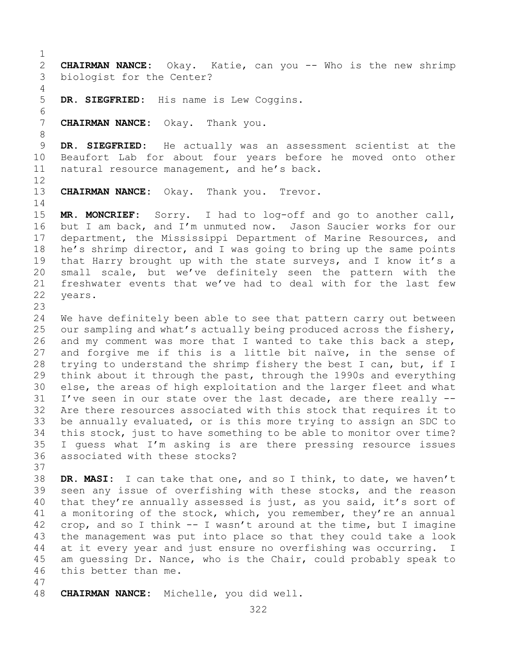$\frac{1}{2}$ 2 **CHAIRMAN NANCE:** Okay. Katie, can you -- Who is the new shrimp biologist for the Center?

DR. SIEGFRIED: His name is Lew Coggins.

**CHAIRMAN NANCE:** Okay. Thank you.

8 9 **DR. SIEGFRIED:** He actually was an assessment scientist at the<br>10 Beaufort Lab for about four years before he moved onto other 10 Beaufort Lab for about four years before he moved onto other<br>11 natural resource management, and he's back. natural resource management, and he's back.

12

4<br>5

6<br>7

13 **CHAIRMAN NANCE:** Okay. Thank you. Trevor.

 $\frac{14}{15}$ 15 **MR. MONCRIEF:** Sorry. I had to log-off and go to another call,<br>16 but I am back, and I'm unmuted now. Jason Saucier works for our 16 but I am back, and I'm unmuted now. Jason Saucier works for our<br>17 department, the Mississippi Department of Marine Resources, and 17 department, the Mississippi Department of Marine Resources, and<br>18 he's shrimp director, and I was going to bring up the same points 18 he's shrimp director, and I was going to bring up the same points<br>19 that Harry brought up with the state surveys, and I know it's a 19 that Harry brought up with the state surveys, and I know it's a<br>20 small scale, but we've definitely seen the pattern with the 20 small scale, but we've definitely seen the pattern with the<br>21 freshwater events that we've had to deal with for the last few 21 freshwater events that we've had to deal with for the last few years.

 $\frac{23}{24}$ 

24 We have definitely been able to see that pattern carry out between<br>25 our sampling and what's actually being produced across the fishery, 25 our sampling and what's actually being produced across the fishery,<br>26 and my comment was more that I wanted to take this back a step, 26 and my comment was more that I wanted to take this back a step,<br>27 and forgive me if this is a little bit naïve, in the sense of and forgive me if this is a little bit naïve, in the sense of 28 trying to understand the shrimp fishery the best I can, but, if I<br>29 think about it through the past, through the 1990s and everything 29 think about it through the past, through the 1990s and everything<br>30 else, the areas of high exploitation and the larger fleet and what 30 else, the areas of high exploitation and the larger fleet and what<br>31 I've seen in our state over the last decade, are there really --31 I've seen in our state over the last decade, are there really --<br>32 Are there resources associated with this stock that requires it to Are there resources associated with this stock that requires it to 33 be annually evaluated, or is this more trying to assign an SDC to<br>34 this stock, just to have something to be able to monitor over time? 34 this stock, just to have something to be able to monitor over time?<br>35 I quess what I'm asking is are there pressing resource issues 35 I guess what I'm asking is are there pressing resource issues<br>36 associated with these stocks? associated with these stocks? 37

38 **DR. MASI:** I can take that one, and so I think, to date, we haven't 39 seen any issue of overfishing with these stocks, and the reason<br>40 that they're annually assessed is just, as you said, it's sort of 40 that they're annually assessed is just, as you said, it's sort of 41 a monitoring of the stock, which, you remember, they're an annual 41 a monitoring of the stock, which, you remember, they're an annual<br>42 crop, and so I think -- I wasn't around at the time, but I imagine 42 crop, and so I think  $-$  I wasn't around at the time, but I imagine<br>43 the management was put into place so that they could take a look 43 the management was put into place so that they could take a look<br>44 at it every year and just ensure no overfishing was occurring. I at it every year and just ensure no overfishing was occurring. I 45 am guessing Dr. Nance, who is the Chair, could probably speak to 46 this better than me.

47 48 **CHAIRMAN NANCE:** Michelle, you did well.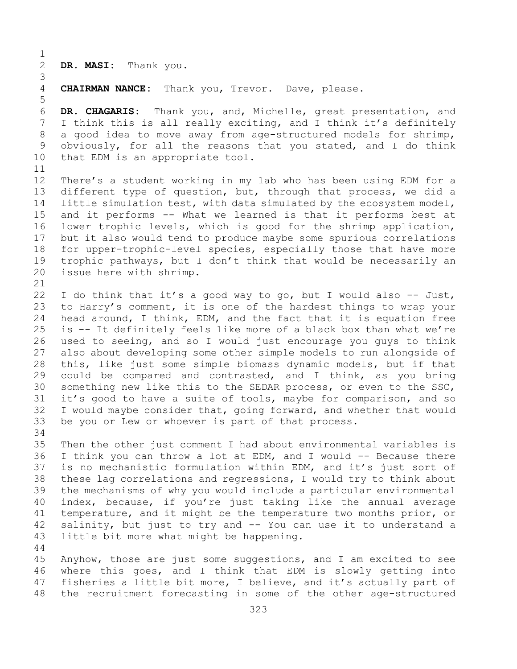$\frac{1}{2}$ DR. MASI: Thank you.

3 CHAIRMAN NANCE: Thank you, Trevor. Dave, please.

6 **DR. CHAGARIS:** Thank you, and, Michelle, great presentation, and 7 I think this is all really exciting, and I think it's definitely<br>8 a good idea to move away from age-structured models for shrimp, 8 a good idea to move away from age-structured models for shrimp,<br>9 obviously, for all the reasons that you stated, and I do think 9 obviously, for all the reasons that you stated, and I do think<br>10 that EDM is an appropriate tool. that EDM is an appropriate tool.

11<br>12 12 There's a student working in my lab who has been using EDM for a<br>13 different type of question, but, through that process, we did a different type of question, but, through that process, we did a 14 little simulation test, with data simulated by the ecosystem model,<br>15 and it performs -- What we learned is that it performs best at 15 and it performs -- What we learned is that it performs best at<br>16 lower trophic levels, which is good for the shrimp application, 16 lower trophic levels, which is good for the shrimp application,<br>17 but it also would tend to produce maybe some spurious correlations 17 but it also would tend to produce maybe some spurious correlations<br>18 for upper-trophic-level species, especially those that have more 18 for upper-trophic-level species, especially those that have more<br>19 trophic pathways, but I don't think that would be necessarily an 19 trophic pathways, but I don't think that would be necessarily an  $20$  issue here with shrimp. issue here with shrimp.

44

5

21<br>22 22 I do think that it's a good way to go, but I would also -- Just,<br>23 to Harry's comment, it is one of the hardest things to wrap your 23 to Harry's comment, it is one of the hardest things to wrap your<br>24 head around, I think, EDM, and the fact that it is equation free 24 head around, I think, EDM, and the fact that it is equation free<br>25 is -- It definitely feels like more of a black box than what we're 25 is  $-$  It definitely feels like more of a black box than what we're<br>26 used to seeing, and so I would just encourage you quys to think 26 used to seeing, and so I would just encourage you guys to think<br>27 also about developing some other simple models to run alongside of also about developing some other simple models to run alongside of 28 this, like just some simple biomass dynamic models, but if that<br>29 could be compared and contrasted, and I think, as you bring 29 could be compared and contrasted, and I think, as you bring<br>30 something new like this to the SEDAR process, or even to the SSC, 30 something new like this to the SEDAR process, or even to the SSC,<br>31 it's good to have a suite of tools, maybe for comparison, and so 31 it's good to have a suite of tools, maybe for comparison, and so<br>32 I would maybe consider that, going forward, and whether that would 32 I would maybe consider that, going forward, and whether that would<br>33 be you or Lew or whoever is part of that process. be you or Lew or whoever is part of that process.

34<br>35 35 Then the other just comment I had about environmental variables is<br>36 I think you can throw a lot at EDM, and I would -- Because there 36 I think you can throw a lot at EDM, and I would  $-$  Because there<br>37 is no mechanistic formulation within EDM, and it's just sort of is no mechanistic formulation within EDM, and it's just sort of 38 these lag correlations and regressions, I would try to think about<br>39 the mechanisms of why you would include a particular environmental 39 the mechanisms of why you would include a particular environmental<br>40 index, because, if you're just taking like the annual average 40 index, because, if you're just taking like the annual average<br>41 temperature, and it might be the temperature two months prior, or 41 temperature, and it might be the temperature two months prior, or<br>42 salinity, but just to try and -- You can use it to understand a 42 salinity, but just to try and  $-$  You can use it to understand a 43 little bit more what might be happening. little bit more what might be happening.

45 Anyhow, those are just some suggestions, and I am excited to see 46 where this goes, and I think that EDM is slowly getting into<br>47 fisheries a little bit more, I believe, and it's actually part of 47 fisheries a little bit more, I believe, and it's actually part of<br>48 the recruitment forecasting in some of the other age-structured the recruitment forecasting in some of the other age-structured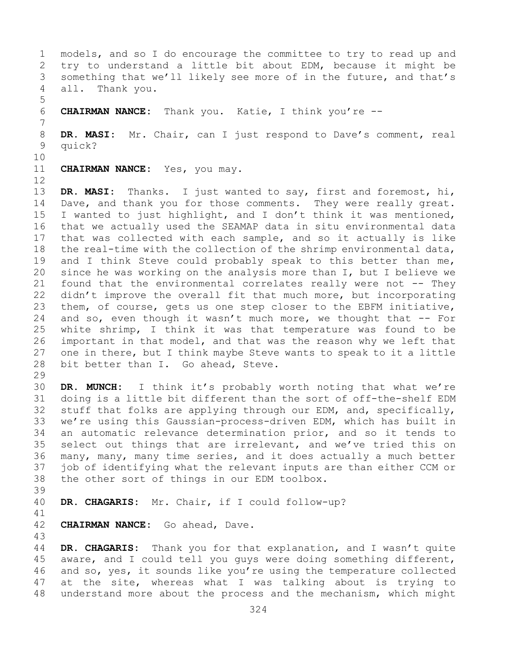1 models, and so I do encourage the committee to try to read up and<br>2 try to understand a little bit about EDM, because it might be 2 try to understand a little bit about EDM, because it might be<br>3 something that we'll likely see more of in the future, and that's 3 something that we'll likely see more of in the future, and that's all. Thank you. Thank you. 5 6 **CHAIRMAN NANCE:** Thank you. Katie, I think you're -- 7 8 **DR. MASI:** Mr. Chair, can I just respond to Dave's comment, real<br>9 quick? 9 quick? 10<br>11 CHAIRMAN NANCE: Yes, you may. 12<br>13 DR. MASI: Thanks. I just wanted to say, first and foremost, hi, 14 Dave, and thank you for those comments. They were really great.<br>15 I wanted to just highlight, and I don't think it was mentioned, 15 I wanted to just highlight, and I don't think it was mentioned,<br>16 that we actually used the SEAMAP data in situ environmental data 16 that we actually used the SEAMAP data in situ environmental data<br>17 that was collected with each sample, and so it actually is like 17 that was collected with each sample, and so it actually is like<br>18 the real-time with the collection of the shrimp environmental data, 18 the real-time with the collection of the shrimp environmental data,<br>19 and I think Steve could probably speak to this better than me, 19 and I think Steve could probably speak to this better than me,<br>20 since he was working on the analysis more than I, but I believe we 20 since he was working on the analysis more than  $I$ , but I believe we<br>21 found that the environmental correlates really were not  $-$ - They 21 found that the environmental correlates really were not  $-$ - They<br>22 didn't improve the overall fit that much more, but incorporating 22 didn't improve the overall fit that much more, but incorporating<br>23 them, of course, gets us one step closer to the EBFM initiative, 23 them, of course, gets us one step closer to the EBFM initiative,<br>24 and so, even though it wasn't much more, we thought that -- For 24 and so, even though it wasn't much more, we thought that  $-$  For<br>25 white shrimp, I think it was that temperature was found to be

25 white shrimp, I think it was that temperature was found to be<br>26 important in that model, and that was the reason why we left that 26 important in that model, and that was the reason why we left that<br>27 one in there, but I think maybe Steve wants to speak to it a little one in there, but I think maybe Steve wants to speak to it a little 28 bit better than I. Go ahead, Steve.

29<br>30 30 **DR. MUNCH:** I think it's probably worth noting that what we're 31 doing is a little bit different than the sort of off-the-shelf EDM<br>32 stuff that folks are applying through our EDM, and, specifically, stuff that folks are applying through our EDM, and, specifically, 33 we're using this Gaussian-process-driven EDM, which has built in<br>34 an automatic relevance determination prior, and so it tends to 34 an automatic relevance determination prior, and so it tends to<br>35 select out things that are irrelevant, and we've tried this on 35 select out things that are irrelevant, and we've tried this on<br>36 many, many, many time series, and it does actually a much better 36 many, many, many time series, and it does actually a much better<br>37 job of identifying what the relevant inputs are than either CCM or job of identifying what the relevant inputs are than either CCM or 38 the other sort of things in our EDM toolbox.

39

DR. CHAGARIS: Mr. Chair, if I could follow-up?

- 41<br>42 CHAIRMAN NANCE: Go ahead, Dave.
- 43

DR. CHAGARIS: Thank you for that explanation, and I wasn't quite 45 aware, and I could tell you guys were doing something different, 46 and so, yes, it sounds like you're using the temperature collected<br>47 at the site, whereas what I was talking about is trying to 47 at the site, whereas what I was talking about is trying to<br>48 understand more about the process and the mechanism, which might understand more about the process and the mechanism, which might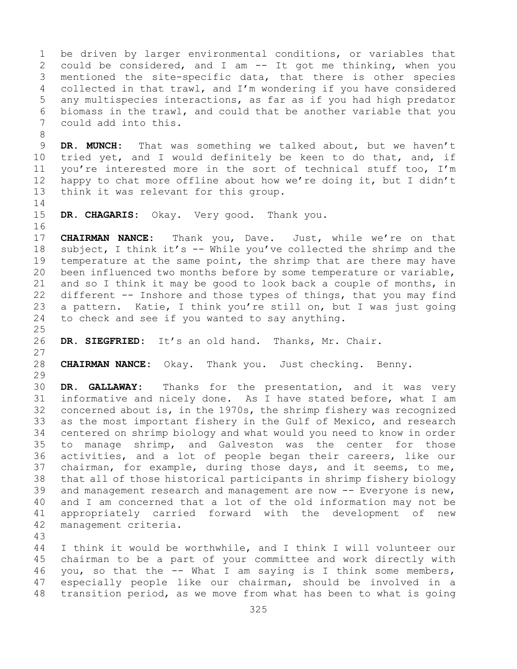1 be driven by larger environmental conditions, or variables that<br>2 could be considered, and I am -- It got me thinking, when you 2 could be considered, and I am -- It got me thinking, when you<br>3 mentioned the site-specific data, that there is other species 3 mentioned the site-specific data, that there is other species<br>4 collected in that trawl, and I'm wondering if you have considered collected in that trawl, and I'm wondering if you have considered 5 any multispecies interactions, as far as if you had high predator 6 biomass in the trawl, and could that be another variable that you<br>7 could add into this. could add into this. 8<br>9 9 **DR. MUNCH:** That was something we talked about, but we haven't 10 tried yet, and I would definitely be keen to do that, and, if 10 tried yet, and I would definitely be keen to do that, and, if<br>11 vou're interested more in the sort of technical stuff too. I'm 11 you're interested more in the sort of technical stuff too, I'm<br>12 happy to chat more offline about how we're doing it, but I didn't 12 happy to chat more offline about how we're doing it, but I didn't<br>13 think it was relevant for this group. think it was relevant for this group.  $\frac{14}{15}$ DR. CHAGARIS: Okay. Very good. Thank you. 16<br>17 17 **CHAIRMAN NANCE:** Thank you, Dave. Just, while we're on that<br>18 subject, I think it's -- While you've collected the shrimp and the 18 subject, I think it's -- While you've collected the shrimp and the<br>19 temperature at the same point, the shrimp that are there may have 19 temperature at the same point, the shrimp that are there may have<br>20 been influenced two months before by some temperature or variable, been influenced two months before by some temperature or variable, 21 and so I think it may be good to look back a couple of months, in<br>22 different -- Inshore and those types of things, that you may find 22 different -- Inshore and those types of things, that you may find<br>23 a pattern. Katie, I think you're still on, but I was just going 23 a pattern. Katie, I think you're still on, but I was just going<br>24 to check and see if you wanted to say anything. to check and see if you wanted to say anything.  $\frac{25}{26}$ DR. SIEGFRIED: It's an old hand. Thanks, Mr. Chair.  $\frac{27}{28}$ 28 **CHAIRMAN NANCE:** Okay. Thank you. Just checking. Benny. 29<br>30 30 **DR. GALLAWAY:** Thanks for the presentation, and it was very 31 informative and nicely done. As I have stated before, what I am<br>32 concerned about is, in the 1970s, the shrimp fisherv was recognized concerned about is, in the 1970s, the shrimp fishery was recognized 33 as the most important fishery in the Gulf of Mexico, and research<br>34 centered on shrimp biology and what would you need to know in order 34 centered on shrimp biology and what would you need to know in order<br>35 to manage shrimp, and Galveston was the center for those 35 to manage shrimp, and Galveston was the center for those<br>36 activities, and a lot of people began their careers, like our activities, and a lot of people began their careers, like our 37 chairman, for example, during those days, and it seems, to me, 38 that all of those historical participants in shrimp fishery biology<br>39 and management research and management are now -- Everyone is new, 39 and management research and management are now -- Everyone is new,<br>40 and I am concerned that a lot of the old information may not be 40 and I am concerned that a lot of the old information may not be<br>41 appropriately carried forward with the development of new 41 appropriately carried forward with the development of new<br>42 management criteria. management criteria. 43 I think it would be worthwhile, and I think I will volunteer our 45 chairman to be a part of your committee and work directly with

46 you, so that the -- What I am saying is I think some members,<br>47 especially people like our chairman, should be involved in a 47 especially people like our chairman, should be involved in a<br>48 transition period, as we move from what has been to what is going transition period, as we move from what has been to what is going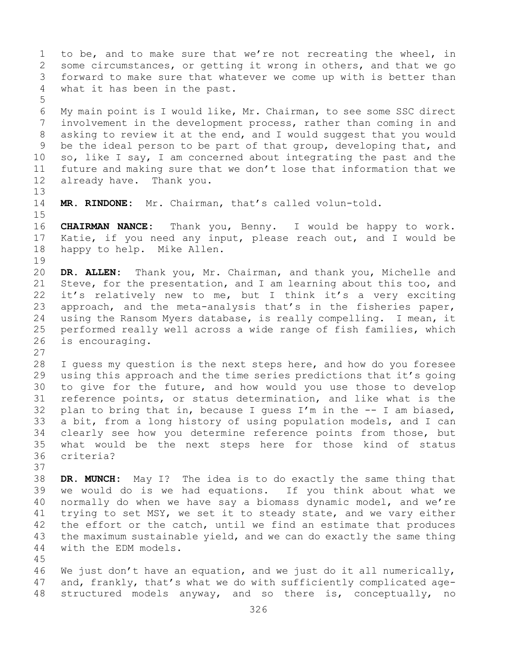1 to be, and to make sure that we're not recreating the wheel, in<br>2 some circumstances, or getting it wrong in others, and that we go 2 some circumstances, or getting it wrong in others, and that we go<br>3 forward to make sure that whatever we come up with is better than 3 forward to make sure that whatever we come up with is better than<br>4 what it has been in the past. what it has been in the past. 5 6 My main point is I would like, Mr. Chairman, to see some SSC direct<br>7 involvement in the development process, rather than coming in and 7 involvement in the development process, rather than coming in and<br>8 asking to review it at the end, and I would suggest that you would 8 asking to review it at the end, and I would suggest that you would<br>9 be the ideal person to be part of that group, developing that, and 9 be the ideal person to be part of that group, developing that, and<br>10 so, like I say, I am concerned about integrating the past and the 10 so, like I say, I am concerned about integrating the past and the<br>11 future and making sure that we don't lose that information that we 11 future and making sure that we don't lose that information that we<br>12 already have. Thank you. already have. Thank you. 13 14 **MR. RINDONE:** Mr. Chairman, that's called volun-told.  $15$ <br> $16$ 16 **CHAIRMAN NANCE:** Thank you, Benny. I would be happy to work. 17 Katie, if you need any input, please reach out, and I would be 18 happy to help. Mike Allen. happy to help. Mike Allen. 19<br>20 20 **DR. ALLEN:** Thank you, Mr. Chairman, and thank you, Michelle and<br>21 Steve, for the presentation, and I am learning about this too, and 21 Steve, for the presentation, and I am learning about this too, and<br>22 it's relatively new to me, but I think it's a very exciting 22 it's relatively new to me, but I think it's a very exciting<br>23 approach, and the meta-analysis that's in the fisheries paper, 23 approach, and the meta-analysis that's in the fisheries paper,<br>24 using the Ransom Myers database, is really compelling. I mean, it 24 using the Ransom Myers database, is really compelling. I mean, it<br>25 performed really well across a wide range of fish families, which 25 performed really well across a wide range of fish families, which<br>26 is encouraging. is encouraging.  $\frac{27}{28}$ 28 I guess my question is the next steps here, and how do you foresee<br>29 using this approach and the time series predictions that it's going 29 using this approach and the time series predictions that it's going<br>30 to give for the future, and how would you use those to develop 30 to give for the future, and how would you use those to develop<br>31 reference points, or status determination, and like what is the 31 reference points, or status determination, and like what is the 32 plan to bring that in, because I quess  $I'm$  in the  $-$  I am biased, 32 plan to bring that in, because I guess I'm in the  $-$ - I am biased, 33 a bit, from a long history of using population models, and I can

33 a bit, from a long history of using population models, and I can<br>34 clearly see how you determine reference points from those, but 34 clearly see how you determine reference points from those, but<br>35 what would be the next steps here for those kind of status 35 what would be the next steps here for those kind of status criteria? 37

38 **DR. MUNCH:** May I? The idea is to do exactly the same thing that 39 we would do is we had equations. If you think about what we<br>40 normally do when we have say a biomass dynamic model, and we're 40 normally do when we have say a biomass dynamic model, and we're<br>41 trying to set MSY, we set it to steady state, and we vary either 41 trying to set MSY, we set it to steady state, and we vary either<br>42 the effort or the catch, until we find an estimate that produces 42 the effort or the catch, until we find an estimate that produces<br>43 the maximum sustainable vield, and we can do exactly the same thing 43 the maximum sustainable yield, and we can do exactly the same thing<br>44 with the EDM models. with the EDM models.

45

46 We just don't have an equation, and we just do it all numerically,<br>47 and, frankly, that's what we do with sufficiently complicated age-47 and, frankly, that's what we do with sufficiently complicated age-<br>48 structured models anyway, and so there is, conceptually, no structured models anyway, and so there is, conceptually, no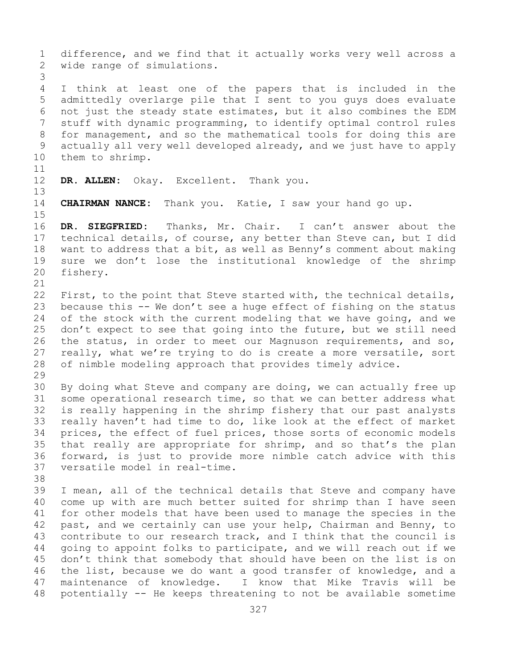1 difference, and we find that it actually works very well across a<br>2 wide range of simulations. wide range of simulations. 3 I think at least one of the papers that is included in the 5 admittedly overlarge pile that I sent to you guys does evaluate 6 not just the steady state estimates, but it also combines the EDM<br>7 stuff with dynamic programming, to identify optimal control rules 7 stuff with dynamic programming, to identify optimal control rules<br>8 for management, and so the mathematical tools for doing this are 8 for management, and so the mathematical tools for doing this are<br>9 actually all very well developed already, and we just have to apply 9 actually all very well developed already, and we just have to apply<br>10 them to shrimp. them to shrimp. 11<br>12 DR. ALLEN: Okay. Excellent. Thank you. 13 14 **CHAIRMAN NANCE:** Thank you. Katie, I saw your hand go up.  $15$ <br> $16$ 16 DR. SIEGFRIED: Thanks, Mr. Chair. I can't answer about the<br>17 technical details, of course, any better than Steve can, but I did 17 technical details, of course, any better than Steve can, but I did<br>18 want to address that a bit, as well as Benny's comment about making 18 want to address that a bit, as well as Benny's comment about making<br>19 sure we don't lose the institutional knowledge of the shrimp 19 sure we don't lose the institutional knowledge of the shrimp fishery. fishery. 21<br>22 22 First, to the point that Steve started with, the technical details,<br>23 because this -- We don't see a huge effect of fishing on the status 23 because this -- We don't see a huge effect of fishing on the status<br>24 of the stock with the current modeling that we have going, and we 24 of the stock with the current modeling that we have going, and we<br>25 don't expect to see that going into the future, but we still need 25 don't expect to see that going into the future, but we still need<br>26 the status, in order to meet our Magnuson requirements, and so, 26 the status, in order to meet our Magnuson requirements, and so,<br>27 really, what we're trying to do is create a more versatile, sort 27 really, what we're trying to do is create a more versatile, sort<br>28 of nimble modeling approach that provides timely advice. of nimble modeling approach that provides timely advice. 29<br>30 30 By doing what Steve and company are doing, we can actually free up<br>31 some operational research time, so that we can better address what 31 some operational research time, so that we can better address what<br>32 is really happening in the shrimp fishery that our past analysts 32 is really happening in the shrimp fishery that our past analysts<br>33 really haven't had time to do, like look at the effect of market 33 really haven't had time to do, like look at the effect of market<br>34 prices, the effect of fuel prices, those sorts of economic models 34 prices, the effect of fuel prices, those sorts of economic models<br>35 that really are appropriate for shrimp, and so that's the plan 35 that really are appropriate for shrimp, and so that's the plan<br>36 forward, is just to provide more nimble catch advice with this 36 forward, is just to provide more nimble catch advice with this versatile model in real-time. 38<br>39 39 I mean, all of the technical details that Steve and company have<br>40 come up with are much better suited for shrimp than I have seen 40 come up with are much better suited for shrimp than I have seen<br>41 for other models that have been used to manage the species in the 41 for other models that have been used to manage the species in the<br>42 past, and we certainly can use your help, Chairman and Benny, to 42 past, and we certainly can use your help, Chairman and Benny, to<br>43 contribute to our research track, and I think that the council is 43 contribute to our research track, and I think that the council is<br>44 qoing to appoint folks to participate, and we will reach out if we 44 going to appoint folks to participate, and we will reach out if we 45 don't think that somebody that should have been on the list is on 46 the list, because we do want a good transfer of knowledge, and a<br>47 maintenance of knowledge. I know that Mike Travis will be 47 maintenance of knowledge. I know that Mike Travis will be<br>48 potentially -- He keeps threatening to not be available sometime potentially -- He keeps threatening to not be available sometime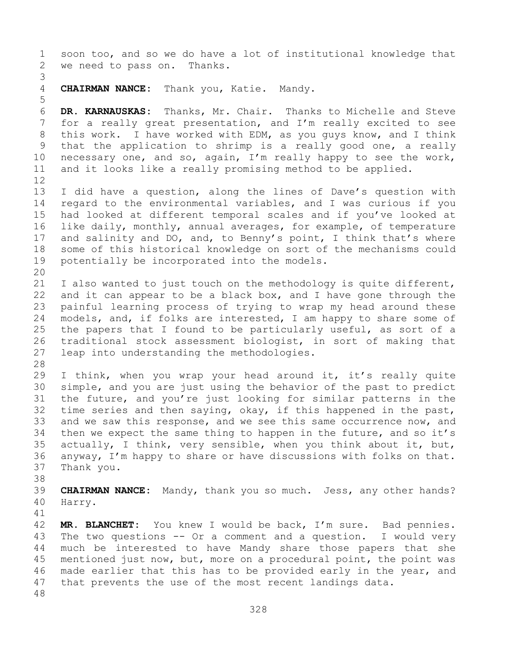1 soon too, and so we do have a lot of institutional knowledge that<br>2 we need to pass on. Thanks. we need to pass on. Thanks. 3 CHAIRMAN NANCE: Thank you, Katie. Mandy. 5 6 **DR. KARNAUSKAS:** Thanks, Mr. Chair. Thanks to Michelle and Steve 7 for a really great presentation, and I'm really excited to see<br>8 this work. I have worked with EDM, as you quys know, and I think 8 this work. I have worked with EDM, as you guys know, and I think<br>9 that the application to shrimp is a really good one, a really 9 that the application to shrimp is a really good one, a really<br>10 necessary one, and so, again, I'm really happy to see the work, 10 necessary one, and so, again, I'm really happy to see the work,<br>11 and it looks like a really promising method to be applied. and it looks like a really promising method to be applied. 12<br>13 I did have a question, along the lines of Dave's question with 14 regard to the environmental variables, and I was curious if you<br>15 had looked at different temporal scales and if vou've looked at 15 had looked at different temporal scales and if you've looked at<br>16 like daily, monthly, annual averages, for example, of temperature 16 like daily, monthly, annual averages, for example, of temperature<br>17 and salinity and DO, and, to Benny's point, I think that's where 17 and salinity and DO, and, to Benny's point, I think that's where<br>18 some of this historical knowledge on sort of the mechanisms could 18 some of this historical knowledge on sort of the mechanisms could<br>19 potentially be incorporated into the models. potentially be incorporated into the models. 20<br>21 21 I also wanted to just touch on the methodology is quite different,<br>22 and it can appear to be a black box, and I have gone through the 22 and it can appear to be a black box, and I have gone through the<br>23 painful learning process of trying to wrap my head around these 23 painful learning process of trying to wrap my head around these<br>24 models, and, if folks are interested, I am happy to share some of 24 models, and, if folks are interested, I am happy to share some of<br>25 the papers that I found to be particularly useful, as sort of a 25 the papers that I found to be particularly useful, as sort of a<br>26 traditional stock assessment biologist, in sort of making that 26 traditional stock assessment biologist, in sort of making that<br>27 leap into understanding the methodologies. leap into understanding the methodologies. 28<br>29 29 I think, when you wrap your head around it, it's really quite<br>30 simple, and you are just using the behavior of the past to predict 30 simple, and you are just using the behavior of the past to predict<br>31 the future, and you're just looking for similar patterns in the 31 the future, and you're just looking for similar patterns in the<br>32 time series and then saying, okay, if this happened in the past, time series and then saying, okay, if this happened in the past, 33 and we saw this response, and we see this same occurrence now, and<br>34 then we expect the same thing to happen in the future, and so it's 34 then we expect the same thing to happen in the future, and so it's<br>35 actually, I think, very sensible, when you think about it, but, 35 actually, I think, very sensible, when you think about it, but,<br>36 anyway, I'm happy to share or have discussions with folks on that. 36 anyway, I'm happy to share or have discussions with folks on that.<br>37 Thank you. Thank you. 38<br>39 39 **CHAIRMAN NANCE:** Mandy, thank you so much. Jess, any other hands? Harry. 41<br>42 42 **MR. BLANCHET:** You knew I would be back, I'm sure. Bad pennies.<br>43 The two questions -- Or a comment and a question. I would very 43 The two questions -- Or a comment and a question.<br>44 much be interested to have Mandy share those pap much be interested to have Mandy share those papers that she 45 mentioned just now, but, more on a procedural point, the point was 46 made earlier that this has to be provided early in the year, and<br>47 that prevents the use of the most recent landings data. that prevents the use of the most recent landings data. 48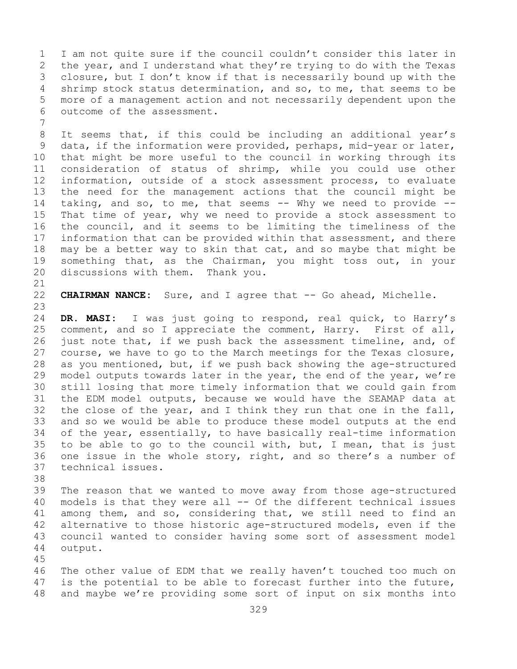1 I am not quite sure if the council couldn't consider this later in<br>2 the year, and I understand what they're trying to do with the Texas 2 the year, and I understand what they're trying to do with the Texas<br>3 closure, but I don't know if that is necessarily bound up with the 3 closure, but I don't know if that is necessarily bound up with the<br>4 shrimp stock status determination, and so, to me, that seems to be 4 shrimp stock status determination, and so, to me, that seems to be<br>5 more of a management action and not necessarily dependent upon the more of a management action and not necessarily dependent upon the 6 outcome of the assessment.

7 8 It seems that, if this could be including an additional year's<br>9 data, if the information were provided, perhaps, mid-year or later, 9 data, if the information were provided, perhaps, mid-year or later,<br>10 that might be more useful to the council in working through its 10 that might be more useful to the council in working through its<br>11 consideration of status of shrimp, while you could use other 11 consideration of status of shrimp, while you could use other<br>12 information, outside of a stock assessment process, to evaluate information, outside of a stock assessment process, to evaluate 13 the need for the management actions that the council might be 14 taking, and so, to me, that seems -- Why we need to provide --<br>15 That time of vear, why we need to provide a stock assessment to 15 That time of year, why we need to provide a stock assessment to<br>16 the council, and it seems to be limiting the timeliness of the 16 the council, and it seems to be limiting the timeliness of the<br>17 information that can be provided within that assessment, and there 17 information that can be provided within that assessment, and there<br>18 may be a better way to skin that cat, and so maybe that might be 18 may be a better way to skin that cat, and so maybe that might be<br>19 something that, as the Chairman, you might toss out, in your 19 something that, as the Chairman, you might toss out, in your<br>20 discussions with them. Thank you. discussions with them.

21<br>22

22 **CHAIRMAN NANCE:** Sure, and I agree that -- Go ahead, Michelle.

23 24 **DR. MASI:** I was just going to respond, real quick, to Harry's<br>25 comment, and so I appreciate the comment, Harry. First of all, 25 comment, and so I appreciate the comment, Harry. First of all,<br>26 just note that, if we push back the assessment timeline, and, of 26 just note that, if we push back the assessment timeline, and, of<br>27 course, we have to go to the March meetings for the Texas closure, course, we have to go to the March meetings for the Texas closure, 28 as you mentioned, but, if we push back showing the age-structured<br>29 model outputs towards later in the year, the end of the year, we're 29 model outputs towards later in the year, the end of the year, we're<br>30 still losing that more timely information that we could gain from 30 still losing that more timely information that we could gain from<br>31 the EDM model outputs, because we would have the SEAMAP data at 31 the EDM model outputs, because we would have the SEAMAP data at<br>32 the close of the vear, and I think they run that one in the fall, the close of the year, and I think they run that one in the fall, 33 and so we would be able to produce these model outputs at the end<br>34 of the year, essentially, to have basically real-time information 34 of the year, essentially, to have basically real-time information<br>35 to be able to go to the council with, but, I mean, that is just 35 to be able to go to the council with, but, I mean, that is just<br>36 one issue in the whole story, right, and so there's a number of 36 one issue in the whole story, right, and so there's a number of technical issues. technical issues.

38<br>39 39 The reason that we wanted to move away from those age-structured<br>40 models is that they were all -- Of the different technical issues 40 models is that they were all  $-$  Of the different technical issues<br>41 among them, and so, considering that, we still need to find an 41 among them, and so, considering that, we still need to find an<br>42 alternative to those historic age-structured models, even if the 42 alternative to those historic age-structured models, even if the<br>43 council wanted to consider having some sort of assessment model 43 council wanted to consider having some sort of assessment model<br>44 output. output.

45

46 The other value of EDM that we really haven't touched too much on<br>47 is the potential to be able to forecast further into the future, 47 is the potential to be able to forecast further into the future,<br>48 and maybe we're providing some sort of input on six months into and maybe we're providing some sort of input on six months into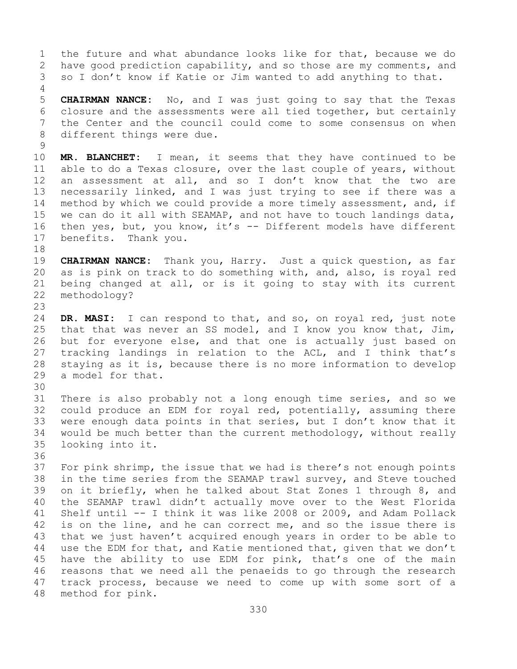1 the future and what abundance looks like for that, because we do<br>2 have good prediction capability, and so those are my comments, and 2 have good prediction capability, and so those are my comments, and<br>3 so I don't know if Katie or Jim wanted to add anything to that. so I don't know if Katie or Jim wanted to add anything to that. 4 5 **CHAIRMAN NANCE:** No, and I was just going to say that the Texas 6 closure and the assessments were all tied together, but certainly<br>7 the Center and the council could come to some consensus on when 7 the Center and the council could come to some consensus on when<br>8 different things were due. different things were due.  $\begin{array}{c} 9 \\ 10 \end{array}$ 10 **MR. BLANCHET:** I mean, it seems that they have continued to be 11 able to do a Texas closure, over the last couple of vears, without 11 able to do a Texas closure, over the last couple of years, without<br>12 an assessment at all, and so I don't know that the two are an assessment at all, and so I don't know that the two are 13 necessarily linked, and I was just trying to see if there was a 14 method by which we could provide a more timely assessment, and, if<br>15 we can do it all with SEAMAP, and not have to touch landings data, 15 we can do it all with SEAMAP, and not have to touch landings data,<br>16 then yes, but, you know, it's -- Different models have different 16 then yes, but, you know, it's -- Different models have different<br>17 benefits. Thank you. benefits. Thank you. 18<br>19 19 **CHAIRMAN NANCE:** Thank you, Harry. Just a quick question, as far 20 as is pink on track to do something with, and, also, is royal red<br>21 being changed at all, or is it going to stay with its current 21 being changed at all, or is it going to stay with its current<br>22 methodology? methodology? 23 24 **DR. MASI:** I can respond to that, and so, on royal red, just note<br>25 that that was never an SS model, and I know you know that, Jim, 25 that that was never an SS model, and I know you know that, Jim,<br>26 but for everyone else, and that one is actually just based on 26 but for everyone else, and that one is actually just based on<br>27 tracking landings in relation to the ACL, and I think that's tracking landings in relation to the ACL, and I think that's 28 staying as it is, because there is no more information to develop 29 a model for that. a model for that. 30<br>31 31 There is also probably not a long enough time series, and so we<br>32 could produce an EDM for roval red, potentially, assuming there 32 could produce an EDM for royal red, potentially, assuming there<br>33 were enough data points in that series, but I don't know that it 33 were enough data points in that series, but I don't know that it<br>34 would be much better than the current methodology, without really 34 would be much better than the current methodology, without really<br>35 looking into it. looking into it. 36<br>37 For pink shrimp, the issue that we had is there's not enough points 38 in the time series from the SEAMAP trawl survey, and Steve touched<br>39 on it briefly, when he talked about Stat Zones 1 through 8, and 39 on it briefly, when he talked about Stat Zones 1 through 8, and<br>40 the SEAMAP trawl didn't actually move over to the West Florida 40 the SEAMAP trawl didn't actually move over to the West Florida<br>41 Shelf until -- I think it was like 2008 or 2009, and Adam Pollack 41 Shelf until -- I think it was like 2008 or 2009, and Adam Pollack<br>42 is on the line, and he can correct me, and so the issue there is 42 is on the line, and he can correct me, and so the issue there is<br>43 that we just haven't acquired enough years in order to be able to 43 that we just haven't acquired enough years in order to be able to<br>44 use the EDM for that, and Katie mentioned that, given that we don't use the EDM for that, and Katie mentioned that, given that we don't 45 have the ability to use EDM for pink, that's one of the main 46 reasons that we need all the penaeids to go through the research<br>47 track process, because we need to come up with some sort of a 47 track process, because we need to come up with some sort of a<br>48 method for pink. method for pink.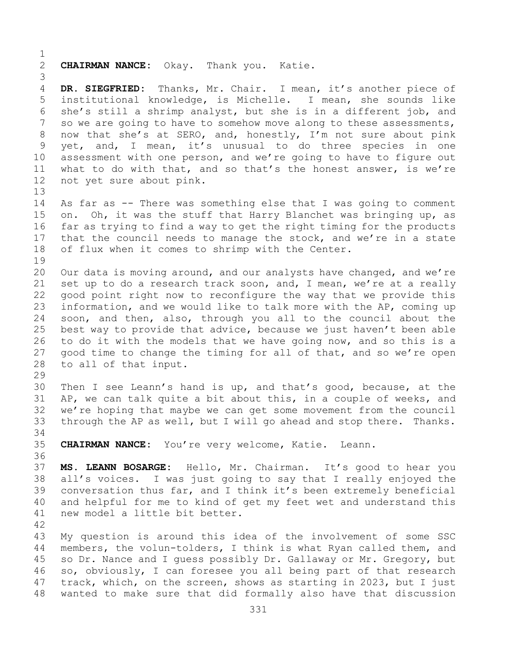$\frac{1}{2}$ 2 **CHAIRMAN NANCE:** Okay. Thank you. Katie. 3 DR. SIEGFRIED: Thanks, Mr. Chair. I mean, it's another piece of 5 institutional knowledge, is Michelle. I mean, she sounds like 6 she's still a shrimp analyst, but she is in a different job, and<br>7 so we are going to have to somehow move along to these assessments, 7 so we are going to have to somehow move along to these assessments,<br>8 now that she's at SERO, and, honestly, I'm not sure about pink 8 now that she's at SERO, and, honestly, I'm not sure about pink<br>9 yet, and, I mean, it's unusual to do three species in one 9 yet, and, I mean, it's unusual to do three species in one<br>10 assessment with one person, and we're going to have to figure out 10 assessment with one person, and we're going to have to figure out<br>11 what to do with that, and so that's the honest answer, is we're 11 what to do with that, and so that's the honest answer, is we're 12 not vet sure about pink. not yet sure about pink. 13 14 As far as -- There was something else that I was going to comment<br>15 on. Oh, it was the stuff that Harry Blanchet was bringing up, as 15 on. Oh, it was the stuff that Harry Blanchet was bringing up, as<br>16 far as trying to find a way to get the right timing for the products 16 far as trying to find a way to get the right timing for the products<br>17 that the council needs to manage the stock, and we're in a state 17 that the council needs to manage the stock, and we're in a state<br>18 of flux when it comes to shrimp with the Center. of flux when it comes to shrimp with the Center. 19<br>20 20 Our data is moving around, and our analysts have changed, and we're<br>21 set up to do a research track soon, and, I mean, we're at a really 21 set up to do a research track soon, and, I mean, we're at a really<br>22 qood point right now to reconfigure the way that we provide this 22 good point right now to reconfigure the way that we provide this<br>23 information, and we would like to talk more with the AP, coming up 23 information, and we would like to talk more with the AP, coming up<br>24 soon, and then, also, through you all to the council about the 24 soon, and then, also, through you all to the council about the<br>25 best way to provide that advice, because we just haven't been able best way to provide that advice, because we just haven't been able 26 to do it with the models that we have going now, and so this is a<br>27 qood time to change the timing for all of that, and so we're open good time to change the timing for all of that, and so we're open 28 to all of that input. 29<br>30 30 Then I see Leann's hand is up, and that's good, because, at the<br>31 AP, we can talk quite a bit about this, in a couple of weeks, and 31 AP, we can talk quite a bit about this, in a couple of weeks, and<br>32 we're hoping that maybe we can get some movement from the council we're hoping that maybe we can get some movement from the council<br>through the AP as well, but I will go ahead and stop there. Thanks. 33 through the AP as well, but I will go ahead and stop there. 34<br>35 CHAIRMAN NANCE: You're very welcome, Katie. Leann. 36 37 **MS. LEANN BOSARGE:** Hello, Mr. Chairman. It's good to hear you 38 all's voices. I was just going to say that I really enjoyed the<br>39 conversation thus far, and I think it's been extremely beneficial 39 conversation thus far, and I think it's been extremely beneficial<br>40 and helpful for me to kind of get my feet wet and understand this 40 and helpful for me to kind of get my feet wet and understand this<br>41 new model a little bit better. new model a little bit better. 42 43 My question is around this idea of the involvement of some SSC<br>44 members, the volun-tolders, I think is what Ryan called them, and members, the volun-tolders, I think is what Ryan called them, and 45 so Dr. Nance and I guess possibly Dr. Gallaway or Mr. Gregory, but 46 so, obviously, I can foresee you all being part of that research<br>47 track, which, on the screen, shows as starting in 2023, but I just 47 track, which, on the screen, shows as starting in 2023, but I just<br>48 wanted to make sure that did formally also have that discussion wanted to make sure that did formally also have that discussion

331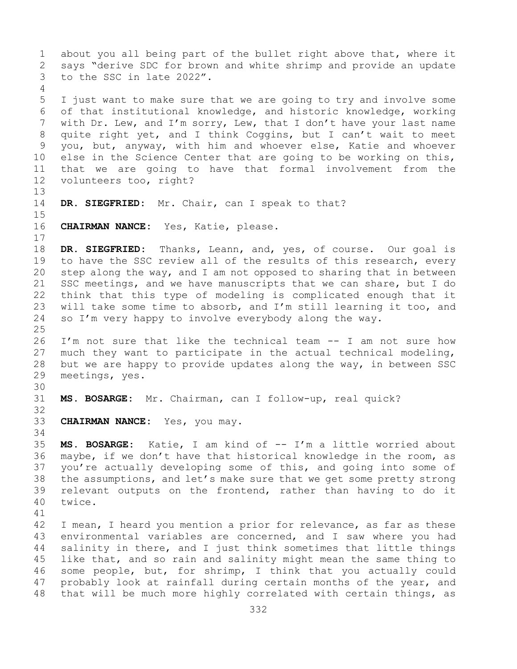1 about you all being part of the bullet right above that, where it<br>2 says "derive SDC for brown and white shrimp and provide an update 2 says "derive SDC for brown and white shrimp and provide an update<br>3 to the SSC in late 2022". to the SSC in late 2022". 4 5 I just want to make sure that we are going to try and involve some 6 of that institutional knowledge, and historic knowledge, working<br>7 with Dr. Lew, and I'm sorry, Lew, that I don't have your last name 7 with Dr. Lew, and I'm sorry, Lew, that I don't have your last name<br>8 quite right yet, and I think Coggins, but I can't wait to meet 8 quite right yet, and I think Coggins, but I can't wait to meet<br>9 you, but, anyway, with him and whoever else, Katie and whoever 9 you, but, anyway, with him and whoever else, Katie and whoever<br>10 else in the Science Center that are going to be working on this, 10 else in the Science Center that are going to be working on this,<br>11 that we are going to have that formal involvement from the 11 that we are going to have that formal involvement from the<br>12 volunteers too, right? volunteers too, right? 13 14 **DR. SIEGFRIED:** Mr. Chair, can I speak to that?  $15$ <br> $16$ CHAIRMAN NANCE: Yes, Katie, please.  $\begin{array}{c} 17 \\ 18 \end{array}$ 18 DR. SIEGFRIED: Thanks, Leann, and, yes, of course. Our goal is<br>19 to have the SSC review all of the results of this research, every 19 to have the SSC review all of the results of this research, every<br>20 step along the way, and I am not opposed to sharing that in between 20 step along the way, and I am not opposed to sharing that in between<br>21 SSC meetings, and we have manuscripts that we can share, but I do 21 SSC meetings, and we have manuscripts that we can share, but I do<br>22 think that this type of modeling is complicated enough that it 22 think that this type of modeling is complicated enough that it<br>23 will take some time to absorb, and I'm still learning it too, and 23 will take some time to absorb, and I'm still learning it too, and  $24$  so I'm very happy to involve everybody along the way. so I'm very happy to involve everybody along the way.  $\frac{25}{26}$ 26 I'm not sure that like the technical team -- I am not sure how<br>27 much they want to participate in the actual technical modeling, much they want to participate in the actual technical modeling, 28 but we are happy to provide updates along the way, in between SSC<br>29 meetings, yes. meetings, yes. 30<br>31 MS. BOSARGE: Mr. Chairman, can I follow-up, real quick? 32 33 **CHAIRMAN NANCE:** Yes, you may. 34<br>35 35 **MS. BOSARGE:** Katie, I am kind of -- I'm a little worried about maybe, if we don't have that historical knowledge in the room, as 37 you're actually developing some of this, and going into some of 38 the assumptions, and let's make sure that we get some pretty strong<br>39 relevant outputs on the frontend, rather than having to do it 39 relevant outputs on the frontend, rather than having to do it 40 twice. twice. 41<br>42 42 I mean, I heard you mention a prior for relevance, as far as these<br>43 environmental variables are concerned, and I saw where you had 43 environmental variables are concerned, and I saw where you had<br>44 salinity in there, and I just think sometimes that little things salinity in there, and I just think sometimes that little things 45 like that, and so rain and salinity might mean the same thing to 46 some people, but, for shrimp, I think that you actually could<br>47 probably look at rainfall during certain months of the year, and 47 probably look at rainfall during certain months of the year, and<br>48 that will be much more highly correlated with certain things, as that will be much more highly correlated with certain things, as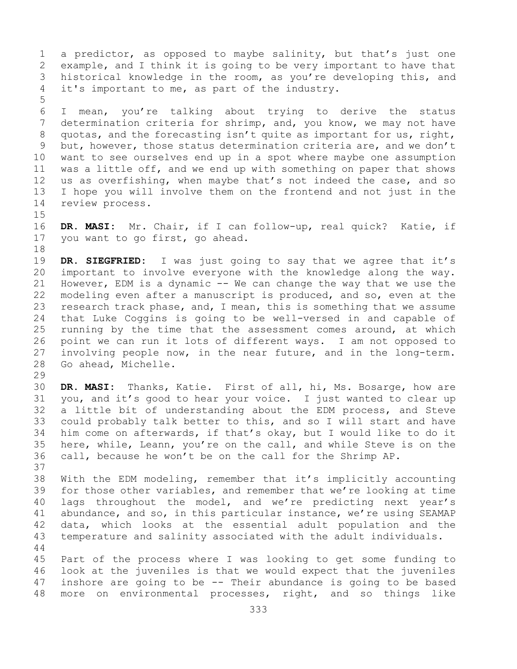1 a predictor, as opposed to maybe salinity, but that's just one<br>2 example, and I think it is going to be very important to have that 2 example, and I think it is going to be very important to have that<br>3 historical knowledge in the room, as you're developing this, and 3 historical knowledge in the room, as you're developing this, and<br>4 it's important to me, as part of the industry. it's important to me, as part of the industry.

6 I mean, you're talking about trying to derive the status<br>7 determination criteria for shrimp, and, you know, we may not have 7 determination criteria for shrimp, and, you know, we may not have<br>8 quotas, and the forecasting isn't quite as important for us, right, 8 quotas, and the forecasting isn't quite as important for us, right,<br>9 but, however, those status determination criteria are, and we don't 9 but, however, those status determination criteria are, and we don't<br>10 want to see ourselves end up in a spot where maybe one assumption 10 want to see ourselves end up in a spot where maybe one assumption<br>11 was a little off, and we end up with something on paper that shows 11 was a little off, and we end up with something on paper that shows<br>12 us as overfishing, when maybe that's not indeed the case, and so 12 us as overfishing, when maybe that's not indeed the case, and so<br>13 I hope you will involve them on the frontend and not just in the I hope you will involve them on the frontend and not just in the 14 review process.

 $15$ <br> $16$ 

5

16 **DR. MASI:** Mr. Chair, if I can follow-up, real quick? Katie, if you want to go first, go ahead.

18<br>19 19 **DR. SIEGFRIED:** I was just going to say that we agree that it's 20 important to involve everyone with the knowledge along the way. 20 important to involve everyone with the knowledge along the way.<br>21 However, EDM is a dynamic -- We can change the way that we use the 21 However, EDM is a dynamic -- We can change the way that we use the<br>22 modeling even after a manuscript is produced, and so, even at the 22 modeling even after a manuscript is produced, and so, even at the<br>23 research track phase, and, I mean, this is something that we assume 23 research track phase, and, I mean, this is something that we assume<br>24 that Luke Coggins is going to be well-versed in and capable of 24 that Luke Coggins is going to be well-versed in and capable of<br>25 running by the time that the assessment comes around, at which 25 running by the time that the assessment comes around, at which<br>26 point we can run it lots of different ways. I am not opposed to 26 point we can run it lots of different ways. I am not opposed to<br>27 involving people now, in the near future, and in the long-term. 27 involving people now, in the near future, and in the long-term.<br>28 Go ahead, Michelle. Go ahead, Michelle.

29<br>30

30 **DR. MASI:** Thanks, Katie. First of all, hi, Ms. Bosarge, how are 31 you, and it's good to hear your voice. I just wanted to clear up<br>32 a little bit of understanding about the EDM process, and Steve a little bit of understanding about the EDM process, and Steve 33 could probably talk better to this, and so I will start and have<br>34 him come on afterwards, if that's okay, but I would like to do it 34 him come on afterwards, if that's okay, but I would like to do it<br>35 here, while, Leann, you're on the call, and while Steve is on the 35 here, while, Leann, you're on the call, and while Steve is on the 36 call, because he won't be on the call for the Shrimp AP. call, because he won't be on the call for the Shrimp AP. 37

38 With the EDM modeling, remember that it's implicitly accounting<br>39 for those other variables, and remember that we're looking at time 39 for those other variables, and remember that we're looking at time<br>40 lags throughout the model, and we're predicting next year's 40 lags throughout the model, and we're predicting next year's<br>41 abundance, and so, in this particular instance, we're using SEAMAP 41 abundance, and so, in this particular instance, we're using SEAMAP<br>42 data, which looks at the essential adult population and the 42 data, which looks at the essential adult population and the<br>43 temperature and salinity associated with the adult individuals. temperature and salinity associated with the adult individuals. 44

45 Part of the process where I was looking to get some funding to 46 look at the juveniles is that we would expect that the juveniles  $47$  inshore are going to be  $-$  Their abundance is going to be based 47 inshore are going to be -- Their abundance is going to be based<br>48 more on environmental processes, right, and so things like more on environmental processes, right, and so things like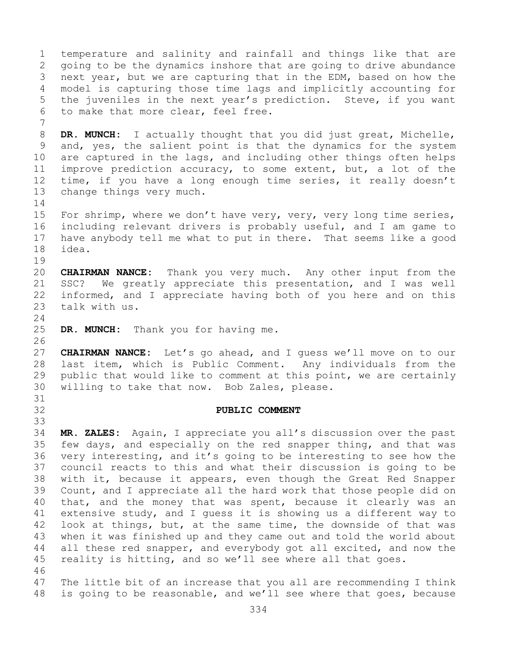1 temperature and salinity and rainfall and things like that are<br>2 qoing to be the dynamics inshore that are going to drive abundance 2 going to be the dynamics inshore that are going to drive abundance<br>3 next year, but we are capturing that in the EDM, based on how the 3 next year, but we are capturing that in the EDM, based on how the<br>4 model is capturing those time lags and implicitly accounting for model is capturing those time lags and implicitly accounting for 5 the juveniles in the next year's prediction. Steve, if you want 6 to make that more clear, feel free. 7 8 **DR. MUNCH:** I actually thought that you did just great, Michelle,<br>9 and, yes, the salient point is that the dynamics for the system 9 and, yes, the salient point is that the dynamics for the system<br>10 are captured in the lags, and including other things often helps 10 are captured in the lags, and including other things often helps<br>11 improve prediction accuracy, to some extent, but, a lot of the 11 improve prediction accuracy, to some extent, but, a lot of the<br>12 time, if you have a long enough time series, it really doesn't 12 time, if you have a long enough time series, it really doesn't<br>13 change things very much. change things very much.  $\frac{14}{15}$ 15 For shrimp, where we don't have very, very, very long time series,<br>16 including relevant drivers is probably useful, and I am game to 16 including relevant drivers is probably useful, and I am game to<br>17 have anybody tell me what to put in there. That seems like a good 17 have anybody tell me what to put in there. That seems like a good idea.  $\begin{array}{c} 19 \\ 20 \end{array}$ 20 **CHAIRMAN NANCE:** Thank you very much. Any other input from the 21 SSC? We greatly appreciate this presentation, and I was well<br>22 informed, and I appreciate having both of you here and on this 22 informed, and I appreciate having both of you here and on this 23 talk with us. talk with us.  $\frac{24}{25}$ DR. MUNCH: Thank you for having me. 26<br>27 CHAIRMAN NANCE: Let's go ahead, and I guess we'll move on to our 28 last item, which is Public Comment. Any individuals from the<br>29 public that would like to comment at this point, we are certainly 29 public that would like to comment at this point, we are certainly<br>30 willing to take that now. Bob Zales, please. willing to take that now. Bob Zales, please. 31<br>32 32 **PUBLIC COMMENT** 33<br>34 34 **MR. ZALES:** Again, I appreciate you all's discussion over the past 35 few days, and especially on the red snapper thing, and that was<br>36 very interesting, and it's going to be interesting to see how the very interesting, and it's going to be interesting to see how the 37 council reacts to this and what their discussion is going to be 38 with it, because it appears, even though the Great Red Snapper<br>39 Count, and I appreciate all the hard work that those people did on 39 Count, and I appreciate all the hard work that those people did on<br>40 that, and the money that was spent, because it clearly was an 40 that, and the money that was spent, because it clearly was an<br>41 extensive study, and I quess it is showing us a different way to 41 extensive study, and I guess it is showing us a different way to<br>42 look at things, but, at the same time, the downside of that was 42 look at things, but, at the same time, the downside of that was<br>43 when it was finished up and they came out and told the world about 43 when it was finished up and they came out and told the world about<br>44 all these red snapper, and everybody got all excited, and now the all these red snapper, and everybody got all excited, and now the 45 reality is hitting, and so we'll see where all that goes. 46<br>47 47 The little bit of an increase that you all are recommending I think<br>48 is going to be reasonable, and we'll see where that goes, because is going to be reasonable, and we'll see where that goes, because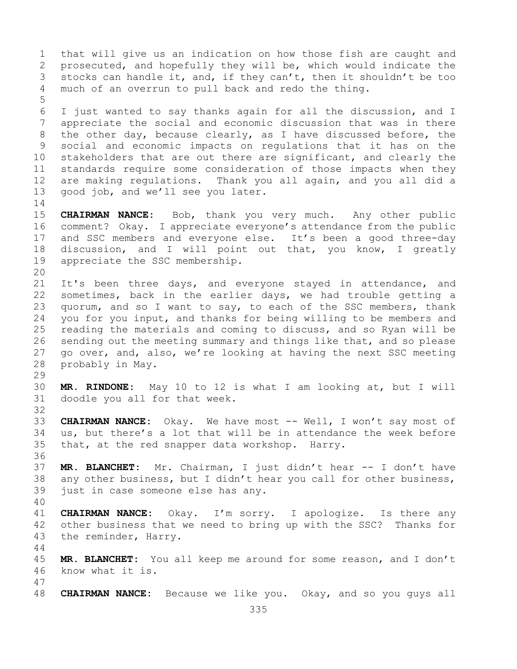335 1 that will give us an indication on how those fish are caught and<br>2 prosecuted, and hopefully they will be, which would indicate the 2 prosecuted, and hopefully they will be, which would indicate the<br>3 stocks can handle it, and, if they can't, then it shouldn't be too 3 stocks can handle it, and, if they can't, then it shouldn't be too<br>4 much of an overrun to pull back and redo the thing. much of an overrun to pull back and redo the thing. 5 6 I just wanted to say thanks again for all the discussion, and I<br>7 appreciate the social and economic discussion that was in there 7 appreciate the social and economic discussion that was in there<br>8 the other day, because clearly, as I have discussed before, the 8 the other day, because clearly, as I have discussed before, the<br>9 social and economic impacts on requlations that it has on the 9 social and economic impacts on regulations that it has on the<br>10 stakeholders that are out there are significant, and clearly the 10 stakeholders that are out there are significant, and clearly the<br>11 standards require some consideration of those impacts when they 11 standards require some consideration of those impacts when they<br>12 are making regulations. Thank you all again, and you all did a 12 are making regulations. Thank you all again, and you all did a<br>13 good job, and we'll see you later. good job, and we'll see you later.  $\frac{14}{15}$ 15 **CHAIRMAN NANCE:** Bob, thank you very much. Any other public<br>16 comment? Okay. I appreciate everyone's attendance from the public 16 comment? Okay. I appreciate everyone's attendance from the public<br>17 and SSC members and everyone else. It's been a good three-day 17 and SSC members and everyone else. It's been a good three-day<br>18 discussion, and I will point out that, you know, I greatly 18 discussion, and I will point out that, you know, I greatly<br>19 appreciate the SSC membership. appreciate the SSC membership. 20<br>21 21 It's been three days, and everyone stayed in attendance, and<br>22 sometimes, back in the earlier days, we had trouble getting a 22 sometimes, back in the earlier days, we had trouble getting a<br>23 quorum, and so I want to say, to each of the SSC members, thank 23 quorum, and so I want to say, to each of the SSC members, thank<br>24 vou for vou input, and thanks for being willing to be members and 24 you for you input, and thanks for being willing to be members and<br>25 reading the materials and coming to discuss, and so Ryan will be 25 reading the materials and coming to discuss, and so Ryan will be<br>26 sending out the meeting summary and things like that, and so please 26 sending out the meeting summary and things like that, and so please<br>27 qo over, and, also, we're looking at having the next SSC meeting 27 go over, and, also, we're looking at having the next SSC meeting 28 probably in May. 29<br>30 30 **MR. RINDONE:** May 10 to 12 is what I am looking at, but I will doodle you all for that week. 32 33 **CHAIRMAN NANCE:** Okay. We have most -- Well, I won't say most of 34 us, but there's a lot that will be in attendance the week before 34 us, but there's a lot that will be in attendance the week before<br>35 that, at the red snapper data workshop. Harry. that, at the red snapper data workshop. Harry. 36<br>37 MR. BLANCHET: Mr. Chairman, I just didn't hear -- I don't have 38 any other business, but I didn't hear you call for other business,<br>39 iust in case someone else has anv. just in case someone else has any. 40 41 **CHAIRMAN NANCE:** Okay. I'm sorry. I apologize. Is there any<br>42 other business that we need to bring up with the SSC? Thanks for 42 other business that we need to bring up with the SSC? Thanks for<br>43 the reminder, Harry. the reminder, Harry. 44 45 **MR. BLANCHET:** You all keep me around for some reason, and I don't 46 know what it is. 47 48 **CHAIRMAN NANCE:** Because we like you. Okay, and so you guys all